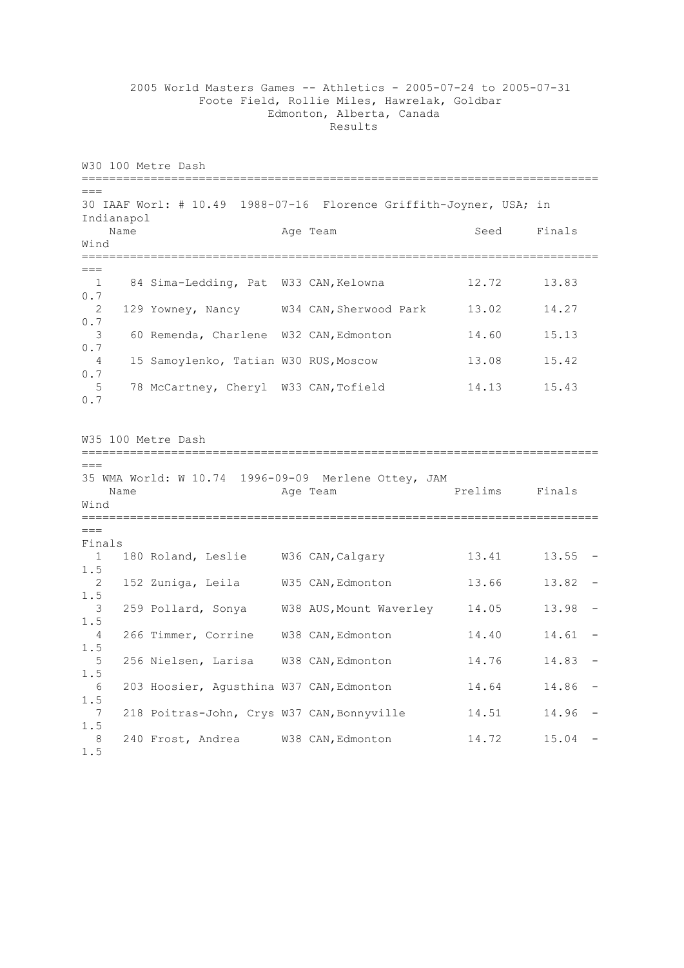2005 World Masters Games -- Athletics - 2005-07-24 to 2005-07-31 Foote Field, Rollie Miles, Hawrelak, Goldbar Edmonton, Alberta, Canada Results

W30 100 Metre Dash ===========================================================================  $=$ 30 IAAF Worl: # 10.49 1988-07-16 Florence Griffith-Joyner, USA; in Indianapol Name Age Team Seed Finals Wind ===========================================================================  $---$ 1 84 Sima-Ledding, Pat W33 CAN, Kelowna 12.72 13.83 0.7 2 129 Yowney, Nancy W34 CAN,Sherwood Park 13.02 14.27 0.7 3 60 Remenda, Charlene W32 CAN,Edmonton 14.60 15.13 0.7 4 15 Samoylenko, Tatian W30 RUS,Moscow 13.08 15.42 0.7 5 78 McCartney, Cheryl W33 CAN, Tofield 14.13 15.43 0.7 W35 100 Metre Dash ===========================================================================  $=$ 35 WMA World: W 10.74 1996-09-09 Merlene Ottey, JAM Name **Age Team** Prelims Finals Wind ===========================================================================  $=$ Finals 1 180 Roland, Leslie W36 CAN, Calgary 13.41 13.55 -1.5 2 152 Zuniga, Leila W35 CAN,Edmonton 13.66 13.82 - 1.5 3 259 Pollard, Sonya W38 AUS,Mount Waverley 14.05 13.98 - 1.5 4 266 Timmer, Corrine W38 CAN,Edmonton 14.40 14.61 - 1.5 5 256 Nielsen, Larisa W38 CAN,Edmonton 14.76 14.83 - 1.5 6 203 Hoosier, Agusthina W37 CAN,Edmonton 14.64 14.86 - 1.5 7 218 Poitras-John, Crys W37 CAN, Bonnyville 14.51 14.96 -1.5 8 240 Frost, Andrea W38 CAN,Edmonton 14.72 15.04 - 1.5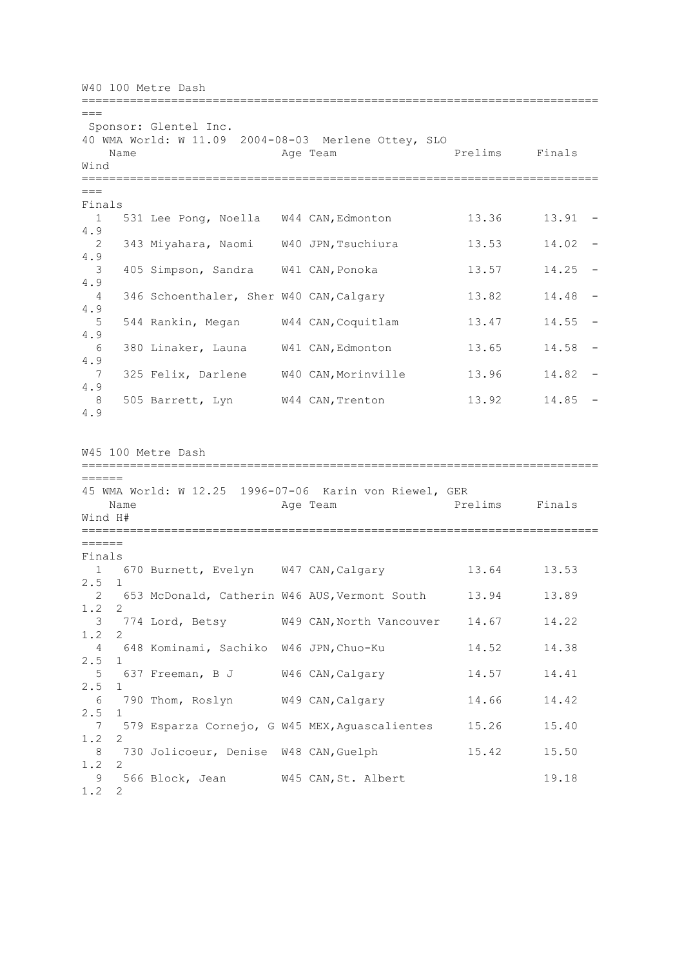W40 100 Metre Dash ===========================================================================  $=$ Sponsor: Glentel Inc. 40 WMA World: W 11.09 2004-08-03 Merlene Ottey, SLO Name **Age Team Prelims** Finals Wind ===========================================================================  $=$ Finals 1 531 Lee Pong, Noella W44 CAN,Edmonton 13.36 13.91 - 4.9 2 343 Miyahara, Naomi W40 JPN,Tsuchiura 13.53 14.02 - 4.9 3 405 Simpson, Sandra W41 CAN,Ponoka 13.57 14.25 - 4.9 4 346 Schoenthaler, Sher W40 CAN,Calgary 13.82 14.48 - 4.9 5 544 Rankin, Megan W44 CAN,Coquitlam 13.47 14.55 - 4.9 6 380 Linaker, Launa W41 CAN,Edmonton 13.65 14.58 - 4.9 7 325 Felix, Darlene W40 CAN,Morinville 13.96 14.82 - 4.9 8 505 Barrett, Lyn W44 CAN,Trenton 13.92 14.85 - 4.9 W45 100 Metre Dash =========================================================================== ====== 45 WMA World: W 12.25 1996-07-06 Karin von Riewel, GER Name **Age Team Prelims** Finals Wind H# =========================================================================== ====== Finals 1 670 Burnett, Evelyn W47 CAN, Calgary 13.64 13.53 2.5 1 2 653 McDonald, Catherin W46 AUS,Vermont South 13.94 13.89 1.2 2 3 774 Lord, Betsy W49 CAN,North Vancouver 14.67 14.22 1.2 2 4 648 Kominami, Sachiko W46 JPN,Chuo-Ku 14.52 14.38 2.5 1 5 637 Freeman, B J W46 CAN,Calgary 14.57 14.41 2.5 1 6 790 Thom, Roslyn W49 CAN,Calgary 14.66 14.42 2.5 1 7 579 Esparza Cornejo, G W45 MEX,Aguascalientes 15.26 15.40 1.2 2 8 730 Jolicoeur, Denise W48 CAN, Guelph 15.42 15.50 1.2 2 9 566 Block, Jean W45 CAN, St. Albert 19.18 1.2 2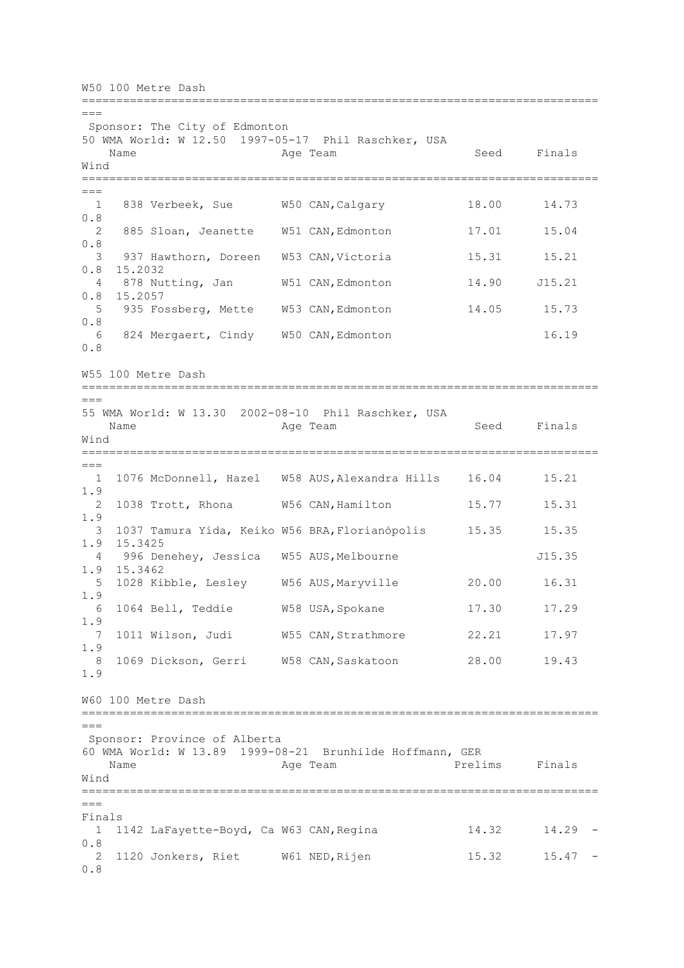W50 100 Metre Dash ===========================================================================  $=$ Sponsor: The City of Edmonton 50 WMA World: W 12.50 1997-05-17 Phil Raschker, USA Name **Age Team** Age Team Seed Finals Wind ===========================================================================  $=$  1 838 Verbeek, Sue W50 CAN,Calgary 18.00 14.73 0.8 2 885 Sloan, Jeanette W51 CAN,Edmonton 17.01 15.04 0.8 3 937 Hawthorn, Doreen W53 CAN, Victoria 15.31 15.21 0.8 15.2032 4 878 Nutting, Jan W51 CAN,Edmonton 14.90 J15.21 0.8 15.2057 5 935 Fossberg, Mette W53 CAN,Edmonton 14.05 15.73 0.8 6 824 Mergaert, Cindy W50 CAN,Edmonton 16.19 0.8 W55 100 Metre Dash =========================================================================== === 55 WMA World: W 13.30 2002-08-10 Phil Raschker, USA Name **Age Team** Age Team Seed Finals Wind ===========================================================================  $=$  1 1076 McDonnell, Hazel W58 AUS,Alexandra Hills 16.04 15.21 1.9 2 1038 Trott, Rhona W56 CAN,Hamilton 15.77 15.31 1.9 3 1037 Tamura Yida, Keiko W56 BRA,Florianópolis 15.35 15.35 1.9 15.3425 4 996 Denehey, Jessica W55 AUS, Melbourne 315.35 1.9 15.3462 5 1028 Kibble, Lesley W56 AUS,Maryville 20.00 16.31 1.9 6 1064 Bell, Teddie W58 USA,Spokane 17.30 17.29 1.9 7 1011 Wilson, Judi W55 CAN,Strathmore 22.21 17.97 1.9 8 1069 Dickson, Gerri W58 CAN,Saskatoon 28.00 19.43 1.9 W60 100 Metre Dash ===========================================================================  $=$ Sponsor: Province of Alberta 60 WMA World: W 13.89 1999-08-21 Brunhilde Hoffmann, GER Name **Age Team** Prelims Finals Wind ===========================================================================  $=$ Finals 1 1142 LaFayette-Boyd, Ca W63 CAN,Regina 14.32 14.29 - 0.8 2 1120 Jonkers, Riet W61 NED,Rijen 15.32 15.47 - 0.8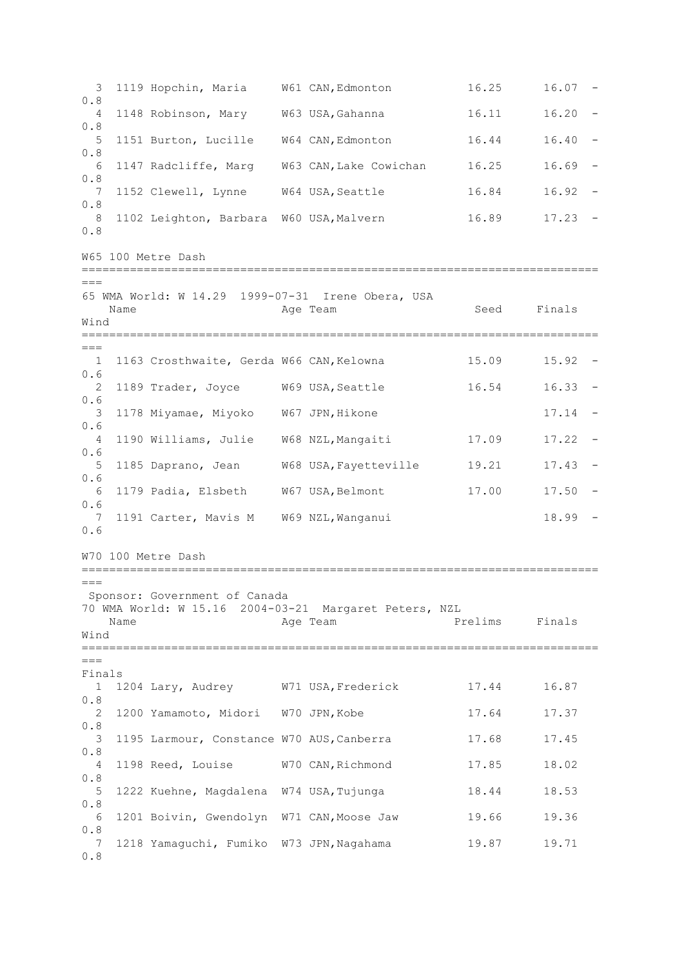3 1119 Hopchin, Maria W61 CAN,Edmonton 16.25 16.07 - 0.8 4 1148 Robinson, Mary W63 USA,Gahanna 16.11 16.20 - 0.8 5 1151 Burton, Lucille W64 CAN,Edmonton 16.44 16.40 - 0.8 6 1147 Radcliffe, Marg W63 CAN,Lake Cowichan 16.25 16.69 - 0.8 7 1152 Clewell, Lynne W64 USA,Seattle 16.84 16.92 - 0.8 8 1102 Leighton, Barbara W60 USA, Malvern 16.89 17.23 -0.8 W65 100 Metre Dash ===========================================================================  $\frac{1}{2}$ 65 WMA World: W 14.29 1999-07-31 Irene Obera, USA Name **Age Team** Age Team Seed Finals Wind ===========================================================================  $=$  1 1163 Crosthwaite, Gerda W66 CAN,Kelowna 15.09 15.92 - 0.6 2 1189 Trader, Joyce W69 USA,Seattle 16.54 16.33 - 0.6 3 1178 Miyamae, Miyoko W67 JPN,Hikone 17.14 - 0.6 4 1190 Williams, Julie W68 NZL,Mangaiti 17.09 17.22 - 0.6 5 1185 Daprano, Jean W68 USA,Fayetteville 19.21 17.43 - 0.6 6 1179 Padia, Elsbeth W67 USA,Belmont 17.00 17.50 - 0.6 7 1191 Carter, Mavis M W69 NZL, Wanganui 18.99 -0.6 W70 100 Metre Dash ===========================================================================  $=$ Sponsor: Government of Canada 70 WMA World: W 15.16 2004-03-21 Margaret Peters, NZL Name **Age Team** Prelims Finals Wind ===========================================================================  $=$ Finals 1 1204 Lary, Audrey W71 USA,Frederick 17.44 16.87 0.8 2 1200 Yamamoto, Midori W70 JPN,Kobe 17.64 17.37 0.8 3 1195 Larmour, Constance W70 AUS, Canberra 17.68 17.45 0.8 4 1198 Reed, Louise W70 CAN,Richmond 17.85 18.02 0.8 5 1222 Kuehne, Magdalena W74 USA,Tujunga 18.44 18.53 0.8 6 1201 Boivin, Gwendolyn W71 CAN,Moose Jaw 19.66 19.36 0.8 7 1218 Yamaguchi, Fumiko W73 JPN,Nagahama 19.87 19.71 0.8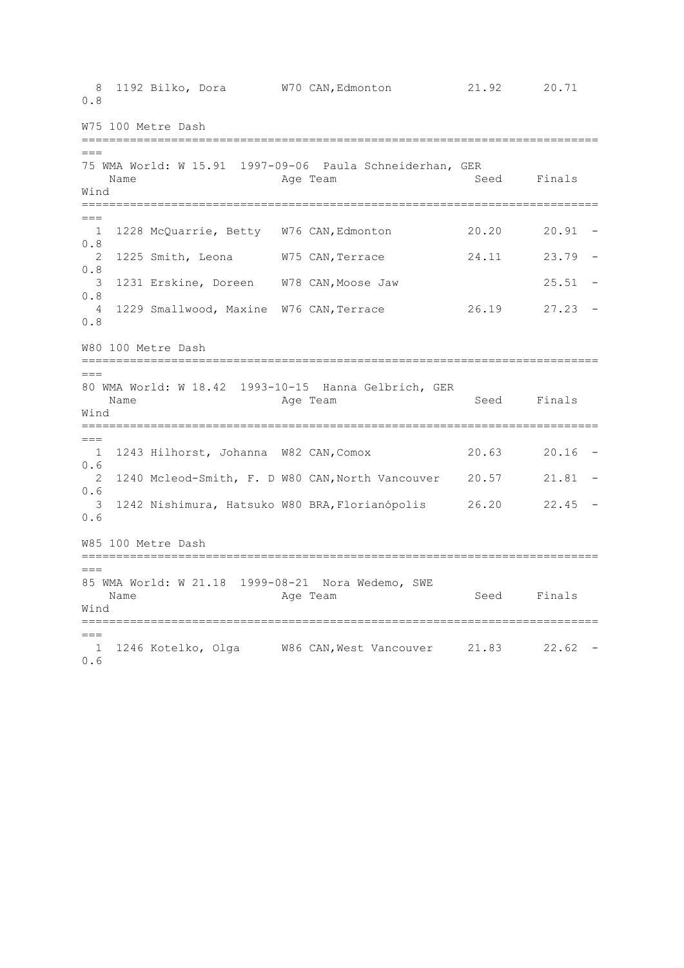8 1192 Bilko, Dora W70 CAN,Edmonton 21.92 20.71 0.8 W75 100 Metre Dash ===========================================================================  $---$ 75 WMA World: W 15.91 1997-09-06 Paula Schneiderhan, GER Name Age Team Age Team Seed Finals Wind ===========================================================================  $=$  1 1228 McQuarrie, Betty W76 CAN,Edmonton 20.20 20.91 - 0.8 2 1225 Smith, Leona W75 CAN,Terrace 24.11 23.79 - 0.8 3 1231 Erskine, Doreen W78 CAN,Moose Jaw 25.51 - 0.8 4 1229 Smallwood, Maxine W76 CAN,Terrace 26.19 27.23 - 0.8 W80 100 Metre Dash =========================================================================== === 80 WMA World: W 18.42 1993-10-15 Hanna Gelbrich, GER Name **Age Team** Age Team Seed Finals Wind ===========================================================================  $=$  1 1243 Hilhorst, Johanna W82 CAN,Comox 20.63 20.16 - 0.6 2 1240 Mcleod-Smith, F. D W80 CAN,North Vancouver 20.57 21.81 -  $0.6$ <br>3 3 1242 Nishimura, Hatsuko W80 BRA,Florianópolis 26.20 22.45 - 0.6 W85 100 Metre Dash ===========================================================================  $=$ 85 WMA World: W 21.18 1999-08-21 Nora Wedemo, SWE Name **Age Team** Age Team Seed Finals Wind ===========================================================================  $=$  1 1246 Kotelko, Olga W86 CAN,West Vancouver 21.83 22.62 - 0.6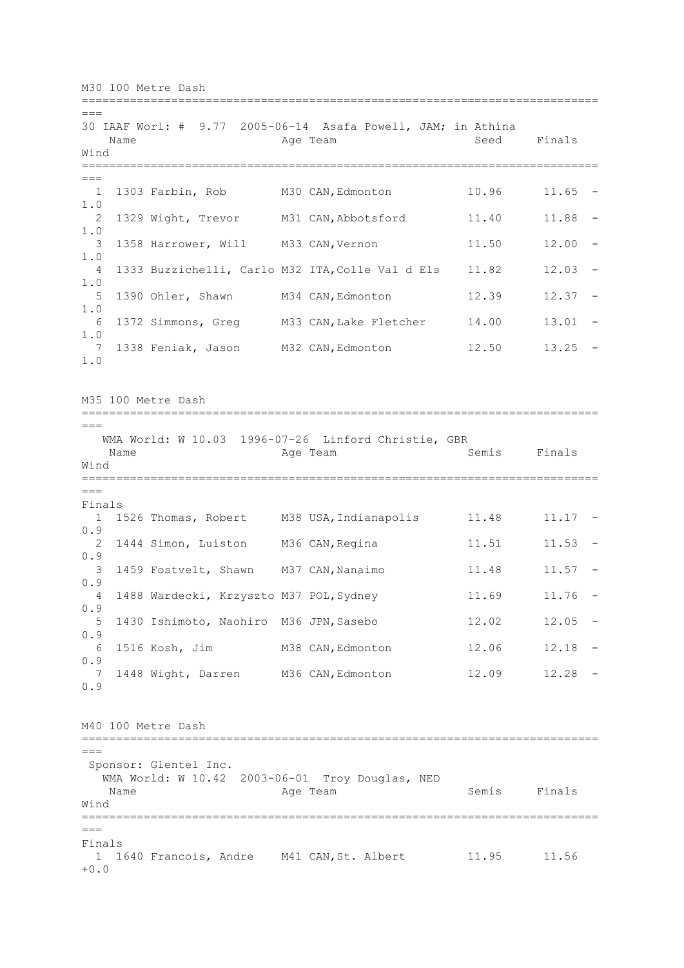M30 100 Metre Dash ===========================================================================  $=$ 30 IAAF Worl: # 9.77 2005-06-14 Asafa Powell, JAM; in Athína Name Age Team Seed Finals Wind ===========================================================================  $==$  1 1303 Farbin, Rob M30 CAN,Edmonton 10.96 11.65 - 1.0 2 1329 Wight, Trevor M31 CAN, Abbotsford 11.40 11.88 -1.0 3 1358 Harrower, Will M33 CAN, Vernon 11.50 12.00 -1.0 4 1333 Buzzichelli, Carlo M32 ITA,Colle Val d Els 11.82 12.03 - 1.0 5 1390 Ohler, Shawn M34 CAN, Edmonton 12.39 12.37 -1.0 6 1372 Simmons, Greg M33 CAN,Lake Fletcher 14.00 13.01 - 1.0 7 1338 Feniak, Jason M32 CAN,Edmonton 12.50 13.25 - 1.0 M35 100 Metre Dash =========================================================================== === WMA World: W 10.03 1996-07-26 Linford Christie, GBR Name **Age Team** Age Team Semis Finals Wind ===========================================================================  $=$ Finals 1 1526 Thomas, Robert M38 USA, Indianapolis 11.48 11.17 -0.9 2 1444 Simon, Luiston M36 CAN, Regina 11.51 11.53 -0.9 3 1459 Fostvelt, Shawn M37 CAN, Nanaimo 11.48 11.57 -0.9 4 1488 Wardecki, Krzyszto M37 POL,Sydney 11.69 11.76 - 0.9 5 1430 Ishimoto, Naohiro M36 JPN,Sasebo 12.02 12.05 - 0.9 6 1516 Kosh, Jim M38 CAN,Edmonton 12.06 12.18 - 0.9 7 1448 Wight, Darren M36 CAN,Edmonton 12.09 12.28 - 0.9 M40 100 Metre Dash ===========================================================================  $---$ Sponsor: Glentel Inc. WMA World: W 10.42 2003-06-01 Troy Douglas, NED Name **Age Team** Age Team Semis Finals Wind ===========================================================================  $=$ Finals 1 1640 Francois, Andre M41 CAN,St. Albert 11.95 11.56  $+0.0$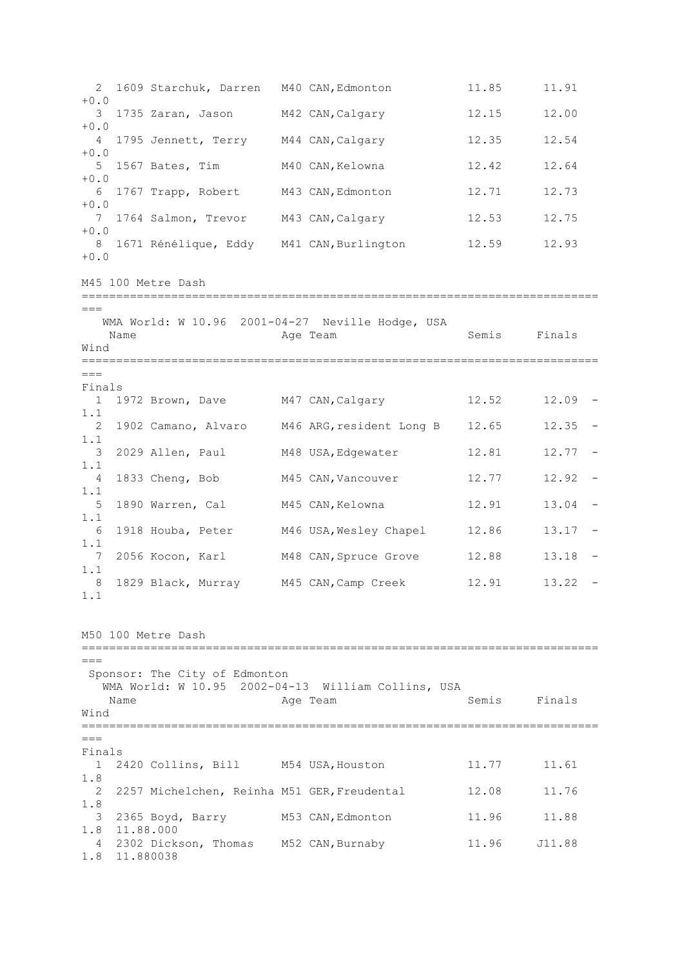2 1609 Starchuk, Darren M40 CAN,Edmonton 11.85 11.91  $+0.0$  3 1735 Zaran, Jason M42 CAN,Calgary 12.15 12.00 +0.0 4 1795 Jennett, Terry M44 CAN,Calgary 12.35 12.54  $+0.0$  5 1567 Bates, Tim M40 CAN,Kelowna 12.42 12.64 +0.0 6 1767 Trapp, Robert M43 CAN,Edmonton 12.71 12.73  $+0.0$  7 1764 Salmon, Trevor M43 CAN,Calgary 12.53 12.75  $+0.0$ 8 1671 Rénélique, Eddy M41 CAN, Burlington 12.59 12.93 +0.0 M45 100 Metre Dash =========================================================================== === WMA World: W 10.96 2001-04-27 Neville Hodge, USA Name **Age Team** Age Team Semis Finals Wind ===========================================================================  $---$ Finals 1 1972 Brown, Dave M47 CAN,Calgary 12.52 12.09 - 1.1 2 1902 Camano, Alvaro M46 ARG,resident Long B 12.65 12.35 - 1.1 3 2029 Allen, Paul M48 USA, Edgewater 12.81 12.77 -1.1 4 1833 Cheng, Bob M45 CAN,Vancouver 12.77 12.92 - 1.1 5 1890 Warren, Cal M45 CAN,Kelowna 12.91 13.04 - 1.1 6 1918 Houba, Peter M46 USA,Wesley Chapel 12.86 13.17 - 1.1 7 2056 Kocon, Karl M48 CAN,Spruce Grove 12.88 13.18 - 1.1 8 1829 Black, Murray M45 CAN,Camp Creek 12.91 13.22 - 1.1 M50 100 Metre Dash ===========================================================================  $=$ Sponsor: The City of Edmonton WMA World: W 10.95 2002-04-13 William Collins, USA Name **Age Team** Age Team Semis Finals Wind ===========================================================================  $=$ Finals 1 2420 Collins, Bill M54 USA,Houston 11.77 11.61 1.8 2 2257 Michelchen, Reinha M51 GER,Freudental 12.08 11.76 1.8 3 2365 Boyd, Barry M53 CAN,Edmonton 11.96 11.88 1.8 11.88.000 4 2302 Dickson, Thomas M52 CAN,Burnaby 11.96 J11.88 1.8 11.880038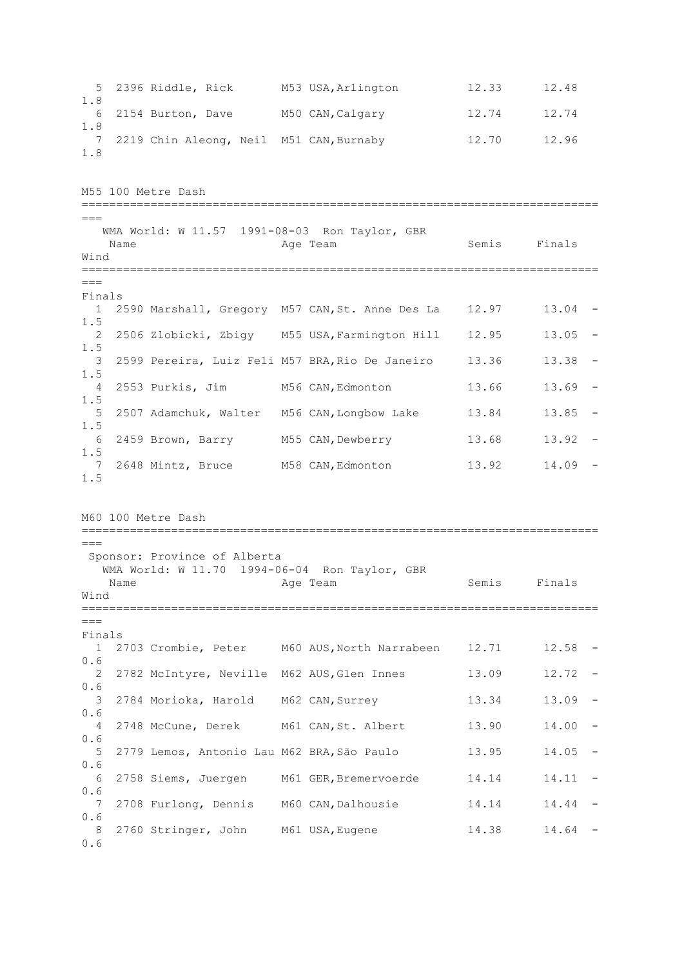5 2396 Riddle, Rick M53 USA,Arlington 12.33 12.48 1.8 6 2154 Burton, Dave M50 CAN,Calgary 12.74 12.74 1.8 7 2219 Chin Aleong, Neil M51 CAN,Burnaby 12.70 12.96 1.8 M55 100 Metre Dash ===========================================================================  $=$  WMA World: W 11.57 1991-08-03 Ron Taylor, GBR Name **Age Team** Age Team Semis Finals Wind ===========================================================================  $---$ Finals 1 2590 Marshall, Gregory M57 CAN,St. Anne Des La 12.97 13.04 - 1.5 2 2506 Zlobicki, Zbigy M55 USA,Farmington Hill 12.95 13.05 - 1.5 3 2599 Pereira, Luiz Feli M57 BRA,Rio De Janeiro 13.36 13.38 - 1.5 4 2553 Purkis, Jim M56 CAN,Edmonton 13.66 13.69 - 1.5 5 2507 Adamchuk, Walter M56 CAN,Longbow Lake 13.84 13.85 - 1.5 6 2459 Brown, Barry M55 CAN,Dewberry 13.68 13.92 - 1.5 7 2648 Mintz, Bruce M58 CAN, Edmonton 13.92 14.09 -1.5 M60 100 Metre Dash ===========================================================================  $=$ Sponsor: Province of Alberta WMA World: W 11.70 1994-06-04 Ron Taylor, GBR Name Age Team Semis Finals Wind ===========================================================================  $=$ Finals 1 2703 Crombie, Peter M60 AUS,North Narrabeen 12.71 12.58 - 0.6 2 2782 McIntyre, Neville M62 AUS,Glen Innes 13.09 12.72 - 0.6 3 2784 Morioka, Harold M62 CAN,Surrey 13.34 13.09 - 0.6 4 2748 McCune, Derek M61 CAN,St. Albert 13.90 14.00 - 0.6 5 2779 Lemos, Antonio Lau M62 BRA,São Paulo 13.95 14.05 - 0.6 6 2758 Siems, Juergen M61 GER, Bremervoerde 14.14 14.11 -0.6 7 2708 Furlong, Dennis M60 CAN,Dalhousie 14.14 14.44 - 0.6 8 2760 Stringer, John M61 USA, Eugene 14.38 14.64 -0.6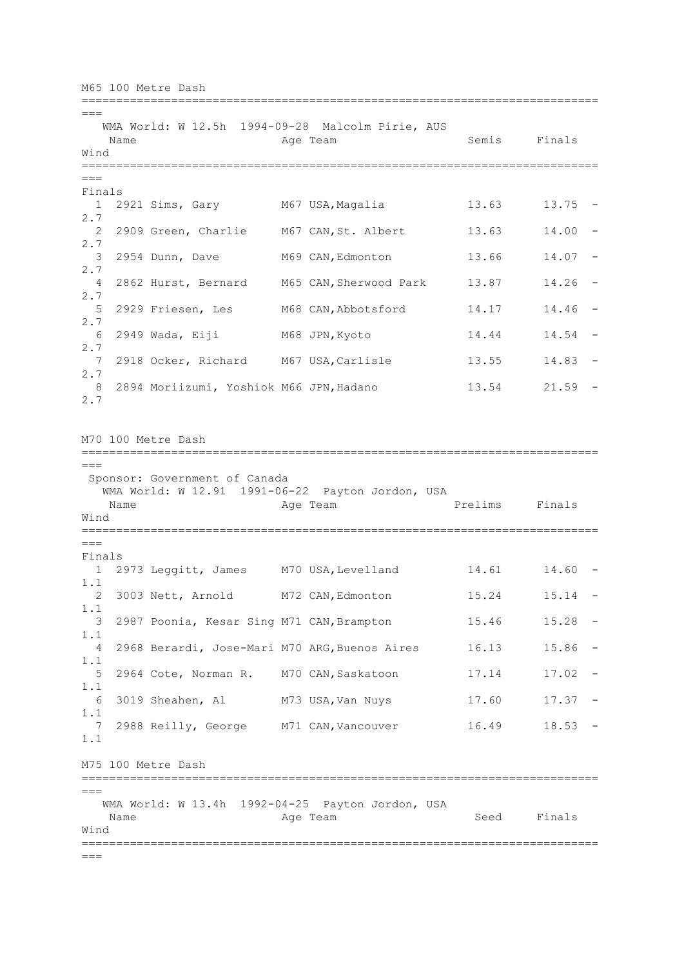M65 100 Metre Dash ===========================================================================  $=$  WMA World: W 12.5h 1994-09-28 Malcolm Pirie, AUS Name **Age Team** Age Team Semis Finals Wind ===========================================================================  $---$ Finals 1 2921 Sims, Gary M67 USA, Magalia 13.63 13.75 -2.7 2 2909 Green, Charlie M67 CAN, St. Albert 13.63 14.00 -2.7 3 2954 Dunn, Dave M69 CAN, Edmonton 13.66 14.07 -2.7<br>4 2862 Hurst, Bernard M65 CAN, Sherwood Park 13.87 14.26 -2.7 5 2929 Friesen, Les M68 CAN, Abbotsford 14.17 14.46 -2.7 6 2949 Wada, Eiji M68 JPN,Kyoto 14.44 14.54 - 2.7 7 2918 Ocker, Richard M67 USA,Carlisle 13.55 14.83 - 2.7 8 2894 Moriizumi, Yoshiok M66 JPN, Hadano 13.54 21.59 -2.7 M70 100 Metre Dash =========================================================================== === Sponsor: Government of Canada WMA World: W 12.91 1991-06-22 Payton Jordon, USA Name **Age Team** Prelims Finals Wind ===========================================================================  $===$ Finals 1 2973 Leggitt, James M70 USA,Levelland 14.61 14.60 - 1.1 2 3003 Nett, Arnold M72 CAN,Edmonton 15.24 15.14 - 1.1 3 2987 Poonia, Kesar Sing M71 CAN,Brampton 15.46 15.28 - 1.1 4 2968 Berardi, Jose-Mari M70 ARG,Buenos Aires 16.13 15.86 - 1.1 5 2964 Cote, Norman R. M70 CAN,Saskatoon 17.14 17.02 - 1.1 6 3019 Sheahen, Al M73 USA,Van Nuys 17.60 17.37 - 1.1 7 2988 Reilly, George M71 CAN, Vancouver 16.49 18.53 -1.1 M75 100 Metre Dash =========================================================================== === WMA World: W 13.4h 1992-04-25 Payton Jordon, USA Name Age Team Seed Finals Wind ===========================================================================  $=$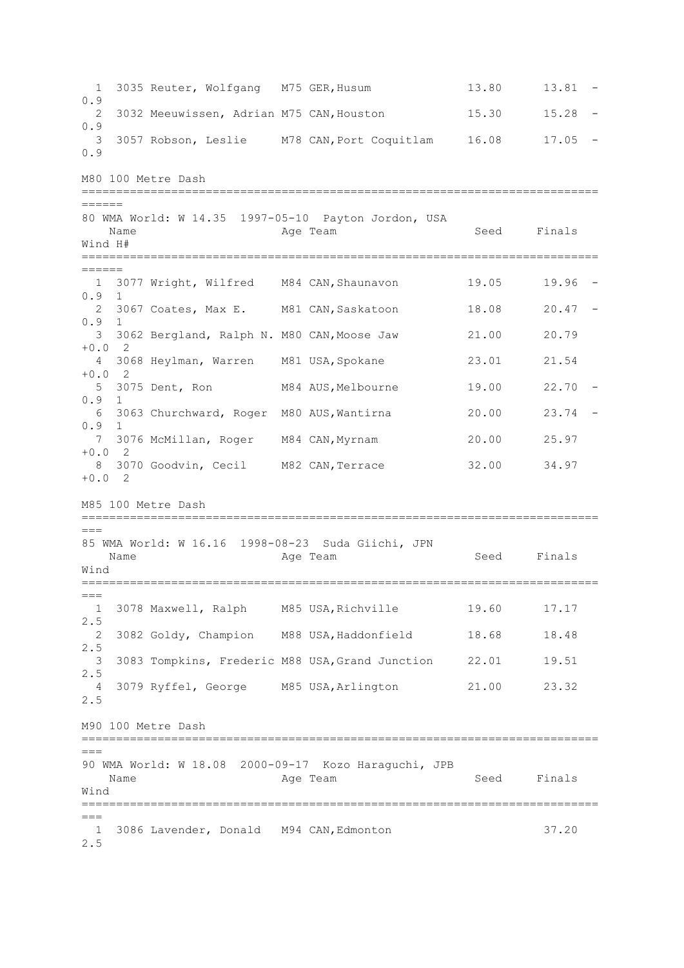1 3035 Reuter, Wolfgang M75 GER, Husum 13.80 13.81 -0.9 2 3032 Meeuwissen, Adrian M75 CAN,Houston 15.30 15.28 - 0.9 3 3057 Robson, Leslie M78 CAN,Port Coquitlam 16.08 17.05 - 0.9 M80 100 Metre Dash =========================================================================== ====== 80 WMA World: W 14.35 1997-05-10 Payton Jordon, USA Name Age Team Age Team Seed Finals Wind H# ===========================================================================  $------$  1 3077 Wright, Wilfred M84 CAN,Shaunavon 19.05 19.96 - 0.9 1 2 3067 Coates, Max E. M81 CAN,Saskatoon 18.08 20.47 -  $0.9$  3 3062 Bergland, Ralph N. M80 CAN,Moose Jaw 21.00 20.79  $+0.0$  2 4 3068 Heylman, Warren M81 USA,Spokane 23.01 21.54  $+0.0$  2 5 3075 Dent, Ron M84 AUS,Melbourne 19.00 22.70 -  $0.9$  6 3063 Churchward, Roger M80 AUS,Wantirna 20.00 23.74 - 0.9 1 7 3076 McMillan, Roger M84 CAN,Myrnam 20.00 25.97 +0.0 2 8 3070 Goodvin, Cecil M82 CAN, Terrace 32.00 34.97  $+0.0$  2 M85 100 Metre Dash ===========================================================================  $===$ 85 WMA World: W 16.16 1998-08-23 Suda Giichi, JPN Name Age Team Seed Finals Wind ===========================================================================  $=$  1 3078 Maxwell, Ralph M85 USA,Richville 19.60 17.17 2.5 2 3082 Goldy, Champion M88 USA,Haddonfield 18.68 18.48 2.5 3 3083 Tompkins, Frederic M88 USA,Grand Junction 22.01 19.51 2.5 4 3079 Ryffel, George M85 USA,Arlington 21.00 23.32 2.5 M90 100 Metre Dash ===========================================================================  $---$ 90 WMA World: W 18.08 2000-09-17 Kozo Haraguchi, JPB Name **Age Team** Age Team Seed Finals Wind =========================================================================== === 1 3086 Lavender, Donald M94 CAN,Edmonton 37.20 2.5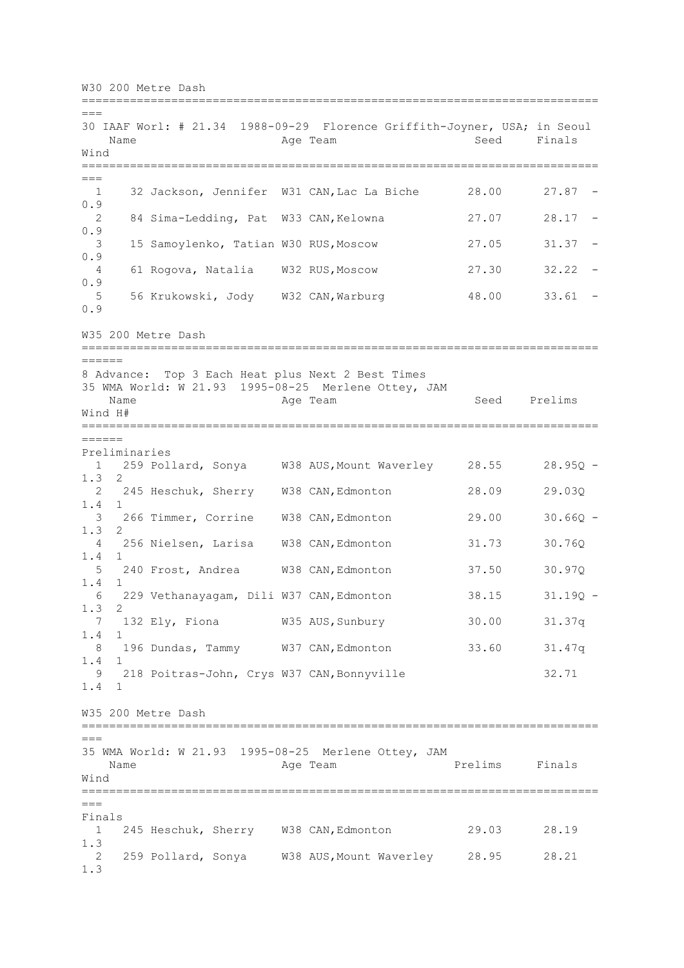W30 200 Metre Dash ===========================================================================  $=$ 30 IAAF Worl: # 21.34 1988-09-29 Florence Griffith-Joyner, USA; in Seoul Name Age Team Seed Finals Wind ===========================================================================  $==$  1 32 Jackson, Jennifer W31 CAN,Lac La Biche 28.00 27.87 - 0.9 2 84 Sima-Ledding, Pat W33 CAN,Kelowna 27.07 28.17 - 0.9 3 15 Samoylenko, Tatian W30 RUS,Moscow 27.05 31.37 - 0.9 4 61 Rogova, Natalia W32 RUS,Moscow 27.30 32.22 - 0.9 5 56 Krukowski, Jody W32 CAN,Warburg 48.00 33.61 - 0.9 W35 200 Metre Dash =========================================================================== ====== 8 Advance: Top 3 Each Heat plus Next 2 Best Times 35 WMA World: W 21.93 1995-08-25 Merlene Ottey, JAM Name Rage Team Age Team Seed Prelims Wind H# ===========================================================================  $=$ Preliminaries<br>1 259 Pollard, Sonya W38 AUS, Mount Waverley 28.55 28.95Q -1.3 2 2 245 Heschuk, Sherry W38 CAN,Edmonton 28.09 29.03Q 1.4 1 3 266 Timmer, Corrine W38 CAN,Edmonton 29.00 30.66Q - 1.3 2 4 256 Nielsen, Larisa W38 CAN,Edmonton 31.73 30.76Q 1.4 1 5 240 Frost, Andrea W38 CAN,Edmonton 37.50 30.97Q 1.4 1 6 229 Vethanayagam, Dili W37 CAN, Edmonton 38.15 31.19Q -1.3 2 7 132 Ely, Fiona W35 AUS,Sunbury 30.00 31.37q 1.4 1 8 196 Dundas, Tammy W37 CAN,Edmonton 33.60 31.47q 1.4 1 9 218 Poitras-John, Crys W37 CAN,Bonnyville 32.71 1.4 1 W35 200 Metre Dash ===========================================================================  $=$ 35 WMA World: W 21.93 1995-08-25 Merlene Ottey, JAM Name **Age Team** Prelims Finals Wind ===========================================================================  $=$ Finals 1 245 Heschuk, Sherry W38 CAN,Edmonton 29.03 28.19 1.3 2 259 Pollard, Sonya W38 AUS,Mount Waverley 28.95 28.21 1.3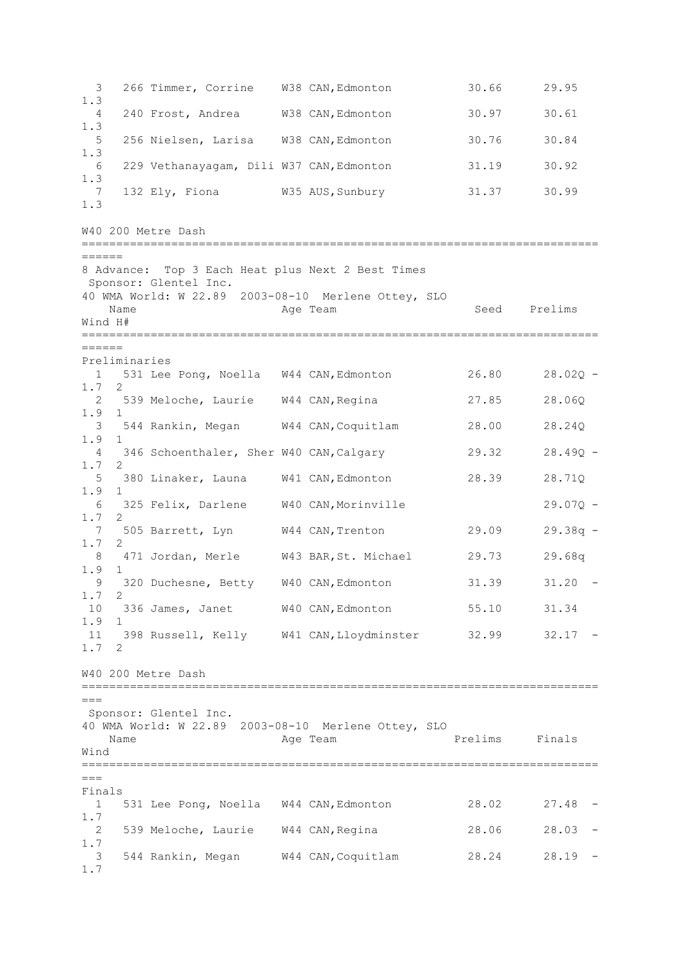3 266 Timmer, Corrine W38 CAN,Edmonton 30.66 29.95 1.3 4 240 Frost, Andrea W38 CAN,Edmonton 30.97 30.61 1.3 5 256 Nielsen, Larisa W38 CAN,Edmonton 30.76 30.84 1.3 6 229 Vethanayagam, Dili W37 CAN,Edmonton 31.19 30.92 1.3 7 132 Ely, Fiona W35 AUS,Sunbury 31.37 30.99 1.3 W40 200 Metre Dash ===========================================================================  $------$ 8 Advance: Top 3 Each Heat plus Next 2 Best Times Sponsor: Glentel Inc. 40 WMA World: W 22.89 2003-08-10 Merlene Ottey, SLO Name **Age Team** Age Team Seed Prelims Wind H# =========================================================================== ====== Preliminaries 1 531 Lee Pong, Noella W44 CAN,Edmonton 26.80 28.02Q - 1.7 2 2 539 Meloche, Laurie W44 CAN,Regina 27.85 28.06Q 1.9 1 3 544 Rankin, Megan W44 CAN,Coquitlam 28.00 28.24Q 1.9 1 4 346 Schoenthaler, Sher W40 CAN,Calgary 29.32 28.49Q - 1.7 2 5 380 Linaker, Launa W41 CAN,Edmonton 28.39 28.71Q 1.9 1 6 325 Felix, Darlene W40 CAN,Morinville 29.07Q - 1.7 2 7 505 Barrett, Lyn W44 CAN,Trenton 29.09 29.38q - 1.7 2 8 471 Jordan, Merle W43 BAR,St. Michael 29.73 29.68q  $\begin{matrix} 1.9 & 1 \\ 9 & 1 \end{matrix}$  9 320 Duchesne, Betty W40 CAN,Edmonton 31.39 31.20 - 1.7 2 10 336 James, Janet W40 CAN,Edmonton 55.10 31.34 1.9 1 11 398 Russell, Kelly W41 CAN,Lloydminster 32.99 32.17 - 1.7 2 W40 200 Metre Dash ===========================================================================  $=$ Sponsor: Glentel Inc. 40 WMA World: W 22.89 2003-08-10 Merlene Ottey, SLO Name **Age Team** Prelims Finals Wind ===========================================================================  $=$ Finals 1 531 Lee Pong, Noella W44 CAN,Edmonton 28.02 27.48 - 1.7 2 539 Meloche, Laurie W44 CAN,Regina 28.06 28.03 - 1.7 3 544 Rankin, Megan W44 CAN,Coquitlam 28.24 28.19 - 1.7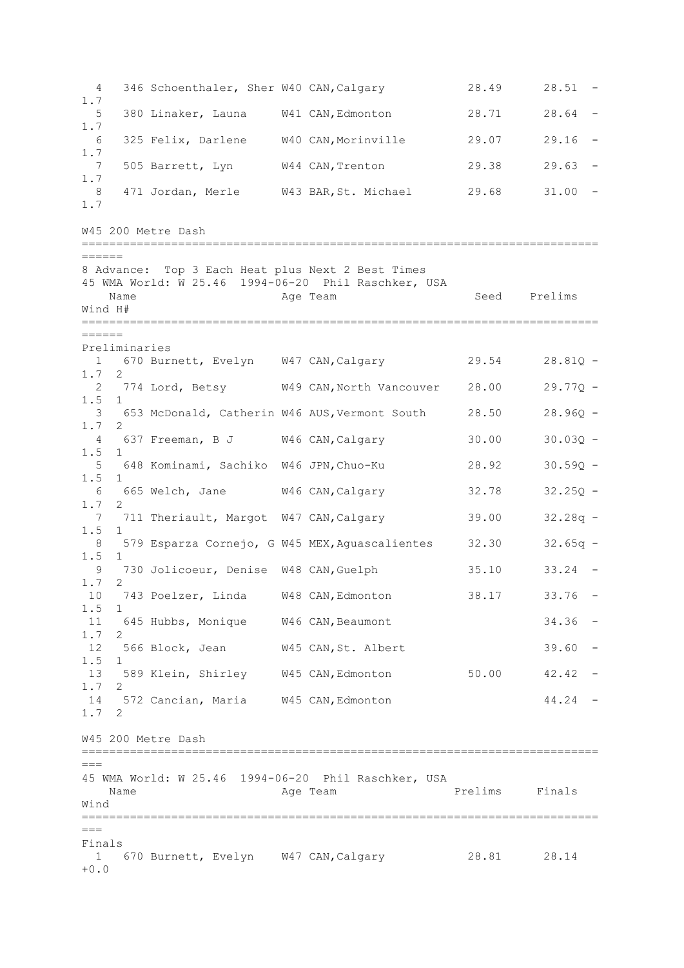4 346 Schoenthaler, Sher W40 CAN,Calgary 28.49 28.51 - 1.7 5 380 Linaker, Launa W41 CAN,Edmonton 28.71 28.64 - 1.7 6 325 Felix, Darlene W40 CAN,Morinville 29.07 29.16 - 1.7 7 505 Barrett, Lyn W44 CAN,Trenton 29.38 29.63 - 1.7 8 471 Jordan, Merle W43 BAR,St. Michael 29.68 31.00 - 1.7 W45 200 Metre Dash ===========================================================================  $------$ 8 Advance: Top 3 Each Heat plus Next 2 Best Times 45 WMA World: W 25.46 1994-06-20 Phil Raschker, USA Name **Age Team** Age Team Seed Prelims Wind H# =========================================================================== ====== Preliminaries 1 670 Burnett, Evelyn W47 CAN,Calgary 29.54 28.81Q - 1.7 2 2 774 Lord, Betsy W49 CAN,North Vancouver 28.00 29.77Q - 1.5 1 3 653 McDonald, Catherin W46 AUS,Vermont South 28.50 28.96Q - 1.7 2 4 637 Freeman, B J W46 CAN,Calgary 30.00 30.03Q - 1.5 1 5 648 Kominami, Sachiko W46 JPN,Chuo-Ku 28.92 30.59Q - 1.5 1 6 665 Welch, Jane W46 CAN,Calgary 32.78 32.25Q - 1.7 2 7 711 Theriault, Margot W47 CAN, Calgary 39.00 32.28q -1.5 1 8 579 Esparza Cornejo, G W45 MEX, Aguascalientes 32.30 32.65q -1.5 1 9 730 Jolicoeur, Denise W48 CAN,Guelph 35.10 33.24 - 1.7 2 10 743 Poelzer, Linda W48 CAN,Edmonton 38.17 33.76 - 1.5 1 11 645 Hubbs, Monique W46 CAN, Beaumont 34.36 -1.7 2 12 566 Block, Jean W45 CAN,St. Albert 39.60 - 1.5 1 13 589 Klein, Shirley W45 CAN,Edmonton 50.00 42.42 - 1.7 2 14 572 Cancian, Maria W45 CAN,Edmonton 44.24 - 1.7 2 W45 200 Metre Dash ===========================================================================  $=$ 45 WMA World: W 25.46 1994-06-20 Phil Raschker, USA Name **Age Team** Prelims Finals Wind ===========================================================================  $=$ Finals 1 670 Burnett, Evelyn W47 CAN,Calgary 28.81 28.14  $+0.0$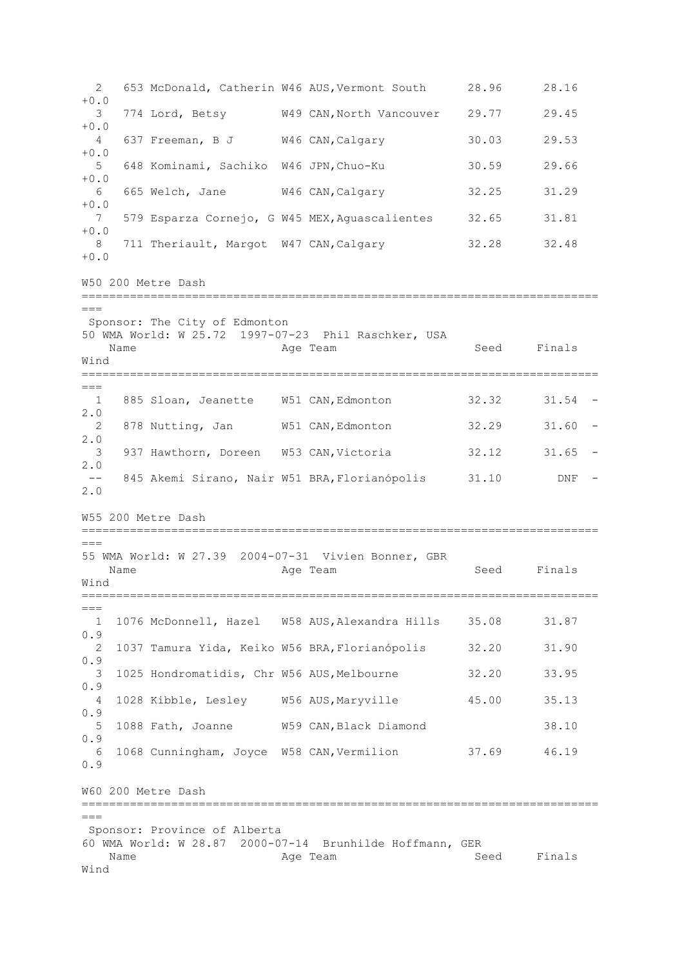2 653 McDonald, Catherin W46 AUS,Vermont South 28.96 28.16  $+0.0$  3 774 Lord, Betsy W49 CAN,North Vancouver 29.77 29.45 +0.0 4 637 Freeman, B J W46 CAN,Calgary 30.03 29.53  $+0.0$  5 648 Kominami, Sachiko W46 JPN,Chuo-Ku 30.59 29.66 +0.0 6 665 Welch, Jane W46 CAN,Calgary 32.25 31.29 +0.0 7 579 Esparza Cornejo, G W45 MEX,Aguascalientes 32.65 31.81 +0.0 8 711 Theriault, Margot W47 CAN, Calgary 32.28 32.48  $+0.0$ W50 200 Metre Dash =========================================================================== === Sponsor: The City of Edmonton 50 WMA World: W 25.72 1997-07-23 Phil Raschker, USA Name **Age Team** Age Team Seed Finals Wind ===========================================================================  $---$  1 885 Sloan, Jeanette W51 CAN,Edmonton 32.32 31.54 - 2.0 2 878 Nutting, Jan W51 CAN,Edmonton 32.29 31.60 - 2.0 3 937 Hawthorn, Doreen W53 CAN,Victoria 32.12 31.65 - 2.0 -- 845 Akemi Sirano, Nair W51 BRA,Florianópolis 31.10 DNF - 2.0 W55 200 Metre Dash ===========================================================================  $=$ 55 WMA World: W 27.39 2004-07-31 Vivien Bonner, GBR Name **Age Team** Age Team Seed Finals Wind ===========================================================================  $=$  1 1076 McDonnell, Hazel W58 AUS,Alexandra Hills 35.08 31.87 0.9 2 1037 Tamura Yida, Keiko W56 BRA,Florianópolis 32.20 31.90 0.9 3 1025 Hondromatidis, Chr W56 AUS, Melbourne 32.20 33.95 0.9 4 1028 Kibble, Lesley W56 AUS,Maryville 45.00 35.13 0.9 5 1088 Fath, Joanne W59 CAN,Black Diamond 38.10 0.9 6 1068 Cunningham, Joyce W58 CAN,Vermilion 37.69 46.19 0.9 W60 200 Metre Dash =========================================================================== === Sponsor: Province of Alberta 60 WMA World: W 28.87 2000-07-14 Brunhilde Hoffmann, GER Name **Age Team** Age Team Seed Finals Wind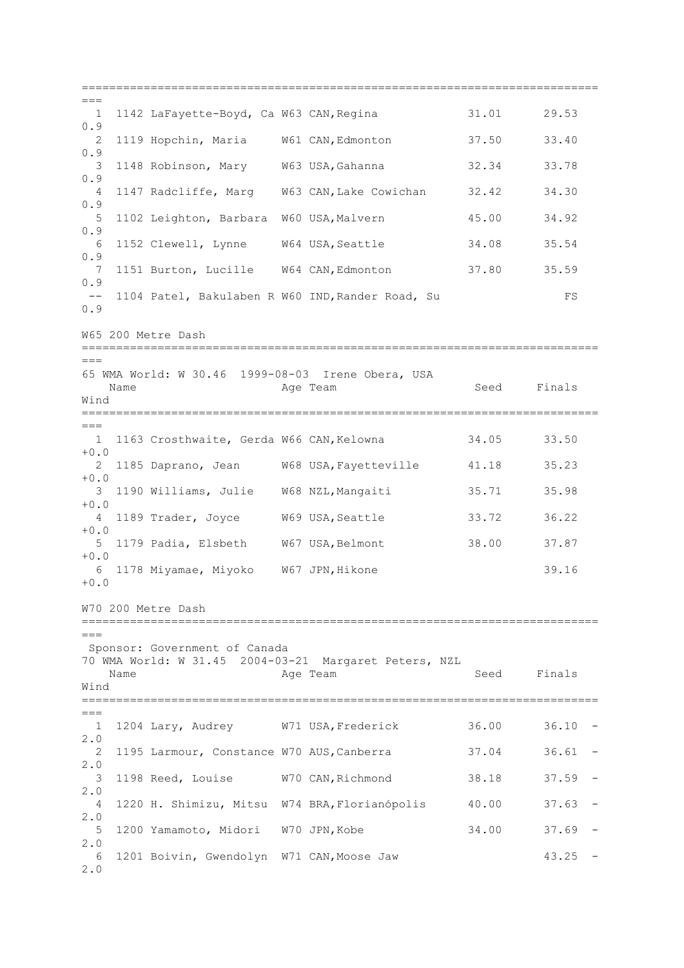===========================================================================  $=$  1 1142 LaFayette-Boyd, Ca W63 CAN,Regina 31.01 29.53 0.9 2 1119 Hopchin, Maria W61 CAN,Edmonton 37.50 33.40  $0.9$  3 1148 Robinson, Mary W63 USA,Gahanna 32.34 33.78 0.9 4 1147 Radcliffe, Marg W63 CAN,Lake Cowichan 32.42 34.30 0.9 5 1102 Leighton, Barbara W60 USA,Malvern 45.00 34.92 0.9 6 1152 Clewell, Lynne W64 USA,Seattle 34.08 35.54 0.9 7 1151 Burton, Lucille W64 CAN,Edmonton 37.80 35.59 0.9 -- 1104 Patel, Bakulaben R W60 IND,Rander Road, Su FS 0.9 W65 200 Metre Dash =========================================================================== === 65 WMA World: W 30.46 1999-08-03 Irene Obera, USA Name **Age Team** Age Team Seed Finals Wind =========================================================================== === 1 1163 Crosthwaite, Gerda W66 CAN,Kelowna 34.05 33.50  $+0.0$  2 1185 Daprano, Jean W68 USA,Fayetteville 41.18 35.23 +0.0 3 1190 Williams, Julie W68 NZL,Mangaiti 35.71 35.98  $+0.0$  4 1189 Trader, Joyce W69 USA,Seattle 33.72 36.22 +0.0 5 1179 Padia, Elsbeth W67 USA,Belmont 38.00 37.87  $+0.0$  6 1178 Miyamae, Miyoko W67 JPN,Hikone 39.16 +0.0 W70 200 Metre Dash =========================================================================== === Sponsor: Government of Canada 70 WMA World: W 31.45 2004-03-21 Margaret Peters, NZL Name **Age Team** Age Team Seed Finals Wind ===========================================================================  $=$  1 1204 Lary, Audrey W71 USA,Frederick 36.00 36.10 - 2.0 2 1195 Larmour, Constance W70 AUS,Canberra 37.04 36.61 - 2.0 3 1198 Reed, Louise W70 CAN,Richmond 38.18 37.59 - 2.0 4 1220 H. Shimizu, Mitsu W74 BRA,Florianópolis 40.00 37.63 - 2.0 5 1200 Yamamoto, Midori W70 JPN,Kobe 34.00 37.69 - 2.0 6 1201 Boivin, Gwendolyn W71 CAN,Moose Jaw 43.25 - 2.0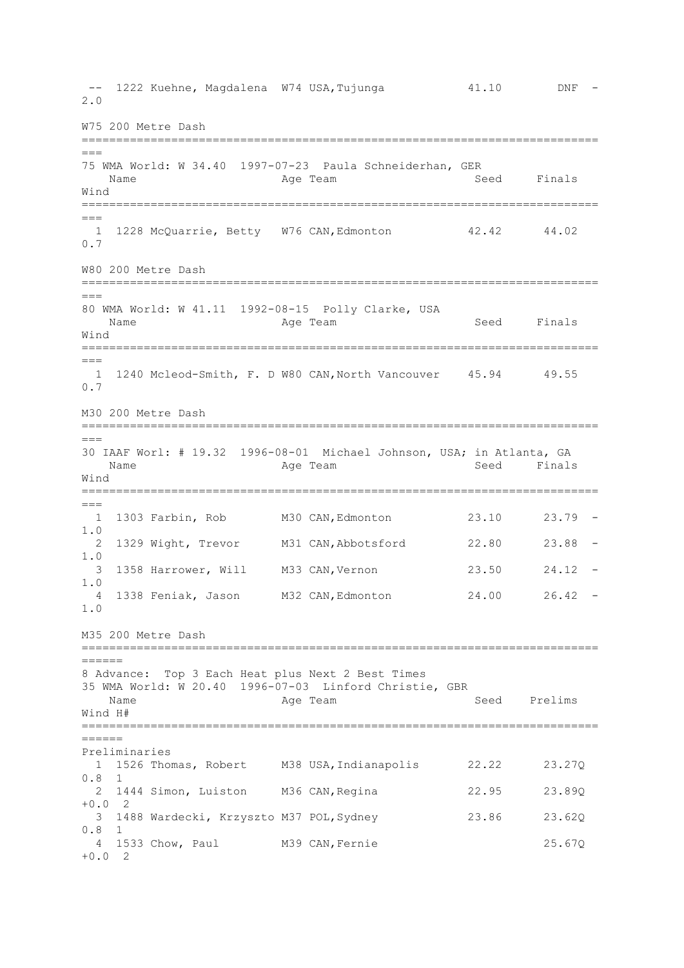-- 1222 Kuehne, Magdalena W74 USA, Tujunga  $41.10$  DNF -2.0 W75 200 Metre Dash =========================================================================== === 75 WMA World: W 34.40 1997-07-23 Paula Schneiderhan, GER Name **Age Team** Age Team Seed Finals Wind ===========================================================================  $=$  1 1228 McQuarrie, Betty W76 CAN,Edmonton 42.42 44.02 0.7 W80 200 Metre Dash ===========================================================================  $---$ 80 WMA World: W 41.11 1992-08-15 Polly Clarke, USA Name Age Team Seed Finals Wind ===========================================================================  $=$  1 1240 Mcleod-Smith, F. D W80 CAN,North Vancouver 45.94 49.55 0.7 M30 200 Metre Dash =========================================================================== === 30 IAAF Worl: # 19.32 1996-08-01 Michael Johnson, USA; in Atlanta, GA Name **Age Team** Age Team Seed Finals Wind ===========================================================================  $---$  1 1303 Farbin, Rob M30 CAN,Edmonton 23.10 23.79 - 1.0 2 1329 Wight, Trevor M31 CAN,Abbotsford 22.80 23.88 - 1.0 3 1358 Harrower, Will M33 CAN,Vernon 23.50 24.12 - 1.0 4 1338 Feniak, Jason M32 CAN,Edmonton 24.00 26.42 - 1.0 M35 200 Metre Dash ===========================================================================  $=$ 8 Advance: Top 3 Each Heat plus Next 2 Best Times 35 WMA World: W 20.40 1996-07-03 Linford Christie, GBR Name Age Team Seed Prelims Wind H# ===========================================================================  $=$ Preliminaries 1 1526 Thomas, Robert M38 USA,Indianapolis 22.22 23.27Q 0.8 1 2 1444 Simon, Luiston M36 CAN,Regina 22.95 23.89Q  $+0.0$  2 3 1488 Wardecki, Krzyszto M37 POL,Sydney 23.86 23.62Q 0.8 1 4 1533 Chow, Paul M39 CAN,Fernie 25.67Q +0.0 2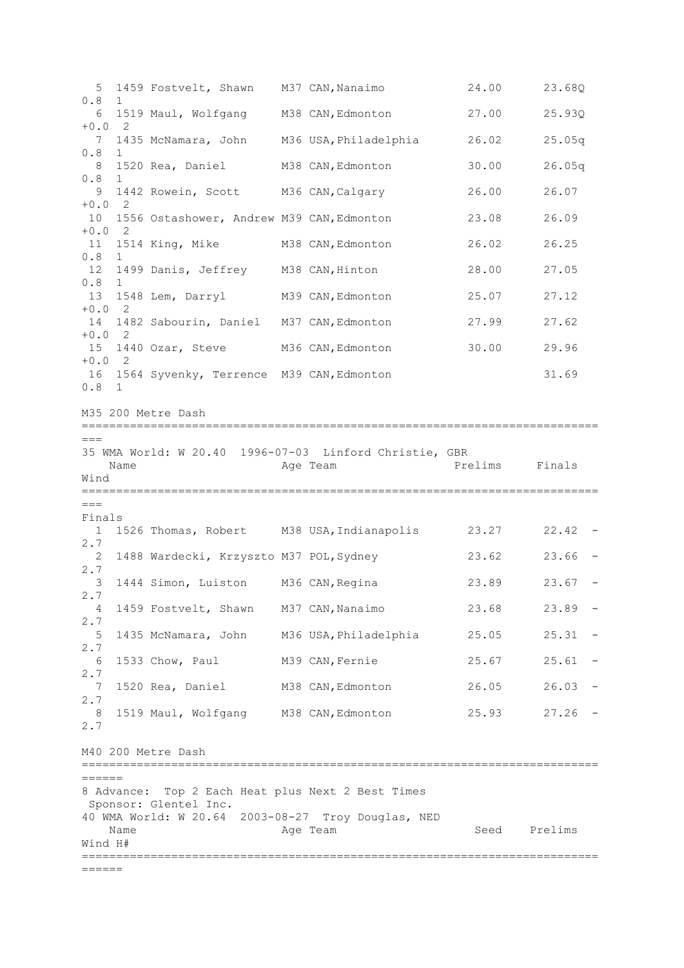5 1459 Fostvelt, Shawn M37 CAN,Nanaimo 24.00 23.68Q 0.8 1 6 1519 Maul, Wolfgang M38 CAN,Edmonton 27.00 25.93Q +0.0 2 7 1435 McNamara, John M36 USA,Philadelphia 26.02 25.05q 0.8 1 8 1520 Rea, Daniel M38 CAN,Edmonton 30.00 26.05q 0.8 1 9 1442 Rowein, Scott M36 CAN,Calgary 26.00 26.07  $+0.0$  2 10 1556 Ostashower, Andrew M39 CAN,Edmonton 23.08 26.09  $+0.0$  2 11 1514 King, Mike M38 CAN, Edmonton 26.02 26.25  $0.8$ 12 1499 Danis, Jeffrey M38 CAN, Hinton 28.00 27.05  $0.8$ 13 1548 Lem, Darryl M39 CAN,Edmonton 25.07 27.12 +0.0 2 14 1482 Sabourin, Daniel M37 CAN,Edmonton 27.99 27.62 +0.0 2 15 1440 Ozar, Steve M36 CAN,Edmonton 30.00 29.96  $+0$  0 2 16 1564 Syvenky, Terrence M39 CAN,Edmonton 31.69 0.8 1 M35 200 Metre Dash =========================================================================== === 35 WMA World: W 20.40 1996-07-03 Linford Christie, GBR Name **Age Team** Prelims Finals Wind ===========================================================================  $---$ Finals 1 1526 Thomas, Robert M38 USA,Indianapolis 23.27 22.42 - 2.7 2 1488 Wardecki, Krzyszto M37 POL,Sydney 23.62 23.66 - 2.7 3 1444 Simon, Luiston M36 CAN,Regina 23.89 23.67 - 2.7 4 1459 Fostvelt, Shawn M37 CAN,Nanaimo 23.68 23.89 - 2.7 5 1435 McNamara, John M36 USA,Philadelphia 25.05 25.31 - 2.7 6 1533 Chow, Paul M39 CAN,Fernie 25.67 25.61 - 2.7 7 1520 Rea, Daniel M38 CAN,Edmonton 26.05 26.03 - 2.7 8 1519 Maul, Wolfgang M38 CAN, Edmonton 25.93 27.26 -2.7 M40 200 Metre Dash ===========================================================================  $=$ 8 Advance: Top 2 Each Heat plus Next 2 Best Times Sponsor: Glentel Inc. 40 WMA World: W 20.64 2003-08-27 Troy Douglas, NED Name **Age Team** Age Team Seed Prelims Wind H# =========================================================================== ======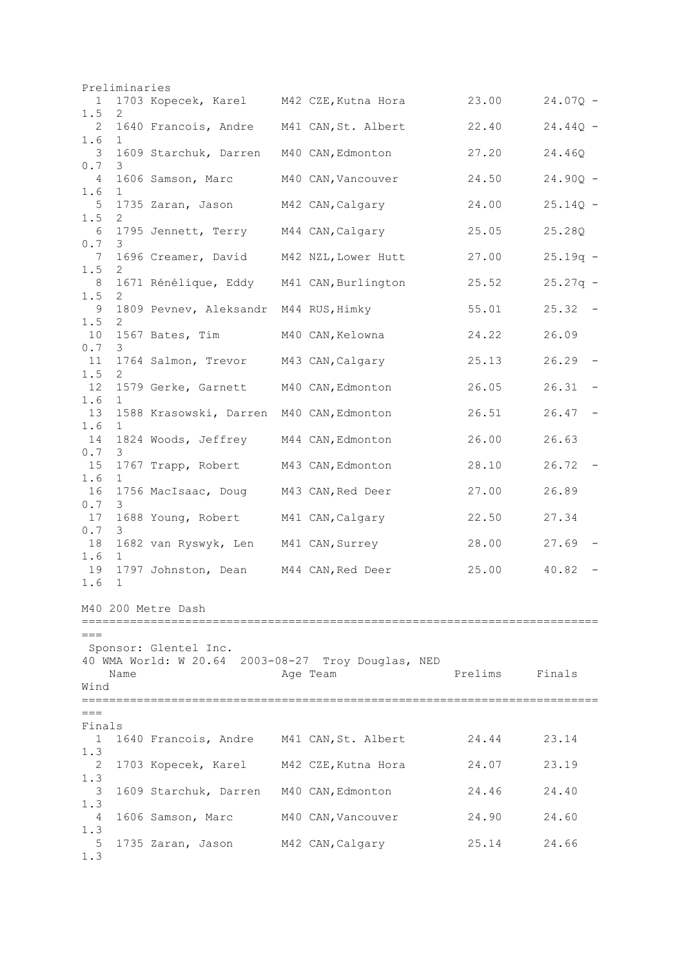|                                                             | Preliminaries |                                          |                                                                |         |                         |
|-------------------------------------------------------------|---------------|------------------------------------------|----------------------------------------------------------------|---------|-------------------------|
| 1<br>1.5                                                    | 2             | 1703 Kopecek, Karel M42 CZE, Kutna Hora  |                                                                | 23.00   | $24.07Q -$              |
| 2<br>1.6                                                    | 1             | 1640 Francois, Andre M41 CAN, St. Albert |                                                                | 22.40   | $24.44Q -$              |
| 3                                                           |               | 1609 Starchuk, Darren                    | M40 CAN, Edmonton                                              | 27.20   | 24.46Q                  |
| $0.7$<br>4<br>1.6                                           | 3<br>1        | 1606 Samson, Marc                        | M40 CAN, Vancouver                                             | 24.50   | $24.90Q -$              |
| 5                                                           |               | 1735 Zaran, Jason                        | M42 CAN, Calgary                                               | 24.00   | $25.14Q -$              |
| 1.5<br>6                                                    | 2             | 1795 Jennett, Terry M44 CAN, Calgary     |                                                                | 25.05   | 25.28Q                  |
| 0.7<br>7                                                    | 3             |                                          | 1696 Creamer, David M42 NZL, Lower Hutt                        | 27.00   | $25.19q -$              |
| 1.5<br>8<br>1.5                                             | 2<br>2        | 1671 Rénélique, Eddy M41 CAN, Burlington |                                                                | 25.52   | $25.27q -$              |
| 9                                                           |               | 1809 Pevnev, Aleksandr M44 RUS, Himky    |                                                                | 55.01   | 25.32<br>$\overline{a}$ |
| 1.5<br>10                                                   | 2             | 1567 Bates, Tim                          | M40 CAN,Kelowna                                                | 24.22   | 26.09                   |
| 0.7<br>11                                                   | 3             | 1764 Salmon, Trevor M43 CAN, Calgary     |                                                                | 25.13   | 26.29                   |
| 1.5<br>12                                                   | 2             | 1579 Gerke, Garnett M40 CAN, Edmonton    |                                                                | 26.05   | 26.31                   |
| 1.6<br>13                                                   | 1             | 1588 Krasowski, Darren M40 CAN, Edmonton |                                                                | 26.51   | 26.47                   |
| 1.6<br>14                                                   | 1             | 1824 Woods, Jeffrey M44 CAN, Edmonton    |                                                                | 26.00   | 26.63                   |
| $0.7$<br>15                                                 | 3             | 1767 Trapp, Robert M43 CAN, Edmonton     |                                                                | 28.10   | 26.72                   |
| 1.6<br>16                                                   | 1             | 1756 MacIsaac, Doug M43 CAN, Red Deer    |                                                                | 27.00   | 26.89                   |
| 0.7<br>17                                                   | 3             | 1688 Young, Robert M41 CAN, Calgary      |                                                                | 22.50   | 27.34                   |
| $\ensuremath{\mathsf{0}}$ . $\ensuremath{\mathsf{7}}$<br>18 | 3             | 1682 van Ryswyk, Len M41 CAN, Surrey     |                                                                | 28.00   | 27.69                   |
| 1.6<br>19                                                   | $\mathbf 1$   | 1797 Johnston, Dean M44 CAN, Red Deer    |                                                                | 25.00   | 40.82                   |
| 1.6                                                         | $\mathbf 1$   |                                          |                                                                |         |                         |
|                                                             |               | M40 200 Metre Dash                       |                                                                |         |                         |
| $===$<br>Wind                                               | Name          | Sponsor: Glentel Inc.                    | 40 WMA World: W 20.64 2003-08-27 Troy Douglas, NED<br>Age Team | Prelims | Finals                  |
| $===$                                                       |               |                                          |                                                                |         |                         |
| Finals<br>1                                                 |               | 1640 Francois, Andre M41 CAN, St. Albert |                                                                | 24.44   | 23.14                   |
| 1.3<br>2                                                    |               | 1703 Kopecek, Karel M42 CZE, Kutna Hora  |                                                                | 24.07   | 23.19                   |
| 1.3<br>3                                                    |               | 1609 Starchuk, Darren M40 CAN, Edmonton  |                                                                | 24.46   | 24.40                   |
| 1.3<br>4                                                    |               | 1606 Samson, Marc                        | M40 CAN, Vancouver                                             | 24.90   | 24.60                   |
| 1.3<br>5                                                    |               | 1735 Zaran, Jason M42 CAN, Calgary       |                                                                | 25.14   | 24.66                   |
| 1.3                                                         |               |                                          |                                                                |         |                         |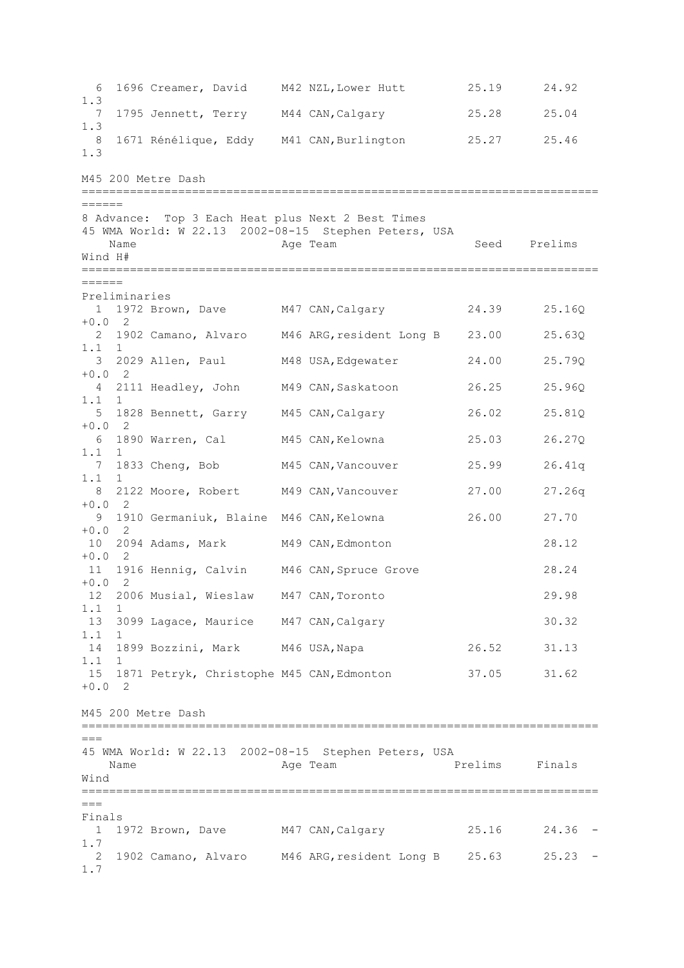6 1696 Creamer, David M42 NZL,Lower Hutt 25.19 24.92 1.3 7 1795 Jennett, Terry M44 CAN,Calgary 25.28 25.04 1.3 8 1671 Rénélique, Eddy M41 CAN,Burlington 25.27 25.46 1.3 M45 200 Metre Dash =========================================================================== ====== 8 Advance: Top 3 Each Heat plus Next 2 Best Times 45 WMA World: W 22.13 2002-08-15 Stephen Peters, USA Name **Age Team** Age Team Seed Prelims Wind H# =========================================================================== ====== Preliminaries 1 1972 Brown, Dave M47 CAN,Calgary 24.39 25.16Q +0.0 2<br>2 1902 Camano, Alvaro M46 ARG, resident Long B 23.00 25.63Q 1.1 1 3 2029 Allen, Paul M48 USA,Edgewater 24.00 25.79Q  $+0.0$  2 4 2111 Headley, John M49 CAN,Saskatoon 26.25 25.96Q 1.1 1 5 1828 Bennett, Garry M45 CAN,Calgary 26.02 25.81Q  $+0.0$  2 6 1890 Warren, Cal M45 CAN,Kelowna 25.03 26.27Q 1.1 1 7 1833 Cheng, Bob M45 CAN, Vancouver 25.99 26.41q<br>1 1 1.1 1 8 2122 Moore, Robert M49 CAN, Vancouver 27.00 27.26q  $+0.0$  2 9 1910 Germaniuk, Blaine M46 CAN,Kelowna 26.00 27.70 +0.0 2 10 2094 Adams, Mark M49 CAN,Edmonton 28.12 +0.0 2 11 1916 Hennig, Calvin M46 CAN,Spruce Grove 28.24 +0.0 2 12 2006 Musial, Wieslaw M47 CAN,Toronto 29.98 1.1 1 13 3099 Lagace, Maurice M47 CAN,Calgary 30.32 1.1 1 14 1899 Bozzini, Mark M46 USA,Napa 26.52 31.13 1.1 1 15 1871 Petryk, Christophe M45 CAN,Edmonton 37.05 31.62  $+0.0$  2 M45 200 Metre Dash ===========================================================================  $=$ 45 WMA World: W 22.13 2002-08-15 Stephen Peters, USA Name **Age Team** Prelims Finals Wind ===========================================================================  $=$ Finals 1 1972 Brown, Dave M47 CAN,Calgary 25.16 24.36 - 1.7 2 1902 Camano, Alvaro M46 ARG,resident Long B 25.63 25.23 - 1.7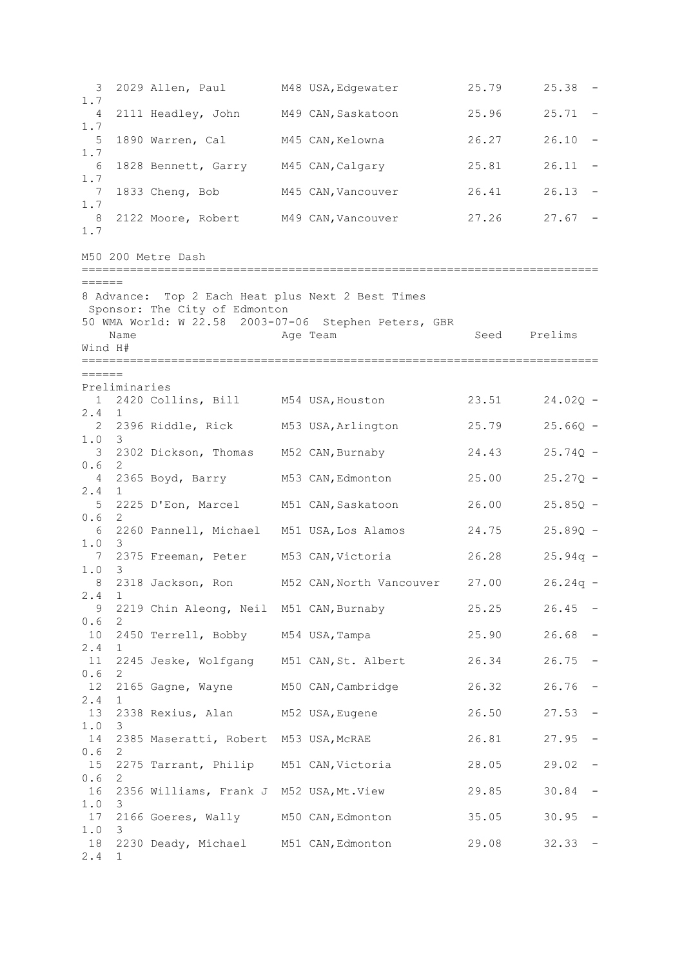3 2029 Allen, Paul M48 USA,Edgewater 25.79 25.38 - 1.7 4 2111 Headley, John M49 CAN,Saskatoon 25.96 25.71 - 1.7 5 1890 Warren, Cal M45 CAN,Kelowna 26.27 26.10 - 1.7 6 1828 Bennett, Garry M45 CAN,Calgary 25.81 26.11 - 1.7 7 1833 Cheng, Bob M45 CAN,Vancouver 26.41 26.13 - 1.7 8 2122 Moore, Robert M49 CAN, Vancouver 27.26 27.67 -1.7 M50 200 Metre Dash ===========================================================================  $------$ 8 Advance: Top 2 Each Heat plus Next 2 Best Times Sponsor: The City of Edmonton 50 WMA World: W 22.58 2003-07-06 Stephen Peters, GBR Name **Age Team** Age Team Seed Prelims Wind H# ===========================================================================  $------$ Preliminaries 1 2420 Collins, Bill M54 USA,Houston 23.51 24.02Q - 2.4 1 2 2396 Riddle, Rick M53 USA,Arlington 25.79 25.66Q -  $1.0$  3 2302 Dickson, Thomas M52 CAN,Burnaby 24.43 25.74Q - 0.6 2 4 2365 Boyd, Barry M53 CAN,Edmonton 25.00 25.27Q - 2.4 1 5 2225 D'Eon, Marcel M51 CAN,Saskatoon 26.00 25.85Q - 0.6 2 6 2260 Pannell, Michael M51 USA,Los Alamos 24.75 25.89Q - 1.0 3 7 2375 Freeman, Peter M53 CAN,Victoria 26.28 25.94q - 1.0 3 8 2318 Jackson, Ron M52 CAN,North Vancouver 27.00 26.24q - 2.4 1 9 2219 Chin Aleong, Neil M51 CAN,Burnaby 25.25 26.45 - 0.6 2 10 2450 Terrell, Bobby M54 USA,Tampa 25.90 26.68 - 2.4 1 11 2245 Jeske, Wolfgang M51 CAN,St. Albert 26.34 26.75 - 0.6 2 12 2165 Gagne, Wayne M50 CAN,Cambridge 26.32 26.76 - 2.4 1 13 2338 Rexius, Alan M52 USA,Eugene 26.50 27.53 - 1.0 3 14 2385 Maseratti, Robert M53 USA,McRAE 26.81 27.95 - 0.6 2 15 2275 Tarrant, Philip M51 CAN,Victoria 28.05 29.02 - 0.6 2 16 2356 Williams, Frank J M52 USA,Mt.View 29.85 30.84 - 1.0 3 17 2166 Goeres, Wally M50 CAN,Edmonton 35.05 30.95 - 1.0 3 18 2230 Deady, Michael M51 CAN,Edmonton 29.08 32.33 - 2.4 1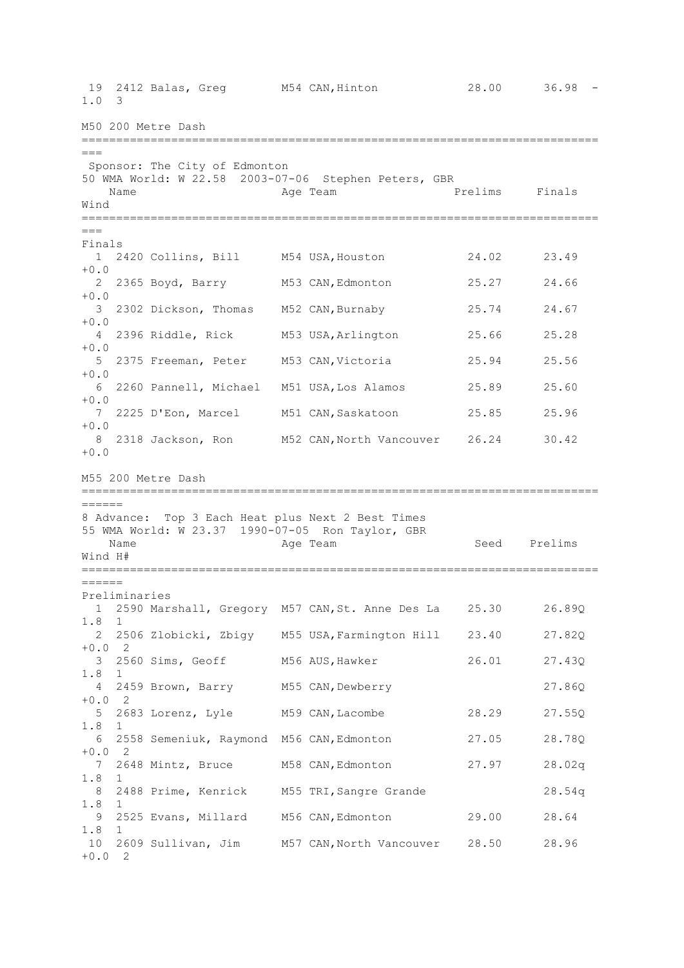19 2412 Balas, Greg M54 CAN,Hinton 28.00 36.98 - 1.0 3 M50 200 Metre Dash ===========================================================================  $---$ Sponsor: The City of Edmonton 50 WMA World: W 22.58 2003-07-06 Stephen Peters, GBR Name **Age Team** Prelims Finals Wind ===========================================================================  $---$ Finals 1 2420 Collins, Bill M54 USA,Houston 24.02 23.49  $+0.0$  2 2365 Boyd, Barry M53 CAN,Edmonton 25.27 24.66  $+0.0$  3 2302 Dickson, Thomas M52 CAN,Burnaby 25.74 24.67 +0.0 4 2396 Riddle, Rick M53 USA,Arlington 25.66 25.28 +0.0 5 2375 Freeman, Peter M53 CAN,Victoria 25.94 25.56 +0.0 6 2260 Pannell, Michael M51 USA,Los Alamos 25.89 25.60  $+0.0$  7 2225 D'Eon, Marcel M51 CAN,Saskatoon 25.85 25.96 +0.0 8 2318 Jackson, Ron M52 CAN,North Vancouver 26.24 30.42  $+0.0$ M55 200 Metre Dash ===========================================================================  $------$ 8 Advance: Top 3 Each Heat plus Next 2 Best Times 55 WMA World: W 23.37 1990-07-05 Ron Taylor, GBR Name Age Team Seed Prelims Wind H# ===========================================================================  $=$ Preliminaries 1 2590 Marshall, Gregory M57 CAN,St. Anne Des La 25.30 26.89Q 1.8 1 2 2506 Zlobicki, Zbigy M55 USA,Farmington Hill 23.40 27.82Q +0.0 2 3 2560 Sims, Geoff M56 AUS,Hawker 26.01 27.43Q 1.8 1 4 2459 Brown, Barry M55 CAN,Dewberry 27.86Q  $+0.0$  2 5 2683 Lorenz, Lyle M59 CAN,Lacombe 28.29 27.55Q 1.8 1 6 2558 Semeniuk, Raymond M56 CAN,Edmonton 27.05 28.78Q  $+0.0$  2 7 2648 Mintz, Bruce M58 CAN,Edmonton 27.97 28.02q 1.8 1 8 2488 Prime, Kenrick M55 TRI,Sangre Grande 28.54q 1.8 1 9 2525 Evans, Millard M56 CAN,Edmonton 29.00 28.64 1.8 1 10 2609 Sullivan, Jim M57 CAN,North Vancouver 28.50 28.96 +0.0 2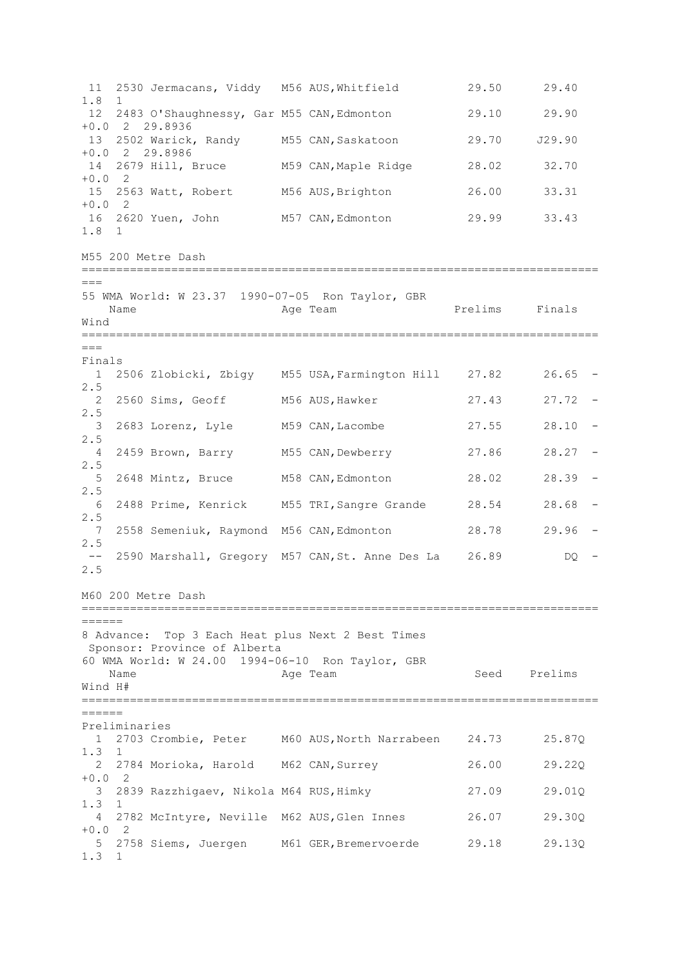11 2530 Jermacans, Viddy M56 AUS,Whitfield 29.50 29.40 1.8 1 12 2483 O'Shaughnessy, Gar M55 CAN,Edmonton 29.10 29.90 +0.0 2 29.8936 13 2502 Warick, Randy M55 CAN,Saskatoon 29.70 J29.90 +0.0 2 29.8986 14 2679 Hill, Bruce M59 CAN,Maple Ridge 28.02 32.70 +0.0 2 15 2563 Watt, Robert M56 AUS,Brighton 26.00 33.31 +0.0 2 16 2620 Yuen, John M57 CAN, Edmonton 29.99 33.43 1.8 1 M55 200 Metre Dash ===========================================================================  $---$ 55 WMA World: W 23.37 1990-07-05 Ron Taylor, GBR Name **Age Team Prelims** Finals Wind ===========================================================================  $---$ Finals 1 2506 Zlobicki, Zbigy M55 USA,Farmington Hill 27.82 26.65 - 2.5 2 2560 Sims, Geoff M56 AUS,Hawker 27.43 27.72 - 2.5 3 2683 Lorenz, Lyle M59 CAN,Lacombe 27.55 28.10 - 2.5 4 2459 Brown, Barry M55 CAN,Dewberry 27.86 28.27 - 2.5 5 2648 Mintz, Bruce M58 CAN,Edmonton 28.02 28.39 - 2.5<br>6 2488 Prime, Kenrick M55 TRI, Sangre Grande 28.54 28.68 -2.5 7 2558 Semeniuk, Raymond M56 CAN,Edmonton 28.78 29.96 - 2.5 -- 2590 Marshall, Gregory M57 CAN, St. Anne Des La 26.89 DQ -2.5 M60 200 Metre Dash ===========================================================================  $=$ 8 Advance: Top 3 Each Heat plus Next 2 Best Times Sponsor: Province of Alberta 60 WMA World: W 24.00 1994-06-10 Ron Taylor, GBR Name **Age Team** Age Team Seed Prelims Wind H# ===========================================================================  $=$ Preliminaries 1 2703 Crombie, Peter M60 AUS,North Narrabeen 24.73 25.87Q 1.3 1 2 2784 Morioka, Harold M62 CAN,Surrey 26.00 29.22Q  $+0.0$  2 3 2839 Razzhigaev, Nikola M64 RUS,Himky 27.09 29.01Q 1.3 1 4 2782 McIntyre, Neville M62 AUS,Glen Innes 26.07 29.30Q  $+0.0$  2 5 2758 Siems, Juergen M61 GER,Bremervoerde 29.18 29.13Q 1.3 1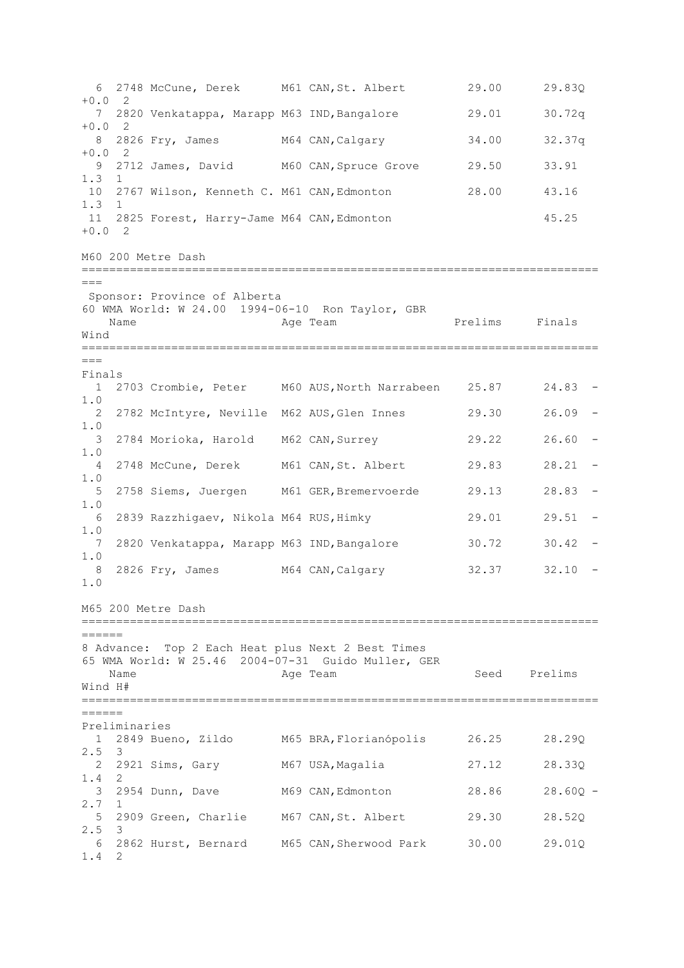6 2748 McCune, Derek M61 CAN,St. Albert 29.00 29.83Q  $+0.0$  2 7 2820 Venkatappa, Marapp M63 IND,Bangalore 29.01 30.72q +0.0 2 8 2826 Fry, James M64 CAN,Calgary 34.00 32.37q  $+0.0$  2 9 2712 James, David M60 CAN,Spruce Grove 29.50 33.91 1.3 1 10 2767 Wilson, Kenneth C. M61 CAN, Edmonton 28.00 43.16 1.3 1 11 2825 Forest, Harry-Jame M64 CAN,Edmonton 45.25 +0.0 2 M60 200 Metre Dash ===========================================================================  $\equiv$ Sponsor: Province of Alberta 60 WMA World: W 24.00 1994-06-10 Ron Taylor, GBR Name **Age Team Prelims** Finals Wind ===========================================================================  $---$ Finals<br>1 2703 Crombie, Peter M60 AUS, North Narrabeen 25.87 24.83 -1.0 2 2782 McIntyre, Neville M62 AUS,Glen Innes 29.30 26.09 - 1.0 3 2784 Morioka, Harold M62 CAN,Surrey 29.22 26.60 - 1.0 4 2748 McCune, Derek M61 CAN,St. Albert 29.83 28.21 - 1.0 5 2758 Siems, Juergen M61 GER,Bremervoerde 29.13 28.83 - 1.0 6 2839 Razzhigaev, Nikola M64 RUS,Himky 29.01 29.51 - 1.0 7 2820 Venkatappa, Marapp M63 IND, Bangalore 30.72 30.42 -1.0 8 2826 Fry, James M64 CAN, Calgary 32.37 32.10 -1.0 M65 200 Metre Dash ===========================================================================  $=$ 8 Advance: Top 2 Each Heat plus Next 2 Best Times 65 WMA World: W 25.46 2004-07-31 Guido Muller, GER Name **Age Team** Age Team Seed Prelims Wind H# ===========================================================================  $=$ Preliminaries 1 2849 Bueno, Zildo M65 BRA,Florianópolis 26.25 28.29Q 2.5 3 2 2921 Sims, Gary M67 USA,Magalia 27.12 28.33Q 1.4 2 3 2954 Dunn, Dave M69 CAN,Edmonton 28.86 28.60Q - 2.7 1 5 2909 Green, Charlie M67 CAN,St. Albert 29.30 28.52Q 2.5 3 6 2862 Hurst, Bernard M65 CAN,Sherwood Park 30.00 29.01Q 1.4 2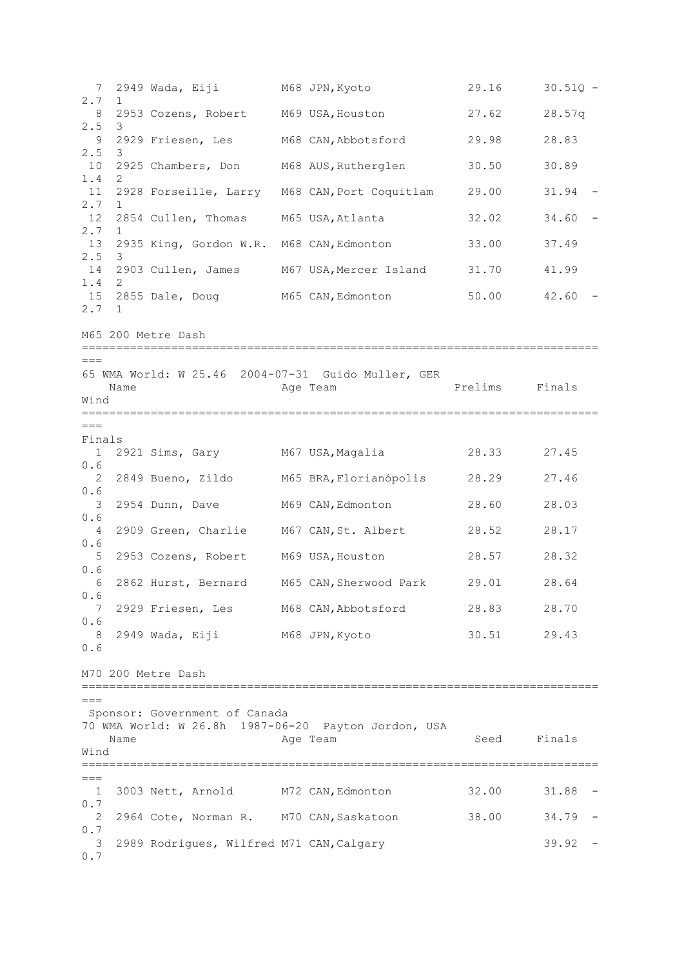7 2949 Wada, Eiji M68 JPN,Kyoto 29.16 30.51Q - 2.7 1 8 2953 Cozens, Robert M69 USA, Houston 27.62 28.57q 2.5 3 9 2929 Friesen, Les M68 CAN,Abbotsford 29.98 28.83 2.5 3 10 2925 Chambers, Don M68 AUS,Rutherglen 30.50 30.89 1.4 2 11 2928 Forseille, Larry M68 CAN, Port Coquitlam 29.00 31.94 -2.7 12 2854 Cullen, Thomas M65 USA, Atlanta 32.02 34.60 -2.7 13 2935 King, Gordon W.R. M68 CAN, Edmonton 33.00 37.49 2.5 3<br>14 2903 Cullen, James 14 2903 Cullen, James M67 USA, Mercer Island 31.70 41.99 1.4 2<br>15 2855 Dale, Doug 15 2855 Dale, Doug M65 CAN,Edmonton 50.00 42.60 - 2.7 1 M65 200 Metre Dash =========================================================================== === 65 WMA World: W 25.46 2004-07-31 Guido Muller, GER Name **Age Team** Prelims Finals Wind =========================================================================== === Finals 1 2921 Sims, Gary M67 USA,Magalia 28.33 27.45 0.6<br>2 2849 Bueno, Zildo M65 BRA, Florianópolis 28.29 27.46 0.6 3 2954 Dunn, Dave M69 CAN,Edmonton 28.60 28.03 0.6 4 2909 Green, Charlie M67 CAN,St. Albert 28.52 28.17 0.6 5 2953 Cozens, Robert M69 USA,Houston 28.57 28.32 0.6 6 2862 Hurst, Bernard M65 CAN,Sherwood Park 29.01 28.64 0.6 7 2929 Friesen, Les M68 CAN,Abbotsford 28.83 28.70 0.6 8 2949 Wada, Eiji M68 JPN,Kyoto 30.51 29.43 0.6 M70 200 Metre Dash ===========================================================================  $=$ Sponsor: Government of Canada 70 WMA World: W 26.8h 1987-06-20 Payton Jordon, USA Name **Age Team** Age Team Seed Finals Wind =========================================================================== === 1 3003 Nett, Arnold M72 CAN,Edmonton 32.00 31.88 - 0.7 2 2964 Cote, Norman R. M70 CAN,Saskatoon 38.00 34.79 - 0.7 3 2989 Rodrigues, Wilfred M71 CAN, Calgary 39.92 -0.7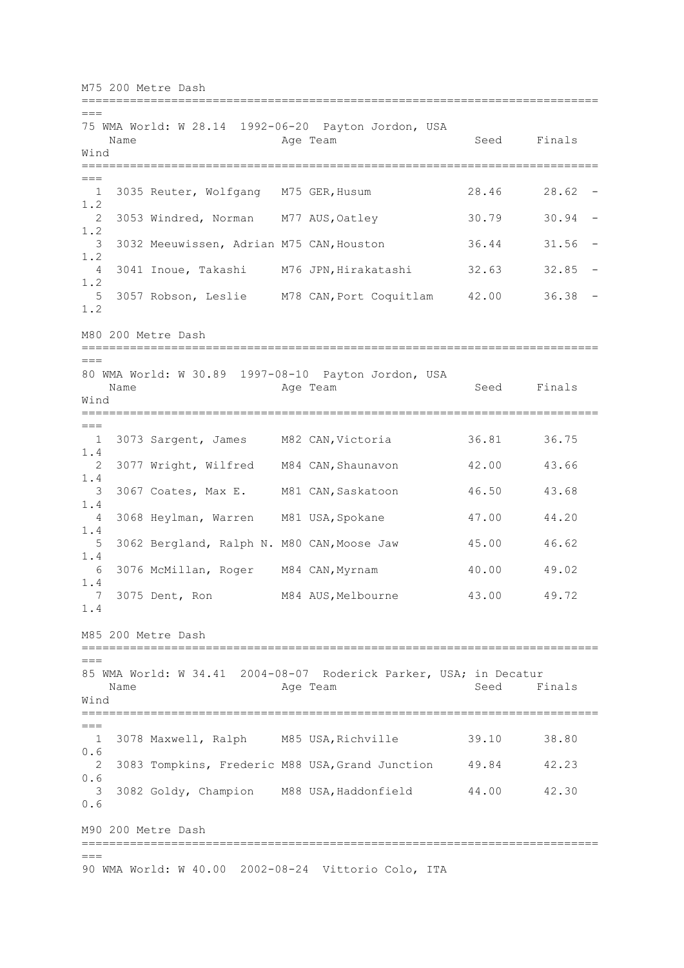M75 200 Metre Dash =========================================================================== === 75 WMA World: W 28.14 1992-06-20 Payton Jordon, USA Name Age Team Seed Finals Wind ===========================================================================  $==$  1 3035 Reuter, Wolfgang M75 GER,Husum 28.46 28.62 - 1.2 2 3053 Windred, Norman M77 AUS, Oatley 30.79 30.94 -1.2 3 3032 Meeuwissen, Adrian M75 CAN,Houston 36.44 31.56 - 1.2 4 3041 Inoue, Takashi M76 JPN,Hirakatashi 32.63 32.85 - 1.2<br>5 3057 Robson, Leslie 5 3057 Robson, Leslie M78 CAN,Port Coquitlam 42.00 36.38 - 1.2 M80 200 Metre Dash =========================================================================== === 80 WMA World: W 30.89 1997-08-10 Payton Jordon, USA Name **Age Team** Age Team Seed Finals Wind =========================================================================== === 1 3073 Sargent, James M82 CAN,Victoria 36.81 36.75 1.4 2 3077 Wright, Wilfred M84 CAN,Shaunavon 42.00 43.66 1.4 3 3067 Coates, Max E. M81 CAN,Saskatoon 46.50 43.68 1.4 4 3068 Heylman, Warren M81 USA, Spokane 47.00 44.20 1.4 5 3062 Bergland, Ralph N. M80 CAN,Moose Jaw 45.00 46.62 1.4 6 3076 McMillan, Roger M84 CAN,Myrnam 40.00 49.02 1.4 7 3075 Dent, Ron M84 AUS, Melbourne 43.00 49.72 1.4 M85 200 Metre Dash ===========================================================================  $=$ 85 WMA World: W 34.41 2004-08-07 Roderick Parker, USA; in Decatur Name **Age Team** Age Team Seed Finals Wind ===========================================================================  $---$  1 3078 Maxwell, Ralph M85 USA,Richville 39.10 38.80 0.6 2 3083 Tompkins, Frederic M88 USA,Grand Junction 49.84 42.23 0.6 3 3082 Goldy, Champion M88 USA,Haddonfield 44.00 42.30 0.6 M90 200 Metre Dash ===========================================================================  $=-$ 90 WMA World: W 40.00 2002-08-24 Vittorio Colo, ITA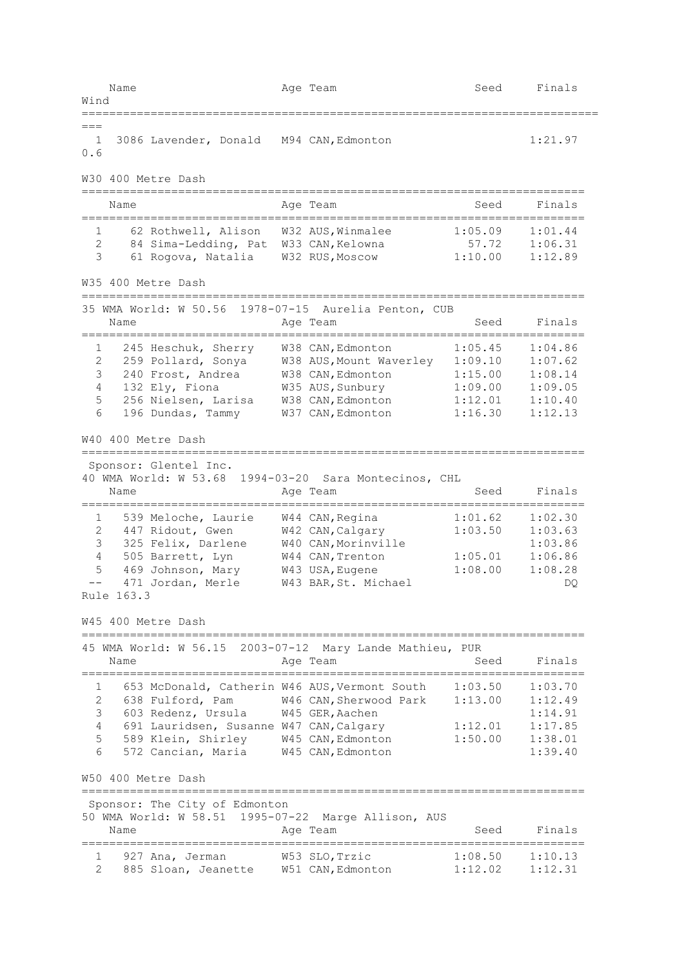Name **Age Team** Age Team Seed Finals Wind ===========================================================================  $=$  1 3086 Lavender, Donald M94 CAN,Edmonton 1:21.97 0.6 W30 400 Metre Dash ========================================================================= Name **Age Team** Age Team Seed Finals ========================================================================= 1 62 Rothwell, Alison W32 AUS,Winmalee 1:05.09 1:01.44 2 84 Sima-Ledding, Pat W33 CAN,Kelowna 57.72 1:06.31 3 61 Rogova, Natalia W32 RUS,Moscow 1:10.00 1:12.89 W35 400 Metre Dash ========================================================================= 35 WMA World: W 50.56 1978-07-15 Aurelia Penton, CUB Name **Age Team** Age Team Seed Finals ========================================================================= 1 245 Heschuk, Sherry W38 CAN,Edmonton 1:05.45 1:04.86 2 259 Pollard, Sonya W38 AUS,Mount Waverley 1:09.10 1:07.62 3 240 Frost, Andrea W38 CAN,Edmonton 1:15.00 1:08.14 4 132 Ely, Fiona W35 AUS,Sunbury 1:09.00 1:09.05 5 256 Nielsen, Larisa W38 CAN,Edmonton 1:12.01 1:10.40 6 196 Dundas, Tammy W37 CAN,Edmonton 1:16.30 1:12.13 W40 400 Metre Dash ========================================================================= Sponsor: Glentel Inc. 40 WMA World: W 53.68 1994-03-20 Sara Montecinos, CHL Name **Age Team** Age Team Seed Finals ========================================================================= 1 539 Meloche, Laurie W44 CAN,Regina 1:01.62 1:02.30 2 447 Ridout, Gwen W42 CAN,Calgary 1:03.50 1:03.63 3 325 Felix, Darlene W40 CAN,Morinville 1:03.86 4 505 Barrett, Lyn W44 CAN,Trenton 1:05.01 1:06.86 5 469 Johnson, Mary W43 USA,Eugene 1:08.00 1:08.28 -- 471 Jordan, Merle W43 BAR,St. Michael DQ Rule 163.3 W45 400 Metre Dash ========================================================================= 45 WMA World: W 56.15 2003-07-12 Mary Lande Mathieu, PUR Name and Age Team and Seed Finals ========================================================================= 1 653 McDonald, Catherin W46 AUS,Vermont South 1:03.50 1:03.70 2 638 Fulford, Pam W46 CAN,Sherwood Park 1:13.00 1:12.49 3 603 Redenz, Ursula W45 GER,Aachen 1:14.91 4 691 Lauridsen, Susanne W47 CAN,Calgary 1:12.01 1:17.85 5 589 Klein, Shirley W45 CAN,Edmonton 1:50.00 1:38.01 6 572 Cancian, Maria W45 CAN,Edmonton 1:39.40 W50 400 Metre Dash ========================================================================= Sponsor: The City of Edmonton 50 WMA World: W 58.51 1995-07-22 Marge Allison, AUS Name **Age Team** Age Team Seed Finals ========================================================================= 1 927 Ana, Jerman W53 SLO,Trzic 1:08.50 1:10.13 2 885 Sloan, Jeanette W51 CAN,Edmonton 1:12.02 1:12.31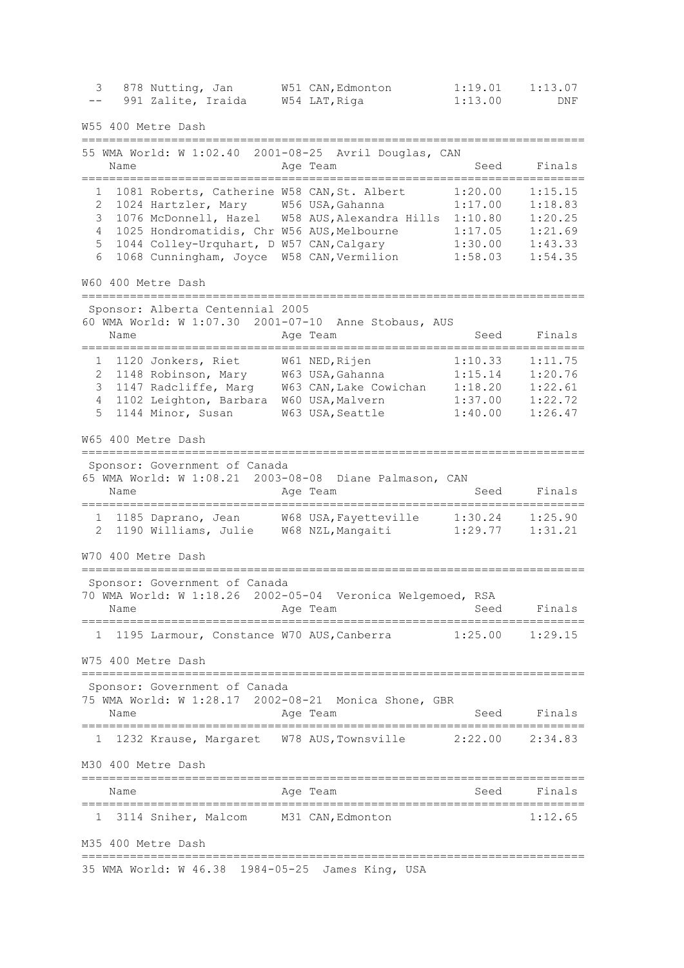3 878 Nutting, Jan W51 CAN,Edmonton 1:19.01 1:13.07 -- 991 Zalite, Iraida W54 LAT, Riga 1:13.00 DNF W55 400 Metre Dash ========================================================================= 55 WMA World: W 1:02.40 2001-08-25 Avril Douglas, CAN Name **Age Team** Age Team Seed Finals ========================================================================= 1 1081 Roberts, Catherine W58 CAN,St. Albert 1:20.00 1:15.15 2 1024 Hartzler, Mary W56 USA,Gahanna 1:17.00 1:18.83 3 1076 McDonnell, Hazel W58 AUS,Alexandra Hills 1:10.80 1:20.25 4 1025 Hondromatidis, Chr W56 AUS,Melbourne 1:17.05 1:21.69 5 1044 Colley-Urquhart, D W57 CAN,Calgary 1:30.00 1:43.33 6 1068 Cunningham, Joyce W58 CAN,Vermilion 1:58.03 1:54.35 W60 400 Metre Dash ========================================================================= Sponsor: Alberta Centennial 2005 60 WMA World: W 1:07.30 2001-07-10 Anne Stobaus, AUS Name Age Team Seed Finals ========================================================================= 1 1120 Jonkers, Riet W61 NED,Rijen 1:10.33 1:11.75 2 1148 Robinson, Mary W63 USA,Gahanna 1:15.14 1:20.76 3 1147 Radcliffe, Marg W63 CAN,Lake Cowichan 1:18.20 1:22.61 4 1102 Leighton, Barbara W60 USA,Malvern 1:37.00 1:22.72 5 1144 Minor, Susan W63 USA,Seattle 1:40.00 1:26.47 W65 400 Metre Dash ========================================================================= Sponsor: Government of Canada 65 WMA World: W 1:08.21 2003-08-08 Diane Palmason, CAN Age Team Seed Finals ========================================================================= 1 1185 Daprano, Jean W68 USA,Fayetteville 1:30.24 1:25.90 2 1190 Williams, Julie W68 NZL,Mangaiti 1:29.77 1:31.21 W70 400 Metre Dash ========================================================================= Sponsor: Government of Canada 70 WMA World: W 1:18.26 2002-05-04 Veronica Welgemoed, RSA Name and Age Team and Seed Finals ========================================================================= 1 1195 Larmour, Constance W70 AUS,Canberra 1:25.00 1:29.15 W75 400 Metre Dash ========================================================================= Sponsor: Government of Canada 75 WMA World: W 1:28.17 2002-08-21 Monica Shone, GBR Name **Age Team** Age Team Seed Finals ========================================================================= 1 1232 Krause, Margaret W78 AUS,Townsville 2:22.00 2:34.83 M30 400 Metre Dash ========================================================================= Age Team Seed Finals ========================================================================= 1 3114 Sniher, Malcom M31 CAN,Edmonton 1:12.65 M35 400 Metre Dash ========================================================================= 35 WMA World: W 46.38 1984-05-25 James King, USA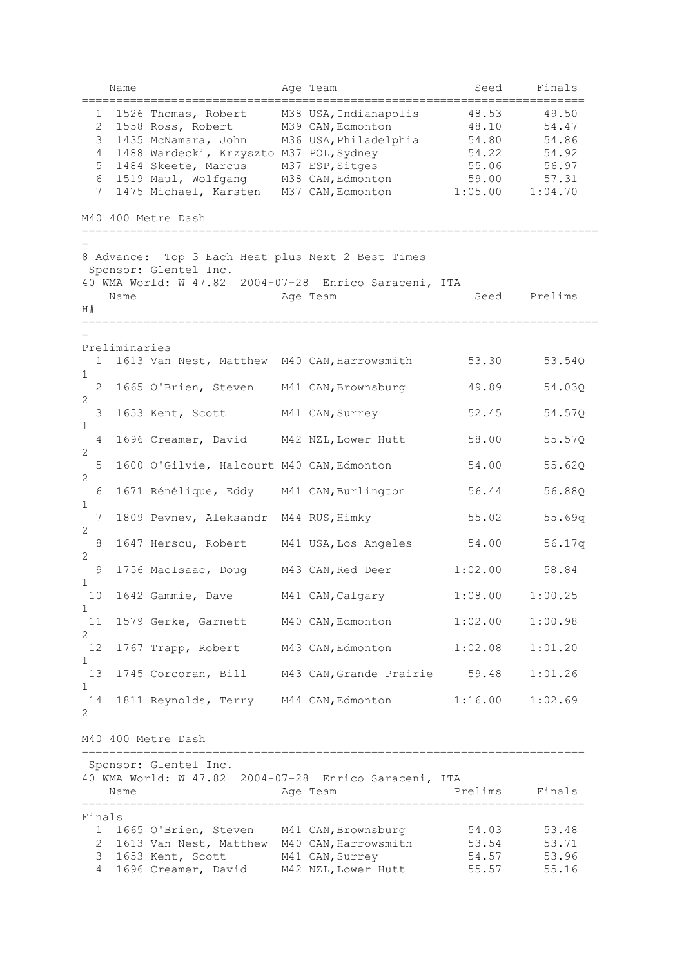|                                              | Name               |                                                                                                                                                                                                                                             | Age Team                                                                                                    | Seed                                                          | Finals                                                        |
|----------------------------------------------|--------------------|---------------------------------------------------------------------------------------------------------------------------------------------------------------------------------------------------------------------------------------------|-------------------------------------------------------------------------------------------------------------|---------------------------------------------------------------|---------------------------------------------------------------|
| 1<br>$\overline{2}$<br>3<br>4<br>5<br>6<br>7 |                    | 1526 Thomas, Robert<br>1558 Ross, Robert<br>1435 McNamara, John<br>1488 Wardecki, Krzyszto M37 POL, Sydney<br>1484 Skeete, Marcus<br>1519 Maul, Wolfgang M38 CAN, Edmonton<br>1475 Michael, Karsten M37 CAN, Edmonton<br>M40 400 Metre Dash | M38 USA, Indianapolis<br>M39 CAN, Edmonton<br>M36 USA, Philadelphia<br>M37 ESP, Sitges                      | 48.53<br>48.10<br>54.80<br>54.22<br>55.06<br>59.00<br>1:05.00 | 49.50<br>54.47<br>54.86<br>54.92<br>56.97<br>57.31<br>1:04.70 |
|                                              |                    |                                                                                                                                                                                                                                             |                                                                                                             |                                                               |                                                               |
| H#                                           | 8 Advance:<br>Name | Sponsor: Glentel Inc.                                                                                                                                                                                                                       | Top 3 Each Heat plus Next 2 Best Times<br>40 WMA World: W 47.82 2004-07-28 Enrico Saraceni, ITA<br>Age Team | Seed                                                          | Prelims                                                       |
|                                              |                    |                                                                                                                                                                                                                                             |                                                                                                             |                                                               |                                                               |
| $\mathbf{1}$                                 | Preliminaries      | 1613 Van Nest, Matthew M40 CAN, Harrowsmith                                                                                                                                                                                                 |                                                                                                             | 53.30                                                         | 53.54Q                                                        |
| $\mathbf 1$<br>$\overline{2}$                |                    | 1665 O'Brien, Steven M41 CAN, Brownsburg                                                                                                                                                                                                    |                                                                                                             | 49.89                                                         | 54.03Q                                                        |
| $\mathbf{2}$<br>3                            |                    | 1653 Kent, Scott                                                                                                                                                                                                                            | M41 CAN, Surrey                                                                                             | 52.45                                                         | 54.57Q                                                        |
| 1<br>$\overline{4}$                          |                    | 1696 Creamer, David M42 NZL, Lower Hutt                                                                                                                                                                                                     |                                                                                                             | 58.00                                                         | 55.57Q                                                        |
| $\mathbf{2}$                                 |                    |                                                                                                                                                                                                                                             |                                                                                                             |                                                               |                                                               |
| 5<br>$\overline{c}$                          |                    | 1600 O'Gilvie, Halcourt M40 CAN, Edmonton                                                                                                                                                                                                   |                                                                                                             | 54.00                                                         | 55.62Q                                                        |
| 6<br>$\mathbf 1$                             |                    | 1671 Rénélique, Eddy M41 CAN, Burlington                                                                                                                                                                                                    |                                                                                                             | 56.44                                                         | 56.88Q                                                        |
| 7<br>2                                       |                    | 1809 Pevnev, Aleksandr M44 RUS, Himky                                                                                                                                                                                                       |                                                                                                             | 55.02                                                         | 55.69q                                                        |
| $\,8\,$                                      |                    | 1647 Herscu, Robert                                                                                                                                                                                                                         | M41 USA, Los Angeles                                                                                        | 54.00                                                         | 56.17q                                                        |
| 2<br>9                                       |                    | 1756 MacIsaac, Doug                                                                                                                                                                                                                         | M43 CAN, Red Deer                                                                                           | 1:02.00                                                       | 58.84                                                         |
| 1<br>10                                      |                    | 1642 Gammie, Dave                                                                                                                                                                                                                           | M41 CAN, Calgary                                                                                            | 1:08.00                                                       | 1:00.25                                                       |
| 1<br>11                                      |                    | 1579 Gerke, Garnett M40 CAN, Edmonton                                                                                                                                                                                                       |                                                                                                             | 1:02.00                                                       | 1:00.98                                                       |
| 2<br>12                                      |                    | 1767 Trapp, Robert M43 CAN, Edmonton                                                                                                                                                                                                        |                                                                                                             | 1:02.08                                                       | 1:01.20                                                       |
| 1                                            |                    |                                                                                                                                                                                                                                             |                                                                                                             |                                                               |                                                               |
| 13<br>1                                      |                    |                                                                                                                                                                                                                                             | 1745 Corcoran, Bill M43 CAN, Grande Prairie                                                                 | 59.48                                                         | 1:01.26                                                       |
| 14<br>$\overline{2}$                         |                    | 1811 Reynolds, Terry M44 CAN, Edmonton                                                                                                                                                                                                      |                                                                                                             | 1:16.00                                                       | 1:02.69                                                       |
|                                              |                    | M40 400 Metre Dash                                                                                                                                                                                                                          |                                                                                                             |                                                               |                                                               |
|                                              | Name               | Sponsor: Glentel Inc.                                                                                                                                                                                                                       | 40 WMA World: W 47.82 2004-07-28 Enrico Saraceni, ITA<br>Age Team                                           | Prelims                                                       | Finals                                                        |
| Finals                                       |                    |                                                                                                                                                                                                                                             |                                                                                                             | -------------------------                                     |                                                               |
|                                              |                    | 1 1665 O'Brien, Steven M41 CAN, Brownsburg<br>2 1613 Van Nest, Matthew M40 CAN, Harrowsmith                                                                                                                                                 |                                                                                                             | 54.03<br>53.54                                                | 53.48<br>53.71                                                |
| 3                                            |                    | 1653 Kent, Scott                                                                                                                                                                                                                            | M41 CAN, Surrey                                                                                             | 54.57                                                         | 53.96                                                         |
| $4\overline{ }$                              |                    | 1696 Creamer, David M42 NZL, Lower Hutt                                                                                                                                                                                                     |                                                                                                             | 55.57                                                         | 55.16                                                         |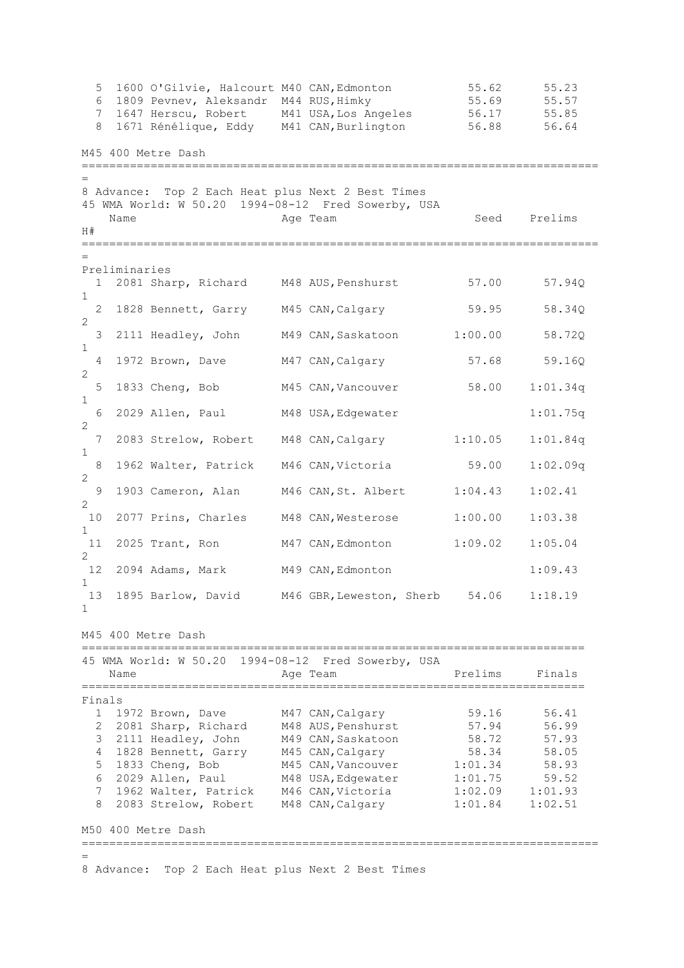5 1600 O'Gilvie, Halcourt M40 CAN,Edmonton 55.62 55.23 6 1809 Pevnev, Aleksandr M44 RUS, Himky 55.69 55.57 7 1647 Herscu, Robert M41 USA, Los Angeles 56.17 55.85 8 1671 Rénélique, Eddy M41 CAN,Burlington 56.88 56.64 M45 400 Metre Dash =========================================================================== = 8 Advance: Top 2 Each Heat plus Next 2 Best Times 45 WMA World: W 50.20 1994-08-12 Fred Sowerby, USA Name Age Team Seed Prelims  $H#$ =========================================================================== = Preliminaries 1 2081 Sharp, Richard M48 AUS, Penshurst 57.00 57.94Q 1 2 1828 Bennett, Garry M45 CAN,Calgary 59.95 58.34Q 2 3 2111 Headley, John M49 CAN,Saskatoon 1:00.00 58.72Q 1 4 1972 Brown, Dave M47 CAN,Calgary 57.68 59.16Q  $\frac{2}{5}$  1833 Cheng, Bob M45 CAN, Vancouver 58.00 1:01.34q 1 6 2029 Allen, Paul M48 USA,Edgewater 1:01.75q 2 7 2083 Strelow, Robert M48 CAN,Calgary 1:10.05 1:01.84q 1 8 1962 Walter, Patrick M46 CAN,Victoria 59.00 1:02.09q 2 9 1903 Cameron, Alan M46 CAN,St. Albert 1:04.43 1:02.41 2 10 2077 Prins, Charles M48 CAN,Westerose 1:00.00 1:03.38 1 11 2025 Trant, Ron M47 CAN,Edmonton 1:09.02 1:05.04 2 12 2094 Adams, Mark M49 CAN, Edmonton 1:09.43 1 13 1895 Barlow, David M46 GBR,Leweston, Sherb 54.06 1:18.19 1

M45 400 Metre Dash

=========================================================================

|        | 45 WMA World: W 50.20 1994-08-12 Fred Sowerby, USA<br>Name | Age Team           | Prelims | Finals  |
|--------|------------------------------------------------------------|--------------------|---------|---------|
| Finals |                                                            |                    |         |         |
|        | 1 1972 Brown, Dave                                         | M47 CAN, Calgary   | 59.16   | 56.41   |
|        | 2 2081 Sharp, Richard                                      | M48 AUS, Penshurst | 57.94   | 56.99   |
| 3      | 2111 Headley, John                                         | M49 CAN, Saskatoon | 58.72   | 57.93   |
|        | 4 1828 Bennett, Garry                                      | M45 CAN, Calgary   | 58.34   | 58.05   |
|        | 5 1833 Cheng, Bob                                          | M45 CAN, Vancouver | 1:01.34 | 58.93   |
| 6      | 2029 Allen, Paul                                           | M48 USA, Edgewater | 1:01.75 | 59.52   |
|        | 7 1962 Walter, Patrick                                     | M46 CAN, Victoria  | 1:02.09 | 1:01.93 |
| 8      | 2083 Strelow, Robert                                       | M48 CAN, Calgary   | 1:01.84 | 1:02.51 |
|        | M50 400 Metre Dash                                         |                    |         |         |

===========================================================================

=

8 Advance: Top 2 Each Heat plus Next 2 Best Times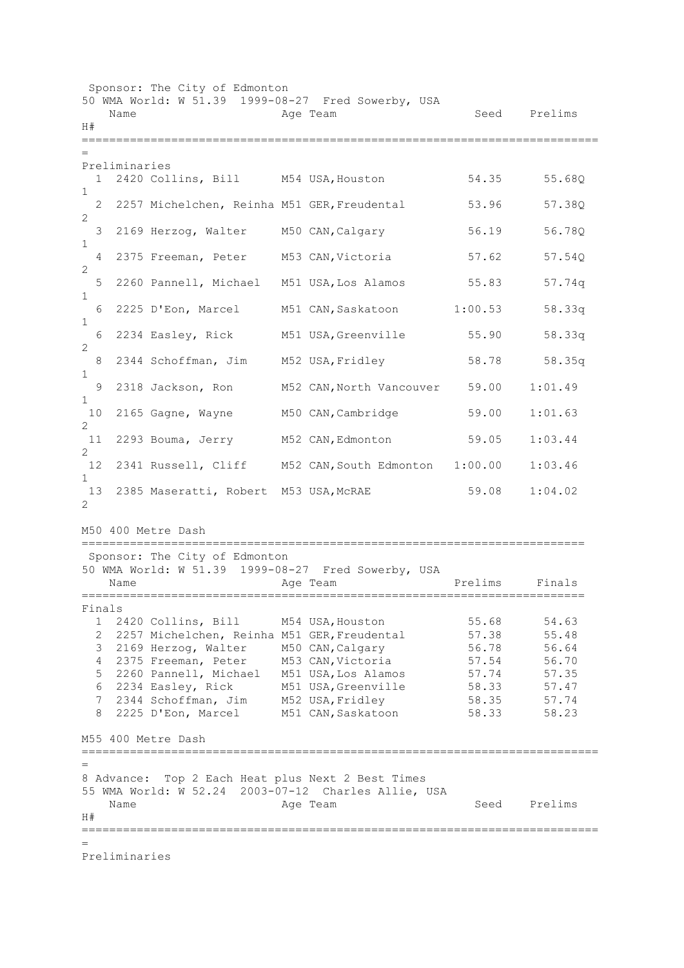Sponsor: The City of Edmonton 50 WMA World: W 51.39 1999-08-27 Fred Sowerby, USA Name **Age Team** Age Team Seed Prelims H# =========================================================================== = Preliminaries 1 2420 Collins, Bill M54 USA,Houston 54.35 55.68Q 1 2 2257 Michelchen, Reinha M51 GER,Freudental 53.96 57.38Q 2 3 2169 Herzog, Walter M50 CAN, Calgary 56.19 56.78Q 1 4 2375 Freeman, Peter M53 CAN,Victoria 57.62 57.54Q 2 5 2260 Pannell, Michael M51 USA, Los Alamos 55.83 57.74q 1 6 2225 D'Eon, Marcel M51 CAN,Saskatoon 1:00.53 58.33q 1 6 2234 Easley, Rick M51 USA,Greenville 55.90 58.33q 2 8 2344 Schoffman, Jim M52 USA, Fridley 58.78 58.35q 1 9 2318 Jackson, Ron M52 CAN,North Vancouver 59.00 1:01.49 1 10 2165 Gagne, Wayne M50 CAN,Cambridge 59.00 1:01.63 2 11 2293 Bouma, Jerry M52 CAN,Edmonton 59.05 1:03.44 2<br>12 2341 Russell, Cliff M52 CAN, South Edmonton 1:00.00 1:03.46 1 13 2385 Maseratti, Robert M53 USA, McRAE 59.08 1:04.02  $\mathcal{P}$ M50 400 Metre Dash ========================================================================= Sponsor: The City of Edmonton 50 WMA World: W 51.39 1999-08-27 Fred Sowerby, USA Name **Age Team** Prelims Finals ========================================================================= Finals 1 2420 Collins, Bill M54 USA,Houston 55.68 54.63 2 2257 Michelchen, Reinha M51 GER,Freudental 57.38 55.48 3 2169 Herzog, Walter M50 CAN, Calgary 56.78 56.64 4 2375 Freeman, Peter M53 CAN,Victoria 57.54 56.70 5 2260 Pannell, Michael M51 USA,Los Alamos 57.74 57.35 6 2234 Easley, Rick M51 USA,Greenville 58.33 57.47 7 2344 Schoffman, Jim M52 USA, Fridley 58.35 57.74 8 2225 D'Eon, Marcel M51 CAN,Saskatoon 58.33 58.23 M55 400 Metre Dash =========================================================================== = 8 Advance: Top 2 Each Heat plus Next 2 Best Times 55 WMA World: W 52.24 2003-07-12 Charles Allie, USA Name Age Team Seed Prelims  $H#$ =========================================================================== = Preliminaries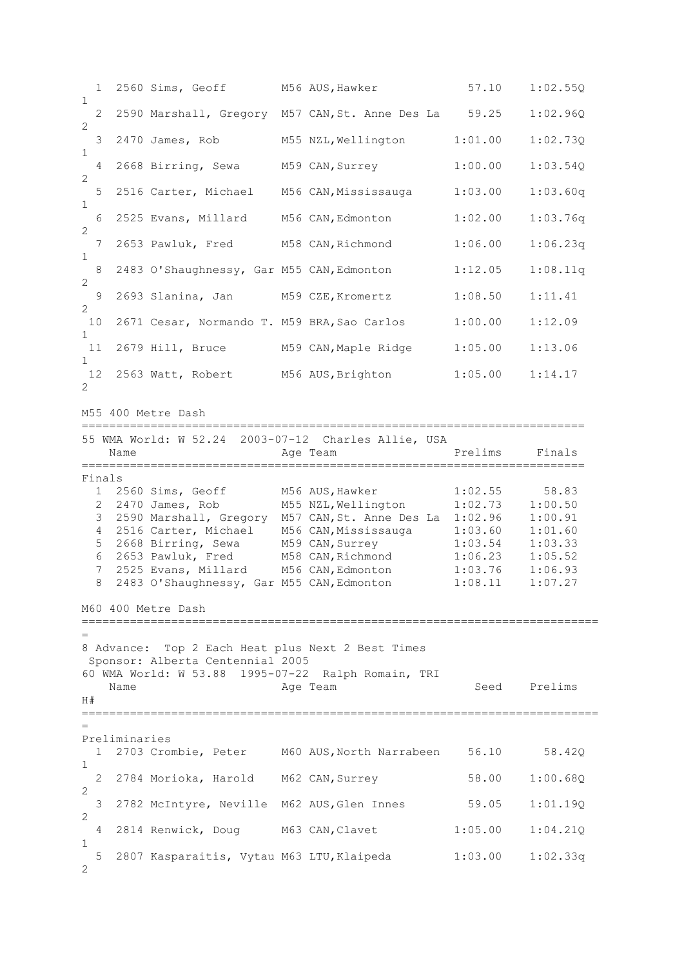1 2560 Sims, Geoff M56 AUS,Hawker 57.10 1:02.55Q 1 2 2590 Marshall, Gregory M57 CAN,St. Anne Des La 59.25 1:02.96Q 2 3 2470 James, Rob M55 NZL,Wellington 1:01.00 1:02.73Q 1 4 2668 Birring, Sewa M59 CAN,Surrey 1:00.00 1:03.54Q 2 5 2516 Carter, Michael M56 CAN,Mississauga 1:03.00 1:03.60q 1 6 2525 Evans, Millard M56 CAN,Edmonton 1:02.00 1:03.76q 2 7 2653 Pawluk, Fred M58 CAN,Richmond 1:06.00 1:06.23q 1 8 2483 O'Shaughnessy, Gar M55 CAN, Edmonton 1:12.05 1:08.11q 2 9 2693 Slanina, Jan M59 CZE,Kromertz 1:08.50 1:11.41 2 10 2671 Cesar, Normando T. M59 BRA,Sao Carlos 1:00.00 1:12.09 1<br>11 2679 Hill, Bruce M59 CAN, Maple Ridge 1:05.00 1:13.06 1 12 2563 Watt, Robert M56 AUS,Brighton 1:05.00 1:14.17 2 M55 400 Metre Dash ========================================================================= 55 WMA World: W 52.24 2003-07-12 Charles Allie, USA Name **Age Team** Prelims Finals ========================================================================= Finals 1 2560 Sims, Geoff M56 AUS,Hawker 1:02.55 58.83 2 2470 James, Rob M55 NZL,Wellington 1:02.73 1:00.50 3 2590 Marshall, Gregory M57 CAN,St. Anne Des La 1:02.96 1:00.91 4 2516 Carter, Michael M56 CAN, Mississauga 1:03.60 5 2668 Birring, Sewa M59 CAN,Surrey 1:03.54 1:03.33 6 2653 Pawluk, Fred M58 CAN,Richmond 1:06.23 1:05.52 7 2525 Evans, Millard M56 CAN,Edmonton 1:03.76 1:06.93 8 2483 O'Shaughnessy, Gar M55 CAN,Edmonton 1:08.11 1:07.27 M60 400 Metre Dash =========================================================================== = 8 Advance: Top 2 Each Heat plus Next 2 Best Times Sponsor: Alberta Centennial 2005 60 WMA World: W 53.88 1995-07-22 Ralph Romain, TRI Age Team Seed Prelims  $H#$ =========================================================================== = Preliminaries 1 2703 Crombie, Peter M60 AUS,North Narrabeen 56.10 58.42Q 1 2 2784 Morioka, Harold M62 CAN,Surrey 58.00 1:00.68Q 2 3 2782 McIntyre, Neville M62 AUS,Glen Innes 59.05 1:01.19Q 2 4 2814 Renwick, Doug M63 CAN,Clavet 1:05.00 1:04.21Q 1 5 2807 Kasparaitis, Vytau M63 LTU,Klaipeda 1:03.00 1:02.33q  $\mathcal{L}$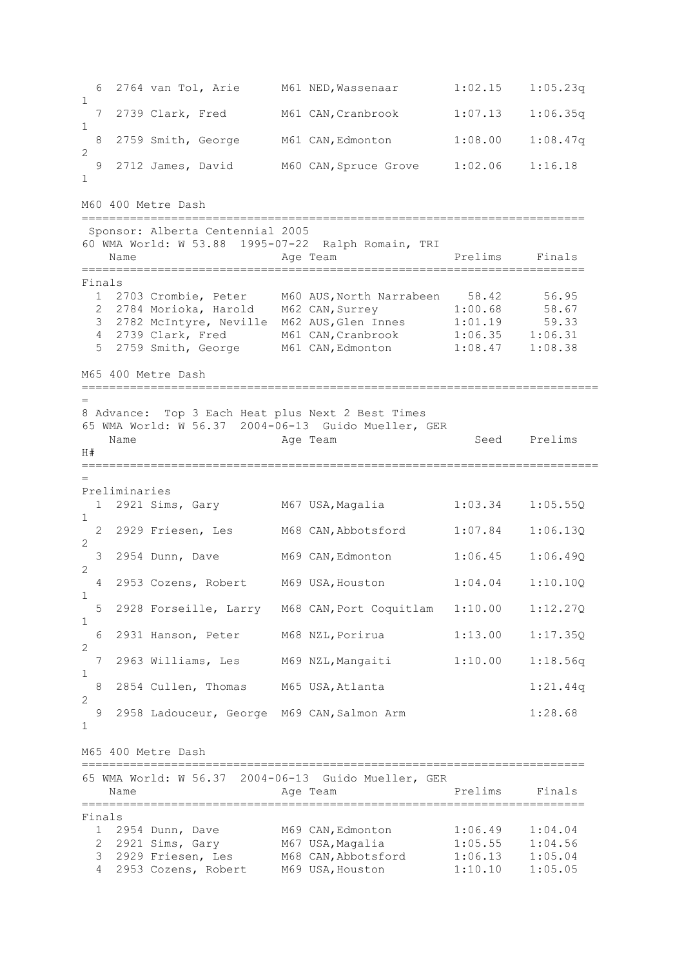6 2764 van Tol, Arie M61 NED,Wassenaar 1:02.15 1:05.23q 1 7 2739 Clark, Fred M61 CAN,Cranbrook 1:07.13 1:06.35q 1 8 2759 Smith, George M61 CAN,Edmonton 1:08.00 1:08.47q  $\mathcal{L}$  9 2712 James, David M60 CAN,Spruce Grove 1:02.06 1:16.18 1 M60 400 Metre Dash ========================================================================= Sponsor: Alberta Centennial 2005 60 WMA World: W 53.88 1995-07-22 Ralph Romain, TRI Name **Age Team Prelims** Finals ========================================================================= Finals 1 2703 Crombie, Peter M60 AUS,North Narrabeen 58.42 56.95 2 2784 Morioka, Harold M62 CAN,Surrey 1:00.68 58.67 3 2782 McIntyre, Neville M62 AUS,Glen Innes 1:01.19 59.33 4 2739 Clark, Fred M61 CAN,Cranbrook 1:06.35 1:06.31 5 2759 Smith, George M61 CAN,Edmonton 1:08.47 1:08.38 M65 400 Metre Dash =========================================================================== = 8 Advance: Top 3 Each Heat plus Next 2 Best Times 65 WMA World: W 56.37 2004-06-13 Guido Mueller, GER Name **Age Team** Age Team Seed Prelims  $H#$ =========================================================================== = Preliminaries 1 2921 Sims, Gary M67 USA,Magalia 1:03.34 1:05.55Q 1 2 2929 Friesen, Les M68 CAN,Abbotsford 1:07.84 1:06.13Q 2 3 2954 Dunn, Dave M69 CAN,Edmonton 1:06.45 1:06.49Q  $\mathfrak{D}$  4 2953 Cozens, Robert M69 USA,Houston 1:04.04 1:10.10Q 1 5 2928 Forseille, Larry M68 CAN,Port Coquitlam 1:10.00 1:12.27Q 1 6 2931 Hanson, Peter M68 NZL,Porirua 1:13.00 1:17.35Q 2 7 2963 Williams, Les M69 NZL,Mangaiti 1:10.00 1:18.56q 1 8 2854 Cullen, Thomas M65 USA, Atlanta 1:21.44q 2 9 2958 Ladouceur, George M69 CAN,Salmon Arm 1:28.68 1 M65 400 Metre Dash ========================================================================= 65 WMA World: W 56.37 2004-06-13 Guido Mueller, GER Name **Age Team Prelims** Finals ========================================================================= Finals 1 2954 Dunn, Dave M69 CAN,Edmonton 1:06.49 1:04.04 2 2921 Sims, Gary M67 USA,Magalia 1:05.55 1:04.56 3 2929 Friesen, Les M68 CAN,Abbotsford 1:06.13 1:05.04 4 2953 Cozens, Robert M69 USA,Houston 1:10.10 1:05.05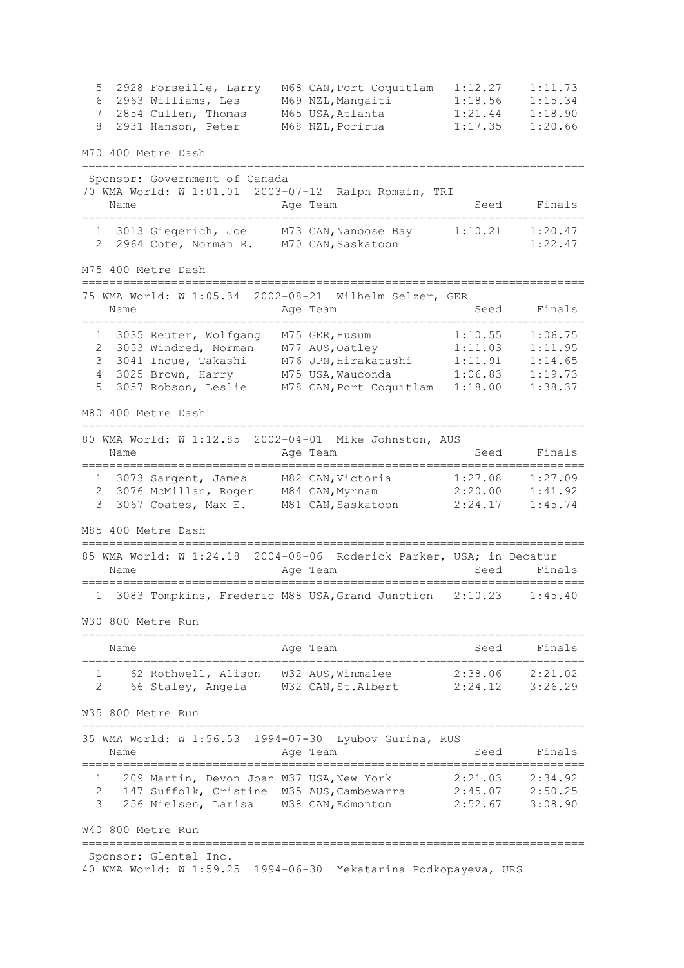5 2928 Forseille, Larry M68 CAN,Port Coquitlam 1:12.27 1:11.73 6 2963 Williams, Les M69 NZL,Mangaiti 1:18.56 1:15.34 7 2854 Cullen, Thomas M65 USA,Atlanta 1:21.44 1:18.90 8 2931 Hanson, Peter M68 NZL, Porirua 1:17.35 1:20.66 M70 400 Metre Dash ========================================================================= Sponsor: Government of Canada 70 WMA World: W 1:01.01 2003-07-12 Ralph Romain, TRI Name **Age Team** Age Team Seed Finals ========================================================================= 1 3013 Giegerich, Joe M73 CAN,Nanoose Bay 1:10.21 1:20.47 2 2964 Cote, Norman R. M70 CAN,Saskatoon 1:22.47 M75 400 Metre Dash ========================================================================= 75 WMA World: W 1:05.34 2002-08-21 Wilhelm Selzer, GER Name **Age Team** Age Team Seed Finals ========================================================================= 1 3035 Reuter, Wolfgang M75 GER,Husum 1:10.55 1:06.75 2 3053 Windred, Norman M77 AUS,Oatley 1:11.03 1:11.95 3 3041 Inoue, Takashi M76 JPN,Hirakatashi 1:11.91 1:14.65 4 3025 Brown, Harry M75 USA,Wauconda 1:06.83 1:19.73 5 3057 Robson, Leslie M78 CAN,Port Coquitlam 1:18.00 1:38.37 M80 400 Metre Dash ========================================================================= 80 WMA World: W 1:12.85 2002-04-01 Mike Johnston, AUS Name **Age Team** Age Team Seed Finals ========================================================================= 1 3073 Sargent, James M82 CAN,Victoria 1:27.08 1:27.09 2 3076 McMillan, Roger M84 CAN,Myrnam 2:20.00 1:41.92 3 3067 Coates, Max E. M81 CAN,Saskatoon 2:24.17 1:45.74 M85 400 Metre Dash ========================================================================= 85 WMA World: W 1:24.18 2004-08-06 Roderick Parker, USA; in Decatur Name **Age Team** Seed Finals ========================================================================= 1 3083 Tompkins, Frederic M88 USA,Grand Junction 2:10.23 1:45.40 W30 800 Metre Run ========================================================================= Name Age Team Seed Finals ========================================================================= 1 62 Rothwell, Alison W32 AUS,Winmalee 2:38.06 2:21.02 2 66 Staley, Angela W32 CAN,St.Albert 2:24.12 3:26.29 W35 800 Metre Run ========================================================================= 35 WMA World: W 1:56.53 1994-07-30 Lyubov Gurina, RUS Name **Age Team** Age Team Seed Finals ========================================================================= 1 209 Martin, Devon Joan W37 USA,New York 2:21.03 2:34.92 2 147 Suffolk, Cristine W35 AUS,Cambewarra 2:45.07 2:50.25 3 256 Nielsen, Larisa W38 CAN,Edmonton 2:52.67 3:08.90 W40 800 Metre Run ========================================================================= Sponsor: Glentel Inc. 40 WMA World: W 1:59.25 1994-06-30 Yekatarina Podkopayeva, URS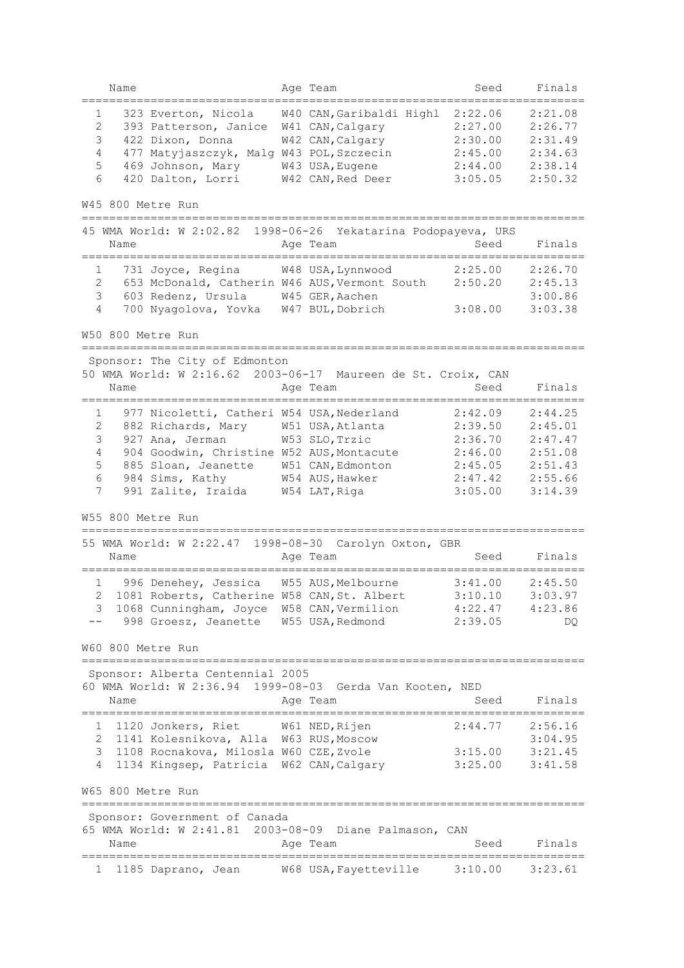|        | Name      |                                                                                   | Age Team                                                                  | Seed                           | Finals             |
|--------|-----------|-----------------------------------------------------------------------------------|---------------------------------------------------------------------------|--------------------------------|--------------------|
| 1<br>2 |           | 323 Everton, Nicola<br>393 Patterson, Janice                                      | W40 CAN, Garibaldi Highl 2:22.06<br>W41 CAN, Calgary                      | 2:27.00                        | 2:21.08<br>2:26.77 |
| 3      |           | 422 Dixon, Donna                                                                  | W42 CAN, Calgary                                                          | 2:30.00                        | 2:31.49            |
| 4      |           | 477 Matyjaszczyk, Malg W43 POL, Szczecin                                          |                                                                           | 2:45.00                        | 2:34.63            |
| 5<br>6 |           | 469 Johnson, Mary                                                                 | W43 USA, Eugene                                                           | 2:44.00                        | 2:38.14            |
|        |           | 420 Dalton, Lorri                                                                 | W42 CAN, Red Deer                                                         | 3:05.05                        | 2:50.32            |
|        |           | W45 800 Metre Run                                                                 |                                                                           |                                |                    |
|        | Name      |                                                                                   | 45 WMA World: W 2:02.82 1998-06-26 Yekatarina Podopayeva, URS<br>Age Team | Seed                           | Finals             |
| 1      |           | 731 Joyce, Regina                                                                 | W48 USA, Lynnwood                                                         | 2:25.00                        | 2:26.70            |
| 2      |           |                                                                                   | 653 McDonald, Catherin W46 AUS, Vermont South                             | 2:50.20                        | 2:45.13            |
| 3      |           | 603 Redenz, Ursula                                                                | W45 GER, Aachen                                                           |                                | 3:00.86            |
| 4      |           | 700 Nyagolova, Yovka W47 BUL, Dobrich                                             |                                                                           | 3:08.00                        | 3:03.38            |
|        |           | W50 800 Metre Run                                                                 |                                                                           |                                |                    |
|        |           | ===================<br>Sponsor: The City of Edmonton                              |                                                                           |                                |                    |
|        |           |                                                                                   | 50 WMA World: W 2:16.62 2003-06-17 Maureen de St. Croix, CAN              |                                |                    |
|        | Name      |                                                                                   | Age Team                                                                  | Seed                           | Finals             |
| 1      |           | 977 Nicoletti, Catheri W54 USA, Nederland                                         |                                                                           | 2:42.09                        | 2:44.25            |
| 2      |           | 882 Richards, Mary                                                                | W51 USA, Atlanta                                                          | 2:39.50                        | 2:45.01            |
| 3      |           | 927 Ana, Jerman                                                                   | W53 SLO, Trzic                                                            | 2:36.70                        | 2:47.47            |
| 4      |           | 904 Goodwin, Christine W52 AUS, Montacute                                         |                                                                           | 2:46.00                        | 2:51.08            |
| 5      |           | 885 Sloan, Jeanette                                                               | W51 CAN, Edmonton                                                         | 2:45.05                        | 2:51.43            |
| 6      |           | 984 Sims, Kathy                                                                   | W54 AUS, Hawker                                                           | 2:47.42                        | 2:55.66            |
| 7      |           | 991 Zalite, Iraida                                                                | W54 LAT, Riga                                                             | 3:05.00                        | 3:14.39            |
|        |           |                                                                                   |                                                                           |                                |                    |
|        |           | W55 800 Metre Run                                                                 |                                                                           |                                |                    |
|        |           | 55 WMA World: W 2:22.47                                                           | 1998-08-30 Carolyn Oxton, GBR                                             |                                |                    |
|        | Name      | ================================                                                  | Age Team<br>---------------------                                         | Seed                           | Finals             |
|        | $1 \quad$ | 996 Denehey, Jessica W55 AUS, Melbourne                                           |                                                                           | 3:41.00                        | 2:45.50            |
|        |           |                                                                                   | 2 1081 Roberts, Catherine W58 CAN, St. Albert 3:10.10                     |                                | 3:03.97            |
| 3      |           | 1068 Cunningham, Joyce W58 CAN, Vermilion                                         |                                                                           | $4:22.47$ $4:23.86$            |                    |
|        |           | 998 Groesz, Jeanette W55 USA, Redmond                                             |                                                                           | 2:39.05                        | DQ.                |
|        |           | W60 800 Metre Run                                                                 |                                                                           |                                |                    |
|        |           |                                                                                   |                                                                           |                                |                    |
|        |           | Sponsor: Alberta Centennial 2005                                                  |                                                                           |                                |                    |
|        |           |                                                                                   | 60 WMA World: W 2:36.94 1999-08-03 Gerda Van Kooten, NED                  |                                |                    |
|        | Name      |                                                                                   | Age Team<br>===================================                           | Seed                           | Finals             |
|        |           | ====================================<br>1 1120 Jonkers, Riet W61 NED, Rijen       |                                                                           | $2:44.77$ $2:56.16$            |                    |
|        |           | 2 1141 Kolesnikova, Alla W63 RUS, Moscow                                          |                                                                           |                                | 3:04.95            |
| 3      |           |                                                                                   |                                                                           |                                |                    |
| 4      |           | 1108 Rocnakova, Milosla W60 CZE, Zvole<br>1134 Kingsep, Patricia W62 CAN, Calgary |                                                                           | $3:15.00$ $3:21.45$<br>3:25.00 | 3:41.58            |
|        |           |                                                                                   |                                                                           |                                |                    |
|        |           | W65 800 Metre Run<br>__________________________________                           |                                                                           |                                |                    |
|        |           | Sponsor: Government of Canada                                                     |                                                                           |                                |                    |
|        |           |                                                                                   | 65 WMA World: W 2:41.81 2003-08-09 Diane Palmason, CAN                    |                                |                    |
|        | Name      |                                                                                   | Age Team                                                                  | Seed                           | Finals             |
| 1      |           |                                                                                   | W68 USA, Fayetteville                                                     | 3:10.00                        | 3:23.61            |
|        |           | 1185 Daprano, Jean                                                                |                                                                           |                                |                    |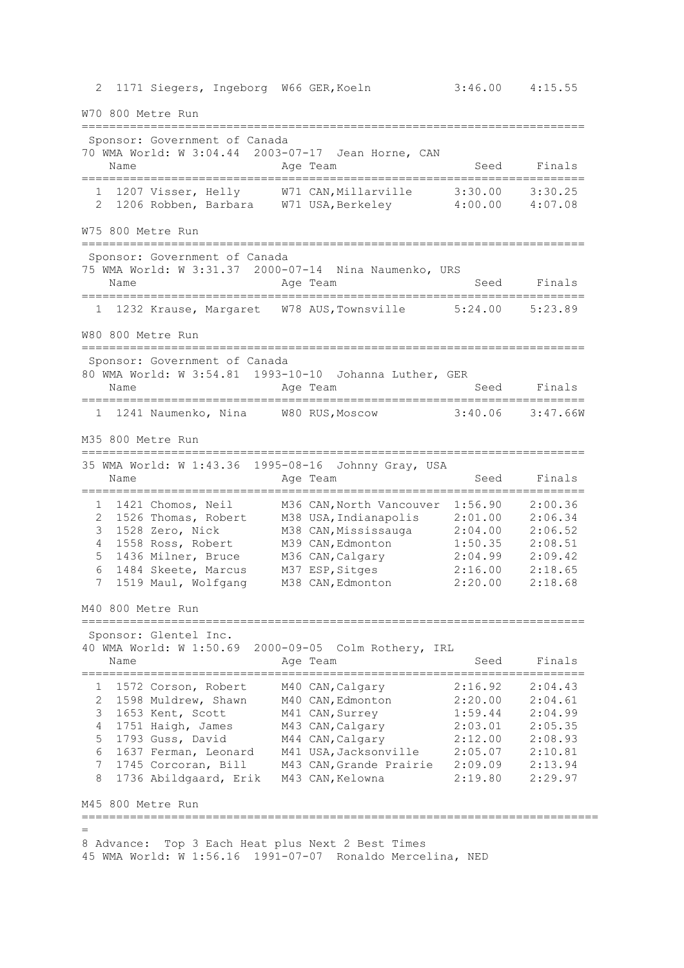2 1171 Siegers, Ingeborg W66 GER,Koeln 3:46.00 4:15.55 W70 800 Metre Run ========================================================================= Sponsor: Government of Canada 70 WMA World: W 3:04.44 2003-07-17 Jean Horne, CAN Name Register Age Team Name Seed Finals ========================================================================= 1 1207 Visser, Helly W71 CAN,Millarville 3:30.00 3:30.25 2 1206 Robben, Barbara W71 USA,Berkeley 4:00.00 4:07.08 W75 800 Metre Run ========================================================================= Sponsor: Government of Canada 75 WMA World: W 3:31.37 2000-07-14 Nina Naumenko, URS Name **Age Team** Age Team Seed Finals ========================================================================= 1 1232 Krause, Margaret W78 AUS,Townsville 5:24.00 5:23.89 W80 800 Metre Run ========================================================================= Sponsor: Government of Canada 80 WMA World: W 3:54.81 1993-10-10 Johanna Luther, GER Name **Age Team** Age Team Seed Finals ========================================================================= 1 1241 Naumenko, Nina W80 RUS,Moscow 3:40.06 3:47.66W M35 800 Metre Run ========================================================================= 35 WMA World: W 1:43.36 1995-08-16 Johnny Gray, USA Name **Age Team** Age Team Seed Finals ========================================================================= 1 1421 Chomos, Neil M36 CAN,North Vancouver 1:56.90 2:00.36 2 1526 Thomas, Robert M38 USA,Indianapolis 2:01.00 2:06.34 3 1528 Zero, Nick M38 CAN,Mississauga 2:04.00 2:06.52 4 1558 Ross, Robert M39 CAN,Edmonton 1:50.35 2:08.51 5 1436 Milner, Bruce M36 CAN,Calgary 2:04.99 2:09.42 6 1484 Skeete, Marcus M37 ESP,Sitges 2:16.00 2:18.65 7 1519 Maul, Wolfgang M38 CAN,Edmonton 2:20.00 2:18.68 M40 800 Metre Run ========================================================================= Sponsor: Glentel Inc. 40 WMA World: W 1:50.69 2000-09-05 Colm Rothery, IRL Name **Age Team** Age Team Seed Finals ========================================================================= 1 1572 Corson, Robert M40 CAN,Calgary 2:16.92 2:04.43 2 1598 Muldrew, Shawn M40 CAN,Edmonton 2:20.00 2:04.61 3 1653 Kent, Scott M41 CAN,Surrey 1:59.44 2:04.99 4 1751 Haigh, James M43 CAN,Calgary 2:03.01 2:05.35 5 1793 Guss, David M44 CAN,Calgary 2:12.00 2:08.93 6 1637 Ferman, Leonard M41 USA,Jacksonville 2:05.07 2:10.81 7 1745 Corcoran, Bill M43 CAN,Grande Prairie 2:09.09 2:13.94 8 1736 Abildgaard, Erik M43 CAN,Kelowna 2:19.80 2:29.97 M45 800 Metre Run =========================================================================== = 8 Advance: Top 3 Each Heat plus Next 2 Best Times 45 WMA World: W 1:56.16 1991-07-07 Ronaldo Mercelina, NED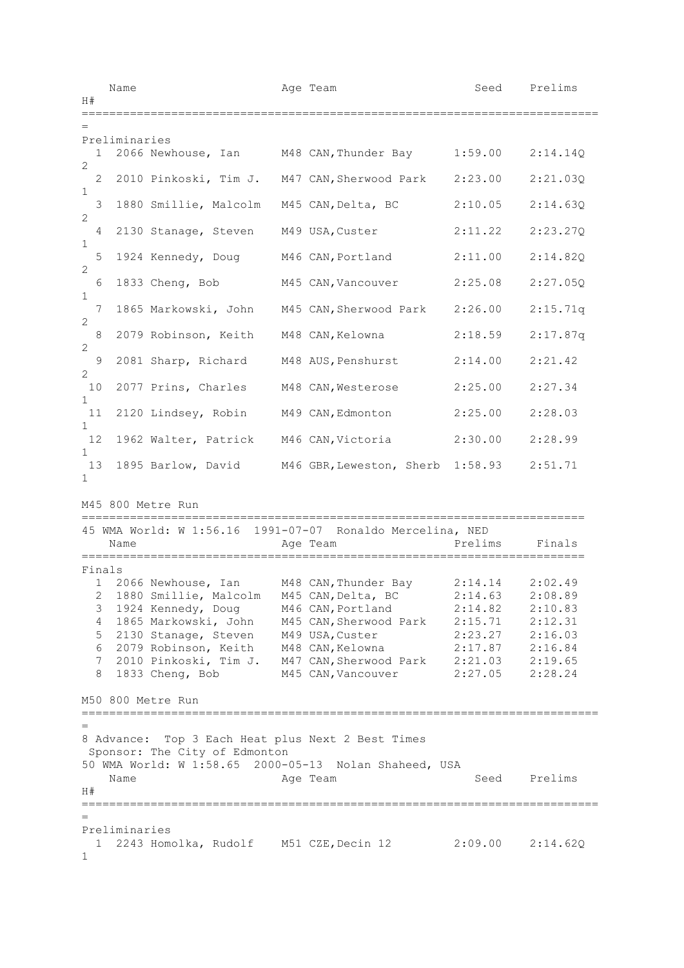Name **Age Team** Age Team Seed Prelims  $H#$ =========================================================================== = Preliminaries 1 2066 Newhouse, Ian M48 CAN,Thunder Bay 1:59.00 2:14.14Q  $\mathcal{P}$  2 2010 Pinkoski, Tim J. M47 CAN,Sherwood Park 2:23.00 2:21.03Q 1 3 1880 Smillie, Malcolm M45 CAN,Delta, BC 2:10.05 2:14.63Q 2 4 2130 Stanage, Steven M49 USA,Custer 2:11.22 2:23.27Q 1 5 1924 Kennedy, Doug M46 CAN,Portland 2:11.00 2:14.82Q 2 6 1833 Cheng, Bob M45 CAN,Vancouver 2:25.08 2:27.05Q 1 7 1865 Markowski, John M45 CAN,Sherwood Park 2:26.00 2:15.71q 2 8 2079 Robinson, Keith M48 CAN,Kelowna 2:18.59 2:17.87q 2 9 2081 Sharp, Richard M48 AUS,Penshurst 2:14.00 2:21.42 2 10 2077 Prins, Charles M48 CAN,Westerose 2:25.00 2:27.34 1 11 2120 Lindsey, Robin M49 CAN,Edmonton 2:25.00 2:28.03 1 12 1962 Walter, Patrick M46 CAN,Victoria 2:30.00 2:28.99 1 13 1895 Barlow, David M46 GBR,Leweston, Sherb 1:58.93 2:51.71 1 M45 800 Metre Run ========================================================================= 45 WMA World: W 1:56.16 1991-07-07 Ronaldo Mercelina, NED Name **Age Team** Prelims Finals ========================================================================= Finals 1 2066 Newhouse, Ian M48 CAN,Thunder Bay 2:14.14 2:02.49 2 1880 Smillie, Malcolm M45 CAN,Delta, BC 2:14.63 2:08.89 3 1924 Kennedy, Doug M46 CAN,Portland 2:14.82 2:10.83 4 1865 Markowski, John M45 CAN,Sherwood Park 2:15.71 2:12.31 5 2130 Stanage, Steven M49 USA,Custer 2:23.27 2:16.03 6 2079 Robinson, Keith M48 CAN,Kelowna 2:17.87 2:16.84 7 2010 Pinkoski, Tim J. M47 CAN,Sherwood Park 2:21.03 2:19.65 8 1833 Cheng, Bob M45 CAN,Vancouver 2:27.05 2:28.24 M50 800 Metre Run =========================================================================== = 8 Advance: Top 3 Each Heat plus Next 2 Best Times Sponsor: The City of Edmonton 50 WMA World: W 1:58.65 2000-05-13 Nolan Shaheed, USA Name **Age Team** Age Team Seed Prelims  $H#$ =========================================================================== = Preliminaries 1 2243 Homolka, Rudolf M51 CZE,Decin 12 2:09.00 2:14.62Q 1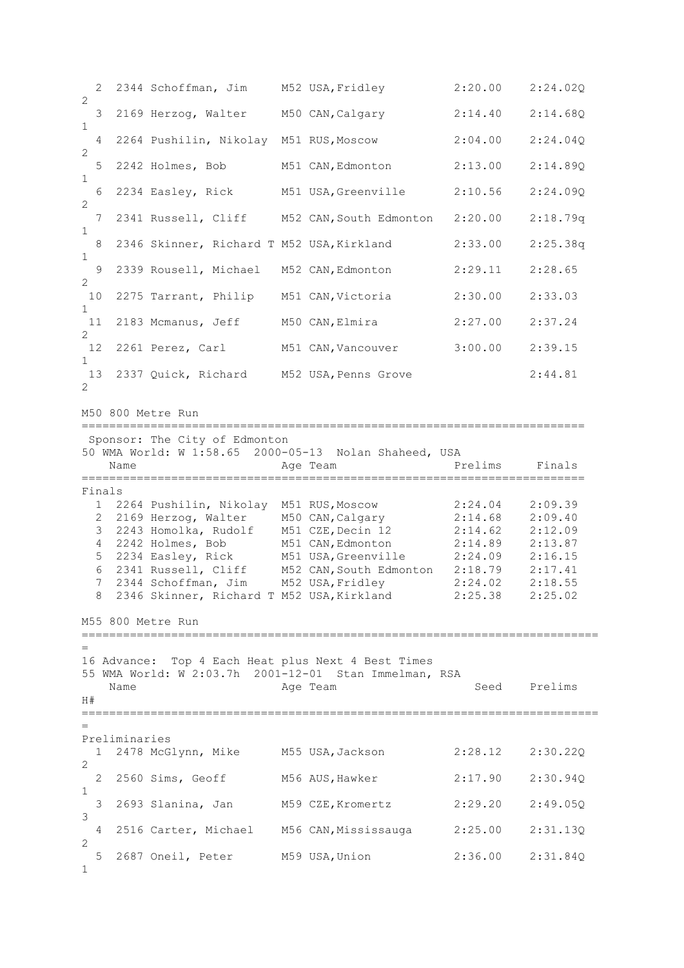2 2344 Schoffman, Jim M52 USA,Fridley 2:20.00 2:24.02Q 2 3 2169 Herzog, Walter M50 CAN,Calgary 2:14.40 2:14.68Q 1 4 2264 Pushilin, Nikolay M51 RUS,Moscow 2:04.00 2:24.04Q 2 5 2242 Holmes, Bob M51 CAN,Edmonton 2:13.00 2:14.89Q 1 6 2234 Easley, Rick M51 USA,Greenville 2:10.56 2:24.09Q 2 7 2341 Russell, Cliff M52 CAN,South Edmonton 2:20.00 2:18.79q 1 8 2346 Skinner, Richard T M52 USA,Kirkland 2:33.00 2:25.38q 1 9 2339 Rousell, Michael M52 CAN,Edmonton 2:29.11 2:28.65 2 10 2275 Tarrant, Philip M51 CAN,Victoria 2:30.00 2:33.03 1 11 2183 Mcmanus, Jeff M50 CAN,Elmira 2:27.00 2:37.24 2 12 2261 Perez, Carl M51 CAN,Vancouver 3:00.00 2:39.15 1 13 2337 Quick, Richard M52 USA,Penns Grove 2:44.81  $\mathfrak{D}$ M50 800 Metre Run ========================================================================= Sponsor: The City of Edmonton 50 WMA World: W 1:58.65 2000-05-13 Nolan Shaheed, USA Name **Age Team** Prelims Finals ========================================================================= Finals 1 2264 Pushilin, Nikolay M51 RUS,Moscow 2:24.04 2:09.39 2 2169 Herzog, Walter 1990 CAN, Calgary 2:14.68 2:09.40<br>3 2243 Homolka, Rudolf 1991 CZE, Decin 12 2:14.62 2:12.09 3 2243 Homolka, Rudolf M51 CZE,Decin 12 2:14.62 2:12.09 4 2242 Holmes, Bob M51 CAN,Edmonton 2:14.89 2:13.87 5 2234 Easley, Rick M51 USA,Greenville 2:24.09 2:16.15 6 2341 Russell, Cliff M52 CAN,South Edmonton 2:18.79 2:17.41 7 2344 Schoffman, Jim M52 USA,Fridley 2:24.02 2:18.55 8 2346 Skinner, Richard T M52 USA,Kirkland 2:25.38 2:25.02 M55 800 Metre Run =========================================================================== = 16 Advance: Top 4 Each Heat plus Next 4 Best Times 55 WMA World: W 2:03.7h 2001-12-01 Stan Immelman, RSA Age Team Seed Prelims  $H#$ =========================================================================== = Preliminaries 1 2478 McGlynn, Mike M55 USA,Jackson 2:28.12 2:30.22Q  $\mathcal{L}$  2 2560 Sims, Geoff M56 AUS,Hawker 2:17.90 2:30.94Q 1 3 2693 Slanina, Jan M59 CZE,Kromertz 2:29.20 2:49.05Q 3 4 2516 Carter, Michael M56 CAN,Mississauga 2:25.00 2:31.13Q  $\mathcal{D}$  5 2687 Oneil, Peter M59 USA,Union 2:36.00 2:31.84Q 1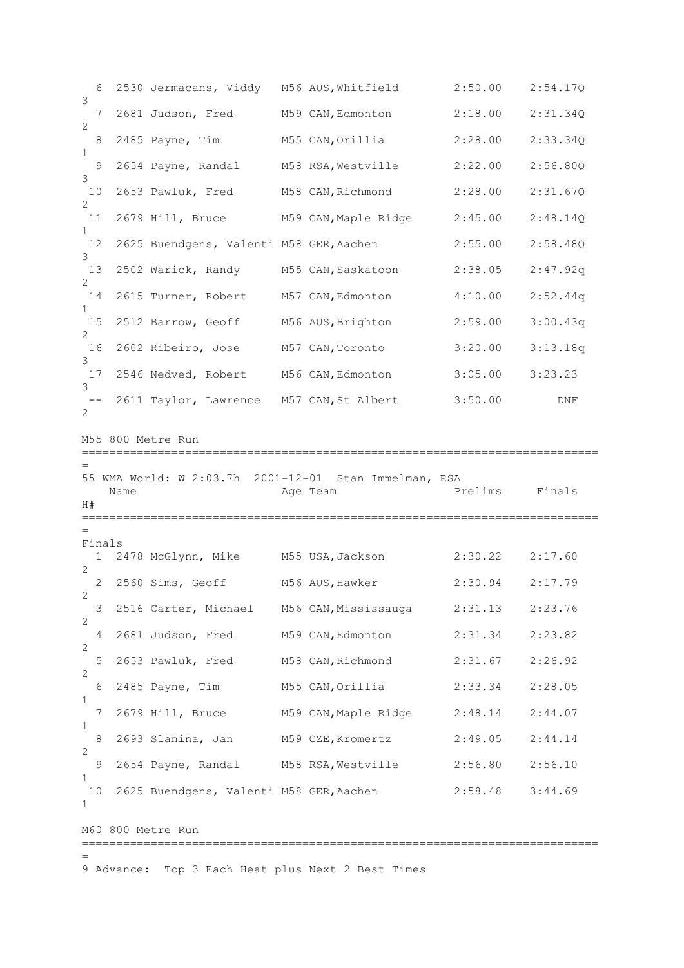6 2530 Jermacans, Viddy M56 AUS,Whitfield 2:50.00 2:54.17Q 3 7 2681 Judson, Fred M59 CAN,Edmonton 2:18.00 2:31.34Q 2 8 2485 Payne, Tim M55 CAN,Orillia 2:28.00 2:33.34Q 1 9 2654 Payne, Randal M58 RSA,Westville 2:22.00 2:56.80Q 3 10 2653 Pawluk, Fred M58 CAN,Richmond 2:28.00 2:31.67Q  $\mathfrak{D}$ 11 2679 Hill, Bruce M59 CAN,Maple Ridge 2:45.00 2:48.14Q 1 12 2625 Buendgens, Valenti M58 GER,Aachen 2:55.00 2:58.48Q 3 13 2502 Warick, Randy M55 CAN,Saskatoon 2:38.05 2:47.92q  $\mathcal{L}$ 14 2615 Turner, Robert M57 CAN,Edmonton 4:10.00 2:52.44q 1 15 2512 Barrow, Geoff M56 AUS,Brighton 2:59.00 3:00.43q 2 16 2602 Ribeiro, Jose M57 CAN,Toronto 3:20.00 3:13.18q 3 17 2546 Nedved, Robert M56 CAN,Edmonton 3:05.00 3:23.23 3 -- 2611 Taylor, Lawrence M57 CAN, St Albert 3:50.00 DNF 2 M55 800 Metre Run =========================================================================== = 55 WMA World: W 2:03.7h 2001-12-01 Stan Immelman, RSA Name **Age Team** Prelims Finals  $H#$ =========================================================================== = Finals 1 2478 McGlynn, Mike M55 USA,Jackson 2:30.22 2:17.60  $\mathcal{D}$  2 2560 Sims, Geoff M56 AUS,Hawker 2:30.94 2:17.79  $\mathfrak{D}$  3 2516 Carter, Michael M56 CAN,Mississauga 2:31.13 2:23.76  $\mathfrak{D}$  4 2681 Judson, Fred M59 CAN,Edmonton 2:31.34 2:23.82 2<br>5 2653 Pawluk, Fred M58 CAN, Richmond 2:31.67 2:26.92 2 6 2485 Payne, Tim M55 CAN,Orillia 2:33.34 2:28.05 1 7 2679 Hill, Bruce M59 CAN,Maple Ridge 2:48.14 2:44.07 1 8 2693 Slanina, Jan M59 CZE,Kromertz 2:49.05 2:44.14 2 9 2654 Payne, Randal M58 RSA,Westville 2:56.80 2:56.10 1 10 2625 Buendgens, Valenti M58 GER,Aachen 2:58.48 3:44.69 1 M60 800 Metre Run =========================================================================== = 9 Advance: Top 3 Each Heat plus Next 2 Best Times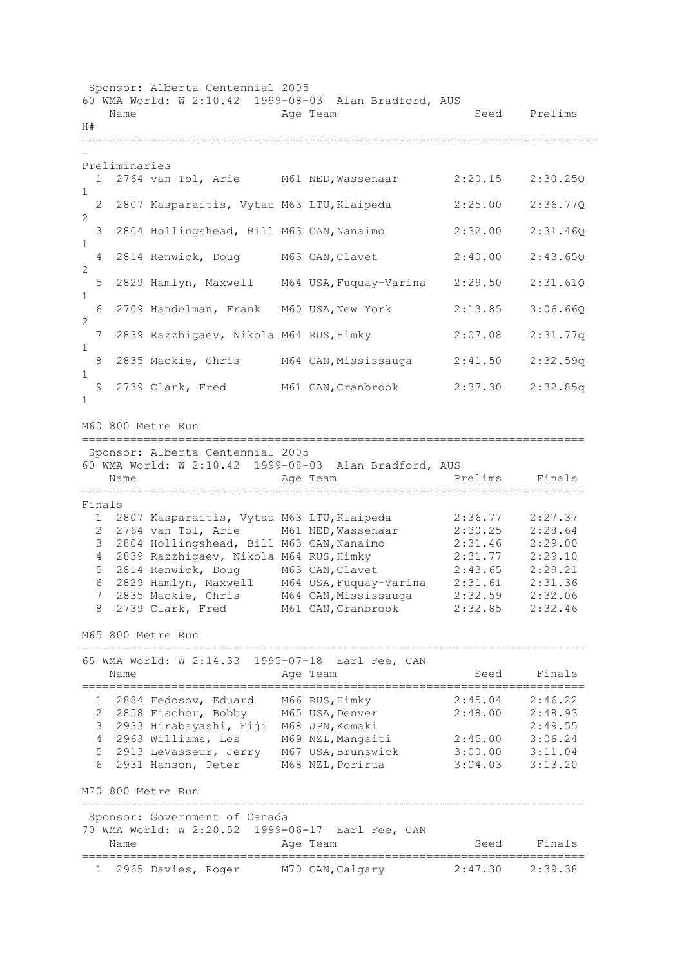Sponsor: Alberta Centennial 2005 60 WMA World: W 2:10.42 1999-08-03 Alan Bradford, AUS Name Age Team Seed Prelims  $H#$ =========================================================================== = Preliminaries 1 2764 van Tol, Arie M61 NED,Wassenaar 2:20.15 2:30.25Q 1 2 2807 Kasparaitis, Vytau M63 LTU,Klaipeda 2:25.00 2:36.77Q 2 3 2804 Hollingshead, Bill M63 CAN,Nanaimo 2:32.00 2:31.46Q 1 4 2814 Renwick, Doug M63 CAN,Clavet 2:40.00 2:43.65Q 2 5 2829 Hamlyn, Maxwell M64 USA,Fuquay-Varina 2:29.50 2:31.61Q 1 6 2709 Handelman, Frank M60 USA,New York 2:13.85 3:06.66Q 2 7 2839 Razzhigaev, Nikola M64 RUS,Himky 2:07.08 2:31.77q 1 8 2835 Mackie, Chris M64 CAN,Mississauga 2:41.50 2:32.59q 1 9 2739 Clark, Fred M61 CAN,Cranbrook 2:37.30 2:32.85q 1 M60 800 Metre Run ========================================================================= Sponsor: Alberta Centennial 2005 60 WMA World: W 2:10.42 1999-08-03 Alan Bradford, AUS Name **Age Team** Prelims Finals ========================================================================= Finals 1 2807 Kasparaitis, Vytau M63 LTU,Klaipeda 2:36.77 2:27.37 2 2764 van Tol, Arie M61 NED,Wassenaar 2:30.25 2:28.64 3 2804 Hollingshead, Bill M63 CAN,Nanaimo 2:31.46 2:29.00 4 2839 Razzhigaev, Nikola M64 RUS,Himky 2:31.77 2:29.10 5 2814 Renwick, Doug M63 CAN,Clavet 2:43.65 2:29.21 6 2829 Hamlyn, Maxwell M64 USA,Fuquay-Varina 2:31.61 2:31.36 7 2835 Mackie, Chris M64 CAN,Mississauga 2:32.59 2:32.06 8 2739 Clark, Fred M61 CAN,Cranbrook 2:32.85 2:32.46 M65 800 Metre Run ========================================================================= 65 WMA World: W 2:14.33 1995-07-18 Earl Fee, CAN Name **Age Team** Age Team Seed Finals ========================================================================= 1 2884 Fedosov, Eduard M66 RUS,Himky 2:45.04 2:46.22 2 2858 Fischer, Bobby M65 USA,Denver 2:48.00 2:48.93 3 2933 Hirabayashi, Eiji M68 JPN,Komaki 2:49.55 4 2963 Williams, Les M69 NZL,Mangaiti 2:45.00 3:06.24 5 2913 LeVasseur, Jerry M67 USA,Brunswick 3:00.00 3:11.04 6 2931 Hanson, Peter M68 NZL,Porirua 3:04.03 3:13.20 M70 800 Metre Run ========================================================================= Sponsor: Government of Canada 70 WMA World: W 2:20.52 1999-06-17 Earl Fee, CAN Name **Age Team** Age Team Seed Finals ========================================================================= 1 2965 Davies, Roger M70 CAN,Calgary 2:47.30 2:39.38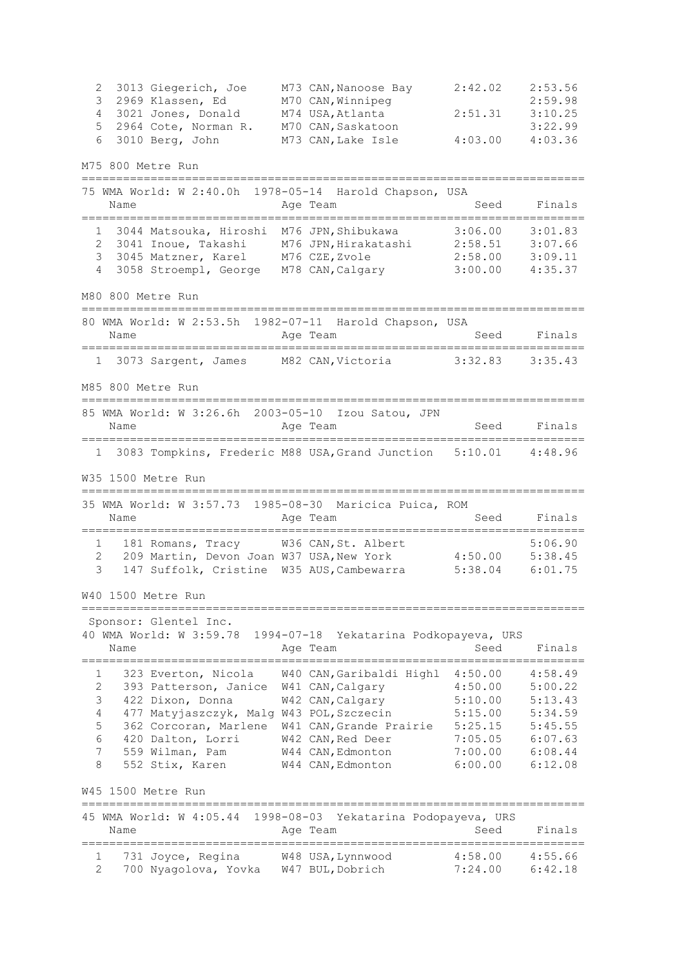2 3013 Giegerich, Joe M73 CAN,Nanoose Bay 2:42.02 2:53.56 3 2969 Klassen, Ed M70 CAN,Winnipeg 2:59.98 4 3021 Jones, Donald M74 USA,Atlanta 2:51.31 3:10.25 5 2964 Cote, Norman R. M70 CAN,Saskatoon 3:22.99 6 3010 Berg, John M73 CAN,Lake Isle 4:03.00 4:03.36 M75 800 Metre Run ========================================================================= 75 WMA World: W 2:40.0h 1978-05-14 Harold Chapson, USA Name Reserve Age Team Name Seed Finals ========================================================================= 1 3044 Matsouka, Hiroshi M76 JPN,Shibukawa 3:06.00 3:01.83 2 3041 Inoue, Takashi M76 JPN,Hirakatashi 2:58.51 3:07.66 3 3045 Matzner, Karel M76 CZE,Zvole 2:58.00 3:09.11 4 3058 Stroempl, George M78 CAN,Calgary 3:00.00 4:35.37 M80 800 Metre Run ========================================================================= 80 WMA World: W 2:53.5h 1982-07-11 Harold Chapson, USA Name **Age Team** Age Team Seed Finals ========================================================================= 1 3073 Sargent, James M82 CAN,Victoria 3:32.83 3:35.43 M85 800 Metre Run ========================================================================= 85 WMA World: W 3:26.6h 2003-05-10 Izou Satou, JPN Name **Age Team** Age Team Seed Finals ========================================================================= 1 3083 Tompkins, Frederic M88 USA,Grand Junction 5:10.01 4:48.96 W35 1500 Metre Run ========================================================================= 35 WMA World: W 3:57.73 1985-08-30 Maricica Puica, ROM Name **Age Team** Age Team Seed Finals ========================================================================= 1 181 Romans, Tracy W36 CAN, St. Albert 5:06.90 2 209 Martin, Devon Joan W37 USA,New York 4:50.00 5:38.45 3 147 Suffolk, Cristine W35 AUS,Cambewarra 5:38.04 6:01.75 W40 1500 Metre Run ========================================================================= Sponsor: Glentel Inc. 40 WMA World: W 3:59.78 1994-07-18 Yekatarina Podkopayeva, URS Name Age Team Seed Finals ========================================================================= 1 323 Everton, Nicola W40 CAN,Garibaldi Highl 4:50.00 4:58.49 2 393 Patterson, Janice W41 CAN,Calgary 4:50.00 5:00.22 3 422 Dixon, Donna W42 CAN,Calgary 5:10.00 5:13.43 4 477 Matyjaszczyk, Malg W43 POL,Szczecin 5:15.00 5:34.59 5 362 Corcoran, Marlene W41 CAN,Grande Prairie 5:25.15 5:45.55 6 420 Dalton, Lorri W42 CAN,Red Deer 7:05.05 6:07.63 7 559 Wilman, Pam W44 CAN,Edmonton 7:00.00 6:08.44 8 552 Stix, Karen W44 CAN,Edmonton 6:00.00 6:12.08 W45 1500 Metre Run ========================================================================= 45 WMA World: W 4:05.44 1998-08-03 Yekatarina Podopayeva, URS Name **Age Team** Age Team Seed Finals ========================================================================= 1 731 Joyce, Regina W48 USA,Lynnwood 4:58.00 4:55.66 2 700 Nyagolova, Yovka W47 BUL,Dobrich 7:24.00 6:42.18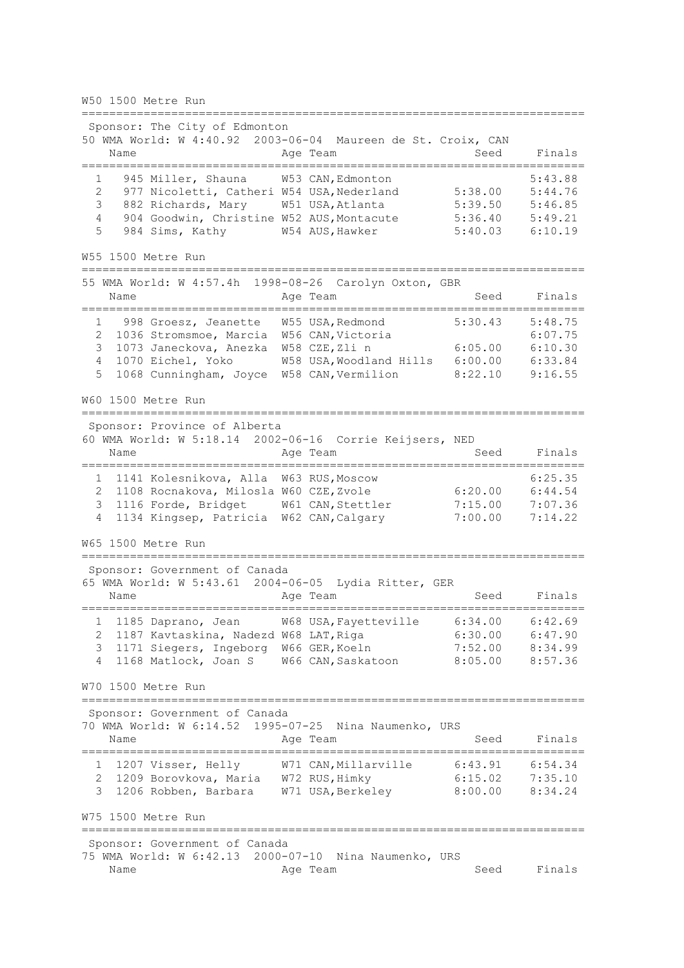W50 1500 Metre Run

========================================================================= Sponsor: The City of Edmonton 50 WMA World: W 4:40.92 2003-06-04 Maureen de St. Croix, CAN Name **Age Team** Age Team Seed Finals ========================================================================= 1 945 Miller, Shauna W53 CAN, Edmonton 5:38.00 5:43.88<br>2 977 Nicoletti, Catheri W54 USA, Nederland 5:38.00 5:44.76 2 977 Nicoletti, Catheri W54 USA, Nederland 5:38.00 5:44.76<br>3 882 Richards, Mary W51 USA, Atlanta 5:39.50 5:46.85 3 882 Richards, Mary W51 USA,Atlanta 5:39.50 5:46.85 4 904 Goodwin, Christine W52 AUS,Montacute 5:36.40 5:49.21 5 984 Sims, Kathy W54 AUS,Hawker 5:40.03 6:10.19 W55 1500 Metre Run ========================================================================= 55 WMA World: W 4:57.4h 1998-08-26 Carolyn Oxton, GBR Name **Age Team** Age Team Seed Finals ========================================================================= 998 Groesz, Jeanette W55 USA, Redmond 5:30.43 5:48.75<br>
1036 Stromsmoe, Marcia W56 CAN, Victoria 6:07.75<br>
1073 Janeckova, Anezka W58 CZE, Zlin 6:05.00 6:10.30<br>
1070 Eichel, Yoko W58 USA Woodlard Will be consumed for the con 2 1036 Stromsmoe, Marcia W56 CAN, Victoria 6:07.75 3 1073 Janeckova, Anezka W58 CZE,Zli n 6:05.00 6:10.30 4 1070 Eichel, Yoko W58 USA,Woodland Hills 6:00.00 6:33.84 5 1068 Cunningham, Joyce W58 CAN,Vermilion 8:22.10 9:16.55 W60 1500 Metre Run ========================================================================= Sponsor: Province of Alberta 60 WMA World: W 5:18.14 2002-06-16 Corrie Keijsers, NED Name **Age Team** Age Team Seed Finals ========================================================================= 1 1141 Kolesnikova, Alla W63 RUS, Moscow 6:25.35<br>2 1108 Rocnakova, Milosla W60 CZE, Zvole 6:20.00 6:44.54 2 1108 Rocnakova, Milosla W60 CZE, Zvole 6:20.00 6:44.54<br>3 1116 Forde, Bridget W61 CAN, Stettler 7:15.00 7:07.36 2 1100 Rochanova, Milosia W60 C2E, 2001e<br>3 1116 Forde, Bridget W61 CAN, Stettler 4 1134 Kingsep, Patricia W62 CAN,Calgary 7:00.00 7:14.22 W65 1500 Metre Run ========================================================================= Sponsor: Government of Canada 65 WMA World: W 5:43.61 2004-06-05 Lydia Ritter, GER Name Age Team Seed Finals ========================================================================= 1 1185 Daprano, Jean W68 USA,Fayetteville 6:34.00 6:42.69 2 1187 Kavtaskina, Nadezd W68 LAT,Riga 6:30.00 6:47.90 3 1171 Siegers, Ingeborg W66 GER,Koeln 7:52.00 8:34.99 4 1168 Matlock, Joan S W66 CAN,Saskatoon 8:05.00 8:57.36 W70 1500 Metre Run ========================================================================= Sponsor: Government of Canada 70 WMA World: W 6:14.52 1995-07-25 Nina Naumenko, URS Name **Age Team** Age Team Seed Finals ========================================================================= 1 1207 Visser, Helly W71 CAN,Millarville 6:43.91 6:54.34 2 1209 Borovkova, Maria W72 RUS,Himky 6:15.02 7:35.10 3 1206 Robben, Barbara W71 USA,Berkeley 8:00.00 8:34.24 W75 1500 Metre Run ========================================================================= Sponsor: Government of Canada 75 WMA World: W 6:42.13 2000-07-10 Nina Naumenko, URS Name Age Team Seed Finals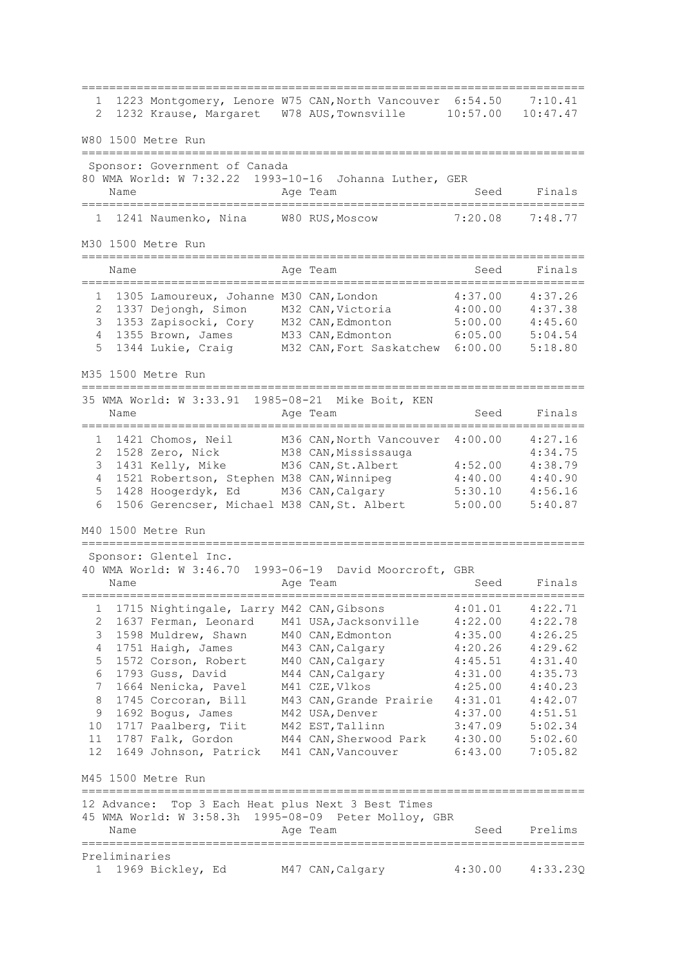========================================================================= 1 1223 Montgomery, Lenore W75 CAN,North Vancouver 6:54.50 7:10.41 2 1232 Krause, Margaret W78 AUS,Townsville 10:57.00 10:47.47 W80 1500 Metre Run ========================================================================= Sponsor: Government of Canada 80 WMA World: W 7:32.22 1993-10-16 Johanna Luther, GER Name **Age Team** Age Team Seed Finals ========================================================================= 1 1241 Naumenko, Nina W80 RUS,Moscow 7:20.08 7:48.77 M30 1500 Metre Run ========================================================================= Name **Age Team** Age Team Seed Finals ========================================================================= 1 1305 Lamoureux, Johanne M30 CAN,London 4:37.00 4:37.26 2 1337 Dejongh, Simon M32 CAN,Victoria 4:00.00 4:37.38 3 1353 Zapisocki, Cory M32 CAN,Edmonton 5:00.00 4:45.60 4 1355 Brown, James M33 CAN,Edmonton 6:05.00 5:04.54 5 1344 Lukie, Craig M32 CAN,Fort Saskatchew 6:00.00 5:18.80 M35 1500 Metre Run ========================================================================= 35 WMA World: W 3:33.91 1985-08-21 Mike Boit, KEN Name **Age Team** Age Team Seed Finals ========================================================================= 1 1421 Chomos, Neil M36 CAN,North Vancouver 4:00.00 4:27.16 2 1528 Zero, Nick M38 CAN,Mississauga 4:34.75 3 1431 Kelly, Mike M36 CAN,St.Albert 4:52.00 4:38.79 4 1521 Robertson, Stephen M38 CAN,Winnipeg 4:40.00 4:40.90 5 1428 Hoogerdyk, Ed M36 CAN,Calgary 5:30.10 4:56.16 6 1506 Gerencser, Michael M38 CAN,St. Albert 5:00.00 5:40.87 M40 1500 Metre Run ========================================================================= Sponsor: Glentel Inc. 40 WMA World: W 3:46.70 1993-06-19 David Moorcroft, GBR Name **Age Team** Age Team Seed Finals ========================================================================= 1 1715 Nightingale, Larry M42 CAN,Gibsons 4:01.01 4:22.71 2 1637 Ferman, Leonard M41 USA,Jacksonville 4:22.00 4:22.78 3 1598 Muldrew, Shawn M40 CAN,Edmonton 4:35.00 4:26.25 4 1751 Haigh, James M43 CAN,Calgary 4:20.26 4:29.62 5 1572 Corson, Robert M40 CAN,Calgary 4:45.51 4:31.40 6 1793 Guss, David M44 CAN,Calgary 4:31.00 4:35.73 7 1664 Nenicka, Pavel M41 CZE,Vlkos 4:25.00 4:40.23 8 1745 Corcoran, Bill M43 CAN,Grande Prairie 4:31.01 4:42.07 9 1692 Bogus, James M42 USA,Denver 4:37.00 4:51.51 10 1717 Paalberg, Tiit M42 EST,Tallinn 3:47.09 5:02.34 11 1787 Falk, Gordon M44 CAN,Sherwood Park 4:30.00 5:02.60 12 1649 Johnson, Patrick M41 CAN,Vancouver 6:43.00 7:05.82 M45 1500 Metre Run ========================================================================= 12 Advance: Top 3 Each Heat plus Next 3 Best Times 45 WMA World: W 3:58.3h 1995-08-09 Peter Molloy, GBR Name **Age Team** Age Team Seed Prelims ========================================================================= Preliminaries 1 1969 Bickley, Ed M47 CAN,Calgary 4:30.00 4:33.23Q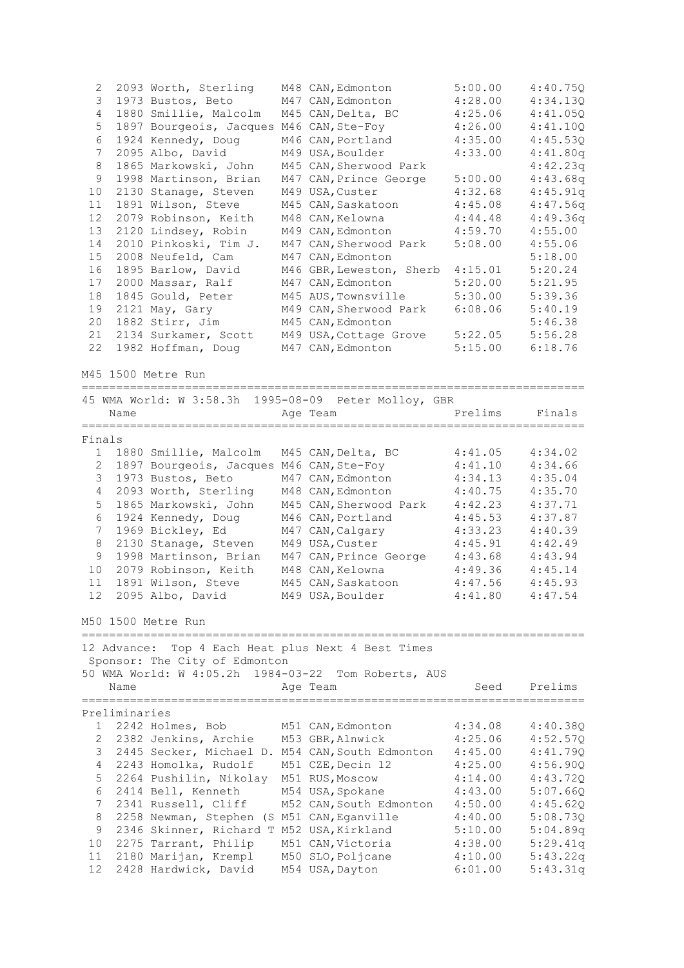| 2            | 2093 Worth, Sterling                                 | M48 CAN, Edmonton        | 5:00.00 | 4:40.75Q |
|--------------|------------------------------------------------------|--------------------------|---------|----------|
| 3            | 1973 Bustos, Beto                                    | M47 CAN, Edmonton        | 4:28.00 | 4:34.13Q |
| 4            | 1880 Smillie, Malcolm                                | M45 CAN, Delta, BC       | 4:25.06 | 4:41.05Q |
| 5            | 1897 Bourgeois, Jacques M46 CAN, Ste-Foy             |                          | 4:26.00 | 4:41.100 |
| 6            | 1924 Kennedy, Doug                                   | M46 CAN, Portland        | 4:35.00 | 4:45.53Q |
| 7            | 2095 Albo, David                                     | M49 USA, Boulder         | 4:33.00 | 4:41.80q |
| 8            | 1865 Markowski, John                                 | M45 CAN, Sherwood Park   |         | 4:42.23q |
| 9            | 1998 Martinson, Brian                                | M47 CAN, Prince George   | 5:00.00 | 4:43.68q |
| 10           | 2130 Stanage, Steven                                 | M49 USA, Custer          | 4:32.68 | 4:45.91q |
| 11           | 1891 Wilson, Steve                                   | M45 CAN, Saskatoon       | 4:45.08 | 4:47.56q |
| 12           | 2079 Robinson, Keith                                 | M48 CAN, Kelowna         | 4:44.48 | 4:49.36q |
| 13           | 2120 Lindsey, Robin                                  | M49 CAN, Edmonton        | 4:59.70 | 4:55.00  |
| 14           | 2010 Pinkoski, Tim J.                                | M47 CAN, Sherwood Park   | 5:08.00 | 4:55.06  |
| 15           | 2008 Neufeld, Cam                                    | M47 CAN, Edmonton        |         | 5:18.00  |
| 16           | 1895 Barlow, David                                   | M46 GBR, Leweston, Sherb | 4:15.01 | 5:20.24  |
| 17           | 2000 Massar, Ralf                                    |                          | 5:20.00 | 5:21.95  |
| 18           |                                                      | M47 CAN, Edmonton        |         |          |
|              | 1845 Gould, Peter                                    | M45 AUS, Townsville      | 5:30.00 | 5:39.36  |
| 19           | 2121 May, Gary                                       | M49 CAN, Sherwood Park   | 6:08.06 | 5:40.19  |
| 20           | 1882 Stirr, Jim                                      | M45 CAN, Edmonton        |         | 5:46.38  |
| 21           | 2134 Surkamer, Scott                                 | M49 USA, Cottage Grove   | 5:22.05 | 5:56.28  |
| 22           | 1982 Hoffman, Doug                                   | M47 CAN, Edmonton        | 5:15.00 | 6:18.76  |
|              | M45 1500 Metre Run                                   |                          |         |          |
|              | 45 WMA World: W 3:58.3h 1995-08-09 Peter Molloy, GBR |                          |         |          |
|              | Name                                                 | Age Team                 | Prelims | Finals   |
|              | =========                                            |                          |         |          |
| Finals       |                                                      |                          |         |          |
| 1            | 1880 Smillie, Malcolm                                | M45 CAN, Delta, BC       | 4:41.05 | 4:34.02  |
| $\mathbf{2}$ | 1897 Bourgeois, Jacques M46 CAN, Ste-Foy             |                          | 4:41.10 | 4:34.66  |
| 3            | 1973 Bustos, Beto                                    | M47 CAN, Edmonton        | 4:34.13 | 4:35.04  |
| 4            | 2093 Worth, Sterling                                 | M48 CAN, Edmonton        | 4:40.75 | 4:35.70  |
| 5            | 1865 Markowski, John                                 | M45 CAN, Sherwood Park   | 4:42.23 | 4:37.71  |
| 6            | 1924 Kennedy, Doug                                   | M46 CAN, Portland        | 4:45.53 | 4:37.87  |
| 7            | 1969 Bickley, Ed                                     | M47 CAN, Calgary         | 4:33.23 | 4:40.39  |
| 8            | 2130 Stanage, Steven                                 | M49 USA, Custer          | 4:45.91 | 4:42.49  |
| 9            | 1998 Martinson, Brian                                | M47 CAN, Prince George   | 4:43.68 | 4:43.94  |
| 10           | 2079 Robinson, Keith                                 | M48 CAN, Kelowna         | 4:49.36 | 4:45.14  |
| 11           | 1891 Wilson, Steve                                   | M45 CAN, Saskatoon       | 4:47.56 | 4:45.93  |
| 12           | 2095 Albo, David                                     | M49 USA, Boulder         | 4:41.80 | 4:47.54  |
|              |                                                      |                          |         |          |
|              | M50 1500 Metre Run                                   |                          |         |          |
|              | 12 Advance: Top 4 Each Heat plus Next 4 Best Times   |                          |         |          |
|              | Sponsor: The City of Edmonton                        |                          |         |          |
|              | 50 WMA World: W 4:05.2h 1984-03-22 Tom Roberts, AUS  |                          |         |          |
|              | Name                                                 | Age Team                 | Seed    | Prelims  |
|              | ======================                               |                          |         |          |
|              | Preliminaries                                        |                          |         |          |
| 1            | 2242 Holmes, Bob                                     | M51 CAN, Edmonton        | 4:34.08 | 4:40.38Q |
| 2            | 2382 Jenkins, Archie                                 | M53 GBR, Alnwick         | 4:25.06 | 4:52.57Q |
| 3            |                                                      |                          |         |          |
|              | 2445 Secker, Michael D. M54 CAN, South Edmonton      |                          | 4:45.00 | 4:41.79Q |
| 4            | 2243 Homolka, Rudolf                                 | M51 CZE, Decin 12        | 4:25.00 | 4:56.90Q |
| 5            | 2264 Pushilin, Nikolay                               | M51 RUS, Moscow          | 4:14.00 | 4:43.72Q |
| 6            | 2414 Bell, Kenneth                                   | M54 USA, Spokane         | 4:43.00 | 5:07.66Q |
| 7            | 2341 Russell, Cliff                                  | M52 CAN, South Edmonton  | 4:50.00 | 4:45.62Q |
| 8            | 2258 Newman, Stephen (S M51 CAN, Eganville           |                          | 4:40.00 | 5:08.73Q |
| 9            | 2346 Skinner, Richard T M52 USA, Kirkland            |                          | 5:10.00 | 5:04.89q |
| 10           | 2275 Tarrant, Philip                                 | M51 CAN, Victoria        | 4:38.00 | 5:29.41q |
| 11           | 2180 Marijan, Krempl                                 | M50 SLO, Poljcane        | 4:10.00 | 5:43.22q |
| 12           | 2428 Hardwick, David                                 | M54 USA, Dayton          | 6:01.00 | 5:43.31q |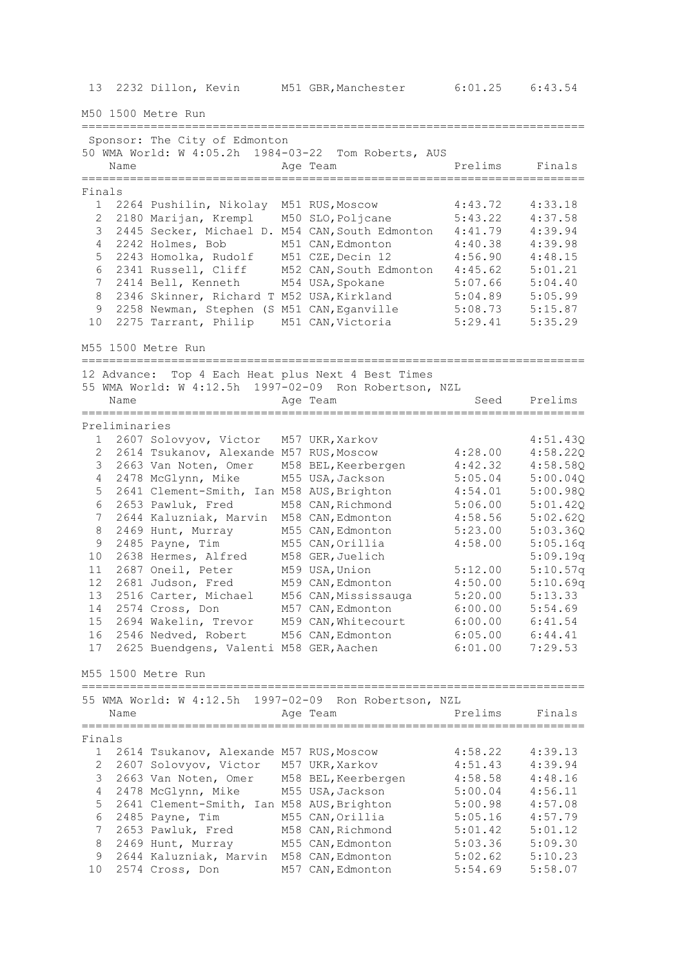13 2232 Dillon, Kevin M51 GBR,Manchester 6:01.25 6:43.54

M50 1500 Metre Run

========================================================================= Sponsor: The City of Edmonton 50 WMA World: W 4:05.2h 1984-03-22 Tom Roberts, AUS Name **Age Team** Prelims Finals ========================================================================= Finals 1 2264 Pushilin, Nikolay M51 RUS,Moscow 4:43.72 4:33.18 2 2180 Marijan, Krempl M50 SLO,Poljcane 5:43.22 4:37.58 3 2445 Secker, Michael D. M54 CAN,South Edmonton 4:41.79 4:39.94 4 2242 Holmes, Bob M51 CAN,Edmonton 4:40.38 4:39.98 5 2243 Homolka, Rudolf M51 CZE,Decin 12 4:56.90 4:48.15 6 2341 Russell, Cliff M52 CAN,South Edmonton 4:45.62 5:01.21 7 2414 Bell, Kenneth M54 USA,Spokane 5:07.66 5:04.40 8 2346 Skinner, Richard T M52 USA,Kirkland 5:04.89 5:05.99 9 2258 Newman, Stephen (S M51 CAN,Eganville 5:08.73 5:15.87 10 2275 Tarrant, Philip M51 CAN,Victoria 5:29.41 5:35.29 M55 1500 Metre Run ========================================================================= 12 Advance: Top 4 Each Heat plus Next 4 Best Times 55 WMA World: W 4:12.5h 1997-02-09 Ron Robertson, NZL Name Age Team Seed Prelims ========================================================================= Preliminaries 1 2607 Solovyov, Victor M57 UKR,Xarkov 4:51.43Q 2 2614 Tsukanov, Alexande M57 RUS,Moscow 4:28.00 4:58.22Q 3 2663 Van Noten, Omer M58 BEL,Keerbergen 4:42.32 4:58.58Q 4 2478 McGlynn, Mike M55 USA,Jackson 5:05.04 5:00.04Q 5 2641 Clement-Smith, Ian M58 AUS,Brighton 4:54.01 5:00.98Q 6 2653 Pawluk, Fred M58 CAN,Richmond 5:06.00 5:01.42Q 7 2644 Kaluzniak, Marvin M58 CAN,Edmonton 4:58.56 5:02.62Q 8 2469 Hunt, Murray M55 CAN,Edmonton 5:23.00 5:03.36Q 9 2485 Payne, Tim M55 CAN,Orillia 4:58.00 5:05.16q 10 2638 Hermes, Alfred M58 GER,Juelich 5:09.19q 11 2687 Oneil, Peter M59 USA,Union 5:12.00 5:10.57q 12 2681 Judson, Fred M59 CAN,Edmonton 4:50.00 5:10.69q 13 2516 Carter, Michael M56 CAN,Mississauga 5:20.00 5:13.33 14 2574 Cross, Don M57 CAN,Edmonton 6:00.00 5:54.69 15 2694 Wakelin, Trevor M59 CAN,Whitecourt 6:00.00 6:41.54 16 2546 Nedved, Robert M56 CAN,Edmonton 6:05.00 6:44.41 17 2625 Buendgens, Valenti M58 GER,Aachen 6:01.00 7:29.53 M55 1500 Metre Run ========================================================================= 55 WMA World: W 4:12.5h 1997-02-09 Ron Robertson, NZL Name **Age Team Age Team** Prelims Finals ========================================================================= Finals 1 2614 Tsukanov, Alexande M57 RUS,Moscow 4:58.22 4:39.13 2 2607 Solovyov, Victor M57 UKR,Xarkov 4:51.43 4:39.94 3 2663 Van Noten, Omer M58 BEL,Keerbergen 4:58.58 4:48.16 4 2478 McGlynn, Mike M55 USA,Jackson 5:00.04 4:56.11 5 2641 Clement-Smith, Ian M58 AUS,Brighton 5:00.98 4:57.08 6 2485 Payne, Tim M55 CAN,Orillia 5:05.16 4:57.79 7 2653 Pawluk, Fred M58 CAN,Richmond 5:01.42 5:01.12 8 2469 Hunt, Murray M55 CAN,Edmonton 5:03.36 5:09.30 9 2644 Kaluzniak, Marvin M58 CAN,Edmonton 5:02.62 5:10.23 10 2574 Cross, Don M57 CAN,Edmonton 5:54.69 5:58.07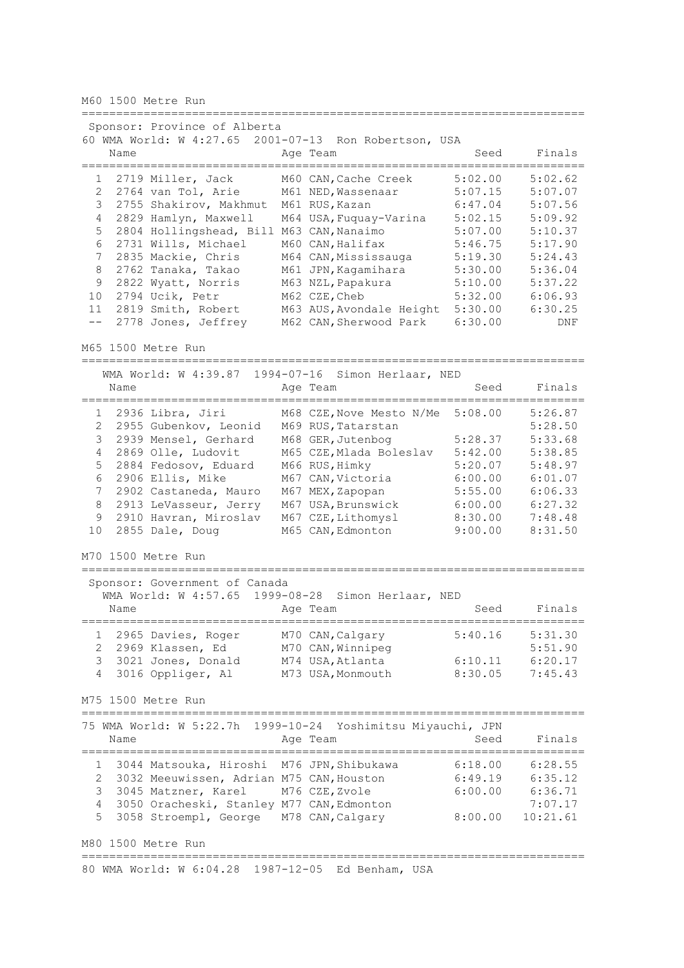M60 1500 Metre Run

========================================================================= Sponsor: Province of Alberta 60 WMA World: W 4:27.65 2001-07-13 Ron Robertson, USA Name **Age Team** Age Team Seed Finals ========================================================================= 1 2719 Miller, Jack M60 CAN, Cache Creek 5:02.00 5:02.62<br>2 2764 van Tol, Arie M61 NED, Wassenaar 5:07.15 5:07.07<br>3 2755 Shakirov, Makhmut M61 RUS, Kazan 6:47.04 5:07.56 2 2764 van Tol, Arie M61 NED,Wassenaar 5:07.15 5:07.07 3 2755 Shakirov, Makhmut M61 RUS,Kazan 6:47.04 5:07.56 4 2829 Hamlyn, Maxwell M64 USA,Fuquay-Varina 5:02.15 5:09.92 5 2804 Hollingshead, Bill M63 CAN,Nanaimo 5:07.00 5:10.37 6 2731 Wills, Michael M60 CAN,Halifax 5:46.75 5:17.90 7 2835 Mackie, Chris M64 CAN,Mississauga 5:19.30 5:24.43 8 2762 Tanaka, Takao M61 JPN,Kagamihara 5:30.00 5:36.04 9 2822 Wyatt, Norris M63 NZL,Papakura 5:10.00 5:37.22 10 2794 Ucik, Petr M62 CZE,Cheb 5:32.00 6:06.93 11 2819 Smith, Robert M63 AUS,Avondale Height 5:30.00 6:30.25 -- 2778 Jones, Jeffrey M62 CAN,Sherwood Park 6:30.00 DNF M65 1500 Metre Run ========================================================================= WMA World: W 4:39.87 1994-07-16 Simon Herlaar, NED Name **Age Team** Age Team Seed Finals ========================================================================= 1 2936 Libra, Jiri M68 CZE,Nove Mesto N/Me 5:08.00 5:26.87 2 2955 Gubenkov, Leonid M69 RUS,Tatarstan 5:28.50 3 2939 Mensel, Gerhard M68 GER,Jutenbog 5:28.37 5:33.68 4 2869 Olle, Ludovit M65 CZE,Mlada Boleslav 5:42.00 5:38.85 5 2884 Fedosov, Eduard M66 RUS,Himky 5:20.07 5:48.97 6 2906 Ellis, Mike M67 CAN,Victoria 6:00.00 6:01.07 7 2902 Castaneda, Mauro M67 MEX,Zapopan 5:55.00 6:06.33 8 2913 LeVasseur, Jerry M67 USA,Brunswick 6:00.00 6:27.32 9 2910 Havran, Miroslav M67 CZE,Lithomysl 8:30.00 7:48.48 10 2855 Dale, Doug M65 CAN,Edmonton 9:00.00 8:31.50 M70 1500 Metre Run ========================================================================= Sponsor: Government of Canada WMA World: W 4:57.65 1999-08-28 Simon Herlaar, NED Name **Age Team** Age Team Seed Finals ========================================================================= 1 2965 Davies, Roger M70 CAN,Calgary 5:40.16 5:31.30 2 2969 Klassen, Ed M70 CAN, Winnipeg  $5:51.90$  3 3021 Jones, Donald M74 USA,Atlanta 6:10.11 6:20.17 4 3016 Oppliger, Al M73 USA,Monmouth 8:30.05 7:45.43 M75 1500 Metre Run ========================================================================= 75 WMA World: W 5:22.7h 1999-10-24 Yoshimitsu Miyauchi, JPN Name **Age Team** Age Team Seed Finals ========================================================================= 1 3044 Matsouka, Hiroshi M76 JPN,Shibukawa 6:18.00 6:28.55 2 3032 Meeuwissen, Adrian M75 CAN,Houston 6:49.19 6:35.12 3 3045 Matzner, Karel M76 CZE,Zvole 6:00.00 6:36.71 4 3050 Oracheski, Stanley M77 CAN, Edmonton 7:07.17 5 3058 Stroempl, George M78 CAN,Calgary 8:00.00 10:21.61 M80 1500 Metre Run ========================================================================= 80 WMA World: W 6:04.28 1987-12-05 Ed Benham, USA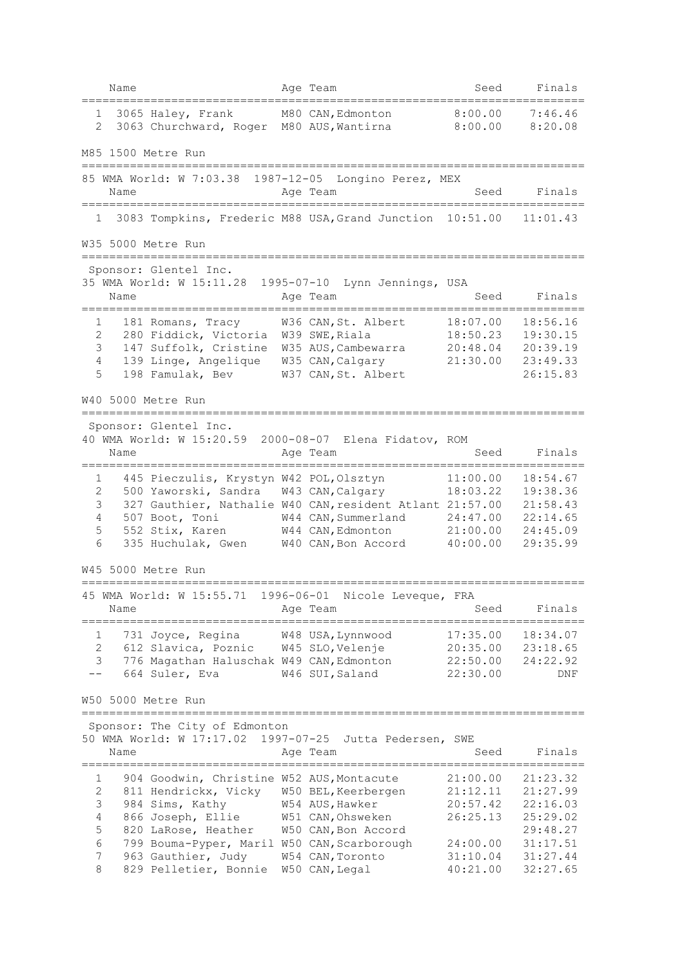|                | Name |                                                                   |            | Age Team                                                          | Seed                 | Finals               |
|----------------|------|-------------------------------------------------------------------|------------|-------------------------------------------------------------------|----------------------|----------------------|
| 1<br>2         |      | 3065 Haley, Frank<br>3063 Churchward, Roger                       |            | M80 CAN, Edmonton<br>M80 AUS, Wantirna                            | 8:00.00<br>8:00.00   | 7:46.46<br>8:20.08   |
|                |      | M85 1500 Metre Run                                                |            |                                                                   |                      |                      |
|                | Name | =======================                                           |            | 85 WMA World: W 7:03.38 1987-12-05 Longino Perez, MEX<br>Age Team | Seed                 | Finals               |
| 1              |      |                                                                   |            | 3083 Tompkins, Frederic M88 USA, Grand Junction                   | 10:51.00             | 11:01.43             |
|                |      | W35 5000 Metre Run                                                |            |                                                                   |                      |                      |
|                |      | Sponsor: Glentel Inc.                                             |            |                                                                   |                      |                      |
|                | Name | 35 WMA World: W 15:11.28                                          |            | 1995-07-10 Lynn Jennings, USA<br>Aqe Team                         | Seed                 | Finals               |
| 1              |      | 181 Romans, Tracy                                                 |            | W36 CAN, St. Albert                                               | 18:07.00             | 18:56.16             |
| 2              |      | 280 Fiddick, Victoria                                             |            | W39 SWE, Riala                                                    | 18:50.23             | 19:30.15             |
| 3              |      | 147 Suffolk, Cristine                                             |            | W35 AUS, Cambewarra                                               | 20:48.04             | 20:39.19             |
| 4              |      | 139 Linge, Angelique                                              |            | W35 CAN, Calgary                                                  | 21:30.00             | 23:49.33             |
| 5              |      | 198 Famulak, Bev                                                  |            | W37 CAN, St. Albert                                               |                      | 26:15.83             |
|                |      | W40 5000 Metre Run<br>=======================                     |            |                                                                   |                      |                      |
|                |      | Sponsor: Glentel Inc.                                             |            |                                                                   |                      |                      |
|                |      | 40 WMA World: W 15:20.59                                          |            | 2000-08-07 Elena Fidatov, ROM                                     |                      |                      |
|                | Name |                                                                   |            | Aqe Team                                                          | Seed                 | Finals               |
| 1              |      | 445 Pieczulis, Krystyn W42 POL, Olsztyn                           |            |                                                                   | 11:00.00             | 18:54.67             |
| 2              |      | 500 Yaworski, Sandra                                              |            | W43 CAN, Calgary                                                  | 18:03.22             | 19:38.36             |
| 3              |      |                                                                   |            | 327 Gauthier, Nathalie W40 CAN, resident Atlant 21:57.00          |                      | 21:58.43             |
| 4              |      | 507 Boot, Toni                                                    |            | W44 CAN, Summerland                                               | 24:47.00             | 22:14.65             |
| 5              |      | 552 Stix, Karen                                                   |            | W44 CAN, Edmonton                                                 | 21:00.00             | 24:45.09             |
| 6              |      | 335 Huchulak, Gwen                                                |            | W40 CAN, Bon Accord                                               | 40:00.00             | 29:35.99             |
|                |      | W45 5000 Metre Run                                                |            |                                                                   |                      |                      |
|                |      | 45 WMA World: W 15:55.71                                          | 1996-06-01 | Nicole Leveque, FRA                                               |                      |                      |
|                | Name |                                                                   |            | Age Team                                                          | Seed                 | Finals               |
| 1              |      | 731 Joyce, Regina                                                 |            | W48 USA, Lynnwood                                                 | 17:35.00             | 18:34.07             |
| $\overline{2}$ |      | 612 Slavica, Poznic                                               |            | W45 SLO, Velenje                                                  | 20:35.00             | 23:18.65             |
| 3              |      | 776 Magathan Haluschak W49 CAN, Edmonton                          |            |                                                                   | 22:50.00             | 24:22.92             |
|                |      | 664 Suler, Eva                                                    |            | W46 SUI, Saland                                                   | 22:30.00             | DNF                  |
|                |      | W50 5000 Metre Run                                                |            |                                                                   |                      |                      |
|                |      | Sponsor: The City of Edmonton                                     |            |                                                                   |                      |                      |
|                |      | 50 WMA World: W 17:17.02                                          |            | 1997-07-25<br>Jutta Pedersen, SWE                                 |                      |                      |
|                | Name |                                                                   |            | Age Team                                                          | Seed                 | Finals               |
| 1              |      | 904 Goodwin, Christine W52 AUS, Montacute                         |            |                                                                   | 21:00.00             | 21:23.32             |
| 2              |      | 811 Hendrickx, Vicky                                              |            | W50 BEL, Keerbergen                                               | 21:12.11             | 21:27.99             |
| 3              |      | 984 Sims, Kathy                                                   |            | W54 AUS, Hawker                                                   | 20:57.42             | 22:16.03             |
| 4              |      | 866 Joseph, Ellie                                                 |            | W51 CAN, Ohsweken                                                 | 26:25.13             | 25:29.02             |
| 5              |      | 820 LaRose, Heather                                               |            | W50 CAN, Bon Accord                                               |                      | 29:48.27             |
| 6<br>7         |      | 799 Bouma-Pyper, Maril W50 CAN, Scarborough<br>963 Gauthier, Judy |            | W54 CAN, Toronto                                                  | 24:00.00             | 31:17.51             |
| 8              |      | 829 Pelletier, Bonnie                                             |            | W50 CAN, Legal                                                    | 31:10.04<br>40:21.00 | 31:27.44<br>32:27.65 |
|                |      |                                                                   |            |                                                                   |                      |                      |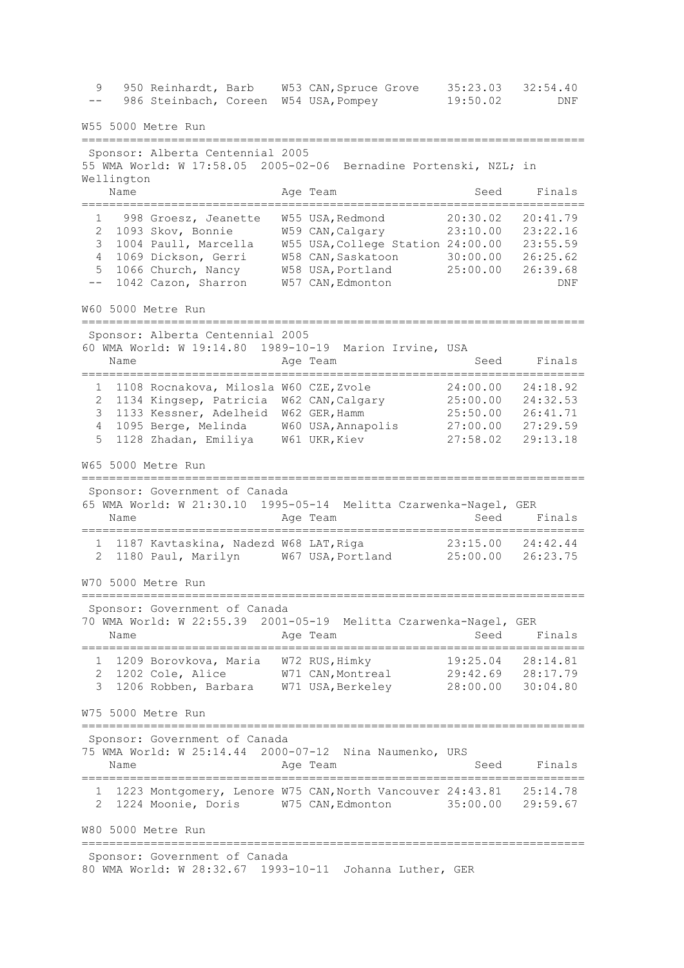9 950 Reinhardt, Barb W53 CAN,Spruce Grove 35:23.03 32:54.40 -- 986 Steinbach, Coreen W54 USA,Pompey 19:50.02 DNF W55 5000 Metre Run ========================================================================= Sponsor: Alberta Centennial 2005 55 WMA World: W 17:58.05 2005-02-06 Bernadine Portenski, NZL; in Wellington Name **Age Team** Age Team Seed Finals ========================================================================= 1 998 Groesz, Jeanette W55 USA,Redmond 20:30.02 20:41.79 2 1093 Skov, Bonnie W59 CAN,Calgary 23:10.00 23:22.16 3 1004 Paull, Marcella W55 USA,College Station 24:00.00 23:55.59 4 1069 Dickson, Gerri W58 CAN,Saskatoon 30:00.00 26:25.62 5 1066 Church, Nancy W58 USA,Portland 25:00.00 26:39.68 -- 1042 Cazon, Sharron W57 CAN, Edmonton DNF W60 5000 Metre Run ========================================================================= Sponsor: Alberta Centennial 2005 60 WMA World: W 19:14.80 1989-10-19 Marion Irvine, USA Name **Age Team** Age Team Seed Finals ========================================================================= 1 1108 Rocnakova, Milosla W60 CZE,Zvole 24:00.00 24:18.92 2 1134 Kingsep, Patricia W62 CAN,Calgary 25:00.00 24:32.53 3 1133 Kessner, Adelheid W62 GER,Hamm 25:50.00 26:41.71 4 1095 Berge, Melinda W60 USA,Annapolis 27:00.00 27:29.59 5 1128 Zhadan, Emiliya W61 UKR,Kiev 27:58.02 29:13.18 W65 5000 Metre Run ========================================================================= Sponsor: Government of Canada 65 WMA World: W 21:30.10 1995-05-14 Melitta Czarwenka-Nagel, GER Name **Age Team** Age Team Seed Finals ========================================================================= 1 1187 Kavtaskina, Nadezd W68 LAT,Riga 23:15.00 24:42.44 2 1180 Paul, Marilyn W67 USA,Portland 25:00.00 26:23.75 W70 5000 Metre Run ========================================================================= Sponsor: Government of Canada 70 WMA World: W 22:55.39 2001-05-19 Melitta Czarwenka-Nagel, GER Name **Age Team** Age Team Seed Finals ========================================================================= 1 1209 Borovkova, Maria W72 RUS,Himky 19:25.04 28:14.81 2 1202 Cole, Alice W71 CAN,Montreal 29:42.69 28:17.79 3 1206 Robben, Barbara W71 USA,Berkeley 28:00.00 30:04.80 W75 5000 Metre Run ========================================================================= Sponsor: Government of Canada 75 WMA World: W 25:14.44 2000-07-12 Nina Naumenko, URS Name **Age Team** Age Team Seed Finals ========================================================================= 1 1223 Montgomery, Lenore W75 CAN,North Vancouver 24:43.81 25:14.78 2 1224 Moonie, Doris W75 CAN,Edmonton 35:00.00 29:59.67 W80 5000 Metre Run ========================================================================= Sponsor: Government of Canada 80 WMA World: W 28:32.67 1993-10-11 Johanna Luther, GER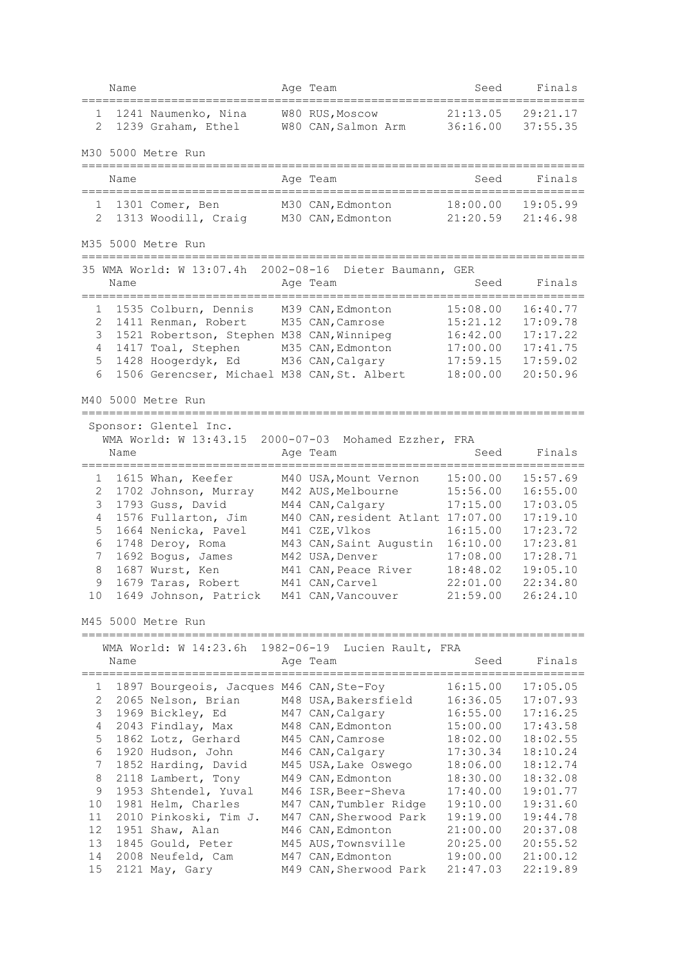|                     | Name |                                             |                  | Age Team                               | Seed                 | Finals               |
|---------------------|------|---------------------------------------------|------------------|----------------------------------------|----------------------|----------------------|
| 1<br>2              |      | 1241 Naumenko, Nina<br>1239 Graham, Ethel   |                  | W80 RUS, Moscow<br>W80 CAN, Salmon Arm | 21:13.05<br>36:16.00 | 29:21.17<br>37:55.35 |
|                     |      | M30 5000 Metre Run                          |                  |                                        |                      |                      |
|                     | Name |                                             |                  | Age Team                               | Seed                 | Finals               |
| 1<br>$\overline{2}$ |      | 1301 Comer, Ben<br>1313 Woodill, Craig      |                  | M30 CAN, Edmonton<br>M30 CAN, Edmonton | 18:00.00<br>21:20.59 | 19:05.99<br>21:46.98 |
|                     |      | M35 5000 Metre Run                          |                  |                                        |                      |                      |
|                     |      | 35 WMA World: W 13:07.4h                    | $2002 - 08 - 16$ | Dieter Baumann, GER                    |                      |                      |
|                     | Name |                                             |                  | Age Team                               | Seed                 | Finals               |
| 1                   |      | 1535 Colburn, Dennis                        |                  | M39 CAN, Edmonton                      | 15:08.00             | 16:40.77             |
| 2                   |      | 1411 Renman, Robert                         |                  | M35 CAN, Camrose                       | 15:21.12             | 17:09.78             |
| 3                   |      | 1521 Robertson, Stephen M38 CAN, Winnipeg   |                  |                                        | 16:42.00             | 17:17.22             |
| 4                   |      | 1417 Toal, Stephen                          |                  | M35 CAN, Edmonton                      | 17:00.00             | 17:41.75             |
| 5                   |      | 1428 Hoogerdyk, Ed M36 CAN, Calgary         |                  |                                        | 17:59.15             | 17:59.02             |
| 6                   |      | 1506 Gerencser, Michael M38 CAN, St. Albert |                  |                                        | 18:00.00             | 20:50.96             |
|                     |      | M40 5000 Metre Run                          |                  |                                        |                      |                      |
|                     |      | Sponsor: Glentel Inc.                       |                  |                                        |                      |                      |
|                     |      | WMA World: W 13:43.15                       |                  | 2000-07-03 Mohamed Ezzher, FRA         |                      |                      |
|                     | Name |                                             |                  | Aqe Team                               | Seed                 | Finals               |
|                     |      | =====================                       |                  | ;========================              |                      | ==================   |
| 1                   |      | 1615 Whan, Keefer                           |                  | M40 USA, Mount Vernon                  | 15:00.00             | 15:57.69             |
| 2                   |      | 1702 Johnson, Murray                        |                  | M42 AUS, Melbourne                     | 15:56.00             | 16:55.00             |
| 3                   |      | 1793 Guss, David                            |                  | M44 CAN, Calgary                       | 17:15.00             | 17:03.05             |
| 4                   |      | 1576 Fullarton, Jim                         |                  | M40 CAN, resident Atlant 17:07.00      |                      | 17:19.10             |
| 5                   |      | 1664 Nenicka, Pavel                         |                  | M41 CZE, Vlkos                         | 16:15.00             | 17:23.72             |
| 6                   |      | 1748 Deroy, Roma                            |                  | M43 CAN, Saint Augustin                | 16:10.00             | 17:23.81             |
| 7                   |      | 1692 Bogus, James                           |                  | M42 USA, Denver                        | 17:08.00             | 17:28.71             |
| 8                   |      | 1687 Wurst, Ken                             |                  | M41 CAN, Peace River                   | 18:48.02             | 19:05.10             |
| 9                   |      | 1679 Taras, Robert                          |                  | M41 CAN, Carvel                        | 22:01.00             | 22:34.80             |
| 10                  |      | 1649 Johnson, Patrick                       |                  | M41 CAN, Vancouver                     | 21:59.00             | 26:24.10             |
|                     |      |                                             |                  |                                        |                      |                      |
|                     |      | M45 5000 Metre Run                          |                  |                                        |                      |                      |
|                     |      | WMA World: W 14:23.6h                       |                  | 1982-06-19 Lucien Rault, FRA           |                      |                      |
|                     | Name |                                             |                  | Age Team                               | Seed                 | Finals               |
| 1                   |      | 1897 Bourgeois, Jacques M46 CAN, Ste-Foy    |                  |                                        | 16:15.00             | 17:05.05             |
| 2                   |      | 2065 Nelson, Brian                          |                  | M48 USA, Bakersfield                   | 16:36.05             | 17:07.93             |
| 3                   |      | 1969 Bickley, Ed                            |                  | M47 CAN, Calgary                       | 16:55.00             | 17:16.25             |
| 4                   |      | 2043 Findlay, Max                           |                  | M48 CAN, Edmonton                      | 15:00.00             | 17:43.58             |
| 5                   |      | 1862 Lotz, Gerhard                          |                  | M45 CAN, Camrose                       | 18:02.00             | 18:02.55             |
| 6                   |      | 1920 Hudson, John                           |                  | M46 CAN, Calgary                       | 17:30.34             | 18:10.24             |
| 7                   |      | 1852 Harding, David                         |                  | M45 USA, Lake Oswego                   | 18:06.00             | 18:12.74             |
| 8                   |      | 2118 Lambert, Tony                          |                  | M49 CAN, Edmonton                      | 18:30.00             | 18:32.08             |
| 9                   |      | 1953 Shtendel, Yuval                        |                  | M46 ISR, Beer-Sheva                    | 17:40.00             | 19:01.77             |
| 10                  |      | 1981 Helm, Charles                          |                  | M47 CAN, Tumbler Ridge                 | 19:10.00             | 19:31.60             |
| 11                  |      | 2010 Pinkoski, Tim J.                       |                  | M47 CAN, Sherwood Park                 | 19:19.00             | 19:44.78             |
| 12                  |      | 1951 Shaw, Alan                             |                  | M46 CAN, Edmonton                      | 21:00.00             | 20:37.08             |
| 13                  |      | 1845 Gould, Peter                           |                  | M45 AUS, Townsville                    | 20:25.00             | 20:55.52             |
| 14                  |      | 2008 Neufeld, Cam                           |                  | M47 CAN, Edmonton                      | 19:00.00             | 21:00.12             |
| 15                  |      | 2121 May, Gary                              |                  | M49 CAN, Sherwood Park                 | 21:47.03             | 22:19.89             |
|                     |      |                                             |                  |                                        |                      |                      |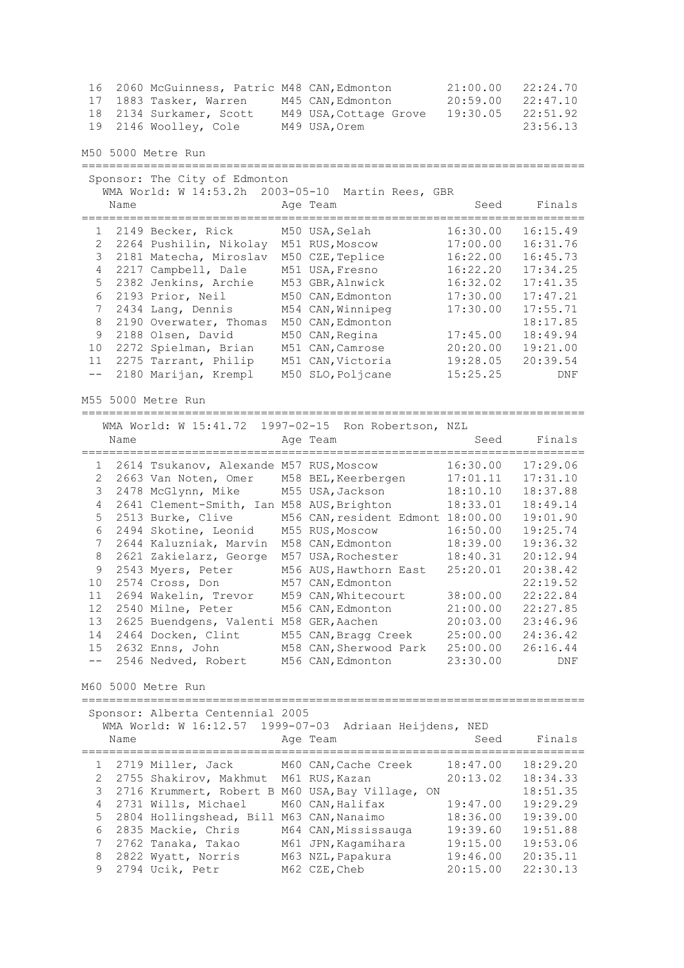16 2060 McGuinness, Patric M48 CAN,Edmonton 21:00.00 22:24.70 17 1883 Tasker, Warren M45 CAN,Edmonton 20:59.00 22:47.10 18 2134 Surkamer, Scott M49 USA,Cottage Grove 19:30.05 22:51.92 19 2146 Woolley, Cole M49 USA,Orem 23:56.13 M50 5000 Metre Run ========================================================================= Sponsor: The City of Edmonton WMA World: W 14:53.2h 2003-05-10 Martin Rees, GBR Name **Age Team** Age Team Seed Finals ========================================================================= 1 2149 Becker, Rick M50 USA,Selah 16:30.00 16:15.49 2 2264 Pushilin, Nikolay M51 RUS,Moscow 17:00.00 16:31.76 3 2181 Matecha, Miroslav M50 CZE,Teplice 16:22.00 16:45.73 4 2217 Campbell, Dale M51 USA,Fresno 16:22.20 17:34.25 5 2382 Jenkins, Archie M53 GBR,Alnwick 16:32.02 17:41.35 6 2193 Prior, Neil M50 CAN,Edmonton 17:30.00 17:47.21 7 2434 Lang, Dennis M54 CAN,Winnipeg 17:30.00 17:55.71 8 2190 Overwater, Thomas M50 CAN, Edmonton 18:17.85 9 2188 Olsen, David M50 CAN,Regina 17:45.00 18:49.94 10 2272 Spielman, Brian M51 CAN,Camrose 20:20.00 19:21.00 11 2275 Tarrant, Philip M51 CAN,Victoria 19:28.05 20:39.54 -- 2180 Marijan, Krempl M50 SLO,Poljcane 15:25.25 DNF M55 5000 Metre Run ========================================================================= WMA World: W 15:41.72 1997-02-15 Ron Robertson, NZL Name **Age Team** Age Team Seed Finals ========================================================================= 1 2614 Tsukanov, Alexande M57 RUS,Moscow 16:30.00 17:29.06 2 2663 Van Noten, Omer M58 BEL,Keerbergen 17:01.11 17:31.10 3 2478 McGlynn, Mike M55 USA,Jackson 18:10.10 18:37.88 4 2641 Clement-Smith, Ian M58 AUS,Brighton 18:33.01 18:49.14 5 2513 Burke, Clive M56 CAN,resident Edmont 18:00.00 19:01.90 6 2494 Skotine, Leonid M55 RUS,Moscow 16:50.00 19:25.74 7 2644 Kaluzniak, Marvin M58 CAN,Edmonton 18:39.00 19:36.32 8 2621 Zakielarz, George M57 USA,Rochester 18:40.31 20:12.94 9 2543 Myers, Peter M56 AUS,Hawthorn East 25:20.01 20:38.42 10 2574 Cross, Don M57 CAN,Edmonton 22:19.52 11 2694 Wakelin, Trevor M59 CAN,Whitecourt 38:00.00 22:22.84 12 2540 Milne, Peter M56 CAN,Edmonton 21:00.00 22:27.85 13 2625 Buendgens, Valenti M58 GER,Aachen 20:03.00 23:46.96 14 2464 Docken, Clint M55 CAN,Bragg Creek 25:00.00 24:36.42 15 2632 Enns, John M58 CAN,Sherwood Park 25:00.00 26:16.44 -- 2546 Nedved, Robert M56 CAN,Edmonton 23:30.00 DNF M60 5000 Metre Run ========================================================================= Sponsor: Alberta Centennial 2005 WMA World: W 16:12.57 1999-07-03 Adriaan Heijdens, NED Name **Age Team** Age Team Seed Finals ========================================================================= 1 2719 Miller, Jack M60 CAN,Cache Creek 18:47.00 18:29.20 2 2755 Shakirov, Makhmut M61 RUS,Kazan 20:13.02 18:34.33 3 2716 Krummert, Robert B M60 USA,Bay Village, ON 18:51.35 4 2731 Wills, Michael M60 CAN,Halifax 19:47.00 19:29.29 5 2804 Hollingshead, Bill M63 CAN,Nanaimo 18:36.00 19:39.00 6 2835 Mackie, Chris M64 CAN,Mississauga 19:39.60 19:51.88 7 2762 Tanaka, Takao M61 JPN,Kagamihara 19:15.00 19:53.06 8 2822 Wyatt, Norris M63 NZL,Papakura 19:46.00 20:35.11

9 2794 Ucik, Petr M62 CZE,Cheb 20:15.00 22:30.13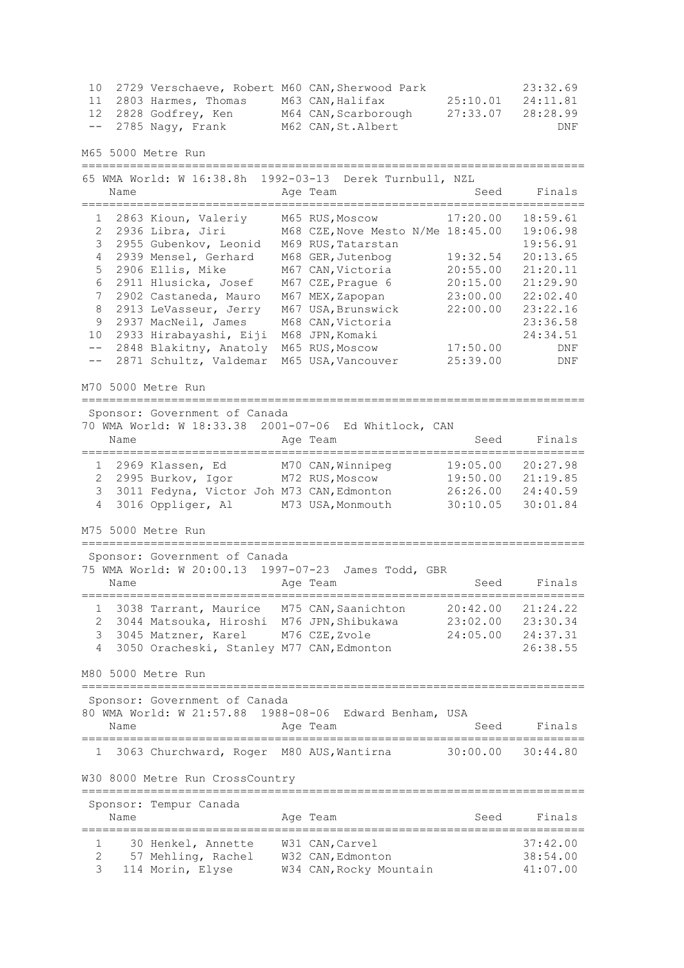|  | 10 2729 Verschaeve, Robert M60 CAN, Sherwood Park |                      |          | 23:32.69 |
|--|---------------------------------------------------|----------------------|----------|----------|
|  | 11 2803 Harmes, Thomas                            | M63 CAN,Halifax      | 25:10.01 | 24:11.81 |
|  | 12 2828 Godfrey, Ken                              | M64 CAN, Scarborough | 27:33.07 | 28:28.99 |
|  | $--$ 2785 Nagy, Frank                             | M62 CAN, St. Albert  |          | DNF      |

M65 5000 Metre Run

=========================================================================

|       | Name           | 65 WMA World: W 16:38.8h                               | 1992-03-13 Derek Turnbull, NZL<br>Age Team             | Seed     | Finals   |
|-------|----------------|--------------------------------------------------------|--------------------------------------------------------|----------|----------|
|       |                |                                                        |                                                        |          |          |
|       | $1 \quad$      | 2863 Kioun, Valeriy                                    | M65 RUS, Moscow                                        | 17:20.00 | 18:59.61 |
| 2     |                | 2936 Libra, Jiri                                       | M68 CZE, Nove Mesto N/Me 18:45.00                      |          | 19:06.98 |
| 3     |                | 2955 Gubenkov, Leonid                                  | M69 RUS, Tatarstan                                     |          | 19:56.91 |
| 4     |                | 2939 Mensel, Gerhard                                   | M68 GER, Jutenbog                                      | 19:32.54 | 20:13.65 |
| 5     |                | 2906 Ellis, Mike                                       | M67 CAN, Victoria                                      | 20:55.00 | 21:20.11 |
| 6     |                | 2911 Hlusicka, Josef                                   | M67 CZE, Prague 6                                      | 20:15.00 | 21:29.90 |
| 7     |                | 2902 Castaneda, Mauro                                  | M67 MEX, Zapopan                                       | 23:00.00 | 22:02.40 |
| 8     |                | 2913 LeVasseur, Jerry                                  | M67 USA, Brunswick                                     | 22:00.00 | 23:22.16 |
| 9     |                | 2937 MacNeil, James                                    | M68 CAN, Victoria                                      |          | 23:36.58 |
| 10    |                | 2933 Hirabayashi, Eiji                                 | M68 JPN, Komaki                                        |          | 24:34.51 |
| $ -$  |                | 2848 Blakitny, Anatoly                                 | M65 RUS, Moscow                                        | 17:50.00 | DNF      |
| $- -$ |                | 2871 Schultz, Valdemar                                 | M65 USA, Vancouver                                     | 25:39.00 | DNF      |
|       |                | M70 5000 Metre Run<br>================================ |                                                        |          |          |
|       |                | Sponsor: Government of Canada                          |                                                        |          |          |
|       |                |                                                        | 70 WMA World: W 18:33.38 2001-07-06 Ed Whitlock, CAN   |          |          |
|       | Name           |                                                        | Age Team                                               | Seed     | Finals   |
|       |                |                                                        |                                                        |          |          |
|       |                | 1 2969 Klassen, Ed                                     | M70 CAN, Winnipeg                                      | 19:05.00 | 20:27.98 |
|       | $\mathbf{2}^-$ | 2995 Burkov, Igor M72 RUS, Moscow                      |                                                        | 19:50.00 | 21:19.85 |
| 3     |                | 3011 Fedyna, Victor Joh M73 CAN, Edmonton              |                                                        | 26:26.00 | 24:40.59 |
| 4     |                | 3016 Oppliger, Al                                      | M73 USA, Monmouth                                      | 30:10.05 | 30:01.84 |
|       |                | M75 5000 Metre Run                                     |                                                        |          |          |
|       |                | Sponsor: Government of Canada                          |                                                        |          |          |
|       |                |                                                        | 75 WMA World: W 20:00.13 1997-07-23 James Todd, GBR    |          |          |
|       | Name           |                                                        | Age Team                                               | Seed     | Finals   |
|       |                |                                                        |                                                        |          |          |
|       | $\mathbf{1}$   |                                                        | 3038 Tarrant, Maurice M75 CAN, Saanichton              | 20:42.00 | 21:24.22 |
| 2     |                | 3044 Matsouka, Hiroshi M76 JPN, Shibukawa              |                                                        | 23:02.00 | 23:30.34 |
| 3     |                | 3045 Matzner, Karel                                    | M76 CZE, Zvole                                         | 24:05.00 | 24:37.31 |
| 4     |                | 3050 Oracheski, Stanley M77 CAN, Edmonton              |                                                        |          | 26:38.55 |
|       |                |                                                        |                                                        |          |          |
|       |                | M80 5000 Metre Run                                     |                                                        |          |          |
|       |                | Sponsor: Government of Canada                          |                                                        |          |          |
|       |                |                                                        | 80 WMA World: W 21:57.88 1988-08-06 Edward Benham, USA |          |          |
|       | Name           |                                                        | Age Team                                               | Seed     | Finals   |
|       |                |                                                        |                                                        |          |          |
|       |                | 3063 Churchward, Roger                                 | M80 AUS, Wantirna                                      | 30:00.00 | 30:44.80 |
|       |                | W30 8000 Metre Run CrossCountry                        |                                                        |          |          |
|       |                |                                                        |                                                        |          |          |
|       |                | Sponsor: Tempur Canada                                 |                                                        |          |          |
|       | Name           |                                                        | Age Team                                               | Seed     | Finals   |
|       |                |                                                        |                                                        |          |          |
| 1     |                | 30 Henkel, Annette                                     | W31 CAN, Carvel                                        |          | 37:42.00 |
| 2     |                | 57 Mehling, Rachel                                     | W32 CAN, Edmonton                                      |          | 38:54.00 |
| 3     |                | 114 Morin, Elyse                                       | W34 CAN, Rocky Mountain                                |          | 41:07.00 |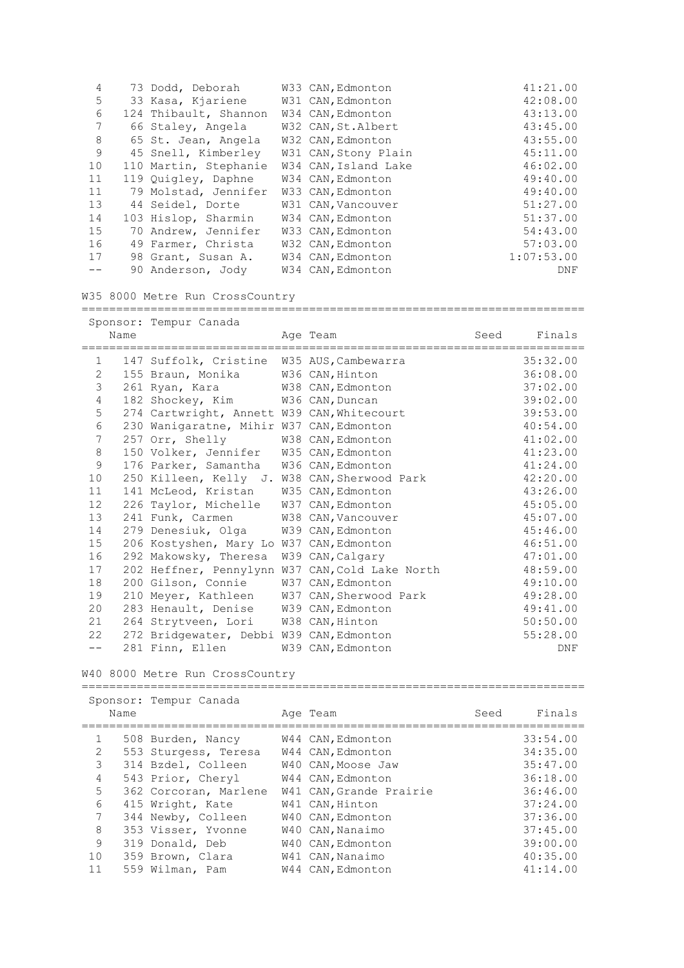| 4  | 73 Dodd, Deborah      | W33 CAN, Edmonton    | 41:21.00   |
|----|-----------------------|----------------------|------------|
| 5  | 33 Kasa, Kjariene     | W31 CAN, Edmonton    | 42:08.00   |
| 6  | 124 Thibault, Shannon | W34 CAN, Edmonton    | 43:13.00   |
| 7  | 66 Staley, Angela     | W32 CAN, St. Albert  | 43:45.00   |
| 8  | 65 St. Jean, Angela   | W32 CAN, Edmonton    | 43:55.00   |
| 9  | 45 Snell, Kimberley   | W31 CAN, Stony Plain | 45:11.00   |
| 10 | 110 Martin, Stephanie | W34 CAN, Island Lake | 46:02.00   |
| 11 | 119 Quigley, Daphne   | W34 CAN, Edmonton    | 49:40.00   |
| 11 | 79 Molstad, Jennifer  | W33 CAN, Edmonton    | 49:40.00   |
| 13 | 44 Seidel, Dorte      | W31 CAN, Vancouver   | 51:27.00   |
| 14 | 103 Hislop, Sharmin   | W34 CAN, Edmonton    | 51:37.00   |
| 15 | 70 Andrew, Jennifer   | W33 CAN, Edmonton    | 54:43.00   |
| 16 | 49 Farmer, Christa    | W32 CAN, Edmonton    | 57:03.00   |
| 17 | 98 Grant, Susan A.    | W34 CAN, Edmonton    | 1:07:53.00 |
|    | 90 Anderson, Jody     | W34 CAN, Edmonton    | DNF        |

W35 8000 Metre Run CrossCountry

========================================================================= Sponsor: Tempur Canada

|                | Name | $\frac{1}{2}$                                | Age Team<br>======================              | Seed | Finals     |
|----------------|------|----------------------------------------------|-------------------------------------------------|------|------------|
| 1              |      | 147 Suffolk, Cristine W35 AUS, Cambewarra    |                                                 |      | 35:32.00   |
| $\overline{2}$ |      | 155 Braun, Monika                            | W36 CAN, Hinton                                 |      | 36:08.00   |
| 3              |      | 261 Ryan, Kara                               | W38 CAN, Edmonton                               |      | 37:02.00   |
| $\overline{4}$ |      | 182 Shockey, Kim                             | W36 CAN, Duncan                                 |      | 39:02.00   |
| 5              |      | 274 Cartwright, Annett W39 CAN, Whitecourt   |                                                 |      | 39:53.00   |
| 6              |      | 230 Wanigaratne, Mihir W37 CAN, Edmonton     |                                                 |      | 40:54.00   |
| 7              |      | 257 Orr, Shelly                              | W38 CAN, Edmonton                               |      | 41:02.00   |
| 8              |      | 150 Volker, Jennifer                         | W35 CAN, Edmonton                               |      | 41:23.00   |
| 9              |      | 176 Parker, Samantha                         | W36 CAN, Edmonton                               |      | 41:24.00   |
| 10             |      | 250 Killeen, Kelly J. W38 CAN, Sherwood Park |                                                 |      | 42:20.00   |
| 11             |      | 141 McLeod, Kristan                          | W35 CAN, Edmonton                               |      | 43:26.00   |
| 12             |      | 226 Taylor, Michelle                         | W37 CAN, Edmonton                               |      | 45:05.00   |
| 13             |      | 241 Funk, Carmen                             | W38 CAN, Vancouver                              |      | 45:07.00   |
| 14             |      | 279 Denesiuk, Olga                           | W39 CAN, Edmonton                               |      | 45:46.00   |
| 15             |      | 206 Kostyshen, Mary Lo W37 CAN, Edmonton     |                                                 |      | 46:51.00   |
| 16             |      | 292 Makowsky, Theresa                        | W39 CAN, Calgary                                |      | 47:01.00   |
| 17             |      |                                              | 202 Heffner, Pennylynn W37 CAN, Cold Lake North |      | 48:59.00   |
| 18             |      | 200 Gilson, Connie                           | W37 CAN, Edmonton                               |      | 49:10.00   |
| 19             |      | 210 Meyer, Kathleen                          | W37 CAN, Sherwood Park                          |      | 49:28.00   |
| 20             |      | 283 Henault, Denise                          | W39 CAN, Edmonton                               |      | 49:41.00   |
| 21             |      | 264 Strytveen, Lori                          | W38 CAN, Hinton                                 |      | 50:50.00   |
| 22             |      | 272 Bridgewater, Debbi W39 CAN, Edmonton     |                                                 |      | 55:28.00   |
| $- -$          |      | 281 Finn, Ellen                              | W39 CAN, Edmonton                               |      | <b>DNF</b> |

W40 8000 Metre Run CrossCountry =========================================================================

|                 | Name | Sponsor: Tempur Canada | Age Team                | Seed | Finals   |
|-----------------|------|------------------------|-------------------------|------|----------|
|                 |      |                        |                         |      |          |
| $\mathbf{1}$    |      | 508 Burden, Nancy      | W44 CAN, Edmonton       |      | 33:54.00 |
| $\overline{2}$  |      | 553 Sturgess, Teresa   | W44 CAN, Edmonton       |      | 34:35.00 |
| 3               |      | 314 Bzdel, Colleen     | W40 CAN, Moose Jaw      |      | 35:47.00 |
| $\overline{4}$  |      | 543 Prior, Cheryl      | W44 CAN, Edmonton       |      | 36:18.00 |
| 5               |      | 362 Corcoran, Marlene  | W41 CAN, Grande Prairie |      | 36:46.00 |
| 6               |      | 415 Wright, Kate       | W41 CAN, Hinton         |      | 37:24.00 |
| $7\phantom{.0}$ |      | 344 Newby, Colleen     | W40 CAN, Edmonton       |      | 37:36.00 |
| 8               |      | 353 Visser, Yvonne     | W40 CAN, Nanaimo        |      | 37:45.00 |
| 9               |      | 319 Donald, Deb        | W40 CAN, Edmonton       |      | 39:00.00 |
| 10              |      | 359 Brown, Clara       | W41 CAN, Nanaimo        |      | 40:35.00 |
| 11              |      | 559 Wilman, Pam        | W44 CAN, Edmonton       |      | 41:14.00 |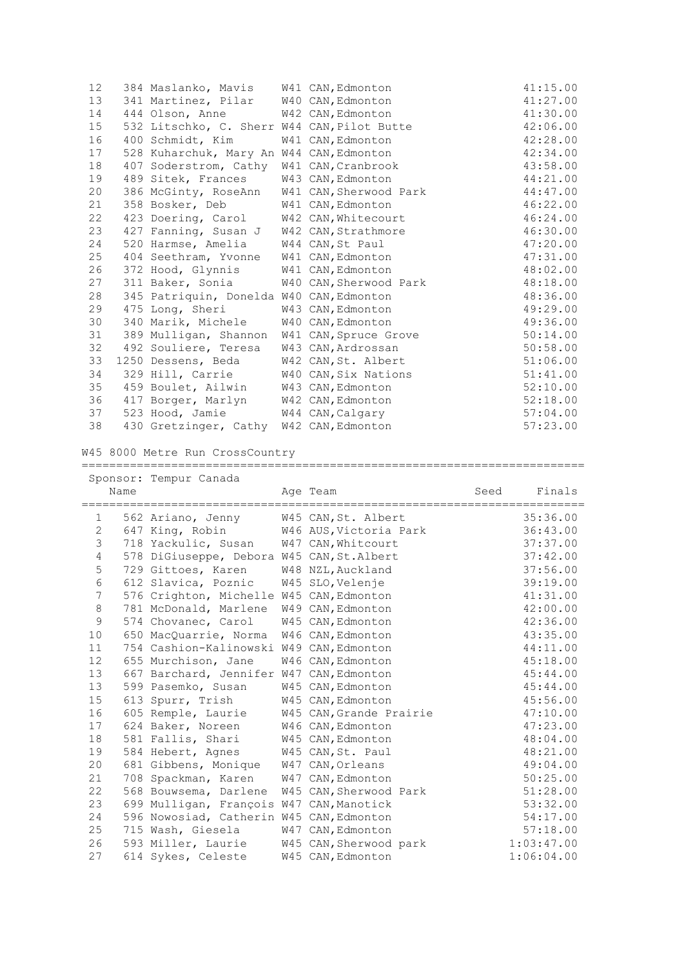| 12 | 384 Maslanko, Mavis W41 CAN, Edmonton       |                                             | 41:15.00 |
|----|---------------------------------------------|---------------------------------------------|----------|
| 13 | 341 Martinez, Pilar W40 CAN, Edmonton       |                                             | 41:27.00 |
| 14 | 444 Olson, Anne W42 CAN, Edmonton           |                                             | 41:30.00 |
| 15 | 532 Litschko, C. Sherr W44 CAN, Pilot Butte |                                             | 42:06.00 |
| 16 | 400 Schmidt, Kim                            | W41 CAN, Edmonton                           | 42:28.00 |
| 17 | 528 Kuharchuk, Mary An W44 CAN, Edmonton    |                                             | 42:34.00 |
| 18 | 407 Soderstrom, Cathy W41 CAN, Cranbrook    |                                             | 43:58.00 |
| 19 | 489 Sitek, Frances                          | W43 CAN, Edmonton                           | 44:21.00 |
| 20 |                                             | 386 McGinty, RoseAnn W41 CAN, Sherwood Park | 44:47.00 |
| 21 | 358 Bosker, Deb W41 CAN, Edmonton           |                                             | 46:22.00 |
| 22 | 423 Doering, Carol W42 CAN, Whitecourt      |                                             | 46:24.00 |
| 23 | 427 Fanning, Susan J W42 CAN, Strathmore    |                                             | 46:30.00 |
| 24 | 520 Harmse, Amelia                          | W44 CAN, St Paul                            | 47:20.00 |
| 25 | 404 Seethram, Yvonne W41 CAN, Edmonton      |                                             | 47:31.00 |
| 26 | 372 Hood, Glynnis W41 CAN, Edmonton         |                                             | 48:02.00 |
| 27 | 311 Baker, Sonia W40 CAN, Sherwood Park     |                                             | 48:18.00 |
| 28 | 345 Patriquin, Donelda W40 CAN, Edmonton    |                                             | 48:36.00 |
| 29 | 475 Long, Sheri                             | W43 CAN, Edmonton                           | 49:29.00 |
| 30 | 340 Marik, Michele W40 CAN, Edmonton        |                                             | 49:36.00 |
| 31 | 389 Mulligan, Shannon W41 CAN, Spruce Grove |                                             | 50:14.00 |
| 32 | 492 Souliere, Teresa                        | W43 CAN, Ardrossan                          | 50:58.00 |
| 33 | 1250 Dessens, Beda W42 CAN, St. Albert      |                                             | 51:06.00 |
| 34 | 329 Hill, Carrie W40 CAN, Six Nations       |                                             | 51:41.00 |
| 35 | 459 Boulet, Ailwin W43 CAN, Edmonton        |                                             | 52:10.00 |
| 36 | 417 Borger, Marlyn W42 CAN, Edmonton        |                                             | 52:18.00 |
| 37 | 523 Hood, Jamie W44 CAN, Calgary            |                                             | 57:04.00 |
| 38 | 430 Gretzinger, Cathy W42 CAN, Edmonton     |                                             | 57:23.00 |
|    |                                             |                                             |          |

W45 8000 Metre Run CrossCountry

|           |      | Sponsor: Tempur Canada                     |                         |      |            |
|-----------|------|--------------------------------------------|-------------------------|------|------------|
|           | Name |                                            | Age Team                | Seed | Finals     |
| $1 \quad$ |      | 562 Ariano, Jenny W45 CAN, St. Albert      |                         |      | 35:36.00   |
| 2         |      | 647 King, Robin W46 AUS, Victoria Park     |                         |      | 36:43.00   |
| 3         |      | 718 Yackulic, Susan W47 CAN, Whitcourt     |                         |      | 37:37.00   |
| 4         |      | 578 DiGiuseppe, Debora W45 CAN, St. Albert |                         |      | 37:42.00   |
| 5         |      | 729 Gittoes, Karen                         | W48 NZL, Auckland       |      | 37:56.00   |
| 6         |      | 612 Slavica, Poznic                        | W45 SLO, Velenje        |      | 39:19.00   |
| 7         |      | 576 Crighton, Michelle W45 CAN, Edmonton   |                         |      | 41:31.00   |
| 8         |      | 781 McDonald, Marlene                      | W49 CAN, Edmonton       |      | 42:00.00   |
| 9         |      | 574 Chovanec, Carol                        | W45 CAN, Edmonton       |      | 42:36.00   |
| 10        |      | 650 MacQuarrie, Norma                      | W46 CAN, Edmonton       |      | 43:35.00   |
| 11        |      | 754 Cashion-Kalinowski W49 CAN, Edmonton   |                         |      | 44:11.00   |
| 12        |      | 655 Murchison, Jane                        | W46 CAN, Edmonton       |      | 45:18.00   |
| 13        |      | 667 Barchard, Jennifer W47 CAN, Edmonton   |                         |      | 45:44.00   |
| 13        |      | 599 Pasemko, Susan                         | W45 CAN, Edmonton       |      | 45:44.00   |
| 15        |      | 613 Spurr, Trish                           | W45 CAN, Edmonton       |      | 45:56.00   |
| 16        |      | 605 Remple, Laurie                         | W45 CAN, Grande Prairie |      | 47:10.00   |
| 17        |      | 624 Baker, Noreen                          | W46 CAN, Edmonton       |      | 47:23.00   |
| 18        |      | 581 Fallis, Shari                          | W45 CAN, Edmonton       |      | 48:04.00   |
| 19        |      | 584 Hebert, Agnes W45 CAN, St. Paul        |                         |      | 48:21.00   |
| 20        |      | 681 Gibbens, Monique                       | W47 CAN, Orleans        |      | 49:04.00   |
| 21        |      | 708 Spackman, Karen                        | W47 CAN, Edmonton       |      | 50:25.00   |
| 22        |      | 568 Bouwsema, Darlene                      | W45 CAN, Sherwood Park  |      | 51:28.00   |
| 23        |      | 699 Mulligan, François W47 CAN, Manotick   |                         |      | 53:32.00   |
| 24        |      | 596 Nowosiad, Catherin W45 CAN, Edmonton   |                         |      | 54:17.00   |
| 25        |      | 715 Wash, Giesela                          | W47 CAN, Edmonton       |      | 57:18.00   |
| 26        |      | 593 Miller, Laurie                         | W45 CAN, Sherwood park  |      | 1:03:47.00 |
| 27        |      | 614 Sykes, Celeste                         | W45 CAN, Edmonton       |      | 1:06:04.00 |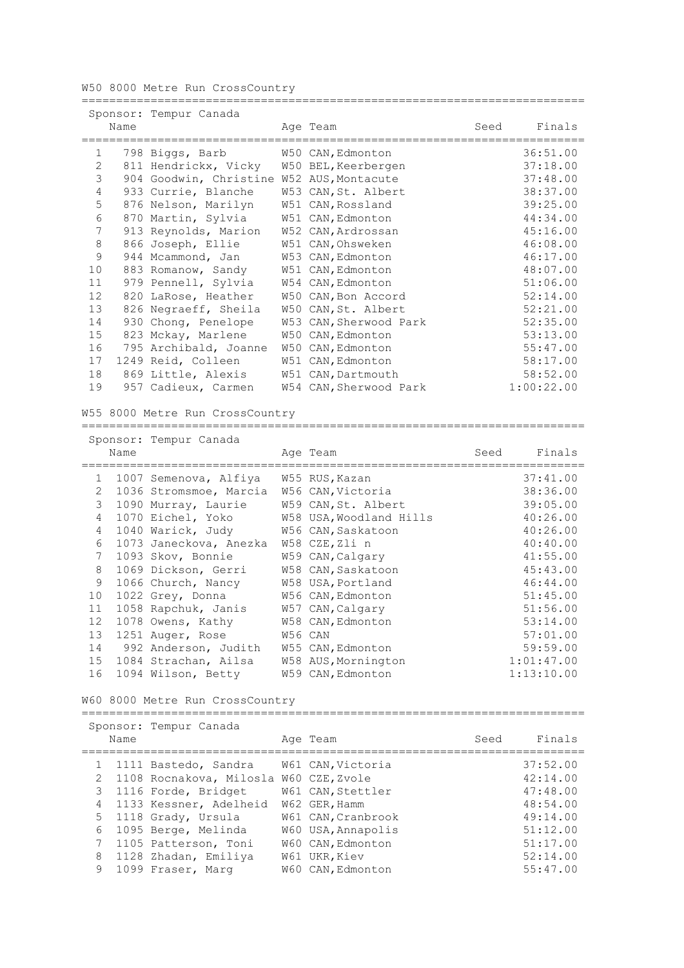W50 8000 Metre Run CrossCountry

|                |      | Sponsor: Tempur Canada                    |                        |      |            |
|----------------|------|-------------------------------------------|------------------------|------|------------|
|                | Name |                                           | Age Team               | Seed | Finals     |
| $\mathbf{1}$   |      | 798 Biggs, Barb                           | W50 CAN, Edmonton      |      | 36:51.00   |
| $\overline{2}$ |      | 811 Hendrickx, Vicky                      | W50 BEL, Keerbergen    |      | 37:18.00   |
| 3              |      | 904 Goodwin, Christine W52 AUS, Montacute |                        |      | 37:48.00   |
| $\overline{4}$ |      | 933 Currie, Blanche                       | W53 CAN, St. Albert    |      | 38:37.00   |
| 5              |      | 876 Nelson, Marilyn                       | W51 CAN, Rossland      |      | 39:25.00   |
| 6              |      | 870 Martin, Sylvia                        | W51 CAN, Edmonton      |      | 44:34.00   |
| 7              |      | 913 Reynolds, Marion                      | W52 CAN, Ardrossan     |      | 45:16.00   |
| 8              |      | 866 Joseph, Ellie                         | W51 CAN, Ohsweken      |      | 46:08.00   |
| 9              |      | 944 Mcammond, Jan                         | W53 CAN, Edmonton      |      | 46:17.00   |
| 10             |      | 883 Romanow, Sandy                        | W51 CAN, Edmonton      |      | 48:07.00   |
| 11             |      | 979 Pennell, Sylvia                       | W54 CAN, Edmonton      |      | 51:06.00   |
| 12             |      | 820 LaRose, Heather                       | W50 CAN, Bon Accord    |      | 52:14.00   |
| 13             |      | 826 Negraeff, Sheila                      | W50 CAN, St. Albert    |      | 52:21.00   |
| 14             |      | 930 Chong, Penelope                       | W53 CAN, Sherwood Park |      | 52:35.00   |
| 15             |      | 823 Mckay, Marlene                        | W50 CAN, Edmonton      |      | 53:13.00   |
| 16             | 795  | Archibald, Joanne                         | W50 CAN, Edmonton      |      | 55:47.00   |
| 17             |      | 1249 Reid, Colleen                        | W51 CAN, Edmonton      |      | 58:17.00   |
| 18             |      | 869 Little, Alexis                        | W51 CAN, Dartmouth     |      | 58:52.00   |
| 19             |      | 957 Cadieux, Carmen                       | W54 CAN, Sherwood Park |      | 1:00:22.00 |

=========================================================================

W55 8000 Metre Run CrossCountry

|                | Name | Sponsor: Tempur Canada                    | Age Team                                              | Seed       | Finals     |
|----------------|------|-------------------------------------------|-------------------------------------------------------|------------|------------|
| $\mathbf{1}$   |      | 1007 Semenova, Alfiya                     | W55 RUS, Kazan                                        |            | 37:41.00   |
| 2              |      | 1036 Stromsmoe, Marcia                    | W56 CAN, Victoria                                     |            | 38:36.00   |
| 3              |      |                                           | W59 CAN, St. Albert                                   |            | 39:05.00   |
|                |      | 1090 Murray, Laurie                       |                                                       |            |            |
| $\overline{4}$ |      | 1070 Eichel, Yoko                         | W58 USA, Woodland Hills                               |            | 40:26.00   |
| $\overline{4}$ |      | 1040 Warick, Judy                         | W56 CAN, Saskatoon                                    |            | 40:26.00   |
| 6              |      | 1073 Janeckova, Anezka                    | W58 CZE, Zli n                                        |            | 40:40.00   |
| 7              |      | 1093 Skov, Bonnie                         | W59 CAN, Calgary                                      |            | 41:55.00   |
| 8              |      | 1069 Dickson, Gerri                       | W58 CAN, Saskatoon                                    |            | 45:43.00   |
| 9              |      | 1066 Church, Nancy                        | W58 USA, Portland                                     |            | 46:44.00   |
| 10             |      | 1022 Grey, Donna                          | W56 CAN, Edmonton                                     |            | 51:45.00   |
| 11             |      | 1058 Rapchuk, Janis                       | W57 CAN, Calgary                                      |            | 51:56.00   |
| 12             |      | 1078 Owens, Kathy                         | W58 CAN, Edmonton                                     |            | 53:14.00   |
| 13             |      | 1251 Auger, Rose                          | W56 CAN                                               |            | 57:01.00   |
| 14             |      | 992 Anderson, Judith                      | W55 CAN, Edmonton                                     |            | 59:59.00   |
| 15             |      | 1084 Strachan, Ailsa                      | W58 AUS, Mornington                                   |            | 1:01:47.00 |
| 16             |      | 1094 Wilson, Betty                        | W59 CAN, Edmonton                                     |            | 1:13:10.00 |
|                |      | W60 8000 Metre Run CrossCountry           |                                                       |            |            |
|                |      | Sponsor: Tempur Canada<br>$N \sim \infty$ | $\sqrt{2}$ $\sim$ $\sqrt{2}$ $\sqrt{2}$ $\sim$ $\sim$ | $C \cap A$ | ماد موليات |

|   | Name |                                                                   | Age Team                            | Seed | Finals               |
|---|------|-------------------------------------------------------------------|-------------------------------------|------|----------------------|
|   |      | 1 1111 Bastedo, Sandra                                            | W61 CAN, Victoria                   |      | 37:52.00             |
|   |      | 2 1108 Rocnakova, Milosla W60 CZE, Zvole<br>3 1116 Forde, Bridget | W61 CAN, Stettler                   |      | 42:14.00<br>47:48.00 |
|   |      | 4 1133 Kessner, Adelheid<br>5 1118 Grady, Ursula                  | W62 GER, Hamm<br>W61 CAN, Cranbrook |      | 48:54.00<br>49:14.00 |
|   |      | 6 1095 Berge, Melinda                                             | W60 USA, Annapolis                  |      | 51:12.00             |
|   |      | 7 1105 Patterson, Toni                                            | W60 CAN, Edmonton                   |      | 51:17.00             |
| 9 |      | 8 1128 Zhadan, Emiliya<br>1099 Fraser, Marq                       | W61 UKR, Kiev<br>W60 CAN, Edmonton  |      | 52:14.00<br>55:47.00 |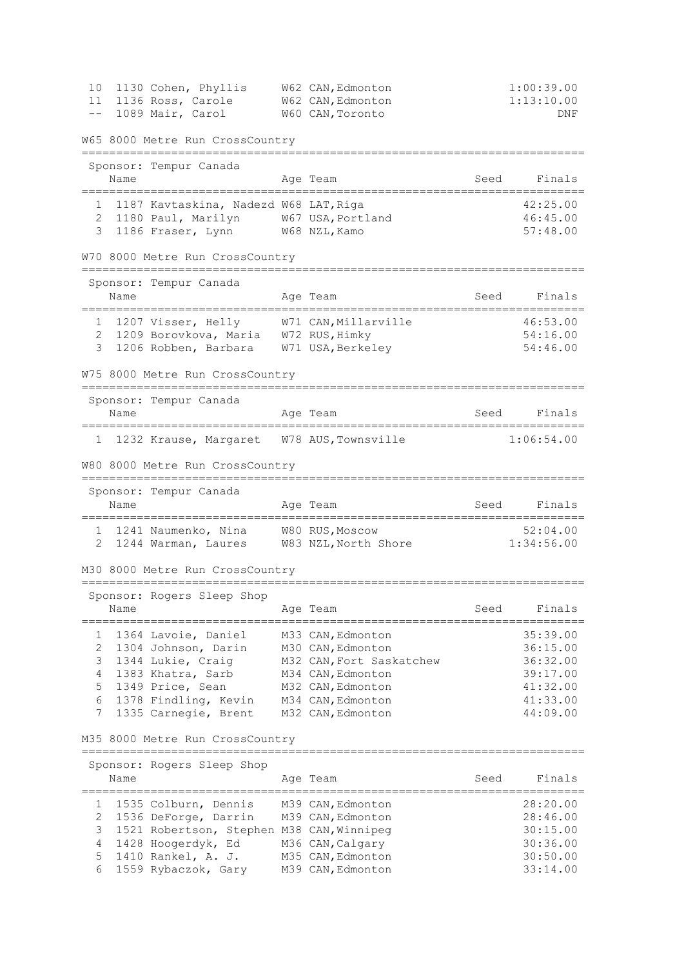| 10          | 1130 Cohen, Phyllis                                                       | W62 CAN, Edmonton                      |                    | 1:00:39.00           |
|-------------|---------------------------------------------------------------------------|----------------------------------------|--------------------|----------------------|
| 11<br>$- -$ | 1136 Ross, Carole<br>1089 Mair, Carol                                     | W62 CAN, Edmonton<br>W60 CAN, Toronto  |                    | 1:13:10.00<br>DNF    |
|             |                                                                           |                                        |                    |                      |
|             | W65 8000 Metre Run CrossCountry                                           |                                        |                    |                      |
|             | Sponsor: Tempur Canada                                                    |                                        |                    |                      |
|             | Name                                                                      | Age Team                               | Seed               | Finals               |
|             | 1 1187 Kavtaskina, Nadezd W68 LAT, Riga                                   |                                        |                    | 42:25.00             |
|             | 2 1180 Paul, Marilyn W67 USA, Portland<br>1186 Fraser, Lynn W68 NZL, Kamo |                                        |                    | 46:45.00             |
| 3           |                                                                           |                                        |                    | 57:48.00             |
|             | W70 8000 Metre Run CrossCountry<br>====================================   |                                        |                    |                      |
|             | Sponsor: Tempur Canada                                                    |                                        |                    |                      |
|             | Name                                                                      | Age Team                               | Seed               | Finals               |
|             | 1 1207 Visser, Helly W71 CAN, Millarville                                 |                                        |                    | 46:53.00             |
|             | 2 1209 Borovkova, Maria 1972 RUS, Himky                                   |                                        |                    | 54:16.00             |
| 3           | 1206 Robben, Barbara W71 USA, Berkeley                                    |                                        |                    | 54:46.00             |
|             | W75 8000 Metre Run CrossCountry                                           |                                        |                    |                      |
|             | Sponsor: Tempur Canada                                                    |                                        |                    |                      |
|             | Name                                                                      | Age Team                               | Seed               | Finals               |
|             | 1 1232 Krause, Margaret W78 AUS, Townsville                               |                                        |                    | 1:06:54.00           |
|             | W80 8000 Metre Run CrossCountry                                           |                                        |                    |                      |
|             | Sponsor: Tempur Canada                                                    |                                        |                    |                      |
|             | Name<br>===================<br>============                               | Age Team                               | Seed<br>========== | Finals               |
|             | 1 1241 Naumenko, Nina W80 RUS, Moscow                                     |                                        |                    | 52:04.00             |
| 2           | 1244 Warman, Laures W83 NZL, North Shore                                  |                                        |                    | 1:34:56.00           |
|             | M30 8000 Metre Run CrossCountry                                           |                                        |                    |                      |
|             | Sponsor: Rogers Sleep Shop                                                |                                        |                    |                      |
|             | Name                                                                      | Age Team                               | Seed               | Finals               |
| 1           | 1364 Lavoie, Daniel                                                       | M33 CAN, Edmonton                      |                    | 35:39.00             |
| 2           | 1304 Johnson, Darin                                                       | M30 CAN, Edmonton                      |                    | 36:15.00             |
| 3           | 1344 Lukie, Craig                                                         | M32 CAN, Fort Saskatchew               |                    | 36:32.00             |
| 4           | 1383 Khatra, Sarb                                                         | M34 CAN, Edmonton                      |                    | 39:17.00             |
| 5           | 1349 Price, Sean                                                          | M32 CAN, Edmonton                      |                    | 41:32.00             |
| 6<br>7      | 1378 Findling, Kevin<br>1335 Carnegie, Brent                              | M34 CAN, Edmonton<br>M32 CAN, Edmonton |                    | 41:33.00<br>44:09.00 |
|             |                                                                           |                                        |                    |                      |
|             | M35 8000 Metre Run CrossCountry                                           |                                        |                    |                      |
|             | Sponsor: Rogers Sleep Shop                                                |                                        |                    |                      |
|             | Name                                                                      | Age Team                               | Seed               | Finals               |
| 1           | 1535 Colburn, Dennis                                                      | M39 CAN, Edmonton                      |                    | 28:20.00             |
| 2           | 1536 DeForge, Darrin                                                      | M39 CAN, Edmonton                      |                    | 28:46.00             |
| 3           | 1521 Robertson, Stephen M38 CAN, Winnipeg                                 |                                        |                    | 30:15.00             |
| 4<br>5      | 1428 Hoogerdyk, Ed                                                        | M36 CAN, Calgary                       |                    | 30:36.00             |
|             | 1410 Rankel, A. J.                                                        | M35 CAN, Edmonton<br>M39 CAN, Edmonton |                    | 30:50.00             |
| 6           | 1559 Rybaczok, Gary                                                       |                                        |                    | 33:14.00             |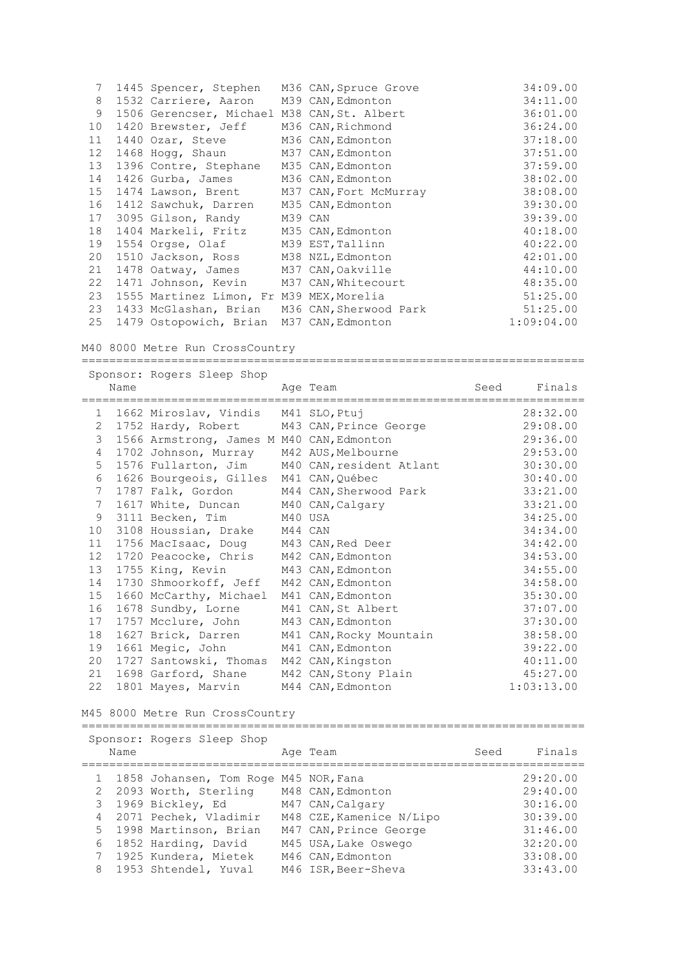| 7  | 1445 Spencer, Stephen                        | M36 CAN, Spruce Grove  | 34:09.00   |
|----|----------------------------------------------|------------------------|------------|
| 8  | 1532 Carriere, Aaron                         | M39 CAN, Edmonton      | 34:11.00   |
| 9  | 1506 Gerencser, Michael M38 CAN, St. Albert  |                        | 36:01.00   |
| 10 | 1420 Brewster, Jeff                          | M36 CAN, Richmond      | 36:24.00   |
| 11 | 1440 Ozar, Steve                             | M36 CAN, Edmonton      | 37:18.00   |
| 12 | 1468 Hogg, Shaun                             | M37 CAN, Edmonton      | 37:51.00   |
| 13 | 1396 Contre, Stephane                        | M35 CAN, Edmonton      | 37:59.00   |
| 14 | 1426 Gurba, James                            | M36 CAN, Edmonton      | 38:02.00   |
| 15 | 1474 Lawson, Brent                           | M37 CAN, Fort McMurray | 38:08.00   |
| 16 | 1412 Sawchuk, Darren                         | M35 CAN, Edmonton      | 39:30.00   |
| 17 | 3095 Gilson, Randy                           | M39 CAN                | 39:39.00   |
| 18 | 1404 Markeli, Fritz M35 CAN, Edmonton        |                        | 40:18.00   |
| 19 | 1554 Orgse, Olaf                             | M39 EST, Tallinn       | 40:22.00   |
| 20 | 1510 Jackson, Ross                           | M38 NZL, Edmonton      | 42:01.00   |
| 21 | 1478 Oatway, James                           | M37 CAN, Oakville      | 44:10.00   |
| 22 | 1471 Johnson, Kevin M37 CAN, Whitecourt      |                        | 48:35.00   |
| 23 | 1555 Martinez Limon, Fr M39 MEX, Morelia     |                        | 51:25.00   |
| 23 | 1433 McGlashan, Brian M36 CAN, Sherwood Park |                        | 51:25.00   |
| 25 | 1479 Ostopowich, Brian                       | M37 CAN, Edmonton      | 1:09:04.00 |

#### M40 8000 Metre Run CrossCountry

========================================================================= Sponsor: Rogers Sleep Shop Name **Age Team** Age Team Seed Finals =========================================================================

| $\mathbf{1}$    | 1662 Miroslav, Vindis M41 SLO, Ptuj       |         |                                              | 28:32.00   |
|-----------------|-------------------------------------------|---------|----------------------------------------------|------------|
| $\overline{2}$  | 1752 Hardy, Robert M43 CAN, Prince George |         |                                              | 29:08.00   |
| 3               | 1566 Armstrong, James M M40 CAN, Edmonton |         |                                              | 29:36.00   |
| $\overline{4}$  | 1702 Johnson, Murray M42 AUS, Melbourne   |         |                                              | 29:53.00   |
| 5               |                                           |         | 1576 Fullarton, Jim M40 CAN, resident Atlant | 30:30.00   |
| 6               | 1626 Bourgeois, Gilles                    |         | M41 CAN,Québec                               | 30:40.00   |
| $7\overline{ }$ | 1787 Falk, Gordon                         |         | M44 CAN, Sherwood Park                       | 33:21.00   |
| 7               | 1617 White, Duncan M40 CAN, Calgary       |         |                                              | 33:21.00   |
| 9               | 3111 Becken, Tim                          | M40 USA |                                              | 34:25.00   |
| 10              | 3108 Houssian, Drake M44 CAN              |         |                                              | 34:34.00   |
| 11              | 1756 MacIsaac, Doug M43 CAN, Red Deer     |         |                                              | 34:42.00   |
| 12              | 1720 Peacocke, Chris M42 CAN, Edmonton    |         |                                              | 34:53.00   |
| 13              | 1755 King, Kevin M43 CAN, Edmonton        |         |                                              | 34:55.00   |
| 14              | 1730 Shmoorkoff, Jeff                     |         | M42 CAN, Edmonton                            | 34:58.00   |
| 15              | 1660 McCarthy, Michael                    |         | M41 CAN, Edmonton                            | 35:30.00   |
| 16              | 1678 Sundby, Lorne                        |         | M41 CAN, St Albert                           | 37:07.00   |
| 17              | 1757 Mcclure, John                        |         | M43 CAN, Edmonton                            | 37:30.00   |
| 18              | 1627 Brick, Darren                        |         | M41 CAN, Rocky Mountain                      | 38:58.00   |
| 19              | 1661 Megic, John M41 CAN, Edmonton        |         |                                              | 39:22.00   |
| 20 <sub>o</sub> | 1727 Santowski, Thomas                    |         | M42 CAN, Kingston                            | 40:11.00   |
| 21              | 1698 Garford, Shane M42 CAN, Stony Plain  |         |                                              | 45:27.00   |
| 22              | 1801 Mayes, Marvin M44 CAN, Edmonton      |         |                                              | 1:03:13.00 |

## M45 8000 Metre Run CrossCountry

Sponsor: Rogers Sleep Shop Name Register Age Team Name Seed Finals ========================================================================= 1 1858 Johansen, Tom Roge M45 NOR,Fana 29:20.00 2 2093 Worth, Sterling M48 CAN,Edmonton 29:40.00 3 1969 Bickley, Ed M47 CAN, Calgary 30:16.00 4 2071 Pechek, Vladimir M48 CZE,Kamenice N/Lipo 30:39.00 5 1998 Martinson, Brian M47 CAN,Prince George 31:46.00 6 1852 Harding, David M45 USA,Lake Oswego 32:20.00 7 1925 Kundera, Mietek M46 CAN,Edmonton 33:08.00 8 1953 Shtendel, Yuval M46 ISR, Beer-Sheva 33:43.00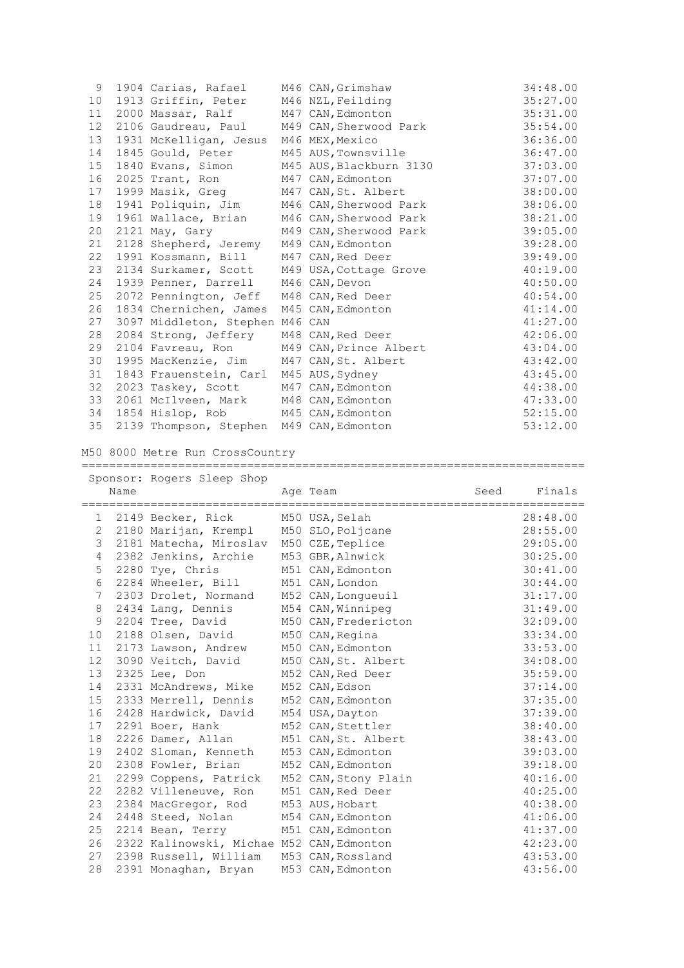| 9                 | 1904 Carias, Rafael                         | M46 CAN, Grimshaw       | 34:48.00 |
|-------------------|---------------------------------------------|-------------------------|----------|
| 10                | 1913 Griffin, Peter                         | M46 NZL, Feilding       | 35:27.00 |
| 11                | 2000 Massar, Ralf                           | M47 CAN, Edmonton       | 35:31.00 |
| $12 \overline{ }$ | 2106 Gaudreau, Paul                         | M49 CAN, Sherwood Park  | 35:54.00 |
| 13                | 1931 McKelligan, Jesus                      | M46 MEX, Mexico         | 36:36.00 |
| 14                | 1845 Gould, Peter                           | M45 AUS, Townsville     | 36:47.00 |
| 15                | 1840 Evans, Simon                           | M45 AUS, Blackburn 3130 | 37:03.00 |
| 16                | 2025 Trant, Ron                             | M47 CAN, Edmonton       | 37:07.00 |
| 17                | 1999 Masik, Greg                            | M47 CAN, St. Albert     | 38:00.00 |
| 18                | 1941 Poliquin, Jim                          | M46 CAN, Sherwood Park  | 38:06.00 |
| 19                | 1961 Wallace, Brian                         | M46 CAN, Sherwood Park  | 38:21.00 |
| 20                | 2121 May, Gary                              | M49 CAN, Sherwood Park  | 39:05.00 |
| 21                | 2128 Shepherd, Jeremy                       | M49 CAN, Edmonton       | 39:28.00 |
| 22                | 1991 Kossmann, Bill                         | M47 CAN, Red Deer       | 39:49.00 |
| 23                | 2134 Surkamer, Scott M49 USA, Cottage Grove |                         | 40:19.00 |
| 24                | 1939 Penner, Darrell                        | M46 CAN, Devon          | 40:50.00 |
| 25                | 2072 Pennington, Jeff M48 CAN, Red Deer     |                         | 40:54.00 |
| 26                | 1834 Chernichen, James                      | M45 CAN, Edmonton       | 41:14.00 |
| 27                | 3097 Middleton, Stephen M46 CAN             |                         | 41:27.00 |
| 28                | 2084 Strong, Jeffery M48 CAN, Red Deer      |                         | 42:06.00 |
| 29                | 2104 Favreau, Ron                           | M49 CAN, Prince Albert  | 43:04.00 |
| 30                | 1995 MacKenzie, Jim M47 CAN, St. Albert     |                         | 43:42.00 |
| 31                | 1843 Frauenstein, Carl M45 AUS, Sydney      |                         | 43:45.00 |
| 32                | 2023 Taskey, Scott                          | M47 CAN, Edmonton       | 44:38.00 |
| 33                | 2061 McIlveen, Mark M48 CAN, Edmonton       |                         | 47:33.00 |
| 34                | 1854 Hislop, Rob M45 CAN, Edmonton          |                         | 52:15.00 |
| 35                | 2139 Thompson, Stephen M49 CAN, Edmonton    |                         | 53:12.00 |
|                   |                                             |                         |          |

M50 8000 Metre Run CrossCountry

|              | Name | Sponsor: Rogers Sleep Shop                | Age Team              | Seed | Finals   |
|--------------|------|-------------------------------------------|-----------------------|------|----------|
|              |      |                                           | --------------------- |      |          |
| $\mathbf{1}$ |      | 2149 Becker, Rick                         | M50 USA, Selah        |      | 28:48.00 |
| 2            |      | 2180 Marijan, Krempl                      | M50 SLO, Poljcane     |      | 28:55.00 |
| 3            |      | 2181 Matecha, Miroslav                    | M50 CZE, Teplice      |      | 29:05.00 |
| 4            |      | 2382 Jenkins, Archie                      | M53 GBR, Alnwick      |      | 30:25.00 |
| 5            |      | 2280 Tye, Chris                           | M51 CAN, Edmonton     |      | 30:41.00 |
| 6            |      | 2284 Wheeler, Bill                        | M51 CAN, London       |      | 30:44.00 |
| 7            |      | 2303 Drolet, Normand                      | M52 CAN, Longueuil    |      | 31:17.00 |
| 8            |      | 2434 Lang, Dennis                         | M54 CAN, Winnipeg     |      | 31:49.00 |
| 9            |      | 2204 Tree, David                          | M50 CAN, Fredericton  |      | 32:09.00 |
| 10           |      | 2188 Olsen, David                         | M50 CAN, Regina       |      | 33:34.00 |
| 11           |      | 2173 Lawson, Andrew                       | M50 CAN, Edmonton     |      | 33:53.00 |
| 12           |      | 3090 Veitch, David                        | M50 CAN, St. Albert   |      | 34:08.00 |
| 13           |      | 2325 Lee, Don                             | M52 CAN, Red Deer     |      | 35:59.00 |
| 14           |      | 2331 McAndrews, Mike                      | M52 CAN, Edson        |      | 37:14.00 |
| 15           |      | 2333 Merrell, Dennis                      | M52 CAN, Edmonton     |      | 37:35.00 |
| 16           |      | 2428 Hardwick, David                      | M54 USA, Dayton       |      | 37:39.00 |
| 17           |      | 2291 Boer, Hank                           | M52 CAN, Stettler     |      | 38:40.00 |
| 18           |      | 2226 Damer, Allan                         | M51 CAN, St. Albert   |      | 38:43.00 |
| 19           |      | 2402 Sloman, Kenneth                      | M53 CAN, Edmonton     |      | 39:03.00 |
| 20           |      | 2308 Fowler, Brian                        | M52 CAN, Edmonton     |      | 39:18.00 |
| 21           |      | 2299 Coppens, Patrick                     | M52 CAN, Stony Plain  |      | 40:16.00 |
| 22           |      | 2282 Villeneuve, Ron                      | M51 CAN, Red Deer     |      | 40:25.00 |
| 23           |      | 2384 MacGregor, Rod                       | M53 AUS, Hobart       |      | 40:38.00 |
| 24           |      | 2448 Steed, Nolan                         | M54 CAN, Edmonton     |      | 41:06.00 |
| 25           |      | 2214 Bean, Terry                          | M51 CAN, Edmonton     |      | 41:37.00 |
| 26           |      | 2322 Kalinowski, Michae M52 CAN, Edmonton |                       |      | 42:23.00 |
| 27           |      | 2398 Russell, William                     | M53 CAN, Rossland     |      | 43:53.00 |
| 28           |      | 2391 Monaghan, Bryan                      | M53 CAN, Edmonton     |      | 43:56.00 |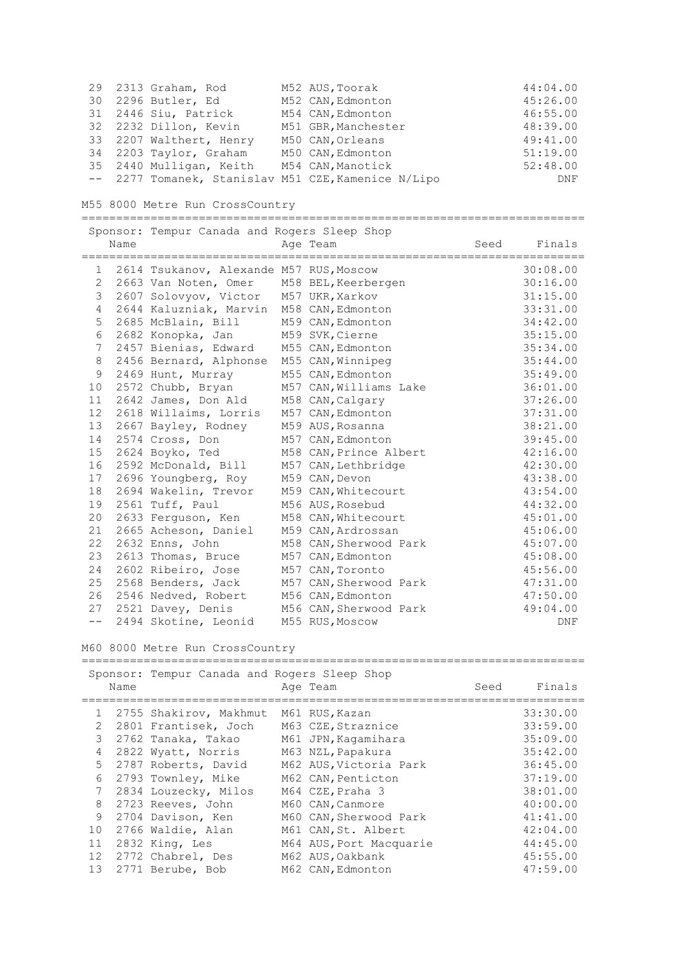|  | 29 2313 Graham, Rod     | M52 AUS, Toorak                                     | 44:04.00 |
|--|-------------------------|-----------------------------------------------------|----------|
|  | 30 2296 Butler, Ed      | M52 CAN, Edmonton                                   | 45:26.00 |
|  | 31 2446 Siu, Patrick    | M54 CAN, Edmonton                                   | 46:55.00 |
|  | 32 2232 Dillon, Kevin   | M51 GBR, Manchester                                 | 48:39.00 |
|  | 33 2207 Walthert, Henry | M50 CAN, Orleans                                    | 49:41.00 |
|  | 34 2203 Taylor, Graham  | M50 CAN, Edmonton                                   | 51:19.00 |
|  | 35 2440 Mulligan, Keith | M54 CAN, Manotick                                   | 52:48.00 |
|  |                         | -- 2277 Tomanek, Stanislav M51 CZE, Kamenice N/Lipo | DNF      |

M55 8000 Metre Run CrossCountry

|       | Name | Sponsor: Tempur Canada and Rogers Sleep Shop | Age Team               | Seed | Finals     |
|-------|------|----------------------------------------------|------------------------|------|------------|
| 1     |      | 2614 Tsukanov, Alexande M57 RUS, Moscow      |                        |      | 30:08.00   |
| 2     |      | 2663 Van Noten, Omer                         | M58 BEL, Keerbergen    |      | 30:16.00   |
| 3     |      | 2607 Solovyov, Victor M57 UKR, Xarkov        |                        |      | 31:15.00   |
| 4     |      | 2644 Kaluzniak, Marvin                       | M58 CAN, Edmonton      |      | 33:31.00   |
| 5     |      | 2685 McBlain, Bill                           | M59 CAN, Edmonton      |      | 34:42.00   |
| 6     |      | 2682 Konopka, Jan                            | M59 SVK, Cierne        |      | 35:15.00   |
| 7     |      | 2457 Bienias, Edward                         | M55 CAN, Edmonton      |      | 35:34.00   |
| 8     |      | 2456 Bernard, Alphonse                       | M55 CAN, Winnipeg      |      | 35:44.00   |
| 9     |      | 2469 Hunt, Murray                            | M55 CAN, Edmonton      |      | 35:49.00   |
| 10    |      | 2572 Chubb, Bryan                            | M57 CAN, Williams Lake |      | 36:01.00   |
| 11    |      | 2642 James, Don Ald                          | M58 CAN, Calgary       |      | 37:26.00   |
| 12    |      | 2618 Willaims, Lorris                        | M57 CAN, Edmonton      |      | 37:31.00   |
| 13    |      | 2667 Bayley, Rodney                          | M59 AUS, Rosanna       |      | 38:21.00   |
| 14    |      | 2574 Cross, Don                              | M57 CAN, Edmonton      |      | 39:45.00   |
| 15    |      | 2624 Boyko, Ted                              | M58 CAN, Prince Albert |      | 42:16.00   |
| 16    |      | 2592 McDonald, Bill                          | M57 CAN, Lethbridge    |      | 42:30.00   |
| 17    |      | 2696 Youngberg, Roy                          | M59 CAN, Devon         |      | 43:38.00   |
| 18    |      | 2694 Wakelin, Trevor                         | M59 CAN, Whitecourt    |      | 43:54.00   |
| 19    |      | 2561 Tuff, Paul                              | M56 AUS, Rosebud       |      | 44:32.00   |
| 20    |      | 2633 Ferguson, Ken                           | M58 CAN, Whitecourt    |      | 45:01.00   |
| 21    |      | 2665 Acheson, Daniel                         | M59 CAN, Ardrossan     |      | 45:06.00   |
| 22    |      | 2632 Enns, John                              | M58 CAN, Sherwood Park |      | 45:07.00   |
| 23    |      | 2613 Thomas, Bruce                           | M57 CAN, Edmonton      |      | 45:08.00   |
| 24    |      | 2602 Ribeiro, Jose                           | M57 CAN, Toronto       |      | 45:56.00   |
| 25    |      | 2568 Benders, Jack                           | M57 CAN, Sherwood Park |      | 47:31.00   |
| 26    |      | 2546 Nedved, Robert                          | M56 CAN, Edmonton      |      | 47:50.00   |
| 27    |      | 2521 Davey, Denis                            | M56 CAN, Sherwood Park |      | 49:04.00   |
| $- -$ |      | 2494 Skotine, Leonid                         | M55 RUS, Moscow        |      | <b>DNF</b> |

M60 8000 Metre Run CrossCountry

|                | Name | Sponsor: Tempur Canada and Rogers Sleep Shop | Age Team          |                         | Seed | Finals   |
|----------------|------|----------------------------------------------|-------------------|-------------------------|------|----------|
| $\mathbf{1}$   |      | 2755 Shakirov, Makhmut                       | M61 RUS, Kazan    |                         |      | 33:30.00 |
| $\mathcal{L}$  |      | 2801 Frantisek, Joch                         |                   | M63 CZE, Straznice      |      | 33:59.00 |
| 3              |      | 2762 Tanaka, Takao                           |                   | M61 JPN, Kaqamihara     |      | 35:09.00 |
| $\overline{4}$ |      | 2822 Wyatt, Norris                           | M63 NZL, Papakura |                         |      | 35:42.00 |
| 5.             |      | 2787 Roberts, David                          |                   | M62 AUS, Victoria Park  |      | 36:45.00 |
| 6              |      | 2793 Townley, Mike                           |                   | M62 CAN, Penticton      |      | 37:19.00 |
| 7              |      | 2834 Louzecky, Milos                         | M64 CZE, Praha 3  |                         |      | 38:01.00 |
| 8              |      | 2723 Reeves, John                            | M60 CAN, Canmore  |                         |      | 40:00.00 |
| 9              |      | 2704 Davison, Ken                            |                   | M60 CAN, Sherwood Park  |      | 41:41.00 |
| 10             |      | 2766 Waldie, Alan                            |                   | M61 CAN, St. Albert     |      | 42:04.00 |
| 11             |      | 2832 King, Les                               |                   | M64 AUS, Port Macquarie |      | 44:45.00 |
| 12             |      | 2772 Chabrel, Des                            | M62 AUS, Oakbank  |                         |      | 45:55.00 |
| 13             |      | 2771 Berube, Bob                             | M62 CAN, Edmonton |                         |      | 47:59.00 |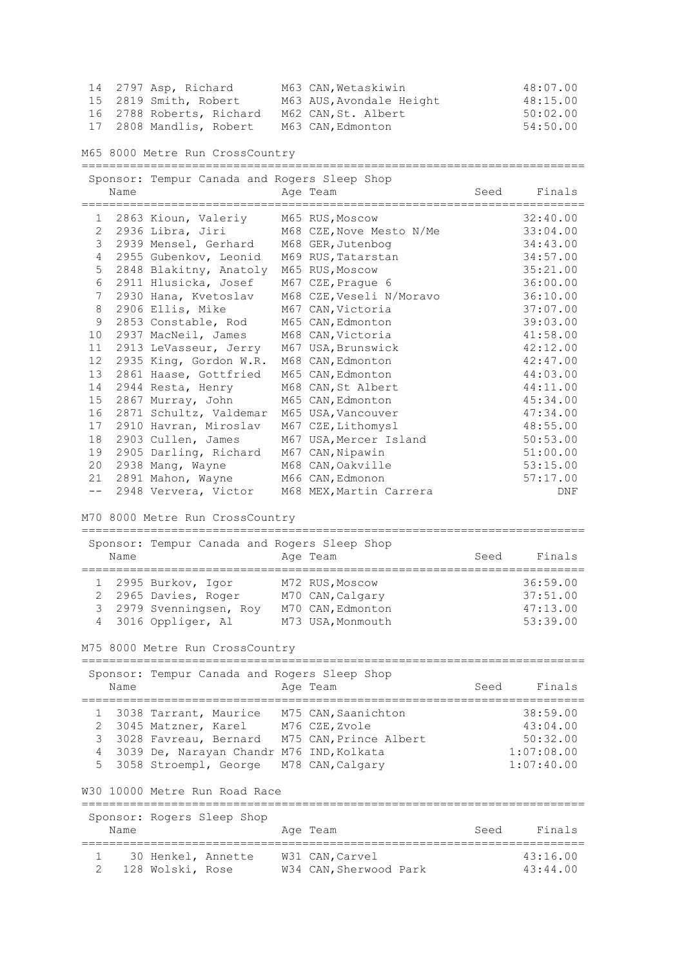| 14 2797 Asp, Richard     | M63 CAN, Wetaskiwin      | 48:07.00 |
|--------------------------|--------------------------|----------|
| 15 2819 Smith, Robert    | M63 AUS, Avondale Height | 48:15.00 |
| 16 2788 Roberts, Richard | M62 CAN, St. Albert      | 50:02:00 |
| 17 2808 Mandlis, Robert  | M63 CAN, Edmonton        | 54:50.00 |

M65 8000 Metre Run CrossCountry

|        |      | Sponsor: Tempur Canada and Rogers Sleep Shop |                                           |      |                      |
|--------|------|----------------------------------------------|-------------------------------------------|------|----------------------|
|        | Name |                                              | Age Team                                  | Seed | Finals               |
|        |      |                                              |                                           |      |                      |
| 1      |      | 2863 Kioun, Valeriy                          | M65 RUS, Moscow                           |      | 32:40.00             |
| 2      |      | 2936 Libra, Jiri                             | M68 CZE, Nove Mesto N/Me                  |      | 33:04.00             |
| 3      |      | 2939 Mensel, Gerhard                         | M68 GER, Jutenbog                         |      | 34:43.00             |
| 4      |      | 2955 Gubenkov, Leonid                        | M69 RUS, Tatarstan                        |      | 34:57.00             |
| 5      |      | 2848 Blakitny, Anatoly                       | M65 RUS, Moscow                           |      | 35:21.00             |
| 6      |      | 2911 Hlusicka, Josef                         | M67 CZE, Prague 6                         |      | 36:00.00             |
| 7      |      | 2930 Hana, Kvetoslav                         | M68 CZE, Veseli N/Moravo                  |      | 36:10.00             |
| 8      |      | 2906 Ellis, Mike                             | M67 CAN, Victoria                         |      | 37:07.00             |
| 9      |      | 2853 Constable, Rod                          | M65 CAN, Edmonton                         |      | 39:03.00             |
| 10     |      | 2937 MacNeil, James                          | M68 CAN, Victoria                         |      | 41:58.00             |
| 11     |      | 2913 LeVasseur, Jerry                        | M67 USA, Brunswick                        |      | 42:12.00             |
| 12     |      | 2935 King, Gordon W.R.                       | M68 CAN, Edmonton                         |      | 42:47.00             |
| 13     |      | 2861 Haase, Gottfried                        | M65 CAN, Edmonton                         |      | 44:03.00             |
| 14     |      | 2944 Resta, Henry                            | M68 CAN, St Albert                        |      | 44:11.00             |
| 15     |      | 2867 Murray, John                            | M65 CAN, Edmonton                         |      | 45:34.00             |
| 16     |      | 2871 Schultz, Valdemar                       | M65 USA, Vancouver                        |      | 47:34.00             |
| 17     |      | 2910 Havran, Miroslav                        | M67 CZE, Lithomysl                        |      | 48:55.00             |
| 18     |      | 2903 Cullen, James                           | M67 USA, Mercer Island                    |      | 50:53.00             |
|        |      | 2905 Darling, Richard                        |                                           |      |                      |
| 19     |      |                                              | M67 CAN, Nipawin                          |      | 51:00.00             |
| 20     |      | 2938 Mang, Wayne                             | M68 CAN, Oakville                         |      | 53:15.00             |
| 21     |      | 2891 Mahon, Wayne                            | M66 CAN, Edmonon                          |      | 57:17.00             |
| $ -$   |      | 2948 Ververa, Victor                         | M68 MEX, Martin Carrera                   |      | DNF                  |
|        |      | M70 8000 Metre Run CrossCountry              |                                           |      |                      |
|        |      | Sponsor: Tempur Canada and Rogers Sleep Shop |                                           |      |                      |
|        | Name |                                              | Age Team                                  | Seed | Finals               |
|        |      | =================                            |                                           |      |                      |
| 1      |      | 2995 Burkov, Igor                            | M72 RUS, Moscow                           |      | 36:59.00             |
| 2      |      | 2965 Davies, Roger                           | M70 CAN, Calgary                          |      | 37:51.00             |
| 3      |      | 2979 Svenningsen, Roy M70 CAN, Edmonton      |                                           |      | 47:13.00             |
| 4      |      | 3016 Oppliger, Al                            | M73 USA, Monmouth                         |      | 53:39.00             |
|        |      |                                              |                                           |      |                      |
|        |      | M75 8000 Metre Run CrossCountry              |                                           |      |                      |
|        |      | Sponsor: Tempur Canada and Rogers Sleep Shop |                                           |      |                      |
|        |      | Name and Aqe Team                            |                                           | Seed | Finals               |
|        |      |                                              |                                           |      |                      |
|        |      |                                              |                                           |      |                      |
| 1      |      | 3038 Tarrant, Maurice M75 CAN, Saanichton    |                                           |      | 38:59.00             |
| 2      |      | 3045 Matzner, Karel                          | M76 CZE, Zvole                            |      | 43:04.00             |
| 3      |      | 3028 Favreau, Bernard                        | M75 CAN, Prince Albert                    |      | 50:32.00             |
| 4      |      | 3039 De, Narayan Chandr M76 IND, Kolkata     |                                           |      | 1:07:08.00           |
| 5      |      | 3058 Stroempl, George                        | M78 CAN, Calgary                          |      | 1:07:40.00           |
|        |      | W30 10000 Metre Run Road Race                |                                           |      |                      |
|        |      |                                              |                                           |      |                      |
|        |      | Sponsor: Rogers Sleep Shop                   |                                           |      |                      |
|        | Name |                                              | Age Team                                  | Seed | Finals               |
|        |      |                                              |                                           |      |                      |
|        |      |                                              |                                           |      |                      |
| 1<br>2 |      | 30 Henkel, Annette<br>128 Wolski, Rose       | W31 CAN, Carvel<br>W34 CAN, Sherwood Park |      | 43:16.00<br>43:44.00 |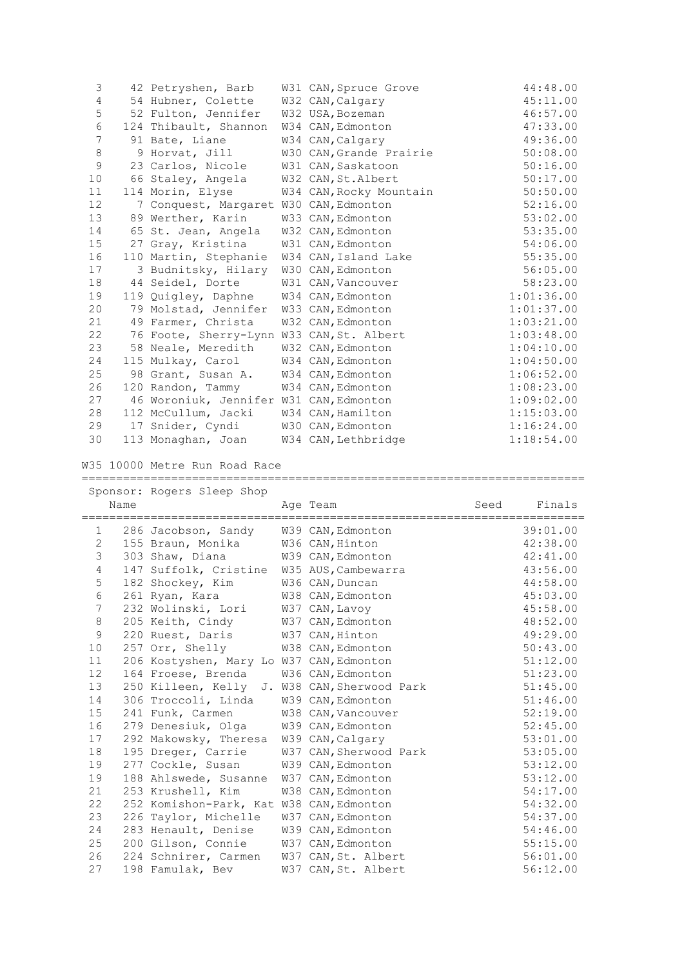| 3           | 42 Petryshen, Barb                        | W31 CAN, Spruce Grove   | 44:48.00   |
|-------------|-------------------------------------------|-------------------------|------------|
| 4           | 54 Hubner, Colette                        | W32 CAN, Calgary        | 45:11.00   |
| 5           | 52 Fulton, Jennifer                       | W32 USA, Bozeman        | 46:57.00   |
| 6           | 124 Thibault, Shannon                     | W34 CAN, Edmonton       | 47:33.00   |
| 7           | 91 Bate, Liane                            | W34 CAN, Calgary        | 49:36.00   |
| 8           | 9 Horvat, Jill                            | W30 CAN, Grande Prairie | 50:08.00   |
| $\mathsf 9$ | 23 Carlos, Nicole                         | W31 CAN, Saskatoon      | 50:16.00   |
| 10          | 66 Staley, Angela                         | W32 CAN, St. Albert     | 50:17.00   |
| 11          | 114 Morin, Elyse                          | W34 CAN, Rocky Mountain | 50:50.00   |
| 12          | 7 Conquest, Margaret W30 CAN, Edmonton    |                         | 52:16.00   |
| 13          | 89 Werther, Karin                         | W33 CAN, Edmonton       | 53:02.00   |
| 14          | 65 St. Jean, Angela                       | W32 CAN, Edmonton       | 53:35.00   |
| 15          | 27 Gray, Kristina                         | W31 CAN, Edmonton       | 54:06.00   |
| 16          | 110 Martin, Stephanie                     | W34 CAN, Island Lake    | 55:35.00   |
| 17          | 3 Budnitsky, Hilary                       | W30 CAN, Edmonton       | 56:05.00   |
| 18          | 44 Seidel, Dorte                          | W31 CAN, Vancouver      | 58:23.00   |
| 19          | 119 Quigley, Daphne                       | W34 CAN, Edmonton       | 1:01:36.00 |
| 20          | 79 Molstad, Jennifer                      | W33 CAN, Edmonton       | 1:01:37.00 |
| 21          | 49 Farmer, Christa                        | W32 CAN, Edmonton       | 1:03:21.00 |
| 22          | 76 Foote, Sherry-Lynn W33 CAN, St. Albert |                         | 1:03:48.00 |
| 23          | 58 Neale, Meredith                        | W32 CAN, Edmonton       | 1:04:10.00 |
| 24          | 115 Mulkay, Carol                         | W34 CAN, Edmonton       | 1:04:50.00 |
| 25          | 98 Grant, Susan A.                        | W34 CAN, Edmonton       | 1:06:52.00 |
| 26          | 120 Randon, Tammy                         | W34 CAN, Edmonton       | 1:08:23.00 |
| 27          | 46 Woroniuk, Jennifer W31 CAN, Edmonton   |                         | 1:09:02.00 |
| 28          | 112 McCullum, Jacki                       | W34 CAN, Hamilton       | 1:15:03.00 |
| 29          | 17 Snider, Cyndi                          | W30 CAN, Edmonton       | 1:16:24.00 |
| 30          | 113 Monaghan, Joan                        | W34 CAN, Lethbridge     | 1:18:54.00 |

W35 10000 Metre Run Road Race

|              |      | Sponsor: Rogers Sleep Shop                   |                        |      |          |
|--------------|------|----------------------------------------------|------------------------|------|----------|
|              | Name |                                              | Age Team               | Seed | Finals   |
| $\mathbf{1}$ |      |                                              |                        |      | 39:01.00 |
| 2            |      | 286 Jacobson, Sandy                          | W39 CAN, Edmonton      |      | 42:38.00 |
| 3            |      | 155 Braun, Monika                            | W36 CAN, Hinton        |      |          |
|              |      | 303 Shaw, Diana                              | W39 CAN, Edmonton      |      | 42:41.00 |
| 4            |      | 147 Suffolk, Cristine                        | W35 AUS, Cambewarra    |      | 43:56.00 |
| 5            |      | 182 Shockey, Kim                             | W36 CAN, Duncan        |      | 44:58.00 |
| 6            |      | 261 Ryan, Kara                               | W38 CAN, Edmonton      |      | 45:03.00 |
| 7            |      | 232 Wolinski, Lori                           | W37 CAN, Lavoy         |      | 45:58.00 |
| 8            |      | 205 Keith, Cindy                             | W37 CAN, Edmonton      |      | 48:52.00 |
| 9            |      | 220 Ruest, Daris                             | W37 CAN, Hinton        |      | 49:29.00 |
| 10           |      | 257 Orr, Shelly                              | W38 CAN, Edmonton      |      | 50:43.00 |
| 11           |      | 206 Kostyshen, Mary Lo W37 CAN, Edmonton     |                        |      | 51:12.00 |
| 12           |      | 164 Froese, Brenda                           | W36 CAN, Edmonton      |      | 51:23.00 |
| 13           |      | 250 Killeen, Kelly J. W38 CAN, Sherwood Park |                        |      | 51:45.00 |
| 14           |      | 306 Troccoli, Linda                          | W39 CAN, Edmonton      |      | 51:46.00 |
| 15           |      | 241 Funk, Carmen                             | W38 CAN, Vancouver     |      | 52:19.00 |
| 16           |      | 279 Denesiuk, Olga                           | W39 CAN, Edmonton      |      | 52:45.00 |
| 17           |      | 292 Makowsky, Theresa                        | W39 CAN, Calgary       |      | 53:01.00 |
| 18           |      | 195 Dreger, Carrie                           | W37 CAN, Sherwood Park |      | 53:05.00 |
| 19           |      | 277 Cockle, Susan                            | W39 CAN, Edmonton      |      | 53:12.00 |
| 19           |      | 188 Ahlswede, Susanne                        | W37 CAN, Edmonton      |      | 53:12.00 |
| 21           |      | 253 Krushell, Kim                            | W38 CAN, Edmonton      |      | 54:17.00 |
| 22           |      | 252 Komishon-Park, Kat W38 CAN, Edmonton     |                        |      | 54:32.00 |
| 23           |      | 226 Taylor, Michelle                         | W37 CAN, Edmonton      |      | 54:37.00 |
| 24           |      | 283 Henault, Denise                          | W39 CAN, Edmonton      |      | 54:46.00 |
| 25           |      | 200 Gilson, Connie                           | W37 CAN, Edmonton      |      | 55:15.00 |
| 26           |      | 224 Schnirer, Carmen                         | W37 CAN, St. Albert    |      | 56:01.00 |
| 27           |      | 198 Famulak, Bev                             | W37 CAN, St. Albert    |      | 56:12.00 |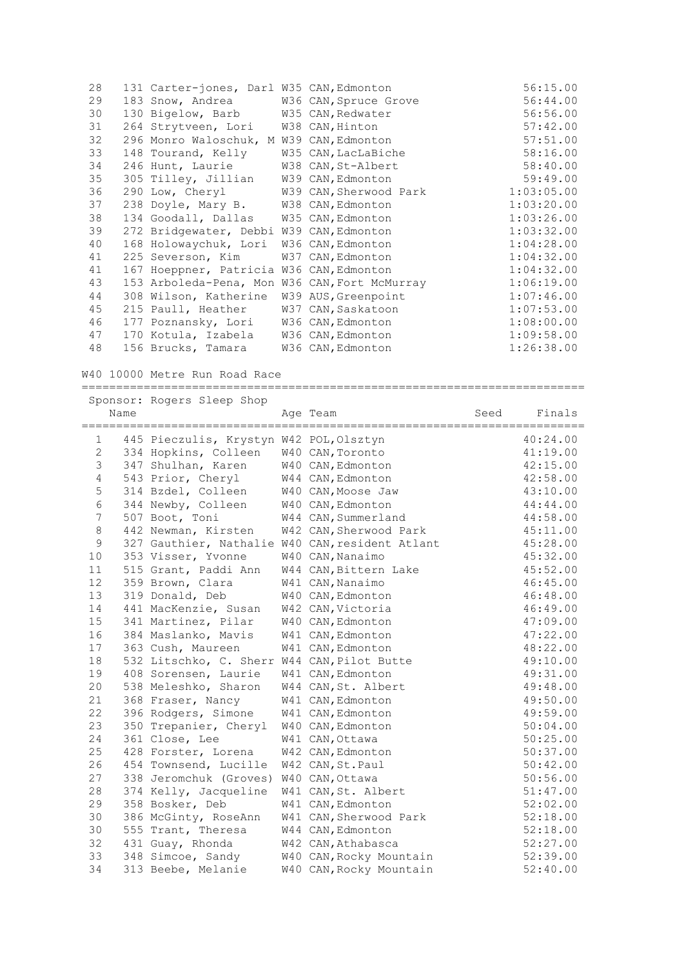| 28 | 131 Carter-jones, Darl W35 CAN, Edmonton      |                                        | 56:15.00   |
|----|-----------------------------------------------|----------------------------------------|------------|
| 29 | 183 Snow, Andrea W36 CAN, Spruce Grove        |                                        | 56:44.00   |
| 30 | 130 Bigelow, Barb W35 CAN, Redwater           |                                        | 56:56.00   |
| 31 | 264 Strytveen, Lori W38 CAN, Hinton           |                                        | 57:42.00   |
| 32 | 296 Monro Waloschuk, M W39 CAN, Edmonton      |                                        | 57:51.00   |
| 33 | 148 Tourand, Kelly W35 CAN, LacLaBiche        |                                        | 58:16.00   |
| 34 | 246 Hunt, Laurie M38 CAN, St-Albert           |                                        | 58:40.00   |
| 35 | 305 Tilley, Jillian W39 CAN, Edmonton         |                                        | 59:49.00   |
| 36 |                                               | 290 Low, Cheryl W39 CAN, Sherwood Park | 1:03:05.00 |
| 37 | 238 Doyle, Mary B.                            | W38 CAN, Edmonton                      | 1:03:20.00 |
| 38 | 134 Goodall, Dallas W35 CAN, Edmonton         |                                        | 1:03:26.00 |
| 39 | 272 Bridgewater, Debbi W39 CAN, Edmonton      |                                        | 1:03:32.00 |
| 40 | 168 Holowaychuk, Lori W36 CAN, Edmonton       |                                        | 1:04:28.00 |
| 41 | 225 Severson, Kim                             | W37 CAN, Edmonton                      | 1:04:32.00 |
| 41 | 167 Hoeppner, Patricia W36 CAN, Edmonton      |                                        | 1:04:32.00 |
| 43 | 153 Arboleda-Pena, Mon W36 CAN, Fort McMurray |                                        | 1:06:19.00 |
| 44 | 308 Wilson, Katherine                         | W39 AUS, Greenpoint                    | 1:07:46.00 |
| 45 | 215 Paull, Heather W37 CAN, Saskatoon         |                                        | 1:07:53.00 |
| 46 | 177 Poznansky, Lori W36 CAN, Edmonton         |                                        | 1:08:00.00 |
| 47 | 170 Kotula, Izabela W36 CAN, Edmonton         |                                        | 1:09:58.00 |
| 48 | 156 Brucks, Tamara                            | W36 CAN, Edmonton                      | 1:26:38.00 |

W40 10000 Metre Run Road Race

|             |      | Sponsor: Rogers Sleep Shop                  |                                                 |      |          |
|-------------|------|---------------------------------------------|-------------------------------------------------|------|----------|
|             | Name |                                             | Age Team                                        | Seed | Finals   |
| 1           |      | 445 Pieczulis, Krystyn W42 POL, Olsztyn     |                                                 |      | 40:24.00 |
| 2           |      | 334 Hopkins, Colleen                        | W40 CAN, Toronto                                |      | 41:19.00 |
| 3           |      | 347 Shulhan, Karen                          | W40 CAN, Edmonton                               |      | 42:15.00 |
| 4           |      | 543 Prior, Cheryl                           | W44 CAN, Edmonton                               |      | 42:58.00 |
| $\mathsf S$ |      | 314 Bzdel, Colleen                          | W40 CAN, Moose Jaw                              |      | 43:10.00 |
| 6           |      | 344 Newby, Colleen                          | W40 CAN, Edmonton                               |      | 44:44.00 |
| 7           |      | 507 Boot, Toni                              | W44 CAN, Summerland                             |      | 44:58.00 |
| $\,8\,$     |      | 442 Newman, Kirsten                         | W42 CAN, Sherwood Park                          |      | 45:11.00 |
| $\mathsf 9$ |      |                                             | 327 Gauthier, Nathalie W40 CAN, resident Atlant |      | 45:28.00 |
| 10          |      | 353 Visser, Yvonne                          | W40 CAN, Nanaimo                                |      | 45:32.00 |
| 11          |      | 515 Grant, Paddi Ann                        | W44 CAN, Bittern Lake                           |      | 45:52.00 |
| 12          |      | 359 Brown, Clara                            | W41 CAN, Nanaimo                                |      | 46:45.00 |
| 13          |      | 319 Donald, Deb                             | W40 CAN, Edmonton                               |      | 46:48.00 |
| 14          |      | 441 MacKenzie, Susan                        | W42 CAN, Victoria                               |      | 46:49.00 |
| 15          |      | 341 Martinez, Pilar                         | W40 CAN, Edmonton                               |      | 47:09.00 |
| 16          |      | 384 Maslanko, Mavis                         | W41 CAN, Edmonton                               |      | 47:22.00 |
| 17          |      | 363 Cush, Maureen                           | W41 CAN, Edmonton                               |      | 48:22.00 |
| 18          |      | 532 Litschko, C. Sherr W44 CAN, Pilot Butte |                                                 |      | 49:10.00 |
| 19          |      | 408 Sorensen, Laurie                        | W41 CAN, Edmonton                               |      | 49:31.00 |
| 20          |      | 538 Meleshko, Sharon                        | W44 CAN, St. Albert                             |      | 49:48.00 |
| 21          |      | 368 Fraser, Nancy                           | W41 CAN, Edmonton                               |      | 49:50.00 |
| 22          |      | 396 Rodgers, Simone                         | W41 CAN, Edmonton                               |      | 49:59.00 |
| 23          |      | 350 Trepanier, Cheryl                       | W40 CAN, Edmonton                               |      | 50:04.00 |
| 24          |      | 361 Close, Lee                              | W41 CAN, Ottawa                                 |      | 50:25.00 |
| 25          |      | 428 Forster, Lorena                         | W42 CAN, Edmonton                               |      | 50:37.00 |
| 26          |      | 454 Townsend, Lucille                       | W42 CAN, St. Paul                               |      | 50:42.00 |
| 27          |      | 338 Jeromchuk (Groves)                      | W40 CAN, Ottawa                                 |      | 50:56.00 |
| 28          |      | 374 Kelly, Jacqueline                       | W41 CAN, St. Albert                             |      | 51:47.00 |
| 29          |      | 358 Bosker, Deb                             | W41 CAN, Edmonton                               |      | 52:02.00 |
| 30          |      | 386 McGinty, RoseAnn                        | W41 CAN, Sherwood Park                          |      | 52:18.00 |
| 30          |      | 555 Trant, Theresa                          | W44 CAN, Edmonton                               |      | 52:18.00 |
| 32          |      | 431 Guay, Rhonda                            | W42 CAN, Athabasca                              |      | 52:27.00 |
| 33          |      | 348 Simcoe, Sandy                           | W40 CAN, Rocky Mountain                         |      | 52:39.00 |
| 34          |      | 313 Beebe, Melanie                          | W40 CAN, Rocky Mountain                         |      | 52:40.00 |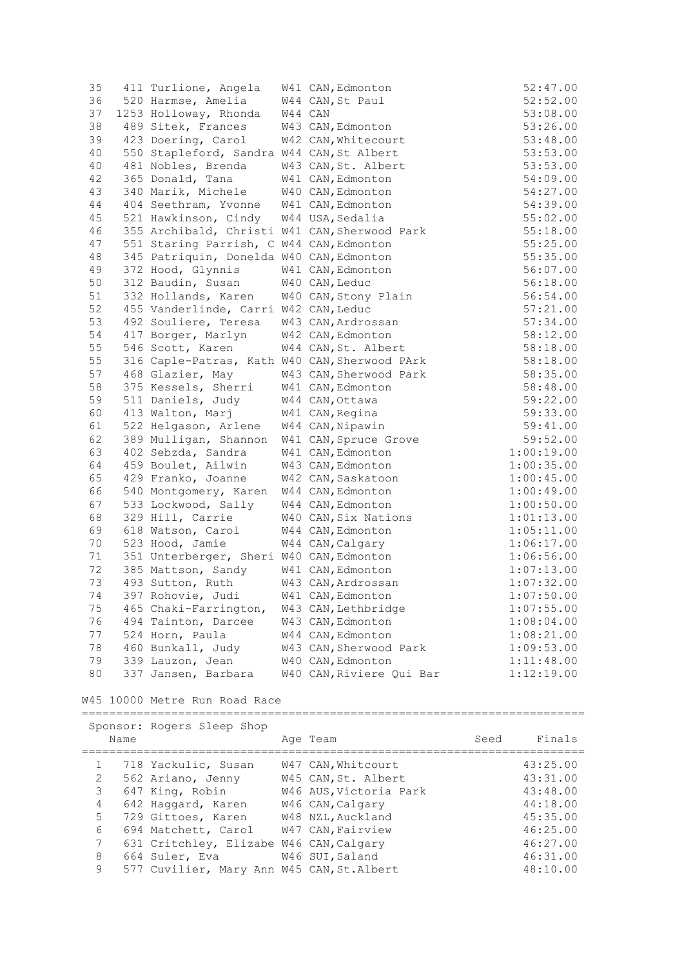| 35           |      | 411 Turlione, Angela                                     |         | W41 CAN, Edmonton        |      | 52:47.00   |
|--------------|------|----------------------------------------------------------|---------|--------------------------|------|------------|
| 36           |      | 520 Harmse, Amelia                                       |         | W44 CAN, St Paul         |      | 52:52.00   |
| 37           |      | 1253 Holloway, Rhonda                                    | W44 CAN |                          |      | 53:08.00   |
| 38           |      | 489 Sitek, Frances                                       |         | W43 CAN, Edmonton        |      | 53:26.00   |
| 39           |      | 423 Doering, Carol                                       |         | W42 CAN, Whitecourt      |      | 53:48.00   |
| 40           |      | 550 Stapleford, Sandra W44 CAN, St Albert                |         |                          |      | 53:53.00   |
| 40           |      | 481 Nobles, Brenda                                       |         | W43 CAN, St. Albert      |      | 53:53.00   |
| 42           |      | 365 Donald, Tana                                         |         | W41 CAN, Edmonton        |      | 54:09.00   |
| 43           |      | 340 Marik, Michele                                       |         | W40 CAN, Edmonton        |      | 54:27.00   |
| 44           |      | 404 Seethram, Yvonne W41 CAN, Edmonton                   |         |                          |      | 54:39.00   |
| 45           |      | 521 Hawkinson, Cindy W44 USA, Sedalia                    |         |                          |      | 55:02.00   |
|              |      | 355 Archibald, Christi W41 CAN, Sherwood Park            |         |                          |      |            |
| 46           |      |                                                          |         |                          |      | 55:18.00   |
| 47           |      | 551 Staring Parrish, C W44 CAN, Edmonton                 |         |                          |      | 55:25.00   |
| 48           |      | 345 Patriquin, Donelda W40 CAN, Edmonton                 |         |                          |      | 55:35.00   |
| 49           |      | 372 Hood, Glynnis                                        |         | W41 CAN, Edmonton        |      | 56:07.00   |
| 50           |      | 312 Baudin, Susan                                        |         | W40 CAN, Leduc           |      | 56:18.00   |
| 51           |      | 332 Hollands, Karen                                      |         | W40 CAN, Stony Plain     |      | 56:54.00   |
| 52           |      | 455 Vanderlinde, Carri W42 CAN, Leduc                    |         |                          |      | 57:21.00   |
| 53           |      | 492 Souliere, Teresa                                     |         | W43 CAN, Ardrossan       |      | 57:34.00   |
| 54           |      | 417 Borger, Marlyn                                       |         | W42 CAN, Edmonton        |      | 58:12.00   |
| 55           |      | 546 Scott, Karen                                         |         | W44 CAN, St. Albert      |      | 58:18.00   |
| 55           |      | 316 Caple-Patras, Kath W40 CAN, Sherwood PArk            |         |                          |      | 58:18.00   |
| 57           |      | 468 Glazier, May                                         |         | W43 CAN, Sherwood Park   |      | 58:35.00   |
| 58           |      | 375 Kessels, Sherri                                      |         | W41 CAN, Edmonton        |      | 58:48.00   |
| 59           |      | 511 Daniels, Judy                                        |         | W44 CAN, Ottawa          |      | 59:22.00   |
| 60           |      | 413 Walton, Marj                                         |         | W41 CAN, Regina          |      | 59:33.00   |
| 61           |      | 522 Helgason, Arlene                                     |         | W44 CAN, Nipawin         |      | 59:41.00   |
| 62           |      | 389 Mulligan, Shannon                                    |         | W41 CAN, Spruce Grove    |      | 59:52.00   |
| 63           |      | 402 Sebzda, Sandra                                       |         | W41 CAN, Edmonton        |      | 1:00:19.00 |
| 64           |      | 459 Boulet, Ailwin                                       |         | W43 CAN, Edmonton        |      | 1:00:35.00 |
| 65           |      | 429 Franko, Joanne                                       |         | W42 CAN, Saskatoon       |      | 1:00:45.00 |
| 66           |      | 540 Montgomery, Karen                                    |         | W44 CAN, Edmonton        |      | 1:00:49.00 |
| 67           |      | 533 Lockwood, Sally                                      |         | W44 CAN, Edmonton        |      | 1:00:50.00 |
| 68           |      | 329 Hill, Carrie                                         |         | W40 CAN, Six Nations     |      | 1:01:13.00 |
| 69           |      | 618 Watson, Carol                                        |         | W44 CAN, Edmonton        |      | 1:05:11.00 |
| 70           |      | 523 Hood, Jamie                                          |         |                          |      | 1:06:17.00 |
|              |      |                                                          |         | W44 CAN, Calgary         |      |            |
| 71           |      | 351 Unterberger, Sheri W40 CAN, Edmonton                 |         |                          |      | 1:06:56.00 |
| 72           |      | 385 Mattson, Sandy                                       |         | W41 CAN, Edmonton        |      | 1:07:13.00 |
| 73           |      | 493 Sutton, Ruth                                         |         | W43 CAN, Ardrossan       |      | 1:07:32.00 |
| 74           |      | 397 Rohovie, Judi                                        |         | W41 CAN, Edmonton        |      | 1:07:50.00 |
| 75           |      | 465 Chaki-Farrington,                                    |         | W43 CAN, Lethbridge      |      | 1:07:55.00 |
| 76           |      | 494 Tainton, Darcee                                      |         | W43 CAN, Edmonton        |      | 1:08:04.00 |
| 77           |      | 524 Horn, Paula                                          |         | W44 CAN, Edmonton        |      | 1:08:21.00 |
| 78           |      | 460 Bunkall, Judy                                        |         | W43 CAN, Sherwood Park   |      | 1:09:53.00 |
| 79           |      | 339 Lauzon, Jean                                         |         | W40 CAN, Edmonton        |      | 1:11:48.00 |
| 80           |      | 337 Jansen, Barbara                                      |         | W40 CAN, Riviere Qui Bar |      | 1:12:19.00 |
|              |      | W45 10000 Metre Run Road Race                            |         |                          |      |            |
|              |      | ==========================<br>Sponsor: Rogers Sleep Shop |         |                          |      |            |
|              | Name |                                                          |         | Age Team                 | Seed | Finals     |
| 1            |      | 718 Yackulic, Susan                                      |         | W47 CAN, Whitcourt       |      | 43:25.00   |
| $\mathbf{2}$ |      | 562 Ariano, Jenny                                        |         | W45 CAN, St. Albert      |      | 43:31.00   |
| 3            |      | 647 King, Robin                                          |         | W46 AUS, Victoria Park   |      | 43:48.00   |
| 4            |      | 642 Haggard, Karen                                       |         | W46 CAN, Calgary         |      | 44:18.00   |
| 5            |      | 729 Gittoes, Karen                                       |         | W48 NZL, Auckland        |      | 45:35.00   |
| 6            |      | 694 Matchett, Carol                                      |         | W47 CAN, Fairview        |      | 46:25.00   |
| 7            |      | 631 Critchley, Elizabe W46 CAN, Calgary                  |         |                          |      | 46:27.00   |
| 8            |      | 664 Suler, Eva                                           |         | W46 SUI, Saland          |      | 46:31.00   |
| 9            |      | 577 Cuvilier, Mary Ann W45 CAN, St. Albert               |         |                          |      | 48:10.00   |
|              |      |                                                          |         |                          |      |            |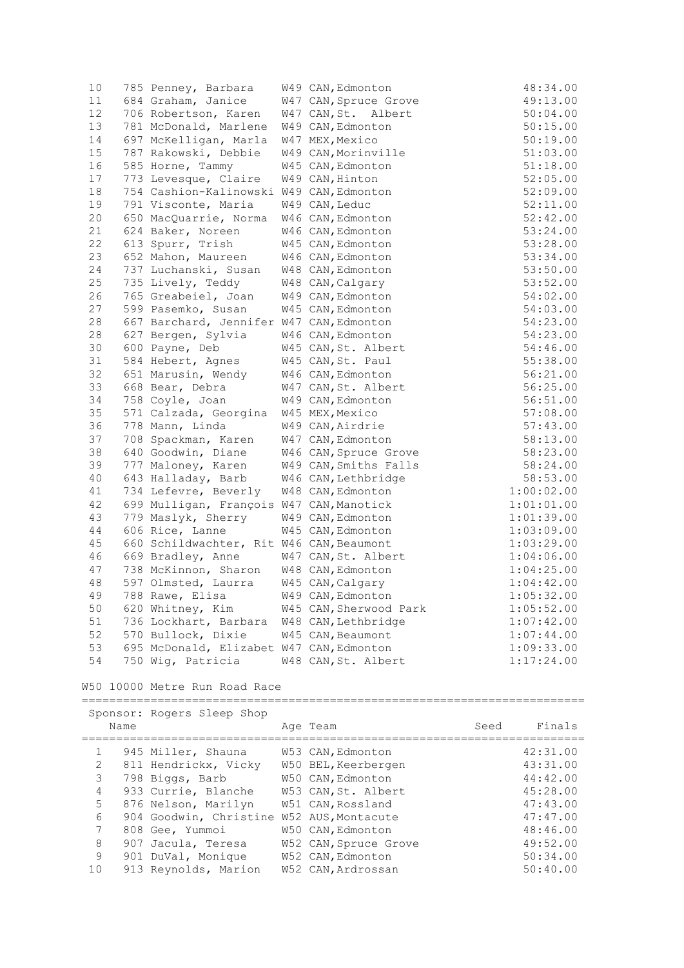| 10   | 785 Penney, Barbara                       | W49 CAN, Edmonton      | 48:34.00   |
|------|-------------------------------------------|------------------------|------------|
| 11   | 684 Graham, Janice                        | W47 CAN, Spruce Grove  | 49:13.00   |
| 12   | 706 Robertson, Karen                      | W47 CAN, St. Albert    | 50:04.00   |
| 13   | 781 McDonald, Marlene                     | W49 CAN, Edmonton      | 50:15.00   |
| 14   | 697 McKelligan, Marla                     | W47 MEX, Mexico        | 50:19.00   |
| 15   | 787 Rakowski, Debbie                      | W49 CAN, Morinville    | 51:03.00   |
| 16   | 585 Horne, Tammy                          | W45 CAN, Edmonton      | 51:18.00   |
| 17   | 773 Levesque, Claire                      | W49 CAN, Hinton        | 52:05.00   |
| 18   | 754 Cashion-Kalinowski W49 CAN, Edmonton  |                        | 52:09.00   |
| 19   | 791 Visconte, Maria                       | W49 CAN, Leduc         | 52:11.00   |
| 20   | 650 MacQuarrie, Norma                     | W46 CAN, Edmonton      | 52:42.00   |
| 21   | 624 Baker, Noreen                         | W46 CAN, Edmonton      | 53:24.00   |
| 22   | 613 Spurr, Trish                          | W45 CAN, Edmonton      | 53:28.00   |
| 23   | 652 Mahon, Maureen                        | W46 CAN, Edmonton      | 53:34.00   |
| 24   | 737 Luchanski, Susan                      | W48 CAN, Edmonton      | 53:50.00   |
| 25   | 735 Lively, Teddy                         | W48 CAN, Calgary       | 53:52.00   |
| 26   | 765 Greabeiel, Joan                       | W49 CAN, Edmonton      | 54:02.00   |
| 27   | 599 Pasemko, Susan                        | W45 CAN, Edmonton      | 54:03.00   |
| 28   | 667 Barchard, Jennifer W47 CAN, Edmonton  |                        | 54:23.00   |
| 28   | 627 Bergen, Sylvia                        | W46 CAN, Edmonton      | 54:23.00   |
| 30   | 600 Payne, Deb                            | W45 CAN, St. Albert    | 54:46.00   |
| 31   | 584 Hebert, Agnes                         | W45 CAN, St. Paul      | 55:38.00   |
| 32   | 651 Marusin, Wendy                        | W46 CAN, Edmonton      | 56:21.00   |
| 33   | 668 Bear, Debra                           | W47 CAN, St. Albert    | 56:25.00   |
| 34   | 758 Coyle, Joan                           | W49 CAN, Edmonton      | 56:51.00   |
| 35   | 571 Calzada, Georgina                     | W45 MEX, Mexico        | 57:08.00   |
| 36   | 778 Mann, Linda                           | W49 CAN, Airdrie       | 57:43.00   |
| 37   | 708 Spackman, Karen                       | W47 CAN, Edmonton      | 58:13.00   |
| 38   | 640 Goodwin, Diane                        | W46 CAN, Spruce Grove  | 58:23.00   |
| 39   | 777 Maloney, Karen                        | W49 CAN, Smiths Falls  | 58:24.00   |
| 40   | 643 Halladay, Barb                        | W46 CAN, Lethbridge    | 58:53.00   |
| 41   | 734 Lefevre, Beverly                      | W48 CAN, Edmonton      | 1:00:02.00 |
| 42   | 699 Mulligan, François W47 CAN, Manotick  |                        | 1:01:01.00 |
| 43   | 779 Maslyk, Sherry                        | W49 CAN, Edmonton      | 1:01:39.00 |
| 44   | 606 Rice, Lanne                           | W45 CAN, Edmonton      | 1:03:09.00 |
| 45   | 660 Schildwachter, Rit W46 CAN, Beaumont  |                        | 1:03:29.00 |
| 46   | 669 Bradley, Anne                         | W47 CAN, St. Albert    | 1:04:06.00 |
| 47   | 738 McKinnon, Sharon                      | W48 CAN, Edmonton      | 1:04:25.00 |
| 48   | 597 Olmsted, Laurra                       | W45 CAN, Calgary       | 1:04:42.00 |
| 49   | 788 Rawe, Elisa                           | W49 CAN, Edmonton      | 1:05:32.00 |
| $50$ | 620 Whitney, Kim                          | W45 CAN, Sherwood Park | 1:05:52.00 |
| 51   | 736 Lockhart, Barbara W48 CAN, Lethbridge |                        | 1:07:42.00 |
| 52   | 570 Bullock, Dixie                        | W45 CAN, Beaumont      | 1:07:44.00 |
| 53   | 695 McDonald, Elizabet W47 CAN, Edmonton  |                        | 1:09:33.00 |
| 54   | 750 Wig, Patricia                         | W48 CAN, St. Albert    | 1:17:24.00 |

# W50 10000 Metre Run Road Race

|                |      | Sponsor: Rogers Sleep Shop                |                       |      |          |
|----------------|------|-------------------------------------------|-----------------------|------|----------|
|                | Name |                                           | Age Team              | Seed | Finals   |
|                |      | 945 Miller, Shauna                        | W53 CAN, Edmonton     |      | 42:31.00 |
| $\overline{2}$ |      | 811 Hendrickx, Vicky                      | W50 BEL, Keerbergen   |      | 43:31.00 |
| 3              |      | 798 Biggs, Barb                           | W50 CAN, Edmonton     |      | 44:42.00 |
| $\overline{4}$ |      | 933 Currie, Blanche                       | W53 CAN.St. Albert    |      | 45:28.00 |
| 5              |      | 876 Nelson, Marilyn                       | W51 CAN, Rossland     |      | 47:43.00 |
| 6              |      | 904 Goodwin, Christine W52 AUS, Montacute |                       |      | 47:47.00 |
| 7              |      | 808 Gee, Yummoi                           | W50 CAN, Edmonton     |      | 48:46.00 |
| 8              |      | 907 Jacula, Teresa                        | W52 CAN, Spruce Grove |      | 49:52.00 |
| $\mathcal{Q}$  |      | 901 DuVal, Monique                        | W52 CAN, Edmonton     |      | 50:34.00 |
| 10             |      | 913 Reynolds, Marion                      | W52 CAN, Ardrossan    |      | 50:40.00 |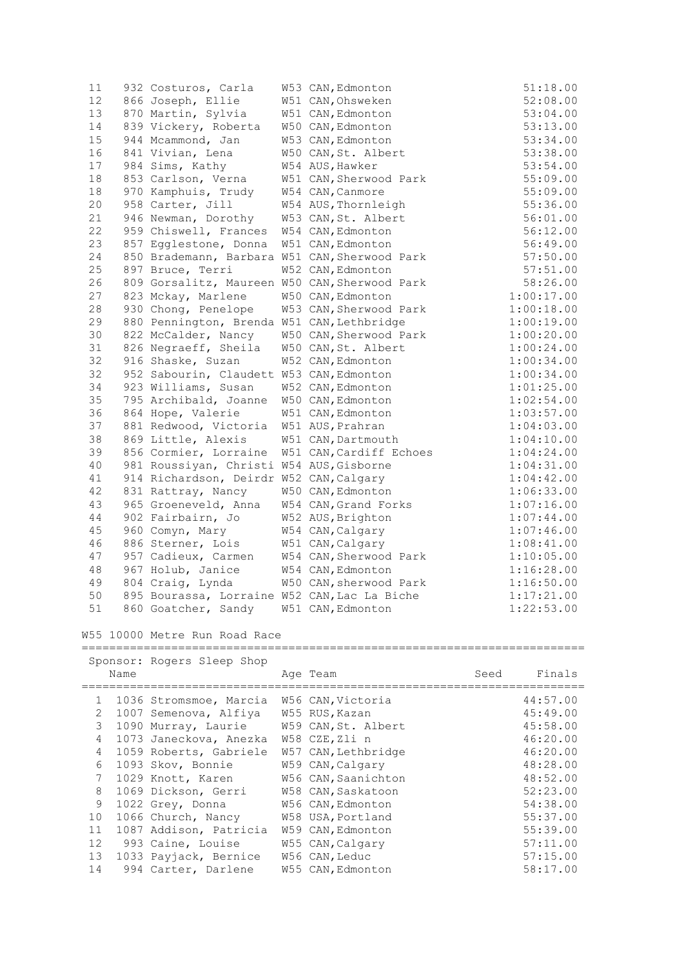| 11   | 932 Costuros, Carla                           | W53 CAN, Edmonton       | 51:18.00   |
|------|-----------------------------------------------|-------------------------|------------|
| 12   | 866 Joseph, Ellie                             | W51 CAN, Ohsweken       | 52:08.00   |
| 13   | 870 Martin, Sylvia                            | W51 CAN, Edmonton       | 53:04.00   |
| 14   | 839 Vickery, Roberta                          | W50 CAN, Edmonton       | 53:13.00   |
| $15$ | 944 Mcammond, Jan                             | W53 CAN, Edmonton       | 53:34.00   |
| 16   | 841 Vivian, Lena                              | W50 CAN, St. Albert     | 53:38.00   |
| 17   | 984 Sims, Kathy                               | W54 AUS, Hawker         | 53:54.00   |
| 18   | 853 Carlson, Verna                            | W51 CAN, Sherwood Park  | 55:09.00   |
| 18   | 970 Kamphuis, Trudy                           | W54 CAN, Canmore        | 55:09.00   |
| 20   | 958 Carter, Jill                              | W54 AUS, Thornleigh     | 55:36.00   |
| 21   | 946 Newman, Dorothy                           | W53 CAN, St. Albert     | 56:01.00   |
| 22   | 959 Chiswell, Frances                         | W54 CAN, Edmonton       | 56:12.00   |
| 23   | 857 Egglestone, Donna                         | W51 CAN, Edmonton       | 56:49.00   |
| 24   | 850 Brademann, Barbara W51 CAN, Sherwood Park |                         | 57:50.00   |
| 25   | 897 Bruce, Terri                              | W52 CAN, Edmonton       | 57:51.00   |
| 26   | 809 Gorsalitz, Maureen W50 CAN, Sherwood Park |                         | 58:26.00   |
| 27   | 823 Mckay, Marlene                            | W50 CAN, Edmonton       | 1:00:17.00 |
| 28   | 930 Chong, Penelope                           | W53 CAN, Sherwood Park  | 1:00:18.00 |
| 29   | 880 Pennington, Brenda W51 CAN, Lethbridge    |                         | 1:00:19.00 |
| 30   | 822 McCalder, Nancy                           | W50 CAN, Sherwood Park  | 1:00:20.00 |
| 31   | 826 Negraeff, Sheila                          | W50 CAN, St. Albert     | 1:00:24.00 |
| 32   | 916 Shaske, Suzan                             | W52 CAN, Edmonton       | 1:00:34.00 |
| 32   | 952 Sabourin, Claudett W53 CAN, Edmonton      |                         | 1:00:34.00 |
| 34   | 923 Williams, Susan                           | W52 CAN, Edmonton       | 1:01:25.00 |
| 35   | 795 Archibald, Joanne                         | W50 CAN, Edmonton       | 1:02:54.00 |
| 36   | 864 Hope, Valerie                             | W51 CAN, Edmonton       | 1:03:57.00 |
| 37   | 881 Redwood, Victoria W51 AUS, Prahran        |                         | 1:04:03.00 |
| 38   | 869 Little, Alexis                            | W51 CAN, Dartmouth      | 1:04:10.00 |
| 39   | 856 Cormier, Lorraine                         | W51 CAN, Cardiff Echoes | 1:04:24.00 |
| 40   | 981 Roussiyan, Christi W54 AUS, Gisborne      |                         | 1:04:31.00 |
| 41   | 914 Richardson, Deirdr W52 CAN, Calgary       |                         | 1:04:42.00 |
| 42   | 831 Rattray, Nancy                            | W50 CAN, Edmonton       | 1:06:33.00 |
| 43   | 965 Groeneveld, Anna                          | W54 CAN, Grand Forks    | 1:07:16.00 |
| 44   | 902 Fairbairn, Jo                             | W52 AUS, Brighton       | 1:07:44.00 |
| 45   | 960 Comyn, Mary                               | W54 CAN, Calgary        | 1:07:46.00 |
| 46   | 886 Sterner, Lois                             | W51 CAN, Calgary        | 1:08:41.00 |
| 47   | 957 Cadieux, Carmen                           | W54 CAN, Sherwood Park  | 1:10:05.00 |
| 48   | 967 Holub, Janice                             | W54 CAN, Edmonton       | 1:16:28.00 |
| 49   | 804 Craig, Lynda                              | W50 CAN, sherwood Park  | 1:16:50.00 |
| 50   | 895 Bourassa, Lorraine W52 CAN, Lac La Biche  |                         | 1:17:21.00 |
| 51   | 860 Goatcher, Sandy                           | W51 CAN, Edmonton       | 1:22:53.00 |

## W55 10000 Metre Run Road Race

|                |      | Sponsor: Rogers Sleep Shop |                     |      |          |
|----------------|------|----------------------------|---------------------|------|----------|
|                | Name |                            | Age Team            | Seed | Finals   |
|                |      |                            |                     |      |          |
| $\mathbf{1}$   |      | 1036 Stromsmoe, Marcia     | W56 CAN, Victoria   |      | 44:57.00 |
| $\mathcal{L}$  |      | 1007 Semenova, Alfiya      | W55 RUS, Kazan      |      | 45:49.00 |
| 3              |      | 1090 Murray, Laurie        | W59 CAN, St. Albert |      | 45:58.00 |
| 4              |      | 1073 Janeckova, Anezka     | W58 CZE, Zli n      |      | 46:20.00 |
| $\overline{4}$ |      | 1059 Roberts, Gabriele     | W57 CAN, Lethbridge |      | 46:20.00 |
| 6              |      | 1093 Skov, Bonnie          | W59 CAN, Calgary    |      | 48:28.00 |
| 7              |      | 1029 Knott, Karen          | W56 CAN, Saanichton |      | 48:52.00 |
| 8              |      | 1069 Dickson, Gerri        | W58 CAN, Saskatoon  |      | 52:23.00 |
| 9              |      | 1022 Grey, Donna           | W56 CAN, Edmonton   |      | 54:38.00 |
| 10             |      | 1066 Church, Nancy         | W58 USA, Portland   |      | 55:37.00 |
| 11             |      | 1087 Addison, Patricia     | W59 CAN, Edmonton   |      | 55:39.00 |
| 12             |      | 993 Caine, Louise          | W55 CAN, Calgary    |      | 57:11.00 |
| 13             |      | 1033 Payjack, Bernice      | W56 CAN, Leduc      |      | 57:15.00 |
| 14             |      | 994 Carter, Darlene        | W55 CAN, Edmonton   |      | 58:17.00 |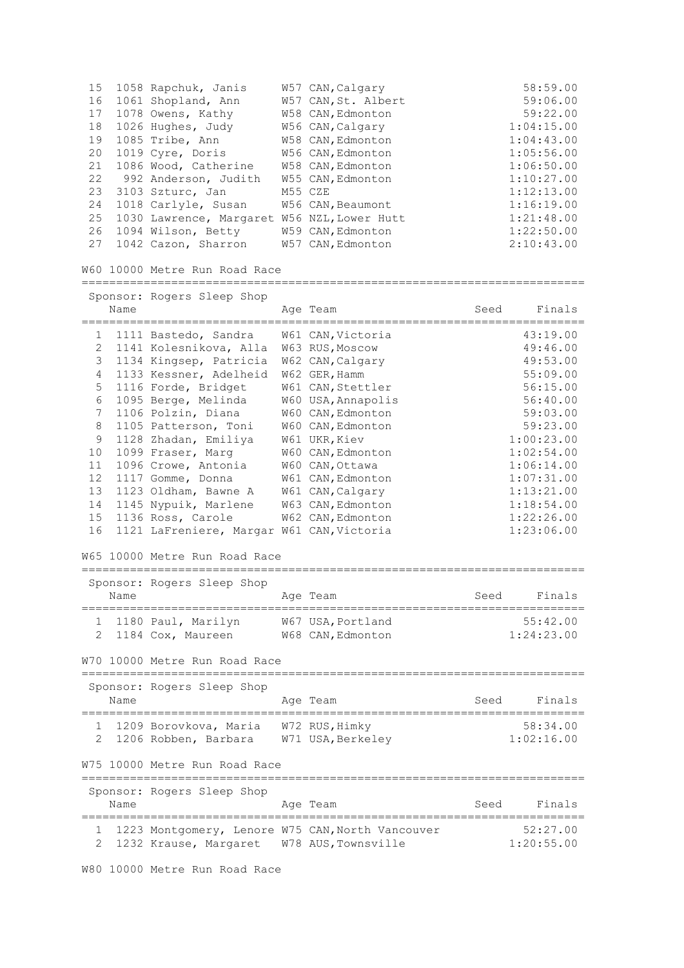| 15 | 1058 Rapchuk, Janis     | W57 CAN, Calgary    | 58:59.00   |
|----|-------------------------|---------------------|------------|
| 16 | 1061 Shopland, Ann      | W57 CAN, St. Albert | 59:06.00   |
| 17 | 1078 Owens, Kathy       | W58 CAN, Edmonton   | 59:22.00   |
| 18 | 1026 Hughes, Judy       | W56 CAN, Calgary    | 1:04:15.00 |
| 19 | 1085 Tribe, Ann         | W58 CAN, Edmonton   | 1:04:43.00 |
| 20 | 1019 Cyre, Doris        | W56 CAN, Edmonton   | 1:05:56.00 |
| 21 | 1086 Wood, Catherine    | W58 CAN, Edmonton   | 1:06:50.00 |
| 22 | 992 Anderson, Judith    | W55 CAN, Edmonton   | 1:10:27.00 |
| 23 | 3103 Szturc, Jan        | M55 CZE             | 1:12:13.00 |
| 24 | 1018 Carlyle, Susan     | W56 CAN, Beaumont   | 1:16:19.00 |
| 25 | 1030 Lawrence, Margaret | W56 NZL, Lower Hutt | 1:21:48.00 |
| 26 | 1094 Wilson, Betty      | W59 CAN, Edmonton   | 1:22:50.00 |
| 27 | 1042 Cazon, Sharron     | W57 CAN, Edmonton   | 2:10:43.00 |
|    |                         |                     |            |

W60 10000 Metre Run Road Race

|                | Name | Sponsor: Rogers Sleep Shop                              | Age Team           | Seed | Finals     |
|----------------|------|---------------------------------------------------------|--------------------|------|------------|
|                |      |                                                         |                    |      |            |
| 1              |      | 1111 Bastedo, Sandra                                    | W61 CAN, Victoria  |      | 43:19.00   |
| 2              |      | 1141 Kolesnikova, Alla                                  | W63 RUS, Moscow    |      | 49:46.00   |
| 3              |      | 1134 Kingsep, Patricia                                  | W62 CAN, Calgary   |      | 49:53.00   |
| 4              |      | 1133 Kessner, Adelheid                                  | W62 GER, Hamm      |      | 55:09.00   |
| 5              |      | 1116 Forde, Bridget                                     | W61 CAN, Stettler  |      | 56:15.00   |
| 6              |      | 1095 Berge, Melinda                                     | W60 USA, Annapolis |      | 56:40.00   |
| 7              |      | 1106 Polzin, Diana                                      | W60 CAN, Edmonton  |      | 59:03.00   |
| 8              |      | 1105 Patterson, Toni                                    | W60 CAN, Edmonton  |      | 59:23.00   |
| 9              |      | 1128 Zhadan, Emiliya                                    | W61 UKR, Kiev      |      | 1:00:23.00 |
| 10             |      | 1099 Fraser, Marq                                       | W60 CAN, Edmonton  |      | 1:02:54.00 |
| 11             |      | 1096 Crowe, Antonia                                     | W60 CAN, Ottawa    |      | 1:06:14.00 |
| 12             |      | 1117 Gomme, Donna                                       | W61 CAN, Edmonton  |      | 1:07:31.00 |
| 13             |      | 1123 Oldham, Bawne A                                    | W61 CAN, Calgary   |      | 1:13:21.00 |
| 14             |      | 1145 Nypuik, Marlene                                    | W63 CAN, Edmonton  |      | 1:18:54.00 |
| 15             |      | 1136 Ross, Carole                                       | W62 CAN, Edmonton  |      | 1:22:26.00 |
| 16             |      | 1121 LaFreniere, Margar W61 CAN, Victoria               |                    |      | 1:23:06.00 |
|                |      | W65 10000 Metre Run Road Race                           |                    |      |            |
|                |      | Sponsor: Rogers Sleep Shop                              |                    |      |            |
|                | Name |                                                         | Age Team           | Seed | Finals     |
| $\mathbf{1}$   |      | 1180 Paul, Marilyn W67 USA, Portland                    |                    |      | 55:42.00   |
| $\overline{2}$ |      | 1184 Cox, Maureen                                       | W68 CAN, Edmonton  |      | 1:24:23.00 |
|                |      | W70 10000 Metre Run Road Race<br>====================== |                    |      |            |

Sponsor: Rogers Sleep Shop Name **Age Team** Age Team Seed Finals ========================================================================= 1 1209 Borovkova, Maria W72 RUS,Himky 58:34.00 2 1206 Robben, Barbara W71 USA,Berkeley 1:02:16.00 W75 10000 Metre Run Road Race ========================================================================= Sponsor: Rogers Sleep Shop Name Age Team Seed Finals =========================================================================

 1 1223 Montgomery, Lenore W75 CAN,North Vancouver 52:27.00 2 1232 Krause, Margaret W78 AUS, Townsville 1:20:55.00

W80 10000 Metre Run Road Race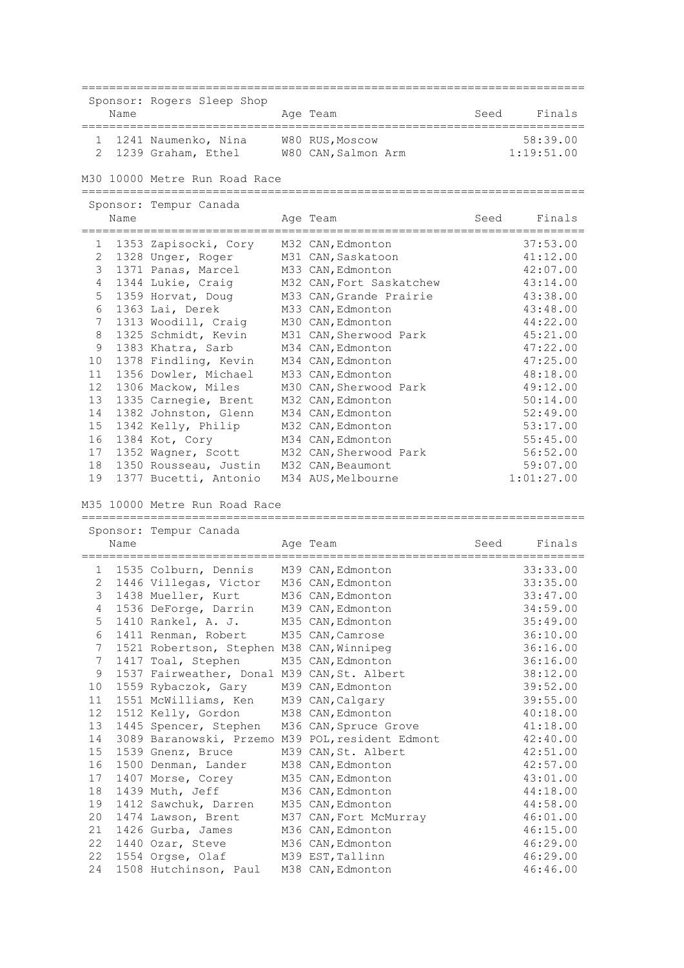========================================================================= Sponsor: Rogers Sleep Shop Name **Age Team** Age Team Seed Finals ========================================================================= 1 1241 Naumenko, Nina W80 RUS,Moscow 58:39.00 2 1239 Graham, Ethel W80 CAN,Salmon Arm 1:19:51.00 M30 10000 Metre Run Road Race ========================================================================= Sponsor: Tempur Canada Name Age Team Seed Finals ========================================================================= 1 1353 Zapisocki, Cory M32 CAN,Edmonton 37:53.00 2 1328 Unger, Roger M31 CAN,Saskatoon 41:12.00 3 1371 Panas, Marcel M33 CAN,Edmonton 42:07.00 4 1344 Lukie, Craig M32 CAN,Fort Saskatchew 43:14.00 5 1359 Horvat, Doug M33 CAN, Grande Prairie 43:38.00 6 1363 Lai, Derek M33 CAN,Edmonton 43:48.00 7 1313 Woodill, Craig M30 CAN,Edmonton 44:22.00 8 1325 Schmidt, Kevin M31 CAN, Sherwood Park 45:21.00 9 1383 Khatra, Sarb M34 CAN, Edmonton 47:22.00 10 1378 Findling, Kevin M34 CAN,Edmonton 47:25.00 11 1356 Dowler, Michael M33 CAN,Edmonton 48:18.00 12 1306 Mackow, Miles M30 CAN,Sherwood Park 49:12.00 13 1335 Carnegie, Brent M32 CAN, Edmonton 50:14.00 14 1382 Johnston, Glenn M34 CAN,Edmonton 52:49.00 15 1342 Kelly, Philip M32 CAN,Edmonton 53:17.00 16 1384 Kot, Cory M34 CAN,Edmonton 55:45.00 17 1352 Wagner, Scott M32 CAN, Sherwood Park 56:52.00 18 1350 Rousseau, Justin M32 CAN, Beaumont 59:07.00 19 1377 Bucetti, Antonio M34 AUS,Melbourne 1:01:27.00

M35 10000 Metre Run Road Race

|                 |      | Sponsor: Tempur Canada                      |                                                  |      |          |
|-----------------|------|---------------------------------------------|--------------------------------------------------|------|----------|
|                 | Name |                                             | Age Team                                         | Seed | Finals   |
| 1               |      | 1535 Colburn, Dennis M39 CAN, Edmonton      |                                                  |      | 33:33.00 |
| $\mathbf{2}$    |      | 1446 Villegas, Victor                       | M36 CAN, Edmonton                                |      | 33:35.00 |
| 3               |      | 1438 Mueller, Kurt                          | M36 CAN, Edmonton                                |      | 33:47.00 |
| 4               |      | 1536 DeForge, Darrin                        | M39 CAN, Edmonton                                |      | 34:59.00 |
| 5               |      | 1410 Rankel, A. J. M35 CAN, Edmonton        |                                                  |      | 35:49.00 |
| 6               |      | 1411 Renman, Robert                         | M35 CAN, Camrose                                 |      | 36:10.00 |
| $7^{\circ}$     |      | 1521 Robertson, Stephen M38 CAN, Winnipeg   |                                                  |      | 36:16.00 |
| $7^{\circ}$     |      | 1417 Toal, Stephen                          | M35 CAN, Edmonton                                |      | 36:16.00 |
| 9               |      | 1537 Fairweather, Donal M39 CAN, St. Albert |                                                  |      | 38:12.00 |
| 10              |      | 1559 Rybaczok, Gary                         | M39 CAN, Edmonton                                |      | 39:52.00 |
| 11              |      | 1551 McWilliams, Ken                        | M39 CAN, Calgary                                 |      | 39:55.00 |
| 12 <sup>°</sup> |      | 1512 Kelly, Gordon                          | M38 CAN, Edmonton                                |      | 40:18.00 |
| 13              |      | 1445 Spencer, Stephen                       | M36 CAN, Spruce Grove                            |      | 41:18.00 |
| 14              |      |                                             | 3089 Baranowski, Przemo M39 POL, resident Edmont |      | 42:40.00 |
| 15              |      | 1539 Gnenz, Bruce                           | M39 CAN, St. Albert                              |      | 42:51.00 |
| 16              |      | 1500 Denman, Lander                         | M38 CAN, Edmonton                                |      | 42:57.00 |
| 17              |      | 1407 Morse, Corey                           | M35 CAN, Edmonton                                |      | 43:01.00 |
| 18              |      | 1439 Muth, Jeff                             | M36 CAN, Edmonton                                |      | 44:18.00 |
| 19              |      | 1412 Sawchuk, Darren                        | M35 CAN, Edmonton                                |      | 44:58.00 |
| 20              |      | 1474 Lawson, Brent                          | M37 CAN, Fort McMurray                           |      | 46:01.00 |
| 21              |      | 1426 Gurba, James                           | M36 CAN, Edmonton                                |      | 46:15.00 |
| 22              |      | 1440 Ozar, Steve                            | M36 CAN, Edmonton                                |      | 46:29.00 |
| 22              |      | 1554 Orgse, Olaf                            | M39 EST, Tallinn                                 |      | 46:29.00 |
| 24              |      | 1508 Hutchinson, Paul                       | M38 CAN, Edmonton                                |      | 46:46.00 |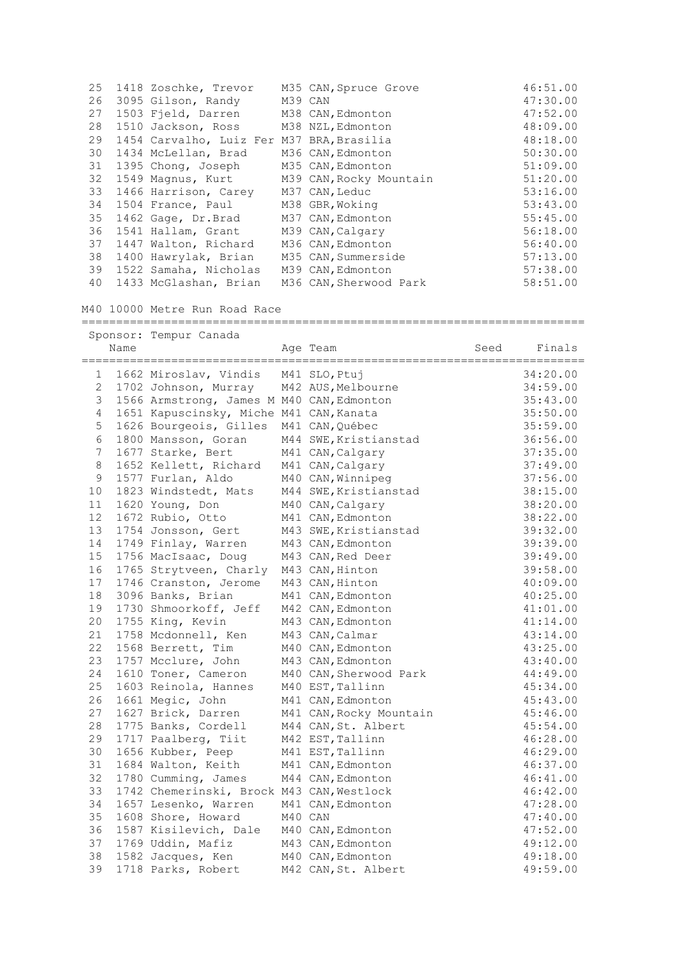| 25 | 1418 Zoschke, Trevor                      |         | M35 CAN, Spruce Grove   | 46:51.00 |
|----|-------------------------------------------|---------|-------------------------|----------|
| 26 | 3095 Gilson, Randy                        | M39 CAN |                         | 47:30.00 |
| 27 | 1503 Field, Darren                        |         | M38 CAN, Edmonton       | 47:52.00 |
| 28 | 1510 Jackson, Ross                        |         | M38 NZL, Edmonton       | 48:09.00 |
| 29 | 1454 Carvalho, Luiz Fer M37 BRA, Brasilia |         |                         | 48:18.00 |
| 30 | 1434 McLellan, Brad                       |         | M36 CAN, Edmonton       | 50:30.00 |
| 31 | 1395 Chong, Joseph                        |         | M35 CAN, Edmonton       | 51:09.00 |
| 32 | 1549 Magnus, Kurt                         |         | M39 CAN, Rocky Mountain | 51:20.00 |
| 33 | 1466 Harrison, Carey                      |         | M37 CAN, Leduc          | 53:16.00 |
| 34 | 1504 France, Paul                         |         | M38 GBR, Woking         | 53:43.00 |
| 35 | 1462 Gage, Dr.Brad                        |         | M37 CAN, Edmonton       | 55:45.00 |
| 36 | 1541 Hallam, Grant                        |         | M39 CAN, Calgary        | 56:18.00 |
| 37 | 1447 Walton, Richard                      |         | M36 CAN, Edmonton       | 56:40.00 |
| 38 | 1400 Hawrylak, Brian                      |         | M35 CAN, Summerside     | 57:13.00 |
| 39 | 1522 Samaha, Nicholas                     |         | M39 CAN, Edmonton       | 57:38.00 |
| 40 | 1433 McGlashan, Brian                     |         | M36 CAN, Sherwood Park  | 58:51.00 |

=========================================================================

M40 10000 Metre Run Road Race

## Sponsor: Tempur Canada Name **Age Team** Age Team Seed Finals ========================================================================= 1 1662 Miroslav, Vindis M41 SLO,Ptuj 34:20.00 2 1702 Johnson, Murray M42 AUS,Melbourne 34:59.00 3 1566 Armstrong, James M M40 CAN,Edmonton 35:43.00 4 1651 Kapuscinsky, Miche M41 CAN,Kanata 35:50.00 5 1626 Bourgeois, Gilles M41 CAN,Québec 35:59.00 5 1626 Bourgeois, Gilles M41 CAN, Quebec<br>6 1800 Mansson, Goran M44 SWE, Kristianstad 36:56.00<br>7 1677 Starke, Bert M41 CAN, Calgary 37:35.00 7 1677 Starke, Bert M41 CAN,Calgary 37:35.00 8 1652 Kellett, Richard M41 CAN, Calgary 37:49.00 9 1577 Furlan, Aldo M40 CAN,Winnipeg 37:56.00 10 1823 Windstedt, Mats M44 SWE,Kristianstad 38:15.00 11 1620 Young, Don M40 CAN,Calgary 38:20.00 12 1672 Rubio, Otto M41 CAN,Edmonton 38:22.00 13 1754 Jonsson, Gert M43 SWE,Kristianstad 39:32.00 14 1749 Finlay, Warren M43 CAN,Edmonton 39:39.00 15 1756 MacIsaac, Doug M43 CAN,Red Deer 39:49.00 16 1765 Strytveen, Charly M43 CAN,Hinton 39:58.00 17 1746 Cranston, Jerome M43 CAN,Hinton 40:09.00 18 3096 Banks, Brian M41 CAN,Edmonton 40:25.00 19 1730 Shmoorkoff, Jeff M42 CAN,Edmonton 41:01.00 20 1755 King, Kevin M43 CAN,Edmonton 41:14.00 21 1758 Mcdonnell, Ken M43 CAN,Calmar 43:14.00 22 1568 Berrett, Tim M40 CAN,Edmonton 43:25.00 23 1757 Mcclure, John M43 CAN,Edmonton 43:40.00 24 1610 Toner, Cameron M40 CAN, Sherwood Park 44:49.00 25 1603 Reinola, Hannes M40 EST,Tallinn 45:34.00 26 1661 Megic, John M41 CAN,Edmonton 45:43.00 27 1627 Brick, Darren M41 CAN,Rocky Mountain 45:46.00 28 1775 Banks, Cordell M44 CAN,St. Albert 45:54.00 29 1717 Paalberg, Tiit M42 EST,Tallinn 46:28.00 30 1656 Kubber, Peep M41 EST,Tallinn 46:29.00 31 1684 Walton, Keith M41 CAN,Edmonton 46:37.00 32 1780 Cumming, James M44 CAN,Edmonton 46:41.00 33 1742 Chemerinski, Brock M43 CAN,Westlock 46:42.00 34 1657 Lesenko, Warren M41 CAN,Edmonton 47:28.00 35 1608 Shore, Howard M40 CAN 47:40.00 36 1587 Kisilevich, Dale M40 CAN,Edmonton 47:52.00 37 1769 Uddin, Mafiz M43 CAN,Edmonton 49:12.00 38 1582 Jacques, Ken M40 CAN,Edmonton 49:18.00 39 1718 Parks, Robert M42 CAN, St. Albert 49:59.00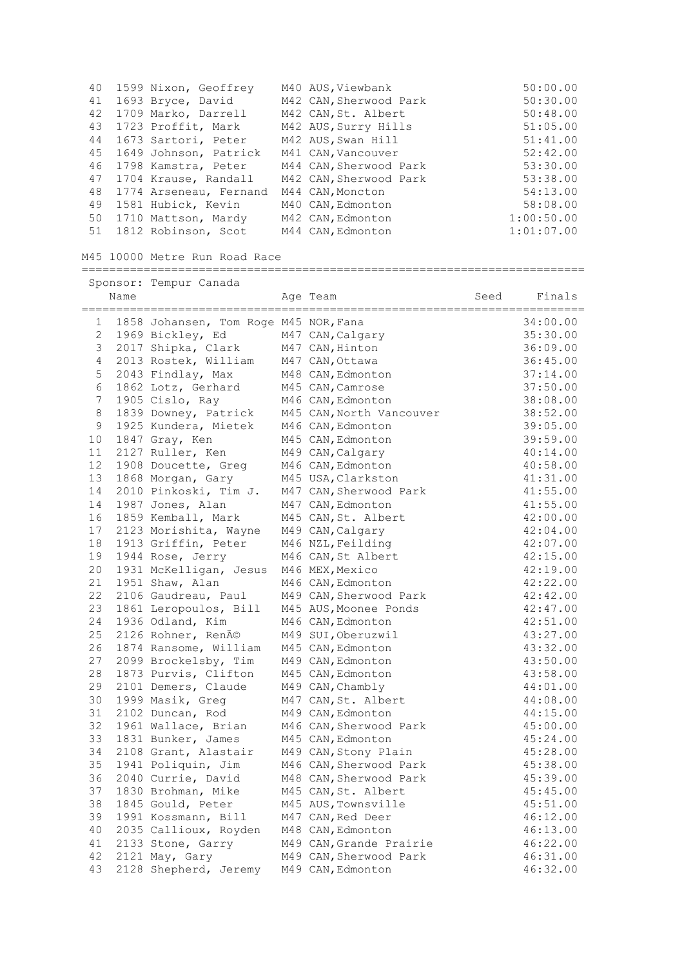| 40 | 1599 Nixon, Geoffrey      | M40 AUS, Viewbank      | 50:00.00   |
|----|---------------------------|------------------------|------------|
| 41 | 1693 Bryce, David         | M42 CAN, Sherwood Park | 50:30.00   |
| 42 | 1709 Marko, Darrell       | M42 CAN, St. Albert    | 50:48.00   |
| 43 | 1723 Proffit, Mark        | M42 AUS, Surry Hills   | 51:05.00   |
|    | 44 1673 Sartori, Peter    | M42 AUS, Swan Hill     | 51:41.00   |
| 45 | 1649 Johnson, Patrick     | M41 CAN, Vancouver     | 52:42.00   |
| 46 | 1798 Kamstra, Peter       | M44 CAN, Sherwood Park | 53:30.00   |
|    | 47 1704 Krause, Randall   | M42 CAN, Sherwood Park | 53:38.00   |
|    | 48 1774 Arseneau, Fernand | M44 CAN, Moncton       | 54:13.00   |
| 49 | 1581 Hubick, Kevin        | M40 CAN, Edmonton      | 58:08.00   |
| 50 | 1710 Mattson, Mardy       | M42 CAN, Edmonton      | 1:00:50.00 |
|    | 51 1812 Robinson, Scot    | M44 CAN, Edmonton      | 1:01:07.00 |

M45 10000 Metre Run Road Race

========================================================================= Sponsor: Tempur Canada

|                | Name |                                              | Age Team                                     | Seed | Finals               |
|----------------|------|----------------------------------------------|----------------------------------------------|------|----------------------|
| 1              |      | 1858 Johansen, Tom Roge M45 NOR, Fana        |                                              |      | 34:00.00             |
| $\overline{c}$ |      | 1969 Bickley, Ed                             | M47 CAN, Calgary                             |      | 35:30.00             |
| 3              |      | 2017 Shipka, Clark                           | M47 CAN, Hinton                              |      | 36:09.00             |
| $\overline{4}$ |      | 2013 Rostek, William                         | M47 CAN, Ottawa                              |      | 36:45.00             |
| 5              |      | 2043 Findlay, Max                            | M48 CAN, Edmonton                            |      | 37:14.00             |
| 6              |      | 1862 Lotz, Gerhard                           | M45 CAN, Camrose                             |      | 37:50.00             |
| $\overline{7}$ |      | 1905 Cislo, Ray                              | M46 CAN, Edmonton                            |      | 38:08.00             |
| 8              |      | 1839 Downey, Patrick                         | M45 CAN, North Vancouver                     |      | 38:52.00             |
| 9              |      | 1925 Kundera, Mietek                         | M46 CAN, Edmonton                            |      | 39:05.00             |
| 10             |      | 1847 Gray, Ken                               | M45 CAN, Edmonton                            |      | 39:59.00             |
| 11             |      | 2127 Ruller, Ken                             | M49 CAN, Calgary                             |      | 40:14.00             |
| 12             |      | 1908 Doucette, Greg                          | M46 CAN, Edmonton                            |      | 40:58.00             |
| 13             |      | 1868 Morgan, Gary                            | M45 USA, Clarkston                           |      | 41:31.00             |
| 14             |      | 2010 Pinkoski, Tim J.                        | M47 CAN, Sherwood Park                       |      | 41:55.00             |
| 14             |      | 1987 Jones, Alan                             | M47 CAN, Edmonton                            |      | 41:55.00             |
| 16             |      | 1859 Kemball, Mark                           | M45 CAN, St. Albert                          |      | 42:00.00             |
| 17             |      | 2123 Morishita, Wayne                        | M49 CAN, Calgary                             |      | 42:04.00             |
| 18             |      | 1913 Griffin, Peter                          | M46 NZL, Feilding                            |      | 42:07.00             |
| 19             |      | 1944 Rose, Jerry                             | M46 CAN, St Albert                           |      | 42:15.00             |
| 20             |      | 1931 McKelligan, Jesus                       | M46 MEX, Mexico                              |      | 42:19.00             |
| 21             |      | 1951 Shaw, Alan                              | M46 CAN, Edmonton                            |      | 42:22.00             |
| 22             |      | 2106 Gaudreau, Paul                          | M49 CAN, Sherwood Park                       |      | 42:42.00             |
| 23             |      | 1861 Leropoulos, Bill                        | M45 AUS, Moonee Ponds                        |      | 42:47.00             |
| 24             |      | 1936 Odland, Kim                             | M46 CAN, Edmonton                            |      | 42:51.00             |
| 25             |      | 2126 Rohner, René                            | M49 SUI, Oberuzwil                           |      | 43:27.00             |
| 26             |      | 1874 Ransome, William                        | M45 CAN, Edmonton                            |      | 43:32.00             |
| 27             |      | 2099 Brockelsby, Tim                         | M49 CAN, Edmonton                            |      | 43:50.00             |
| 28             |      | 1873 Purvis, Clifton                         | M45 CAN, Edmonton                            |      | 43:58.00             |
| 29             |      | 2101 Demers, Claude                          | M49 CAN, Chambly                             |      | 44:01.00             |
| 30             |      | 1999 Masik, Greg                             | M47 CAN, St. Albert                          |      | 44:08.00             |
| 31             |      | 2102 Duncan, Rod                             | M49 CAN, Edmonton                            |      | 44:15.00             |
| 32             |      | 1961 Wallace, Brian                          | M46 CAN, Sherwood Park                       |      | 45:00.00             |
| 33             |      | 1831 Bunker, James                           | M45 CAN, Edmonton                            |      | 45:24.00             |
| 34             |      | 2108 Grant, Alastair                         | M49 CAN, Stony Plain                         |      | 45:28.00             |
| 35             |      | 1941 Poliquin, Jim                           | M46 CAN, Sherwood Park                       |      | 45:38.00             |
| 36             |      | 2040 Currie, David                           | M48 CAN, Sherwood Park                       |      | 45:39.00             |
| 37<br>38       |      | 1830 Brohman, Mike                           | M45 CAN, St. Albert                          |      | 45:45.00             |
| 39             |      | 1845 Gould, Peter                            | M45 AUS, Townsville                          |      | 45:51.00             |
| 40             |      | 1991 Kossmann, Bill<br>2035 Callioux, Royden | M47 CAN, Red Deer                            |      | 46:12.00             |
| 41             |      | 2133 Stone, Garry                            | M48 CAN, Edmonton<br>M49 CAN, Grande Prairie |      | 46:13.00             |
| 42             |      | 2121 May, Gary                               | M49 CAN, Sherwood Park                       |      | 46:22.00             |
| 43             |      | 2128 Shepherd, Jeremy                        | M49 CAN, Edmonton                            |      | 46:31.00<br>46:32.00 |
|                |      |                                              |                                              |      |                      |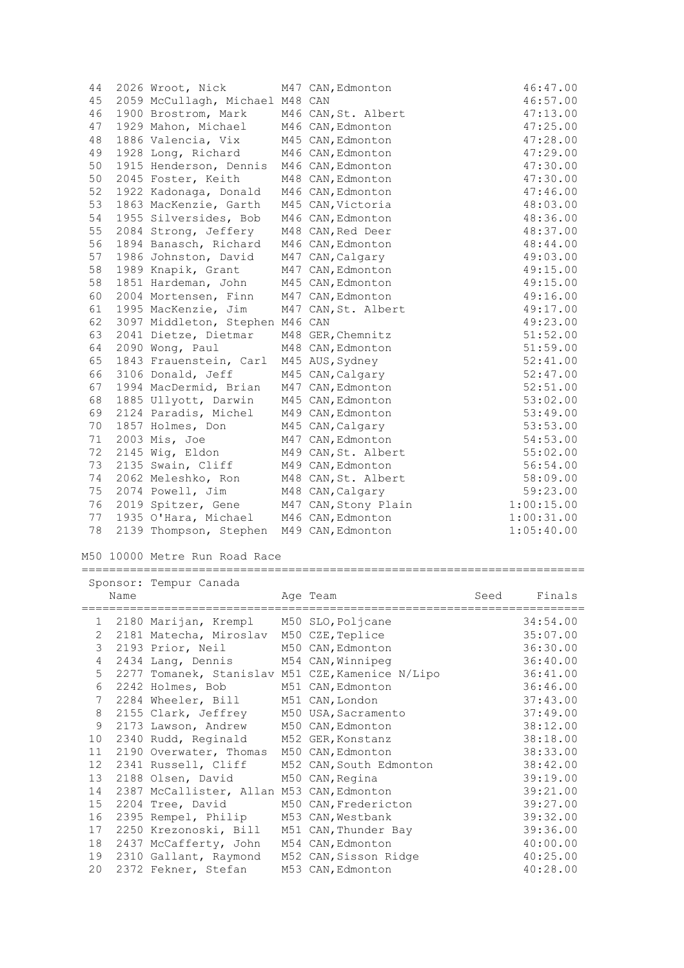| 44 | 2026 Wroot, Nick                         | M47 CAN, Edmonton                       | 46:47.00   |
|----|------------------------------------------|-----------------------------------------|------------|
| 45 | 2059 McCullagh, Michael M48 CAN          |                                         | 46:57.00   |
| 46 | 1900 Brostrom, Mark                      | M46 CAN, St. Albert                     | 47:13.00   |
| 47 | 1929 Mahon, Michael M46 CAN, Edmonton    |                                         | 47:25.00   |
| 48 | 1886 Valencia, Vix M45 CAN, Edmonton     |                                         | 47:28.00   |
| 49 | 1928 Long, Richard                       | M46 CAN, Edmonton                       | 47:29.00   |
| 50 | 1915 Henderson, Dennis M46 CAN, Edmonton |                                         | 47:30.00   |
| 50 | 2045 Foster, Keith                       | M48 CAN, Edmonton                       | 47:30.00   |
| 52 | 1922 Kadonaga, Donald                    | M46 CAN, Edmonton                       | 47:46.00   |
| 53 | 1863 MacKenzie, Garth                    | M45 CAN, Victoria                       | 48:03.00   |
| 54 | 1955 Silversides, Bob                    | M46 CAN, Edmonton                       | 48:36.00   |
| 55 | 2084 Strong, Jeffery                     | M48 CAN, Red Deer                       | 48:37.00   |
| 56 | 1894 Banasch, Richard                    | M46 CAN, Edmonton                       | 48:44.00   |
| 57 | 1986 Johnston, David                     | M47 CAN, Calgary                        | 49:03.00   |
| 58 | 1989 Knapik, Grant M47 CAN, Edmonton     |                                         | 49:15.00   |
| 58 | 1851 Hardeman, John M45 CAN, Edmonton    |                                         | 49:15.00   |
| 60 | 2004 Mortensen, Finn M47 CAN, Edmonton   |                                         | 49:16.00   |
| 61 | 1995 MacKenzie, Jim                      | M47 CAN, St. Albert                     | 49:17.00   |
| 62 | 3097 Middleton, Stephen M46 CAN          |                                         | 49:23.00   |
| 63 | 2041 Dietze, Dietmar                     | M48 GER, Chemnitz                       | 51:52.00   |
| 64 | 2090 Wong, Paul                          | M48 CAN, Edmonton                       | 51:59.00   |
| 65 | 1843 Frauenstein, Carl M45 AUS, Sydney   |                                         | 52:41.00   |
| 66 | 3106 Donald, Jeff                        | M45 CAN, Calgary                        | 52:47.00   |
| 67 | 1994 MacDermid, Brian                    | M47 CAN, Edmonton                       | 52:51.00   |
| 68 | 1885 Ullyott, Darwin M45 CAN, Edmonton   |                                         | 53:02.00   |
| 69 | 2124 Paradis, Michel M49 CAN, Edmonton   |                                         | 53:49.00   |
| 70 | 1857 Holmes, Don                         | M45 CAN, Calgary                        | 53:53.00   |
| 71 | 2003 Mis, Joe                            | M47 CAN, Edmonton                       | 54:53.00   |
| 72 | 2145 Wig, Eldon                          | M49 CAN, St. Albert                     | 55:02.00   |
| 73 | 2135 Swain, Cliff                        | M49 CAN, Edmonton                       | 56:54.00   |
| 74 | 2062 Meleshko, Ron                       | M48 CAN, St. Albert                     | 58:09.00   |
| 75 | 2074 Powell, Jim                         | M48 CAN, Calgary                        | 59:23.00   |
| 76 |                                          | 2019 Spitzer, Gene M47 CAN, Stony Plain | 1:00:15.00 |
| 77 | 1935 O'Hara, Michael M46 CAN, Edmonton   |                                         | 1:00:31.00 |
| 78 | 2139 Thompson, Stephen M49 CAN, Edmonton |                                         | 1:05:40.00 |
|    |                                          |                                         |            |

# M50 10000 Metre Run Road Race

|                 | Name | Sponsor: Tempur Canada                     | Age Team                                         | Seed | Finals   |
|-----------------|------|--------------------------------------------|--------------------------------------------------|------|----------|
|                 |      |                                            |                                                  |      |          |
|                 |      | 1 2180 Marijan, Krempl M50 SLO, Poljcane   |                                                  |      | 34:54.00 |
| $\overline{2}$  |      | 2181 Matecha, Miroslav M50 CZE, Teplice    |                                                  |      | 35:07.00 |
| 3               |      | 2193 Prior, Neil M50 CAN, Edmonton         |                                                  |      | 36:30.00 |
| 4               |      | 2434 Lang, Dennis M54 CAN, Winnipeg        |                                                  |      | 36:40.00 |
| 5               |      |                                            | 2277 Tomanek, Stanislav M51 CZE, Kamenice N/Lipo |      | 36:41.00 |
| 6               |      | 2242 Holmes, Bob                           | M51 CAN, Edmonton                                |      | 36:46.00 |
| $7^{\circ}$     |      | 2284 Wheeler, Bill M51 CAN, London         |                                                  |      | 37:43.00 |
| 8               |      | 2155 Clark, Jeffrey M50 USA, Sacramento    |                                                  |      | 37:49.00 |
| 9               |      | 2173 Lawson, Andrew M50 CAN, Edmonton      |                                                  |      | 38:12.00 |
| 10              |      | 2340 Rudd, Reginald M52 GER, Konstanz      |                                                  |      | 38:18.00 |
| 11              |      | 2190 Overwater, Thomas M50 CAN, Edmonton   |                                                  |      | 38:33.00 |
| 12 <sup>7</sup> |      | 2341 Russell, Cliff                        | M52 CAN, South Edmonton                          |      | 38:42.00 |
| 13 <sup>°</sup> |      | 2188 Olsen, David                          | M50 CAN, Regina                                  |      | 39:19.00 |
| 14              |      | 2387 McCallister, Allan M53 CAN, Edmonton  |                                                  |      | 39:21.00 |
| 15              |      | 2204 Tree, David                           | M50 CAN, Fredericton                             |      | 39:27.00 |
| 16              |      | 2395 Rempel, Philip                        | M53 CAN, Westbank                                |      | 39:32.00 |
| 17              |      | 2250 Krezonoski, Bill M51 CAN, Thunder Bay |                                                  |      | 39:36.00 |
| 18              |      | 2437 McCafferty, John M54 CAN, Edmonton    |                                                  |      | 40:00.00 |
| 19              |      | 2310 Gallant, Raymond                      | M52 CAN, Sisson Ridge                            |      | 40:25.00 |
| 20              |      | 2372 Fekner, Stefan                        | M53 CAN, Edmonton                                |      | 40:28.00 |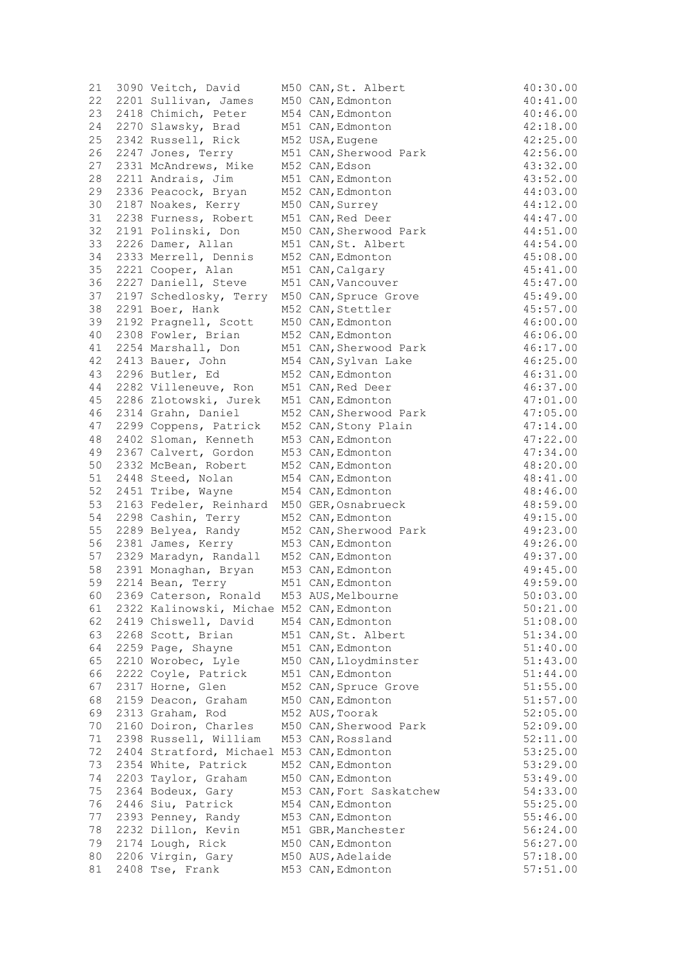| 21 | 3090 Veitch, David                        | M50 CAN, St. Albert      | 40:30.00 |
|----|-------------------------------------------|--------------------------|----------|
| 22 | 2201 Sullivan, James                      | M50 CAN, Edmonton        | 40:41.00 |
| 23 | 2418 Chimich, Peter                       | M54 CAN, Edmonton        | 40:46.00 |
| 24 | 2270 Slawsky, Brad                        | M51 CAN, Edmonton        | 42:18.00 |
| 25 | 2342 Russell, Rick                        | M52 USA, Eugene          | 42:25.00 |
| 26 | 2247 Jones, Terry                         | M51 CAN, Sherwood Park   | 42:56.00 |
| 27 | 2331 McAndrews, Mike                      | M52 CAN, Edson           | 43:32.00 |
| 28 | 2211 Andrais, Jim                         | M51 CAN, Edmonton        | 43:52.00 |
| 29 | 2336 Peacock, Bryan                       | M52 CAN, Edmonton        | 44:03.00 |
| 30 | 2187 Noakes, Kerry                        | M50 CAN, Surrey          | 44:12.00 |
| 31 | 2238 Furness, Robert                      | M51 CAN, Red Deer        | 44:47.00 |
| 32 | 2191 Polinski, Don                        | M50 CAN, Sherwood Park   | 44:51.00 |
| 33 | 2226 Damer, Allan                         | M51 CAN, St. Albert      | 44:54.00 |
|    |                                           |                          |          |
| 34 | 2333 Merrell, Dennis                      | M52 CAN, Edmonton        | 45:08.00 |
| 35 | 2221 Cooper, Alan                         | M51 CAN, Calgary         | 45:41.00 |
| 36 | 2227 Daniell, Steve                       | M51 CAN, Vancouver       | 45:47.00 |
| 37 | 2197 Schedlosky, Terry                    | M50 CAN, Spruce Grove    | 45:49.00 |
| 38 | 2291 Boer, Hank                           | M52 CAN, Stettler        | 45:57.00 |
| 39 | 2192 Pragnell, Scott                      | M50 CAN, Edmonton        | 46:00.00 |
| 40 | 2308 Fowler, Brian                        | M52 CAN, Edmonton        | 46:06.00 |
| 41 | 2254 Marshall, Don                        | M51 CAN, Sherwood Park   | 46:17.00 |
| 42 | 2413 Bauer, John                          | M54 CAN, Sylvan Lake     | 46:25.00 |
| 43 | 2296 Butler, Ed                           | M52 CAN, Edmonton        | 46:31.00 |
| 44 | 2282 Villeneuve, Ron                      | M51 CAN, Red Deer        | 46:37.00 |
| 45 | 2286 Zlotowski, Jurek                     | M51 CAN, Edmonton        | 47:01.00 |
| 46 | 2314 Grahn, Daniel                        | M52 CAN, Sherwood Park   | 47:05.00 |
| 47 | 2299 Coppens, Patrick                     | M52 CAN, Stony Plain     | 47:14.00 |
| 48 | 2402 Sloman, Kenneth                      | M53 CAN, Edmonton        | 47:22.00 |
| 49 | 2367 Calvert, Gordon                      | M53 CAN, Edmonton        | 47:34.00 |
| 50 | 2332 McBean, Robert                       | M52 CAN, Edmonton        | 48:20.00 |
| 51 | 2448 Steed, Nolan                         | M54 CAN, Edmonton        | 48:41.00 |
| 52 | 2451 Tribe, Wayne                         | M54 CAN, Edmonton        | 48:46.00 |
| 53 | 2163 Fedeler, Reinhard                    | M50 GER, Osnabrueck      | 48:59.00 |
| 54 | 2298 Cashin, Terry                        | M52 CAN, Edmonton        | 49:15.00 |
|    |                                           |                          |          |
| 55 | 2289 Belyea, Randy                        | M52 CAN, Sherwood Park   | 49:23.00 |
| 56 | 2381 James, Kerry                         | M53 CAN, Edmonton        | 49:26.00 |
| 57 | 2329 Maradyn, Randall                     | M52 CAN, Edmonton        | 49:37.00 |
| 58 | 2391 Monaghan, Bryan                      | M53 CAN, Edmonton        | 49:45.00 |
| 59 | 2214 Bean, Terry                          | M51 CAN, Edmonton        | 49:59.00 |
| 60 | 2369 Caterson, Ronald                     | M53 AUS, Melbourne       | 50:03.00 |
| 61 | 2322 Kalinowski, Michae M52 CAN, Edmonton |                          | 50:21.00 |
| 62 | 2419 Chiswell, David                      | M54 CAN, Edmonton        | 51:08.00 |
| 63 | 2268 Scott, Brian                         | M51 CAN, St. Albert      | 51:34.00 |
| 64 | 2259 Page, Shayne                         | M51 CAN, Edmonton        | 51:40.00 |
| 65 | 2210 Worobec, Lyle                        | M50 CAN, Lloydminster    | 51:43.00 |
| 66 | 2222 Coyle, Patrick                       | M51 CAN, Edmonton        | 51:44.00 |
| 67 | 2317 Horne, Glen                          | M52 CAN, Spruce Grove    | 51:55.00 |
| 68 | 2159 Deacon, Graham                       | M50 CAN, Edmonton        | 51:57.00 |
| 69 | 2313 Graham, Rod                          | M52 AUS, Toorak          | 52:05.00 |
| 70 | 2160 Doiron, Charles                      | M50 CAN, Sherwood Park   | 52:09.00 |
| 71 | 2398 Russell, William                     | M53 CAN, Rossland        | 52:11.00 |
| 72 | 2404 Stratford, Michael M53 CAN, Edmonton |                          | 53:25.00 |
| 73 | 2354 White, Patrick                       | M52 CAN, Edmonton        | 53:29.00 |
| 74 | 2203 Taylor, Graham                       | M50 CAN, Edmonton        | 53:49.00 |
|    | 2364 Bodeux, Gary                         |                          |          |
| 75 |                                           | M53 CAN, Fort Saskatchew | 54:33.00 |
| 76 | 2446 Siu, Patrick                         | M54 CAN, Edmonton        | 55:25.00 |
| 77 | 2393 Penney, Randy                        | M53 CAN, Edmonton        | 55:46.00 |
| 78 | 2232 Dillon, Kevin                        | M51 GBR, Manchester      | 56:24.00 |
| 79 | 2174 Lough, Rick                          | M50 CAN, Edmonton        | 56:27.00 |
| 80 | 2206 Virgin, Gary                         | M50 AUS, Adelaide        | 57:18.00 |
| 81 | 2408 Tse, Frank                           | M53 CAN, Edmonton        | 57:51.00 |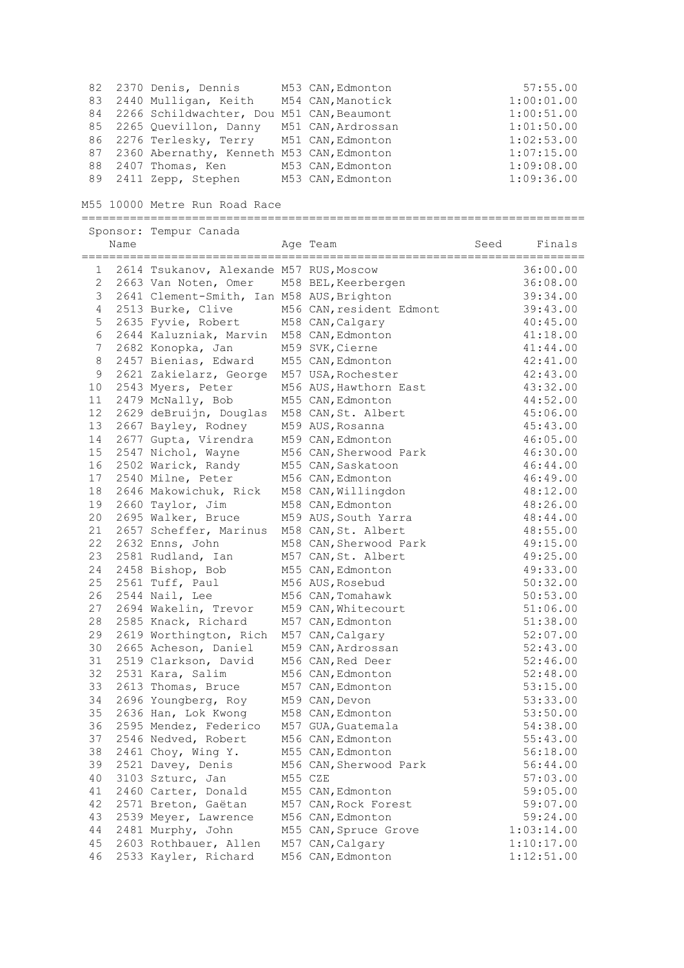|  | 82 2370 Denis, Dennis                        | M53 CAN, Edmonton | 57:55.00   |
|--|----------------------------------------------|-------------------|------------|
|  | 83 2440 Mulligan, Keith M54 CAN, Manotick    |                   | 1:00:01.00 |
|  | 84 2266 Schildwachter, Dou M51 CAN, Beaumont |                   | 1:00:51.00 |
|  | 85 2265 Quevillon, Danny M51 CAN, Ardrossan  |                   | 1:01:50.00 |
|  | 86 2276 Terlesky, Terry M51 CAN, Edmonton    |                   | 1:02:53.00 |
|  | 87 2360 Abernathy, Kenneth M53 CAN, Edmonton |                   | 1:07:15.00 |
|  | 88 2407 Thomas, Ken                          | M53 CAN, Edmonton | 1:09:08.00 |
|  | 89 2411 Zepp, Stephen                        | M53 CAN, Edmonton | 1:09:36.00 |

M55 10000 Metre Run Road Race

|         |      | Sponsor: Tempur Canada                    |                          |      |            |
|---------|------|-------------------------------------------|--------------------------|------|------------|
|         | Name |                                           | Age Team                 | Seed | Finals     |
|         |      |                                           |                          |      |            |
| 1       |      | 2614 Tsukanov, Alexande M57 RUS, Moscow   |                          |      | 36:00.00   |
| 2       |      | 2663 Van Noten, Omer                      | M58 BEL, Keerbergen      |      | 36:08.00   |
| 3       |      | 2641 Clement-Smith, Ian M58 AUS, Brighton |                          |      | 39:34.00   |
| 4       |      | 2513 Burke, Clive                         | M56 CAN, resident Edmont |      | 39:43.00   |
| 5       |      | 2635 Fyvie, Robert                        | M58 CAN, Calgary         |      | 40:45.00   |
| 6       |      | 2644 Kaluzniak, Marvin                    | M58 CAN, Edmonton        |      | 41:18.00   |
| 7       |      | 2682 Konopka, Jan                         | M59 SVK, Cierne          |      | 41:44.00   |
| $\,8\,$ |      | 2457 Bienias, Edward                      | M55 CAN, Edmonton        |      | 42:41.00   |
| 9       |      | 2621 Zakielarz, George                    | M57 USA, Rochester       |      | 42:43.00   |
| 10      |      | 2543 Myers, Peter                         | M56 AUS, Hawthorn East   |      | 43:32.00   |
| 11      |      | 2479 McNally, Bob                         | M55 CAN, Edmonton        |      | 44:52.00   |
| 12      |      | 2629 deBruijn, Douglas                    | M58 CAN, St. Albert      |      | 45:06.00   |
| 13      |      | 2667 Bayley, Rodney                       | M59 AUS, Rosanna         |      | 45:43.00   |
| 14      |      | 2677 Gupta, Virendra                      | M59 CAN, Edmonton        |      | 46:05.00   |
| 15      |      | 2547 Nichol, Wayne                        | M56 CAN, Sherwood Park   |      | 46:30.00   |
| 16      |      | 2502 Warick, Randy                        | M55 CAN, Saskatoon       |      | 46:44.00   |
| 17      |      | 2540 Milne, Peter                         | M56 CAN, Edmonton        |      | 46:49.00   |
| 18      |      | 2646 Makowichuk, Rick                     | M58 CAN, Willingdon      |      | 48:12.00   |
| 19      |      | 2660 Taylor, Jim                          | M58 CAN, Edmonton        |      | 48:26.00   |
| 20      |      | 2695 Walker, Bruce                        | M59 AUS, South Yarra     |      | 48:44.00   |
| 21      |      | 2657 Scheffer, Marinus                    | M58 CAN, St. Albert      |      | 48:55.00   |
| 22      |      | 2632 Enns, John                           | M58 CAN, Sherwood Park   |      | 49:15.00   |
| 23      |      | 2581 Rudland, Ian                         | M57 CAN, St. Albert      |      | 49:25.00   |
| 24      |      | 2458 Bishop, Bob                          | M55 CAN, Edmonton        |      | 49:33.00   |
| 25      |      | 2561 Tuff, Paul                           | M56 AUS, Rosebud         |      | 50:32.00   |
| 26      |      | 2544 Nail, Lee                            | M56 CAN, Tomahawk        |      | 50:53.00   |
| 27      |      | 2694 Wakelin, Trevor                      | M59 CAN, Whitecourt      |      | 51:06.00   |
| 28      |      | 2585 Knack, Richard                       | M57 CAN, Edmonton        |      | 51:38.00   |
| 29      |      | 2619 Worthington, Rich                    | M57 CAN, Calgary         |      | 52:07.00   |
| 30      |      | 2665 Acheson, Daniel                      | M59 CAN, Ardrossan       |      | 52:43.00   |
| 31      |      | 2519 Clarkson, David                      | M56 CAN, Red Deer        |      | 52:46.00   |
| 32      |      | 2531 Kara, Salim                          | M56 CAN, Edmonton        |      | 52:48.00   |
| 33      |      | 2613 Thomas, Bruce                        | M57 CAN, Edmonton        |      | 53:15.00   |
| 34      |      | 2696 Youngberg, Roy                       | M59 CAN, Devon           |      | 53:33.00   |
| 35      |      | 2636 Han, Lok Kwong                       | M58 CAN, Edmonton        |      | 53:50.00   |
| 36      |      | 2595 Mendez, Federico                     | M57 GUA, Guatemala       |      | 54:38.00   |
| 37      |      | 2546 Nedved, Robert                       | M56 CAN, Edmonton        |      | 55:43.00   |
| 38      |      | 2461 Choy, Wing Y.                        | M55 CAN, Edmonton        |      | 56:18.00   |
| 39      |      | 2521 Davey, Denis                         | M56 CAN, Sherwood Park   |      | 56:44.00   |
| 40      |      | 3103 Szturc, Jan                          | M55 CZE                  |      | 57:03.00   |
| 41      |      | 2460 Carter, Donald                       | M55 CAN, Edmonton        |      | 59:05.00   |
| 42      |      | 2571 Breton, Gaëtan                       | M57 CAN, Rock Forest     |      | 59:07.00   |
| 43      |      | 2539 Meyer, Lawrence                      | M56 CAN, Edmonton        |      | 59:24.00   |
| 44      |      | 2481 Murphy, John                         | M55 CAN, Spruce Grove    |      | 1:03:14.00 |
| 45      |      | 2603 Rothbauer, Allen                     | M57 CAN, Calgary         |      | 1:10:17.00 |
| 46      |      | 2533 Kayler, Richard                      | M56 CAN, Edmonton        |      | 1:12:51.00 |
|         |      |                                           |                          |      |            |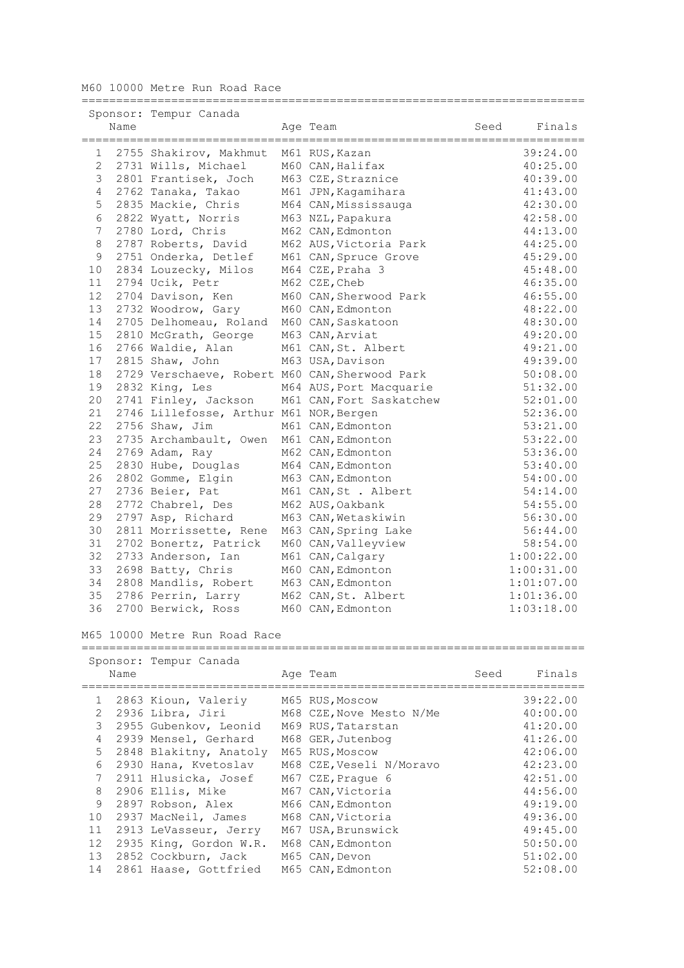M60 10000 Metre Run Road Race

|                |                | Sponsor: Tempur Canada                         |                          |      |            |
|----------------|----------------|------------------------------------------------|--------------------------|------|------------|
|                | Name           |                                                | Age Team                 | Seed | Finals     |
|                | ============== |                                                |                          |      |            |
| 1              |                | 2755 Shakirov, Makhmut                         | M61 RUS, Kazan           |      | 39:24.00   |
| $\overline{c}$ |                | 2731 Wills, Michael                            | M60 CAN, Halifax         |      | 40:25.00   |
| 3              |                | 2801 Frantisek, Joch                           | M63 CZE, Straznice       |      | 40:39.00   |
| 4              |                | 2762 Tanaka, Takao                             | M61 JPN, Kagamihara      |      | 41:43.00   |
| 5              |                | 2835 Mackie, Chris                             | M64 CAN, Mississauga     |      | 42:30.00   |
| 6              |                | 2822 Wyatt, Norris                             | M63 NZL, Papakura        |      | 42:58.00   |
| 7              |                | 2780 Lord, Chris                               | M62 CAN, Edmonton        |      | 44:13.00   |
| 8              |                | 2787 Roberts, David                            | M62 AUS, Victoria Park   |      | 44:25.00   |
| 9              |                | 2751 Onderka, Detlef                           | M61 CAN, Spruce Grove    |      | 45:29.00   |
| 10             |                | 2834 Louzecky, Milos                           | M64 CZE, Praha 3         |      | 45:48.00   |
| 11             |                | 2794 Ucik, Petr                                | M62 CZE, Cheb            |      | 46:35.00   |
| 12             |                | 2704 Davison, Ken                              | M60 CAN, Sherwood Park   |      | 46:55.00   |
| 13             |                | 2732 Woodrow, Gary                             | M60 CAN, Edmonton        |      | 48:22.00   |
| 14             |                | 2705 Delhomeau, Roland                         | M60 CAN, Saskatoon       |      | 48:30.00   |
| 15             |                | 2810 McGrath, George                           | M63 CAN, Arviat          |      | 49:20.00   |
| 16             |                | 2766 Waldie, Alan                              | M61 CAN, St. Albert      |      | 49:21.00   |
| 17             |                | 2815 Shaw, John                                | M63 USA, Davison         |      | 49:39.00   |
| 18             |                | 2729 Verschaeve, Robert M60 CAN, Sherwood Park |                          |      | 50:08.00   |
| 19             |                | 2832 King, Les                                 | M64 AUS, Port Macquarie  |      | 51:32.00   |
| 20             |                | 2741 Finley, Jackson                           | M61 CAN, Fort Saskatchew |      | 52:01.00   |
| 21             |                | 2746 Lillefosse, Arthur M61 NOR, Bergen        |                          |      | 52:36.00   |
| 22             |                | 2756 Shaw, Jim                                 | M61 CAN, Edmonton        |      | 53:21.00   |
| 23             |                | 2735 Archambault, Owen                         | M61 CAN, Edmonton        |      | 53:22.00   |
| 24             |                | 2769 Adam, Ray                                 | M62 CAN, Edmonton        |      | 53:36.00   |
| 25             |                | 2830 Hube, Douglas                             | M64 CAN, Edmonton        |      | 53:40.00   |
| 26             |                | 2802 Gomme, Elgin                              | M63 CAN, Edmonton        |      | 54:00.00   |
| 27             |                | 2736 Beier, Pat                                | M61 CAN, St . Albert     |      | 54:14.00   |
| 28             |                | 2772 Chabrel, Des                              | M62 AUS, Oakbank         |      | 54:55.00   |
| 29             |                | 2797 Asp, Richard                              | M63 CAN, Wetaskiwin      |      | 56:30.00   |
| 30             |                | 2811 Morrissette, Rene                         | M63 CAN, Spring Lake     |      | 56:44.00   |
| 31             |                | 2702 Bonertz, Patrick                          | M60 CAN, Valleyview      |      | 58:54.00   |
| 32             |                | 2733 Anderson, Ian                             | M61 CAN, Calgary         |      | 1:00:22.00 |
| 33             |                | 2698 Batty, Chris                              | M60 CAN, Edmonton        |      | 1:00:31.00 |
| 34             |                | 2808 Mandlis, Robert                           | M63 CAN, Edmonton        |      | 1:01:07.00 |
| 35             |                | 2786 Perrin, Larry                             | M62 CAN, St. Albert      |      | 1:01:36.00 |
| 36             |                | 2700 Berwick, Ross                             | M60 CAN, Edmonton        |      | 1:03:18.00 |

=========================================================================

## M65 10000 Metre Run Road Race

|              |      | Sponsor: Tempur Canada |                          |      |          |
|--------------|------|------------------------|--------------------------|------|----------|
|              | Name |                        | Age Team                 | Seed | Finals   |
|              |      |                        |                          |      |          |
| $\mathbf{1}$ |      | 2863 Kioun, Valeriy    | M65 RUS, Moscow          |      | 39:22.00 |
| 2            |      | 2936 Libra, Jiri       | M68 CZE, Nove Mesto N/Me |      | 40:00.00 |
| 3            |      | 2955 Gubenkov, Leonid  | M69 RUS, Tatarstan       |      | 41:20.00 |
| 4            |      | 2939 Mensel, Gerhard   | M68 GER, Jutenbog        |      | 41:26.00 |
| 5            |      | 2848 Blakitny, Anatoly | M65 RUS, Moscow          |      | 42:06.00 |
| 6            |      | 2930 Hana, Kvetoslav   | M68 CZE, Veseli N/Moravo |      | 42:23.00 |
| 7            |      | 2911 Hlusicka, Josef   | M67 CZE, Praque 6        |      | 42:51.00 |
| 8            |      | 2906 Ellis, Mike       | M67 CAN, Victoria        |      | 44:56.00 |
| $\circ$      |      | 2897 Robson, Alex      | M66 CAN, Edmonton        |      | 49:19.00 |
| 10           |      | 2937 MacNeil, James    | M68 CAN, Victoria        |      | 49:36.00 |
| 11           |      | 2913 LeVasseur, Jerry  | M67 USA, Brunswick       |      | 49:45.00 |
| 12           |      | 2935 King, Gordon W.R. | M68 CAN, Edmonton        |      | 50:50.00 |
| 13           |      | 2852 Cockburn, Jack    | M65 CAN, Devon           |      | 51:02.00 |
| 14           |      | 2861 Haase, Gottfried  | M65 CAN, Edmonton        |      | 52:08.00 |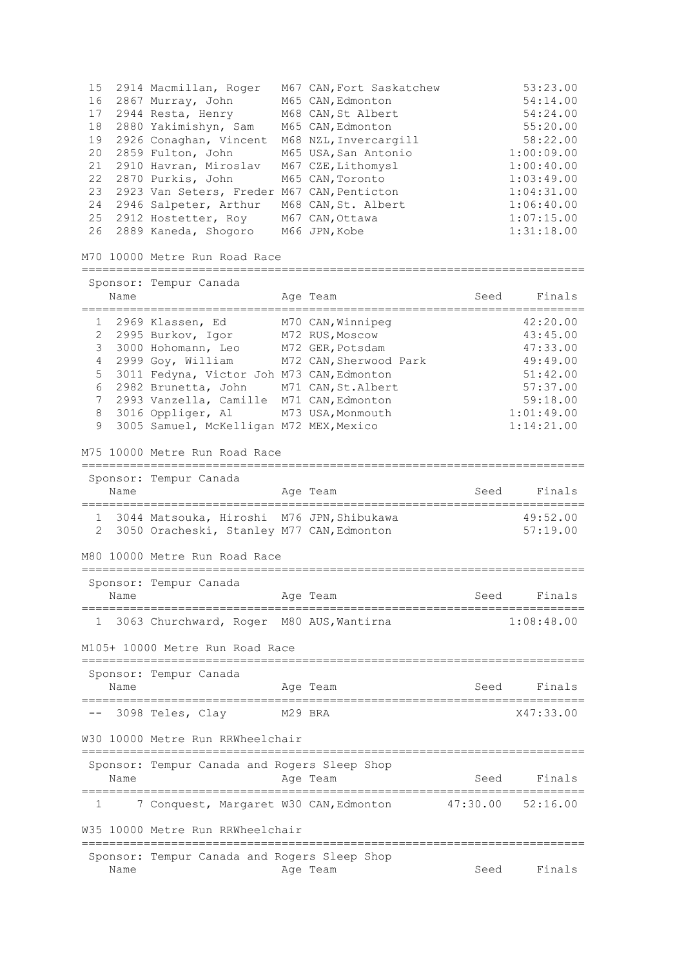| 15<br>16<br>17<br>18<br>19<br>20<br>21<br>22<br>23<br>24<br>25<br>26 |      | 2914 Macmillan, Roger<br>2867 Murray, John<br>2944 Resta, Henry<br>2880 Yakimishyn, Sam<br>2926 Conaghan, Vincent<br>2859 Fulton, John<br>2910 Havran, Miroslav<br>2870 Purkis, John<br>2923 Van Seters, Freder M67 CAN, Penticton<br>2946 Salpeter, Arthur<br>2912 Hostetter, Roy<br>2889 Kaneda, Shogoro<br>M70 10000 Metre Run Road Race | M67 CAN, Fort Saskatchew<br>M65 CAN, Edmonton<br>M68 CAN, St Albert<br>M65 CAN, Edmonton<br>M68 NZL, Invercargill<br>M65 USA, San Antonio<br>M67 CZE, Lithomysl<br>M65 CAN, Toronto<br>M68 CAN, St. Albert<br>M67 CAN, Ottawa<br>M66 JPN, Kobe |          | 53:23.00<br>54:14.00<br>54:24.00<br>55:20.00<br>58:22.00<br>1:00:09.00<br>1:00:40.00<br>1:03:49.00<br>1:04:31.00<br>1:06:40.00<br>1:07:15.00<br>1:31:18.00 |
|----------------------------------------------------------------------|------|---------------------------------------------------------------------------------------------------------------------------------------------------------------------------------------------------------------------------------------------------------------------------------------------------------------------------------------------|------------------------------------------------------------------------------------------------------------------------------------------------------------------------------------------------------------------------------------------------|----------|------------------------------------------------------------------------------------------------------------------------------------------------------------|
|                                                                      |      | ====================================<br>Sponsor: Tempur Canada                                                                                                                                                                                                                                                                              |                                                                                                                                                                                                                                                |          |                                                                                                                                                            |
|                                                                      | Name |                                                                                                                                                                                                                                                                                                                                             | Age Team                                                                                                                                                                                                                                       | Seed     | Finals                                                                                                                                                     |
| 1<br>2<br>3<br>4<br>5<br>6<br>7<br>8<br>9                            |      | 2969 Klassen, Ed<br>2995 Burkov, Igor<br>3000 Hohomann, Leo<br>2999 Goy, William<br>3011 Fedyna, Victor Joh M73 CAN, Edmonton<br>2982 Brunetta, John<br>2993 Vanzella, Camille<br>3016 Oppliger, Al<br>3005 Samuel, McKelligan M72 MEX, Mexico<br>M75 10000 Metre Run Road Race                                                             | M70 CAN, Winnipeg<br>M72 RUS, Moscow<br>M72 GER, Potsdam<br>M72 CAN, Sherwood Park<br>M71 CAN, St. Albert<br>M71 CAN, Edmonton<br>M73 USA, Monmouth                                                                                            |          | 42:20.00<br>43:45.00<br>47:33.00<br>49:49.00<br>51:42.00<br>57:37.00<br>59:18.00<br>1:01:49.00<br>1:14:21.00                                               |
|                                                                      | Name | Sponsor: Tempur Canada<br>===========================                                                                                                                                                                                                                                                                                       | Age Team<br>.___________________________                                                                                                                                                                                                       | Seed     | Finals                                                                                                                                                     |
| $1 \quad$<br>$\overline{2}$                                          |      | 3044 Matsouka, Hiroshi M76 JPN, Shibukawa<br>3050 Oracheski, Stanley M77 CAN, Edmonton                                                                                                                                                                                                                                                      |                                                                                                                                                                                                                                                |          | 49:52.00<br>57:19.00                                                                                                                                       |
|                                                                      |      | M80 10000 Metre Run Road Race                                                                                                                                                                                                                                                                                                               |                                                                                                                                                                                                                                                |          |                                                                                                                                                            |
|                                                                      | Name | Sponsor: Tempur Canada                                                                                                                                                                                                                                                                                                                      | Age Team                                                                                                                                                                                                                                       | Seed     | Finals                                                                                                                                                     |
|                                                                      |      | 3063 Churchward, Roger                                                                                                                                                                                                                                                                                                                      | M80 AUS, Wantirna                                                                                                                                                                                                                              |          | 1:08:48.00                                                                                                                                                 |
|                                                                      |      | M105+ 10000 Metre Run Road Race                                                                                                                                                                                                                                                                                                             |                                                                                                                                                                                                                                                |          |                                                                                                                                                            |
|                                                                      | Name | Sponsor: Tempur Canada                                                                                                                                                                                                                                                                                                                      | Age Team                                                                                                                                                                                                                                       | Seed     | Finals                                                                                                                                                     |
|                                                                      |      | 3098 Teles, Clay                                                                                                                                                                                                                                                                                                                            | M29 BRA                                                                                                                                                                                                                                        |          | X47:33.00                                                                                                                                                  |
|                                                                      |      | W30 10000 Metre Run RRWheelchair                                                                                                                                                                                                                                                                                                            |                                                                                                                                                                                                                                                |          |                                                                                                                                                            |
|                                                                      | Name | Sponsor: Tempur Canada and Rogers Sleep Shop                                                                                                                                                                                                                                                                                                | Age Team                                                                                                                                                                                                                                       | Seed     | Finals                                                                                                                                                     |
| 1                                                                    |      | 7 Conquest, Margaret W30 CAN, Edmonton                                                                                                                                                                                                                                                                                                      |                                                                                                                                                                                                                                                | 47:30.00 | 52:16.00                                                                                                                                                   |
|                                                                      |      | W35 10000 Metre Run RRWheelchair                                                                                                                                                                                                                                                                                                            |                                                                                                                                                                                                                                                |          |                                                                                                                                                            |
|                                                                      | Name | Sponsor: Tempur Canada and Rogers Sleep Shop                                                                                                                                                                                                                                                                                                | Age Team                                                                                                                                                                                                                                       | Seed     | Finals                                                                                                                                                     |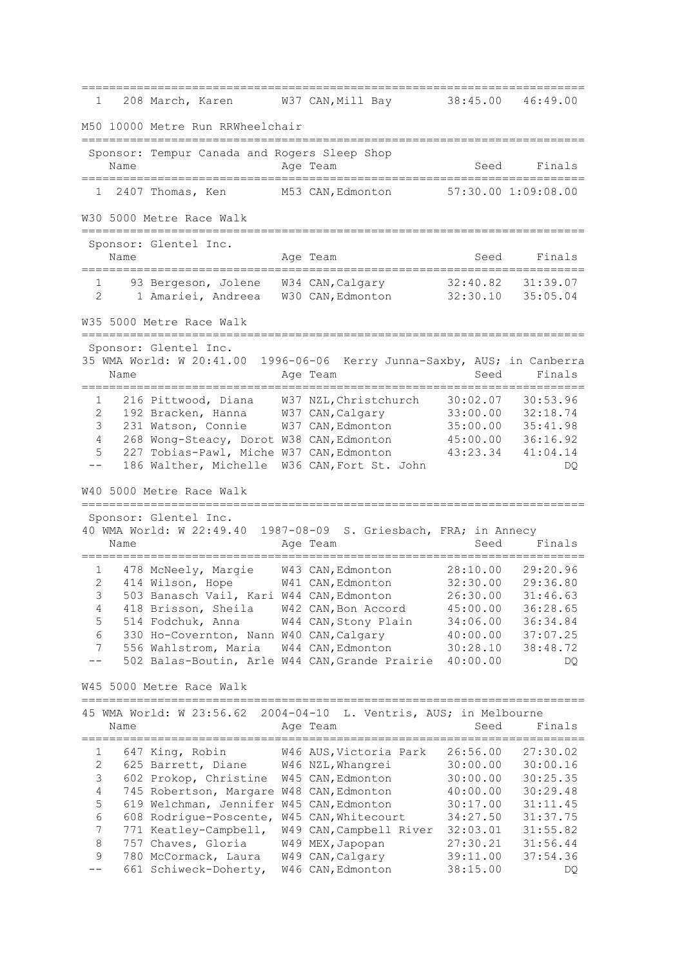========================================================================= 1 208 March, Karen W37 CAN, Mill Bay M50 10000 Metre Run RRWheelchair ========================================================================= Sponsor: Tempur Canada and Rogers Sleep Shop Name Reserve Age Team Seed Finals ========================================================================= 1 2407 Thomas, Ken M53 CAN,Edmonton 57:30.00 1:09:08.00 W30 5000 Metre Race Walk ========================================================================= Sponsor: Glentel Inc. Name **Age Team** Age Team Seed Finals ========================================================================= 1 93 Bergeson, Jolene W34 CAN,Calgary 32:40.82 31:39.07 2 1 Amariei, Andreea W30 CAN,Edmonton 32:30.10 35:05.04 W35 5000 Metre Race Walk ========================================================================= Sponsor: Glentel Inc. 35 WMA World: W 20:41.00 1996-06-06 Kerry Junna-Saxby, AUS; in Canberra Name **Age Team** Age Team Seed Finals ========================================================================= 1 216 Pittwood, Diana W37 NZL,Christchurch 30:02.07 30:53.96 2 192 Bracken, Hanna W37 CAN,Calgary 33:00.00 32:18.74 3 231 Watson, Connie W37 CAN,Edmonton 35:00.00 35:41.98 4 268 Wong-Steacy, Dorot W38 CAN,Edmonton 45:00.00 36:16.92 5 227 Tobias-Pawl, Miche W37 CAN,Edmonton 43:23.34 41:04.14 -- 186 Walther, Michelle W36 CAN, Fort St. John DQ W40 5000 Metre Race Walk ========================================================================= Sponsor: Glentel Inc. 40 WMA World: W 22:49.40 1987-08-09 S. Griesbach, FRA; in Annecy Name Age Team Seed Finals ========================================================================= 1 478 McNeely, Margie W43 CAN,Edmonton 28:10.00 29:20.96 2 414 Wilson, Hope W41 CAN,Edmonton 32:30.00 29:36.80 3 503 Banasch Vail, Kari W44 CAN,Edmonton 26:30.00 31:46.63 4 418 Brisson, Sheila W42 CAN,Bon Accord 45:00.00 36:28.65 5 514 Fodchuk, Anna W44 CAN,Stony Plain 34:06.00 36:34.84 6 330 Ho-Covernton, Nann W40 CAN,Calgary 40:00.00 37:07.25 7 556 Wahlstrom, Maria W44 CAN,Edmonton 30:28.10 38:48.72 -- 502 Balas-Boutin, Arle W44 CAN, Grande Prairie 40:00.00 W45 5000 Metre Race Walk ========================================================================= 45 WMA World: W 23:56.62 2004-04-10 L. Ventris, AUS; in Melbourne Name **Age Team** Age Team Seed Finals ========================================================================= 1 647 King, Robin W46 AUS,Victoria Park 26:56.00 27:30.02 2 625 Barrett, Diane W46 NZL,Whangrei 30:00.00 30:00.16 3 602 Prokop, Christine W45 CAN,Edmonton 30:00.00 30:25.35 4 745 Robertson, Margare W48 CAN,Edmonton 40:00.00 30:29.48 5 619 Welchman, Jennifer W45 CAN,Edmonton 30:17.00 31:11.45 6 608 Rodrigue-Poscente, W45 CAN,Whitecourt 34:27.50 31:37.75 7 771 Keatley-Campbell, W49 CAN,Campbell River 32:03.01 31:55.82 8 757 Chaves, Gloria W49 MEX,Japopan 27:30.21 31:56.44 9 780 McCormack, Laura W49 CAN,Calgary 39:11.00 37:54.36 -- 661 Schiweck-Doherty, W46 CAN,Edmonton 38:15.00 DQ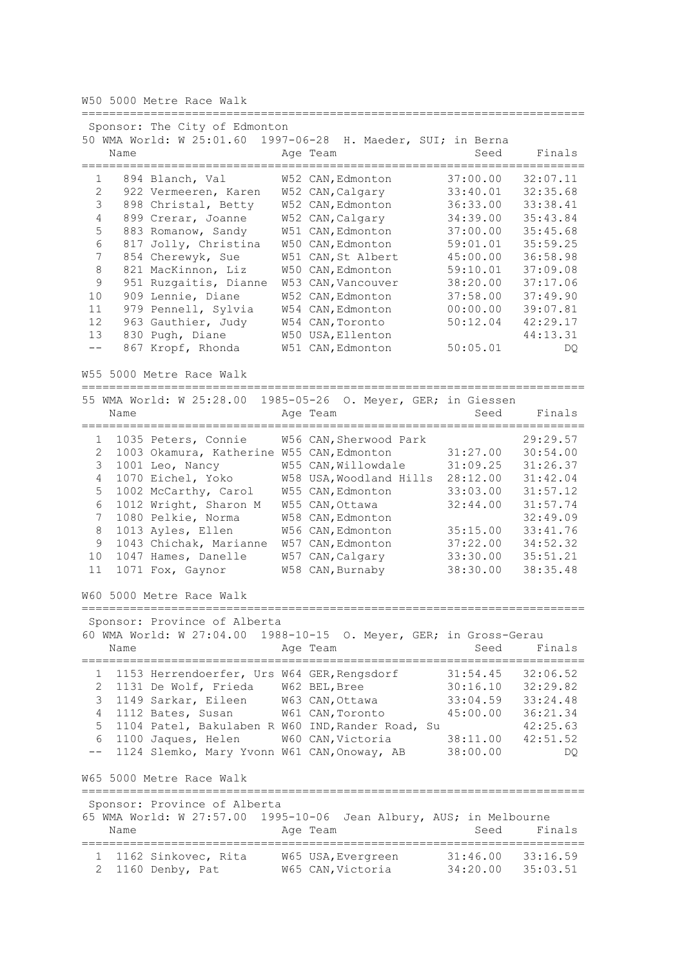W50 5000 Metre Race Walk

========================================================================= Sponsor: The City of Edmonton 50 WMA World: W 25:01.60 1997-06-28 H. Maeder, SUI; in Berna Name **Age Team** Age Team Seed Finals ========================================================================= 1 894 Blanch, Val W52 CAN,Edmonton 37:00.00 32:07.11 2 922 Vermeeren, Karen W52 CAN,Calgary 33:40.01 32:35.68 3 898 Christal, Betty W52 CAN,Edmonton 36:33.00 33:38.41 4 899 Crerar, Joanne W52 CAN,Calgary 34:39.00 35:43.84 5 883 Romanow, Sandy W51 CAN,Edmonton 37:00.00 35:45.68 6 817 Jolly, Christina W50 CAN,Edmonton 59:01.01 35:59.25 7 854 Cherewyk, Sue W51 CAN,St Albert 45:00.00 36:58.98 8 821 MacKinnon, Liz W50 CAN,Edmonton 59:10.01 37:09.08 9 951 Ruzgaitis, Dianne W53 CAN,Vancouver 38:20.00 37:17.06 10 909 Lennie, Diane W52 CAN,Edmonton 37:58.00 37:49.90 11 979 Pennell, Sylvia W54 CAN,Edmonton 00:00.00 39:07.81 12 963 Gauthier, Judy W54 CAN,Toronto 50:12.04 42:29.17 13 830 Pugh, Diane W50 USA, Ellenton 44:13.31 -- 867 Kropf, Rhonda W51 CAN,Edmonton 50:05.01 DQ W55 5000 Metre Race Walk ========================================================================= 55 WMA World: W 25:28.00 1985-05-26 O. Meyer, GER; in Giessen Name **Age Team** Age Team Seed Finals ========================================================================= 1 1035 Peters, Connie W56 CAN,Sherwood Park 29:29.57 2 1003 Okamura, Katherine W55 CAN,Edmonton 31:27.00 30:54.00 3 1001 Leo, Nancy W55 CAN,Willowdale 31:09.25 31:26.37 4 1070 Eichel, Yoko W58 USA,Woodland Hills 28:12.00 31:42.04 5 1002 McCarthy, Carol W55 CAN,Edmonton 33:03.00 31:57.12 6 1012 Wright, Sharon M W55 CAN,Ottawa 32:44.00 31:57.74 7 1080 Pelkie, Norma W58 CAN,Edmonton 32:49.09 8 1013 Ayles, Ellen W56 CAN,Edmonton 35:15.00 33:41.76 9 1043 Chichak, Marianne W57 CAN,Edmonton 37:22.00 34:52.32 10 1047 Hames, Danelle W57 CAN,Calgary 33:30.00 35:51.21 11 1071 Fox, Gaynor W58 CAN,Burnaby 38:30.00 38:35.48 W60 5000 Metre Race Walk ========================================================================= Sponsor: Province of Alberta 60 WMA World: W 27:04.00 1988-10-15 O. Meyer, GER; in Gross-Gerau Name **Age Team** Age Team Seed Finals ========================================================================= 1 1153 Herrendoerfer, Urs W64 GER,Rengsdorf 31:54.45 32:06.52 2 1131 De Wolf, Frieda W62 BEL,Bree 30:16.10 32:29.82 3 1149 Sarkar, Eileen W63 CAN,Ottawa 33:04.59 33:24.48 4 1112 Bates, Susan W61 CAN,Toronto 45:00.00 36:21.34 5 1104 Patel, Bakulaben R W60 IND,Rander Road, Su 42:25.63 6 1100 Jaques, Helen W60 CAN,Victoria 38:11.00 42:51.52 -- 1124 Slemko, Mary Yvonn W61 CAN,Onoway, AB 38:00.00 DQ W65 5000 Metre Race Walk ========================================================================= Sponsor: Province of Alberta 65 WMA World: W 27:57.00 1995-10-06 Jean Albury, AUS; in Melbourne Name **Age Team** Age Team Seed Finals ========================================================================= 1 1162 Sinkovec, Rita W65 USA,Evergreen 31:46.00 33:16.59 2 1160 Denby, Pat W65 CAN, Victoria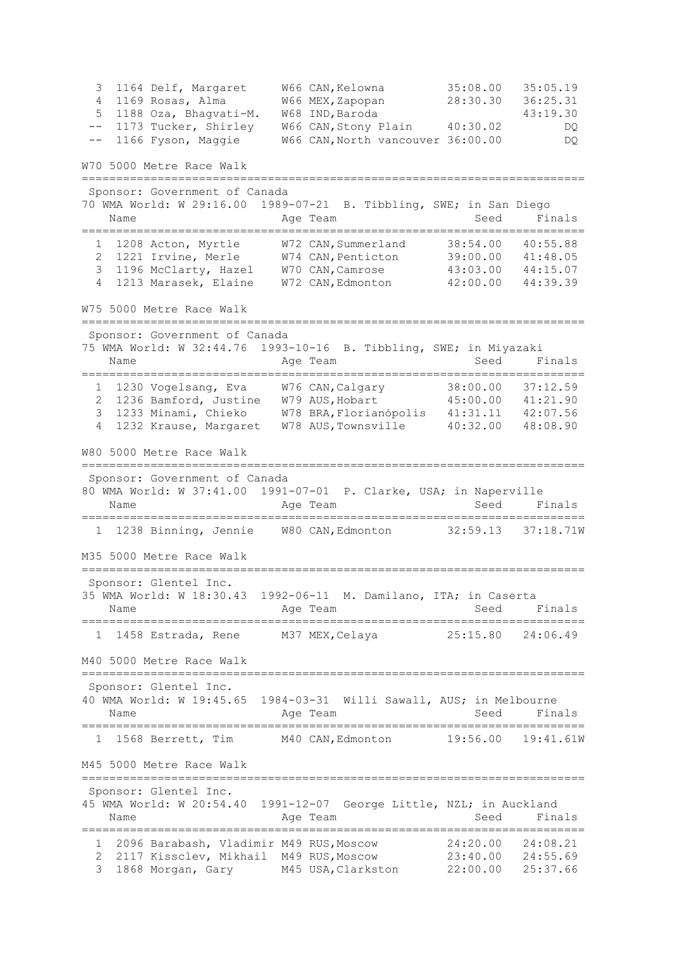3 1164 Delf, Margaret W66 CAN,Kelowna 35:08.00 35:05.19 4 1169 Rosas, Alma W66 MEX,Zapopan 28:30.30 36:25.31 5 1188 Oza, Bhagvati-M. W68 IND,Baroda 43:19.30 -- 1173 Tucker, Shirley W66 CAN,Stony Plain 40:30.02 DQ -- 1166 Fyson, Maggie W66 CAN,North vancouver 36:00.00 DQ W70 5000 Metre Race Walk ========================================================================= Sponsor: Government of Canada 70 WMA World: W 29:16.00 1989-07-21 B. Tibbling, SWE; in San Diego Name **Age Team** Age Team Seed Finals ========================================================================= 1 1208 Acton, Myrtle W72 CAN,Summerland 38:54.00 40:55.88 2 1221 Irvine, Merle W74 CAN,Penticton 39:00.00 41:48.05 3 1196 McClarty, Hazel W70 CAN,Camrose 43:03.00 44:15.07 4 1213 Marasek, Elaine W72 CAN,Edmonton 42:00.00 44:39.39 W75 5000 Metre Race Walk ========================================================================= Sponsor: Government of Canada 75 WMA World: W 32:44.76 1993-10-16 B. Tibbling, SWE; in Miyazaki Name **Age Team** Age Team Seed Finals ========================================================================= 1 1230 Vogelsang, Eva W76 CAN,Calgary 38:00.00 37:12.59 2 1236 Bamford, Justine W79 AUS,Hobart 45:00.00 41:21.90 3 1233 Minami, Chieko W78 BRA,Florianópolis 41:31.11 42:07.56 4 1232 Krause, Margaret W78 AUS,Townsville 40:32.00 48:08.90 W80 5000 Metre Race Walk ========================================================================= Sponsor: Government of Canada 80 WMA World: W 37:41.00 1991-07-01 P. Clarke, USA; in Naperville Name **Age Team** Age Team Seed Finals ========================================================================= 1 1238 Binning, Jennie W80 CAN,Edmonton 32:59.13 37:18.71W M35 5000 Metre Race Walk ========================================================================= Sponsor: Glentel Inc. 35 WMA World: W 18:30.43 1992-06-11 M. Damilano, ITA; in Caserta Name and Age Team and Seed Finals ========================================================================= 1 1458 Estrada, Rene M37 MEX,Celaya 25:15.80 24:06.49 M40 5000 Metre Race Walk ========================================================================= Sponsor: Glentel Inc. 40 WMA World: W 19:45.65 1984-03-31 Willi Sawall, AUS; in Melbourne Name **Age Team** Age Team Seed Finals ========================================================================= 1 1568 Berrett, Tim M40 CAN,Edmonton 19:56.00 19:41.61W M45 5000 Metre Race Walk ========================================================================= Sponsor: Glentel Inc. 45 WMA World: W 20:54.40 1991-12-07 George Little, NZL; in Auckland Name **Age Team** Age Team Seed Finals ========================================================================= 1 2096 Barabash, Vladimir M49 RUS,Moscow 24:20.00 24:08.21 2 2117 Kissclev, Mikhail M49 RUS,Moscow 23:40.00 24:55.69 3 1868 Morgan, Gary M45 USA,Clarkston 22:00.00 25:37.66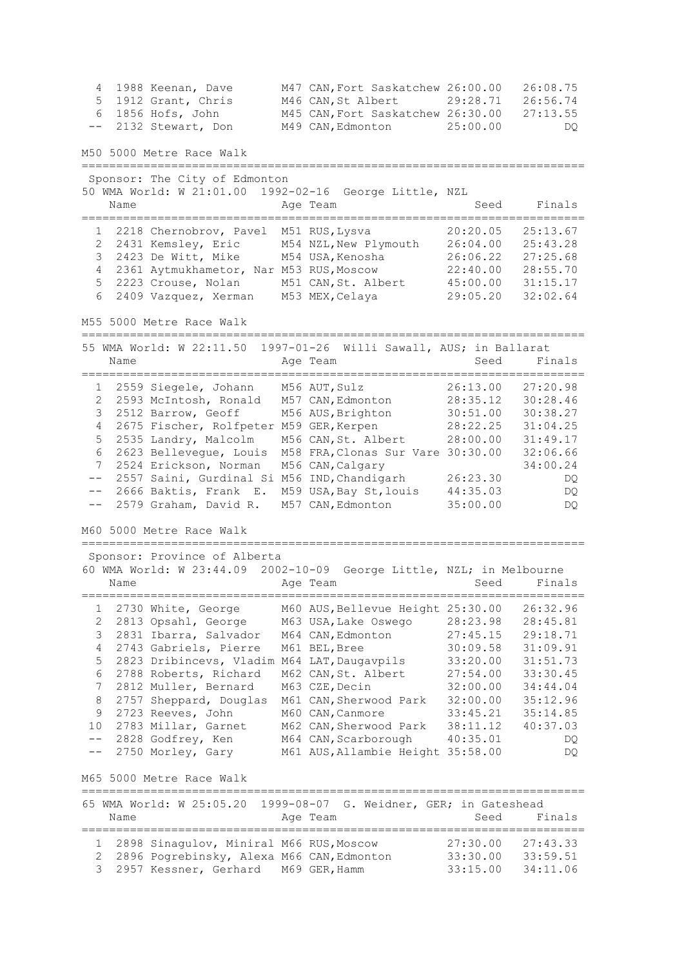4 1988 Keenan, Dave M47 CAN,Fort Saskatchew 26:00.00 26:08.75 5 1912 Grant, Chris M46 CAN,St Albert 29:28.71 26:56.74 6 1856 Hofs, John M45 CAN,Fort Saskatchew 26:30.00 27:13.55 -- 2132 Stewart, Don M49 CAN,Edmonton 25:00.00 DQ M50 5000 Metre Race Walk ========================================================================= Sponsor: The City of Edmonton 50 WMA World: W 21:01.00 1992-02-16 George Little, NZL Name **Age Team** Age Team Seed Finals ========================================================================= 1 2218 Chernobrov, Pavel M51 RUS,Lysva 20:20.05 25:13.67 2 2431 Kemsley, Eric M54 NZL,New Plymouth 26:04.00 25:43.28 3 2423 De Witt, Mike M54 USA,Kenosha 26:06.22 27:25.68 4 2361 Aytmukhametor, Nar M53 RUS,Moscow 22:40.00 28:55.70 5 2223 Crouse, Nolan M51 CAN,St. Albert 45:00.00 31:15.17 6 2409 Vazquez, Xerman M53 MEX,Celaya 29:05.20 32:02.64 M55 5000 Metre Race Walk ========================================================================= 55 WMA World: W 22:11.50 1997-01-26 Willi Sawall, AUS; in Ballarat Name **Age Team** Age Team Seed Finals ========================================================================= 1 2559 Siegele, Johann M56 AUT,Sulz 26:13.00 27:20.98 2 2593 McIntosh, Ronald M57 CAN,Edmonton 28:35.12 30:28.46 3 2512 Barrow, Geoff M56 AUS,Brighton 30:51.00 30:38.27 4 2675 Fischer, Rolfpeter M59 GER,Kerpen 28:22.25 31:04.25 5 2535 Landry, Malcolm M56 CAN,St. Albert 28:00.00 31:49.17 6 2623 Bellevegue, Louis M58 FRA,Clonas Sur Vare 30:30.00 32:06.66 7 2524 Erickson, Norman M56 CAN,Calgary 34:00.24 -- 2557 Saini, Gurdinal Si M56 IND,Chandigarh 26:23.30 DQ -- 2666 Baktis, Frank E. M59 USA,Bay St,louis 44:35.03 DQ -- 2579 Graham, David R. M57 CAN,Edmonton 35:00.00 DQ M60 5000 Metre Race Walk ========================================================================= Sponsor: Province of Alberta 60 WMA World: W 23:44.09 2002-10-09 George Little, NZL; in Melbourne Name **Age Team** Age Team Seed Finals ========================================================================= 1 2730 White, George M60 AUS,Bellevue Height 25:30.00 26:32.96 2 2813 Opsahl, George M63 USA,Lake Oswego 28:23.98 28:45.81 3 2831 Ibarra, Salvador M64 CAN,Edmonton 27:45.15 29:18.71 4 2743 Gabriels, Pierre M61 BEL,Bree 30:09.58 31:09.91 5 2823 Dribincevs, Vladim M64 LAT,Daugavpils 33:20.00 31:51.73 6 2788 Roberts, Richard M62 CAN,St. Albert 27:54.00 33:30.45 7 2812 Muller, Bernard M63 CZE,Decin 32:00.00 34:44.04 8 2757 Sheppard, Douglas M61 CAN,Sherwood Park 32:00.00 35:12.96 9 2723 Reeves, John M60 CAN,Canmore 33:45.21 35:14.85 10 2783 Millar, Garnet M62 CAN,Sherwood Park 38:11.12 40:37.03 -- 2828 Godfrey, Ken M64 CAN,Scarborough 40:35.01 DQ -- 2750 Morley, Gary M61 AUS,Allambie Height 35:58.00 DQ M65 5000 Metre Race Walk ========================================================================= 65 WMA World: W 25:05.20 1999-08-07 G. Weidner, GER; in Gateshead Name **Age Team** Age Team Seed Finals ========================================================================= 1 2898 Sinagulov, Miniral M66 RUS,Moscow 27:30.00 27:43.33 2 2896 Pogrebinsky, Alexa M66 CAN,Edmonton 33:30.00 33:59.51 3 2957 Kessner, Gerhard M69 GER,Hamm 33:15.00 34:11.06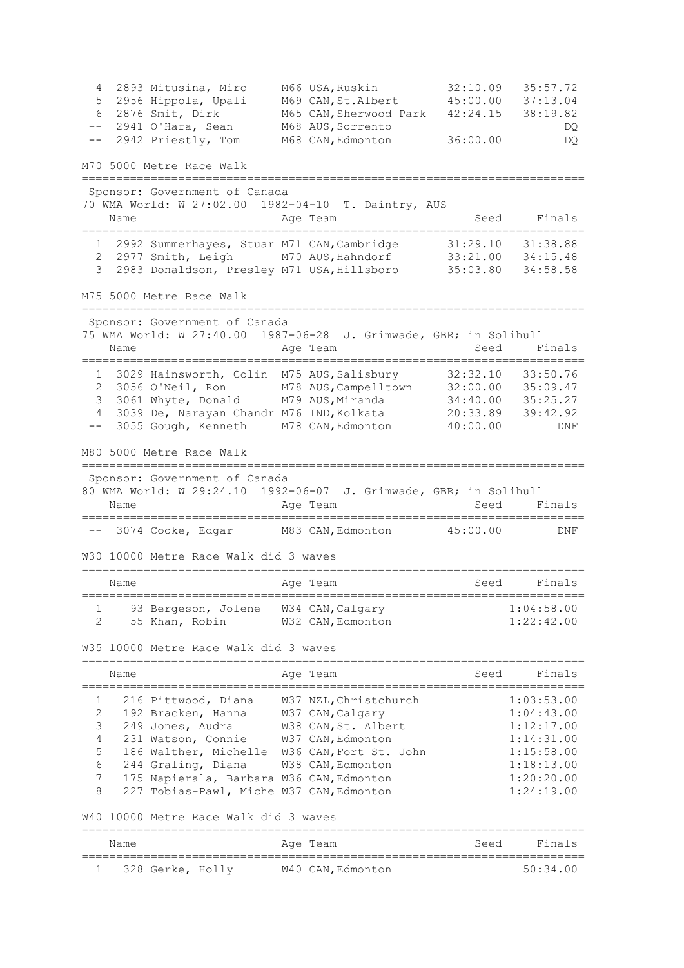4 2893 Mitusina, Miro M66 USA,Ruskin 32:10.09 35:57.72 5 2956 Hippola, Upali M69 CAN,St.Albert 45:00.00 37:13.04 6 2876 Smit, Dirk M65 CAN,Sherwood Park 42:24.15 38:19.82 -- 2941 O'Hara, Sean M68 AUS,Sorrento DQ -- 2942 Priestly, Tom M68 CAN,Edmonton 36:00.00 DQ M70 5000 Metre Race Walk ========================================================================= Sponsor: Government of Canada 70 WMA World: W 27:02.00 1982-04-10 T. Daintry, AUS Name **Age Team** Age Team Seed Finals ========================================================================= 1 2992 Summerhayes, Stuar M71 CAN,Cambridge 31:29.10 31:38.88 2 2977 Smith, Leigh M70 AUS,Hahndorf 33:21.00 34:15.48 3 2983 Donaldson, Presley M71 USA,Hillsboro 35:03.80 34:58.58 M75 5000 Metre Race Walk ========================================================================= Sponsor: Government of Canada 75 WMA World: W 27:40.00 1987-06-28 J. Grimwade, GBR; in Solihull Name **Age Team** Age Team Seed Finals ========================================================================= 1 3029 Hainsworth, Colin M75 AUS,Salisbury 32:32.10 33:50.76 2 3056 O'Neil, Ron M78 AUS,Campelltown 32:00.00 35:09.47 3 3061 Whyte, Donald M79 AUS,Miranda 34:40.00 35:25.27 4 3039 De, Narayan Chandr M76 IND,Kolkata 20:33.89 39:42.92 -- 3055 Gough, Kenneth M78 CAN,Edmonton 40:00.00 DNF M80 5000 Metre Race Walk ========================================================================= Sponsor: Government of Canada 80 WMA World: W 29:24.10 1992-06-07 J. Grimwade, GBR; in Solihull Name **Age Team** Age Team Seed Finals ========================================================================= -- 3074 Cooke, Edgar M83 CAN,Edmonton 45:00.00 DNF W30 10000 Metre Race Walk did 3 waves ========================================================================= Name **Age Team** Age Team Seed Finals ========================================================================= 1 93 Bergeson, Jolene W34 CAN, Calgary 1:04:58.00 2 55 Khan, Robin W32 CAN,Edmonton 1:22:42.00 W35 10000 Metre Race Walk did 3 waves ========================================================================= Name **Age Team** Age Team Seed Finals ========================================================================= 1 216 Pittwood, Diana W37 NZL,Christchurch 1:03:53.00 2 192 Bracken, Hanna W37 CAN,Calgary 1:04:43.00 3 249 Jones, Audra W38 CAN,St. Albert 1:12:17.00 4 231 Watson, Connie W37 CAN,Edmonton 1:14:31.00 5 186 Walther, Michelle W36 CAN,Fort St. John 1:15:58.00 6 244 Graling, Diana W38 CAN,Edmonton 1:18:13.00 7 175 Napierala, Barbara W36 CAN,Edmonton 1:20:20.00 8 227 Tobias-Pawl, Miche W37 CAN,Edmonton 1:24:19.00 W40 10000 Metre Race Walk did 3 waves ========================================================================= Name **Age Team** Age Team Seed Finals ========================================================================= 1 328 Gerke, Holly W40 CAN,Edmonton 50:34.00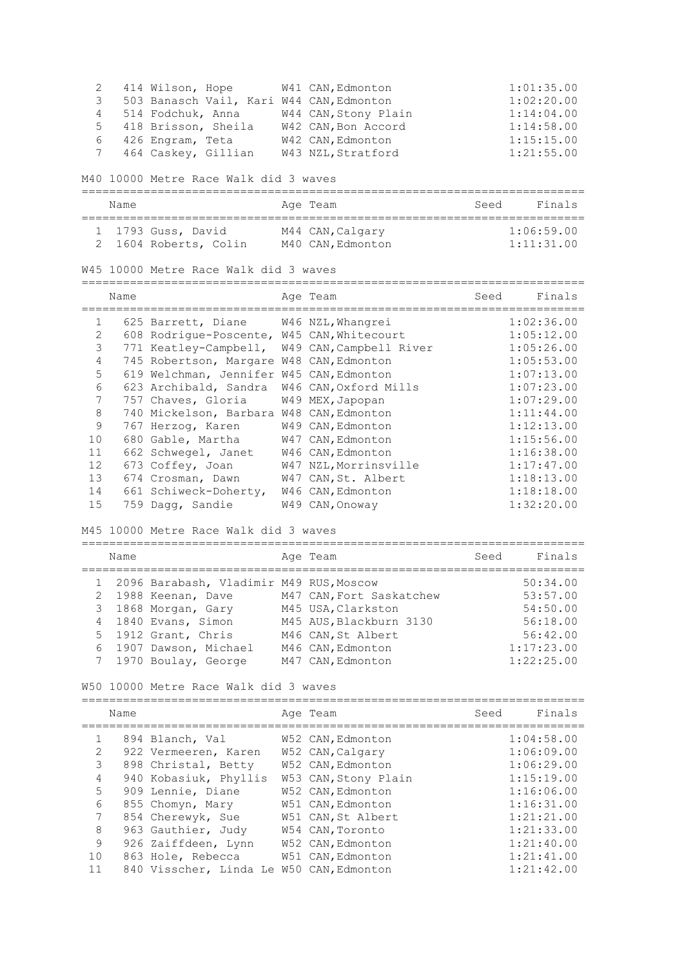2 414 Wilson, Hope W41 CAN,Edmonton 1:01:35.00 3 503 Banasch Vail, Kari W44 CAN,Edmonton 1:02:20.00 4 514 Fodchuk, Anna W44 CAN,Stony Plain 1:14:04.00 5 418 Brisson, Sheila W42 CAN, Bon Accord 1:14:58.00 6 426 Engram, Teta W42 CAN,Edmonton 1:15:15.00 7 464 Caskey, Gillian W43 NZL,Stratford 1:21:55.00 M40 10000 Metre Race Walk did 3 waves ========================================================================= Name Age Team Seed Finals ========================================================================= 1 1793 Guss, David M44 CAN,Calgary 1:06:59.00 2 1604 Roberts, Colin M40 CAN,Edmonton 1:11:31.00 W45 10000 Metre Race Walk did 3 waves ========================================================================= Name **Age Team** Age Team Seed Finals ========================================================================= 1 625 Barrett, Diane W46 NZL, Whangrei<br>2 608 Rodrigue-Poscente, W45 CAN, Whitecourt 2 608 Rodrigue-Poscente, W45 CAN,Whitecourt 1:05:12.00 3 771 Keatley-Campbell, W49 CAN,Campbell River 1:05:26.00 4 745 Robertson, Margare W48 CAN,Edmonton 1:05:53.00 5 619 Welchman, Jennifer W45 CAN,Edmonton 1:07:13.00 6 623 Archibald, Sandra W46 CAN,Oxford Mills 1:07:23.00 7 757 Chaves, Gloria W49 MEX,Japopan 1:07:29.00 1 191 Chaves, Sierra 1:0 Henry Capter 1:00 Mickelson, Barbara W48 CAN, Edmonton 1:11:44.00<br>
9 167 Herzog, Karen 1:49 CAN, Edmonton 1:12:13.00 9 767 Herzog, Karen W49 CAN,Edmonton 1:12:13.00 10 680 Gable, Martha W47 CAN,Edmonton 1:15:56.00 11 662 Schwegel, Janet W46 CAN,Edmonton 1:16:38.00 12 673 Coffey, Joan W47 NZL,Morrinsville 1:17:47.00 13 674 Crosman, Dawn W47 CAN,St. Albert 1:18:13.00 14 661 Schiweck-Doherty, W46 CAN,Edmonton 1:18:18.00 15 759 Dagg, Sandie W49 CAN,Onoway 1:32:20.00 M45 10000 Metre Race Walk did 3 waves ========================================================================= Age Team Seed Finals ========================================================================= 1 2096 Barabash, Vladimir M49 RUS, Moscow 2 1988 Keenan, Dave M47 CAN,Fort Saskatchew 53:57.00 3 1868 Morgan, Gary M45 USA,Clarkston 54:50.00 4 1840 Evans, Simon M45 AUS,Blackburn 3130 56:18.00 5 1912 Grant, Chris M46 CAN, St Albert 56:42.00 6 1907 Dawson, Michael M46 CAN,Edmonton 1:17:23.00 7 1970 Boulay, George M47 CAN,Edmonton 1:22:25.00 W50 10000 Metre Race Walk did 3 waves ========================================================================= Name **Age Team** Age Team Seed Finals ========================================================================= 1 894 Blanch, Val W52 CAN,Edmonton 1:04:58.00 2 922 Vermeeren, Karen W52 CAN,Calgary 1:06:09.00 3 898 Christal, Betty W52 CAN, Edmonton 1:06:29.00 4 940 Kobasiuk, Phyllis W53 CAN,Stony Plain 1:15:19.00 5 909 Lennie, Diane W52 CAN,Edmonton 1:16:06.00 6 855 Chomyn, Mary W51 CAN,Edmonton 1:16:31.00 7 854 Cherewyk, Sue W51 CAN,St Albert 1:21:21.00 8 963 Gauthier, Judy W54 CAN,Toronto 1:21:33.00 9 926 Zaiffdeen, Lynn W52 CAN,Edmonton 1:21:40.00 10 863 Hole, Rebecca W51 CAN,Edmonton 1:21:41.00 11 840 Visscher, Linda Le W50 CAN,Edmonton 1:21:42.00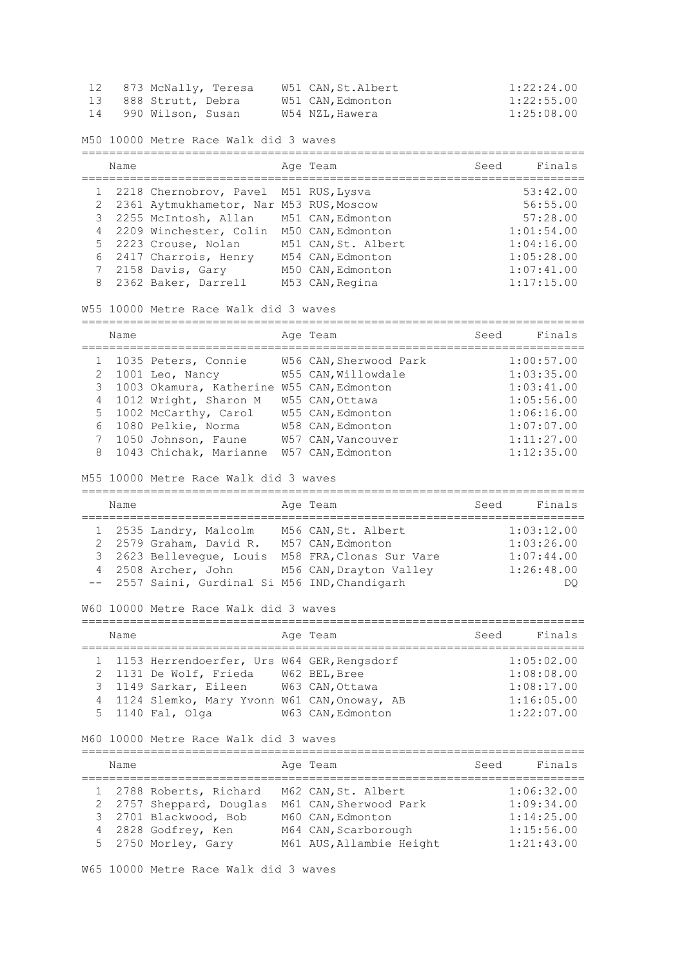|    | 873 McNally, Teresa  | W51 CAN, St.Albert | 1:22:24.00 |
|----|----------------------|--------------------|------------|
|    | 13 888 Strutt, Debra | W51 CAN,Edmonton   | 1:22:55.00 |
| 14 | 990 Wilson, Susan    | W54 NZL,Hawera     | 1:25:08.00 |

M50 10000 Metre Race Walk did 3 waves

| Name |                                            | Age Team            | Seed | Finals     |
|------|--------------------------------------------|---------------------|------|------------|
|      | 1 2218 Chernobrov, Pavel M51 RUS, Lysva    |                     |      | 53:42.00   |
|      | 2 2361 Aytmukhametor, Nar M53 RUS, Moscow  |                     |      | 56:55.00   |
|      | 3 2255 McIntosh, Allan M51 CAN, Edmonton   |                     |      | 57:28.00   |
|      | 4 2209 Winchester, Colin M50 CAN, Edmonton |                     |      | 1:01:54.00 |
|      | 5 2223 Crouse, Nolan                       | M51 CAN, St. Albert |      | 1:04:16.00 |
|      | 6 2417 Charrois, Henry                     | M54 CAN, Edmonton   |      | 1:05:28.00 |
|      | 7 2158 Davis, Gary                         | M50 CAN, Edmonton   |      | 1:07:41.00 |
|      | 8 2362 Baker, Darrell                      | M53 CAN, Regina     |      | 1:17:15.00 |

W55 10000 Metre Race Walk did 3 waves

|   | Name |                           | Age Team               | Seed | Finals     |
|---|------|---------------------------|------------------------|------|------------|
|   |      | 1 1035 Peters, Connie     | W56 CAN, Sherwood Park |      | 1:00:57.00 |
|   |      | 2 1001 Leo, Nancy         | W55 CAN, Willowdale    |      | 1:03:35.00 |
|   |      | 3 1003 Okamura, Katherine | W55 CAN, Edmonton      |      | 1:03:41.00 |
|   |      | 4 1012 Wright, Sharon M   | W55 CAN, Ottawa        |      | 1:05:56.00 |
|   |      | 5 1002 McCarthy, Carol    | W55 CAN, Edmonton      |      | 1:06:16.00 |
| 6 |      | 1080 Pelkie, Norma        | W58 CAN, Edmonton      |      | 1:07:07.00 |
|   |      | 7 1050 Johnson, Faune     | W57 CAN, Vancouver     |      | 1:11:27.00 |
|   |      | 8 1043 Chichak, Marianne  | W57 CAN, Edmonton      |      | 1:12:35.00 |

M55 10000 Metre Race Walk did 3 waves

| Name |                                                | Age Team                 | Seed | Finals     |
|------|------------------------------------------------|--------------------------|------|------------|
|      | 1 2535 Landry, Malcolm                         | M56 CAN, St. Albert      |      | 1:03:12.00 |
|      | 2 2579 Graham, David R.                        | M57 CAN, Edmonton        |      | 1:03:26.00 |
|      | 3 2623 Belleveque, Louis                       | M58 FRA, Clonas Sur Vare |      | 1:07:44.00 |
|      | 4 2508 Archer, John                            | M56 CAN, Drayton Valley  |      | 1:26:48.00 |
|      | -- 2557 Saini, Gurdinal Si M56 IND, Chandigarh |                          |      | DO         |

W60 10000 Metre Race Walk did 3 waves

| Name |                                               | Age Team          | Seed | Finals     |
|------|-----------------------------------------------|-------------------|------|------------|
|      | 1 1153 Herrendoerfer, Urs W64 GER, Rengsdorf  |                   |      | 1:05:02.00 |
|      | 2 1131 De Wolf, Frieda                        | W62 BEL, Bree     |      | 1:08:08.00 |
|      | 3 1149 Sarkar, Eileen                         | W63 CAN, Ottawa   |      | 1:08:17.00 |
|      | 4 1124 Slemko, Mary Yvonn W61 CAN, Onoway, AB |                   |      | 1:16:05.00 |
|      | 5 1140 Fal, Olga                              | W63 CAN, Edmonton |      | 1:22:07.00 |

M60 10000 Metre Race Walk did 3 waves

| Name |                          | Age Team                 | Seed | Finals     |
|------|--------------------------|--------------------------|------|------------|
|      | 1 2788 Roberts, Richard  | M62 CAN, St. Albert      |      | 1:06:32.00 |
|      | 2 2757 Sheppard, Douglas | M61 CAN, Sherwood Park   |      | 1:09:34.00 |
|      | 3 2701 Blackwood, Bob    | M60 CAN, Edmonton        |      | 1:14:25.00 |
|      | 4 2828 Godfrey, Ken      | M64 CAN, Scarborough     |      | 1:15:56.00 |
|      | 5 2750 Morley, Gary      | M61 AUS, Allambie Height |      | 1:21:43.00 |

W65 10000 Metre Race Walk did 3 waves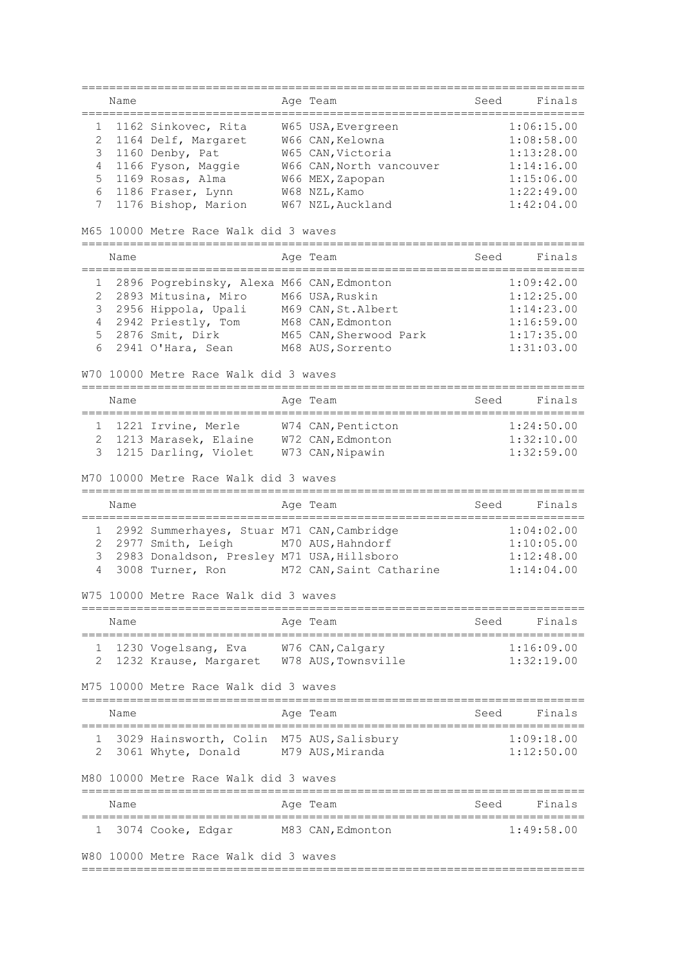========================================================================= Name **Age Team** Age Team Seed Finals ========================================================================= 1 1162 Sinkovec, Rita W65 USA,Evergreen 1:06:15.00 2 1164 Delf, Margaret W66 CAN,Kelowna 1:08:58.00 3 1160 Denby, Pat W65 CAN,Victoria 1:13:28.00 4 1166 Fyson, Maggie W66 CAN,North vancouver 1:14:16.00 5 1169 Rosas, Alma W66 MEX,Zapopan 1:15:06.00 6 1186 Fraser, Lynn W68 NZL,Kamo 1:22:49.00 7 1176 Bishop, Marion W67 NZL, Auckland 1:42:04.00 M65 10000 Metre Race Walk did 3 waves ========================================================================= Name **Age Team** Age Team Seed Finals ========================================================================= 1 2896 Pogrebinsky, Alexa M66 CAN,Edmonton 1:09:42.00 2 2893 Mitusina, Miro M66 USA,Ruskin 1:12:25.00 3 2956 Hippola, Upali M69 CAN,St.Albert 1:14:23.00 4 2942 Priestly, Tom M68 CAN,Edmonton 1:16:59.00 5 2876 Smit, Dirk M65 CAN,Sherwood Park 1:17:35.00 6 2941 O'Hara, Sean M68 AUS,Sorrento 1:31:03.00 W70 10000 Metre Race Walk did 3 waves ========================================================================= Name **Age Team** Age Team Seed Finals ========================================================================= 1 1221 Irvine, Merle W74 CAN,Penticton 1:24:50.00 2 1213 Marasek, Elaine W72 CAN,Edmonton 1:32:10.00 3 1215 Darling, Violet W73 CAN,Nipawin 1:32:59.00 M70 10000 Metre Race Walk did 3 waves ========================================================================= Name Register Age Team Name Seed Finals ========================================================================= 1 2992 Summerhayes, Stuar M71 CAN,Cambridge 1:04:02.00 2 2977 Smith, Leigh M70 AUS, Hahndorf 3 2983 Donaldson, Presley M71 USA,Hillsboro 1:12:48.00 4 3008 Turner, Ron M72 CAN,Saint Catharine 1:14:04.00 W75 10000 Metre Race Walk did 3 waves ========================================================================= Name Age Team Seed Finals ========================================================================= 1 1230 Vogelsang, Eva W76 CAN,Calgary 1:16:09.00 2 1232 Krause, Margaret W78 AUS,Townsville 1:32:19.00 M75 10000 Metre Race Walk did 3 waves ========================================================================= Name **Age Team** Age Team Seed Finals ========================================================================= 1 3029 Hainsworth, Colin M75 AUS,Salisbury 1:09:18.00 2 3061 Whyte, Donald M79 AUS,Miranda 1:12:50.00 M80 10000 Metre Race Walk did 3 waves ========================================================================= Age Team Seed Finals ========================================================================= 1 3074 Cooke, Edgar M83 CAN,Edmonton 1:49:58.00 W80 10000 Metre Race Walk did 3 waves =========================================================================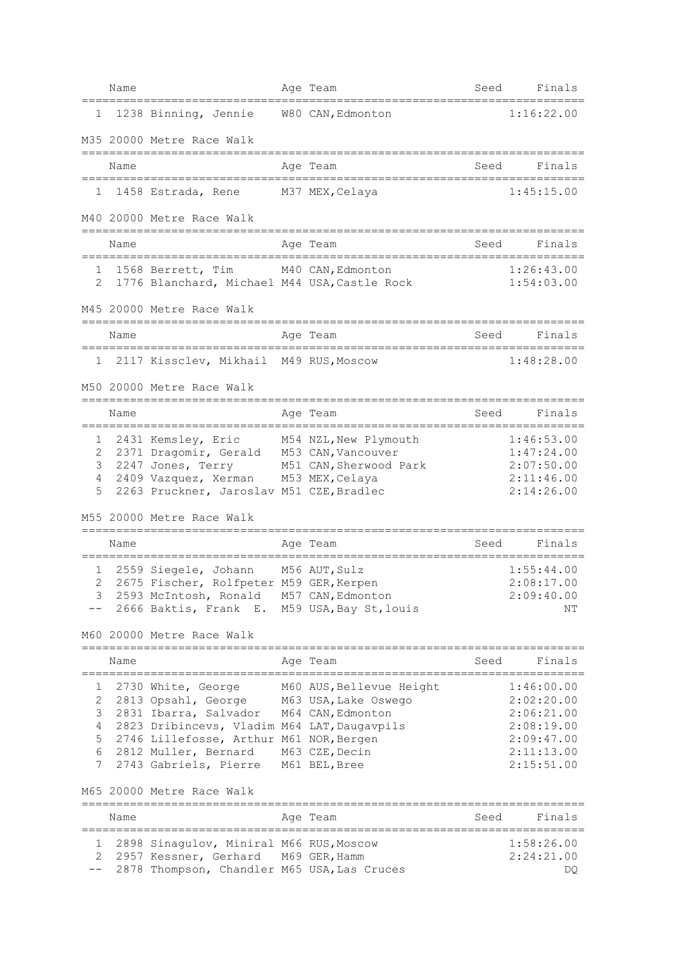|                                 | Name |                                                                                                                                                                                                                            |            | Age Team                                                                                                 | Seed | Finals                                                                                         |
|---------------------------------|------|----------------------------------------------------------------------------------------------------------------------------------------------------------------------------------------------------------------------------|------------|----------------------------------------------------------------------------------------------------------|------|------------------------------------------------------------------------------------------------|
| $1 \quad$                       |      | 1238 Binning, Jennie W80 CAN, Edmonton                                                                                                                                                                                     |            |                                                                                                          |      | 1:16:22.00                                                                                     |
|                                 |      | M35 20000 Metre Race Walk                                                                                                                                                                                                  |            |                                                                                                          |      |                                                                                                |
|                                 | Name |                                                                                                                                                                                                                            |            | Age Team                                                                                                 | Seed | Finals                                                                                         |
| 1                               |      | 1458 Estrada, Rene M37 MEX, Celaya                                                                                                                                                                                         |            |                                                                                                          |      | 1:45:15.00                                                                                     |
|                                 |      | M40 20000 Metre Race Walk                                                                                                                                                                                                  |            |                                                                                                          |      |                                                                                                |
|                                 | Name |                                                                                                                                                                                                                            |            | Aqe Team                                                                                                 | Seed | Finals                                                                                         |
| 1<br>2                          |      | 1568 Berrett, Tim                                                                                                                                                                                                          |            | M40 CAN, Edmonton<br>1776 Blanchard, Michael M44 USA, Castle Rock                                        |      | 1:26:43.00<br>1:54:03.00                                                                       |
|                                 |      | M45 20000 Metre Race Walk                                                                                                                                                                                                  |            |                                                                                                          |      |                                                                                                |
|                                 | Name |                                                                                                                                                                                                                            |            | Age Team                                                                                                 | Seed | Finals                                                                                         |
| 1                               |      | 2117 Kissclev, Mikhail M49 RUS, Moscow                                                                                                                                                                                     |            |                                                                                                          |      | 1:48:28.00                                                                                     |
|                                 |      | M50 20000 Metre Race Walk                                                                                                                                                                                                  |            |                                                                                                          |      |                                                                                                |
|                                 | Name | --------------                                                                                                                                                                                                             |            | Age Team                                                                                                 | Seed | Finals                                                                                         |
| 1<br>2<br>3<br>4<br>5           |      | 2431 Kemsley, Eric M54 NZL, New Plymouth<br>2371 Dragomir, Gerald M53 CAN, Vancouver<br>2247 Jones, Terry<br>2409 Vazquez, Xerman M53 MEX, Celaya<br>2263 Pruckner, Jaroslav M51 CZE, Bradlec<br>M55 20000 Metre Race Walk |            | M51 CAN, Sherwood Park                                                                                   |      | 1:46:53.00<br>1:47:24.00<br>2:07:50.00<br>2:11:46.00<br>2:14:26.00                             |
|                                 | Name | ============================                                                                                                                                                                                               | ========== | Aqe Team                                                                                                 | Seed | Finals                                                                                         |
| 1<br>2<br>3                     |      | 2559 Siegele, Johann<br>2675 Fischer, Rolfpeter M59 GER, Kerpen<br>2593 McIntosh, Ronald M57 CAN, Edmonton<br>2666 Baktis, Frank E. M59 USA, Bay St, louis                                                                 |            | :==================<br>M56 AUT, Sulz                                                                     |      | 1:55:44.00<br>2:08:17.00<br>2:09:40.00<br>NΤ                                                   |
|                                 |      | M60 20000 Metre Race Walk<br>===================================                                                                                                                                                           |            |                                                                                                          |      |                                                                                                |
|                                 | Name |                                                                                                                                                                                                                            |            | Aqe Team<br>--------------                                                                               | Seed | Finals                                                                                         |
| 1<br>2<br>3<br>4<br>5<br>6<br>7 |      | 2730 White, George<br>2813 Opsahl, George<br>2831 Ibarra, Salvador<br>2823 Dribincevs, Vladim M64 LAT, Daugavpils<br>2746 Lillefosse, Arthur M61 NOR, Bergen<br>2812 Muller, Bernard<br>2743 Gabriels, Pierre              |            | M60 AUS, Bellevue Height<br>M63 USA, Lake Oswego<br>M64 CAN, Edmonton<br>M63 CZE, Decin<br>M61 BEL, Bree |      | 1:46:00.00<br>2:02:20.00<br>2:06:21.00<br>2:08:19.00<br>2:09:47.00<br>2:11:13.00<br>2:15:51.00 |
|                                 |      | M65 20000 Metre Race Walk                                                                                                                                                                                                  |            |                                                                                                          |      |                                                                                                |
|                                 | Name |                                                                                                                                                                                                                            |            | Age Team                                                                                                 | Seed | Finals                                                                                         |
| 1<br>2                          |      | 2898 Sinagulov, Miniral M66 RUS, Moscow<br>2957 Kessner, Gerhard M69 GER, Hamm<br>2878 Thompson, Chandler M65 USA, Las Cruces                                                                                              |            |                                                                                                          |      | 1:58:26.00<br>2:24:21.00<br>DQ                                                                 |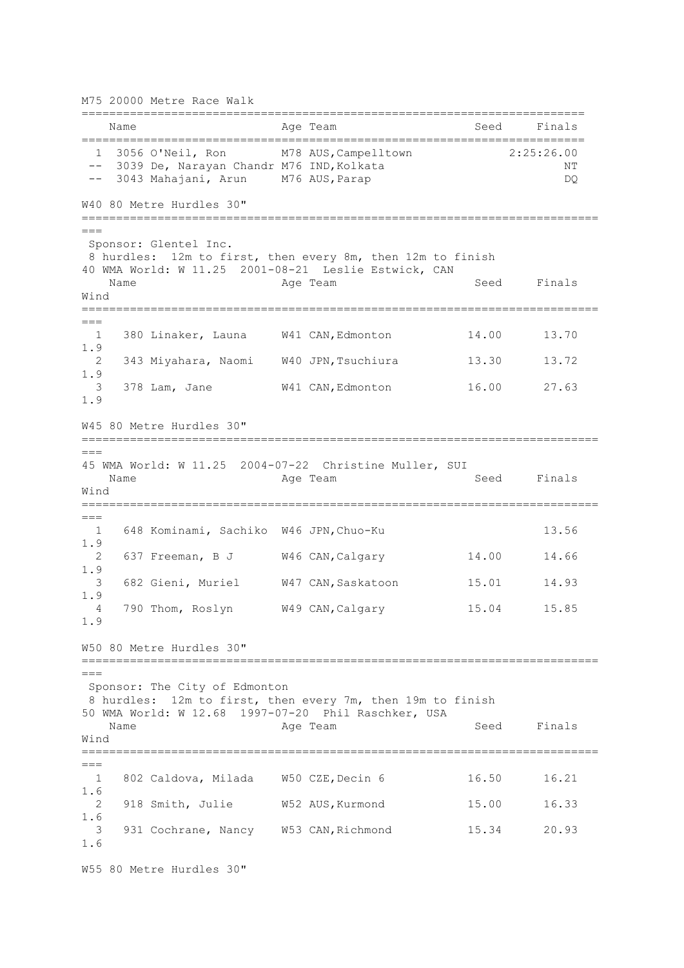========================================================================= Name **Age Team** Age Team Seed Finals ========================================================================= 1 3056 O'Neil, Ron M78 AUS,Campelltown 2:25:26.00 -- 3039 De, Narayan Chandr M76 IND, Kolkata NT -- 3043 Mahajani, Arun M76 AUS, Parap 1999 Mahajani, Parang Mahajang Mahang Mahang D W40 80 Metre Hurdles 30" ===========================================================================  $=$ Sponsor: Glentel Inc. 8 hurdles: 12m to first, then every 8m, then 12m to finish 40 WMA World: W 11.25 2001-08-21 Leslie Estwick, CAN Name **Age Team** Age Team Seed Finals Wind ===========================================================================  $=$  1 380 Linaker, Launa W41 CAN,Edmonton 14.00 13.70 1.9 2 343 Miyahara, Naomi W40 JPN,Tsuchiura 13.30 13.72 1.9 3 378 Lam, Jane W41 CAN,Edmonton 16.00 27.63 1.9 W45 80 Metre Hurdles 30" =========================================================================== === 45 WMA World: W 11.25 2004-07-22 Christine Muller, SUI Name **Age Team** Age Team Seed Finals Wind ===========================================================================  $---$  1 648 Kominami, Sachiko W46 JPN,Chuo-Ku 13.56 1.9 2 637 Freeman, B J W46 CAN,Calgary 14.00 14.66 1.9 3 682 Gieni, Muriel W47 CAN,Saskatoon 15.01 14.93 1.9 4 790 Thom, Roslyn W49 CAN,Calgary 15.04 15.85 1.9 W50 80 Metre Hurdles 30" ===========================================================================  $===$ Sponsor: The City of Edmonton 8 hurdles: 12m to first, then every 7m, then 19m to finish 50 WMA World: W 12.68 1997-07-20 Phil Raschker, USA Name **Age Team** Age Team Seed Finals Wind =========================================================================== === 1 802 Caldova, Milada W50 CZE,Decin 6 16.50 16.21 1.6 2 918 Smith, Julie W52 AUS, Kurmond 15.00 16.33 1.6 3 931 Cochrane, Nancy W53 CAN,Richmond 15.34 20.93 1.6 W55 80 Metre Hurdles 30"

M75 20000 Metre Race Walk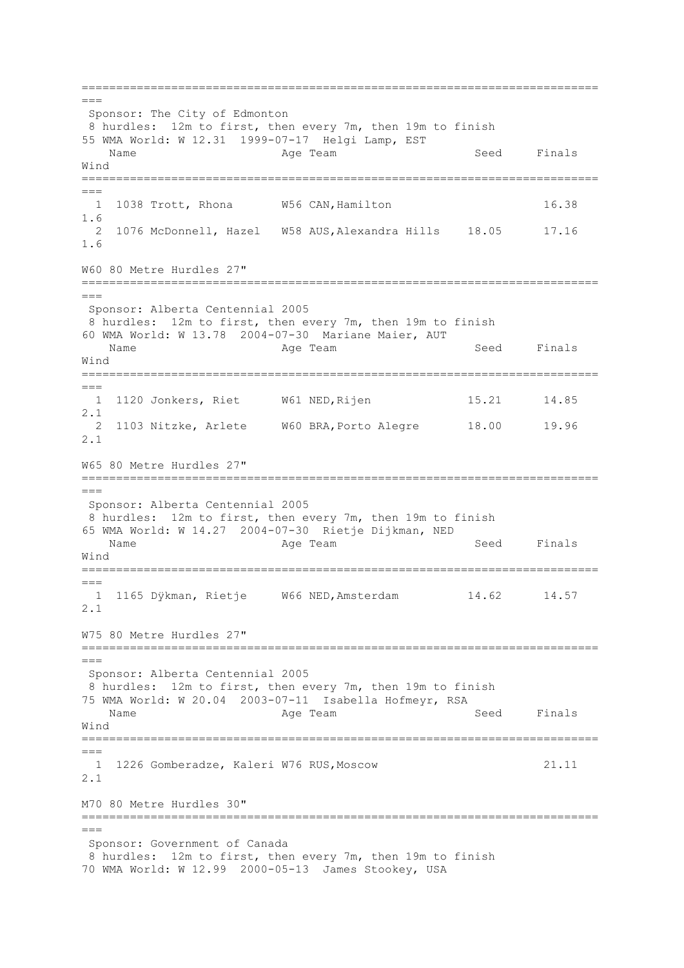===========================================================================  $=$ Sponsor: The City of Edmonton 8 hurdles: 12m to first, then every 7m, then 19m to finish 55 WMA World: W 12.31 1999-07-17 Helgi Lamp, EST Name **Age Team** Age Team Seed Finals Wind ===========================================================================  $==-$  1 1038 Trott, Rhona W56 CAN,Hamilton 16.38 1.6 2 1076 McDonnell, Hazel W58 AUS,Alexandra Hills 18.05 17.16 1.6 W60 80 Metre Hurdles 27" ===========================================================================  $---$ Sponsor: Alberta Centennial 2005 8 hurdles: 12m to first, then every 7m, then 19m to finish 60 WMA World: W 13.78 2004-07-30 Mariane Maier, AUT Name **Age Team** Age Team Seed Finals Wind ===========================================================================  $---$  1 1120 Jonkers, Riet W61 NED,Rijen 15.21 14.85 2.1 2 1103 Nitzke, Arlete W60 BRA,Porto Alegre 18.00 19.96 2.1 W65 80 Metre Hurdles 27" =========================================================================== === Sponsor: Alberta Centennial 2005 8 hurdles: 12m to first, then every 7m, then 19m to finish 65 WMA World: W 14.27 2004-07-30 Rietje Dijkman, NED Name Age Team Seed Finals Wind ===========================================================================  $=$  1 1165 Dÿkman, Rietje W66 NED,Amsterdam 14.62 14.57 2.1 W75 80 Metre Hurdles 27" =========================================================================== === Sponsor: Alberta Centennial 2005 8 hurdles: 12m to first, then every 7m, then 19m to finish 75 WMA World: W 20.04 2003-07-11 Isabella Hofmeyr, RSA Name **Age Team** Age Team Seed Finals Wind =========================================================================== === 1 1226 Gomberadze, Kaleri W76 RUS,Moscow 21.11 2.1 M70 80 Metre Hurdles 30" ===========================================================================  $=$ Sponsor: Government of Canada 8 hurdles: 12m to first, then every 7m, then 19m to finish 70 WMA World: W 12.99 2000-05-13 James Stookey, USA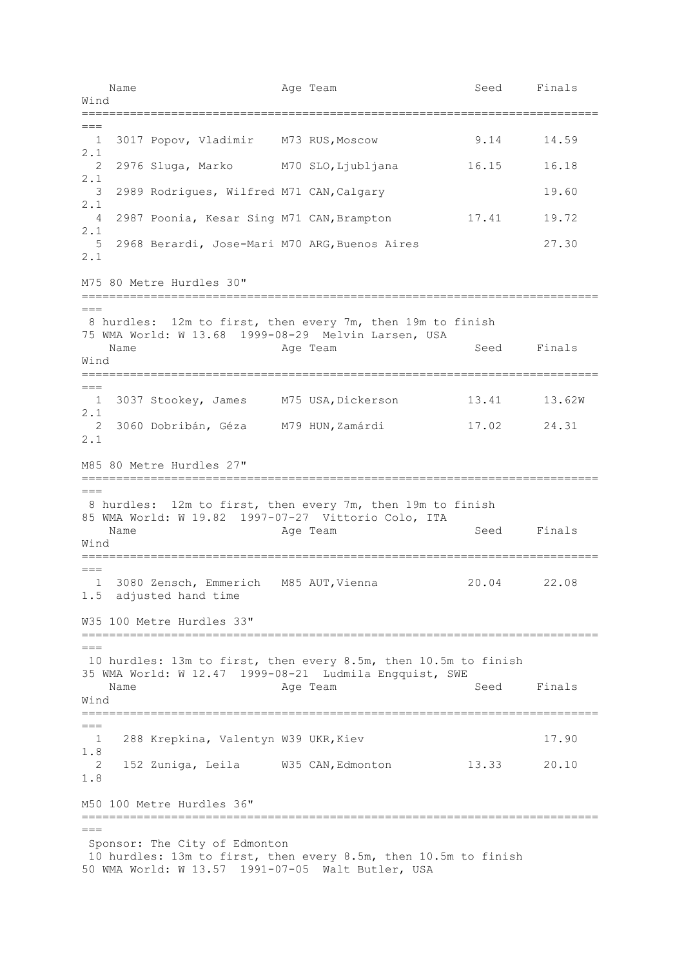Name **Age Team** Age Team Seed Finals Wind ===========================================================================  $=$  1 3017 Popov, Vladimir M73 RUS,Moscow 9.14 14.59 2.1 2 2976 Sluga, Marko M70 SLO,Ljubljana 16.15 16.18 2.1 3 2989 Rodrigues, Wilfred M71 CAN,Calgary 19.60 2.1 4 2987 Poonia, Kesar Sing M71 CAN, Brampton 17.41 19.72 2.1 5 2968 Berardi, Jose-Mari M70 ARG,Buenos Aires 27.30 2.1 M75 80 Metre Hurdles 30" =========================================================================== === 8 hurdles: 12m to first, then every 7m, then 19m to finish 75 WMA World: W 13.68 1999-08-29 Melvin Larsen, USA Name **Age Team** Age Team Seed Finals Wind ===========================================================================  $---$  1 3037 Stookey, James M75 USA,Dickerson 13.41 13.62W 2.1 2 3060 Dobribán, Géza M79 HUN,Zamárdi 17.02 24.31 2.1 M85 80 Metre Hurdles 27" ===========================================================================  $=$ 8 hurdles: 12m to first, then every 7m, then 19m to finish 85 WMA World: W 19.82 1997-07-27 Vittorio Colo, ITA Name **Age Team** Age Team Seed Finals Wind =========================================================================== === 1 3080 Zensch, Emmerich M85 AUT,Vienna 20.04 22.08 1.5 adjusted hand time W35 100 Metre Hurdles 33" ===========================================================================  $=$ 10 hurdles: 13m to first, then every 8.5m, then 10.5m to finish 35 WMA World: W 12.47 1999-08-21 Ludmila Engquist, SWE Name **Age Team** Age Team Seed Finals Wind ===========================================================================  $---$  1 288 Krepkina, Valentyn W39 UKR,Kiev 17.90 1.8 2 152 Zuniga, Leila W35 CAN,Edmonton 13.33 20.10 1.8 M50 100 Metre Hurdles 36" ===========================================================================  $=$ Sponsor: The City of Edmonton 10 hurdles: 13m to first, then every 8.5m, then 10.5m to finish 50 WMA World: W 13.57 1991-07-05 Walt Butler, USA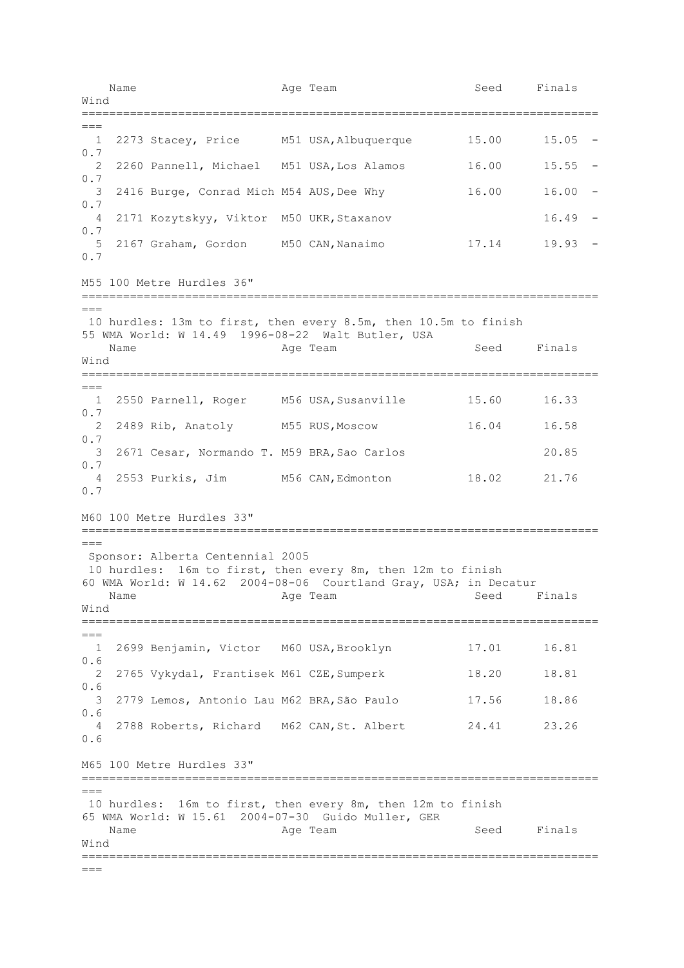Name **Age Team** Age Team Seed Finals Wind ===========================================================================  $=$  1 2273 Stacey, Price M51 USA,Albuquerque 15.00 15.05 - 0.7 2 2260 Pannell, Michael M51 USA,Los Alamos 16.00 15.55 - 0.7 3 2416 Burge, Conrad Mich M54 AUS,Dee Why 16.00 16.00 - 0.7 4 2171 Kozytskyy, Viktor M50 UKR, Staxanov 16.49 -0.7 5 2167 Graham, Gordon M50 CAN,Nanaimo 17.14 19.93 - 0.7 M55 100 Metre Hurdles 36" =========================================================================== === 10 hurdles: 13m to first, then every 8.5m, then 10.5m to finish 55 WMA World: W 14.49 1996-08-22 Walt Butler, USA Name **Age Team** Age Team Seed Finals Wind ===========================================================================  $---$  1 2550 Parnell, Roger M56 USA,Susanville 15.60 16.33 0.7 2 2489 Rib, Anatoly M55 RUS,Moscow 16.04 16.58 0.7 3 2671 Cesar, Normando T. M59 BRA,Sao Carlos 20.85 0.7 4 2553 Purkis, Jim M56 CAN,Edmonton 18.02 21.76 0.7 M60 100 Metre Hurdles 33" ===========================================================================  $=$ Sponsor: Alberta Centennial 2005 10 hurdles: 16m to first, then every 8m, then 12m to finish 60 WMA World: W 14.62 2004-08-06 Courtland Gray, USA; in Decatur Name **Age Team** Age Team Seed Finals Wind ===========================================================================  $=$  1 2699 Benjamin, Victor M60 USA,Brooklyn 17.01 16.81 0.6 2 2765 Vykydal, Frantisek M61 CZE,Sumperk 18.20 18.81 0.6 3 2779 Lemos, Antonio Lau M62 BRA,São Paulo 17.56 18.86 0.6 4 2788 Roberts, Richard M62 CAN,St. Albert 24.41 23.26 0.6 M65 100 Metre Hurdles 33" =========================================================================== === 10 hurdles: 16m to first, then every 8m, then 12m to finish 65 WMA World: W 15.61 2004-07-30 Guido Muller, GER Name **Age Team** Age Team Seed Finals Wind ===========================================================================  $---$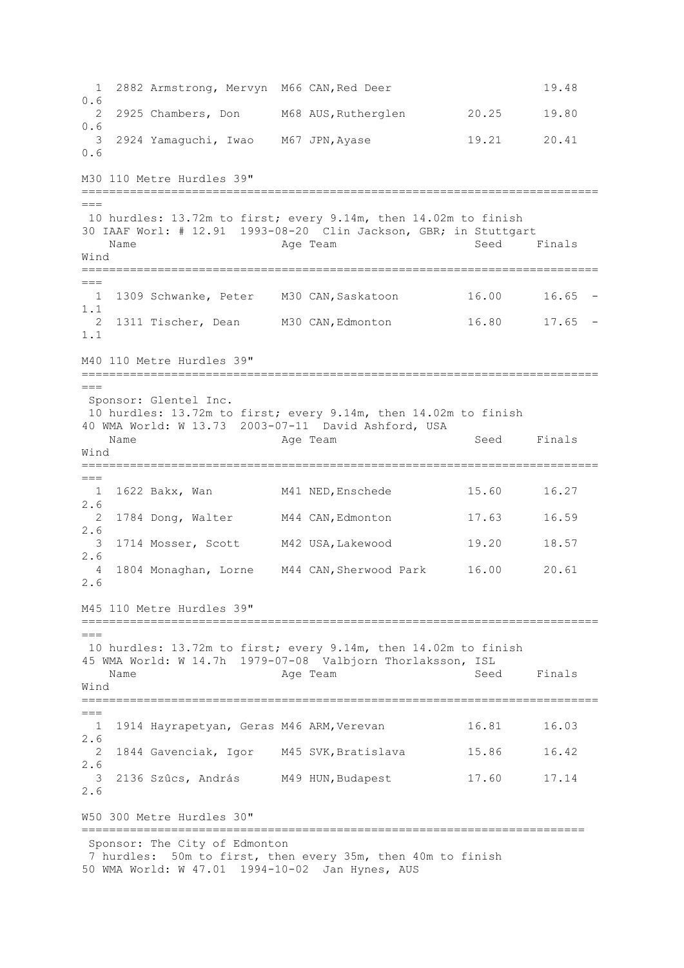1 2882 Armstrong, Mervyn M66 CAN,Red Deer 19.48 0.6 2 2925 Chambers, Don M68 AUS,Rutherglen 20.25 19.80 0.6 3 2924 Yamaguchi, Iwao M67 JPN,Ayase 19.21 20.41 0.6 M30 110 Metre Hurdles 39" ===========================================================================  $---$ 10 hurdles: 13.72m to first; every 9.14m, then 14.02m to finish 30 IAAF Worl: # 12.91 1993-08-20 Clin Jackson, GBR; in Stuttgart Name Age Team Seed Finals Wind ===========================================================================  $---$  1 1309 Schwanke, Peter M30 CAN,Saskatoon 16.00 16.65 - 1.1 2 1311 Tischer, Dean M30 CAN,Edmonton 16.80 17.65 - 1.1 M40 110 Metre Hurdles 39" =========================================================================== === Sponsor: Glentel Inc. 10 hurdles: 13.72m to first; every 9.14m, then 14.02m to finish 40 WMA World: W 13.73 2003-07-11 David Ashford, USA Name **Age Team** Age Team Seed Finals Wind ===========================================================================  $=$  1 1622 Bakx, Wan M41 NED,Enschede 15.60 16.27 2.6 2 1784 Dong, Walter M44 CAN,Edmonton 17.63 16.59 2.6 3 1714 Mosser, Scott M42 USA,Lakewood 19.20 18.57 2.6 4 1804 Monaghan, Lorne M44 CAN,Sherwood Park 16.00 20.61 2.6 M45 110 Metre Hurdles 39" ===========================================================================  $=$ 10 hurdles: 13.72m to first; every 9.14m, then 14.02m to finish 45 WMA World: W 14.7h 1979-07-08 Valbjorn Thorlaksson, ISL Name **Age Team** Age Team Seed Finals Wind ===========================================================================  $-$  1 1914 Hayrapetyan, Geras M46 ARM,Verevan 16.81 16.03 2.6 2 1844 Gavenciak, Igor M45 SVK,Bratislava 15.86 16.42 2.6 3 2136 Szûcs, András M49 HUN,Budapest 17.60 17.14 2.6 W50 300 Metre Hurdles 30" ========================================================================= Sponsor: The City of Edmonton 7 hurdles: 50m to first, then every 35m, then 40m to finish 50 WMA World: W 47.01 1994-10-02 Jan Hynes, AUS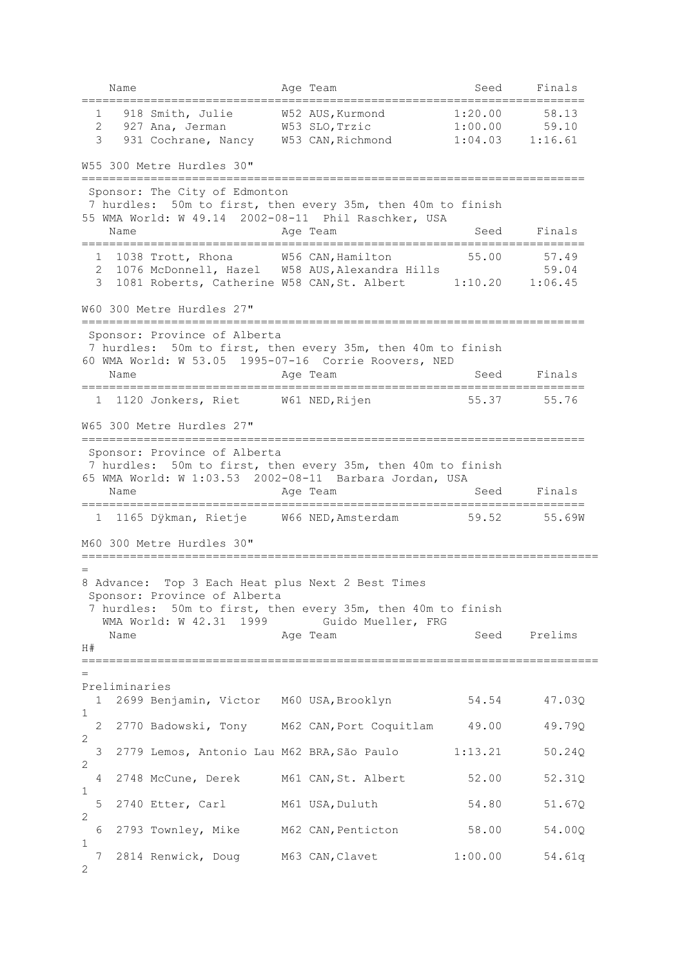Name **Age Team** Age Team Seed Finals ========================================================================= 1 918 Smith, Julie W52 AUS,Kurmond 1:20.00 58.13 2 927 Ana, Jerman W53 SLO,Trzic 1:00.00 59.10 3 931 Cochrane, Nancy W53 CAN,Richmond 1:04.03 1:16.61 W55 300 Metre Hurdles 30" ========================================================================= Sponsor: The City of Edmonton 7 hurdles: 50m to first, then every 35m, then 40m to finish 55 WMA World: W 49.14 2002-08-11 Phil Raschker, USA Name **Age Team** Age Team Seed Finals ========================================================================= 1 1038 Trott, Rhona M56 CAN, Hamilton 55.00 57.49<br>2 1076 McDonnell. Hazel W58 AUS, Alexandra Hills 59.04 2 1076 McDonnell, Hazel W58 AUS, Alexandra Hills 3 1081 Roberts, Catherine W58 CAN,St. Albert 1:10.20 1:06.45 W60 300 Metre Hurdles 27" ========================================================================= Sponsor: Province of Alberta 7 hurdles: 50m to first, then every 35m, then 40m to finish 60 WMA World: W 53.05 1995-07-16 Corrie Roovers, NED Name **Age Team** Age Team Seed Finals ========================================================================= 1 1120 Jonkers, Riet W61 NED,Rijen 55.37 55.76 W65 300 Metre Hurdles 27" ========================================================================= Sponsor: Province of Alberta 7 hurdles: 50m to first, then every 35m, then 40m to finish 65 WMA World: W 1:03.53 2002-08-11 Barbara Jordan, USA Name **Age Team** Age Team Seed Finals ========================================================================= 1 1165 Dÿkman, Rietje W66 NED,Amsterdam 59.52 55.69W M60 300 Metre Hurdles 30" =========================================================================== = 8 Advance: Top 3 Each Heat plus Next 2 Best Times Sponsor: Province of Alberta 7 hurdles: 50m to first, then every 35m, then 40m to finish WMA World: W 42.31 1999 Guido Mueller, FRG Age Team Seed Prelims H# =========================================================================== = Preliminaries 1 2699 Benjamin, Victor M60 USA,Brooklyn 54.54 47.03Q 1 2 2770 Badowski, Tony M62 CAN,Port Coquitlam 49.00 49.79Q 2 3 2779 Lemos, Antonio Lau M62 BRA,São Paulo 1:13.21 50.24Q  $\mathcal{D}$  4 2748 McCune, Derek M61 CAN,St. Albert 52.00 52.31Q 1 5 2740 Etter, Carl M61 USA,Duluth 54.80 51.67Q  $\mathcal{L}$  6 2793 Townley, Mike M62 CAN,Penticton 58.00 54.00Q 1 7 2814 Renwick, Doug M63 CAN,Clavet 1:00.00 54.61q  $\mathcal{L}$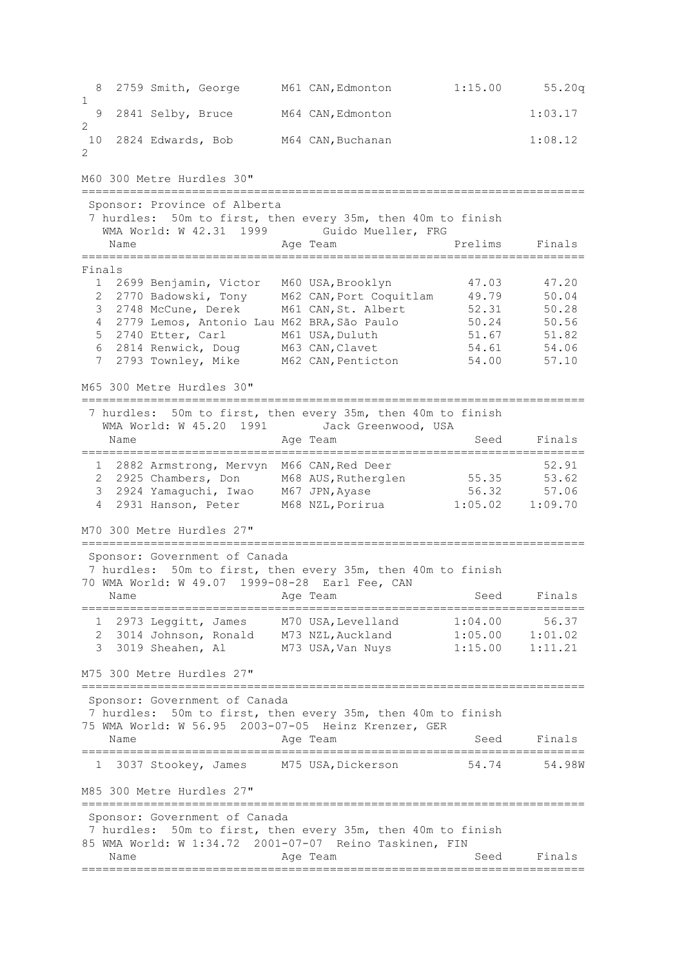8 2759 Smith, George M61 CAN,Edmonton 1:15.00 55.20q 1 9 2841 Selby, Bruce M64 CAN,Edmonton 1:03.17 2 10 2824 Edwards, Bob M64 CAN,Buchanan 1:08.12 2 M60 300 Metre Hurdles 30" ========================================================================= Sponsor: Province of Alberta 7 hurdles: 50m to first, then every 35m, then 40m to finish WMA World: W 42.31 1999 Guido Mueller, FRG Name Research Age Team Research Prelims Finals ========================================================================= Finals 1 2699 Benjamin, Victor M60 USA, Brooklyn 47.03 47.20 2 2770 Badowski, Tony M62 CAN,Port Coquitlam 49.79 50.04 3 2748 McCune, Derek M61 CAN,St. Albert 52.31 50.28 4 2779 Lemos, Antonio Lau M62 BRA,São Paulo 50.24 50.56 5 2740 Etter, Carl M61 USA,Duluth 51.67 51.82 6 2814 Renwick, Doug M63 CAN,Clavet 54.61 54.06 7 2793 Townley, Mike M62 CAN,Penticton 54.00 57.10 M65 300 Metre Hurdles 30" ========================================================================= 7 hurdles: 50m to first, then every 35m, then 40m to finish WMA World: W 45.20 1991 Jack Greenwood, USA Name **Age Team** Age Team Seed Finals ========================================================================= 1 2882 Armstrong, Mervyn M66 CAN,Red Deer 52.91 2 2925 Chambers, Don M68 AUS, Rutherglen 55.35 53.62 3 2924 Yamaguchi, Iwao M67 JPN,Ayase 56.32 57.06 4 2931 Hanson, Peter M68 NZL,Porirua 1:05.02 1:09.70 M70 300 Metre Hurdles 27" ========================================================================= Sponsor: Government of Canada 7 hurdles: 50m to first, then every 35m, then 40m to finish 70 WMA World: W 49.07 1999-08-28 Earl Fee, CAN Age Team Seed Finals ========================================================================= 1 2973 Leggitt, James M70 USA,Levelland 1:04.00 56.37 2 3014 Johnson, Ronald M73 NZL,Auckland 1:05.00 1:01.02 3 3019 Sheahen, Al M73 USA,Van Nuys 1:15.00 1:11.21 M75 300 Metre Hurdles 27" ========================================================================= Sponsor: Government of Canada 7 hurdles: 50m to first, then every 35m, then 40m to finish 75 WMA World: W 56.95 2003-07-05 Heinz Krenzer, GER Name **Age Team** Age Team Seed Finals ========================================================================= 1 3037 Stookey, James M75 USA,Dickerson 54.74 54.98W M85 300 Metre Hurdles 27" ========================================================================= Sponsor: Government of Canada 7 hurdles: 50m to first, then every 35m, then 40m to finish 85 WMA World: W 1:34.72 2001-07-07 Reino Taskinen, FIN Name **Age Team** Age Team Seed Finals =========================================================================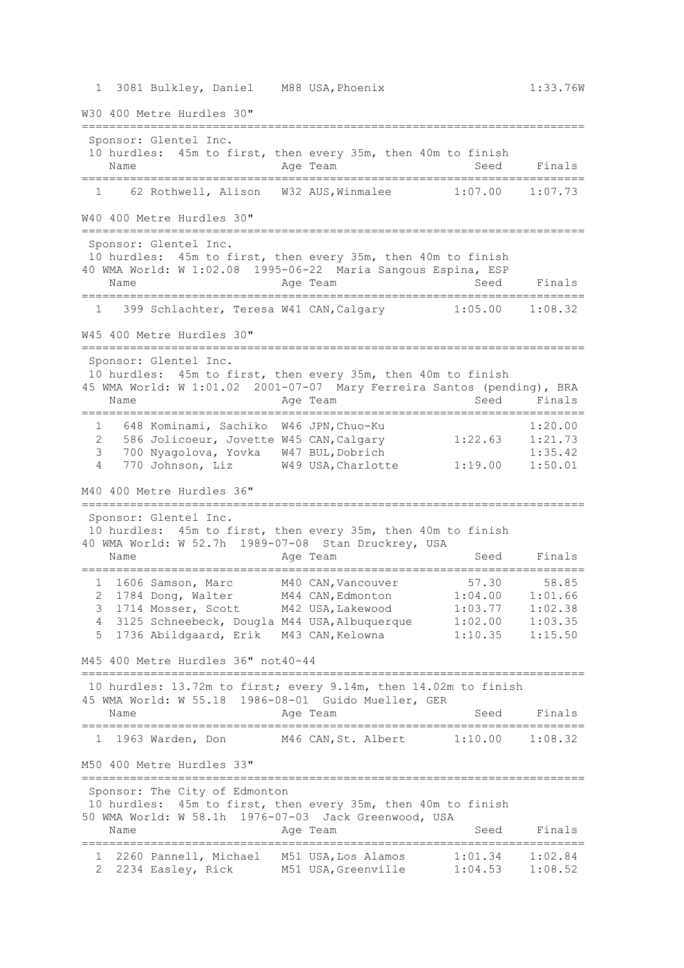W30 400 Metre Hurdles 30"

|                |                   | Sponsor: Glentel Inc.     |                                     |                                                                                                                                        |                     |                    |
|----------------|-------------------|---------------------------|-------------------------------------|----------------------------------------------------------------------------------------------------------------------------------------|---------------------|--------------------|
|                |                   |                           |                                     | 10 hurdles: 45m to first, then every 35m, then 40m to finish                                                                           |                     |                    |
|                | Name              |                           |                                     | Age Team                                                                                                                               | Seed                | Finals             |
|                |                   | ==================        |                                     |                                                                                                                                        |                     |                    |
|                | $1 \qquad \qquad$ |                           |                                     | 62 Rothwell, Alison W32 AUS, Winmalee 1:07.00 1:07.73                                                                                  |                     |                    |
|                |                   |                           | W40 400 Metre Hurdles 30"           |                                                                                                                                        |                     |                    |
|                |                   |                           |                                     |                                                                                                                                        |                     |                    |
|                |                   | Sponsor: Glentel Inc.     |                                     |                                                                                                                                        |                     |                    |
|                |                   |                           |                                     | 10 hurdles: 45m to first, then every 35m, then 40m to finish                                                                           |                     |                    |
|                |                   |                           |                                     | 40 WMA World: W 1:02.08 1995-06-22 Maria Sangous Espina, ESP                                                                           |                     |                    |
|                | Name              |                           |                                     | Age Team                                                                                                                               | Seed                | Finals             |
|                | $\mathbf{1}$      |                           |                                     | 399 Schlachter, Teresa W41 CAN, Calgary 1:05.00 1:08.32                                                                                |                     |                    |
|                |                   |                           |                                     |                                                                                                                                        |                     |                    |
|                |                   | W45 400 Metre Hurdles 30" |                                     |                                                                                                                                        |                     |                    |
|                |                   |                           |                                     |                                                                                                                                        |                     |                    |
|                |                   | Sponsor: Glentel Inc.     |                                     |                                                                                                                                        |                     |                    |
|                |                   |                           |                                     | 10 hurdles: 45m to first, then every 35m, then 40m to finish<br>45 WMA World: W 1:01.02 2001-07-07 Mary Ferreira Santos (pending), BRA |                     |                    |
|                | Name              |                           |                                     | Age Team                                                                                                                               | Seed                | Finals             |
|                |                   |                           | =================================== |                                                                                                                                        |                     |                    |
|                | $1 \quad \Box$    |                           |                                     | 648 Kominami, Sachiko W46 JPN, Chuo-Ku                                                                                                 |                     | 1:20.00            |
| $\overline{2}$ |                   |                           |                                     | 586 Jolicoeur, Jovette W45 CAN, Calgary                                                                                                | 1:22.63             | 1:21.73            |
| 3              |                   |                           |                                     | 700 Nyagolova, Yovka W47 BUL, Dobrich                                                                                                  |                     | 1:35.42            |
| 4              |                   |                           |                                     | 770 Johnson, Liz W49 USA, Charlotte                                                                                                    | 1:19.00             | 1:50.01            |
|                |                   | M40 400 Metre Hurdles 36" |                                     |                                                                                                                                        |                     |                    |
|                |                   |                           |                                     |                                                                                                                                        |                     |                    |
|                |                   | Sponsor: Glentel Inc.     |                                     |                                                                                                                                        |                     |                    |
|                |                   |                           |                                     | 10 hurdles: 45m to first, then every 35m, then 40m to finish                                                                           |                     |                    |
|                |                   |                           |                                     | 40 WMA World: W 52.7h 1989-07-08 Stan Druckrey, USA                                                                                    |                     |                    |
|                | Name              |                           |                                     | Age Team                                                                                                                               | Seed                | Finals             |
|                |                   |                           |                                     | 1 1606 Samson, Marc M40 CAN, Vancouver                                                                                                 | 57.30               | 58.85              |
| 2              |                   |                           |                                     | 1784 Dong, Walter M44 CAN, Edmonton                                                                                                    | $1:04.00$ $1:01.66$ |                    |
| 3              |                   |                           |                                     | 1714 Mosser, Scott M42 USA, Lakewood                                                                                                   | 1:03.77             | 1:02.38            |
| 4              |                   |                           |                                     | 3125 Schneebeck, Dougla M44 USA, Albuquerque                                                                                           | 1:02.00             | 1:03.35            |
|                |                   |                           |                                     | 1736 Abildgaard, Erik M43 CAN, Kelowna                                                                                                 | 1:10.35             | 1:15.50            |
|                |                   |                           |                                     |                                                                                                                                        |                     |                    |
|                |                   |                           | M45 400 Metre Hurdles 36" not40-44  |                                                                                                                                        |                     |                    |
|                |                   |                           |                                     | 10 hurdles: 13.72m to first; every 9.14m, then 14.02m to finish                                                                        |                     |                    |
|                |                   |                           |                                     | 45 WMA World: W 55.18 1986-08-01 Guido Mueller, GER                                                                                    |                     |                    |
|                | Name              |                           |                                     | Age Team                                                                                                                               | Seed                | Finals             |
|                |                   |                           |                                     |                                                                                                                                        |                     |                    |
|                |                   | 1 1963 Warden, Don        |                                     | M46 CAN, St. Albert                                                                                                                    | $1:10.00$ $1:08.32$ |                    |
|                |                   |                           |                                     |                                                                                                                                        |                     |                    |
|                |                   | M50 400 Metre Hurdles 33" |                                     |                                                                                                                                        |                     |                    |
|                |                   |                           | Sponsor: The City of Edmonton       |                                                                                                                                        |                     |                    |
|                |                   |                           |                                     | 10 hurdles: 45m to first, then every 35m, then 40m to finish                                                                           |                     |                    |
|                |                   |                           |                                     | 50 WMA World: W 58.1h 1976-07-03 Jack Greenwood, USA                                                                                   |                     |                    |
|                | Name              |                           |                                     | Age Team                                                                                                                               | Seed                | Finals             |
|                |                   |                           |                                     |                                                                                                                                        |                     |                    |
| ı.<br>2        |                   |                           |                                     | 2260 Pannell, Michael M51 USA, Los Alamos 1:01.34<br>2234 Easley, Rick M51 USA, Greenville 1:04.53                                     |                     | 1:02.84<br>1:08.52 |
|                |                   |                           |                                     |                                                                                                                                        |                     |                    |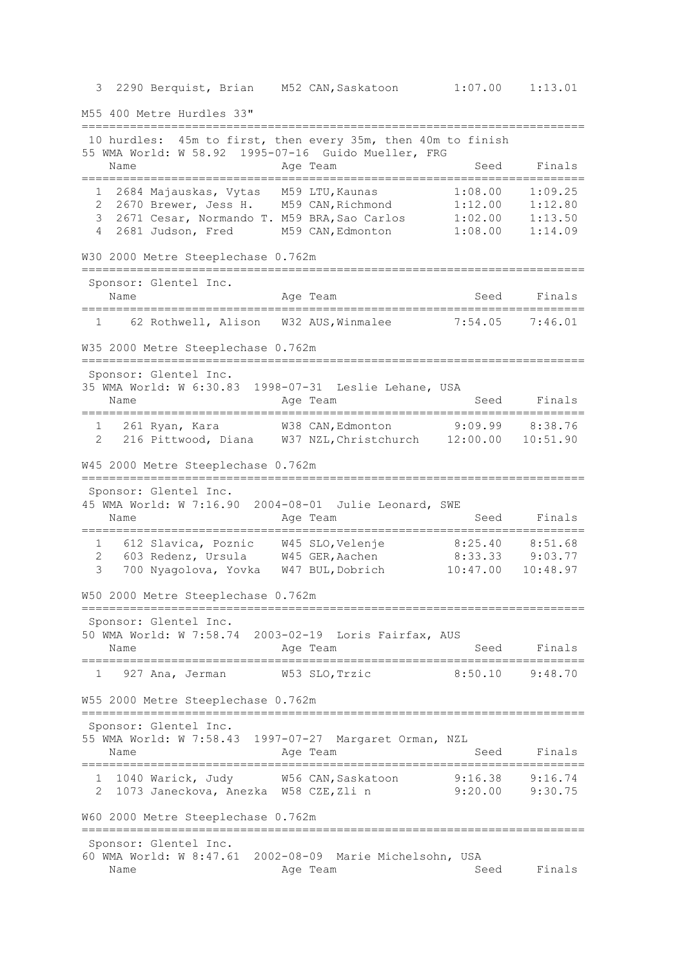3 2290 Berquist, Brian M52 CAN,Saskatoon 1:07.00 1:13.01 M55 400 Metre Hurdles 33" ========================================================================= 10 hurdles: 45m to first, then every 35m, then 40m to finish 55 WMA World: W 58.92 1995-07-16 Guido Mueller, FRG Name **Age Team** Age Team Seed Finals ========================================================================= 1 2684 Majauskas, Vytas M59 LTU,Kaunas 1:08.00 1:09.25 2 2670 Brewer, Jess H. M59 CAN,Richmond 1:12.00 1:12.80 3 2671 Cesar, Normando T. M59 BRA,Sao Carlos 1:02.00 1:13.50 4 2681 Judson, Fred M59 CAN,Edmonton 1:08.00 1:14.09 W30 2000 Metre Steeplechase 0.762m ========================================================================= Sponsor: Glentel Inc. Name **Age Team** Age Team Seed Finals ========================================================================= 1 62 Rothwell, Alison W32 AUS,Winmalee 7:54.05 7:46.01 W35 2000 Metre Steeplechase 0.762m ========================================================================= Sponsor: Glentel Inc. 35 WMA World: W 6:30.83 1998-07-31 Leslie Lehane, USA Name **Age Team** Age Team Seed Finals ========================================================================= 1 261 Ryan, Kara W38 CAN,Edmonton 9:09.99 8:38.76 2 216 Pittwood, Diana W37 NZL,Christchurch 12:00.00 10:51.90 W45 2000 Metre Steeplechase 0.762m ========================================================================= Sponsor: Glentel Inc. 45 WMA World: W 7:16.90 2004-08-01 Julie Leonard, SWE Age Team Seed Finals ========================================================================= 1 612 Slavica, Poznic W45 SLO, Velenje 8:25.40 8:51.68 2 603 Redenz, Ursula W45 GER,Aachen 8:33.33 9:03.77 3 700 Nyagolova, Yovka W47 BUL, Dobrich W50 2000 Metre Steeplechase 0.762m ========================================================================= Sponsor: Glentel Inc. 50 WMA World: W 7:58.74 2003-02-19 Loris Fairfax, AUS Name Age Team Seed Finals ========================================================================= 1 927 Ana, Jerman W53 SLO,Trzic 8:50.10 9:48.70 W55 2000 Metre Steeplechase 0.762m ========================================================================= Sponsor: Glentel Inc. 55 WMA World: W 7:58.43 1997-07-27 Margaret Orman, NZL Name **Age Team** Age Team Seed Finals ========================================================================= 1 1040 Warick, Judy W56 CAN,Saskatoon 9:16.38 9:16.74 2 1073 Janeckova, Anezka W58 CZE,Zli n 9:20.00 9:30.75 W60 2000 Metre Steeplechase 0.762m ========================================================================= Sponsor: Glentel Inc. 60 WMA World: W 8:47.61 2002-08-09 Marie Michelsohn, USA Name Age Team Age Team Seed Finals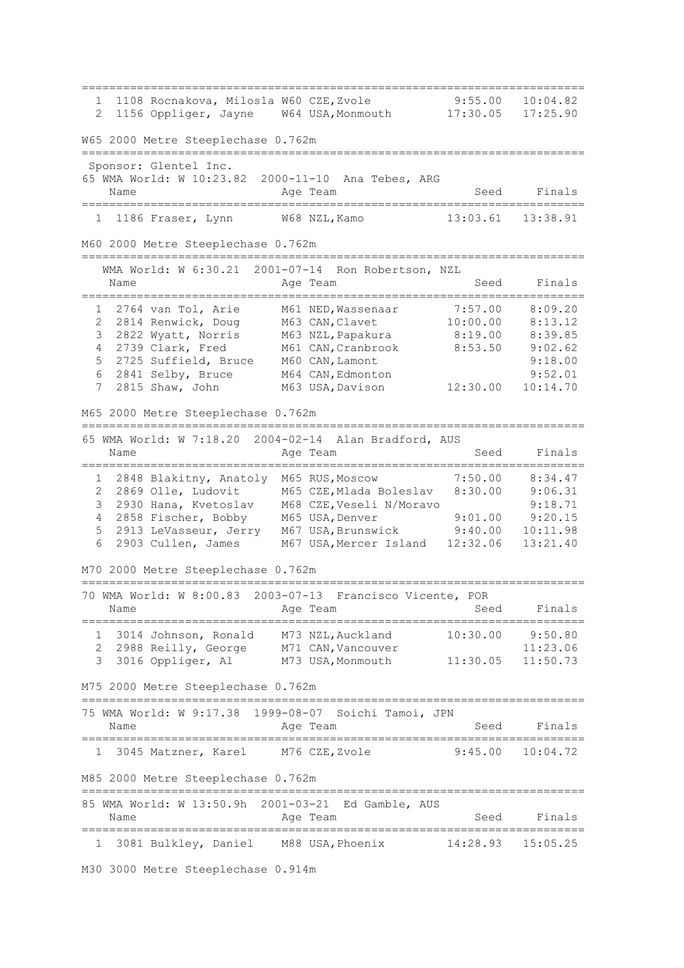========================================================================= 1 1108 Rocnakova, Milosla W60 CZE,Zvole 9:55.00 10:04.82 2 1156 Oppliger, Jayne W64 USA,Monmouth 17:30.05 17:25.90 W65 2000 Metre Steeplechase 0.762m ========================================================================= Sponsor: Glentel Inc. 65 WMA World: W 10:23.82 2000-11-10 Ana Tebes, ARG Name **Age Team** Age Team Seed Finals ========================================================================= 1 1186 Fraser, Lynn M60 2000 Metre Steeplechase 0.762m ========================================================================= WMA World: W 6:30.21 2001-07-14 Ron Robertson, NZL Name Reserve Age Team Name Seed Finals ========================================================================= 1 2764 van Tol, Arie M61 NED,Wassenaar 7:57.00 8:09.20 2 2814 Renwick, Doug M63 CAN,Clavet 10:00.00 8:13.12 3 2822 Wyatt, Norris M63 NZL,Papakura 8:19.00 8:39.85 4 2739 Clark, Fred M61 CAN,Cranbrook 8:53.50 9:02.62 5 2725 Suffield, Bruce M60 CAN,Lamont 9:18.00 6 2841 Selby, Bruce M64 CAN,Edmonton 9:52.01 7 2815 Shaw, John M63 USA,Davison 12:30.00 10:14.70 M65 2000 Metre Steeplechase 0.762m ========================================================================= 65 WMA World: W 7:18.20 2004-02-14 Alan Bradford, AUS Name **Age Team** Age Team Seed Finals ========================================================================= 1 2848 Blakitny, Anatoly M65 RUS,Moscow 7:50.00 8:34.47 2 2869 Olle, Ludovit M65 CZE,Mlada Boleslav 8:30.00 9:06.31 3 2930 Hana, Kvetoslav M68 CZE,Veseli N/Moravo 9:18.71 4 2858 Fischer, Bobby M65 USA,Denver 9:01.00 9:20.15 5 2913 LeVasseur, Jerry M67 USA,Brunswick 9:40.00 10:11.98 6 2903 Cullen, James M67 USA,Mercer Island 12:32.06 13:21.40 M70 2000 Metre Steeplechase 0.762m ========================================================================= 70 WMA World: W 8:00.83 2003-07-13 Francisco Vicente, POR Name **Age Team** Age Team Seed Finals ========================================================================= 1 3014 Johnson, Ronald M73 NZL,Auckland 10:30.00 9:50.80 2 2988 Reilly, George M71 CAN, Vancouver 11:23.06 3 3016 Oppliger, Al M73 USA,Monmouth 11:30.05 11:50.73 M75 2000 Metre Steeplechase 0.762m ========================================================================= 75 WMA World: W 9:17.38 1999-08-07 Soichi Tamoi, JPN Name **Age Team** Age Team Seed Finals ========================================================================= 1 3045 Matzner, Karel M76 CZE,Zvole 9:45.00 10:04.72 M85 2000 Metre Steeplechase 0.762m ========================================================================= 85 WMA World: W 13:50.9h 2001-03-21 Ed Gamble, AUS Name **Age Team** Age Team Seed Finals ========================================================================= 1 3081 Bulkley, Daniel M88 USA,Phoenix 14:28.93 15:05.25

M30 3000 Metre Steeplechase 0.914m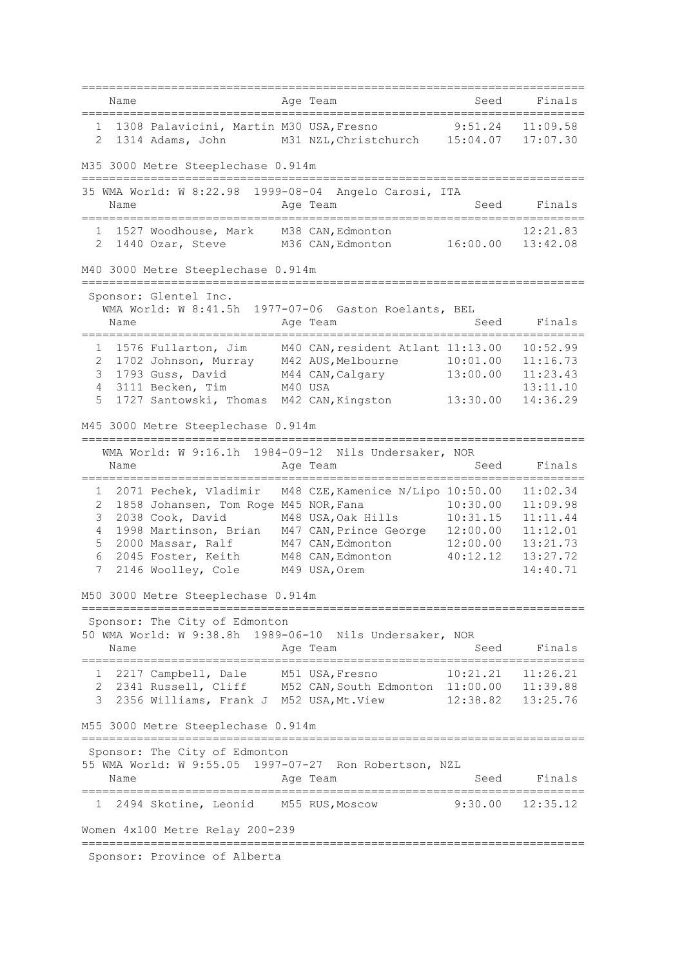|                     | Name |                                                                                  | Age Team                                                                                     | Seed                       | Finals               |
|---------------------|------|----------------------------------------------------------------------------------|----------------------------------------------------------------------------------------------|----------------------------|----------------------|
| $\overline{2}$      |      |                                                                                  | 1 1308 Palavicini, Martin M30 USA, Fresno<br>1314 Adams, John M31 NZL, Christchurch 15:04.07 | 9:51.24                    | 11:09.58<br>17:07.30 |
|                     |      | M35 3000 Metre Steeplechase 0.914m                                               |                                                                                              |                            |                      |
|                     |      | 35 WMA World: W 8:22.98 1999-08-04                                               | Angelo Carosi, ITA                                                                           |                            |                      |
|                     | Name |                                                                                  | Age Team                                                                                     | Seed                       | Finals               |
|                     |      | 1 1527 Woodhouse, Mark M38 CAN, Edmonton<br>2 1440 Ozar, Steve M36 CAN, Edmonton |                                                                                              | 16:00.00                   | 12:21.83<br>13:42.08 |
|                     |      | M40 3000 Metre Steeplechase 0.914m<br>=====                                      |                                                                                              |                            |                      |
|                     |      | Sponsor: Glentel Inc.                                                            |                                                                                              |                            |                      |
|                     |      | WMA World: W 8:41.5h                                                             | 1977-07-06 Gaston Roelants, BEL                                                              |                            |                      |
|                     | Name |                                                                                  | Age Team                                                                                     | Seed                       | Finals               |
|                     |      | 1 1576 Fullarton, Jim                                                            | M40 CAN, resident Atlant 11:13.00                                                            |                            | 10:52.99             |
| 2                   |      | 1702 Johnson, Murray M42 AUS, Melbourne                                          |                                                                                              | 10:01.00                   | 11:16.73             |
| 3                   |      |                                                                                  | 1793 Guss, David M44 CAN, Calgary                                                            | 13:00.00                   | 11:23.43             |
| 4<br>5              |      | 3111 Becken, Tim<br>1727 Santowski, Thomas M42 CAN, Kingston                     | M40 USA                                                                                      | 13:30.00                   | 13:11.10<br>14:36.29 |
|                     |      |                                                                                  |                                                                                              |                            |                      |
|                     |      | M45 3000 Metre Steeplechase 0.914m<br>===============================            |                                                                                              |                            |                      |
|                     |      |                                                                                  | WMA World: W 9:16.1h 1984-09-12 Nils Undersaker, NOR                                         |                            |                      |
|                     | Name |                                                                                  | Age Team                                                                                     | Seed<br>================== | Finals               |
| 1                   |      | 2071 Pechek, Vladimir                                                            | M48 CZE, Kamenice N/Lipo 10:50.00                                                            |                            | 11:02.34             |
| 2                   |      | 1858 Johansen, Tom Roge M45 NOR, Fana                                            |                                                                                              | 10:30.00                   | 11:09.98             |
| 3                   |      | 2038 Cook, David                                                                 | M48 USA, Oak Hills                                                                           | 10:31.15                   | 11:11.44             |
| $\overline{4}$<br>5 |      | 1998 Martinson, Brian<br>2000 Massar, Ralf                                       | M47 CAN, Prince George<br>M47 CAN, Edmonton                                                  | 12:00.00<br>12:00.00       | 11:12.01<br>13:21.73 |
| 6                   |      | 2045 Foster, Keith                                                               | M48 CAN, Edmonton                                                                            | 40:12.12                   | 13:27.72             |
| 7                   |      | 2146 Woolley, Cole                                                               | M49 USA, Orem                                                                                |                            | 14:40.71             |
|                     |      | M50 3000 Metre Steeplechase 0.914m                                               |                                                                                              |                            |                      |
|                     |      | Sponsor: The City of Edmonton                                                    |                                                                                              |                            |                      |
|                     |      |                                                                                  | 50 WMA World: W 9:38.8h 1989-06-10 Nils Undersaker, NOR                                      |                            |                      |
|                     | Name |                                                                                  | Age Team                                                                                     | Seed                       | Finals               |
|                     |      | 1 2217 Campbell, Dale M51 USA, Fresno                                            |                                                                                              | 10:21.21 11:26.21          |                      |
|                     |      |                                                                                  | 2 2341 Russell, Cliff M52 CAN, South Edmonton 11:00.00 11:39.88                              |                            |                      |
| 3                   |      |                                                                                  | 2356 Williams, Frank J M52 USA, Mt. View 12:38.82 13:25.76                                   |                            |                      |
|                     |      | M55 3000 Metre Steeplechase 0.914m                                               |                                                                                              |                            |                      |
|                     |      | Sponsor: The City of Edmonton                                                    |                                                                                              |                            |                      |
|                     |      |                                                                                  | 55 WMA World: W 9:55.05 1997-07-27 Ron Robertson, NZL                                        |                            |                      |
|                     | Name |                                                                                  | Age Team                                                                                     | Seed                       | Finals               |
|                     |      | 1 2494 Skotine, Leonid M55 RUS, Moscow                                           |                                                                                              |                            | $9:30.00$ $12:35.12$ |
|                     |      | Women 4x100 Metre Relay 200-239                                                  |                                                                                              |                            |                      |
|                     |      | Sponsor: Province of Alberta                                                     |                                                                                              |                            |                      |
|                     |      |                                                                                  |                                                                                              |                            |                      |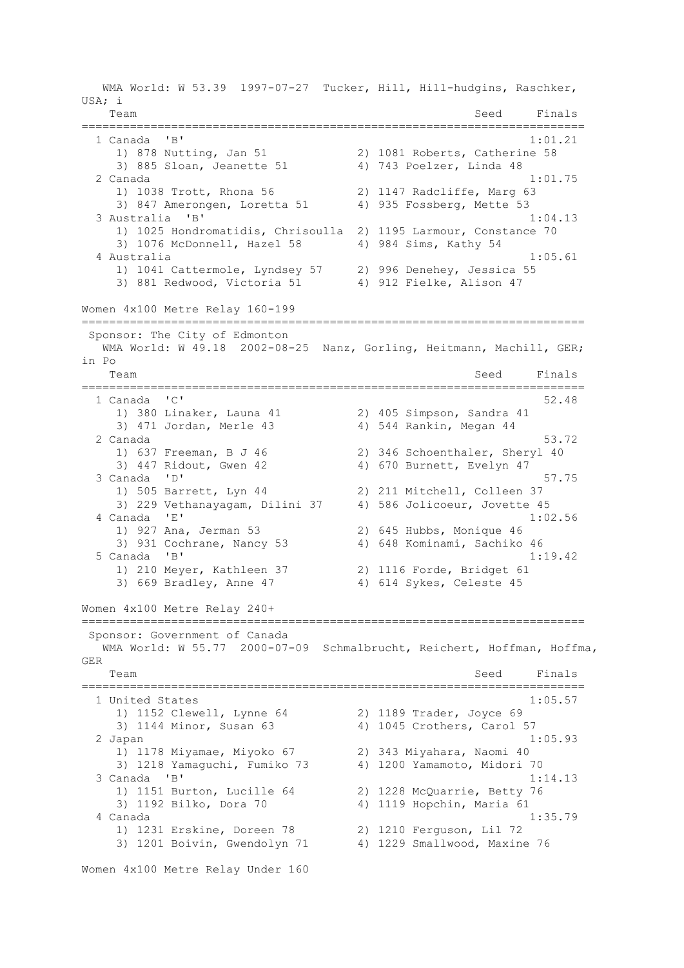WMA World: W 53.39 1997-07-27 Tucker, Hill, Hill-hudgins, Raschker, USA; i Team Seed Finals ========================================================================= 1 Canada 'B' 1:01.21 1) 878 Nutting, Jan 51 2) 1081 Roberts, Catherine 58 3) 885 Sloan, Jeanette 51 4) 743 Poelzer, Linda 48 2 Canada 1:01.75 1) 1038 Trott, Rhona 56 2) 1147 Radcliffe, Marg 63 3) 847 Amerongen, Loretta 51 4) 935 Fossberg, Mette 53 3 Australia 'B' 1:04.13 1) 1025 Hondromatidis, Chrisoulla 2) 1195 Larmour, Constance 70 3) 1076 McDonnell, Hazel 58 4) 984 Sims, Kathy 54 4 Australia 1:05.61 1) 1041 Cattermole, Lyndsey 57 2) 996 Denehey, Jessica 55 3) 881 Redwood, Victoria 51 4) 912 Fielke, Alison 47 Women 4x100 Metre Relay 160-199 ========================================================================= Sponsor: The City of Edmonton WMA World: W 49.18 2002-08-25 Nanz, Gorling, Heitmann, Machill, GER; in Po Team Seed Finals =========================================================================  $1$  Canada  $1$  C $1$  1) 380 Linaker, Launa 41 2) 405 Simpson, Sandra 41 3) 471 Jordan, Merle 43 4) 544 Rankin, Megan 44 2 Canada 53.72 1) 637 Freeman, B J 46 2) 346 Schoenthaler, Sheryl 40 3) 447 Ridout, Gwen 42 4) 670 Burnett, Evelyn 47 3 Canada 'D' 57.75 1) 505 Barrett, Lyn 44 2) 211 Mitchell, Colleen 37 3) 229 Vethanayagam, Dilini 37 4) 586 Jolicoeur, Jovette 45 4 Canada 'E' 1:02.56 1) 927 Ana, Jerman 53 2) 645 Hubbs, Monique 46 3) 931 Cochrane, Nancy 53 4) 648 Kominami, Sachiko 46 5 Canada 'B' 1:19.42 1) 210 Meyer, Kathleen 37 2) 1116 Forde, Bridget 61 3) 669 Bradley, Anne 47 4) 614 Sykes, Celeste 45 Women 4x100 Metre Relay 240+ ========================================================================= Sponsor: Government of Canada WMA World: W 55.77 2000-07-09 Schmalbrucht, Reichert, Hoffman, Hoffma, GER Team Seed Finals ========================================================================= 1 United States 1:05.57 1) 1152 Clewell, Lynne 64 2) 1189 Trader, Joyce 69 3) 1144 Minor, Susan 63 4) 1045 Crothers, Carol 57 2 Japan 1:05.93 1) 1178 Miyamae, Miyoko 67 2) 343 Miyahara, Naomi 40 3) 1218 Yamaguchi, Fumiko 73 4) 1200 Yamamoto, Midori 70 3 Canada 'B' 1:14.13 1) 1151 Burton, Lucille 64 2) 1228 McQuarrie, Betty 76 3) 1192 Bilko, Dora 70 4) 1119 Hopchin, Maria 61 4 Canada 1:35.79 1) 1231 Erskine, Doreen 78 2) 1210 Ferguson, Lil 72 3) 1201 Boivin, Gwendolyn 71 4) 1229 Smallwood, Maxine 76 Women 4x100 Metre Relay Under 160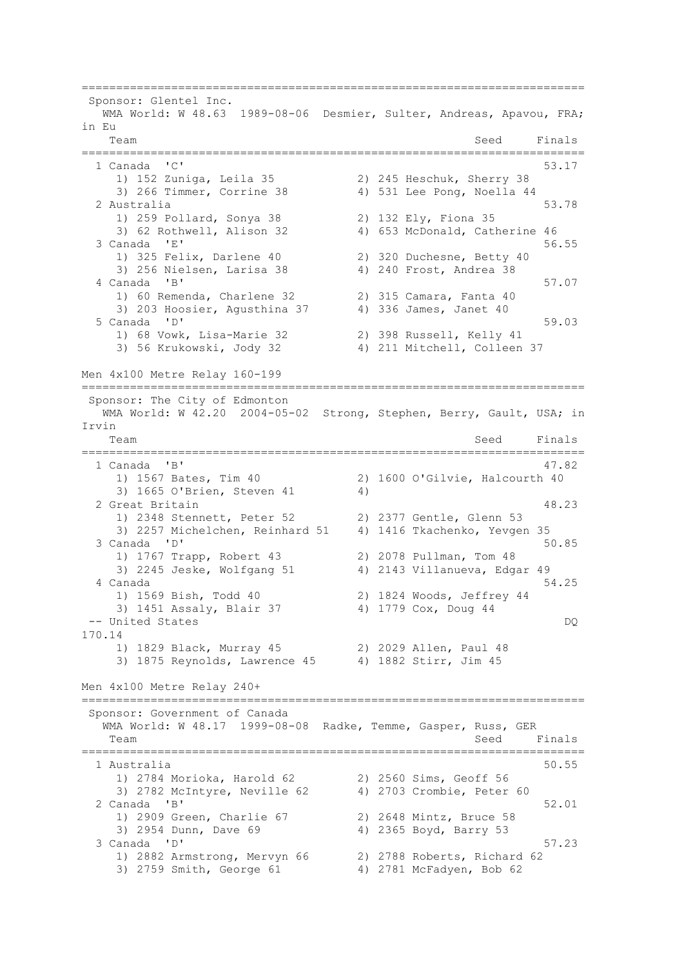========================================================================= Sponsor: Glentel Inc. WMA World: W 48.63 1989-08-06 Desmier, Sulter, Andreas, Apavou, FRA; in Eu Team Seed Finals ========================================================================= 1 Canada 'C' 53.17 1) 152 Zuniga, Leila 35 2) 245 Heschuk, Sherry 38 3) 266 Timmer, Corrine 38 4) 531 Lee Pong, Noella 44 2 Australia 53.78 1) 259 Pollard, Sonya 38 2) 132 Ely, Fiona 35 3) 62 Rothwell, Alison 32 4) 653 McDonald, Catherine 46 3 Canada 'E' 56.55<br>
1) 325 Felix, Darlene 40 2) 320 Duchesne, Betty 40 2) 320 Duchesne, Betty 40<br>4) 240 Frost, Andrea 38 3) 256 Nielsen, Larisa 38 4 Canada 'B' 57.07<br>1) 60 Remenda, Charlene 32 (2) 315 Camara, Fanta 40 1) 60 Remenda, Charlene 32 2) 315 Camara, Fanta 40<br>3) 203 Hoosier, Aqusthina 37 4) 336 James, Janet 40 3) 203 Hoosier, Agusthina 37 5 Canada 'D' 59.03 1) 68 Vowk, Lisa-Marie 32 2) 398 Russell, Kelly 41 3) 56 Krukowski, Jody 32 4) 211 Mitchell, Colleen 37 Men 4x100 Metre Relay 160-199 ========================================================================= Sponsor: The City of Edmonton WMA World: W 42.20 2004-05-02 Strong, Stephen, Berry, Gault, USA; in Irvin Team Seed Finals ========================================================================= 1 Canada 'B' 47.82 1) 1567 Bates, Tim 40 2) 1600 O'Gilvie, Halcourth 40 3) 1665 O'Brien, Steven 41 4) 2 Great Britain 48.23 1) 2348 Stennett, Peter 52 2) 2377 Gentle, Glenn 53 3) 2257 Michelchen, Reinhard 51 4) 1416 Tkachenko, Yevgen 35 3 Canada 'D' 50.85 1) 1767 Trapp, Robert 43 2) 2078 Pullman, Tom 48 3) 2245 Jeske, Wolfgang 51 4) 2143 Villanueva, Edgar 49 4 Canada 54.25 1) 1569 Bish, Todd 40 2) 1824 Woods, Jeffrey 44 3) 1451 Assaly, Blair 37 4) 1779 Cox, Doug 44 -- United States DQ 170.14 1) 1829 Black, Murray 45 2) 2029 Allen, Paul 48 3) 1875 Reynolds, Lawrence 45 4) 1882 Stirr, Jim 45 Men 4x100 Metre Relay 240+ ========================================================================= Sponsor: Government of Canada WMA World: W 48.17 1999-08-08 Radke, Temme, Gasper, Russ, GER Team Seed Finals ========================================================================= 1 Australia 50.55 1) 2784 Morioka, Harold 62 2) 2560 Sims, Geoff 56 3) 2782 McIntyre, Neville 62 4) 2703 Crombie, Peter 60 2 Canada 'B' 52.01 1) 2909 Green, Charlie 67 2) 2648 Mintz, Bruce 58 3) 2954 Dunn, Dave 69 4) 2365 Boyd, Barry 53  $3$  Canada  $1\,\mathrm{D}$ <sup>1</sup> 57.23 1) 2882 Armstrong, Mervyn 66 2) 2788 Roberts, Richard 62 3) 2759 Smith, George 61 4) 2781 McFadyen, Bob 62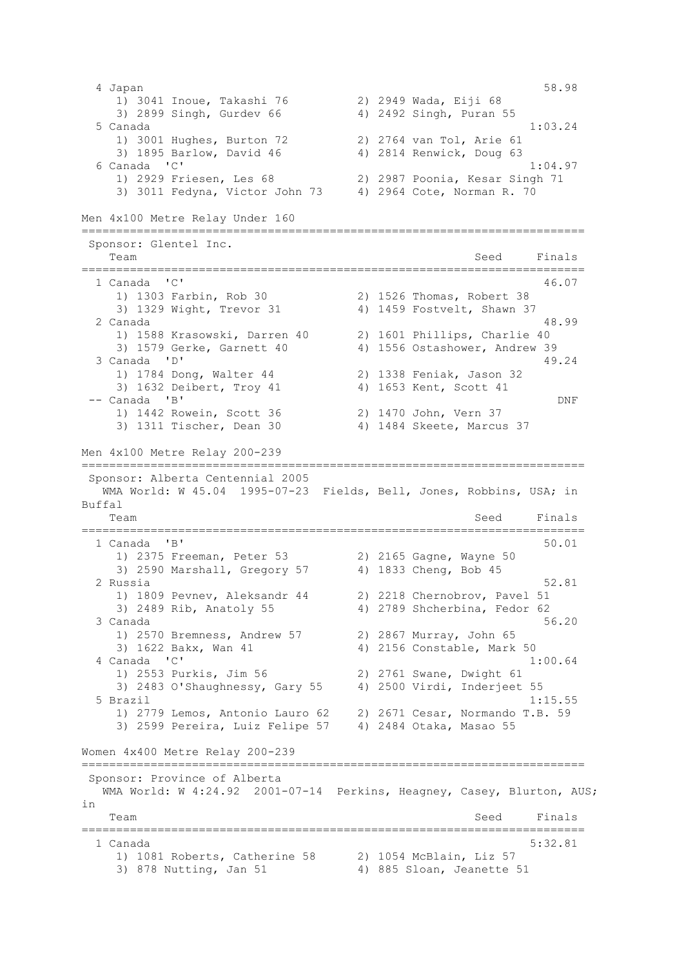4 Japan 58.98 1) 3041 Inoue, Takashi 76 2) 2949 Wada, Eiji 68 3) 2899 Singh, Gurdev 66 4) 2492 Singh, Puran 55 5 Canada 1:03.24 1) 3001 Hughes, Burton 72 2) 2764 van Tol, Arie 61 3) 1895 Barlow, David 46 4) 2814 Renwick, Doug 63 6 Canada 'C' 1:04.97 1) 2929 Friesen, Les 68 2) 2987 Poonia, Kesar Singh 71 3) 3011 Fedyna, Victor John 73 4) 2964 Cote, Norman R. 70 Men 4x100 Metre Relay Under 160 ========================================================================= Sponsor: Glentel Inc. Team Seed Finals ========================================================================= 1 Canada 'C' 46.07 1) 1303 Farbin, Rob 30 2) 1526 Thomas, Robert 38 3) 1329 Wight, Trevor 31 4) 1459 Fostvelt, Shawn 37 2 Canada 48.99 1) 1588 Krasowski, Darren 40 2) 1601 Phillips, Charlie 40 3) 1579 Gerke, Garnett 40 4) 1556 Ostashower, Andrew 39 3 Canada 'D' 49.24 1) 1784 Dong, Walter 44 2) 1338 Feniak, Jason 32 3) 1632 Deibert, Troy 41  $-$  Canada 'B' -- Canada 'B' DNF 1) 1442 Rowein, Scott 36 2) 1470 John, Vern 37 3) 1311 Tischer, Dean 30 4) 1484 Skeete, Marcus 37 Men 4x100 Metre Relay 200-239 ========================================================================= Sponsor: Alberta Centennial 2005 WMA World: W 45.04 1995-07-23 Fields, Bell, Jones, Robbins, USA; in Buffal Team Seed Finals ========================================================================= 1 Canada 'B' 50.01 1) 2375 Freeman, Peter 53 2) 2165 Gagne, Wayne 50 3) 2590 Marshall, Gregory 57 4) 1833 Cheng, Bob 45 2 Russia 52.81 1) 1809 Pevnev, Aleksandr 44 2) 2218 Chernobrov, Pavel 51 3) 2489 Rib, Anatoly 55 4) 2789 Shcherbina, Fedor 62 3 Canada 56.20 1) 2570 Bremness, Andrew 57 2) 2867 Murray, John 65 3) 1622 Bakx, Wan 41 4) 2156 Constable, Mark 50 4 Canada 'C' 1:00.64 1) 2553 Purkis, Jim 56 2) 2761 Swane, Dwight 61 3) 2483 O'Shaughnessy, Gary 55 4) 2500 Virdi, Inderjeet 55 5 Brazil 1:15.55 1) 2779 Lemos, Antonio Lauro 62 2) 2671 Cesar, Normando T.B. 59 3) 2599 Pereira, Luiz Felipe 57 4) 2484 Otaka, Masao 55 Women 4x400 Metre Relay 200-239 ========================================================================= Sponsor: Province of Alberta WMA World: W 4:24.92 2001-07-14 Perkins, Heagney, Casey, Blurton, AUS; in Team Seed Finals ========================================================================= 1 Canada 5:32.81 1) 1081 Roberts, Catherine 58 2) 1054 McBlain, Liz 57 3) 878 Nutting, Jan 51 4) 885 Sloan, Jeanette 51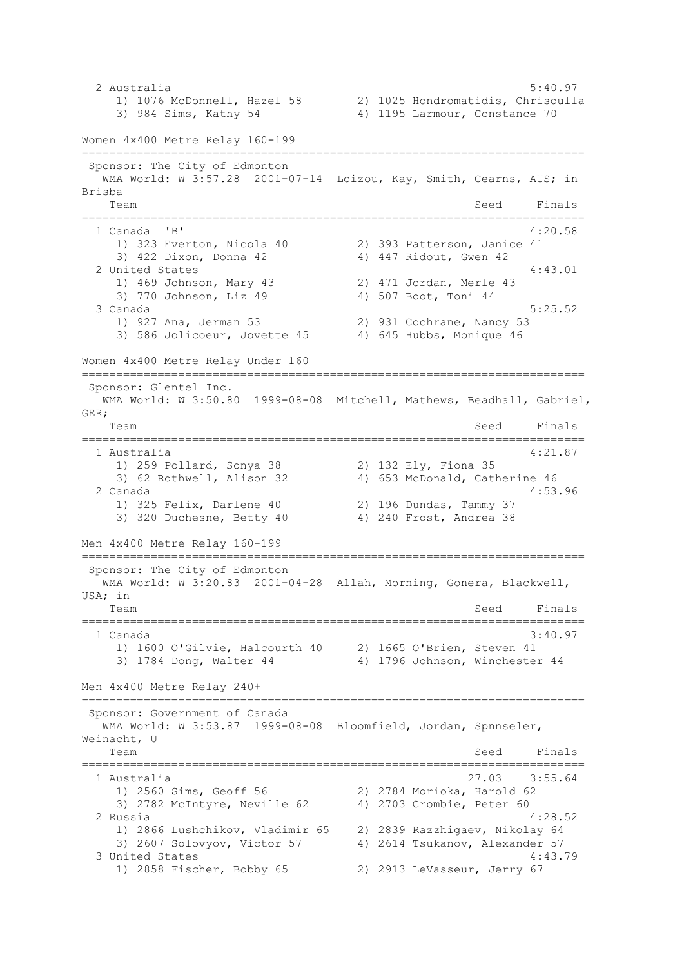2 Australia 5:40.97 1) 1076 McDonnell, Hazel 58 2) 1025 Hondromatidis, Chrisoulla 3) 984 Sims, Kathy 54 4) 1195 Larmour, Constance 70 Women 4x400 Metre Relay 160-199 ========================================================================= Sponsor: The City of Edmonton WMA World: W 3:57.28 2001-07-14 Loizou, Kay, Smith, Cearns, AUS; in Brisba Team Seed Finals ========================================================================= 1 Canada 'B' 4:20.58 1) 323 Everton, Nicola 40 2) 393 Patterson, Janice 41 3) 422 Dixon, Donna 42 4) 447 Ridout, Gwen 42 4 United States 2 United States 4:43.01 1) 469 Johnson, Mary 43 2) 471 Jordan, Merle 43 3) 770 Johnson, Liz 49 4) 507 Boot, Toni 44 3 Canada 5:25.52 1) 927 Ana, Jerman 53 2) 931 Cochrane, Nancy 53 3) 586 Jolicoeur, Jovette 45 4) 645 Hubbs, Monique 46 Women 4x400 Metre Relay Under 160 ========================================================================= Sponsor: Glentel Inc. .<br>WMA World: W 3:50.80 1999-08-08 Mitchell, Mathews, Beadhall, Gabriel, GER; Team Seed Finals ========================================================================= 1 Australia 4:21.87 1) 259 Pollard, Sonya 38 2) 132 Ely, Fiona 35 3) 62 Rothwell, Alison 32 4) 653 McDonald, Catherine 46 2 Canada 4:53.96 1) 325 Felix, Darlene 40 2) 196 Dundas, Tammy 37 3) 320 Duchesne, Betty 40 4) 240 Frost, Andrea 38 Men 4x400 Metre Relay 160-199 ========================================================================= Sponsor: The City of Edmonton WMA World: W 3:20.83 2001-04-28 Allah, Morning, Gonera, Blackwell, USA; in Team Seed Finals ========================================================================= 1 Canada 3:40.97 1) 1600 O'Gilvie, Halcourth 40 2) 1665 O'Brien, Steven 41 3) 1784 Dong, Walter 44 4) 1796 Johnson, Winchester 44 Men 4x400 Metre Relay 240+ ========================================================================= Sponsor: Government of Canada WMA World: W 3:53.87 1999-08-08 Bloomfield, Jordan, Spnnseler, Weinacht, U Team Seed Finals ========================================================================= 1 Australia 27.03 3:55.64 1) 2560 Sims, Geoff 56 2) 2784 Morioka, Harold 62 3) 2782 McIntyre, Neville 62 4) 2703 Crombie, Peter 60 2 Russia 4:28.52 1) 2866 Lushchikov, Vladimir 65 2) 2839 Razzhigaev, Nikolay 64 3) 2607 Solovyov, Victor 57 4) 2614 Tsukanov, Alexander 57 3 United States 4:43.79 1) 2858 Fischer, Bobby 65 2) 2913 LeVasseur, Jerry 67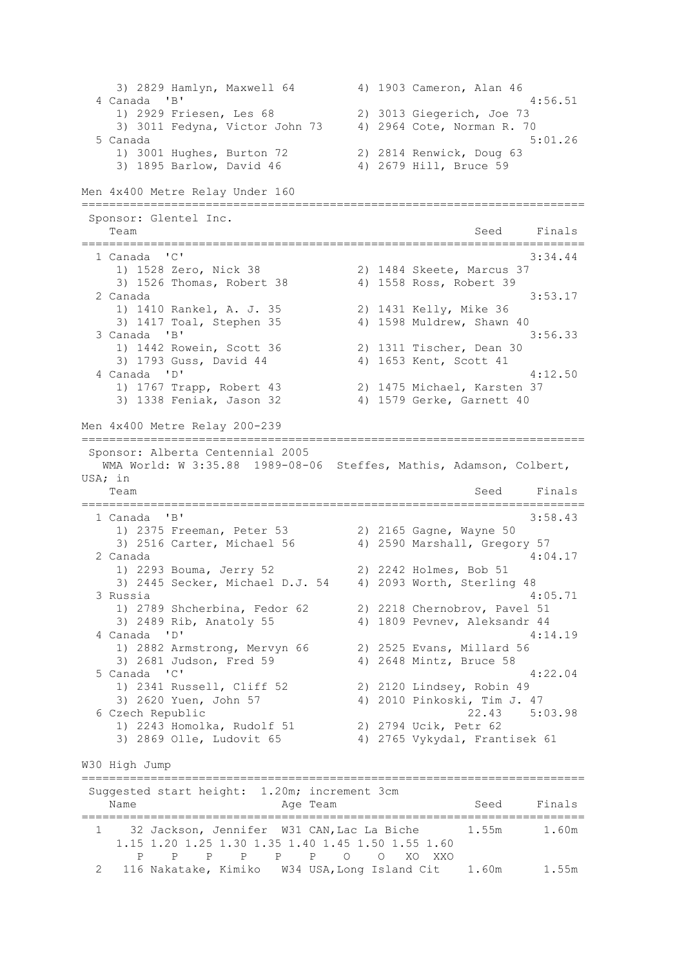3) 2829 Hamlyn, Maxwell 64 4) 1903 Cameron, Alan 46 4 Canada 'B' 4:56.51 1) 2929 Friesen, Les 68 2) 3013 Giegerich, Joe 73 3) 3011 Fedyna, Victor John 73 4) 2964 Cote, Norman R. 70 5 Canada 5:01.26 1) 3001 Hughes, Burton 72 2) 2814 Renwick, Doug 63 3) 1895 Barlow, David 46 4) 2679 Hill, Bruce 59 Men 4x400 Metre Relay Under 160 ========================================================================= Sponsor: Glentel Inc. Team Seed Finals ========================================================================= 1 Canada 'C' 3:34.44<br>
1) 1528 Zero, Nick 38 29 29 1484 Skeete, Marcus 37 1) 1528 Zero, Nick 38 2) 1484 Skeete, Marcus 37 3) 1526 Thomas, Robert 38 4) 1558 Ross, Robert 39 2 Canada 3:53.17 1) 1410 Rankel, A. J. 35 2) 1431 Kelly, Mike 36 3) 1417 Toal, Stephen 35 4) 1598 Muldrew, Shawn 40 3 Canada 'B' 3:56.33 1) 1442 Rowein, Scott 36 2) 1311 Tischer, Dean 30<br>3) 1793 Guss, David 44 4 4) 1653 Kent, Scott 41 3) 1793 Guss, David 44 4 Canada 'D' 4:12.50 2) 1475 Michael, Karsten 37 3) 1338 Feniak, Jason 32 4) 1579 Gerke, Garnett 40 Men 4x400 Metre Relay 200-239 ========================================================================= Sponsor: Alberta Centennial 2005 WMA World: W 3:35.88 1989-08-06 Steffes, Mathis, Adamson, Colbert, USA; in Team Seed Finals ========================================================================= 1 Canada 'B' 3:58.43 1) 2375 Freeman, Peter 53 2) 2165 Gagne, Wayne 50 3) 2516 Carter, Michael 56 4) 2590 Marshall, Gregory 57 2 Canada 4:04.17 1) 2293 Bouma, Jerry 52 2) 2242 Holmes, Bob 51 3) 2445 Secker, Michael D.J. 54 4) 2093 Worth, Sterling 48 3 Russia 4:05.71 1) 2789 Shcherbina, Fedor 62 2) 2218 Chernobrov, Pavel 51 3) 2489 Rib, Anatoly 55 4) 1809 Pevnev, Aleksandr 44 4 Canada 'D' 4:14.19 1) 2882 Armstrong, Mervyn 66 2) 2525 Evans, Millard 56 3) 2681 Judson, Fred 59 4) 2648 Mintz, Bruce 58 5 Canada 'C' 4:22.04 1) 2341 Russell, Cliff 52 2) 2120 Lindsey, Robin 49 3) 2620 Yuen, John 57 4) 2010 Pinkoski, Tim J. 47 6 Czech Republic 22.43 5:03.98 1) 2243 Homolka, Rudolf 51 2) 2794 Ucik, Petr 62 3) 2869 Olle, Ludovit 65 4) 2765 Vykydal, Frantisek 61 W30 High Jump ========================================================================= Suggested start height: 1.20m; increment 3cm Name **Age Team** Age Team Seed Finals ========================================================================= 1 32 Jackson, Jennifer W31 CAN,Lac La Biche 1.55m 1.60m 1.15 1.20 1.25 1.30 1.35 1.40 1.45 1.50 1.55 1.60 P P P P P P O O XO XXO 2 116 Nakatake, Kimiko W34 USA,Long Island Cit 1.60m 1.55m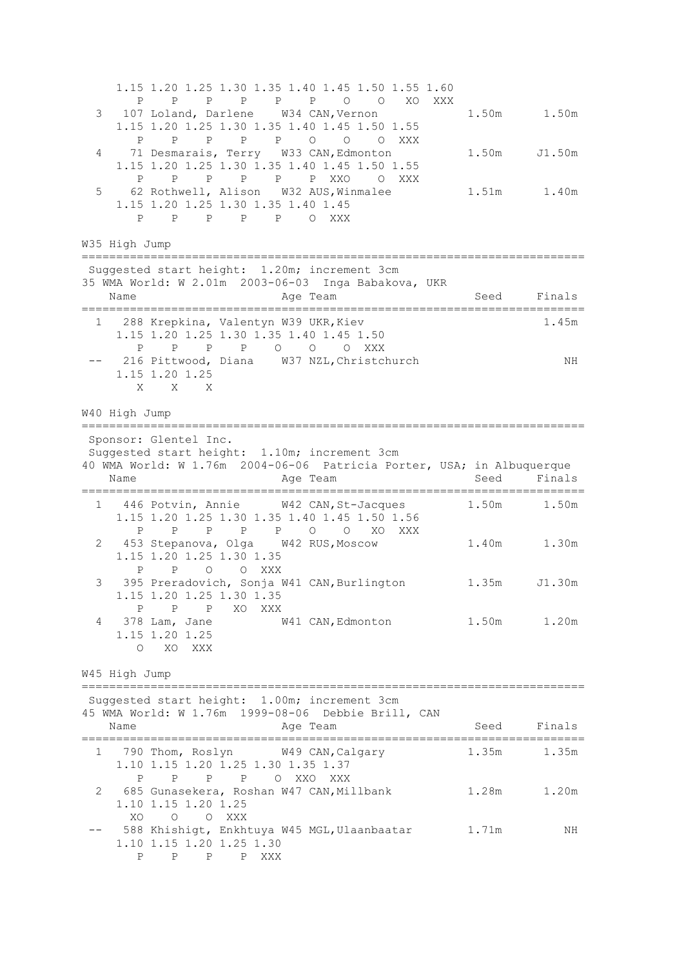1.15 1.20 1.25 1.30 1.35 1.40 1.45 1.50 1.55 1.60 P P P P P P O O XO XXX 3 107 Loland, Darlene W34 CAN, Vernon 1.50m 1.50m 1.15 1.20 1.25 1.30 1.35 1.40 1.45 1.50 1.55 P P P P P O O O XXX 4 71 Desmarais, Terry W33 CAN, Edmonton 1.50m J1.50m 1.15 1.20 1.25 1.30 1.35 1.40 1.45 1.50 1.55 P P P P P P XXO O XXX 5 62 Rothwell, Alison W32 AUS, Winmalee 1.51m 1.40m 1.15 1.20 1.25 1.30 1.35 1.40 1.45 P P P P P O XXX W35 High Jump ========================================================================= Suggested start height: 1.20m; increment 3cm 35 WMA World: W 2.01m 2003-06-03 Inga Babakova, UKR Name **Age Team** Age Team Seed Finals ========================================================================= 1 288 Krepkina, Valentyn W39 UKR, Kiev 1.45m 1.15 1.20 1.25 1.30 1.35 1.40 1.45 1.50 P P P P O O O XXX -- 216 Pittwood, Diana W37 NZL, Christchurch NH 1.15 1.20 1.25 X X X W40 High Jump ========================================================================= Sponsor: Glentel Inc. Suggested start height: 1.10m; increment 3cm 40 WMA World: W 1.76m 2004-06-06 Patricia Porter, USA; in Albuquerque Name **Age Team** Age Team Seed Finals ========================================================================= 1 446 Potvin, Annie W42 CAN,St-Jacques 1.50m 1.50m 1.15 1.20 1.25 1.30 1.35 1.40 1.45 1.50 1.56 P P P P P O O XO XXX 2 453 Stepanova, Olga W42 RUS, Moscow 1.40m 1.30m 1.15 1.20 1.25 1.30 1.35 P P O O XXX 3 395 Preradovich, Sonja W41 CAN,Burlington 1.35m J1.30m 1.15 1.20 1.25 1.30 1.35 P P P XO XXX 4 378 Lam, Jane W41 CAN,Edmonton 1.50m 1.20m 1.15 1.20 1.25 O XO XXX W45 High Jump ========================================================================= Suggested start height: 1.00m; increment 3cm 45 WMA World: W 1.76m 1999-08-06 Debbie Brill, CAN Name **Age Team** Age Team Seed Finals ========================================================================= 1 790 Thom, Roslyn W49 CAN, Calgary 1.35m 1.35m 1.10 1.15 1.20 1.25 1.30 1.35 1.37 P P P P O XXO XXX 2 685 Gunasekera, Roshan W47 CAN,Millbank 1.28m 1.20m 1.10 1.15 1.20 1.25 XO O O XXX -- 588 Khishigt, Enkhtuya W45 MGL, Ulaanbaatar 1.71m NH 1.10 1.15 1.20 1.25 1.30 P P P P XXX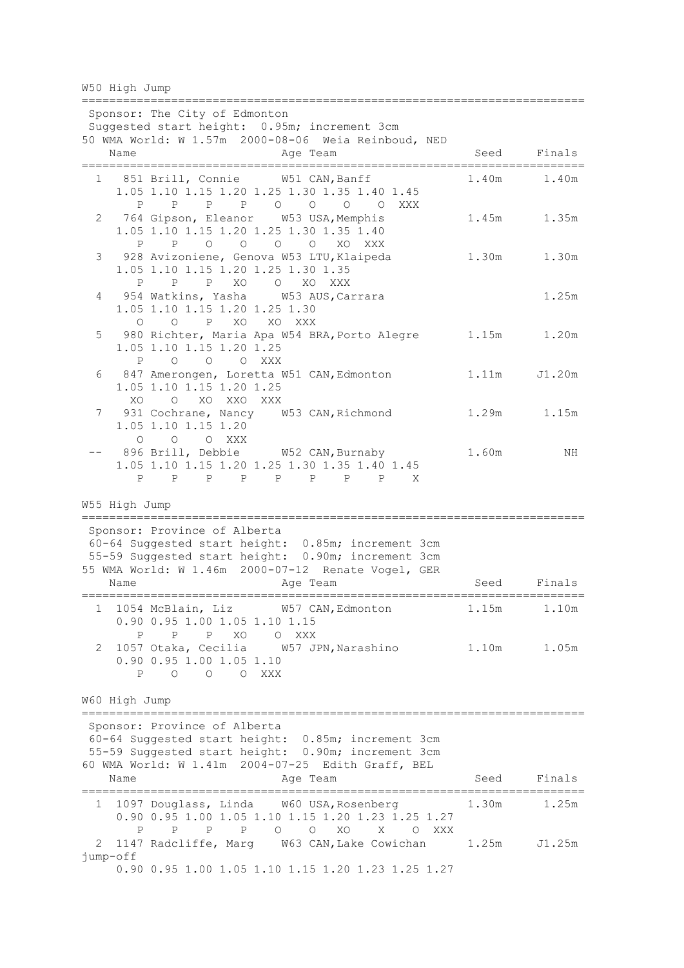W50 High Jump

========================================================================= Sponsor: The City of Edmonton Suggested start height: 0.95m; increment 3cm 50 WMA World: W 1.57m 2000-08-06 Weia Reinboud, NED Name **Age Team** Age Team Seed Finals ========================================================================= 1 851 Brill, Connie W51 CAN,Banff 1.40m 1.40m 1.05 1.10 1.15 1.20 1.25 1.30 1.35 1.40 1.45 P P P P O O O O XXX 2 764 Gipson, Eleanor W53 USA,Memphis 1.45m 1.35m 1.05 1.10 1.15 1.20 1.25 1.30 1.35 1.40 P P O O O O XO XXX 3 928 Avizoniene, Genova W53 LTU, Klaipeda 1.30m 1.30m 1.05 1.10 1.15 1.20 1.25 1.30 1.35 P P P XO O XO XXX 4 954 Watkins, Yasha W53 AUS,Carrara 1.25m 1.05 1.10 1.15 1.20 1.25 1.30 O O P XO XO XXX 5 980 Richter, Maria Apa W54 BRA, Porto Alegre 1.15m 1.20m 1.05 1.10 1.15 1.20 1.25<br>P 0 0 0 XXX P O O O XXX 6 847 Amerongen, Loretta W51 CAN,Edmonton 1.11m J1.20m 1.05 1.10 1.15 1.20 1.25 XO O XO XXO XXX 7 931 Cochrane, Nancy W53 CAN, Richmond 1.29m 1.15m 1.05 1.10 1.15 1.20 O O O XXX 896 Brill, Debbie W52 CAN, Burnaby 1.60m NH 1.05 1.10 1.15 1.20 1.25 1.30 1.35 1.40 1.45 P P P P P P P P X W55 High Jump ========================================================================= Sponsor: Province of Alberta 60-64 Suggested start height: 0.85m; increment 3cm 55-59 Suggested start height: 0.90m; increment 3cm 55 WMA World: W 1.46m 2000-07-12 Renate Vogel, GER Name **Age Team** Age Team Seed Finals ========================================================================= 1 1054 McBlain, Liz W57 CAN,Edmonton 1.15m 1.10m 0.90 0.95 1.00 1.05 1.10 1.15 P P P XO O XXX 2 1057 Otaka, Cecilia W57 JPN,Narashino 1.10m 1.05m 0.90 0.95 1.00 1.05 1.10 P O O O XXX W60 High Jump ========================================================================= Sponsor: Province of Alberta 60-64 Suggested start height: 0.85m; increment 3cm 55-59 Suggested start height: 0.90m; increment 3cm 60 WMA World: W 1.41m 2004-07-25 Edith Graff, BEL Name **Age Team** Age Team Seed Finals ========================================================================= 1 1097 Douglass, Linda W60 USA,Rosenberg 1.30m 1.25m 0.90 0.95 1.00 1.05 1.10 1.15 1.20 1.23 1.25 1.27 P P P P O O XO X O XXX 2 1147 Radcliffe, Marg W63 CAN,Lake Cowichan 1.25m J1.25m jump-off 0.90 0.95 1.00 1.05 1.10 1.15 1.20 1.23 1.25 1.27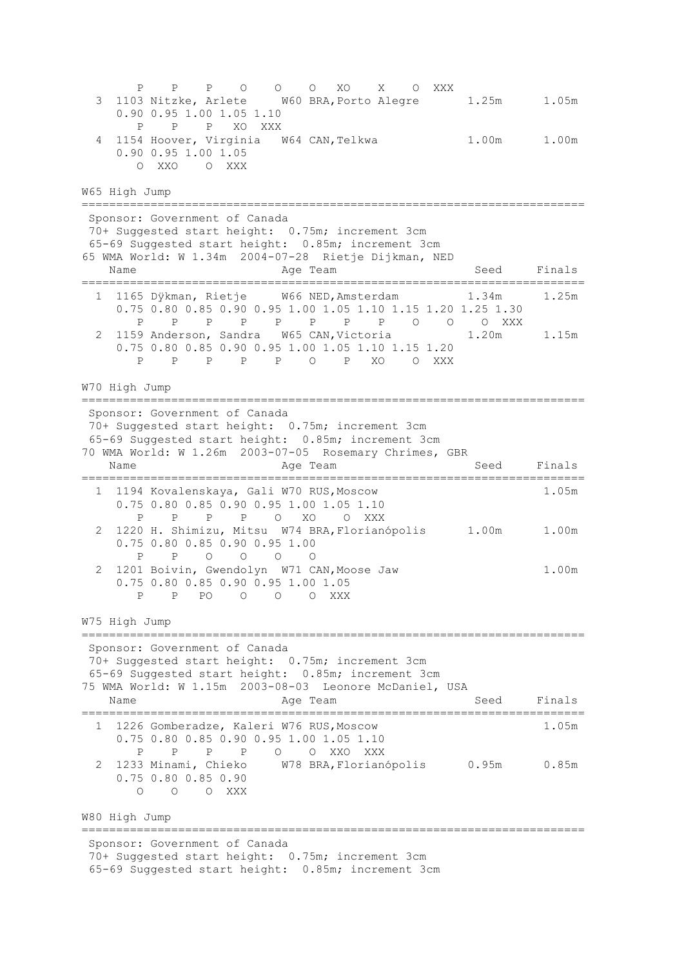P P P O O O XO X O XXX 3 1103 Nitzke, Arlete W60 BRA,Porto Alegre 1.25m 1.05m 0.90 0.95 1.00 1.05 1.10 P P P XO XXX 4 1154 Hoover, Virginia W64 CAN, Telkwa 1.00m 1.00m 0.90 0.95 1.00 1.05 O XXO O XXX W65 High Jump ========================================================================= Sponsor: Government of Canada 70+ Suggested start height: 0.75m; increment 3cm 65-69 Suggested start height: 0.85m; increment 3cm 65 WMA World: W 1.34m 2004-07-28 Rietje Dijkman, NED Name **Age Team** Age Team Seed Finals ========================================================================= 1 1165 Dÿkman, Rietje W66 NED,Amsterdam 1.34m 1.25m 0.75 0.80 0.85 0.90 0.95 1.00 1.05 1.10 1.15 1.20 1.25 1.30 P P P P P P P P O O O XXX 2 1159 Anderson, Sandra W65 CAN,Victoria 1.20m 1.15m 0.75 0.80 0.85 0.90 0.95 1.00 1.05 1.10 1.15 1.20 P P P P P O P XO O XXX W70 High Jump ========================================================================= Sponsor: Government of Canada 70+ Suggested start height: 0.75m; increment 3cm 65-69 Suggested start height: 0.85m; increment 3cm 70 WMA World: W 1.26m 2003-07-05 Rosemary Chrimes, GBR Name **Age Team** Age Team Seed Finals ========================================================================= 1 1194 Kovalenskaya, Gali W70 RUS,Moscow 1.05m 0.75 0.80 0.85 0.90 0.95 1.00 1.05 1.10 P P P P O XO O XXX 2 1220 H. Shimizu, Mitsu W74 BRA,Florianópolis 1.00m 1.00m 0.75 0.80 0.85 0.90 0.95 1.00 P P O O O O 2 1201 Boivin, Gwendolyn W71 CAN,Moose Jaw 1.00m 0.75 0.80 0.85 0.90 0.95 1.00 1.05 P P PO O O O XXX W75 High Jump ========================================================================= Sponsor: Government of Canada 70+ Suggested start height: 0.75m; increment 3cm 65-69 Suggested start height: 0.85m; increment 3cm 75 WMA World: W 1.15m 2003-08-03 Leonore McDaniel, USA Name **Age Team** Constants Constants Constants Constants Constants Constants Constants Constants Constants Constants Constants Constants Constants Constants Constants Constants Constants Constants Constants Constants Consta ========================================================================= 1 1226 Gomberadze, Kaleri W76 RUS,Moscow 1.05m 0.75 0.80 0.85 0.90 0.95 1.00 1.05 1.10 P P P P O O XXO XXX 2 1233 Minami, Chieko W78 BRA,Florianópolis 0.95m 0.85m 0.75 0.80 0.85 0.90 O O O XXX W80 High Jump ========================================================================= Sponsor: Government of Canada 70+ Suggested start height: 0.75m; increment 3cm 65-69 Suggested start height: 0.85m; increment 3cm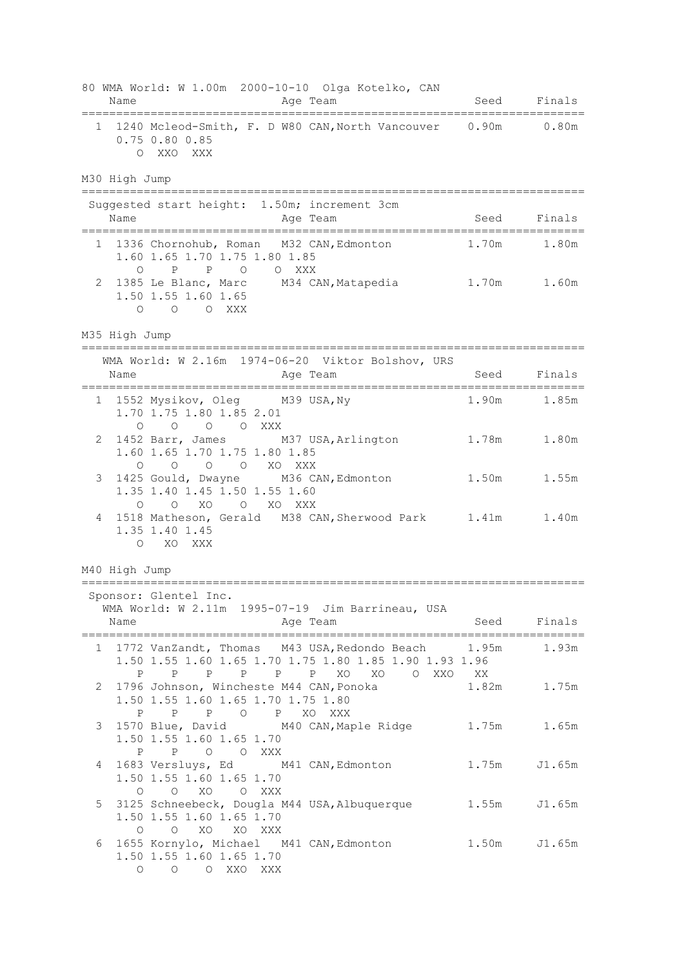|   | 80 WMA World: W 1.00m 2000-10-10 Olga Kotelko, CAN<br>Name<br>Age Team<br>=================================<br>----------------------        |      | Seed Finals  |
|---|----------------------------------------------------------------------------------------------------------------------------------------------|------|--------------|
|   | 1 1240 Mcleod-Smith, F. D W80 CAN, North Vancouver 0.90m 0.80m<br>$0.75$ 0.80 0.85<br>O XXO XXX                                              |      |              |
|   | M30 High Jump                                                                                                                                |      |              |
|   | Suggested start height: 1.50m; increment 3cm<br>Name<br>Age Team                                                                             | Seed | Finals       |
|   | 1 1336 Chornohub, Roman M32 CAN, Edmonton<br>1.60 1.65 1.70 1.75 1.80 1.85                                                                   |      | 1.70m 1.80m  |
| 2 | $P$ 0<br>$\circ$<br>$\mathbb{P}$<br>O XXX<br>1385 Le Blanc, Marc M34 CAN, Matapedia 1.70m 1.60m<br>1.50 1.55 1.60 1.65<br>O O XXX<br>$\circ$ |      |              |
|   | M35 High Jump                                                                                                                                |      |              |
|   | WMA World: W 2.16m 1974-06-20 Viktor Bolshov, URS<br>Name<br>Age Team<br>issesses:                                                           | Seed | Finals       |
|   | 1 1552 Mysikov, Oleg M39 USA, Ny<br>1.70 1.75 1.80 1.85 2.01<br>O O O XXX<br>$\circ$                                                         |      | 1.90m 1.85m  |
| 2 | 1452 Barr, James M37 USA, Arlington 1.78m 1.80m<br>1.60 1.65 1.70 1.75 1.80 1.85<br>0 0 0 0 XO XXX                                           |      |              |
| 3 | 1425 Gould, Dwayne M36 CAN, Edmonton<br>1.35 1.40 1.45 1.50 1.55 1.60                                                                        |      | 1.50m 1.55m  |
| 4 | $O$ XO<br>O XO XXX<br>$\circ$<br>1518 Matheson, Gerald M38 CAN, Sherwood Park 1.41m 1.40m<br>1.35 1.40 1.45<br>O XO XXX                      |      |              |
|   | M40 High Jump<br>==========================                                                                                                  |      |              |
|   | ================================<br>Sponsor: Glentel Inc.<br>WMA World: W 2.11m 1995-07-19 Jim Barrineau, USA<br>Age Team<br>Name            |      | Seed Finals  |
|   | 1 1772 VanZandt, Thomas M43 USA, Redondo Beach 1.95m<br>1.50 1.55 1.60 1.65 1.70 1.75 1.80 1.85 1.90 1.93 1.96                               |      | 1.93m        |
| 2 | P P P P P P XO XO O XXO XX<br>1796 Johnson, Wincheste M44 CAN, Ponoka<br>1.50 1.55 1.60 1.65 1.70 1.75 1.80<br>P P P O P XO XXX              |      | 1.82m 1.75m  |
| 3 | 1570 Blue, David M40 CAN, Maple Ridge 1.75m 1.65m<br>1.50 1.55 1.60 1.65 1.70<br>P<br>P O O XXX                                              |      |              |
| 4 | 1683 Versluys, Ed M41 CAN, Edmonton<br>1.50 1.55 1.60 1.65 1.70<br>O O XO O XXX                                                              |      | 1.75m J1.65m |
| 5 | 3125 Schneebeck, Dougla M44 USA, Albuquerque 1.55m<br>1.50 1.55 1.60 1.65 1.70<br>O O XO XO XXX                                              |      | J1.65m       |
| 6 | 1655 Kornylo, Michael M41 CAN, Edmonton<br>1.50 1.55 1.60 1.65 1.70<br>O O O XXO XXX                                                         |      | 1.50m J1.65m |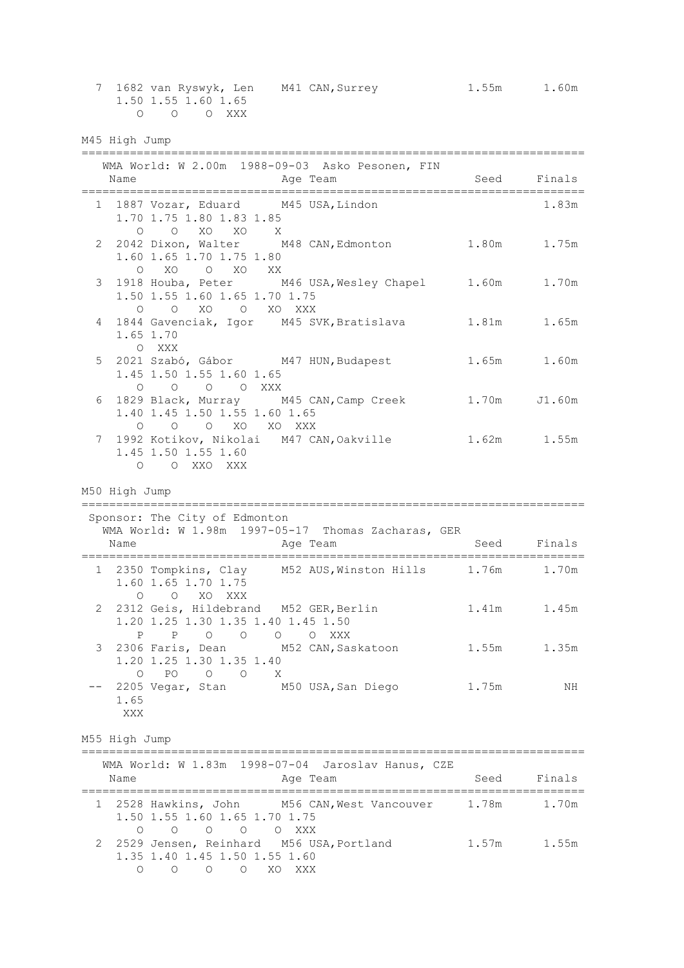|   |                    | 1.50 1.55 1.60 1.65<br>O O O XXX                                                         | 7 1682 van Ryswyk, Len M41 CAN, Surrey 1.55m 1.60m                |      |             |
|---|--------------------|------------------------------------------------------------------------------------------|-------------------------------------------------------------------|------|-------------|
|   | M45 High Jump      |                                                                                          |                                                                   |      |             |
|   | Name               |                                                                                          | WMA World: W 2.00m 1988-09-03 Asko Pesonen, FIN<br>Age Team       | Seed | Finals      |
|   |                    | 1 1887 Vozar, Eduard M45 USA, Lindon<br>1.70 1.75 1.80 1.83 1.85                         |                                                                   |      | 1.83m       |
|   |                    | 1.60 1.65 1.70 1.75 1.80<br>O XO O XO XX                                                 | 0 0 XO XO X<br>2 2042 Dixon, Walter M48 CAN, Edmonton 1.80m 1.75m |      |             |
| 3 |                    | 1.50 1.55 1.60 1.65 1.70 1.75<br>O O XO O XO XXX                                         | 1918 Houba, Peter M46 USA, Wesley Chapel 1.60m 1.70m              |      |             |
|   | 1.65 1.70<br>O XXX |                                                                                          | 4 1844 Gavenciak, Igor M45 SVK, Bratislava 1.81m 1.65m            |      |             |
| 5 |                    | 1.45 1.50 1.55 1.60 1.65<br>0 0 0 0 XXX                                                  | 2021 Szabó, Gábor M47 HUN, Budapest 1.65m 1.60m                   |      |             |
|   |                    | 1.40 1.45 1.50 1.55 1.60 1.65<br>O O O XO XO XXX                                         | 6 1829 Black, Murray M45 CAN, Camp Creek 1.70m J1.60m             |      |             |
| 7 |                    | 1.45 1.50 1.55 1.60<br>O O XXO XXX                                                       | 1992 Kotikov, Nikolai M47 CAN, Oakville 1.62m 1.55m               |      |             |
|   | M50 High Jump      |                                                                                          |                                                                   |      |             |
|   |                    |                                                                                          |                                                                   |      |             |
|   |                    | Sponsor: The City of Edmonton                                                            | WMA World: W 1.98m 1997-05-17 Thomas Zacharas, GER                |      |             |
|   | Name               |                                                                                          | Age Team                                                          |      | Seed Finals |
|   |                    | 1.60 1.65 1.70 1.75<br>O O XO XXX                                                        | 1 2350 Tompkins, Clay M52 AUS, Winston Hills 1.76m 1.70m          |      |             |
| 2 |                    | 2312 Geis, Hildebrand M52 GER, Berlin<br>1.20 1.25 1.30 1.35 1.40 1.45 1.50<br>P P O O O | O XXX                                                             |      | 1.41m 1.45m |
| 3 | $\circ$            | 1.20 1.25 1.30 1.35 1.40                                                                 | 2306 Faris, Dean M52 CAN, Saskatoon 1.55m                         |      | 1.35m       |
|   | 1.65<br>XXX        | PO O O X                                                                                 | 2205 Vegar, Stan M50 USA, San Diego 1.75m                         |      | ΝH          |
|   | M55 High Jump      |                                                                                          |                                                                   |      |             |
|   | Name               |                                                                                          | WMA World: W 1.83m 1998-07-04 Jaroslav Hanus, CZE<br>Age Team     | Seed | Finals      |
|   |                    | 1.50 1.55 1.60 1.65 1.70 1.75<br>0 0 0 0 0 XXX                                           | 1 2528 Hawkins, John M56 CAN, West Vancouver 1.78m 1.70m          |      |             |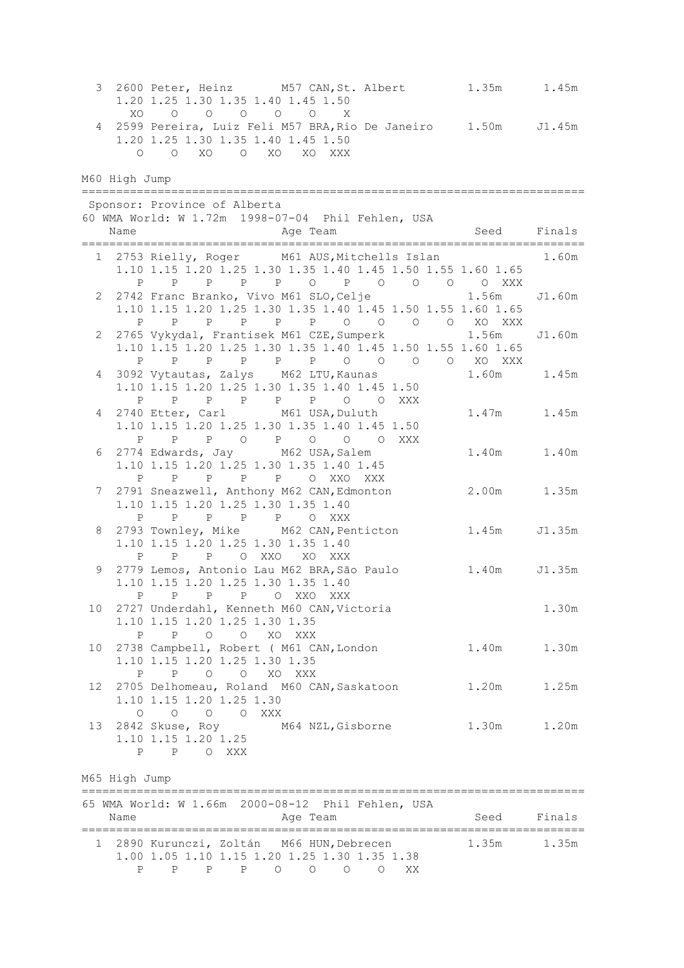3 2600 Peter, Heinz M57 CAN,St. Albert 1.35m 1.45m 1.20 1.25 1.30 1.35 1.40 1.45 1.50 XO O O O O O X 4 2599 Pereira, Luiz Feli M57 BRA,Rio De Janeiro 1.50m J1.45m 1.20 1.25 1.30 1.35 1.40 1.45 1.50 O O XO O XO XO XXX M60 High Jump ========================================================================= Sponsor: Province of Alberta 60 WMA World: W 1.72m 1998-07-04 Phil Fehlen, USA Name **Age Team** Age Team Seed Finals ========================================================================= 1 2753 Rielly, Roger M61 AUS,Mitchells Islan 1.60m 1.10 1.15 1.20 1.25 1.30 1.35 1.40 1.45 1.50 1.55 1.60 1.65 P P P P P O P O O O O XXX 2 2742 Franc Branko, Vivo M61 SLO,Celje 1.56m J1.60m 1.10 1.15 1.20 1.25 1.30 1.35 1.40 1.45 1.50 1.55 1.60 1.65 P P P P P P O O O XO XXX<br>65 Vykydal, Frantisek M61 CZE, Sumperk 1.56m 2 2765 Vykydal, Frantisek M61 CZE,Sumperk 1.56m J1.60m 1.10 1.15 1.20 1.25 1.30 1.35 1.40 1.45 1.50 1.55 1.60 1.65 P P P P P P O O O O XO XXX 4 3092 Vytautas, Zalys M62 LTU,Kaunas 1.60m 1.45m 1.10 1.15 1.20 1.25 1.30 1.35 1.40 1.45 1.50 P P P P P P O O XXX 4 2740 Etter, Carl M61 USA,Duluth 1.47m 1.45m 1.10 1.15 1.20 1.25 1.30 1.35 1.40 1.45 1.50 P P P O P O O O XXX 6 2774 Edwards, Jay M62 USA,Salem 1.40m 1.40m 1.10 1.15 1.20 1.25 1.30 1.35 1.40 1.45 P P P P P O XXO XXX 7 2791 Sneazwell, Anthony M62 CAN,Edmonton 2.00m 1.35m 1.10 1.15 1.20 1.25 1.30 1.35 1.40 P P P P P O XXX 8 2793 Townley, Mike M62 CAN,Penticton 1.45m J1.35m 1.10 1.15 1.20 1.25 1.30 1.35 1.40 P P P O XXO XO XXX 9 2779 Lemos, Antonio Lau M62 BRA,São Paulo 1.40m J1.35m 1.10 1.15 1.20 1.25 1.30 1.35 1.40 P P P P O XXO XXX 10 2727 Underdahl, Kenneth M60 CAN,Victoria 1.30m 1.10 1.15 1.20 1.25 1.30 1.35 P P O O XO XXX 10 2738 Campbell, Robert ( M61 CAN,London 1.40m 1.30m 1.10 1.15 1.20 1.25 1.30 1.35 P P O O XO XXX 12 2705 Delhomeau, Roland M60 CAN,Saskatoon 1.20m 1.25m 1.10 1.15 1.20 1.25 1.30 O O O O XXX 13 2842 Skuse, Roy M64 NZL,Gisborne 1.30m 1.20m 1.10 1.15 1.20 1.25 P P O XXX M65 High Jump ========================================================================= 65 WMA World: W 1.66m 2000-08-12 Phil Fehlen, USA Name Age Team Seed Finals ========================================================================= 1 2890 Kurunczi, Zoltán M66 HUN, Debrecen 1.35m 1.35m 1.00 1.05 1.10 1.15 1.20 1.25 1.30 1.35 1.38 P P P P O O O O XX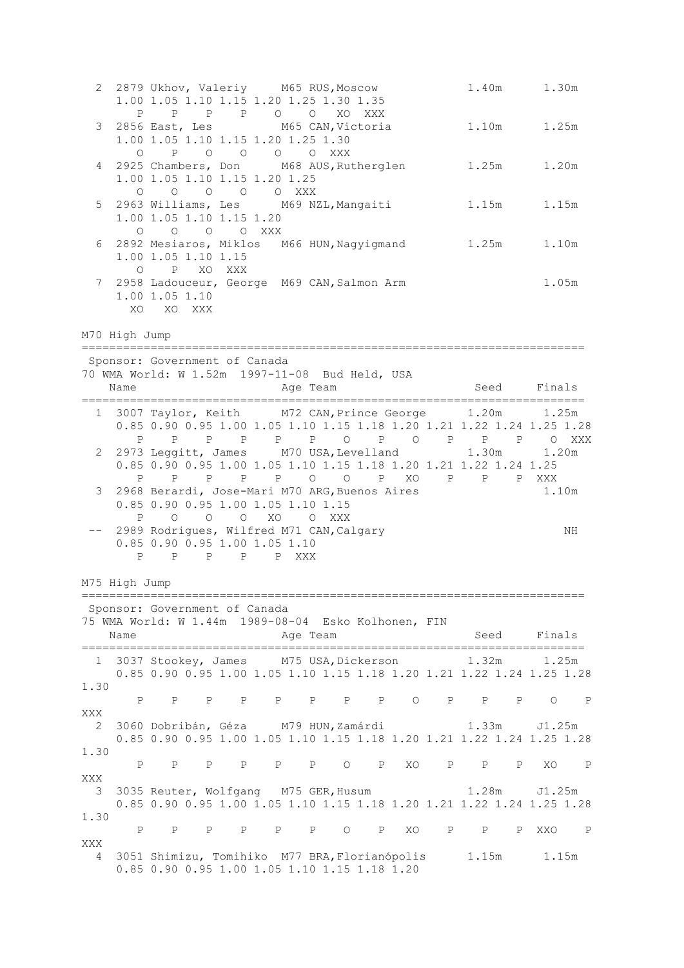|                                   | 2 2879 Ukhov, Valeriy M65 RUS, Moscow                                                        | 1.00 1.05 1.10 1.15 1.20 1.25 1.30 1.35                                                     |                                   |  |  |          |  |  |                                                                                                                                                                                                                               |       | 1.40m 1.30m  |      |  |
|-----------------------------------|----------------------------------------------------------------------------------------------|---------------------------------------------------------------------------------------------|-----------------------------------|--|--|----------|--|--|-------------------------------------------------------------------------------------------------------------------------------------------------------------------------------------------------------------------------------|-------|--------------|------|--|
| 3                                 | $\circ$                                                                                      | $P \qquad \qquad$<br>2856 East, Les M65 CAN, Victoria<br>1.00 1.05 1.10 1.15 1.20 1.25 1.30 | P P P O O XO XXX<br>P O O O O XXX |  |  |          |  |  |                                                                                                                                                                                                                               |       | 1.10m 1.25m  |      |  |
| 4                                 | $\circ$                                                                                      | 1.00 1.05 1.10 1.15 1.20 1.25<br>0 0 0 0 XXX                                                |                                   |  |  |          |  |  | 2925 Chambers, Don M68 AUS, Rutherglen 1.25m 1.20m                                                                                                                                                                            |       |              |      |  |
| 5                                 |                                                                                              | 1.00 1.05 1.10 1.15 1.20<br>O O O O XXX                                                     |                                   |  |  |          |  |  | 2963 Williams, Les M69 NZL, Mangaiti                                                                                                                                                                                          |       | 1.15m 1.15m  |      |  |
| 6                                 |                                                                                              | 1.00 1.05 1.10 1.15<br>O P XO XXX                                                           |                                   |  |  |          |  |  | 2892 Mesiaros, Miklos M66 HUN, Nagyigmand 1.25m 1.10m                                                                                                                                                                         |       |              |      |  |
|                                   | 7 2958 Ladouceur, George M69 CAN, Salmon Arm                                                 | 1.00 1.05 1.10<br>XO XO XXX                                                                 |                                   |  |  |          |  |  |                                                                                                                                                                                                                               |       | 1.05m        |      |  |
|                                   | M70 High Jump                                                                                |                                                                                             |                                   |  |  |          |  |  |                                                                                                                                                                                                                               |       |              |      |  |
|                                   | Sponsor: Government of Canada                                                                |                                                                                             |                                   |  |  |          |  |  |                                                                                                                                                                                                                               |       |              |      |  |
|                                   | 70 WMA World: W 1.52m 1997-11-08 Bud Held, USA<br>Name                                       |                                                                                             |                                   |  |  | Age Team |  |  | Seed Finals                                                                                                                                                                                                                   |       |              |      |  |
|                                   | 1 3007 Taylor, Keith M72 CAN, Prince George 1.20m 1.25m                                      |                                                                                             |                                   |  |  |          |  |  | 0.85 0.90 0.95 1.00 1.05 1.10 1.15 1.18 1.20 1.21 1.22 1.24 1.25 1.28<br>P P P P P P O P O P P P O XXX                                                                                                                        |       |              |      |  |
|                                   | 2 2973 Leggitt, James M70 USA, Levelland 1.30m 1.20m                                         |                                                                                             |                                   |  |  |          |  |  | 0.85 0.90 0.95 1.00 1.05 1.10 1.15 1.18 1.20 1.21 1.22 1.24 1.25<br>P P P P P O O P XO P P P XXX                                                                                                                              |       |              |      |  |
| 3                                 | 2968 Berardi, Jose-Mari M70 ARG, Buenos Aires                                                | 0.85 0.90 0.95 1.00 1.05 1.10 1.15<br>$P \qquad \qquad$                                     | 0 0 0 XO 0 XXX                    |  |  |          |  |  |                                                                                                                                                                                                                               |       | 1.10m        |      |  |
|                                   |                                                                                              | 2989 Rodrigues, Wilfred M71 CAN, Calgary<br>0.85 0.90 0.95 1.00 1.05 1.10<br>P P P P P XXX  |                                   |  |  |          |  |  |                                                                                                                                                                                                                               |       |              | ΝH   |  |
|                                   | M75 High Jump                                                                                |                                                                                             |                                   |  |  |          |  |  |                                                                                                                                                                                                                               |       |              |      |  |
|                                   | Sponsor: Government of Canada<br>75 WMA World: W 1.44m 1989-08-04 Esko Kolhonen, FIN<br>Name |                                                                                             |                                   |  |  | Age Team |  |  |                                                                                                                                                                                                                               |       | Seed Finals  |      |  |
|                                   | 1 3037 Stookey, James M75 USA, Dickerson                                                     |                                                                                             |                                   |  |  |          |  |  |                                                                                                                                                                                                                               | 1.32m | 1.25m        |      |  |
|                                   |                                                                                              |                                                                                             |                                   |  |  |          |  |  | 0.85 0.90 0.95 1.00 1.05 1.10 1.15 1.18 1.20 1.21 1.22 1.24 1.25 1.28                                                                                                                                                         |       |              |      |  |
| 1.30                              |                                                                                              |                                                                                             |                                   |  |  |          |  |  | P P P P P P P P P P P P P O P P P P O P P P P O P P P O P P P O P P P O P P P O P P P O P P P O P P P O P P P O P P P O P P P O P P P O P P P O P P P O P P P O P P P O P P P O P P P O P P P O P P P O P P P O P P P P O P P |       |              |      |  |
| XXX<br>$\overline{\phantom{0}}^2$ |                                                                                              |                                                                                             |                                   |  |  |          |  |  | 3060 Dobribán, Géza M79 HUN, Zamárdi                                                                                                                                                                                          |       | 1.33m J1.25m |      |  |
| 1.30                              |                                                                                              |                                                                                             |                                   |  |  |          |  |  | 0.85 0.90 0.95 1.00 1.05 1.10 1.15 1.18 1.20 1.21 1.22 1.24 1.25 1.28                                                                                                                                                         |       |              |      |  |
| XXX                               |                                                                                              |                                                                                             |                                   |  |  |          |  |  |                                                                                                                                                                                                                               |       |              | XO P |  |
| $\overline{\mathbf{3}}$           |                                                                                              |                                                                                             |                                   |  |  |          |  |  | 3035 Reuter, Wolfgang M75 GER, Husum<br>0.85 0.90 0.95 1.00 1.05 1.10 1.15 1.18 1.20 1.21 1.22 1.24 1.25 1.28                                                                                                                 |       | 1.28m J1.25m |      |  |
| 1.30                              |                                                                                              |                                                                                             |                                   |  |  |          |  |  | P P P P P P P P P P P P XO P P P XXO P                                                                                                                                                                                        |       |              |      |  |
| XXX<br>4                          |                                                                                              | 0.85 0.90 0.95 1.00 1.05 1.10 1.15 1.18 1.20                                                |                                   |  |  |          |  |  | 3051 Shimizu, Tomihiko M77 BRA, Florianópolis                                                                                                                                                                                 |       | 1.15m 1.15m  |      |  |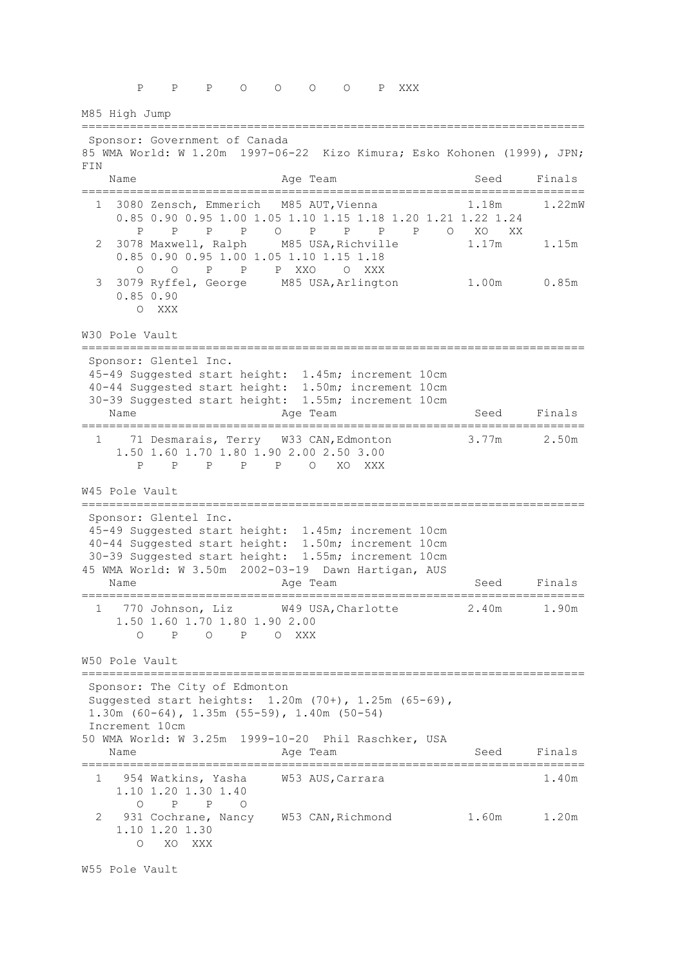P P P O O O O P XXX M85 High Jump ========================================================================= Sponsor: Government of Canada 85 WMA World: W 1.20m 1997-06-22 Kizo Kimura; Esko Kohonen (1999), JPN; FIN Name **Age Team** Age Team Seed Finals ========================================================================= 1 3080 Zensch, Emmerich M85 AUT, Vienna 1.18m 1.22mW 0.85 0.90 0.95 1.00 1.05 1.10 1.15 1.18 1.20 1.21 1.22 1.24 P P P P O P P P P O XO XX 2 3078 Maxwell, Ralph M85 USA,Richville 1.17m 1.15m 0.85 0.90 0.95 1.00 1.05 1.10 1.15 1.18 O O P P P XXO O XXX 3 3079 Ryffel, George M85 USA,Arlington 1.00m 0.85m 0.85 0.90 O XXX W30 Pole Vault ========================================================================= Sponsor: Glentel Inc. 45-49 Suggested start height: 1.45m; increment 10cm 40-44 Suggested start height: 1.50m; increment 10cm 30-39 Suggested start height: 1.55m; increment 10cm Name **Age Team** Age Team Seed Finals ========================================================================= 1 71 Desmarais, Terry W33 CAN, Edmonton 3.77m 2.50m 1.50 1.60 1.70 1.80 1.90 2.00 2.50 3.00 P P P P P O XO XXX W45 Pole Vault ========================================================================= Sponsor: Glentel Inc. 45-49 Suggested start height: 1.45m; increment 10cm 40-44 Suggested start height: 1.50m; increment 10cm 30-39 Suggested start height: 1.55m; increment 10cm 45 WMA World: W 3.50m 2002-03-19 Dawn Hartigan, AUS Name **Age Team** Age Team Seed Finals ========================================================================= 1 770 Johnson, Liz W49 USA,Charlotte 2.40m 1.90m 1.50 1.60 1.70 1.80 1.90 2.00 O P O P O XXX W50 Pole Vault ========================================================================= Sponsor: The City of Edmonton Suggested start heights: 1.20m (70+), 1.25m (65-69), 1.30m (60-64), 1.35m (55-59), 1.40m (50-54) Increment 10cm 50 WMA World: W 3.25m 1999-10-20 Phil Raschker, USA Name **Age Team** Age Team Seed Finals ========================================================================= 1 954 Watkins, Yasha W53 AUS, Carrara 1.40m 1.10 1.20 1.30 1.40 O P P O 2 931 Cochrane, Nancy W53 CAN, Richmond 1.60m 1.20m 1.10 1.20 1.30 O XO XXX

W55 Pole Vault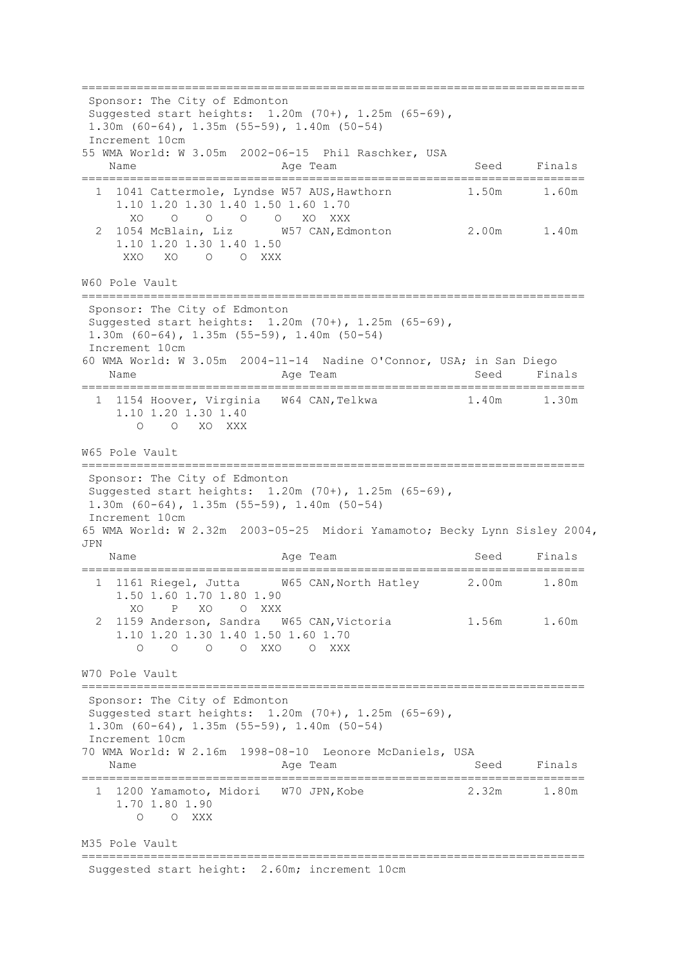========================================================================= Sponsor: The City of Edmonton Suggested start heights: 1.20m (70+), 1.25m (65-69), 1.30m (60-64), 1.35m (55-59), 1.40m (50-54) Increment 10cm 55 WMA World: W 3.05m 2002-06-15 Phil Raschker, USA Name **Age Team** Age Team Seed Finals ========================================================================= 1 1041 Cattermole, Lyndse W57 AUS, Hawthorn 1.50m 1.60m 1.10 1.20 1.30 1.40 1.50 1.60 1.70 XO O O O O XO XXX 2 1054 McBlain, Liz W57 CAN,Edmonton 2.00m 1.40m 1.10 1.20 1.30 1.40 1.50<br>XXO XO O O XXX O O XXX W60 Pole Vault ========================================================================= Sponsor: The City of Edmonton Suggested start heights: 1.20m (70+), 1.25m (65-69), 1.30m (60-64), 1.35m (55-59), 1.40m (50-54) Increment 10cm 60 WMA World: W 3.05m 2004-11-14 Nadine O'Connor, USA; in San Diego Name **Age Team** Age Team Seed Finals ========================================================================= 1 1154 Hoover, Virginia W64 CAN,Telkwa 1.40m 1.30m 1.10 1.20 1.30 1.40 O O XO XXX W65 Pole Vault ========================================================================= Sponsor: The City of Edmonton Suggested start heights: 1.20m (70+), 1.25m (65-69), 1.30m (60-64), 1.35m (55-59), 1.40m (50-54) Increment 10cm 65 WMA World: W 2.32m 2003-05-25 Midori Yamamoto; Becky Lynn Sisley 2004, JPN Name **Age Team** Age Team Seed Finals ========================================================================= 1 1161 Riegel, Jutta W65 CAN,North Hatley 2.00m 1.80m 1.50 1.60 1.70 1.80 1.90 XO P XO O XXX 2 1159 Anderson, Sandra W65 CAN, Victoria 1.56m 1.60m 1.10 1.20 1.30 1.40 1.50 1.60 1.70 O O O O XXO O XXX W70 Pole Vault ========================================================================= Sponsor: The City of Edmonton Suggested start heights: 1.20m (70+), 1.25m (65-69), 1.30m (60-64), 1.35m (55-59), 1.40m (50-54) Increment 10cm 70 WMA World: W 2.16m 1998-08-10 Leonore McDaniels, USA Name **Age Team** Age Team Seed Finals ========================================================================= 1 1200 Yamamoto, Midori W70 JPN,Kobe 2.32m 1.80m 1.70 1.80 1.90 O O XXX M35 Pole Vault ========================================================================= Suggested start height: 2.60m; increment 10cm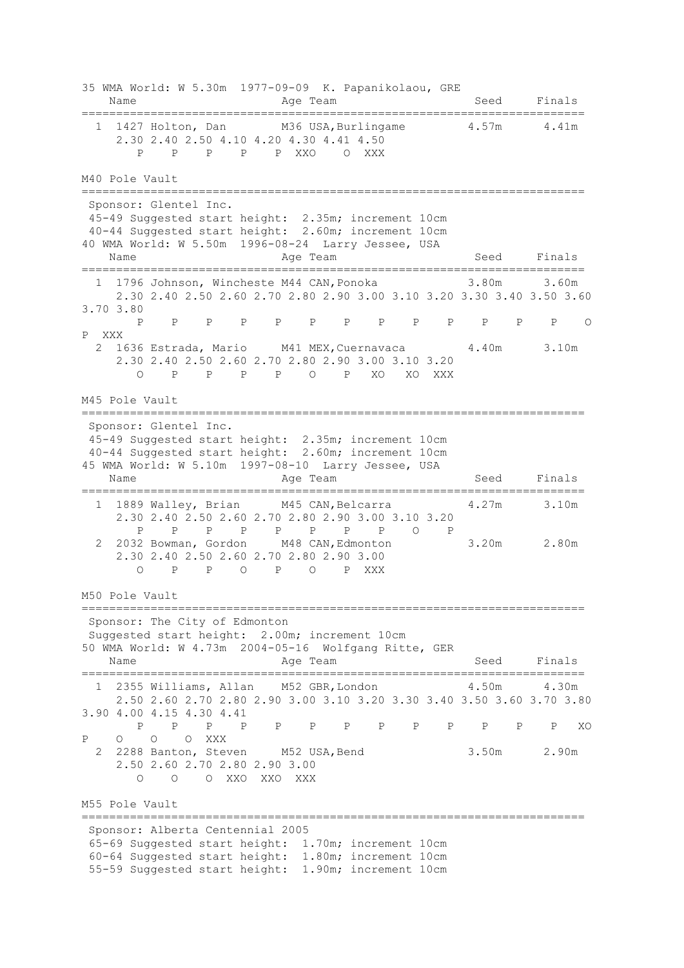35 WMA World: W 5.30m 1977-09-09 K. Papanikolaou, GRE Name **Age Team** Age Team Seed Finals ========================================================================= 1 1427 Holton, Dan M36 USA, Burlingame 4.57m 4.41m 2.30 2.40 2.50 4.10 4.20 4.30 4.41 4.50 P P P P P XXO O XXX M40 Pole Vault ========================================================================= Sponsor: Glentel Inc. 45-49 Suggested start height: 2.35m; increment 10cm 40-44 Suggested start height: 2.60m; increment 10cm 40 WMA World: W 5.50m 1996-08-24 Larry Jessee, USA Name **Age Team** Age Team Seed Finals ========================================================================= 1 1796 Johnson, Wincheste M44 CAN, Ponoka 2.30 2.40 2.50 2.60 2.70 2.80 2.90 3.00 3.10 3.20 3.30 3.40 3.50 3.60 3.70 3.80 P P P P P P P P P P P P P O P XXX 2 1636 Estrada, Mario M41 MEX,Cuernavaca 4.40m 3.10m 2.30 2.40 2.50 2.60 2.70 2.80 2.90 3.00 3.10 3.20 O P P P P O P XO XO XXX M45 Pole Vault ========================================================================= Sponsor: Glentel Inc. 45-49 Suggested start height: 2.35m; increment 10cm 40-44 Suggested start height: 2.60m; increment 10cm 45 WMA World: W 5.10m 1997-08-10 Larry Jessee, USA Name **Age Team** Age Team Seed Finals ========================================================================= 1 1889 Walley, Brian M45 CAN,Belcarra 4.27m 3.10m 2.30 2.40 2.50 2.60 2.70 2.80 2.90 3.00 3.10 3.20 P P P P P P P P O P 2 2032 Bowman, Gordon M48 CAN,Edmonton 3.20m 2.80m 2.30 2.40 2.50 2.60 2.70 2.80 2.90 3.00 O P P O P O P XXX M50 Pole Vault ========================================================================= Sponsor: The City of Edmonton Suggested start height: 2.00m; increment 10cm 50 WMA World: W 4.73m 2004-05-16 Wolfgang Ritte, GER Name **Age Team** Age Team Seed Finals ========================================================================= 1 2355 Williams, Allan M52 GBR, London 4.50m 4.30m 2.50 2.60 2.70 2.80 2.90 3.00 3.10 3.20 3.30 3.40 3.50 3.60 3.70 3.80 3.90 4.00 4.15 4.30 4.41 P P P P P P P P P P P P P XO P O O O XXX 2 2288 Banton, Steven M52 USA,Bend 3.50m 2.90m 2.50 2.60 2.70 2.80 2.90 3.00 O O O XXO XXO XXX M55 Pole Vault ========================================================================= Sponsor: Alberta Centennial 2005 65-69 Suggested start height: 1.70m; increment 10cm 60-64 Suggested start height: 1.80m; increment 10cm 55-59 Suggested start height: 1.90m; increment 10cm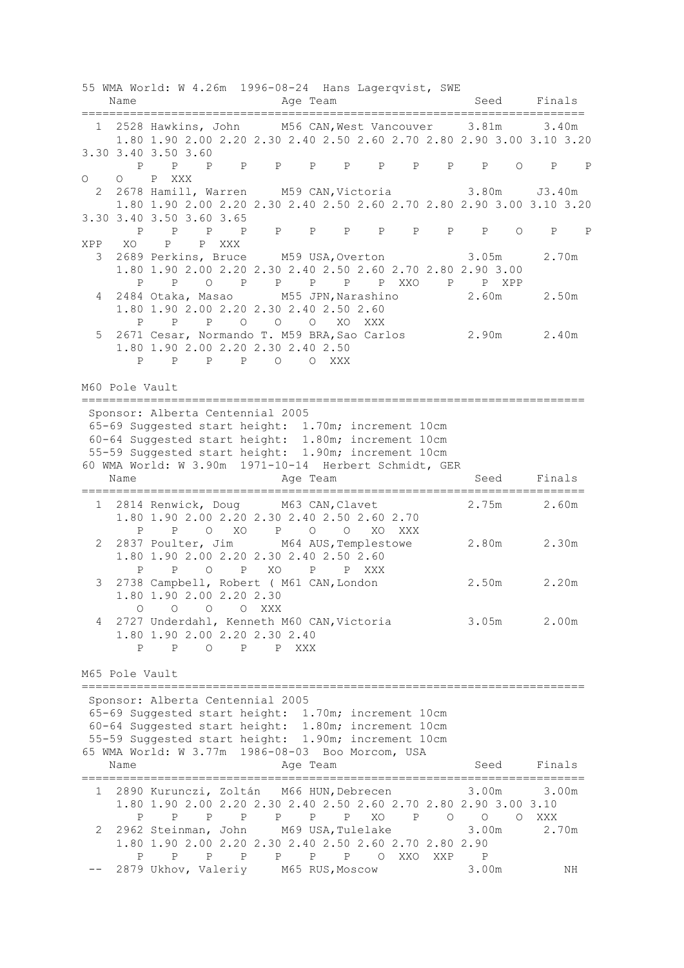|                | Name           | 55 WMA World: W 4.26m 1996-08-24 Hans Lagerqvist, SWE<br>;================================                                                                                                                                                                                                           | Age Team                |                   | =======================   |              |         |                           |      | Seed Finals             |             |
|----------------|----------------|------------------------------------------------------------------------------------------------------------------------------------------------------------------------------------------------------------------------------------------------------------------------------------------------------|-------------------------|-------------------|---------------------------|--------------|---------|---------------------------|------|-------------------------|-------------|
|                |                | 1 2528 Hawkins, John M56 CAN, West Vancouver 3.81m 3.40m<br>1.80 1.90 2.00 2.20 2.30 2.40 2.50 2.60 2.70 2.80 2.90 3.00 3.10 3.20                                                                                                                                                                    |                         |                   |                           |              |         |                           |      |                         |             |
| $\circ$        |                | 3.30 3.40 3.50 3.60<br>P P<br>O P XXX                                                                                                                                                                                                                                                                | P P P P P P P P         |                   |                           |              |         | $P$ $P$                   |      | $O$ P                   | $\mathbb P$ |
|                |                | 2 2678 Hamill, Warren M59 CAN, Victoria 3.80m J3.40m<br>1.80 1.90 2.00 2.20 2.30 2.40 2.50 2.60 2.70 2.80 2.90 3.00 3.10 3.20                                                                                                                                                                        |                         |                   |                           |              |         |                           |      |                         |             |
|                |                | 3.30 3.40 3.50 3.60 3.65<br>$P$ $P$                                                                                                                                                                                                                                                                  | P P P P P P P P         |                   |                           |              |         | $P$ $P$                   |      | $\circ$<br>P P          |             |
|                | XPP XO         | P XXX<br>P<br>3 2689 Perkins, Bruce M59 USA, Overton<br>1.80 1.90 2.00 2.20 2.30 2.40 2.50 2.60 2.70 2.80 2.90 3.00<br>$P \qquad \qquad$<br>$\mathbf{P}$                                                                                                                                             | O P P P P P XXO P P XPP |                   |                           |              |         | 3.05m                     |      | 2.70m                   |             |
| 4              |                | 2484 Otaka, Masao M55 JPN, Narashino<br>1.80 1.90 2.00 2.20 2.30 2.40 2.50 2.60<br>P P O O O XO XXX<br>$P \qquad \qquad$                                                                                                                                                                             |                         |                   |                           |              |         | 2.60m                     |      | 2.50m                   |             |
| 5              |                | 2671 Cesar, Normando T. M59 BRA, Sao Carlos<br>1.80 1.90 2.00 2.20 2.30 2.40 2.50<br>P P P P O O XXX                                                                                                                                                                                                 |                         |                   |                           |              |         |                           |      | 2.90m 2.40m             |             |
| M60 Pole Vault |                |                                                                                                                                                                                                                                                                                                      |                         |                   |                           |              |         |                           |      |                         |             |
|                | Name           | Sponsor: Alberta Centennial 2005<br>65-69 Suggested start height: 1.70m; increment 10cm<br>60-64 Suggested start height: 1.80m; increment 10cm<br>55-59 Suggested start height: 1.90m; increment 10cm<br>60 WMA World: W 3.90m 1971-10-14 Herbert Schmidt, GER<br>================================== | Age Team                |                   | .======================== |              |         |                           | Seed | Finals                  |             |
|                |                | 1 2814 Renwick, Doug M63 CAN, Clavet<br>1.80 1.90 2.00 2.20 2.30 2.40 2.50 2.60 2.70                                                                                                                                                                                                                 |                         |                   |                           |              |         |                           |      | 2.75m 2.60m             |             |
| 2              |                | P P O XO P O O XO XXX<br>2837 Poulter, Jim M64 AUS, Templestowe<br>1.80 1.90 2.00 2.20 2.30 2.40 2.50 2.60                                                                                                                                                                                           |                         |                   |                           |              |         |                           |      | 2.80m 2.30m             |             |
|                | $\mathbf{P}$   | $\mathbf{P}$<br>3 2738 Campbell, Robert ( M61 CAN, London<br>1.80 1.90 2.00 2.20 2.30                                                                                                                                                                                                                | O P XO P                |                   | P XXX                     |              |         |                           |      | 2.50m 2.20m             |             |
| 4              | O<br>P         | $\circ$<br>O<br>2727 Underdahl, Kenneth M60 CAN, Victoria<br>1.80 1.90 2.00 2.20 2.30 2.40<br>P<br>$O$ P                                                                                                                                                                                             | O XXX<br>P XXX          |                   |                           |              |         |                           |      | 3.05m 2.00m             |             |
|                | M65 Pole Vault | ------------------------------                                                                                                                                                                                                                                                                       |                         |                   |                           |              |         |                           |      |                         |             |
|                |                | Sponsor: Alberta Centennial 2005<br>65-69 Suggested start height: 1.70m; increment 10cm<br>60-64 Suggested start height: 1.80m; increment 10cm<br>55-59 Suggested start height: 1.90m; increment 10cm<br>65 WMA World: W 3.77m 1986-08-03 Boo Morcom, USA                                            |                         |                   |                           |              |         |                           |      |                         |             |
|                | Name           |                                                                                                                                                                                                                                                                                                      | Age Team                |                   |                           |              |         | Seed                      |      | Finals                  |             |
| 1<br>2         | Ρ              | 2890 Kurunczi, Zoltán M66 HUN, Debrecen<br>1.80 1.90 2.00 2.20 2.30 2.40 2.50 2.60 2.70 2.80 2.90 3.00 3.10<br>P<br>$\mathbb{P}$<br>$\mathbb{P}$<br>2962 Steinman, John M69 USA, Tulelake<br>1.80 1.90 2.00 2.20 2.30 2.40 2.50 2.60 2.70 2.80 2.90                                                  | P                       | P<br>$\mathbf{P}$ | XO                        | $\mathbb{P}$ | $\circ$ | 3.00m<br>$\circ$<br>3.00m |      | 3.00m<br>O XXX<br>2.70m |             |
|                | P              | $\mathbb{P}$<br>$\mathbb{P}$<br>$_{\rm P}$<br>2879 Ukhov, Valeriy M65 RUS, Moscow                                                                                                                                                                                                                    | P P P                   |                   | $\circ$                   |              | XXO XXP | P<br>3.00m                |      | ΝH                      |             |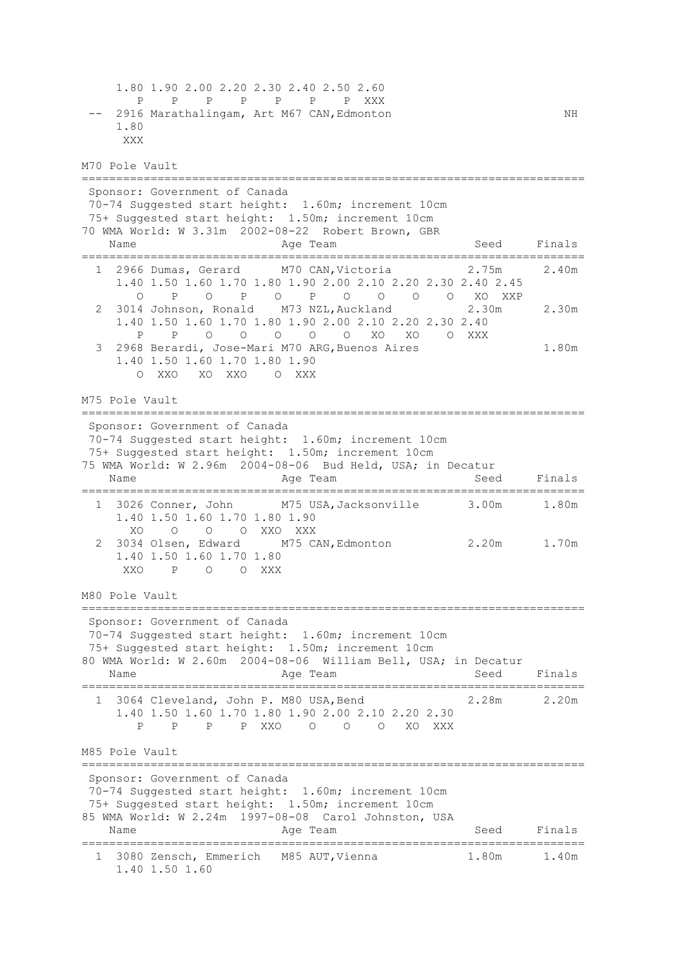1.80 1.90 2.00 2.20 2.30 2.40 2.50 2.60 P P P P P P P XXX -- 2916 Marathalingam, Art M67 CAN, Edmonton NH 1.80 XXX M70 Pole Vault ========================================================================= Sponsor: Government of Canada 70-74 Suggested start height: 1.60m; increment 10cm 75+ Suggested start height: 1.50m; increment 10cm 70 WMA World: W 3.31m 2002-08-22 Robert Brown, GBR Name **Age Team** Age Team Seed Finals ========================================================================= 1 2966 Dumas, Gerard M70 CAN,Victoria 2.75m 2.40m 1.40 1.50 1.60 1.70 1.80 1.90 2.00 2.10 2.20 2.30 2.40 2.45 O P O P O P O O O O XO XXP 2 3014 Johnson, Ronald M73 NZL,Auckland 2.30m 2.30m 1.40 1.50 1.60 1.70 1.80 1.90 2.00 2.10 2.20 2.30 2.40 P P O O O O O XO XO O XXX 3 2968 Berardi, Jose-Mari M70 ARG,Buenos Aires 1.80m 1.40 1.50 1.60 1.70 1.80 1.90 O XXO XO XXO O XXX M75 Pole Vault ========================================================================= Sponsor: Government of Canada 70-74 Suggested start height: 1.60m; increment 10cm 75+ Suggested start height: 1.50m; increment 10cm 75 WMA World: W 2.96m 2004-08-06 Bud Held, USA; in Decatur Name **Age Team** Age Team Seed Finals ========================================================================= 1 3026 Conner, John M75 USA,Jacksonville 3.00m 1.80m 1.40 1.50 1.60 1.70 1.80 1.90 XO O O O XXO XXX 2 3034 Olsen, Edward M75 CAN,Edmonton 2.20m 1.70m 1.40 1.50 1.60 1.70 1.80 XXO P O O XXX M80 Pole Vault ========================================================================= Sponsor: Government of Canada 70-74 Suggested start height: 1.60m; increment 10cm 75+ Suggested start height: 1.50m; increment 10cm 80 WMA World: W 2.60m 2004-08-06 William Bell, USA; in Decatur Name **Age Team** Age Team Seed Finals ========================================================================= 1 3064 Cleveland, John P. M80 USA,Bend 2.28m 2.20m 1.40 1.50 1.60 1.70 1.80 1.90 2.00 2.10 2.20 2.30 P P P P XXO O O O XO XXX M85 Pole Vault ========================================================================= Sponsor: Government of Canada 70-74 Suggested start height: 1.60m; increment 10cm 75+ Suggested start height: 1.50m; increment 10cm 85 WMA World: W 2.24m 1997-08-08 Carol Johnston, USA Name **Age Team** Age Team Seed Finals ========================================================================= 1 3080 Zensch, Emmerich M85 AUT,Vienna 1.80m 1.40m 1.40 1.50 1.60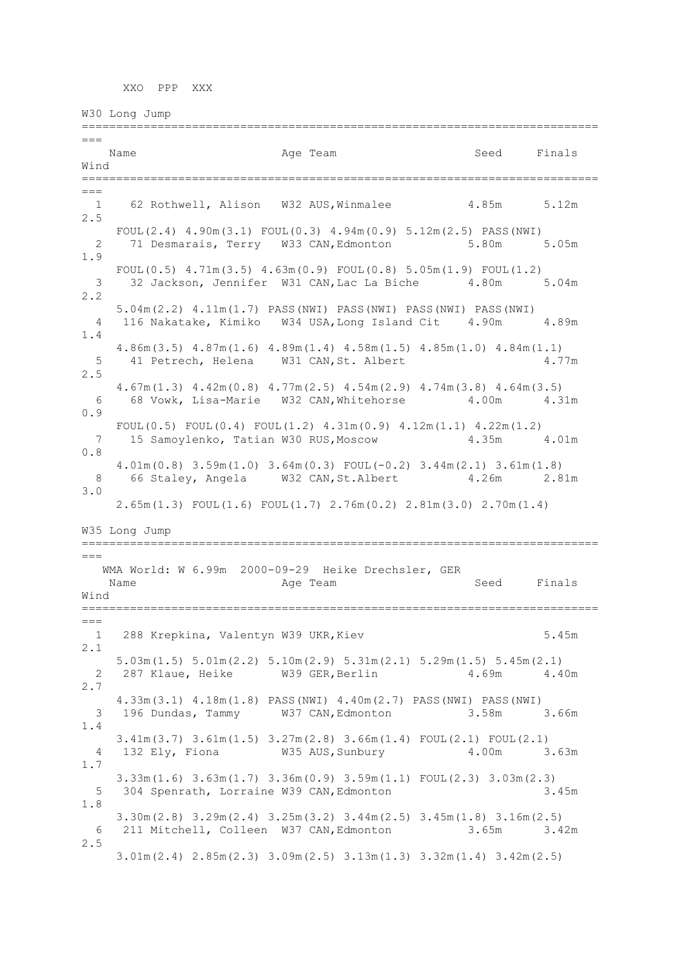XXO PPP XXX

W30 Long Jump ===========================================================================  $=$ Name Age Team Seed Finals Wind ===========================================================================  $=$  1 62 Rothwell, Alison W32 AUS,Winmalee 4.85m 5.12m 2.5 FOUL(2.4) 4.90m(3.1) FOUL(0.3) 4.94m(0.9) 5.12m(2.5) PASS(NWI) 2 71 Desmarais, Terry W33 CAN,Edmonton 5.80m 5.05m 1.9 FOUL $(0.5)$  4.71m $(3.5)$  4.63m $(0.9)$  FOUL $(0.8)$  5.05m $(1.9)$  FOUL $(1.2)$  3 32 Jackson, Jennifer W31 CAN,Lac La Biche 4.80m 5.04m 2.2 5.04m(2.2) 4.11m(1.7) PASS(NWI) PASS(NWI) PASS(NWI) PASS(NWI) 4 116 Nakatake, Kimiko W34 USA,Long Island Cit 4.90m 4.89m 1.4 4.86m(3.5) 4.87m(1.6) 4.89m(1.4) 4.58m(1.5) 4.85m(1.0) 4.84m(1.1) 5 41 Petrech, Helena W31 CAN, St. Albert 4.77m 2.5 4.67m(1.3) 4.42m(0.8) 4.77m(2.5) 4.54m(2.9) 4.74m(3.8) 4.64m(3.5) 6 68 Vowk, Lisa-Marie W32 CAN,Whitehorse 4.00m 4.31m  $0.9$  FOUL(0.5) FOUL(0.4) FOUL(1.2) 4.31m(0.9) 4.12m(1.1) 4.22m(1.2) 7 15 Samoylenko, Tatian W30 RUS,Moscow 4.35m 4.01m 0.8 4.01m(0.8) 3.59m(1.0) 3.64m(0.3) FOUL(-0.2) 3.44m(2.1) 3.61m(1.8) 8 66 Staley, Angela W32 CAN,St.Albert 4.26m 2.81m 3.0 2.65m(1.3) FOUL(1.6) FOUL(1.7) 2.76m(0.2) 2.81m(3.0) 2.70m(1.4) W35 Long Jump ===========================================================================  $=$  WMA World: W 6.99m 2000-09-29 Heike Drechsler, GER Name Age Team Seed Finals Wind ===========================================================================  $=$  1 288 Krepkina, Valentyn W39 UKR,Kiev 5.45m 2.1 5.03m(1.5) 5.01m(2.2) 5.10m(2.9) 5.31m(2.1) 5.29m(1.5) 5.45m(2.1) 2 287 Klaue, Heike W39 GER, Berlin 4.69m 4.40m 2.7 4.33m(3.1) 4.18m(1.8) PASS(NWI) 4.40m(2.7) PASS(NWI) PASS(NWI) 3 196 Dundas, Tammy W37 CAN,Edmonton 3.58m 3.66m 1.4 3.41m(3.7) 3.61m(1.5) 3.27m(2.8) 3.66m(1.4) FOUL(2.1) FOUL(2.1) 4 132 Ely, Fiona W35 AUS,Sunbury 4.00m 3.63m 1.7 3.33m(1.6) 3.63m(1.7) 3.36m(0.9) 3.59m(1.1) FOUL(2.3) 3.03m(2.3) 5 304 Spenrath, Lorraine W39 CAN,Edmonton 3.45m 1.8 3.30m(2.8) 3.29m(2.4) 3.25m(3.2) 3.44m(2.5) 3.45m(1.8) 3.16m(2.5) 6 211 Mitchell, Colleen W37 CAN,Edmonton 3.65m 3.42m 2.5 3.01m(2.4) 2.85m(2.3) 3.09m(2.5) 3.13m(1.3) 3.32m(1.4) 3.42m(2.5)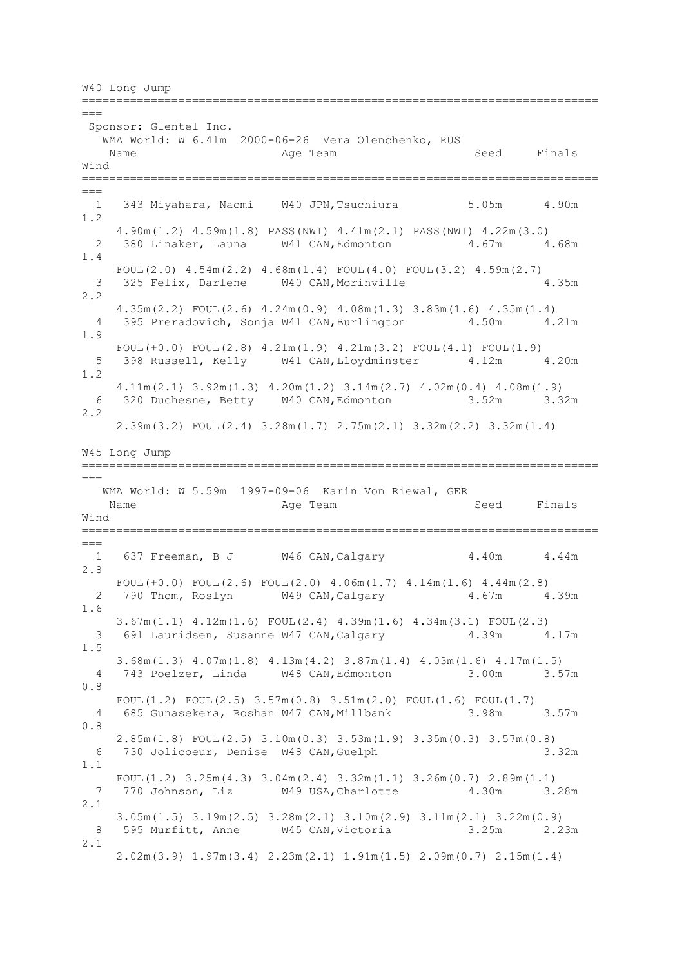W40 Long Jump

===========================================================================  $=$ Sponsor: Glentel Inc. WMA World: W 6.41m 2000-06-26 Vera Olenchenko, RUS Name **Age Team** Age Team Seed Finals Wind ===========================================================================  $==-$  1 343 Miyahara, Naomi W40 JPN,Tsuchiura 5.05m 4.90m 1.2 4.90m(1.2) 4.59m(1.8) PASS(NWI) 4.41m(2.1) PASS(NWI) 4.22m(3.0) 2 380 Linaker, Launa W41 CAN, Edmonton 4.67m 4.68m 1.4 FOUL(2.0) 4.54m(2.2) 4.68m(1.4) FOUL(4.0) FOUL(3.2) 4.59m(2.7) 3 325 Felix, Darlene W40 CAN, Morinville 4.35m 2.2 4.35m(2.2) FOUL(2.6) 4.24m(0.9) 4.08m(1.3) 3.83m(1.6) 4.35m(1.4) 4 395 Preradovich, Sonja W41 CAN, Burlington 4.50m 4.21m 1.9 FOUL $(+0.0)$  FOUL $(2.8)$  4.21m $(1.9)$  4.21m $(3.2)$  FOUL $(4.1)$  FOUL $(1.9)$  5 398 Russell, Kelly W41 CAN,Lloydminster 4.12m 4.20m 1.2 4.11m(2.1) 3.92m(1.3) 4.20m(1.2) 3.14m(2.7) 4.02m(0.4) 4.08m(1.9) 6 320 Duchesne, Betty W40 CAN,Edmonton 3.52m 3.32m 2.2 2.39m(3.2) FOUL(2.4) 3.28m(1.7) 2.75m(2.1) 3.32m(2.2) 3.32m(1.4) W45 Long Jump ===========================================================================  $=$  WMA World: W 5.59m 1997-09-06 Karin Von Riewal, GER Name **Age Team** Age Team Seed Finals Wind ===========================================================================  $==$ 1 637 Freeman, B J W46 CAN, Calgary 4.40m 4.44m 2.8 FOUL(+0.0) FOUL(2.6) FOUL(2.0)  $4.06m(1.7)$   $4.14m(1.6)$   $4.44m(2.8)$ 2 790 Thom, Roslyn W49 CAN, Calgary 4.67m 4.39m 1.6 3.67m(1.1) 4.12m(1.6) FOUL(2.4) 4.39m(1.6) 4.34m(3.1) FOUL(2.3) 3 691 Lauridsen, Susanne W47 CAN,Calgary 4.39m 4.17m 1.5 3.68m(1.3) 4.07m(1.8) 4.13m(4.2) 3.87m(1.4) 4.03m(1.6) 4.17m(1.5) 4 743 Poelzer, Linda W48 CAN,Edmonton 3.00m 3.57m 0.8 FOUL $(1.2)$  FOUL $(2.5)$  3.57m $(0.8)$  3.51m $(2.0)$  FOUL $(1.6)$  FOUL $(1.7)$  4 685 Gunasekera, Roshan W47 CAN,Millbank 3.98m 3.57m 0.8 2.85m(1.8) FOUL(2.5) 3.10m(0.3) 3.53m(1.9) 3.35m(0.3) 3.57m(0.8) 6 730 Jolicoeur, Denise W48 CAN,Guelph 3.32m 1.1 FOUL $(1.2)$  3.25m $(4.3)$  3.04m $(2.4)$  3.32m $(1.1)$  3.26m $(0.7)$  2.89m $(1.1)$  7 770 Johnson, Liz W49 USA,Charlotte 4.30m 3.28m 2.1 3.05m(1.5) 3.19m(2.5) 3.28m(2.1) 3.10m(2.9) 3.11m(2.1) 3.22m(0.9) 8 595 Murfitt, Anne W45 CAN,Victoria 3.25m 2.23m 2.1 2.02m(3.9) 1.97m(3.4) 2.23m(2.1) 1.91m(1.5) 2.09m(0.7) 2.15m(1.4)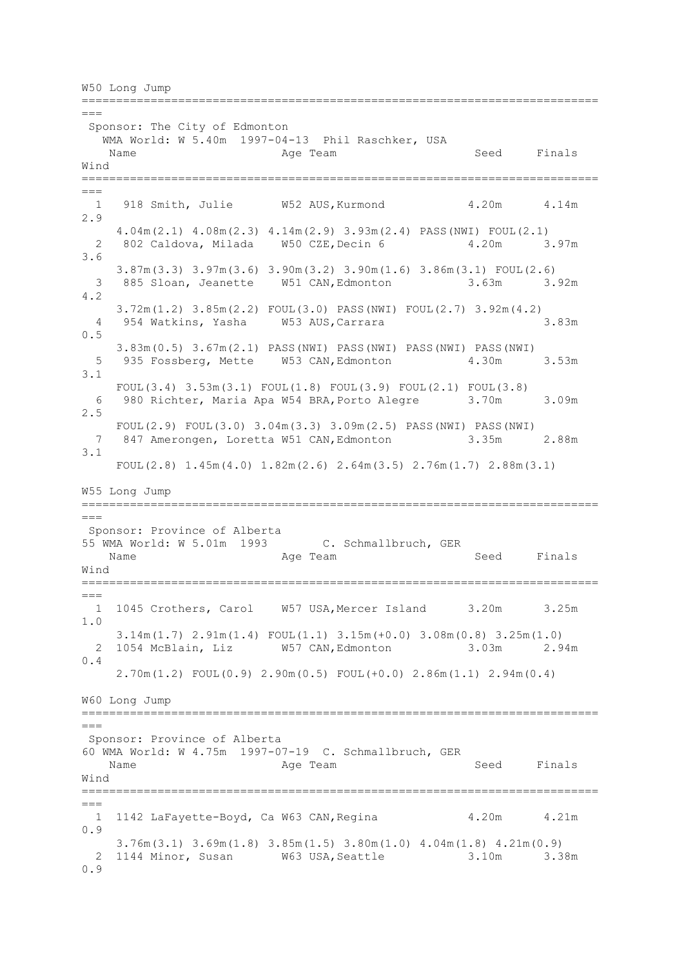W50 Long Jump

===========================================================================  $=$ Sponsor: The City of Edmonton WMA World: W 5.40m 1997-04-13 Phil Raschker, USA Name **Age Team** Age Team Seed Finals Wind ===========================================================================  $==-$ 1 918 Smith, Julie W52 AUS, Kurmond 4.20m 4.14m 2.9 4.04m(2.1) 4.08m(2.3) 4.14m(2.9) 3.93m(2.4) PASS(NWI) FOUL(2.1) 2 802 Caldova, Milada W50 CZE,Decin 6 4.20m 3.97m 3.6 3.87m(3.3) 3.97m(3.6) 3.90m(3.2) 3.90m(1.6) 3.86m(3.1) FOUL(2.6) 3 885 Sloan, Jeanette W51 CAN,Edmonton 3.63m 3.92m 4.2 3.72m(1.2) 3.85m(2.2) FOUL(3.0) PASS(NWI) FOUL(2.7) 3.92m(4.2) 4 954 Watkins, Yasha W53 AUS,Carrara 3.83m 0.5 3.83m(0.5) 3.67m(2.1) PASS(NWI) PASS(NWI) PASS(NWI) PASS(NWI) 5 935 Fossberg, Mette W53 CAN,Edmonton 4.30m 3.53m 3.1 FOUL(3.4) 3.53m(3.1) FOUL(1.8) FOUL(3.9) FOUL(2.1) FOUL(3.8) 6 980 Richter, Maria Apa W54 BRA,Porto Alegre 3.70m 3.09m 2.5 FOUL(2.9) FOUL(3.0) 3.04m(3.3) 3.09m(2.5) PASS(NWI) PASS(NWI) 7 847 Amerongen, Loretta W51 CAN,Edmonton 3.35m 2.88m 3.1 FOUL(2.8) 1.45m(4.0) 1.82m(2.6) 2.64m(3.5) 2.76m(1.7) 2.88m(3.1) W55 Long Jump =========================================================================== === Sponsor: Province of Alberta 55 WMA World: W 5.01m 1993 C. Schmallbruch, GER Name Age Team Seed Finals Wind ===========================================================================  $=$  1 1045 Crothers, Carol W57 USA,Mercer Island 3.20m 3.25m 1.0 3.14m(1.7) 2.91m(1.4) FOUL(1.1) 3.15m(+0.0) 3.08m(0.8) 3.25m(1.0) 2 1054 McBlain, Liz W57 CAN,Edmonton 3.03m 2.94m 0.4 2.70m(1.2) FOUL(0.9) 2.90m(0.5) FOUL(+0.0) 2.86m(1.1) 2.94m(0.4) W60 Long Jump ===========================================================================  $---$ Sponsor: Province of Alberta 60 WMA World: W 4.75m 1997-07-19 C. Schmallbruch, GER Name **Age Team** Age Team Seed Finals Wind =========================================================================== === 1 1142 LaFayette-Boyd, Ca W63 CAN,Regina 4.20m 4.21m 0.9 3.76m(3.1) 3.69m(1.8) 3.85m(1.5) 3.80m(1.0) 4.04m(1.8) 4.21m(0.9) 2 1144 Minor, Susan W63 USA,Seattle 3.10m 3.38m 0.9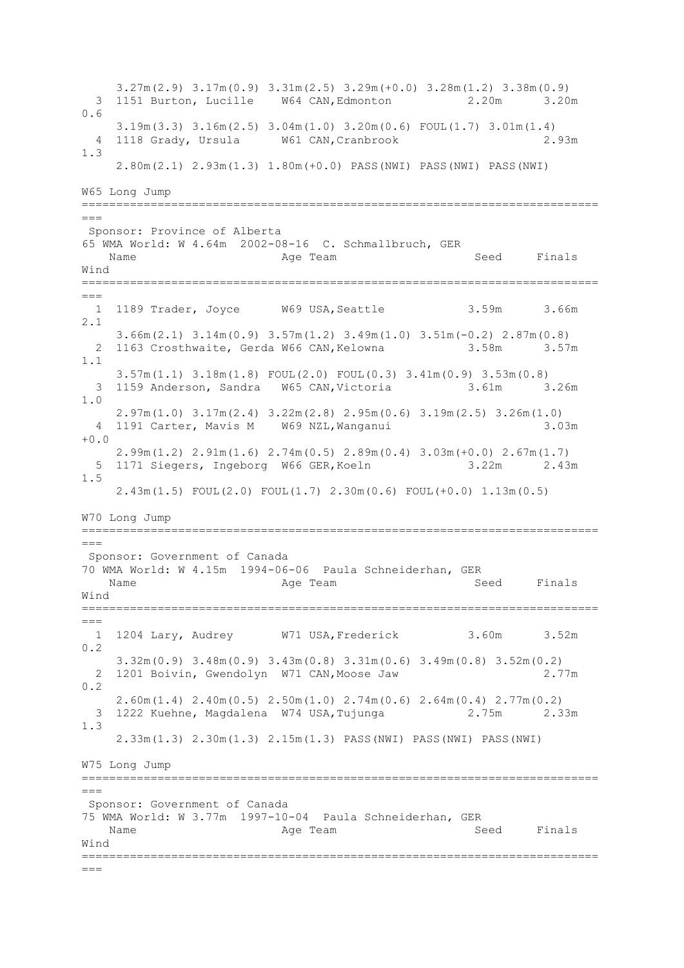3.27m(2.9) 3.17m(0.9) 3.31m(2.5) 3.29m(+0.0) 3.28m(1.2) 3.38m(0.9) 3 1151 Burton, Lucille W64 CAN,Edmonton 2.20m 3.20m 0.6 3.19m(3.3) 3.16m(2.5) 3.04m(1.0) 3.20m(0.6) FOUL(1.7) 3.01m(1.4) 4 1118 Grady, Ursula W61 CAN,Cranbrook 2.93m 1.3 2.80m(2.1) 2.93m(1.3) 1.80m(+0.0) PASS(NWI) PASS(NWI) PASS(NWI) W65 Long Jump ===========================================================================  $---$ Sponsor: Province of Alberta 65 WMA World: W 4.64m 2002-08-16 C. Schmallbruch, GER Name **Age Team** Age Team Seed Finals Wind ===========================================================================  $---$ 1 1189 Trader, Joyce W69 USA, Seattle 3.59m 3.66m 2.1 3.66m(2.1) 3.14m(0.9) 3.57m(1.2) 3.49m(1.0) 3.51m(-0.2) 2.87m(0.8) 2 1163 Crosthwaite, Gerda W66 CAN, Kelowna 3.58m 3.57m 1.1 3.57m(1.1) 3.18m(1.8) FOUL(2.0) FOUL(0.3) 3.41m(0.9) 3.53m(0.8) 3 1159 Anderson, Sandra W65 CAN,Victoria 3.61m 3.26m 1.0 2.97m(1.0) 3.17m(2.4) 3.22m(2.8) 2.95m(0.6) 3.19m(2.5) 3.26m(1.0) 4 1191 Carter, Mavis M W69 NZL,Wanganui 3.03m  $+0.0$  2.99m(1.2) 2.91m(1.6) 2.74m(0.5) 2.89m(0.4) 3.03m(+0.0) 2.67m(1.7) 5 1171 Siegers, Ingeborg W66 GER,Koeln 3.22m 2.43m 1.5 2.43m(1.5) FOUL(2.0) FOUL(1.7) 2.30m(0.6) FOUL(+0.0) 1.13m(0.5) W70 Long Jump ===========================================================================  $-$ Sponsor: Government of Canada 70 WMA World: W 4.15m 1994-06-06 Paula Schneiderhan, GER Name Age Team Seed Finals Wind ===========================================================================  $=$  1 1204 Lary, Audrey W71 USA,Frederick 3.60m 3.52m 0.2 3.32m(0.9) 3.48m(0.9) 3.43m(0.8) 3.31m(0.6) 3.49m(0.8) 3.52m(0.2) 2 1201 Boivin, Gwendolyn W71 CAN,Moose Jaw 2.77m 0.2 2.60m(1.4) 2.40m(0.5) 2.50m(1.0) 2.74m(0.6) 2.64m(0.4) 2.77m(0.2) 3 1222 Kuehne, Magdalena W74 USA,Tujunga 2.75m 2.33m 1.3 2.33m(1.3) 2.30m(1.3) 2.15m(1.3) PASS(NWI) PASS(NWI) PASS(NWI) W75 Long Jump =========================================================================== === Sponsor: Government of Canada 75 WMA World: W 3.77m 1997-10-04 Paula Schneiderhan, GER Name Age Team Seed Finals Wind ===========================================================================  $=-$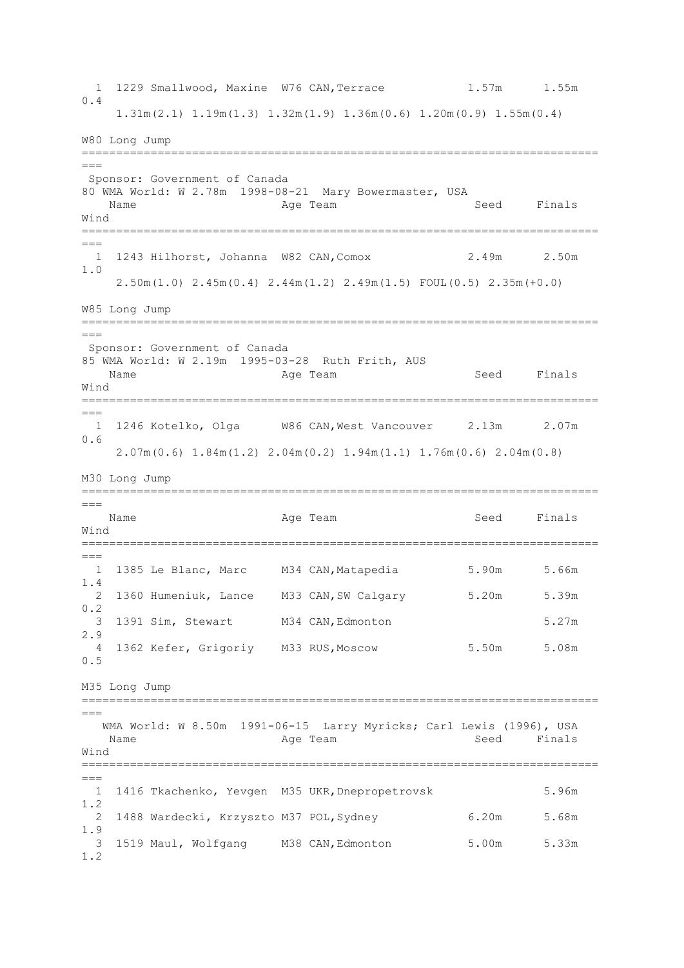1 1229 Smallwood, Maxine W76 CAN, Terrace 1.57m 1.55m 0.4 1.31m(2.1) 1.19m(1.3) 1.32m(1.9) 1.36m(0.6) 1.20m(0.9) 1.55m(0.4) W80 Long Jump ===========================================================================  $=$ Sponsor: Government of Canada 80 WMA World: W 2.78m 1998-08-21 Mary Bowermaster, USA Name **Age Team** Age Team Seed Finals Wind ===========================================================================  $==-$  1 1243 Hilhorst, Johanna W82 CAN,Comox 2.49m 2.50m 1.0 2.50m(1.0) 2.45m(0.4) 2.44m(1.2) 2.49m(1.5) FOUL(0.5) 2.35m(+0.0) W85 Long Jump =========================================================================== === Sponsor: Government of Canada 85 WMA World: W 2.19m 1995-03-28 Ruth Frith, AUS Name **Age Team** Age Team Seed Finals Wind ===========================================================================  $---$  1 1246 Kotelko, Olga W86 CAN,West Vancouver 2.13m 2.07m 0.6 2.07m(0.6) 1.84m(1.2) 2.04m(0.2) 1.94m(1.1) 1.76m(0.6) 2.04m(0.8) M30 Long Jump ===========================================================================  $---$ Name **Age Team** Age Team Seed Finals Wind ===========================================================================  $==-$  1 1385 Le Blanc, Marc M34 CAN,Matapedia 5.90m 5.66m 1.4 2 1360 Humeniuk, Lance M33 CAN,SW Calgary 5.20m 5.39m  $0.2$  3 1391 Sim, Stewart M34 CAN,Edmonton 5.27m 2.9 4 1362 Kefer, Grigoriy M33 RUS,Moscow 5.50m 5.08m 0.5 M35 Long Jump ===========================================================================  $=$  WMA World: W 8.50m 1991-06-15 Larry Myricks; Carl Lewis (1996), USA Name Age Team Seed Finals Wind =========================================================================== === 1 1416 Tkachenko, Yevgen M35 UKR,Dnepropetrovsk 5.96m 1.2 2 1488 Wardecki, Krzyszto M37 POL,Sydney 6.20m 5.68m 1.9 3 1519 Maul, Wolfgang M38 CAN,Edmonton 5.00m 5.33m 1.2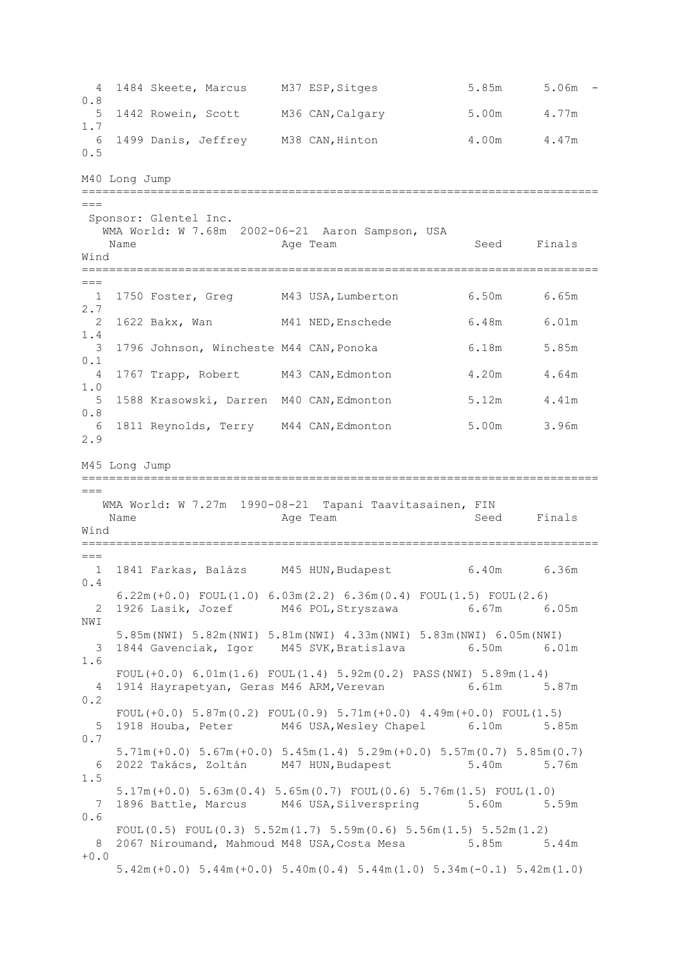4 1484 Skeete, Marcus M37 ESP,Sitges 5.85m 5.06m - 0.8 5 1442 Rowein, Scott M36 CAN,Calgary 5.00m 4.77m 1.7 6 1499 Danis, Jeffrey M38 CAN, Hinton 4.00m 4.47m 0.5 M40 Long Jump ===========================================================================  $---$ Sponsor: Glentel Inc. WMA World: W 7.68m 2002-06-21 Aaron Sampson, USA Name Register Age Team Name Seed Finals Wind ===========================================================================  $---$ 1 1750 Foster, Greg M43 USA, Lumberton 6.50m 6.65m 2.7 2 1622 Bakx, Wan M41 NED,Enschede 6.48m 6.01m 1.4 3 1796 Johnson, Wincheste M44 CAN,Ponoka 6.18m 5.85m 0.1 4 1767 Trapp, Robert M43 CAN,Edmonton 4.20m 4.64m 1.0 5 1588 Krasowski, Darren M40 CAN,Edmonton 5.12m 4.41m 0.8 6 1811 Reynolds, Terry M44 CAN,Edmonton 5.00m 3.96m 2.9 M45 Long Jump ===========================================================================  $=$  WMA World: W 7.27m 1990-08-21 Tapani Taavitasainen, FIN Name Age Team Seed Finals Wind ===========================================================================  $=$  1 1841 Farkas, Balázs M45 HUN,Budapest 6.40m 6.36m 0.4 6.22m(+0.0) FOUL(1.0) 6.03m(2.2) 6.36m(0.4) FOUL(1.5) FOUL(2.6) 2 1926 Lasik, Jozef M46 POL,Stryszawa 6.67m 6.05m NWI 5.85m(NWI) 5.82m(NWI) 5.81m(NWI) 4.33m(NWI) 5.83m(NWI) 6.05m(NWI) 3 1844 Gavenciak, Igor M45 SVK,Bratislava 6.50m 6.01m 1.6 FOUL(+0.0)  $6.01 \text{m}(1.6)$  FOUL(1.4)  $5.92 \text{m}(0.2)$  PASS(NWI)  $5.89 \text{m}(1.4)$  4 1914 Hayrapetyan, Geras M46 ARM,Verevan 6.61m 5.87m 0.2 FOUL( $+0.0$ )  $5.87$ m( $0.2$ ) FOUL( $0.9$ )  $5.71$ m( $+0.0$ )  $4.49$ m( $+0.0$ ) FOUL( $1.5$ ) 5 1918 Houba, Peter M46 USA,Wesley Chapel 6.10m 5.85m 0.7 5.71m(+0.0) 5.67m(+0.0) 5.45m(1.4) 5.29m(+0.0) 5.57m(0.7) 5.85m(0.7) 6 2022 Takács, Zoltán M47 HUN,Budapest 5.40m 5.76m 1.5 5.17m(+0.0) 5.63m(0.4) 5.65m(0.7) FOUL(0.6) 5.76m(1.5) FOUL(1.0) 7 1896 Battle, Marcus M46 USA,Silverspring 5.60m 5.59m 0.6 FOUL(0.5) FOUL(0.3)  $5.52m(1.7)$   $5.59m(0.6)$   $5.56m(1.5)$   $5.52m(1.2)$ 8 2067 Niroumand, Mahmoud M48 USA, Costa Mesa 5.85m 5.44m  $+0.0$ 5.42m(+0.0) 5.44m(+0.0) 5.40m(0.4) 5.44m(1.0) 5.34m(-0.1) 5.42m(1.0)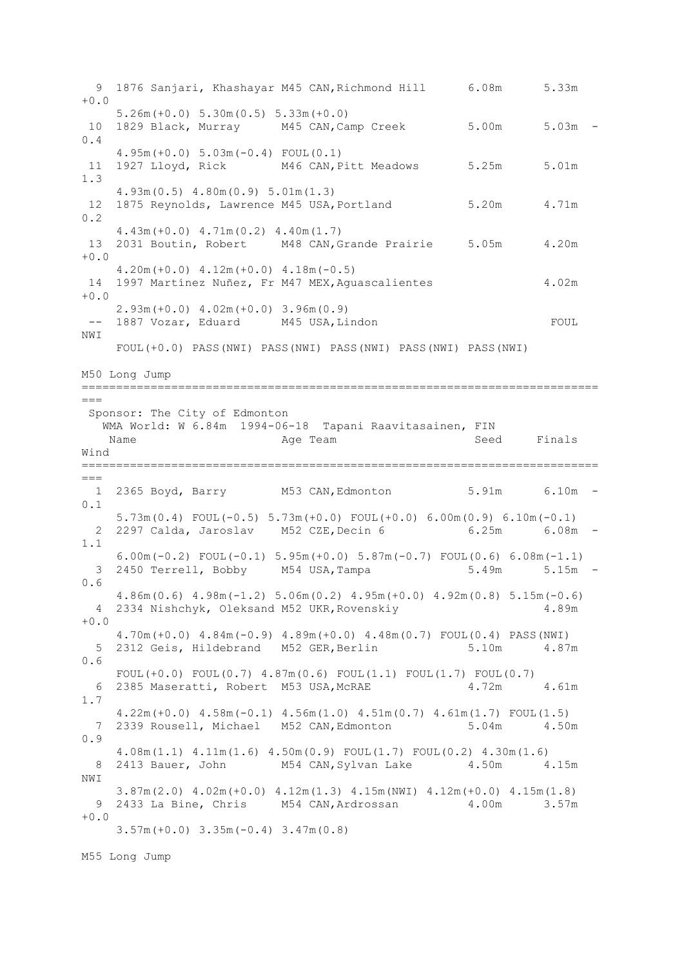9 1876 Sanjari, Khashayar M45 CAN,Richmond Hill 6.08m 5.33m  $+0.0$  5.26m(+0.0) 5.30m(0.5) 5.33m(+0.0) 10 1829 Black, Murray M45 CAN,Camp Creek 5.00m 5.03m - 0.4 4.95m(+0.0) 5.03m(-0.4) FOUL(0.1) 11 1927 Lloyd, Rick M46 CAN,Pitt Meadows 5.25m 5.01m 1.3 4.93m(0.5) 4.80m(0.9) 5.01m(1.3) 12 1875 Reynolds, Lawrence M45 USA, Portland 5.20m 4.71m 0.2 4.43m(+0.0) 4.71m(0.2) 4.40m(1.7) 13 2031 Boutin, Robert M48 CAN,Grande Prairie 5.05m 4.20m  $+0.0$  4.20m(+0.0) 4.12m(+0.0) 4.18m(-0.5) 14 1997 Martínez Nuñez, Fr M47 MEX,Aguascalientes 4.02m  $+0.0$  2.93m(+0.0) 4.02m(+0.0) 3.96m(0.9) -- 1887 Vozar, Eduard M45 USA, Lindon FOUL NWI FOUL(+0.0) PASS(NWI) PASS(NWI) PASS(NWI) PASS(NWI) PASS(NWI) M50 Long Jump ===========================================================================  $---$ Sponsor: The City of Edmonton WMA World: W 6.84m 1994-06-18 Tapani Raavitasainen, FIN Name **Age Team** Age Team Seed Finals Wind ===========================================================================  $=$ 1 2365 Boyd, Barry M53 CAN, Edmonton 5.91m 6.10m -0.1 5.73m(0.4) FOUL(-0.5) 5.73m(+0.0) FOUL(+0.0) 6.00m(0.9) 6.10m(-0.1) 2 2297 Calda, Jaroslav M52 CZE,Decin 6 6.25m 6.08m - 1.1 6.00m(-0.2) FOUL(-0.1) 5.95m(+0.0) 5.87m(-0.7) FOUL(0.6) 6.08m(-1.1) 3 2450 Terrell, Bobby M54 USA,Tampa 5.49m 5.15m - 0.6 4.86m(0.6) 4.98m(-1.2) 5.06m(0.2) 4.95m(+0.0) 4.92m(0.8) 5.15m(-0.6) 4 2334 Nishchyk, Oleksand M52 UKR,Rovenskiy 4.89m  $+0.0$  4.70m(+0.0) 4.84m(-0.9) 4.89m(+0.0) 4.48m(0.7) FOUL(0.4) PASS(NWI) 5 2312 Geis, Hildebrand M52 GER,Berlin 5.10m 4.87m 0.6 FOUL $(+0.0)$  FOUL $(0.7)$  4.87m $(0.6)$  FOUL $(1.1)$  FOUL $(1.7)$  FOUL $(0.7)$ 6 2385 Maseratti, Robert M53 USA, McRAE 4.72m 4.61m 1.7 4.22m(+0.0) 4.58m(-0.1) 4.56m(1.0) 4.51m(0.7) 4.61m(1.7) FOUL(1.5) 7 2339 Rousell, Michael M52 CAN,Edmonton 5.04m 4.50m 0.9 4.08m(1.1) 4.11m(1.6) 4.50m(0.9) FOUL(1.7) FOUL(0.2) 4.30m(1.6) 8 2413 Bauer, John M54 CAN, Sylvan Lake 4.50m 4.15m NWI 3.87m(2.0) 4.02m(+0.0) 4.12m(1.3) 4.15m(NWI) 4.12m(+0.0) 4.15m(1.8) 9 2433 La Bine, Chris M54 CAN,Ardrossan 4.00m 3.57m  $+0.0$ 3.57m(+0.0) 3.35m(-0.4) 3.47m(0.8)

M55 Long Jump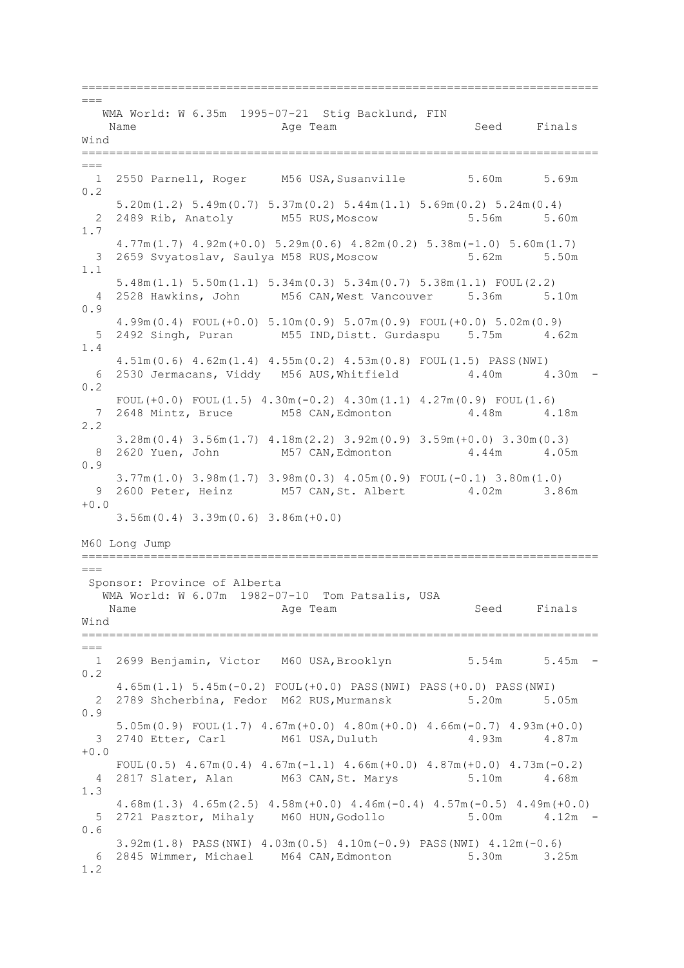===========================================================================  $=$  WMA World: W 6.35m 1995-07-21 Stig Backlund, FIN Name **Age Team** Age Team Seed Finals Wind ===========================================================================  $=$ 1 2550 Parnell, Roger M56 USA, Susanville 5.60m 5.69m 0.2 5.20m(1.2) 5.49m(0.7) 5.37m(0.2) 5.44m(1.1) 5.69m(0.2) 5.24m(0.4) 2 2489 Rib, Anatoly M55 RUS,Moscow 5.56m 5.60m 1.7 4.77m(1.7) 4.92m(+0.0) 5.29m(0.6) 4.82m(0.2) 5.38m(-1.0) 5.60m(1.7) 3 2659 Svyatoslav, Saulya M58 RUS,Moscow 5.62m 5.50m 1.1 5.48m(1.1) 5.50m(1.1) 5.34m(0.3) 5.34m(0.7) 5.38m(1.1) FOUL(2.2) 4 2528 Hawkins, John M56 CAN,West Vancouver 5.36m 5.10m 0.9 4.99m(0.4) FOUL(+0.0) 5.10m(0.9) 5.07m(0.9) FOUL(+0.0) 5.02m(0.9) 5 2492 Singh, Puran M55 IND,Distt. Gurdaspu 5.75m 4.62m 1.4 4.51m(0.6) 4.62m(1.4) 4.55m(0.2) 4.53m(0.8) FOUL(1.5) PASS(NWI) 6 2530 Jermacans, Viddy M56 AUS,Whitfield 4.40m 4.30m - 0.2 FOUL $(+0.0)$  FOUL $(1.5)$   $4.30$ m $(-0.2)$   $4.30$ m $(1.1)$   $4.27$ m $(0.9)$  FOUL $(1.6)$  7 2648 Mintz, Bruce M58 CAN,Edmonton 4.48m 4.18m 2.2 3.28m(0.4) 3.56m(1.7) 4.18m(2.2) 3.92m(0.9) 3.59m(+0.0) 3.30m(0.3) 8 2620 Yuen, John M57 CAN, Edmonton 4.44m 4.05m 0.9 3.77m(1.0) 3.98m(1.7) 3.98m(0.3) 4.05m(0.9) FOUL(-0.1) 3.80m(1.0) 9 2600 Peter, Heinz M57 CAN,St. Albert 4.02m 3.86m  $+0.0$  3.56m(0.4) 3.39m(0.6) 3.86m(+0.0) M60 Long Jump ===========================================================================  $---$ Sponsor: Province of Alberta WMA World: W 6.07m 1982-07-10 Tom Patsalis, USA Name **Age Team** Age Team Seed Finals Wind ===========================================================================  $---$  1 2699 Benjamin, Victor M60 USA,Brooklyn 5.54m 5.45m - 0.2 4.65m(1.1) 5.45m(-0.2) FOUL(+0.0) PASS(NWI) PASS(+0.0) PASS(NWI) 2 2789 Shcherbina, Fedor M62 RUS,Murmansk 5.20m 5.05m 0.9 5.05m(0.9) FOUL(1.7) 4.67m(+0.0) 4.80m(+0.0) 4.66m(-0.7) 4.93m(+0.0) 3 2740 Etter, Carl M61 USA, Duluth 4.93m  $+0.0$ FOUL(0.5)  $4.67m(0.4)$   $4.67m(-1.1)$   $4.66m(+0.0)$   $4.87m(+0.0)$   $4.73m(-0.2)$  4 2817 Slater, Alan M63 CAN,St. Marys 5.10m 4.68m 1.3 4.68m(1.3) 4.65m(2.5) 4.58m(+0.0) 4.46m(-0.4) 4.57m(-0.5) 4.49m(+0.0) 5 2721 Pasztor, Mihaly M60 HUN,Godollo 5.00m 4.12m - 0.6 3.92m(1.8) PASS(NWI) 4.03m(0.5) 4.10m(-0.9) PASS(NWI) 4.12m(-0.6) 6 2845 Wimmer, Michael M64 CAN,Edmonton 5.30m 3.25m 1.2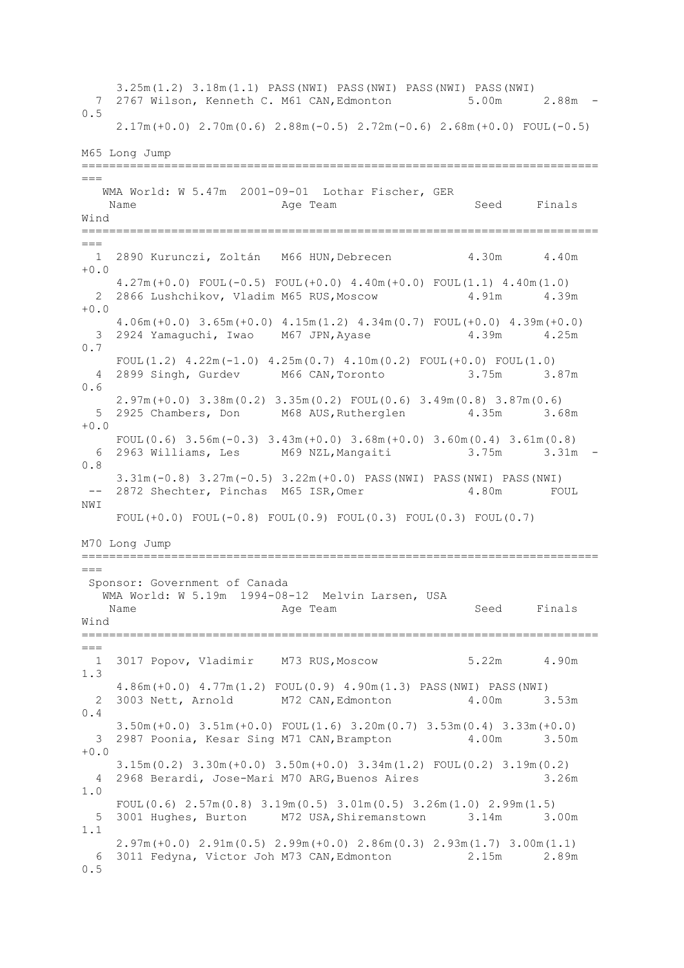3.25m(1.2) 3.18m(1.1) PASS(NWI) PASS(NWI) PASS(NWI) PASS(NWI) 7 2767 Wilson, Kenneth C. M61 CAN,Edmonton 5.00m 2.88m - 0.5 2.17m(+0.0) 2.70m(0.6) 2.88m(-0.5) 2.72m(-0.6) 2.68m(+0.0) FOUL(-0.5) M65 Long Jump ===========================================================================  $---$  WMA World: W 5.47m 2001-09-01 Lothar Fischer, GER Name **Age Team** Age Team Seed Finals Wind ===========================================================================  $=$  1 2890 Kurunczi, Zoltán M66 HUN,Debrecen 4.30m 4.40m  $+0.0$  4.27m(+0.0) FOUL(-0.5) FOUL(+0.0) 4.40m(+0.0) FOUL(1.1) 4.40m(1.0) 2 2866 Lushchikov, Vladim M65 RUS, Moscow 4.91m 4.39m +0.0 4.06m(+0.0) 3.65m(+0.0) 4.15m(1.2) 4.34m(0.7) FOUL(+0.0) 4.39m(+0.0) 3 2924 Yamaguchi, Iwao M67 JPN,Ayase 4.39m 4.25m 0.7 FOUL $(1.2)$   $4.22$ m $(-1.0)$   $4.25$ m $(0.7)$   $4.10$ m $(0.2)$  FOUL $(+0.0)$  FOUL $(1.0)$  4 2899 Singh, Gurdev M66 CAN,Toronto 3.75m 3.87m 0.6 2.97m(+0.0) 3.38m(0.2) 3.35m(0.2) FOUL(0.6) 3.49m(0.8) 3.87m(0.6) 5 2925 Chambers, Don M68 AUS,Rutherglen 4.35m 3.68m  $+0.0$ FOUL(0.6) 3.56m(-0.3) 3.43m(+0.0) 3.68m(+0.0) 3.60m(0.4) 3.61m(0.8)<br>2963 Williams, Les M69 NZL, Mangaiti 3.75m 3.31m -6 2963 Williams, Les M69 NZL, Mangaiti 0.8 3.31m(-0.8) 3.27m(-0.5) 3.22m(+0.0) PASS(NWI) PASS(NWI) PASS(NWI) 2872 Shechter, Pinchas M65 ISR, Omer 4.80m FOUL NW<sub>T</sub> FOUL(+0.0) FOUL(-0.8) FOUL(0.9) FOUL(0.3) FOUL(0.3) FOUL(0.7) M70 Long Jump ===========================================================================  $---$ Sponsor: Government of Canada WMA World: W 5.19m 1994-08-12 Melvin Larsen, USA Name **Age Team** Age Team Seed Finals Wind ===========================================================================  $---$  1 3017 Popov, Vladimir M73 RUS,Moscow 5.22m 4.90m 1.3 4.86m(+0.0) 4.77m(1.2) FOUL(0.9) 4.90m(1.3) PASS(NWI) PASS(NWI) 2 3003 Nett, Arnold M72 CAN,Edmonton 4.00m 3.53m 0.4 3.50m(+0.0) 3.51m(+0.0) FOUL(1.6) 3.20m(0.7) 3.53m(0.4) 3.33m(+0.0) 3 2987 Poonia, Kesar Sing M71 CAN, Brampton  $4.00m$  $+0.0$  3.15m(0.2) 3.30m(+0.0) 3.50m(+0.0) 3.34m(1.2) FOUL(0.2) 3.19m(0.2) 4 2968 Berardi, Jose-Mari M70 ARG,Buenos Aires 3.26m 1.0 FOUL(0.6)  $2.57m(0.8)$   $3.19m(0.5)$   $3.01m(0.5)$   $3.26m(1.0)$   $2.99m(1.5)$  5 3001 Hughes, Burton M72 USA,Shiremanstown 3.14m 3.00m 1.1 2.97m(+0.0) 2.91m(0.5) 2.99m(+0.0) 2.86m(0.3) 2.93m(1.7) 3.00m(1.1) 6 3011 Fedyna, Victor Joh M73 CAN,Edmonton 2.15m 2.89m 0.5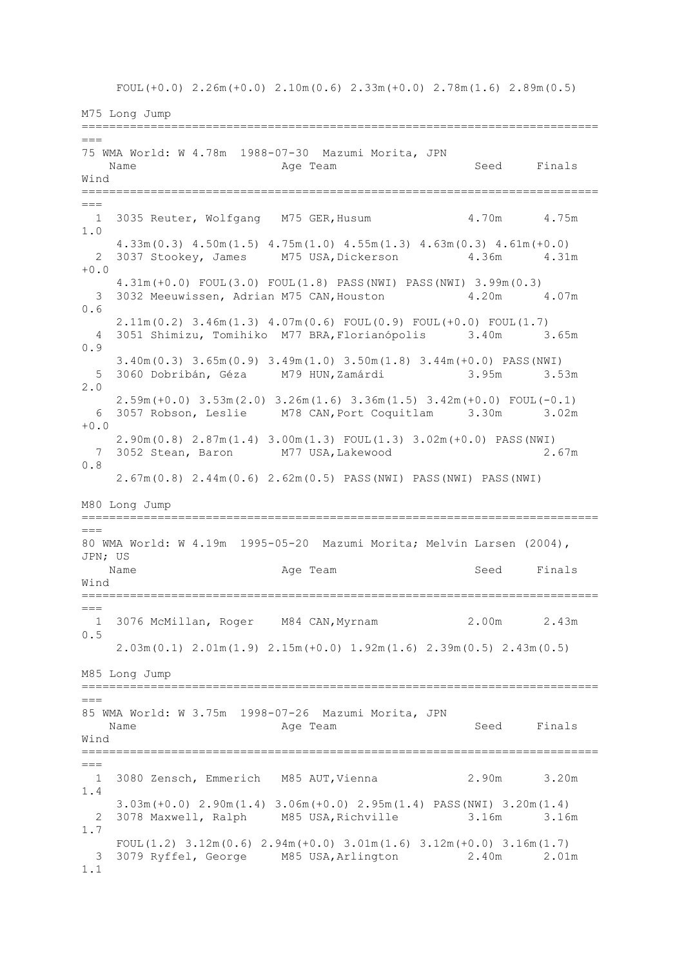FOUL  $(+0.0)$  2.26m  $(+0.0)$  2.10m  $(0.6)$  2.33m  $(+0.0)$  2.78m  $(1.6)$  2.89m  $(0.5)$ 

M75 Long Jump ===========================================================================  $=$ 75 WMA World: W 4.78m 1988-07-30 Mazumi Morita, JPN Name **Age Team** Age Team Seed Finals Wind ===========================================================================  $=$ 1 3035 Reuter, Wolfgang M75 GER, Husum 4.70m 4.75m 1.0 4.33m(0.3) 4.50m(1.5) 4.75m(1.0) 4.55m(1.3) 4.63m(0.3) 4.61m(+0.0) 2 3037 Stookey, James M75 USA, Dickerson 4.36m 4.31m +0.0 4.31m(+0.0) FOUL(3.0) FOUL(1.8) PASS(NWI) PASS(NWI) 3.99m(0.3) 3 3032 Meeuwissen, Adrian M75 CAN,Houston 4.20m 4.07m 0.6 2.11m(0.2) 3.46m(1.3) 4.07m(0.6) FOUL(0.9) FOUL(+0.0) FOUL(1.7) 4 3051 Shimizu, Tomihiko M77 BRA,Florianópolis 3.40m 3.65m 0.9 3.40m(0.3) 3.65m(0.9) 3.49m(1.0) 3.50m(1.8) 3.44m(+0.0) PASS(NWI) 5 3060 Dobribán, Géza M79 HUN,Zamárdi 3.95m 3.53m 2.0 2.59m(+0.0) 3.53m(2.0) 3.26m(1.6) 3.36m(1.5) 3.42m(+0.0) FOUL(-0.1) 6 3057 Robson, Leslie M78 CAN,Port Coquitlam 3.30m 3.02m +0.0 2.90m(0.8) 2.87m(1.4) 3.00m(1.3) FOUL(1.3) 3.02m(+0.0) PASS(NWI) 7 3052 Stean, Baron M77 USA,Lakewood 2.67m 0.8 2.67m(0.8) 2.44m(0.6) 2.62m(0.5) PASS(NWI) PASS(NWI) PASS(NWI) M80 Long Jump ===========================================================================  $===$ 80 WMA World: W 4.19m 1995-05-20 Mazumi Morita; Melvin Larsen (2004), JPN; US Name **Age Team** Age Team Seed Finals Wind ===========================================================================  $---$  1 3076 McMillan, Roger M84 CAN,Myrnam 2.00m 2.43m 0.5 2.03m(0.1) 2.01m(1.9) 2.15m(+0.0) 1.92m(1.6) 2.39m(0.5) 2.43m(0.5) M85 Long Jump ===========================================================================  $=$ 85 WMA World: W 3.75m 1998-07-26 Mazumi Morita, JPN Name **Age Team** Age Team Seed Finals Wind =========================================================================== === 1 3080 Zensch, Emmerich M85 AUT,Vienna 2.90m 3.20m 1.4 3.03m(+0.0) 2.90m(1.4) 3.06m(+0.0) 2.95m(1.4) PASS(NWI) 3.20m(1.4) 2 3078 Maxwell, Ralph M85 USA,Richville 3.16m 3.16m 1.7 FOUL(1.2) 3.12m(0.6) 2.94m(+0.0) 3.01m(1.6) 3.12m(+0.0) 3.16m(1.7) 3 3079 Ryffel, George M85 USA,Arlington 2.40m 2.01m 1.1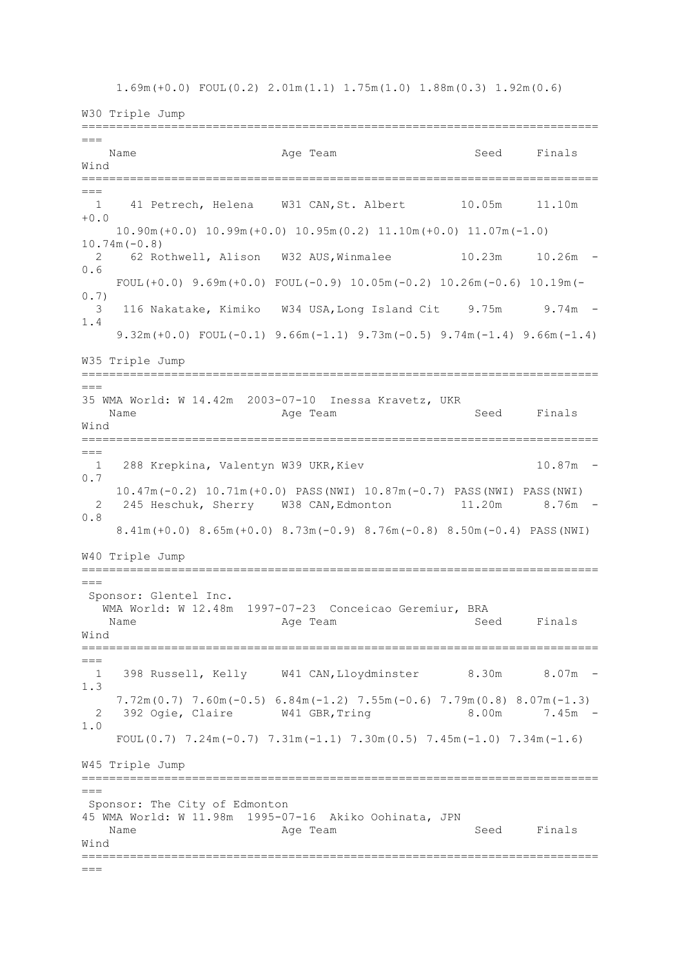1.69m(+0.0) FOUL(0.2) 2.01m(1.1) 1.75m(1.0) 1.88m(0.3) 1.92m(0.6)

W30 Triple Jump ===========================================================================  $=$ Name Age Team Seed Finals Wind ===========================================================================  $==-$  1 41 Petrech, Helena W31 CAN,St. Albert 10.05m 11.10m +0.0 10.90m(+0.0) 10.99m(+0.0) 10.95m(0.2) 11.10m(+0.0) 11.07m(-1.0) 10.74m(-0.8) 2 62 Rothwell, Alison W32 AUS,Winmalee 10.23m 10.26m - 0.6 FOUL(+0.0)  $9.69m(+0.0)$  FOUL(-0.9)  $10.05m(-0.2)$   $10.26m(-0.6)$   $10.19m(-$ 0.7) 3 116 Nakatake, Kimiko W34 USA,Long Island Cit 9.75m 9.74m - 1.4 9.32m(+0.0) FOUL(-0.1) 9.66m(-1.1) 9.73m(-0.5) 9.74m(-1.4) 9.66m(-1.4) W35 Triple Jump =========================================================================== === 35 WMA World: W 14.42m 2003-07-10 Inessa Kravetz, UKR Name Age Team Seed Finals Wind =========================================================================== === 1 288 Krepkina, Valentyn W39 UKR, Kiev 10.87m -0.7 10.47m(-0.2) 10.71m(+0.0) PASS(NWI) 10.87m(-0.7) PASS(NWI) PASS(NWI) 2 245 Heschuk, Sherry W38 CAN,Edmonton 11.20m 8.76m - 0.8 8.41m(+0.0) 8.65m(+0.0) 8.73m(-0.9) 8.76m(-0.8) 8.50m(-0.4) PASS(NWI) W40 Triple Jump ===========================================================================  $=$ Sponsor: Glentel Inc. WMA World: W 12.48m 1997-07-23 Conceicao Geremiur, BRA Name **Age Team** Age Team Seed Finals Wind ===========================================================================  $=$  1 398 Russell, Kelly W41 CAN,Lloydminster 8.30m 8.07m - 1.3  $7.72$ m(0.7)  $7.60$ m(-0.5) 6.84m(-1.2)  $7.55$ m(-0.6)  $7.79$ m(0.8) 8.07m(-1.3) 2 392 Ogie, Claire W41 GBR, Tring 8.00m 7.45m -1.0 FOUL(0.7)  $7.24m(-0.7)$   $7.31m(-1.1)$   $7.30m(0.5)$   $7.45m(-1.0)$   $7.34m(-1.6)$ W45 Triple Jump =========================================================================== === Sponsor: The City of Edmonton 45 WMA World: W 11.98m 1995-07-16 Akiko Oohinata, JPN Name **Age Team** Age Team Seed Finals Wind ===========================================================================  $=-$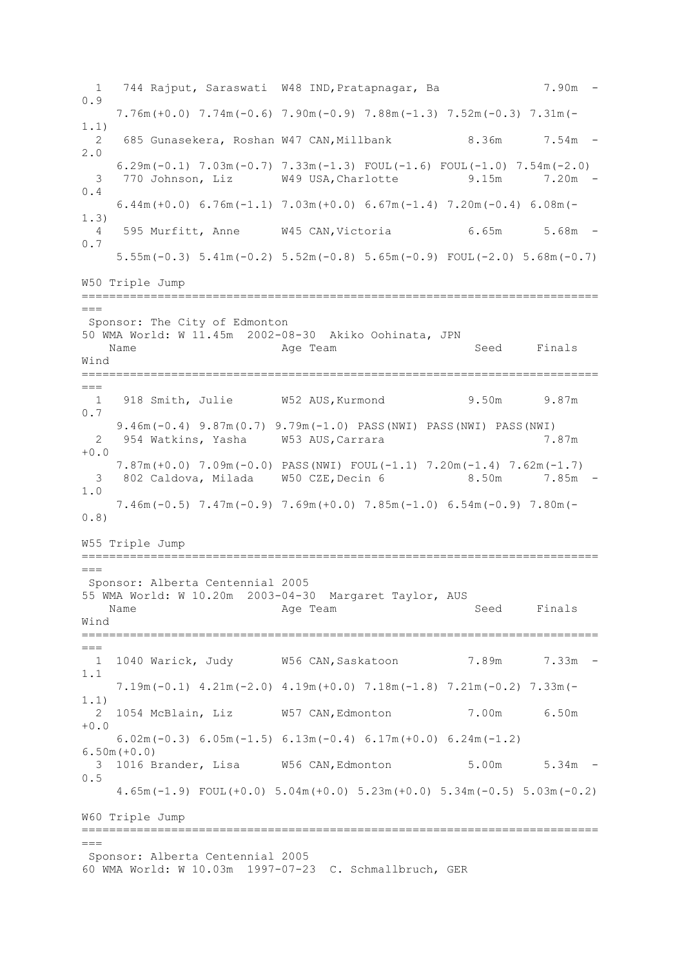1 744 Rajput, Saraswati W48 IND,Pratapnagar, Ba 7.90m - 0.9 7.76m(+0.0) 7.74m(-0.6) 7.90m(-0.9) 7.88m(-1.3) 7.52m(-0.3) 7.31m(- 1.1) 2 685 Gunasekera, Roshan W47 CAN, Millbank 8.36m 7.54m -2.0  $6.29$ m( $-0.1$ )  $7.03$ m( $-0.7$ )  $7.33$ m( $-1.3$ ) FOUL( $-1.6$ ) FOUL( $-1.0$ )  $7.54$ m( $-2.0$ ) 3 770 Johnson, Liz W49 USA,Charlotte 9.15m 7.20m - 0.4 6.44m(+0.0) 6.76m( $-1.1$ ) 7.03m( $+0.0$ ) 6.67m( $-1.4$ ) 7.20m( $-0.4$ ) 6.08m( $-$ 1.3) 4 595 Murfitt, Anne W45 CAN,Victoria 6.65m 5.68m - 0.7 5.55m(-0.3) 5.41m(-0.2) 5.52m(-0.8) 5.65m(-0.9) FOUL(-2.0) 5.68m(-0.7) W50 Triple Jump =========================================================================== === Sponsor: The City of Edmonton 50 WMA World: W 11.45m 2002-08-30 Akiko Oohinata, JPN Name **Age Team** Age Team Seed Finals Wind ===========================================================================  $---$ 1 918 Smith, Julie W52 AUS, Kurmond 9.50m 9.87m 0.7 9.46m(-0.4) 9.87m(0.7) 9.79m(-1.0) PASS(NWI) PASS(NWI) PASS(NWI) 2 954 Watkins, Yasha W53 AUS,Carrara 7.87m  $+0.0$  7.87m(+0.0) 7.09m(-0.0) PASS(NWI) FOUL(-1.1) 7.20m(-1.4) 7.62m(-1.7) 3 802 Caldova, Milada W50 CZE,Decin 6 8.50m 7.85m - 1.0 7.46m(-0.5) 7.47m(-0.9) 7.69m(+0.0) 7.85m(-1.0) 6.54m(-0.9) 7.80m(- 0.8) W55 Triple Jump ===========================================================================  $-$ Sponsor: Alberta Centennial 2005 55 WMA World: W 10.20m 2003-04-30 Margaret Taylor, AUS Name **Age Team** Age Team Seed Finals Wind ===========================================================================  $---$  1 1040 Warick, Judy W56 CAN,Saskatoon 7.89m 7.33m - 1.1 7.19m(-0.1) 4.21m(-2.0) 4.19m(+0.0) 7.18m(-1.8) 7.21m(-0.2) 7.33m(- 1.1) 2 1054 McBlain, Liz W57 CAN,Edmonton 7.00m 6.50m +0.0 6.02m(-0.3) 6.05m(-1.5) 6.13m(-0.4) 6.17m(+0.0) 6.24m(-1.2) 6.50m(+0.0) 3 1016 Brander, Lisa W56 CAN,Edmonton 5.00m 5.34m - 0.5 4.65m(-1.9) FOUL(+0.0) 5.04m(+0.0) 5.23m(+0.0) 5.34m(-0.5) 5.03m(-0.2) W60 Triple Jump ===========================================================================  $\frac{1}{2}$ Sponsor: Alberta Centennial 2005 60 WMA World: W 10.03m 1997-07-23 C. Schmallbruch, GER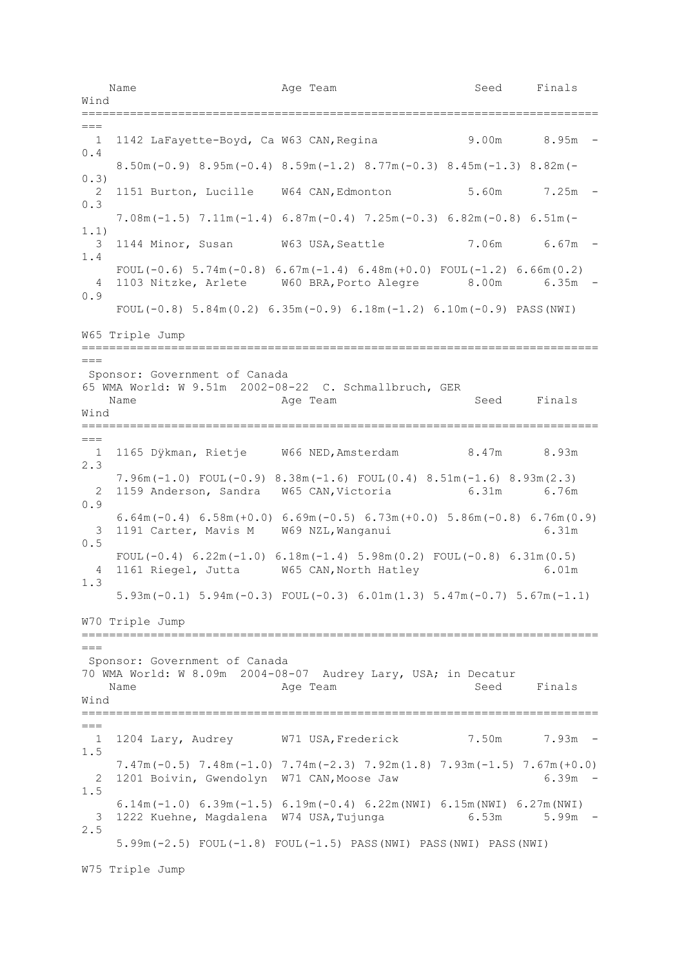Name **Age Team** Age Team Seed Finals Wind ===========================================================================  $=$  1 1142 LaFayette-Boyd, Ca W63 CAN,Regina 9.00m 8.95m - 0.4 8.50m(-0.9) 8.95m(-0.4) 8.59m(-1.2) 8.77m(-0.3) 8.45m(-1.3) 8.82m(- 0.3) 2 1151 Burton, Lucille W64 CAN,Edmonton 5.60m 7.25m - 0.3 7.08m(-1.5) 7.11m(-1.4) 6.87m(-0.4) 7.25m(-0.3) 6.82m(-0.8) 6.51m(- 1.1) 3 1144 Minor, Susan W63 USA,Seattle 7.06m 6.67m - 1.4 FOUL(-0.6)  $5.74m(-0.8)$  6.67m(-1.4) 6.48m(+0.0) FOUL(-1.2) 6.66m(0.2) 4 1103 Nitzke, Arlete W60 BRA,Porto Alegre 8.00m 6.35m - 0.9 FOUL $(-0.8)$  5.84m $(0.2)$  6.35m $(-0.9)$  6.18m $(-1.2)$  6.10m $(-0.9)$  PASS(NWI) W65 Triple Jump =========================================================================== === Sponsor: Government of Canada 65 WMA World: W 9.51m 2002-08-22 C. Schmallbruch, GER Name **Age Team** Age Team Seed Finals Wind ===========================================================================  $=$  1 1165 Dÿkman, Rietje W66 NED,Amsterdam 8.47m 8.93m 2.3 7.96m(-1.0) FOUL(-0.9) 8.38m(-1.6) FOUL(0.4) 8.51m(-1.6) 8.93m(2.3) 2 1159 Anderson, Sandra W65 CAN,Victoria 6.31m 6.76m 0.9 6.64m(-0.4) 6.58m(+0.0) 6.69m(-0.5) 6.73m(+0.0) 5.86m(-0.8) 6.76m(0.9) 3 1191 Carter, Mavis M W69 NZL,Wanganui 6.31m 0.5 FOUL $(-0.4)$  6.22m $(-1.0)$  6.18m $(-1.4)$  5.98m $(0.2)$  FOUL $(-0.8)$  6.31m $(0.5)$  4 1161 Riegel, Jutta W65 CAN,North Hatley 6.01m 1.3 5.93m(-0.1) 5.94m(-0.3) FOUL(-0.3) 6.01m(1.3) 5.47m(-0.7) 5.67m(-1.1) W70 Triple Jump ===========================================================================  $\equiv$ Sponsor: Government of Canada 70 WMA World: W 8.09m 2004-08-07 Audrey Lary, USA; in Decatur Name **Age Team** Age Team Seed Finals Wind ===========================================================================  $-$  1 1204 Lary, Audrey W71 USA,Frederick 7.50m 7.93m - 1.5 7.47m(-0.5) 7.48m(-1.0) 7.74m(-2.3) 7.92m(1.8) 7.93m(-1.5) 7.67m(+0.0) 2 1201 Boivin, Gwendolyn W71 CAN,Moose Jaw 6.39m - 1.5 6.14m(-1.0) 6.39m(-1.5) 6.19m(-0.4) 6.22m(NWI) 6.15m(NWI) 6.27m(NWI) 3 1222 Kuehne, Magdalena W74 USA, Tujunga 6.53m 5.99m -2.5 5.99m(-2.5) FOUL(-1.8) FOUL(-1.5) PASS(NWI) PASS(NWI) PASS(NWI)

W75 Triple Jump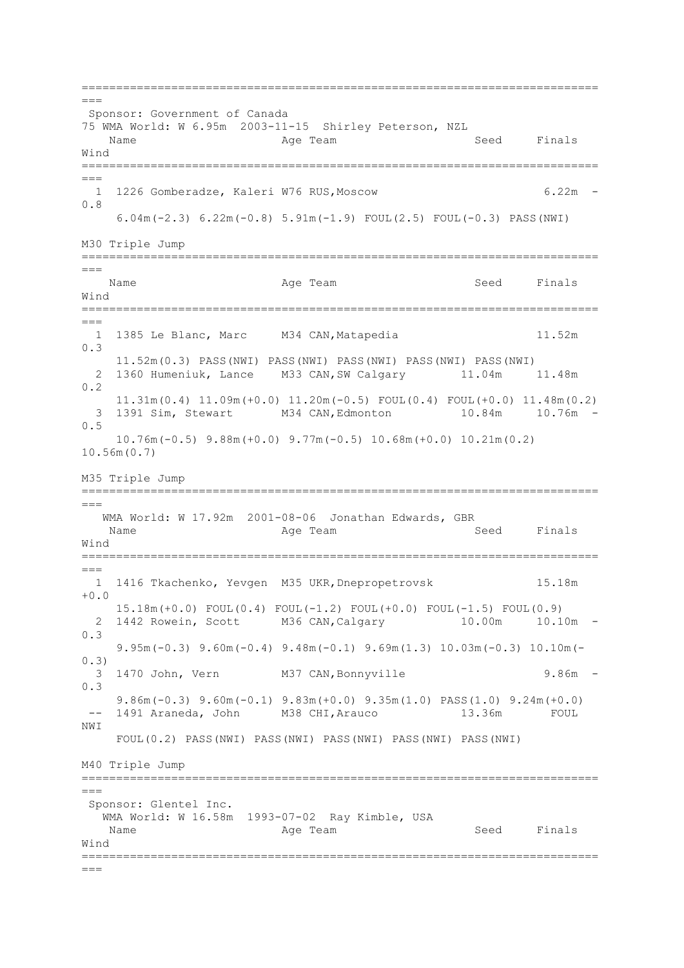=========================================================================== === Sponsor: Government of Canada 75 WMA World: W 6.95m 2003-11-15 Shirley Peterson, NZL Name Register Age Team Name Seed Finals Wind ===========================================================================  $=$  1 1226 Gomberadze, Kaleri W76 RUS,Moscow 6.22m - 0.8 6.04m(-2.3) 6.22m(-0.8) 5.91m(-1.9) FOUL(2.5) FOUL(-0.3) PASS(NWI) M30 Triple Jump ===========================================================================  $=$ Name Age Team Age Team Seed Finals Wind =========================================================================== === 1 1385 Le Blanc, Marc M34 CAN,Matapedia 11.52m 0.3 11.52m(0.3) PASS(NWI) PASS(NWI) PASS(NWI) PASS(NWI) PASS(NWI) 2 1360 Humeniuk, Lance M33 CAN,SW Calgary 11.04m 11.48m 0.2 11.31m(0.4) 11.09m(+0.0) 11.20m(-0.5) FOUL(0.4) FOUL(+0.0) 11.48m(0.2) 3 1391 Sim, Stewart M34 CAN,Edmonton 10.84m 10.76m - 0.5 10.76m(-0.5) 9.88m(+0.0) 9.77m(-0.5) 10.68m(+0.0) 10.21m(0.2) 10.56m(0.7) M35 Triple Jump ===========================================================================  $---$  WMA World: W 17.92m 2001-08-06 Jonathan Edwards, GBR Name Age Team Seed Finals Wind ===========================================================================  $-$  1 1416 Tkachenko, Yevgen M35 UKR,Dnepropetrovsk 15.18m  $+0.0$  15.18m(+0.0) FOUL(0.4) FOUL(-1.2) FOUL(+0.0) FOUL(-1.5) FOUL(0.9) 2 1442 Rowein, Scott M36 CAN,Calgary 10.00m 10.10m - 0.3 9.95m(-0.3) 9.60m(-0.4) 9.48m(-0.1) 9.69m(1.3) 10.03m(-0.3) 10.10m(- 0.3) 3 1470 John, Vern M37 CAN,Bonnyville 9.86m - 0.3 9.86m(-0.3) 9.60m(-0.1) 9.83m(+0.0) 9.35m(1.0) PASS(1.0) 9.24m(+0.0) -- 1491 Araneda, John M38 CHI, Arauco 13.36m NWI FOUL(0.2) PASS(NWI) PASS(NWI) PASS(NWI) PASS(NWI) PASS(NWI) M40 Triple Jump =========================================================================== === Sponsor: Glentel Inc. .<br>WMA World: W 16.58m 1993-07-02 Ray Kimble, USA Name **Age Team** Age Team Seed Finals Wind ===========================================================================  $=-$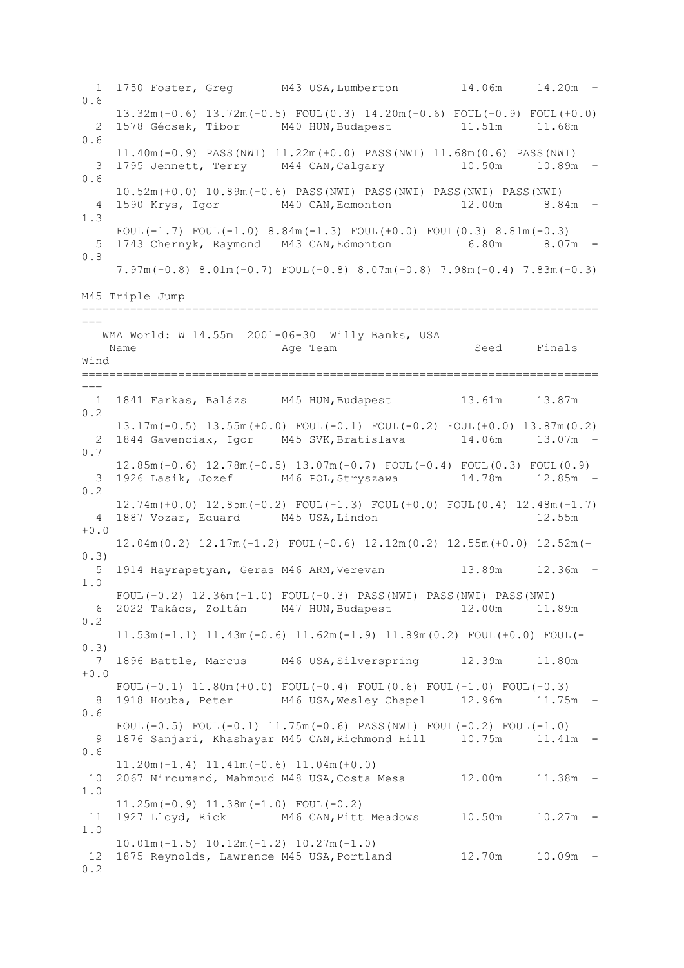1 1750 Foster, Greg M43 USA,Lumberton 14.06m 14.20m - 0.6 13.32m(-0.6) 13.72m(-0.5) FOUL(0.3) 14.20m(-0.6) FOUL(-0.9) FOUL(+0.0) 2 1578 Gécsek, Tibor M40 HUN,Budapest 11.51m 11.68m 0.6 11.40m(-0.9) PASS(NWI) 11.22m(+0.0) PASS(NWI) 11.68m(0.6) PASS(NWI) 3 1795 Jennett, Terry M44 CAN,Calgary 10.50m 10.89m - 0.6 10.52m(+0.0) 10.89m(-0.6) PASS(NWI) PASS(NWI) PASS(NWI) PASS(NWI) 4 1590 Krys, Igor M40 CAN,Edmonton 12.00m 8.84m - 1.3 FOUL(-1.7) FOUL(-1.0)  $8.84m(-1.3)$  FOUL(+0.0) FOUL(0.3)  $8.81m(-0.3)$  5 1743 Chernyk, Raymond M43 CAN,Edmonton 6.80m 8.07m - 0.8 7.97m(-0.8) 8.01m(-0.7) FOUL(-0.8) 8.07m(-0.8) 7.98m(-0.4) 7.83m(-0.3) M45 Triple Jump ===========================================================================  $=$  WMA World: W 14.55m 2001-06-30 Willy Banks, USA Name **Age Team** Age Team Seed Finals Wind ===========================================================================  $---$  1 1841 Farkas, Balázs M45 HUN,Budapest 13.61m 13.87m 0.2 13.17m(-0.5) 13.55m(+0.0) FOUL(-0.1) FOUL(-0.2) FOUL(+0.0) 13.87m(0.2) 2 1844 Gavenciak, Igor M45 SVK,Bratislava 14.06m 13.07m - 0.7 12.85m(-0.6) 12.78m(-0.5) 13.07m(-0.7) FOUL(-0.4) FOUL(0.3) FOUL(0.9) 3 1926 Lasik, Jozef M46 POL,Stryszawa 14.78m 12.85m - 0.2 12.74m(+0.0) 12.85m(-0.2) FOUL(-1.3) FOUL(+0.0) FOUL(0.4) 12.48m(-1.7) 4 1887 Vozar, Eduard M45 USA,Lindon 12.55m  $+0.0$  12.04m(0.2) 12.17m(-1.2) FOUL(-0.6) 12.12m(0.2) 12.55m(+0.0) 12.52m(- 0.3) 5 1914 Hayrapetyan, Geras M46 ARM, Verevan 13.89m 12.36m -1.0 FOUL(-0.2) 12.36m(-1.0) FOUL(-0.3) PASS(NWI) PASS(NWI) PASS(NWI) 6 2022 Takács, Zoltán M47 HUN,Budapest 12.00m 11.89m 0.2 11.53m(-1.1) 11.43m(-0.6) 11.62m(-1.9) 11.89m(0.2) FOUL(+0.0) FOUL(- 0.3) 7 1896 Battle, Marcus M46 USA,Silverspring 12.39m 11.80m +0.0 FOUL $(-0.1)$  11.80m $(+0.0)$  FOUL $(-0.4)$  FOUL $(0.6)$  FOUL $(-1.0)$  FOUL $(-0.3)$ 8 1918 Houba, Peter M46 USA, Wesley Chapel 12.96m 11.75m -0.6 FOUL(-0.5) FOUL(-0.1)  $11.75m(-0.6)$  PASS(NWI) FOUL(-0.2) FOUL(-1.0) 9 1876 Sanjari, Khashayar M45 CAN, Richmond Hill 10.75m 11.41m -0.6 11.20m(-1.4) 11.41m(-0.6) 11.04m(+0.0) 10 2067 Niroumand, Mahmoud M48 USA,Costa Mesa 12.00m 11.38m - 1.0 11.25m(-0.9) 11.38m(-1.0) FOUL(-0.2) 11 1927 Lloyd, Rick M46 CAN,Pitt Meadows 10.50m 10.27m - 1.0 10.01m(-1.5) 10.12m(-1.2) 10.27m(-1.0) 12 1875 Reynolds, Lawrence M45 USA, Portland 12.70m 10.09m -0.2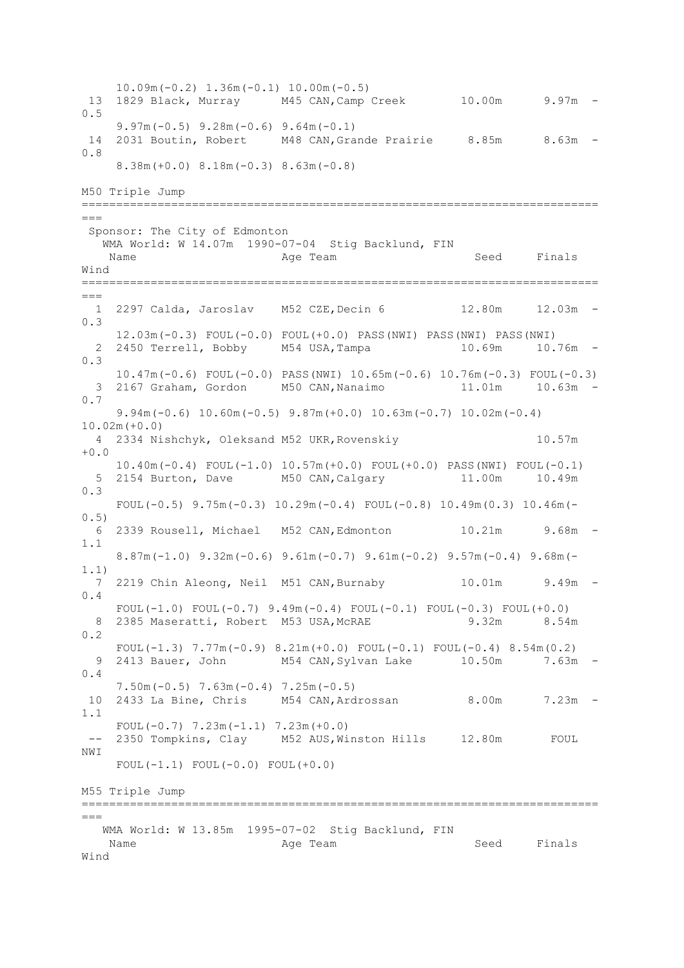10.09m(-0.2) 1.36m(-0.1) 10.00m(-0.5) 13 1829 Black, Murray M45 CAN,Camp Creek 10.00m 9.97m - 0.5 9.97m(-0.5) 9.28m(-0.6) 9.64m(-0.1) 14 2031 Boutin, Robert M48 CAN,Grande Prairie 8.85m 8.63m - 0.8 8.38m(+0.0) 8.18m(-0.3) 8.63m(-0.8) M50 Triple Jump ===========================================================================  $=$ Sponsor: The City of Edmonton WMA World: W 14.07m 1990-07-04 Stig Backlund, FIN Name **Age Team** Age Team Seed Finals Wind ===========================================================================  $---$  1 2297 Calda, Jaroslav M52 CZE,Decin 6 12.80m 12.03m - 0.3 12.03m(-0.3) FOUL(-0.0) FOUL(+0.0) PASS(NWI) PASS(NWI) PASS(NWI) 2 2450 Terrell, Bobby M54 USA, Tampa 10.69m 10.76m -0.3 10.47m(-0.6) FOUL(-0.0) PASS(NWI) 10.65m(-0.6) 10.76m(-0.3) FOUL(-0.3) 3 2167 Graham, Gordon M50 CAN,Nanaimo 11.01m 10.63m - 0.7 9.94m(-0.6) 10.60m(-0.5) 9.87m(+0.0) 10.63m(-0.7) 10.02m(-0.4) 10.02m(+0.0) 4 2334 Nishchyk, Oleksand M52 UKR,Rovenskiy 10.57m  $+0.0$  10.40m(-0.4) FOUL(-1.0) 10.57m(+0.0) FOUL(+0.0) PASS(NWI) FOUL(-0.1) 5 2154 Burton, Dave M50 CAN,Calgary 11.00m 10.49m 0.3 FOUL(-0.5)  $9.75m(-0.3)$  10.29m(-0.4) FOUL(-0.8) 10.49m(0.3) 10.46m(-0.5) 6 2339 Rousell, Michael M52 CAN,Edmonton 10.21m 9.68m - 1.1 8.87m(-1.0) 9.32m(-0.6) 9.61m(-0.7) 9.61m(-0.2) 9.57m(-0.4) 9.68m(- 1.1) 7 2219 Chin Aleong, Neil M51 CAN,Burnaby 10.01m 9.49m - 0.4 FOUL $(-1.0)$  FOUL $(-0.7)$  9.49m $(-0.4)$  FOUL $(-0.1)$  FOUL $(-0.3)$  FOUL $(+0.0)$ 8 2385 Maseratti, Robert M53 USA, McRAE 9.32m 8.54m 0.2 FOUL( $-1.3$ )  $7.77m(-0.9)$   $8.21m(+0.0)$  FOUL( $-0.1$ ) FOUL( $-0.4$ )  $8.54m(0.2)$  9 2413 Bauer, John M54 CAN,Sylvan Lake 10.50m 7.63m - 0.4 7.50m(-0.5) 7.63m(-0.4) 7.25m(-0.5) 10 2433 La Bine, Chris M54 CAN,Ardrossan 8.00m 7.23m - 1.1 FOUL( $-0.7$ )  $7.23m(-1.1)$   $7.23m(+0.0)$ -- 2350 Tompkins, Clay M52 AUS, Winston Hills 12.80m FOUL NWI FOUL $(-1.1)$  FOUL $(-0.0)$  FOUL $(+0.0)$ M55 Triple Jump =========================================================================== === WMA World: W 13.85m 1995-07-02 Stig Backlund, FIN Name **Age Team** Age Team Seed Finals Wind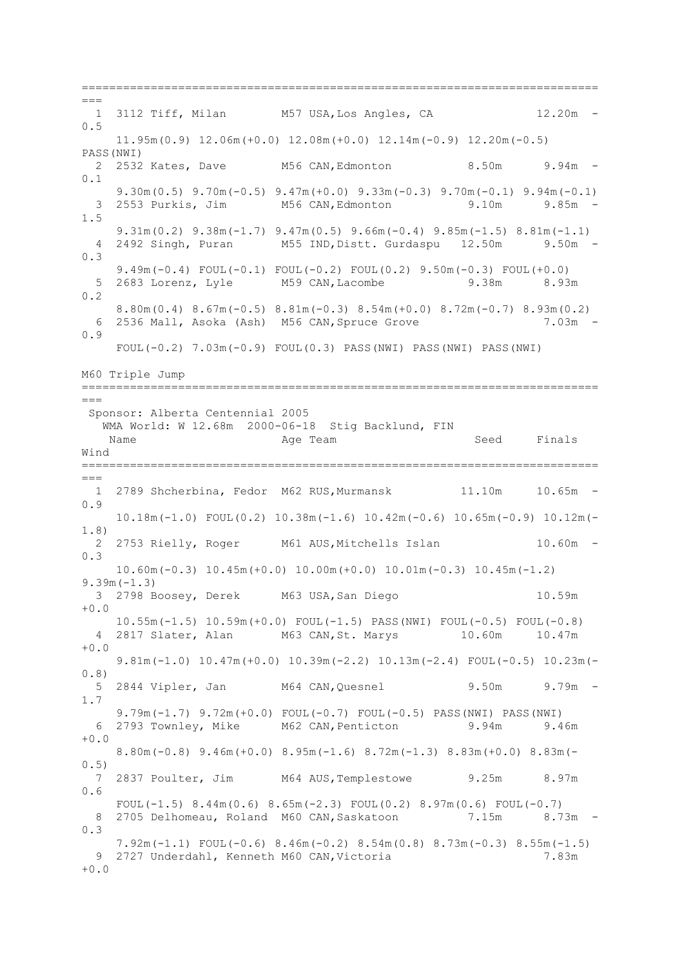===========================================================================  $=$ 1 3112 Tiff, Milan M57 USA, Los Angles, CA 12.20m -0.5 11.95m(0.9) 12.06m(+0.0) 12.08m(+0.0) 12.14m(-0.9) 12.20m(-0.5) PASS(NWI) 2 2532 Kates, Dave M56 CAN,Edmonton 8.50m 9.94m - 0.1 9.30m(0.5) 9.70m(-0.5) 9.47m(+0.0) 9.33m(-0.3) 9.70m(-0.1) 9.94m(-0.1) 3 2553 Purkis, Jim M56 CAN,Edmonton 9.10m 9.85m - 1.5 9.31 $m(0.2)$  9.38 $m(-1.7)$  9.47 $m(0.5)$  9.66 $m(-0.4)$  9.85 $m(-1.5)$  8.81 $m(-1.1)$  4 2492 Singh, Puran M55 IND,Distt. Gurdaspu 12.50m 9.50m - 0.3 9.49m(-0.4) FOUL(-0.1) FOUL(-0.2) FOUL(0.2) 9.50m(-0.3) FOUL(+0.0)<br>2683 Lorenz, Lyle M59 CAN, Lacombe 9.38m 8.93m 5 2683 Lorenz, Lyle M59 CAN,Lacombe 9.38m 8.93m 0.2 8.80m(0.4) 8.67m(-0.5) 8.81m(-0.3) 8.54m(+0.0) 8.72m(-0.7) 8.93m(0.2) 6 2536 Mall, Asoka (Ash) M56 CAN,Spruce Grove 7.03m - 0.9 FOUL(-0.2) 7.03m(-0.9) FOUL(0.3) PASS(NWI) PASS(NWI) PASS(NWI) M60 Triple Jump ===========================================================================  $---$ Sponsor: Alberta Centennial 2005 WMA World: W 12.68m 2000-06-18 Stig Backlund, FIN Name **Age Team** Age Team Seed Finals Wind ===========================================================================  $=$  1 2789 Shcherbina, Fedor M62 RUS,Murmansk 11.10m 10.65m - 0.9 10.18m(-1.0) FOUL(0.2) 10.38m(-1.6) 10.42m(-0.6) 10.65m(-0.9) 10.12m(- 1.8) 2 2753 Rielly, Roger M61 AUS,Mitchells Islan 10.60m - 0.3 10.60m(-0.3) 10.45m(+0.0) 10.00m(+0.0) 10.01m(-0.3) 10.45m(-1.2) 9.39m(-1.3) 3 2798 Boosey, Derek M63 USA,San Diego 10.59m +0.0 10.55m(-1.5) 10.59m(+0.0) FOUL(-1.5) PASS(NWI) FOUL(-0.5) FOUL(-0.8) 4 2817 Slater, Alan M63 CAN,St. Marys 10.60m 10.47m +0.0 9.81m(-1.0) 10.47m(+0.0) 10.39m(-2.2) 10.13m(-2.4) FOUL(-0.5) 10.23m(- 0.8) 5 2844 Vipler, Jan M64 CAN,Quesnel 9.50m 9.79m - 1.7 9.79m(-1.7) 9.72m(+0.0) FOUL(-0.7) FOUL(-0.5) PASS(NWI) PASS(NWI) 6 2793 Townley, Mike M62 CAN,Penticton 9.94m 9.46m  $+0.0$  8.80m(-0.8) 9.46m(+0.0) 8.95m(-1.6) 8.72m(-1.3) 8.83m(+0.0) 8.83m(- 0.5) 7 2837 Poulter, Jim M64 AUS,Templestowe 9.25m 8.97m 0.6 FOUL( $-1.5$ ) 8.44m( $0.6$ ) 8.65m( $-2.3$ ) FOUL( $0.2$ ) 8.97m( $0.6$ ) FOUL( $-0.7$ ) 8 2705 Delhomeau, Roland M60 CAN, Saskatoon 7.15m 8.73m - $0<sup>3</sup>$  7.92m(-1.1) FOUL(-0.6) 8.46m(-0.2) 8.54m(0.8) 8.73m(-0.3) 8.55m(-1.5) 9 2727 Underdahl, Kenneth M60 CAN,Victoria 7.83m  $+0.0$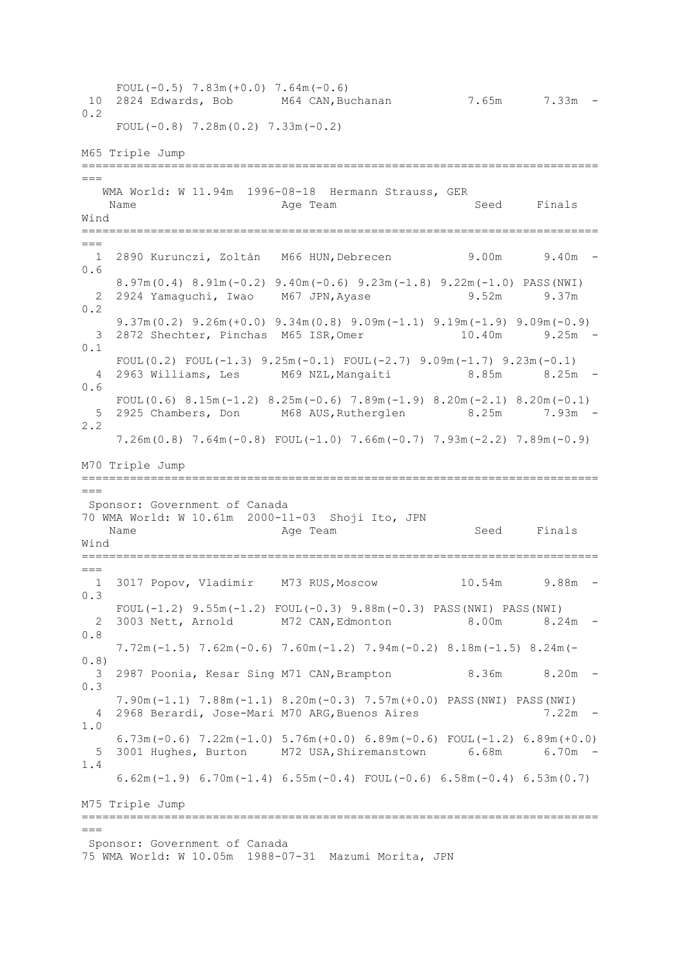FOUL( $-0.5$ )  $7.83m(+0.0)$   $7.64m(-0.6)$ 10 2824 Edwards, Bob M64 CAN,Buchanan 7.65m 7.33m - 0.2 FOUL(-0.8) 7.28m(0.2) 7.33m(-0.2) M65 Triple Jump ===========================================================================  $=$  WMA World: W 11.94m 1996-08-18 Hermann Strauss, GER Name Age Team Age Team Seed Finals Wind ===========================================================================  $=$  1 2890 Kurunczi, Zoltán M66 HUN,Debrecen 9.00m 9.40m - 0.6 8.97m(0.4) 8.91m(-0.2) 9.40m(-0.6) 9.23m(-1.8) 9.22m(-1.0) PASS(NWI) 2 2924 Yamaquchi, Iwao M67 JPN, Ayase 9.52m 9.37m 0.2 9.37m(0.2) 9.26m(+0.0) 9.34m(0.8) 9.09m(-1.1) 9.19m(-1.9) 9.09m(-0.9) 3 2872 Shechter, Pinchas M65 ISR,Omer 10.40m 9.25m - 0.1 FOUL(0.2) FOUL(-1.3)  $9.25m(-0.1)$  FOUL(-2.7)  $9.09m(-1.7)$   $9.23m(-0.1)$  4 2963 Williams, Les M69 NZL,Mangaiti 8.85m 8.25m - 0.6 FOUL(0.6)  $8.15m(-1.2)$   $8.25m(-0.6)$   $7.89m(-1.9)$   $8.20m(-2.1)$   $8.20m(-0.1)$ <br>2925 Chambers. Don M68 AUS.Rutherglen  $8.25m$   $7.93m$  5 2925 Chambers, Don M68 AUS,Rutherglen 8.25m 7.93m - 2.2 7.26m(0.8) 7.64m(-0.8) FOUL(-1.0) 7.66m(-0.7) 7.93m(-2.2) 7.89m(-0.9) M70 Triple Jump =========================================================================== === Sponsor: Government of Canada 70 WMA World: W 10.61m 2000-11-03 Shoji Ito, JPN Name Age Team Seed Finals Wind ===========================================================================  $=$  1 3017 Popov, Vladimir M73 RUS,Moscow 10.54m 9.88m - 0.3 FOUL(-1.2) 9.55m(-1.2) FOUL(-0.3) 9.88m(-0.3) PASS(NWI) PASS(NWI) 2 3003 Nett, Arnold M72 CAN,Edmonton 8.00m 8.24m - 0.8 7.72m(-1.5) 7.62m(-0.6) 7.60m(-1.2) 7.94m(-0.2) 8.18m(-1.5) 8.24m(- 0.8) 3 2987 Poonia, Kesar Sing M71 CAN,Brampton 8.36m 8.20m - 0.3 7.90m(-1.1) 7.88m(-1.1) 8.20m(-0.3) 7.57m(+0.0) PASS(NWI) PASS(NWI) 4 2968 Berardi, Jose-Mari M70 ARG,Buenos Aires 7.22m - 1.0 6.73m(-0.6) 7.22m(-1.0) 5.76m(+0.0) 6.89m(-0.6) FOUL(-1.2) 6.89m(+0.0) 5 3001 Hughes, Burton M72 USA,Shiremanstown 6.68m 6.70m - 1.4 6.62m(-1.9) 6.70m(-1.4) 6.55m(-0.4) FOUL(-0.6) 6.58m(-0.4) 6.53m(0.7) M75 Triple Jump ===========================================================================  $=$ Sponsor: Government of Canada 75 WMA World: W 10.05m 1988-07-31 Mazumi Morita, JPN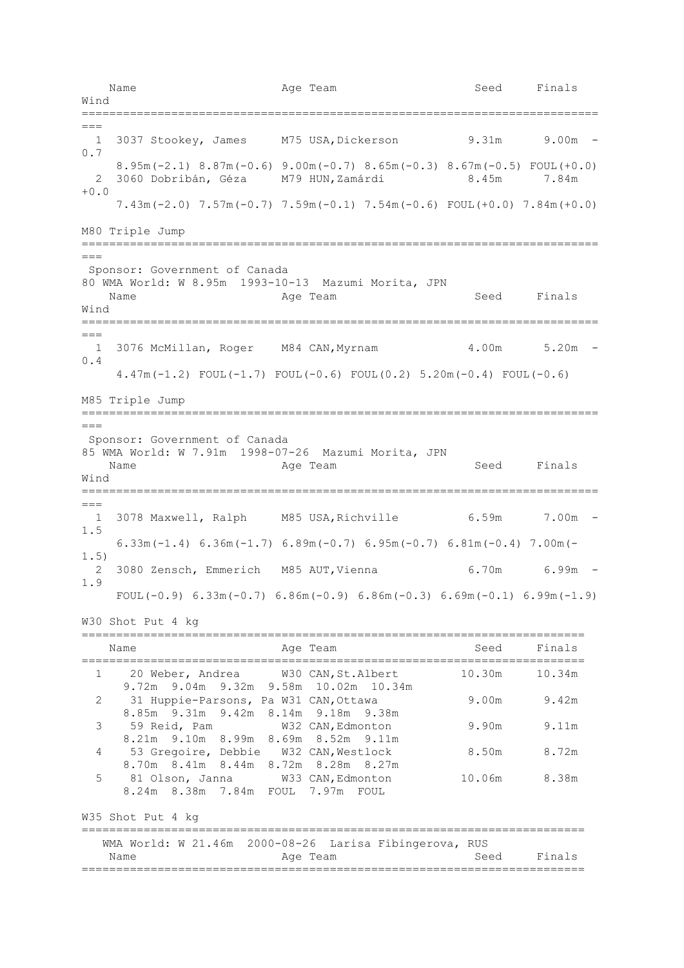Name **Age Team** Age Team Seed Finals Wind ===========================================================================  $=$  1 3037 Stookey, James M75 USA,Dickerson 9.31m 9.00m - 0.7 8.95m(-2.1) 8.87m(-0.6) 9.00m(-0.7) 8.65m(-0.3) 8.67m(-0.5) FOUL(+0.0) 2 3060 Dobribán, Géza M79 HUN,Zamárdi 8.45m 7.84m  $+0.0$  7.43m(-2.0) 7.57m(-0.7) 7.59m(-0.1) 7.54m(-0.6) FOUL(+0.0) 7.84m(+0.0) M80 Triple Jump ===========================================================================  $\equiv$ Sponsor: Government of Canada 80 WMA World: W 8.95m 1993-10-13 Mazumi Morita, JPN Name **Age Team** Age Team Seed Finals Wind ===========================================================================  $=$  1 3076 McMillan, Roger M84 CAN,Myrnam 4.00m 5.20m - 0.4 4.47m(-1.2) FOUL(-1.7) FOUL(-0.6) FOUL(0.2) 5.20m(-0.4) FOUL(-0.6) M85 Triple Jump =========================================================================== === Sponsor: Government of Canada 85 WMA World: W 7.91m 1998-07-26 Mazumi Morita, JPN Name Age Team Seed Finals Wind =========================================================================== === 1 3078 Maxwell, Ralph M85 USA,Richville 6.59m 7.00m - 1.5 6.33m(-1.4) 6.36m(-1.7) 6.89m(-0.7) 6.95m(-0.7) 6.81m(-0.4) 7.00m(- 1.5) 2 3080 Zensch, Emmerich M85 AUT, Vienna 6.70m 6.99m -1.9 FOUL(-0.9)  $6.33m(-0.7)$   $6.86m(-0.9)$   $6.86m(-0.3)$   $6.69m(-0.1)$   $6.99m(-1.9)$ W30 Shot Put 4 kg ========================================================================= Name **Age Team** Age Team Seed Finals ========================================================================= 1 20 Weber, Andrea W30 CAN,St.Albert 10.30m 10.34m 9.72m 9.04m 9.32m 9.58m 10.02m 10.34m 2 31 Huppie-Parsons, Pa W31 CAN, Ottawa 9.00m 9.42m 8.85m 9.31m 9.42m 8.14m 9.18m 9.38m 3 59 Reid, Pam W32 CAN,Edmonton 9.90m 9.11m 8.21m 9.10m 8.99m 8.69m 8.52m 9.11m 4 53 Gregoire, Debbie W32 CAN,Westlock 8.50m 8.72m 8.70m 8.41m 8.44m 8.72m 8.28m 8.27m 5 81 Olson, Janna W33 CAN,Edmonton 10.06m 8.38m 8.24m 8.38m 7.84m FOUL 7.97m FOUL W35 Shot Put 4 kg ========================================================================= WMA World: W 21.46m 2000-08-26 Larisa Fibingerova, RUS Name **Age Team** Age Team Seed Finals =========================================================================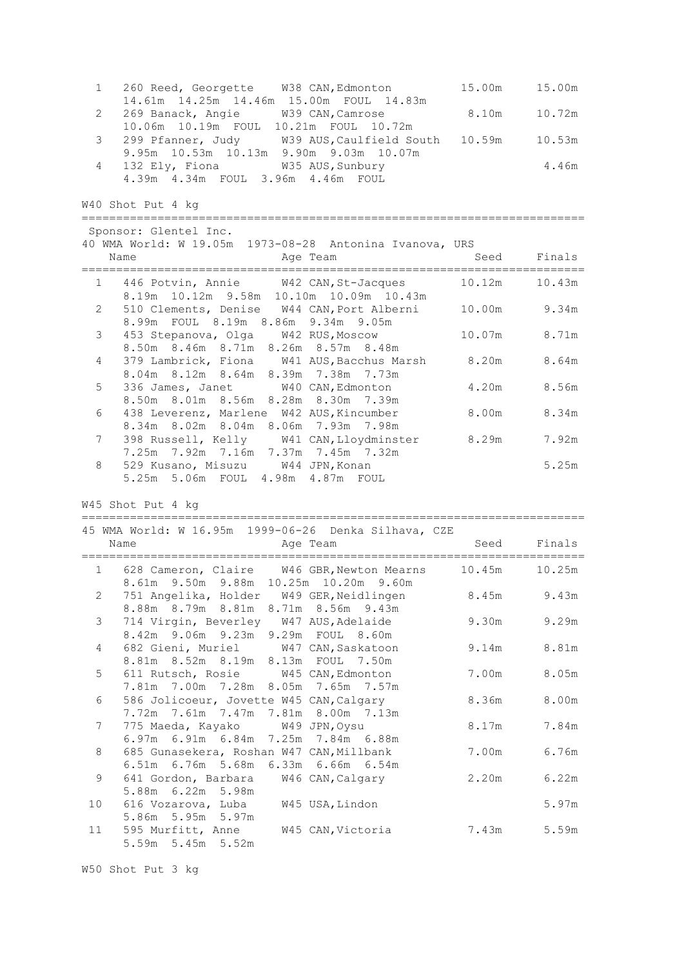| 1 260 Reed, Georgette W38 CAN, Edmonton 15.00m 15.00m      |       |
|------------------------------------------------------------|-------|
| 14.61m  14.25m  14.46m  15.00m  FOUL  14.83m               |       |
| 2 269 Banack, Angie M39 CAN, Camrose 8.10m 10.72m          |       |
| 10.06m 10.19m FOUL 10.21m FOUL 10.72m                      |       |
| 3 299 Pfanner, Judy M39 AUS, Caulfield South 10.59m 10.53m |       |
| 9.95m 10.53m 10.13m 9.90m 9.03m 10.07m                     |       |
| 4 132 Ely, Fiona 6935 AUS, Sunbury                         | 4.46m |
| 4.39m  4.34m  FOUL  3.96m  4.46m  FOUL                     |       |

W40 Shot Put 4 kg

========================================================================= Sponsor: Glentel Inc. 40 WMA World: W 19.05m 1973-08-28 Antonina Ivanova, URS Name **Age Team** Age Team Seed Finals ========================================================================= 1 446 Potvin, Annie W42 CAN, St-Jacques 8.19m 10.12m 9.58m 10.10m 10.09m 10.43m 510 Clements, Denise W44 CAN, Port Alberni 10.00m 9.34m 8.99m FOUL 8.19m 8.86m 9.34m 9.05m 3 453 Stepanova, Olga W42 RUS,Moscow 10.07m 8.71m 8.50m 8.46m 8.71m 8.26m 8.57m 8.48m 4 379 Lambrick, Fiona W41 AUS,Bacchus Marsh 8.20m 8.64m 8.04m 8.12m 8.64m 8.39m 7.38m 7.73m 5 336 James, Janet W40 CAN,Edmonton 4.20m 8.56m 8.50m 8.01m 8.56m 8.28m 8.30m 7.39m 6 438 Leverenz, Marlene W42 AUS,Kincumber 8.00m 8.34m 8.34m 8.02m 8.04m 8.06m 7.93m 7.98m 7 398 Russell, Kelly W41 CAN,Lloydminster 8.29m 7.92m 7.25m 7.92m 7.16m 7.37m 7.45m 7.32m 8 529 Kusano, Misuzu W44 JPN, Konan 1988 1999 1999 5.25m 5.25m 5.06m FOUL 4.98m 4.87m FOUL

W45 Shot Put 4 kg

========================================================================= 45 WMA World: W 16.95m 1999-06-26 Denka Silhava, CZE

|                 | Name<br>Age Team                                                                            | Seed  | Finals      |
|-----------------|---------------------------------------------------------------------------------------------|-------|-------------|
| $1 \quad$       | 628 Cameron, Claire W46 GBR, Newton Mearns 10.45m<br>8.61m 9.50m 9.88m 10.25m 10.20m 9.60m  |       | 10.25m      |
| 2               | 751 Angelika, Holder W49 GER, Neidlingen 8.45m 9.43m<br>8.88m 8.79m 8.81m 8.71m 8.56m 9.43m |       |             |
| 3 <sup>7</sup>  | 714 Virgin, Beverley W47 AUS, Adelaide<br>8.42m 9.06m 9.23m 9.29m FOUL 8.60m                | 9.30m | 9.29m       |
| $4\overline{ }$ | 682 Gieni, Muriel W47 CAN, Saskatoon<br>8.81m 8.52m 8.19m 8.13m FOUL 7.50m                  | 9.14m | 8.81m       |
| 5               | 611 Rutsch, Rosie W45 CAN, Edmonton<br>7.81m 7.00m 7.28m 8.05m 7.65m 7.57m                  | 7.00m | 8.05m       |
| 6               | 586 Jolicoeur, Jovette W45 CAN, Calgary<br>7.72m 7.61m 7.47m 7.81m 8.00m 7.13m              | 8.36m | 8.00m       |
| 7               | 775 Maeda, Kayako W49 JPN, Oysu<br>6.97m 6.91m 6.84m 7.25m 7.84m 6.88m                      | 8.17m | 7.84m       |
| 8               | 685 Gunasekera, Roshan W47 CAN, Millbank<br>6.51m 6.76m 5.68m 6.33m 6.66m 6.54m             | 7.00m | 6.76m       |
| 9               | 641 Gordon, Barbara W46 CAN, Calgary<br>5.88m 6.22m 5.98m                                   | 2.20m | 6.22m       |
| 10              | 616 Vozarova, Luba W45 USA, Lindon<br>5.86m 5.95m 5.97m                                     |       | 5.97m       |
| 11              | 595 Murfitt, Anne W45 CAN, Victoria<br>5.59m 5.45m 5.52m                                    |       | 7.43m 5.59m |

W50 Shot Put 3 kg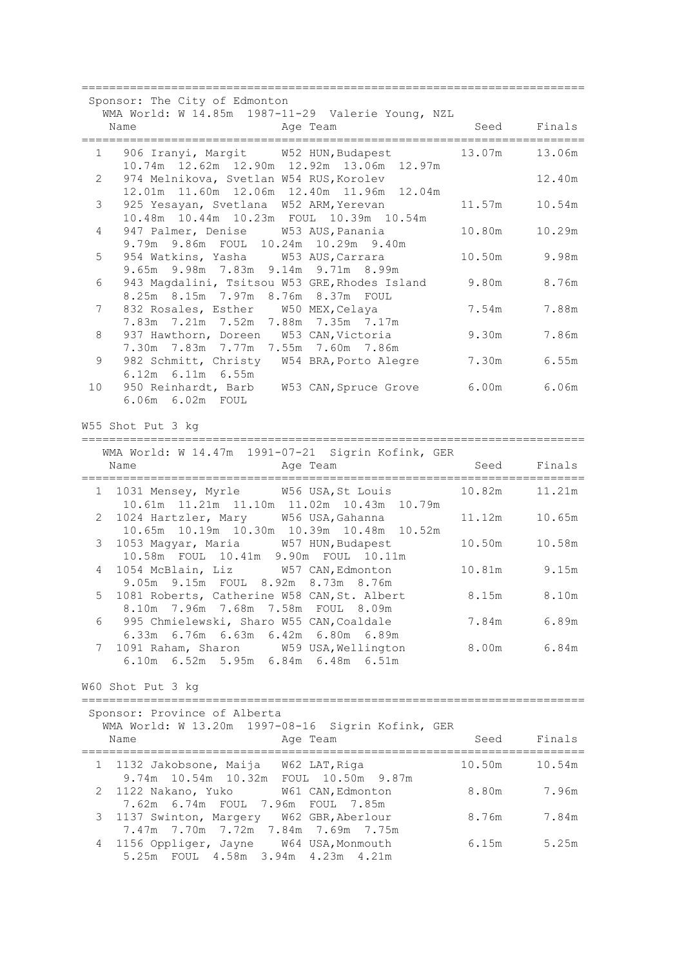|    | Sponsor: The City of Edmonton<br>WMA World: W 14.85m 1987-11-29 Valerie Young, NZL                                  |        |             |
|----|---------------------------------------------------------------------------------------------------------------------|--------|-------------|
|    | Name<br>Age Team                                                                                                    | Seed   | Finals      |
|    | 1<br>906 Iranyi, Margit W52 HUN, Budapest<br>10.74m 12.62m 12.90m 12.92m 13.06m 12.97m                              | 13.07m | 13.06m      |
| 2  | 974 Melnikova, Svetlan W54 RUS, Korolev<br>12.01m  11.60m  12.06m  12.40m  11.96m  12.04m                           |        | 12.40m      |
| 3  | 925 Yesayan, Svetlana W52 ARM, Yerevan<br>10.48m  10.44m  10.23m  FOUL  10.39m  10.54m                              | 11.57m | 10.54m      |
| 4  | 947 Palmer, Denise W53 AUS, Panania<br>9.79m 9.86m FOUL 10.24m 10.29m 9.40m                                         | 10.80m | 10.29m      |
| 5  | 954 Watkins, Yasha W53 AUS, Carrara<br>9.65m 9.98m 7.83m 9.14m 9.71m 8.99m                                          | 10.50m | 9.98m       |
| 6  | 943 Magdalini, Tsitsou W53 GRE, Rhodes Island<br>8.25m 8.15m 7.97m 8.76m 8.37m FOUL                                 | 9.80m  | 8.76m       |
| 7  | 832 Rosales, Esther W50 MEX, Celaya<br>7.83m 7.21m 7.52m 7.88m 7.35m 7.17m                                          | 7.54m  | 7.88m       |
| 8  | 937 Hawthorn, Doreen W53 CAN, Victoria<br>7.30m 7.83m 7.77m 7.55m 7.60m 7.86m                                       | 9.30m  | 7.86m       |
| 9  | 982 Schmitt, Christy W54 BRA, Porto Alegre<br>6.12m 6.11m 6.55m                                                     | 7.30m  | 6.55m       |
| 10 | 950 Reinhardt, Barb W53 CAN, Spruce Grove 6.00m 6.06m<br>6.06m  6.02m  FOUL                                         |        |             |
|    | W55 Shot Put 3 kg                                                                                                   |        |             |
|    | WMA World: W 14.47m 1991-07-21 Sigrin Kofink, GER                                                                   |        |             |
|    | Name<br>Age Team                                                                                                    | Seed   | Finals      |
|    | 1031 Mensey, Myrle W56 USA, St Louis<br>1<br>10.61m  11.21m  11.10m  11.02m  10.43m  10.79m                         | 10.82m | 11.21m      |
| 2  | 1024 Hartzler, Mary W56 USA, Gahanna<br>10.65m  10.19m  10.30m  10.39m  10.48m  10.52m                              | 11.12m | 10.65m      |
| 3  | 1053 Magyar, Maria W57 HUN, Budapest<br>10.58m FOUL 10.41m 9.90m FOUL 10.11m                                        | 10.50m | 10.58m      |
| 4  | 1054 McBlain, Liz W57 CAN, Edmonton<br>9.05m 9.15m FOUL 8.92m 8.73m 8.76m                                           | 10.81m | 9.15m       |
| 5  | 1081 Roberts, Catherine W58 CAN, St. Albert<br>8.10m 7.96m 7.68m 7.58m FOUL 8.09m                                   | 8.15m  | 8.10m       |
| 6  | 995 Chmielewski, Sharo W55 CAN, Coaldale<br>6.33m 6.76m 6.63m 6.42m 6.80m 6.89m                                     |        | 7.84m 6.89m |
| 7  | 1091 Raham, Sharon W59 USA, Wellington<br>6.10m 6.52m 5.95m 6.84m 6.48m 6.51m                                       |        | 8.00m 6.84m |
|    | W60 Shot Put 3 kg                                                                                                   |        |             |
|    | Sponsor: Province of Alberta                                                                                        |        |             |
|    | WMA World: W 13.20m 1997-08-16 Sigrin Kofink, GER<br>Name<br>Age Team                                               | Seed   | Finals      |
| 1  | 1132 Jakobsone, Maija W62 LAT, Riga                                                                                 | 10.50m | 10.54m      |
| 2  | 9.74m 10.54m 10.32m FOUL 10.50m 9.87m<br>1122 Nakano, Yuko W61 CAN, Edmonton                                        | 8.80m  | 7.96m       |
| 3  | 7.62m 6.74m FOUL 7.96m FOUL 7.85m<br>1137 Swinton, Margery W62 GBR, Aberlour                                        | 8.76m  | 7.84m       |
| 4  | 7.47m 7.70m 7.72m 7.84m 7.69m 7.75m<br>1156 Oppliger, Jayne W64 USA, Monmouth<br>5.25m FOUL 4.58m 3.94m 4.23m 4.21m | 6.15m  | 5.25m       |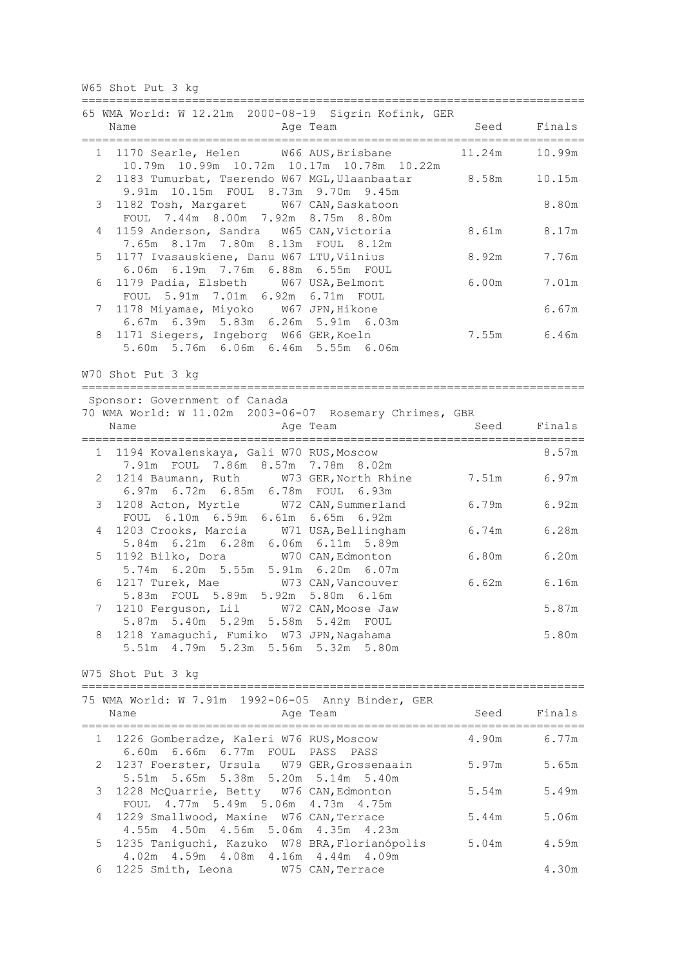W65 Shot Put 3 kg

|                | 65 WMA World: W 12.21m 2000-08-19 Sigrin Kofink, GER<br>Name<br>Age Team                                            | Seed   | Finals      |
|----------------|---------------------------------------------------------------------------------------------------------------------|--------|-------------|
| $1 \quad$      | 1170 Searle, Helen W66 AUS, Brisbane<br>10.79m  10.99m  10.72m  10.17m  10.78m  10.22m                              | 11.24m | 10.99m      |
| 2              | 1183 Tumurbat, Tserendo W67 MGL, Ulaanbaatar<br>9.91m 10.15m FOUL 8.73m 9.70m 9.45m                                 | 8.58m  | 10.15m      |
| 3              | 1182 Tosh, Margaret W67 CAN, Saskatoon<br>FOUL 7.44m 8.00m 7.92m 8.75m 8.80m                                        |        | 8.80m       |
| 4              | 1159 Anderson, Sandra W65 CAN, Victoria<br>7.65m 8.17m 7.80m 8.13m FOUL 8.12m                                       | 8.61m  | 8.17m       |
| 5              | 1177 Ivasauskiene, Danu W67 LTU, Vilnius<br>6.06m 6.19m 7.76m 6.88m 6.55m FOUL                                      | 8.92m  | 7.76m       |
| 6              | 1179 Padia, Elsbeth W67 USA, Belmont<br>FOUL 5.91m 7.01m 6.92m 6.71m FOUL                                           | 6.00m  | 7.01m       |
| 7              | 1178 Miyamae, Miyoko W67 JPN, Hikone                                                                                |        | 6.67m       |
| 8              | 6.67m 6.39m 5.83m 6.26m 5.91m 6.03m<br>1171 Siegers, Ingeborg W66 GER, Koeln<br>5.60m 5.76m 6.06m 6.46m 5.55m 6.06m |        | 7.55m 6.46m |
|                | W70 Shot Put 3 kg                                                                                                   |        |             |
|                | =====================<br>Sponsor: Government of Canada                                                              |        |             |
|                | 70 WMA World: W 11.02m 2003-06-07 Rosemary Chrimes, GBR                                                             |        |             |
|                | Name<br>Age Team                                                                                                    | Seed   | Finals      |
| $1 \quad$      | 1194 Kovalenskaya, Gali W70 RUS, Moscow<br>7.91m FOUL 7.86m 8.57m 7.78m 8.02m                                       |        | 8.57m       |
| $\overline{2}$ | 1214 Baumann, Ruth W73 GER, North Rhine<br>6.97m 6.72m 6.85m 6.78m FOUL 6.93m                                       | 7.51m  | 6.97m       |
| 3              | 1208 Acton, Myrtle<br>W72 CAN, Summerland<br>FOUL 6.10m 6.59m 6.61m<br>$6.65m$ $6.92m$                              | 6.79m  | 6.92m       |
| 4              | 1203 Crooks, Marcia<br>W71 USA, Bellingham<br>5.84m 6.21m 6.28m 6.06m 6.11m 5.89m                                   | 6.74m  | 6.28m       |
| 5              | 1192 Bilko, Dora<br>W70 CAN, Edmonton<br>5.74m 6.20m 5.55m 5.91m 6.20m 6.07m                                        | 6.80m  | 6.20m       |
| 6              | 1217 Turek, Mae<br>W73 CAN, Vancouver<br>5.83m FOUL 5.89m 5.92m 5.80m 6.16m                                         | 6.62m  | 6.16m       |
| 7              | 1210 Ferguson, Lil W72 CAN, Moose Jaw<br>5.87m 5.40m 5.29m 5.58m 5.42m FOUL                                         |        | 5.87m       |
| 8              | 1218 Yamaguchi, Fumiko W73 JPN, Nagahama<br>5.51m  4.79m  5.23m  5.56m  5.32m  5.80m                                |        | 5.80m       |
|                | W75 Shot Put 3 kg                                                                                                   |        |             |
|                |                                                                                                                     |        |             |
|                | 75 WMA World: W 7.91m 1992-06-05 Anny Binder, GER<br>Name<br>Age Team                                               | Seed   | Finals      |
|                | 1 1226 Gomberadze, Kaleri W76 RUS, Moscow<br>6.60m 6.66m 6.77m FOUL PASS PASS                                       | 4.90m  | 6.77m       |
| 2              | 1237 Foerster, Ursula W79 GER, Grossenaain<br>5.51m 5.65m 5.38m 5.20m 5.14m 5.40m                                   | 5.97m  | 5.65m       |
| 3              | 1228 McQuarrie, Betty W76 CAN, Edmonton<br>FOUL 4.77m 5.49m 5.06m 4.73m 4.75m                                       | 5.54m  | 5.49m       |
| 4              | 1229 Smallwood, Maxine W76 CAN, Terrace<br>4.55m  4.50m  4.56m  5.06m  4.35m  4.23m                                 | 5.44m  | 5.06m       |
| 5              | 1235 Taniguchi, Kazuko W78 BRA, Florianópolis<br>4.02m  4.59m  4.08m  4.16m  4.44m  4.09m                           | 5.04m  | 4.59m       |
| 6              | 1225 Smith, Leona W75 CAN, Terrace                                                                                  |        | 4.30m       |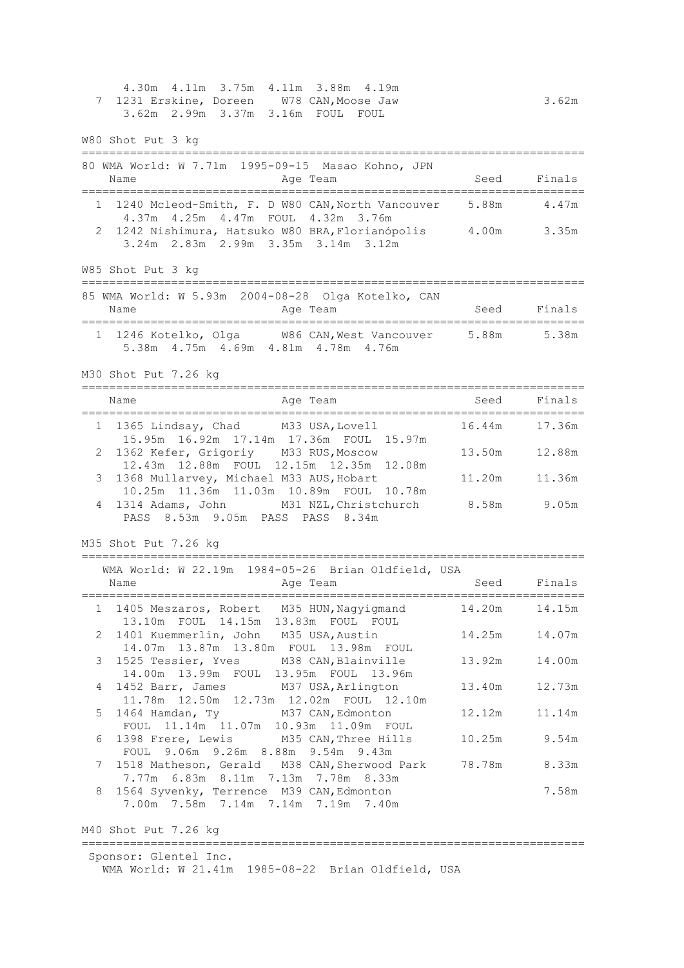4.30m 4.11m 3.75m 4.11m 3.88m 4.19m 7 1231 Erskine, Doreen W78 CAN,Moose Jaw 3.62m 3.62m 2.99m 3.37m 3.16m FOUL FOUL W80 Shot Put 3 kg ========================================================================= 80 WMA World: W 7.71m 1995-09-15 Masao Kohno, JPN Name **Age Team** Age Team Seed Finals ========================================================================= 1 1240 Mcleod-Smith, F. D W80 CAN,North Vancouver 5.88m 4.47m 4.37m 4.25m 4.47m FOUL 4.32m 3.76m 2 1242 Nishimura, Hatsuko W80 BRA,Florianópolis 4.00m 3.35m 3.24m 2.83m 2.99m 3.35m 3.14m 3.12m W85 Shot Put 3 kg ========================================================================= 85 WMA World: W 5.93m 2004-08-28 Olga Kotelko, CAN Name **Age Team** Age Team Seed Finals ========================================================================= 1 1246 Kotelko, Olga W86 CAN,West Vancouver 5.88m 5.38m 5.38m 4.75m 4.69m 4.81m 4.78m 4.76m M30 Shot Put 7.26 kg ========================================================================= Name **Age Team** Age Team Seed Finals ========================================================================= 1 1365 Lindsay, Chad M33 USA,Lovell 16.44m 17.36m 15.95m 16.92m 17.14m 17.36m FOUL 15.97m 2 1362 Kefer, Grigoriy M33 RUS,Moscow 13.50m 12.88m 12.43m 12.88m FOUL 12.15m 12.35m 12.08m 3 1368 Mullarvey, Michael M33 AUS, Hobart 11.20m 11.36m 10.25m 11.36m 11.03m 10.89m FOUL 10.78m 4 1314 Adams, John M31 NZL,Christchurch 8.58m 9.05m PASS 8.53m 9.05m PASS PASS 8.34m M35 Shot Put 7.26 kg ========================================================================= WMA World: W 22.19m 1984-05-26 Brian Oldfield, USA Name **Age Team** Age Team Seed Finals ========================================================================= 1 1405 Meszaros, Robert M35 HUN,Nagyigmand 14.20m 14.15m 13.10m FOUL 14.15m 13.83m FOUL FOUL 2 1401 Kuemmerlin, John M35 USA,Austin 14.25m 14.07m 14.07m 13.87m 13.80m FOUL 13.98m FOUL 3 1525 Tessier, Yves M38 CAN,Blainville 13.92m 14.00m 14.00m 13.99m FOUL 13.95m FOUL 13.96m 4 1452 Barr, James M37 USA,Arlington 13.40m 12.73m 11.78m 12.50m 12.73m 12.02m FOUL 12.10m 5 1464 Hamdan, Ty M37 CAN,Edmonton 12.12m 11.14m FOUL 11.14m 11.07m 10.93m 11.09m FOUL 6 1398 Frere, Lewis M35 CAN,Three Hills 10.25m 9.54m FOUL 9.06m 9.26m 8.88m 9.54m 9.43m 7 1518 Matheson, Gerald M38 CAN,Sherwood Park 78.78m 8.33m 7.77m 6.83m 8.11m 7.13m 7.78m 8.33m 8 1564 Syvenky, Terrence M39 CAN,Edmonton 7.58m 7.00m 7.58m 7.14m 7.14m 7.19m 7.40m M40 Shot Put 7.26 kg =========================================================================

Sponsor: Glentel Inc. WMA World: W 21.41m 1985-08-22 Brian Oldfield, USA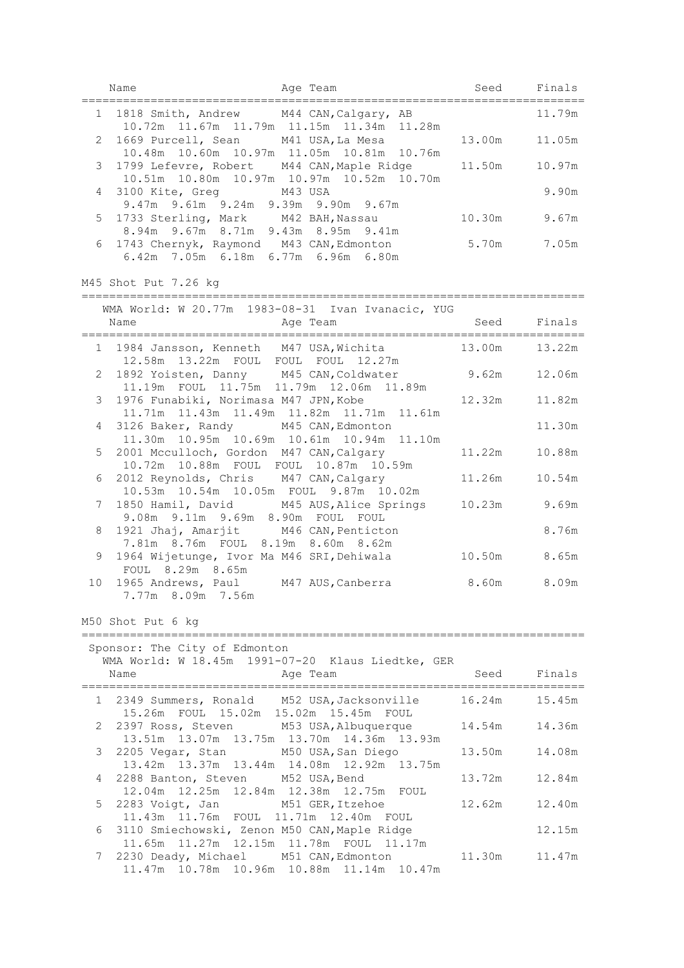|    | Name                                                                                         | Age Team          | Seed            | Finals       |
|----|----------------------------------------------------------------------------------------------|-------------------|-----------------|--------------|
|    | 1 1818 Smith, Andrew M44 CAN, Calgary, AB<br>10.72m 11.67m 11.79m 11.15m 11.34m 11.28m       |                   |                 | 11.79m       |
|    | 2 1669 Purcell, Sean M41 USA, La Mesa<br>10.48m 10.60m 10.97m 11.05m 10.81m 10.76m           |                   | 13.00m          | 11.05m       |
| 3  | 1799 Lefevre, Robert M44 CAN, Maple Ridge<br>10.51m  10.80m  10.97m  10.97m  10.52m  10.70m  |                   | 11.50m          | 10.97m       |
| 4  | 3100 Kite, Greg M43 USA<br>9.47m 9.61m 9.24m 9.39m 9.90m 9.67m                               |                   |                 | 9.90m        |
|    | 5 1733 Sterling, Mark M42 BAH, Nassau<br>8.94m 9.67m 8.71m 9.43m 8.95m 9.41m                 |                   |                 | 10.30m 9.67m |
|    | 6 1743 Chernyk, Raymond M43 CAN, Edmonton 5.70m 7.05m<br>6.42m 7.05m 6.18m 6.77m 6.96m 6.80m |                   |                 |              |
|    | M45 Shot Put 7.26 kg                                                                         |                   |                 |              |
|    | WMA World: W 20.77m 1983-08-31 Ivan Ivanacic, YUG                                            |                   |                 |              |
|    | Name                                                                                         | Age Team          |                 | Seed Finals  |
|    | 1 1984 Jansson, Kenneth M47 USA, Wichita 13.00m<br>12.58m  13.22m  FOUL  FOUL  FOUL  12.27m  |                   |                 | 13.22m       |
|    | 2 1892 Yoisten, Danny M45 CAN, Coldwater 9.62m<br>11.19m FOUL 11.75m 11.79m 12.06m 11.89m    |                   |                 | 12.06m       |
|    | 3 1976 Funabiki, Norimasa M47 JPN, Kobe<br>11.71m  11.43m  11.49m  11.82m  11.71m  11.61m    |                   | 12.32m          | 11.82m       |
| 4  | 3126 Baker, Randy M45 CAN, Edmonton<br>11.30m  10.95m  10.69m  10.61m  10.94m  11.10m        |                   |                 | 11.30m       |
|    | 5 2001 Mcculloch, Gordon M47 CAN, Calgary<br>10.72m  10.88m  FOUL  FOUL  10.87m  10.59m      |                   | 11.22m          | 10.88m       |
|    | 6 2012 Reynolds, Chris M47 CAN, Calgary<br>10.53m  10.54m  10.05m  FOUL  9.87m  10.02m       |                   | 11.26m          | 10.54m       |
| 7  | 1850 Hamil, David M45 AUS, Alice Springs<br>9.08m 9.11m 9.69m 8.90m FOUL FOUL                |                   |                 | 10.23m 9.69m |
| 8  | 1921 Jhaj, Amarjit M46 CAN, Penticton<br>7.81m 8.76m FOUL 8.19m 8.60m 8.62m                  |                   |                 | 8.76m        |
| 9  | 1964 Wijetunge, Ivor Ma M46 SRI, Dehiwala<br>FOUL 8.29m 8.65m                                |                   | 10.50m 8.65m    |              |
| 10 | 1965 Andrews, Paul M47 AUS, Canberra 8.60m 8.09m<br>7.77m 8.09m 7.56m                        |                   |                 |              |
|    | M50 Shot Put 6 kg                                                                            |                   |                 |              |
|    | Sponsor: The City of Edmonton<br>WMA World: W 18.45m 1991-07-20 Klaus Liedtke, GER           |                   |                 |              |
|    | Name                                                                                         | Age Team          | Seed            | Finals       |
|    | 1 2349 Summers, Ronald M52 USA, Jacksonville<br>15.26m FOUL 15.02m 15.02m 15.45m FOUL        |                   | 16.24m          | 15.45m       |
|    | 2 2397 Ross, Steven M53 USA, Albuquerque<br>13.51m 13.07m 13.75m 13.70m 14.36m 13.93m        |                   | 14 <b>.</b> 54m | 14.36m       |
| 3  | 2205 Vegar, Stan M50 USA, San Diego<br>13.42m 13.37m 13.44m 14.08m 12.92m 13.75m             |                   | 13.50m          | 14.08m       |
| 4  | 2288 Banton, Steven M52 USA, Bend<br>12.04m  12.25m  12.84m  12.38m  12.75m  FOUL            |                   | 13.72m          | 12.84m       |
| 5  | 2283 Voigt, Jan<br>11.43m  11.76m  FOUL  11.71m  12.40m  FOUL                                | M51 GER, Itzehoe  | 12.62m          | 12.40m       |
| 6  | 3110 Smiechowski, Zenon M50 CAN, Maple Ridge<br>11.65m  11.27m  12.15m  11.78m  FOUL  11.17m |                   |                 | 12.15m       |
| 7  | 2230 Deady, Michael<br>11.47m 10.78m 10.96m 10.88m 11.14m 10.47m                             | M51 CAN, Edmonton | 11.30m          | 11.47m       |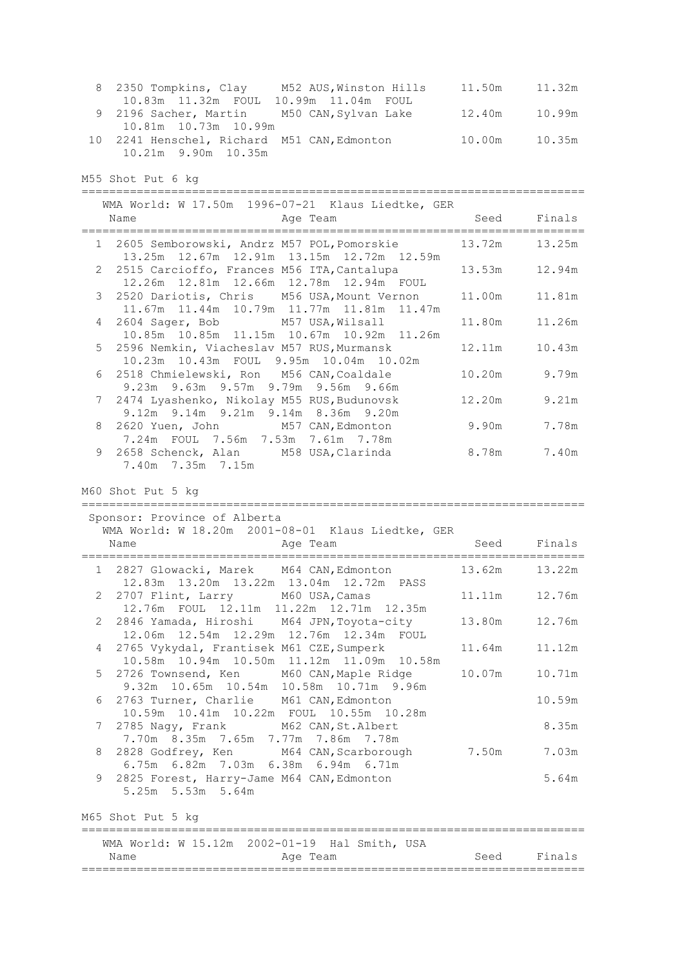| 8 2350 Tompkins, Clay                       | M52 AUS, Winston Hills | 11.50m        | 11.32m |
|---------------------------------------------|------------------------|---------------|--------|
| 10.83m  11.32m  FOUL                        | 10.99m 11.04m FOUL     |               |        |
| 9 2196 Sacher, Martin M50 CAN, Sylvan Lake  |                        | 12.40m 10.99m |        |
| 10.81m 10.73m 10.99m                        |                        |               |        |
| 10 2241 Henschel, Richard M51 CAN, Edmonton |                        | 10.00m        | 10.35m |
| 10.21m 9.90m 10.35m                         |                        |               |        |

M55 Shot Put 6 kg

| Name<br>Age Team                                                                                                                                | WMA World: W 17.50m 1996-07-21 Klaus Liedtke, GER<br>Seed | Finals        |
|-------------------------------------------------------------------------------------------------------------------------------------------------|-----------------------------------------------------------|---------------|
| 1 2605 Semborowski, Andrz M57 POL, Pomorskie<br>13.25m 12.67m 12.91m 13.15m 12.72m 12.59m                                                       |                                                           | 13.72m 13.25m |
| 2 2515 Carcioffo, Frances M56 ITA, Cantalupa<br>12.26m  12.81m  12.66m  12.78m  12.94m  FOUL                                                    | 13.53m                                                    | 12.94m        |
| 2520 Dariotis, Chris M56 USA, Mount Vernon<br>3<br>11.67m  11.44m  10.79m  11.77m  11.81m  11.47m                                               | 11.00m                                                    | 11.81m        |
| 2604 Sager, Bob M57 USA, Wilsall<br>4<br>10.85m  10.85m  11.15m  10.67m  10.92m  11.26m                                                         | 11.80m                                                    | 11.26m        |
| 2596 Nemkin, Viacheslav M57 RUS, Murmansk<br>5<br>10.23m  10.43m  FOUL  9.95m  10.04m  10.02m                                                   | 12 <b>.</b> 11m                                           | 10.43m        |
| 2518 Chmielewski, Ron M56 CAN, Coaldale<br>6<br>9.23m 9.63m 9.57m 9.79m 9.56m 9.66m                                                             |                                                           | 10.20m 9.79m  |
| 2474 Lyashenko, Nikolay M55 RUS, Budunovsk<br>7<br>9.12m 9.14m 9.21m 9.14m 8.36m 9.20m                                                          | 12.20m                                                    | 9.21m         |
| 2620 Yuen, John M57 CAN, Edmonton<br>8<br>7.24m FOUL 7.56m 7.53m 7.61m 7.78m                                                                    | 9.90m                                                     | 7.78m         |
| 2658 Schenck, Alan M58 USA, Clarinda<br>9<br>7.40m 7.35m 7.15m                                                                                  | 8.78m 7.40m                                               |               |
| WMA World: W 18.20m 2001-08-01 Klaus Liedtke, GER<br>Age Team<br>Name                                                                           | Seed                                                      | Finals        |
|                                                                                                                                                 |                                                           |               |
| 1 2827 Glowacki, Marek M64 CAN, Edmonton                                                                                                        | 13.62m                                                    | 13.22m        |
| 12.83m  13.20m  13.22m  13.04m  12.72m  PASS<br>2 2707 Flint, Larry M60 USA, Camas                                                              | 11.11m                                                    | 12.76m        |
| 12.76m FOUL 12.11m 11.22m 12.71m 12.35m<br>2846 Yamada, Hiroshi M64 JPN, Toyota-city<br>2                                                       | 13.80m                                                    | 12.76m        |
| 12.06m  12.54m  12.29m  12.76m  12.34m  FOUL<br>2765 Vykydal, Frantisek M61 CZE, Sumperk<br>4<br>10.58m  10.94m  10.50m  11.12m  11.09m  10.58m | 11.64m                                                    | 11.12m        |
| 2726 Townsend, Ken M60 CAN, Maple Ridge<br>5<br>9.32m 10.65m 10.54m 10.58m 10.71m 9.96m                                                         | 10.07m                                                    | 10.71m        |
| 6 2763 Turner, Charlie M61 CAN, Edmonton<br>10.59m  10.41m  10.22m  FOUL  10.55m  10.28m                                                        |                                                           | 10.59m        |
| 7<br>2785 Nagy, Frank M62 CAN, St. Albert<br>7.70m 8.35m 7.65m 7.77m 7.86m 7.78m                                                                |                                                           | 8.35m         |
| 2828 Godfrey, Ken<br>M64 CAN, Scarborough<br>8<br>6.75m 6.82m 7.03m 6.38m 6.94m 6.71m                                                           | 7.50m                                                     | 7.03m         |
| 9<br>2825 Forest, Harry-Jame M64 CAN, Edmonton<br>5.25m 5.53m 5.64m                                                                             |                                                           | 5.64m         |
| M65 Shot Put 5 kg                                                                                                                               |                                                           |               |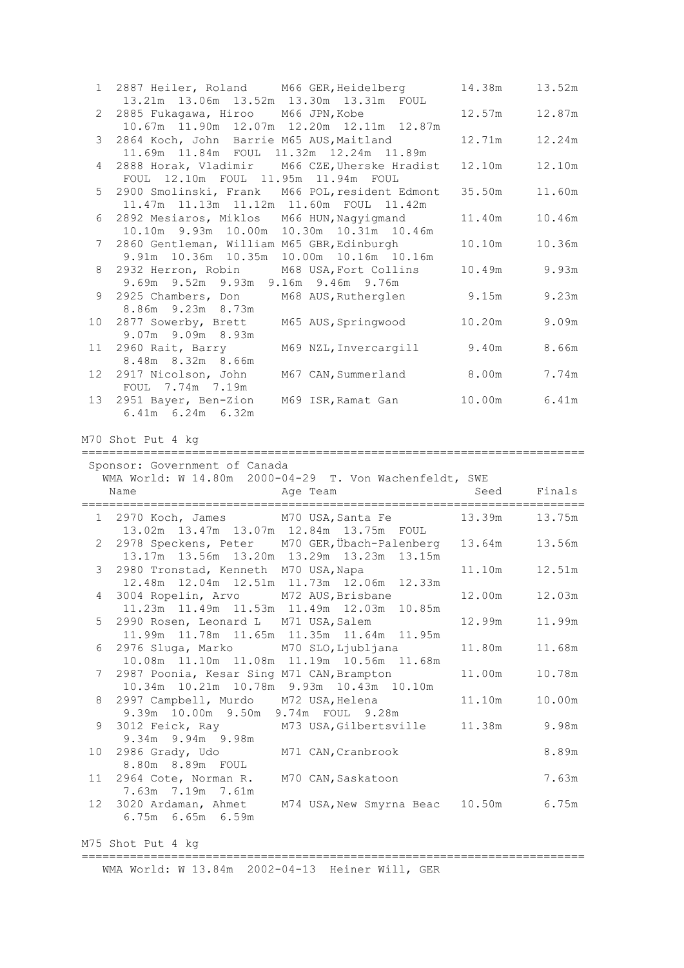| 1 2887 Heiler, Roland M66 GER, Heidelberg 14.38m           |        | 13.52m        |
|------------------------------------------------------------|--------|---------------|
| 13.21m 13.06m 13.52m 13.30m 13.31m FOUL                    |        |               |
| 2 2885 Fukagawa, Hiroo M66 JPN, Kobe                       |        | 12.57m 12.87m |
| 10.67m  11.90m  12.07m  12.20m  12.11m  12.87m             |        |               |
| 3 2864 Koch, John Barrie M65 AUS, Maitland                 | 12.71m | 12.24m        |
| 11.69m  11.84m  FOUL  11.32m  12.24m  11.89m               |        |               |
| 4 2888 Horak, Vladimir M66 CZE, Uherske Hradist            | 12.10m | 12.10m        |
| FOUL 12.10m FOUL 11.95m 11.94m FOUL                        |        |               |
| 5 2900 Smolinski, Frank M66 POL, resident Edmont           | 35.50m | 11.60m        |
| 11.47m 11.13m 11.12m 11.60m FOUL 11.42m                    |        |               |
| 6 2892 Mesiaros, Miklos M66 HUN, Nagyigmand                | 11.40m | 10.46m        |
| 10.10m 9.93m 10.00m 10.30m 10.31m 10.46m                   |        |               |
| 7 2860 Gentleman, William M65 GBR, Edinburgh               | 10.10m | 10.36m        |
| 9.91m 10.36m 10.35m 10.00m 10.16m 10.16m                   |        |               |
| 8 2932 Herron, Robin M68 USA, Fort Collins                 |        | 10.49m 9.93m  |
| 9.69m 9.52m 9.93m 9.16m 9.46m 9.76m                        |        |               |
| 9 2925 Chambers, Don M68 AUS, Rutherglen 9.15m 9.23m       |        |               |
| 8.86m 9.23m 8.73m                                          |        |               |
| 10 2877 Sowerby, Brett M65 AUS, Springwood 10.20m          |        | 9.09m         |
| 9.07m 9.09m 8.93m                                          |        |               |
| M69 NZL, Invercargill 9.40m 8.66m<br>11 2960 Rait, Barry   |        |               |
| 8.48m 8.32m 8.66m                                          |        |               |
| M67 CAN, Summerland 8.00m<br>12 2917 Nicolson, John        |        | 7.74m         |
| FOUL 7.74m 7.19m                                           |        |               |
| M69 ISR, Ramat Gan 10.00m 6.41m<br>13 2951 Bayer, Ben-Zion |        |               |
| $6.41m$ $6.24m$ $6.32m$                                    |        |               |

M70 Shot Put 4 kg

========================================================================= Sponsor: Government of Canada

| Name                                                            | WMA World: W 14.80m 2000-04-29 T. Von Wachenfeldt, SWE<br>Age Team and Seed Finals                              |        |                  |
|-----------------------------------------------------------------|-----------------------------------------------------------------------------------------------------------------|--------|------------------|
|                                                                 | 1 2970 Koch, James M70 USA, Santa Fe 13.39m 13.75m<br>13.02m  13.47m  13.07m  12.84m  13.75m  FOUL              |        |                  |
|                                                                 | 2 2978 Speckens, Peter M70 GER, Übach-Palenberg 13.64m 13.56m<br>13.17m  13.56m  13.20m  13.29m  13.23m  13.15m |        |                  |
|                                                                 | 3 2980 Tronstad, Kenneth M70 USA, Napa<br>12.48m  12.04m  12.51m  11.73m  12.06m  12.33m                        | 11.10m | 12.51m           |
|                                                                 | 4 3004 Ropelin, Arvo M72 AUS, Brisbane 12.00m<br>11.23m  11.49m  11.53m  11.49m  12.03m  10.85m                 |        | 12.03m           |
|                                                                 | 5 2990 Rosen, Leonard L M71 USA, Salem<br>11.99m  11.78m  11.65m  11.35m  11.64m  11.95m                        | 12.99m | 11.99m           |
|                                                                 | 6 2976 Sluga, Marko M70 SLO, Ljubljana<br>10.08m  11.10m  11.08m  11.19m  10.56m  11.68m                        |        | 11.80m    11.68m |
|                                                                 | 7 2987 Poonia, Kesar Sing M71 CAN, Brampton<br>10.34m 10.21m 10.78m 9.93m 10.43m 10.10m                         |        | 11.00m   10.78m  |
|                                                                 | 8 2997 Campbell, Murdo M72 USA, Helena 11.10m<br>9.39m 10.00m 9.50m 9.74m FOUL 9.28m                            |        | 10.00m           |
| 9.34m 9.94m 9.98m                                               | 9 3012 Feick, Ray M73 USA, Gilbertsville 11.38m 9.98m                                                           |        |                  |
| 10 2986 Grady, Udo M71 CAN, Cranbrook<br>8.80m 8.89m FOUL       |                                                                                                                 |        | 8.89m            |
| 11 2964 Cote, Norman R. M70 CAN, Saskatoon<br>7.63m 7.19m 7.61m |                                                                                                                 |        | 7.63m            |
| 6.75m 6.65m 6.59m                                               | 12 3020 Ardaman, Ahmet M74 USA, New Smyrna Beac 10.50m 6.75m                                                    |        |                  |

M75 Shot Put 4 kg

=========================================================================

WMA World: W 13.84m 2002-04-13 Heiner Will, GER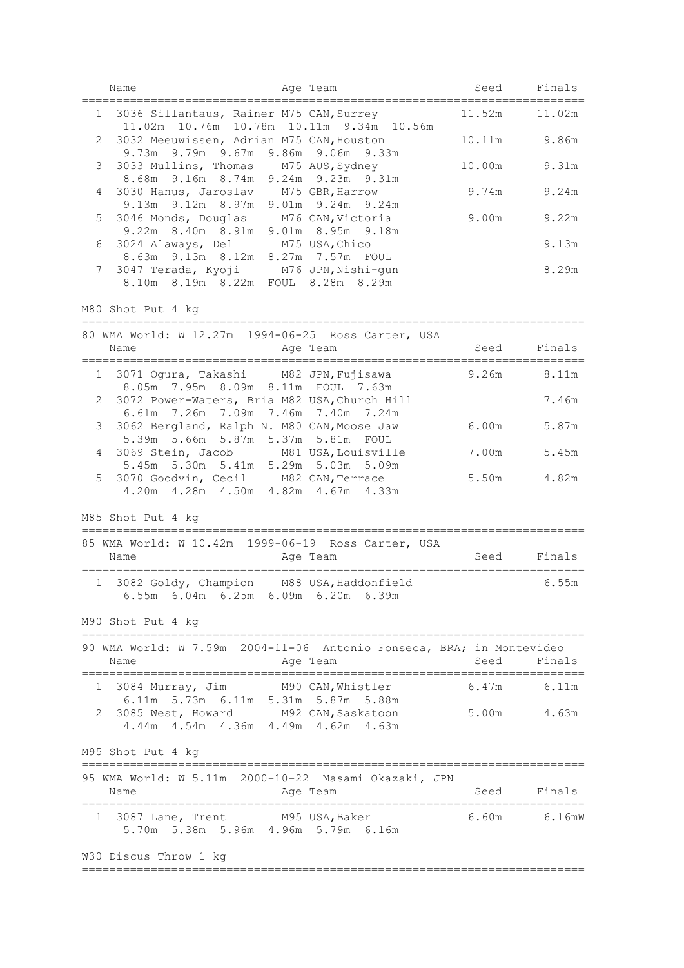|   | Name                                                                                                                             | Age Team |                | Seed Finals |
|---|----------------------------------------------------------------------------------------------------------------------------------|----------|----------------|-------------|
|   | 1 3036 Sillantaus, Rainer M75 CAN, Surrey                                                                                        |          | 11.52m 11.02m  | =========== |
| 2 | 11.02m  10.76m  10.78m  10.11m  9.34m  10.56m<br>3032 Meeuwissen, Adrian M75 CAN, Houston<br>9.73m 9.79m 9.67m 9.86m 9.06m 9.33m |          | 10.11m         | 9.86m       |
| 3 | 3033 Mullins, Thomas M75 AUS, Sydney<br>8.68m 9.16m 8.74m 9.24m 9.23m 9.31m                                                      |          | 10.00m         | 9.31m       |
| 4 | 3030 Hanus, Jaroslav M75 GBR, Harrow<br>9.13m 9.12m 8.97m 9.01m 9.24m 9.24m                                                      |          | 9.74m          | 9.24m       |
| 5 | 3046 Monds, Douglas M76 CAN, Victoria<br>9.22m 8.40m 8.91m 9.01m 8.95m 9.18m                                                     |          | 9.00m          | 9.22m       |
| 6 | 3024 Alaways, Del M75 USA, Chico<br>8.63m 9.13m 8.12m 8.27m 7.57m FOUL                                                           |          |                | 9.13m       |
| 7 | 3047 Terada, Kyoji M76 JPN, Nishi-gun<br>8.10m 8.19m 8.22m FOUL 8.28m 8.29m                                                      |          |                | 8.29m       |
|   | M80 Shot Put 4 kg                                                                                                                |          |                |             |
|   | 80 WMA World: W 12.27m 1994-06-25 Ross Carter, USA<br>Name                                                                       | Age Team | Seed Finals    |             |
|   | 1 3071 Oqura, Takashi M82 JPN, Fujisawa<br>8.05m 7.95m 8.09m 8.11m FOUL 7.63m                                                    |          | $9.26m$ 8.11m  |             |
|   | 2 3072 Power-Waters, Bria M82 USA, Church Hill<br>6.61m 7.26m 7.09m 7.46m 7.40m 7.24m                                            |          |                | 7.46m       |
| 3 | 3062 Bergland, Ralph N. M80 CAN, Moose Jaw<br>5.39m 5.66m 5.87m 5.37m 5.81m FOUL                                                 |          | 6.00m          | 5.87m       |
| 4 | 3069 Stein, Jacob M81 USA, Louisville<br>5.45m 5.30m 5.41m 5.29m 5.03m 5.09m                                                     |          | 7.00m          | 5.45m       |
| 5 | 3070 Goodvin, Cecil M82 CAN, Terrace<br>4.20m  4.28m  4.50m  4.82m  4.67m  4.33m                                                 |          | 5.50m          | 4.82m       |
|   | M85 Shot Put 4 kg                                                                                                                |          |                |             |
|   | 85 WMA World: W 10.42m 1999-06-19 Ross Carter, USA<br>Name                                                                       | Age Team |                | Seed Finals |
|   | 1 3082 Goldy, Champion M88 USA, Haddonfield<br>$6.55m$ $6.04m$ $6.25m$ $6.09m$ $6.20m$ $6.39m$                                   |          |                | 6.55m       |
|   | M90 Shot Put 4 kg                                                                                                                |          |                |             |
|   | 90 WMA World: W 7.59m 2004-11-06 Antonio Fonseca, BRA; in Montevideo<br>Name<br>Age Team                                         |          | Seed           | Finals      |
|   | 1 3084 Murray, Jim M90 CAN, Whistler<br>6.11m 5.73m 6.11m 5.31m 5.87m 5.88m                                                      |          |                | 6.47m 6.11m |
| 2 | 3085 West, Howard M92 CAN, Saskatoon<br>4.44m  4.54m  4.36m  4.49m  4.62m  4.63m                                                 |          | 5.00m 4.63m    |             |
|   | M95 Shot Put 4 kg                                                                                                                |          |                |             |
|   | 95 WMA World: W 5.11m 2000-10-22 Masami Okazaki, JPN<br>Name                                                                     | Age Team | Seed           | Finals      |
| 1 | 3087 Lane, Trent M95 USA, Baker<br>5.70m 5.38m 5.96m 4.96m 5.79m 6.16m                                                           |          | 6.60m   6.16mW |             |
|   | W30 Discus Throw 1 kg                                                                                                            |          |                |             |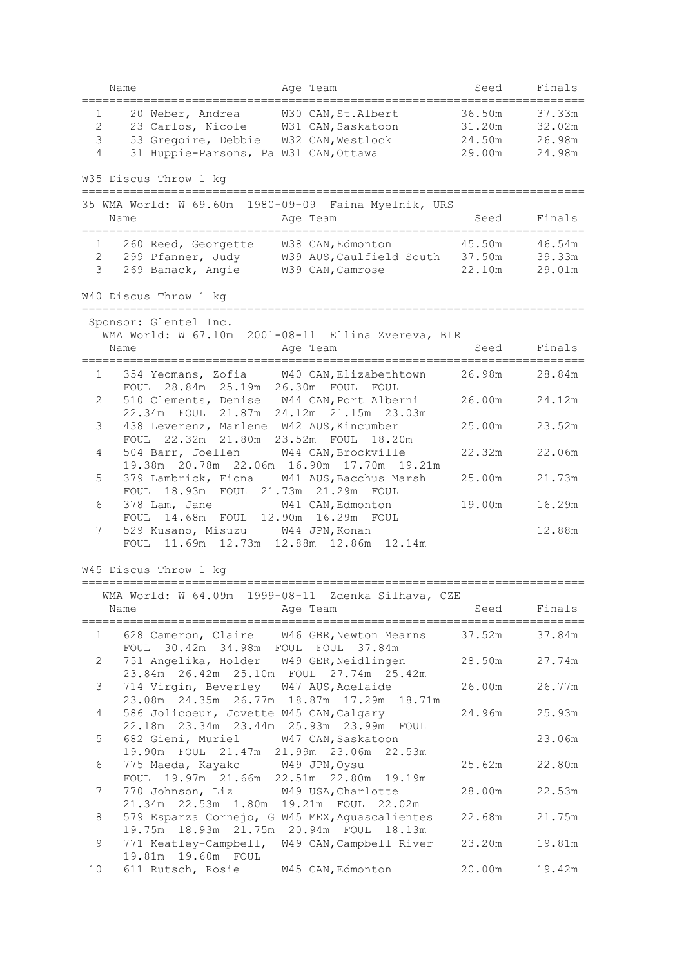| Name                                                      | Age Team                                                                                                                                      | Seed                                 | Finals                               |
|-----------------------------------------------------------|-----------------------------------------------------------------------------------------------------------------------------------------------|--------------------------------------|--------------------------------------|
| 20 Weber, Andrea<br>1<br>2<br>3<br>$\overline{4}$         | W30 CAN, St. Albert<br>23 Carlos, Nicole W31 CAN, Saskatoon<br>53 Gregoire, Debbie W32 CAN, Westlock<br>31 Huppie-Parsons, Pa W31 CAN, Ottawa | 36.50m<br>31.20m<br>24.50m<br>29.00m | 37.33m<br>32.02m<br>26.98m<br>24.98m |
| W35 Discus Throw 1 kg<br>=========================        |                                                                                                                                               |                                      |                                      |
| Name                                                      | 35 WMA World: W 69.60m 1980-09-09 Faina Myelnik, URS<br>Age Team                                                                              | Seed                                 | Finals                               |
| 260 Reed, Georgette<br>1<br>$\mathbf{2}$<br>$\mathcal{E}$ | W38 CAN, Edmonton<br>299 Pfanner, Judy W39 AUS, Caulfield South 37.50m<br>269 Banack, Angie W39 CAN, Camrose                                  | 45.50m<br>22.10m                     | 46.54m<br>39.33m<br>29.01m           |
| W40 Discus Throw 1 kg                                     |                                                                                                                                               |                                      |                                      |
| Sponsor: Glentel Inc.<br>Name                             | WMA World: W 67.10m 2001-08-11 Ellina Zvereva, BLR<br>Age Team                                                                                | Seed                                 | Finals                               |
| 1                                                         | 354 Yeomans, Zofia W40 CAN, Elizabethtown                                                                                                     | 26.98m                               | 28.84m                               |
| 2                                                         | FOUL 28.84m 25.19m 26.30m FOUL FOUL<br>510 Clements, Denise W44 CAN, Port Alberni<br>22.34m FOUL 21.87m 24.12m 21.15m 23.03m                  | 26.00m                               | 24.12m                               |
| 3                                                         | 438 Leverenz, Marlene W42 AUS, Kincumber<br>FOUL 22.32m 21.80m 23.52m FOUL 18.20m                                                             | 25.00m                               | 23.52m                               |
| 504 Barr, Joellen<br>4                                    | W44 CAN, Brockville                                                                                                                           | 22.32m                               | 22.06m                               |
| 5<br>379 Lambrick, Fiona                                  | 19.38m  20.78m  22.06m  16.90m  17.70m  19.21m<br>W41 AUS, Bacchus Marsh                                                                      | 25.00m                               | 21.73m                               |
| 378 Lam, Jane<br>6                                        | FOUL 18.93m FOUL 21.73m 21.29m FOUL<br>W41 CAN, Edmonton                                                                                      | 19.00m                               | 16.29m                               |
| 7                                                         | FOUL 14.68m FOUL 12.90m 16.29m FOUL<br>529 Kusano, Misuzu W44 JPN, Konan<br>FOUL 11.69m 12.73m 12.88m 12.86m 12.14m                           |                                      | 12.88m                               |
| W45 Discus Throw 1 kg                                     |                                                                                                                                               |                                      |                                      |
| WMA World: W 64.09m<br>Name                               | 1999-08-11<br>Zdenka Silhava, CZE<br>Age Team                                                                                                 | Seed                                 | Finals                               |
| $\mathbf{1}$                                              | 628 Cameron, Claire W46 GBR, Newton Mearns                                                                                                    | 37.52m                               | 37.84m                               |
| 2                                                         | FOUL 30.42m 34.98m FOUL FOUL 37.84m<br>751 Angelika, Holder W49 GER, Neidlingen                                                               | 28.50m                               | 27.74m                               |
| 3                                                         | 23.84m  26.42m  25.10m  FOUL  27.74m  25.42m<br>714 Virgin, Beverley W47 AUS, Adelaide<br>23.08m  24.35m  26.77m  18.87m  17.29m  18.71m      | 26.00m                               | 26.77m                               |
| 4                                                         | 586 Jolicoeur, Jovette W45 CAN, Calgary<br>22.18m  23.34m  23.44m  25.93m  23.99m  FOUL                                                       | 24.96m                               | 25.93m                               |
| 5                                                         | 682 Gieni, Muriel W47 CAN, Saskatoon<br>19.90m FOUL 21.47m 21.99m 23.06m 22.53m                                                               |                                      | 23.06m                               |
| 775 Maeda, Kayako W49 JPN, Oysu<br>6                      | FOUL 19.97m 21.66m 22.51m 22.80m 19.19m                                                                                                       | 25.62m                               | 22.80m                               |
| 7                                                         | 770 Johnson, Liz W49 USA, Charlotte                                                                                                           | 28.00m                               | 22.53m                               |
| 8                                                         | 21.34m 22.53m 1.80m 19.21m FOUL 22.02m<br>579 Esparza Cornejo, G W45 MEX, Aguascalientes                                                      | 22.68m                               | 21.75m                               |
| 771 Keatley-Campbell,<br>9                                | 19.75m 18.93m 21.75m 20.94m FOUL 18.13m<br>W49 CAN, Campbell River                                                                            | 23.20m                               | 19.81m                               |
| 19.81m  19.60m  FOUL<br>611 Rutsch, Rosie<br>10           | W45 CAN, Edmonton                                                                                                                             | 20.00m                               | 19.42m                               |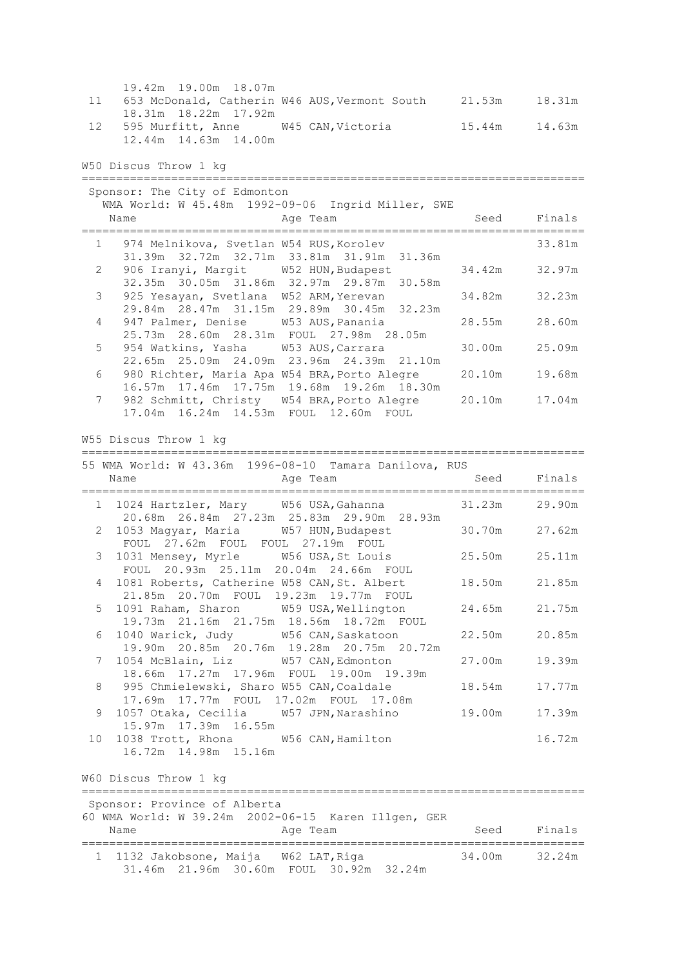|                       | 19.42m 19.00m 18.07m                                                                                                                |        |             |
|-----------------------|-------------------------------------------------------------------------------------------------------------------------------------|--------|-------------|
| 11                    | 653 McDonald, Catherin W46 AUS, Vermont South 21.53m<br>18.31m  18.22m  17.92m                                                      |        | 18.31m      |
| 12                    | 595 Murfitt, Anne W45 CAN, Victoria                                                                                                 | 15.44m | 14.63m      |
|                       | 12.44m  14.63m  14.00m                                                                                                              |        |             |
|                       | W50 Discus Throw 1 kg                                                                                                               |        |             |
|                       | Sponsor: The City of Edmonton                                                                                                       |        |             |
|                       | WMA World: W 45.48m 1992-09-06 Ingrid Miller, SWE                                                                                   |        |             |
|                       | Name<br>Age Team                                                                                                                    |        | Seed Finals |
| $1 \quad$             | 974 Melnikova, Svetlan W54 RUS, Korolev<br>31.39m 32.72m 32.71m 33.81m 31.91m 31.36m                                                |        | 33.81m      |
| $\mathbf{2}^{\prime}$ | 906 Iranyi, Margit W52 HUN, Budapest<br>32.35m 30.05m 31.86m 32.97m 29.87m 30.58m                                                   | 34.42m | 32.97m      |
| 3                     | 925 Yesayan, Svetlana W52 ARM, Yerevan<br>29.84m 28.47m 31.15m 29.89m 30.45m 32.23m                                                 | 34.82m | 32.23m      |
| 4                     | 947 Palmer, Denise W53 AUS, Panania                                                                                                 | 28.55m | 28.60m      |
| 5                     | 25.73m  28.60m  28.31m  FOUL  27.98m  28.05m<br>954 Watkins, Yasha<br>W53 AUS, Carrara<br>22.65m 25.09m 24.09m 23.96m 24.39m 21.10m | 30.00m | 25.09m      |
| 6                     | 980 Richter, Maria Apa W54 BRA, Porto Alegre<br>16.57m 17.46m 17.75m 19.68m 19.26m 18.30m                                           | 20.10m | 19.68m      |
| 7                     | 982 Schmitt, Christy W54 BRA, Porto Alegre<br>17.04m  16.24m  14.53m  FOUL  12.60m  FOUL                                            | 20.10m | 17.04m      |
|                       |                                                                                                                                     |        |             |
|                       | W55 Discus Throw 1 kg                                                                                                               |        |             |
|                       | 55 WMA World: W 43.36m 1996-08-10 Tamara Danilova, RUS<br>Age Team<br>Name                                                          | Seed   | Finals      |
|                       |                                                                                                                                     |        |             |
|                       | 1 1024 Hartzler, Mary W56 USA, Gahanna<br>20.68m  26.84m  27.23m  25.83m  29.90m  28.93m                                            | 31.23m | 29.90m      |
|                       | 1053 Magyar, Maria W57 HUN, Budapest<br>2<br>FOUL 27.62m FOUL FOUL 27.19m FOUL                                                      | 30.70m | 27.62m      |
| 3 <sup>7</sup>        | 1031 Mensey, Myrle W56 USA, St Louis<br>FOUL 20.93m 25.11m 20.04m 24.66m FOUL                                                       | 25.50m | 25.11m      |
| 4                     | 1081 Roberts, Catherine W58 CAN, St. Albert<br>21.85m  20.70m  FOUL  19.23m  19.77m  FOUL                                           | 18.50m | 21.85m      |
| 5                     | 1091 Raham, Sharon W59 USA, Wellington<br>19.73m  21.16m  21.75m  18.56m  18.72m  FOUL                                              | 24.65m | 21.75m      |
| 6                     | 1040 Warick, Judy<br>W56 CAN, Saskatoon<br>19.90m 20.85m 20.76m 19.28m 20.75m 20.72m                                                | 22.50m | 20.85m      |
| 7                     | 1054 McBlain, Liz<br>W57 CAN, Edmonton<br>18.66m 17.27m 17.96m FOUL 19.00m 19.39m                                                   | 27.00m | 19.39m      |
| 8                     | 995 Chmielewski, Sharo W55 CAN, Coaldale<br>17.69m  17.77m  FOUL  17.02m  FOUL  17.08m                                              | 18.54m | 17.77m      |
| 9                     | 1057 Otaka, Cecilia W57 JPN, Narashino<br>15.97m  17.39m  16.55m                                                                    | 19.00m | 17.39m      |
| 10                    | 1038 Trott, Rhona W56 CAN, Hamilton<br>16.72m  14.98m  15.16m                                                                       |        | 16.72m      |
|                       | W60 Discus Throw 1 kg                                                                                                               |        |             |
|                       | :===============================<br>Sponsor: Province of Alberta                                                                    |        |             |
|                       | 60 WMA World: W 39.24m 2002-06-15 Karen Illgen, GER<br>Age Team<br>Name                                                             | Seed   | Finals      |
|                       |                                                                                                                                     |        |             |
|                       | 1132 Jakobsone, Maija W62 LAT, Riga<br>$\mathbf{1}$<br>31.46m 21.96m 30.60m FOUL 30.92m 32.24m                                      | 34.00m | 32.24m      |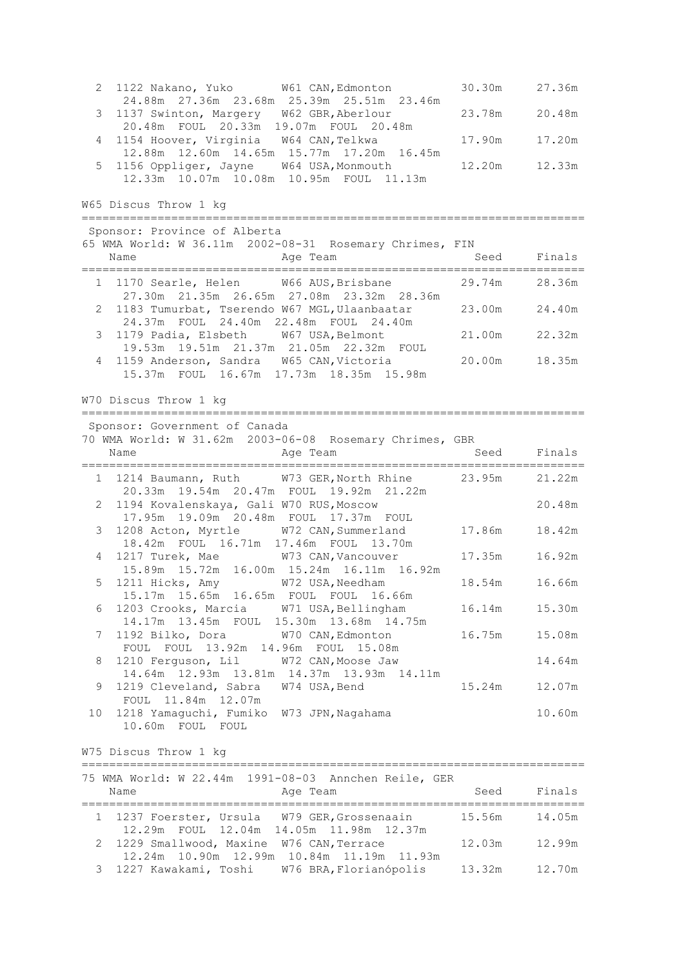| 2. | 1122 Nakano, Yuko W61 CAN, Edmonton<br>24.88m 27.36m 23.68m 25.39m 25.51m 23.46m                                                    | 30.30m | 27.36m |
|----|-------------------------------------------------------------------------------------------------------------------------------------|--------|--------|
| 3  | 1137 Swinton, Margery W62 GBR, Aberlour<br>20.48m FOUL 20.33m 19.07m FOUL 20.48m                                                    | 23.78m | 20.48m |
| 4  | 1154 Hoover, Virginia W64 CAN, Telkwa                                                                                               | 17.90m | 17.20m |
| 5  | 12.88m  12.60m  14.65m  15.77m  17.20m  16.45m<br>1156 Oppliger, Jayne W64 USA, Monmouth<br>12.33m 10.07m 10.08m 10.95m FOUL 11.13m | 12.20m | 12.33m |
|    | W65 Discus Throw 1 kg                                                                                                               |        |        |
|    | Sponsor: Province of Alberta                                                                                                        |        |        |
|    | 65 WMA World: W 36.11m 2002-08-31 Rosemary Chrimes, FIN<br>Name<br>Age Team                                                         | Seed   | Finals |
|    |                                                                                                                                     |        |        |
|    | 1 1170 Searle, Helen<br>W66 AUS, Brisbane<br>27.30m 21.35m 26.65m 27.08m 23.32m 28.36m                                              | 29.74m | 28.36m |
| 2  | 1183 Tumurbat, Tserendo W67 MGL, Ulaanbaatar<br>24.37m FOUL 24.40m 22.48m FOUL 24.40m                                               | 23.00m | 24.40m |
| 3  | 1179 Padia, Elsbeth W67 USA, Belmont                                                                                                | 21.00m | 22.32m |
| 4  | 19.53m  19.51m  21.37m  21.05m  22.32m  FOUL<br>1159 Anderson, Sandra W65 CAN, Victoria<br>15.37m FOUL 16.67m 17.73m 18.35m 15.98m  | 20.00m | 18.35m |
|    | W70 Discus Throw 1 kg                                                                                                               |        |        |
|    | Sponsor: Government of Canada                                                                                                       |        |        |
|    | 70 WMA World: W 31.62m 2003-06-08 Rosemary Chrimes, GBR<br>Name<br>Age Team                                                         | Seed   | Finals |
|    | 1 1214 Baumann, Ruth W73 GER, North Rhine 23.95m                                                                                    |        | 21.22m |
| 2  | 20.33m 19.54m 20.47m FOUL 19.92m 21.22m<br>1194 Kovalenskaya, Gali W70 RUS, Moscow                                                  |        | 20.48m |
| 3  | 17.95m  19.09m  20.48m  FOUL  17.37m  FOUL<br>1208 Acton, Myrtle W72 CAN, Summerland                                                | 17.86m | 18.42m |
|    | 18.42m FOUL 16.71m 17.46m FOUL 13.70m                                                                                               |        |        |
| 4  | 1217 Turek, Mae<br>W73 CAN, Vancouver<br>15.89m 15.72m 16.00m 15.24m 16.11m 16.92m                                                  | 17.35m | 16.92m |
| 5  | 1211 Hicks, Amy W72 USA, Needham<br>15.17m  15.65m  16.65m  FOUL  FOUL  16.66m                                                      | 18.54m | 16.66m |
| 6  | 1203 Crooks, Marcia W71 USA, Bellingham                                                                                             | 16.14m | 15.30m |
| 7  | 14.17m  13.45m  FOUL  15.30m  13.68m  14.75m<br>1192 Bilko, Dora W70 CAN, Edmonton                                                  | 16.75m | 15.08m |
| 8  | FOUL FOUL 13.92m 14.96m FOUL 15.08m                                                                                                 |        |        |
|    |                                                                                                                                     |        |        |
|    | 1210 Ferguson, Lil<br>W72 CAN, Moose Jaw<br>14.64m 12.93m 13.81m 14.37m 13.93m 14.11m                                               |        | 14.64m |
| 9  | 1219 Cleveland, Sabra W74 USA, Bend<br>FOUL 11.84m 12.07m                                                                           | 15.24m | 12.07m |
| 10 | 1218 Yamaguchi, Fumiko W73 JPN, Nagahama<br>10.60m FOUL FOUL                                                                        |        | 10.60m |
|    | W75 Discus Throw 1 kg                                                                                                               |        |        |
|    |                                                                                                                                     |        |        |
|    | 75 WMA World: W 22.44m 1991-08-03 Annchen Reile, GER<br>Name<br>Age Team                                                            | Seed   | Finals |
| 1  | 1237 Foerster, Ursula W79 GER, Grossenaain<br>12.29m FOUL 12.04m 14.05m 11.98m 12.37m                                               | 15.56m | 14.05m |

3 1227 Kawakami, Toshi W76 BRA,Florianópolis 13.32m 12.70m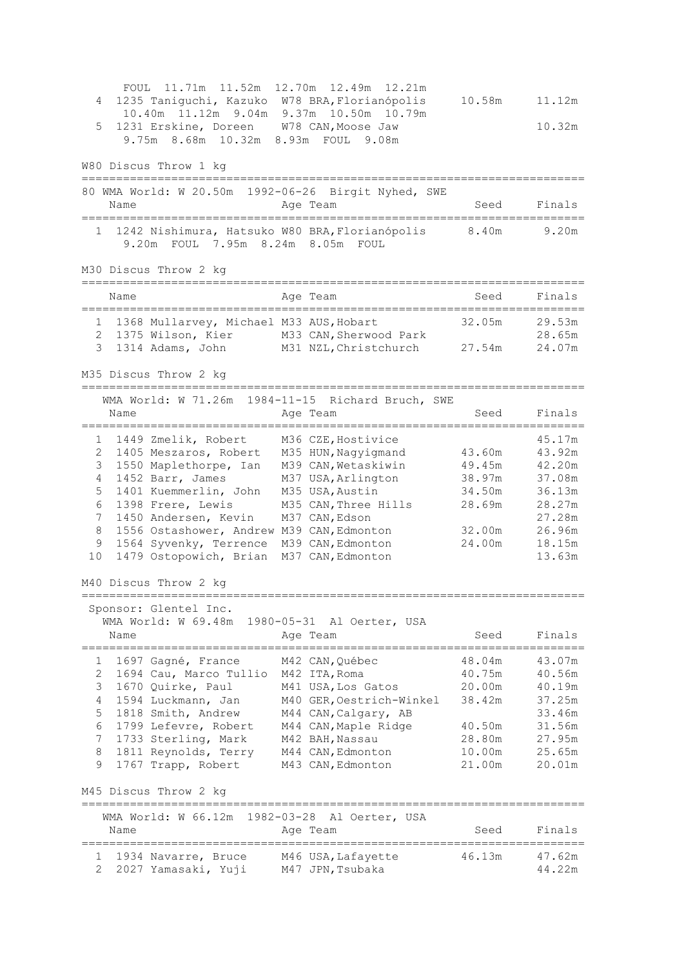FOUL 11.71m 11.52m 12.70m 12.49m 12.21m 4 1235 Taniguchi, Kazuko W78 BRA,Florianópolis 10.58m 11.12m 10.40m 11.12m 9.04m 9.37m 10.50m 10.79m 5 1231 Erskine, Doreen W78 CAN,Moose Jaw 10.32m 9.75m 8.68m 10.32m 8.93m FOUL 9.08m W80 Discus Throw 1 kg ========================================================================= 80 WMA World: W 20.50m 1992-06-26 Birgit Nyhed, SWE Name Reserve Age Team Name Seed Finals ========================================================================= 1 1242 Nishimura, Hatsuko W80 BRA,Florianópolis 8.40m 9.20m 9.20m FOUL 7.95m 8.24m 8.05m FOUL M30 Discus Throw 2 kg ========================================================================= Name Age Team ========================================================================= 1 1368 Mullarvey, Michael M33 AUS,Hobart 32.05m 29.53m 2 1375 Wilson, Kier M33 CAN, Sherwood Park 28.65m 3 1314 Adams, John M31 NZL,Christchurch 27.54m 24.07m M35 Discus Throw 2 kg ========================================================================= WMA World: W 71.26m 1984-11-15 Richard Bruch, SWE<br>Name Age Team Name Age Team Seed Finals ========================================================================= 1 1449 Zmelik, Robert M36 CZE,Hostivice 45.17m 2 1405 Meszaros, Robert M35 HUN,Nagyigmand 43.60m 43.92m 3 1550 Maplethorpe, Ian M39 CAN,Wetaskiwin 49.45m 42.20m 4 1452 Barr, James M37 USA,Arlington 38.97m 37.08m 5 1401 Kuemmerlin, John M35 USA,Austin 34.50m 36.13m 6 1398 Frere, Lewis M35 CAN,Three Hills 28.69m 28.27m 1398 Frere, Lewis M35 CAN, Three Hills 28.69m 28.27m<br>7 1450 Andersen, Kevin M37 CAN, Edson 28.27m 27.28m 8 1556 Ostashower, Andrew M39 CAN,Edmonton 32.00m 26.96m 9 1564 Syvenky, Terrence M39 CAN,Edmonton 24.00m 18.15m 10 1479 Ostopowich, Brian M37 CAN,Edmonton 13.63m M40 Discus Throw 2 kg ========================================================================= Sponsor: Glentel Inc. WMA World: W 69.48m 1980-05-31 Al Oerter, USA Name **Age Team** Age Team Seed Finals ========================================================================= 1 1697 Gagné, France M42 CAN,Québec 48.04m 43.07m 2 1694 Cau, Marco Tullio M42 ITA, Roma 40.75m 40.56m 3 1670 Quirke, Paul M41 USA,Los Gatos 20.00m 40.19m 4 1594 Luckmann, Jan M40 GER,Oestrich-Winkel 38.42m 37.25m 5 1818 Smith, Andrew M44 CAN, Calgary, AB 33.46m 6 1799 Lefevre, Robert M44 CAN,Maple Ridge 40.50m 31.56m 7 1733 Sterling, Mark M42 BAH,Nassau 28.80m 27.95m 8 1811 Reynolds, Terry M44 CAN,Edmonton 10.00m 25.65m 9 1767 Trapp, Robert M43 CAN,Edmonton 21.00m 20.01m M45 Discus Throw 2 kg ========================================================================= WMA World: W 66.12m 1982-03-28 Al Oerter, USA Name and Age Team and Seed Finals ========================================================================= 1 1934 Navarre, Bruce M46 USA,Lafayette 46.13m 47.62m 2 2027 Yamasaki, Yuji M47 JPN,Tsubaka 44.22m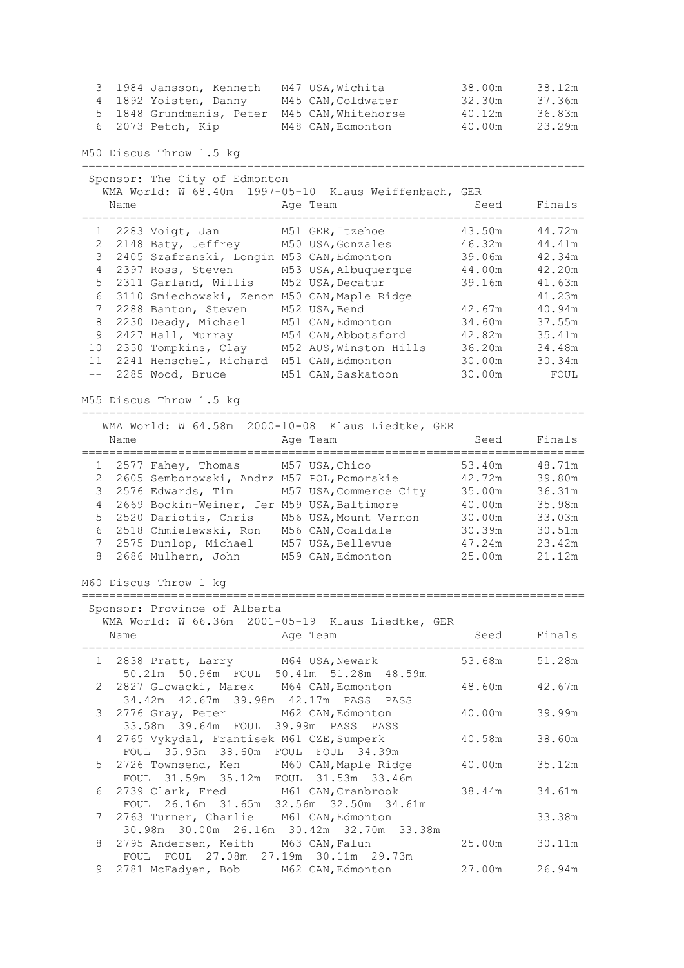1984 Jansson, Kenneth 197 USA, Wichita 38.00m 38.12m<br>
1892 Yoisten, Danny 1945 CAN, Coldwater 32.30m 37.36m<br>
1848 Grundmanis, Peter 1945 CAN, Whitehorse 40.12m 36.83m<br>
6 2073 Petch, Kip 1948 CAN, Edmonton 40.00m 23.29m 1892 Yoisten, Danny M45 CAN, Coldwater 32.30m 37.36m 5 1848 Grundmanis, Peter M45 CAN, Whitehorse 40.12m 36.83m<br>6 2073 Petch, Kip M48 CAN, Edmonton 40.00m 23.29m 6 2073 Petch, Kip M48 CAN,Edmonton 40.00m 23.29m M50 Discus Throw 1.5 kg ========================================================================= Sponsor: The City of Edmonton WMA World: W 68.40m 1997-05-10 Klaus Weiffenbach, GER Name **Age Team** Age Team Seed Finals ========================================================================= 1 2283 Voigt, Jan M51 GER,Itzehoe 43.50m 44.72m 2 2148 Baty, Jeffrey M50 USA, Gonzales 46.32m 44.41m 3 2405 Szafranski, Longin M53 CAN,Edmonton 39.06m 42.34m 4 2397 Ross, Steven M53 USA,Albuquerque 44.00m 42.20m 5 2311 Garland, Willis M52 USA,Decatur 39.16m 41.63m 6 3110 Smiechowski, Zenon M50 CAN,Maple Ridge 41.23m 7 2288 Banton, Steven M52 USA, Bend 42.67m 40.94m 8 2230 Deady, Michael M51 CAN,Edmonton 34.60m 37.55m 9 2427 Hall, Murray M54 CAN,Abbotsford 42.82m 35.41m 10 2350 Tompkins, Clay M52 AUS,Winston Hills 36.20m 34.48m 11 2241 Henschel, Richard M51 CAN,Edmonton 30.00m 30.34m -- 2285 Wood, Bruce M51 CAN, Saskatoon 30.00m FOUL M55 Discus Throw 1.5 kg ========================================================================= WMA World: W 64.58m 2000-10-08 Klaus Liedtke, GER Name **Age Team** Age Team Seed Finals ========================================================================= 1 2577 Fahey, Thomas M57 USA,Chico 53.40m 48.71m 2 2605 Semborowski, Andrz M57 POL,Pomorskie 42.72m 39.80m 3 2576 Edwards, Tim M57 USA,Commerce City 35.00m 36.31m 4 2669 Bookin-Weiner, Jer M59 USA,Baltimore 40.00m 35.98m 5 2520 Dariotis, Chris M56 USA,Mount Vernon 30.00m 33.03m 6 2518 Chmielewski, Ron M56 CAN,Coaldale 30.39m 30.51m 7 2575 Dunlop, Michael M57 USA,Bellevue 47.24m 23.42m 8 2686 Mulhern, John M59 CAN,Edmonton 25.00m 21.12m M60 Discus Throw 1 kg ========================================================================= Sponsor: Province of Alberta WMA World: W 66.36m 2001-05-19 Klaus Liedtke, GER Name **Age Team** Age Team Seed Finals ========================================================================= 1 2838 Pratt, Larry M64 USA,Newark 53.68m 51.28m 50.21m 50.96m FOUL 50.41m 51.28m 48.59m 2 2827 Glowacki, Marek M64 CAN,Edmonton 48.60m 42.67m 34.42m 42.67m 39.98m 42.17m PASS PASS 3 2776 Gray, Peter M62 CAN,Edmonton 40.00m 39.99m 33.58m 39.64m FOUL 39.99m PASS PASS 4 2765 Vykydal, Frantisek M61 CZE,Sumperk 40.58m 38.60m FOUL 35.93m 38.60m FOUL FOUL 34.39m 5 2726 Townsend, Ken M60 CAN, Maple Ridge 40.00m 35.12m FOUL 31.59m 35.12m FOUL 31.53m 33.46m 6 2739 Clark, Fred M61 CAN,Cranbrook 38.44m 34.61m FOUL 26.16m 31.65m 32.56m 32.50m 34.61m 7 2763 Turner, Charlie M61 CAN,Edmonton 33.38m 30.98m 30.00m 26.16m 30.42m 32.70m 33.38m 8 2795 Andersen, Keith M63 CAN,Falun 25.00m 30.11m FOUL FOUL 27.08m 27.19m 30.11m 29.73m 9 2781 McFadyen, Bob M62 CAN,Edmonton 27.00m 26.94m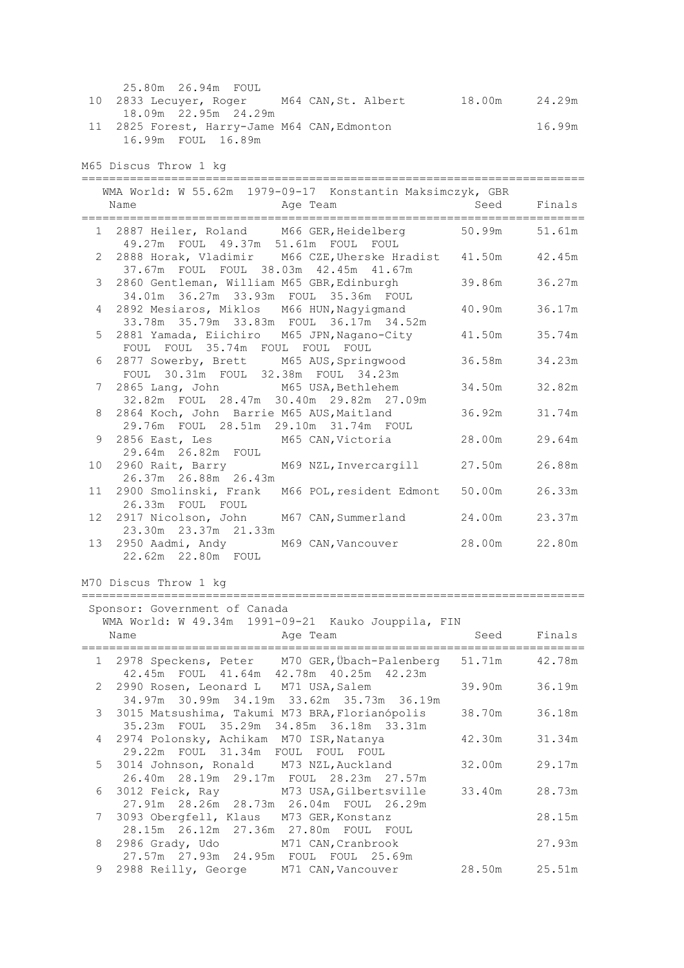|                 | 25.80m  26.94m  FOUL                                                                  |        |        |
|-----------------|---------------------------------------------------------------------------------------|--------|--------|
| 10 <sub>o</sub> | 2833 Lecuyer, Roger M64 CAN, St. Albert 18.00m 24.29m                                 |        |        |
|                 | 18.09m 22.95m 24.29m                                                                  |        | 16.99m |
|                 | 11 2825 Forest, Harry-Jame M64 CAN, Edmonton<br>16.99m FOUL 16.89m                    |        |        |
|                 |                                                                                       |        |        |
|                 | M65 Discus Throw 1 kg                                                                 |        |        |
|                 | WMA World: W 55.62m 1979-09-17 Konstantin Maksimczyk, GBR                             |        |        |
|                 | Age Team<br>Name                                                                      | Seed   | Finals |
|                 | 1 2887 Heiler, Roland M66 GER, Heidelberg 50.99m                                      |        | 51.61m |
|                 | 49.27m FOUL 49.37m 51.61m FOUL FOUL                                                   |        |        |
|                 | 2 2888 Horak, Vladimir M66 CZE, Uherske Hradist 41.50m                                |        | 42.45m |
|                 | 37.67m FOUL FOUL 38.03m 42.45m 41.67m<br>3 2860 Gentleman, William M65 GBR, Edinburgh | 39.86m | 36.27m |
|                 | 34.01m  36.27m  33.93m  FOUL  35.36m  FOUL                                            |        |        |
| $4\degree$      | 2892 Mesiaros, Miklos M66 HUN, Nagyigmand                                             | 40.90m | 36.17m |
| 5               | 33.78m 35.79m 33.83m FOUL 36.17m 34.52m<br>2881 Yamada, Eiichiro M65 JPN, Nagano-City | 41.50m | 35.74m |
|                 | FOUL FOUL 35.74m FOUL FOUL FOUL                                                       |        |        |
| 6               | 2877 Sowerby, Brett M65 AUS, Springwood                                               | 36.58m | 34.23m |
| 7               | FOUL 30.31m FOUL 32.38m FOUL 34.23m<br>2865 Lang, John M65 USA, Bethlehem             | 34.50m | 32.82m |
|                 | 32.82m FOUL 28.47m 30.40m 29.82m 27.09m                                               |        |        |
| 8               | 2864 Koch, John Barrie M65 AUS, Maitland                                              | 36.92m | 31.74m |
| 9               | 29.76m FOUL 28.51m 29.10m 31.74m FOUL<br>2856 East, Les M65 CAN, Victoria             | 28.00m | 29.64m |
|                 | 29.64m  26.82m  FOUL                                                                  |        |        |
| 10 <sup>°</sup> | 2960 Rait, Barry M69 NZL, Invercargill                                                | 27.50m | 26.88m |
|                 | 26.37m  26.88m  26.43m<br>11 2900 Smolinski, Frank M66 POL, resident Edmont           | 50.00m | 26.33m |
|                 | 26.33m FOUL FOUL                                                                      |        |        |
|                 | 12 2917 Nicolson, John<br>M67 CAN, Summerland                                         | 24.00m | 23.37m |
|                 | 23.30m  23.37m  21.33m<br>13 2950 Aadmi, Andy<br>M69 CAN, Vancouver                   | 28.00m | 22.80m |
|                 | 22.62m  22.80m  FOUL                                                                  |        |        |
|                 |                                                                                       |        |        |
|                 | M70 Discus Throw 1 kg<br>==================================                           |        |        |
|                 | Sponsor: Government of Canada                                                         |        |        |
|                 | WMA World: W 49.34m 1991-09-21 Kauko Jouppila, FIN                                    |        |        |
|                 | Age Team<br>Name<br>===============<br>======                                         | Seed   | Finals |
|                 | 1 2978 Speckens, Peter M70 GER, Übach-Palenberg                                       | 51.71m | 42.78m |
|                 | 42.45m FOUL 41.64m 42.78m 40.25m 42.23m                                               |        |        |
| 2               | 2990 Rosen, Leonard L M71 USA, Salem<br>34.97m 30.99m 34.19m 33.62m 35.73m 36.19m     | 39.90m | 36.19m |
| 3               | 3015 Matsushima, Takumi M73 BRA, Florianópolis                                        | 38.70m | 36.18m |
|                 | 35.23m FOUL 35.29m 34.85m 36.18m 33.31m                                               |        |        |
| 4               | 2974 Polonsky, Achikam M70 ISR, Natanya<br>29.22m FOUL 31.34m FOUL<br>FOUL<br>FOUL    | 42.30m | 31.34m |
| 5               | 3014 Johnson, Ronald M73 NZL, Auckland                                                | 32.00m | 29.17m |
|                 | 26.40m  28.19m  29.17m  FOUL  28.23m  27.57m                                          |        |        |
| 6               | 3012 Feick, Ray<br>M73 USA, Gilbertsville<br>27.91m 28.26m 28.73m 26.04m FOUL 26.29m  | 33.40m | 28.73m |
| 7               | 3093 Obergfell, Klaus M73 GER, Konstanz                                               |        | 28.15m |
|                 | 28.15m  26.12m  27.36m  27.80m  FOUL  FOUL                                            |        |        |
| 8               | 2986 Grady, Udo M71 CAN, Cranbrook<br>27.57m  27.93m  24.95m  FOUL  FOUL  25.69m      |        | 27.93m |
| 9               | 2988 Reilly, George M71 CAN, Vancouver                                                | 28.50m | 25.51m |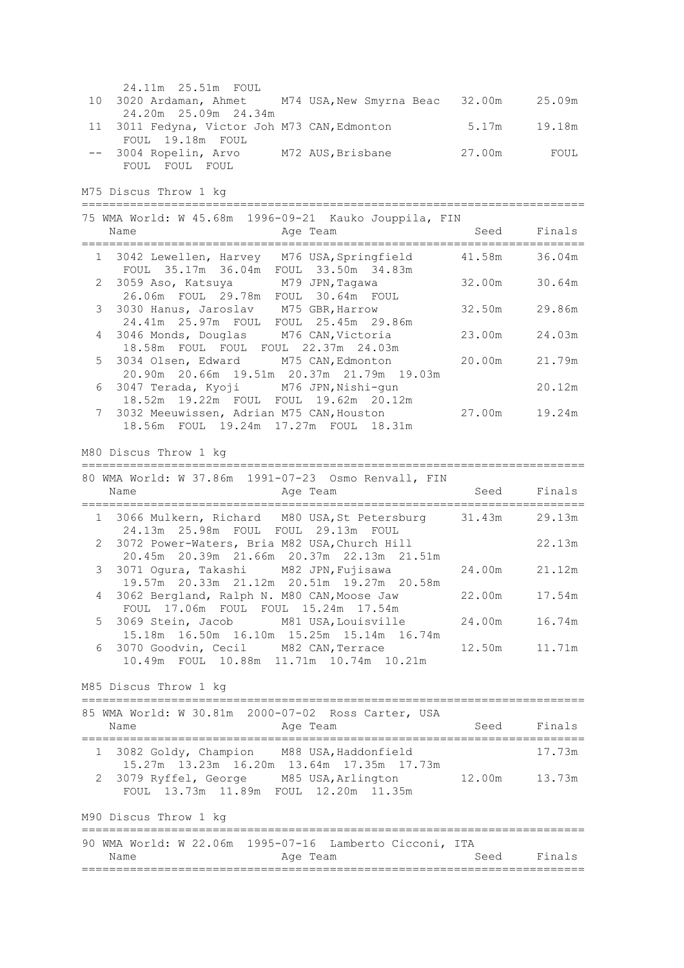| 24.11m  25.51m  FOUL                                   |                   |        |        |
|--------------------------------------------------------|-------------------|--------|--------|
| 10 3020 Ardaman, Ahmet M74 USA, New Smyrna Beac 32.00m |                   |        | 25.09m |
| 24.20m 25.09m 24.34m                                   |                   |        |        |
| 11 3011 Fedyna, Victor Joh M73 CAN, Edmonton           |                   | 5.17m  | 19.18m |
| FOUL 19.18m FOUL                                       |                   |        |        |
| -- 3004 Ropelin, Arvo                                  | M72 AUS, Brisbane | 27.00m | FOUL   |
| FOUL FOUL FOUL                                         |                   |        |        |

M75 Discus Throw 1 kg

=========================================================================

| 75 WMA World: W 45.68m 1996-09-21 Kauko Jouppila, FIN                                 |        |        |
|---------------------------------------------------------------------------------------|--------|--------|
| Age Team<br>Name                                                                      | Seed   | Finals |
| 1 3042 Lewellen, Harvey M76 USA, Springfield<br>FOUL 35.17m 36.04m FOUL 33.50m 34.83m | 41.58m | 36.04m |
| 2 3059 Aso, Katsuya M79 JPN, Taqawa<br>26.06m FOUL 29.78m FOUL 30.64m FOUL            | 32.00m | 30.64m |
| 3 3030 Hanus, Jaroslav M75 GBR, Harrow<br>24.41m 25.97m FOUL FOUL 25.45m 29.86m       | 32.50m | 29.86m |
| 4 3046 Monds, Douglas M76 CAN, Victoria<br>18.58m FOUL FOUL FOUL 22.37m 24.03m        | 23.00m | 24.03m |
| 5 3034 Olsen, Edward M75 CAN, Edmonton<br>20.90m 20.66m 19.51m 20.37m 21.79m 19.03m   | 20.00m | 21.79m |
| 6 3047 Terada, Kyoji M76 JPN, Nishi-gun<br>18.52m 19.22m FOUL FOUL 19.62m 20.12m      |        | 20.12m |
| 7 3032 Meeuwissen, Adrian M75 CAN, Houston<br>18.56m FOUL 19.24m 17.27m FOUL 18.31m   | 27.00m | 19.24m |

M80 Discus Throw 1 kg

========================================================================= 80 WMA World: W 37.86m 1991-07-23 Osmo Renvall, FIN

| OU WMA WOLIQ; W 37.00ML I991-07-43 USMO RENVALL, FIN<br>Age Team<br>Name                                 | Seed   | Finals |
|----------------------------------------------------------------------------------------------------------|--------|--------|
| 1 3066 Mulkern, Richard M80 USA, St Petersburg 31.43m 29.13m<br>24.13m  25.98m  FOUL  FOUL  29.13m  FOUL |        |        |
| 2 3072 Power-Waters, Bria M82 USA, Church Hill<br>20.45m 20.39m 21.66m 20.37m 22.13m 21.51m              |        | 22.13m |
| 3 3071 Oqura, Takashi M82 JPN, Fujisawa<br>19.57m 20.33m 21.12m 20.51m 19.27m 20.58m                     | 24.00m | 21.12m |
| 4 3062 Bergland, Ralph N. M80 CAN, Moose Jaw<br>FOUL 17.06m FOUL FOUL 15.24m 17.54m                      | 22.00m | 17.54m |
| 5 3069 Stein, Jacob M81 USA, Louisville<br>15.18m 16.50m 16.10m 15.25m 15.14m 16.74m                     | 24.00m | 16.74m |
| 6 3070 Goodvin, Cecil M82 CAN, Terrace<br>10.49m FOUL 10.88m 11.71m 10.74m 10.21m                        | 12.50m | 11.71m |

M85 Discus Throw 1 kg

| 85 WMA World: W 30.81m 2000-07-02 Ross Carter, USA<br>Age Team<br>Name                             | Seed Finals |
|----------------------------------------------------------------------------------------------------|-------------|
| 1 3082 Goldy, Champion M88 USA, Haddonfield<br>15.27m 13.23m 16.20m 13.64m 17.35m 17.73m           | 17.73m      |
| M85 USA, Arlington 12.00m 13.73m<br>2 3079 Ryffel, George<br>FOUL 13.73m 11.89m FOUL 12.20m 11.35m |             |
| M90 Discus Throw 1 kg                                                                              |             |
| 90 WMA World: W 22.06m 1995-07-16 Lamberto Cicconi, ITA                                            |             |

Name **Age Team** Age Team Seed Finals =========================================================================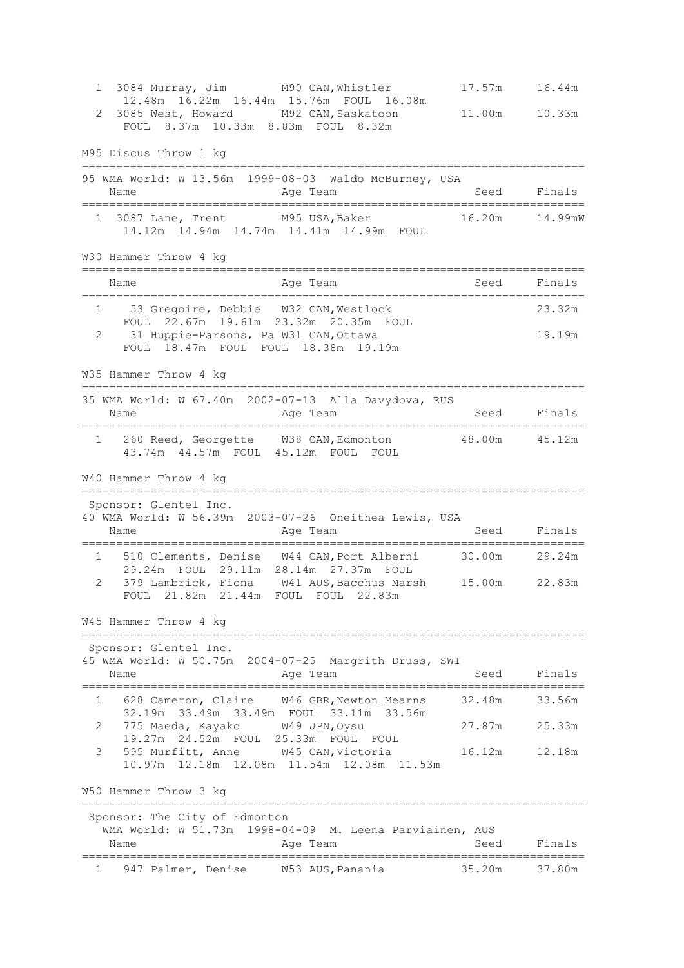1 3084 Murray, Jim M90 CAN,Whistler 17.57m 16.44m 12.48m 16.22m 16.44m 15.76m FOUL 16.08m 2 3085 West, Howard M92 CAN,Saskatoon 11.00m 10.33m FOUL 8.37m 10.33m 8.83m FOUL 8.32m M95 Discus Throw 1 kg ========================================================================= 95 WMA World: W 13.56m 1999-08-03 Waldo McBurney, USA Name **Age Team** Age Team Seed Finals ========================================================================= 1 3087 Lane, Trent M95 USA,Baker 16.20m 14.99mW 14.12m 14.94m 14.74m 14.41m 14.99m FOUL W30 Hammer Throw 4 kg ========================================================================= Name **Age Team** Age Team Seed Finals ========================================================================= 1 53 Gregoire, Debbie W32 CAN,Westlock 23.32m FOUL 22.67m 19.61m 23.32m 20.35m FOUL 2 31 Huppie-Parsons, Pa W31 CAN, Ottawa 19.19m FOUL 18.47m FOUL FOUL 18.38m 19.19m W35 Hammer Throw 4 kg ========================================================================= 35 WMA World: W 67.40m 2002-07-13 Alla Davydova, RUS Name **Age Team** Age Team Seed Finals ========================================================================= 1 260 Reed, Georgette W38 CAN,Edmonton 48.00m 45.12m 43.74m 44.57m FOUL 45.12m FOUL FOUL W40 Hammer Throw 4 kg ========================================================================= Sponsor: Glentel Inc. 40 WMA World: W 56.39m 2003-07-26 Oneithea Lewis, USA Name **Age Team** Age Team Seed Finals ========================================================================= 1 510 Clements, Denise W44 CAN,Port Alberni 30.00m 29.24m 29.24m FOUL 29.11m 28.14m 27.37m FOUL 2 379 Lambrick, Fiona W41 AUS,Bacchus Marsh 15.00m 22.83m FOUL 21.82m 21.44m FOUL FOUL 22.83m W45 Hammer Throw 4 kg ========================================================================= Sponsor: Glentel Inc. 45 WMA World: W 50.75m 2004-07-25 Margrith Druss, SWI Name **Age Team** Age Team Seed Finals ========================================================================= 1 628 Cameron, Claire W46 GBR,Newton Mearns 32.48m 33.56m 32.19m 33.49m 33.49m FOUL 33.11m 33.56m 2 775 Maeda, Kayako W49 JPN,Oysu 27.87m 25.33m 19.27m 24.52m FOUL 25.33m FOUL FOUL 3 595 Murfitt, Anne W45 CAN,Victoria 16.12m 12.18m 10.97m 12.18m 12.08m 11.54m 12.08m 11.53m W50 Hammer Throw 3 kg ========================================================================= Sponsor: The City of Edmonton WMA World: W 51.73m 1998-04-09 M. Leena Parviainen, AUS Name **Age Team** Age Team Seed Finals ========================================================================= 1 947 Palmer, Denise W53 AUS,Panania 35.20m 37.80m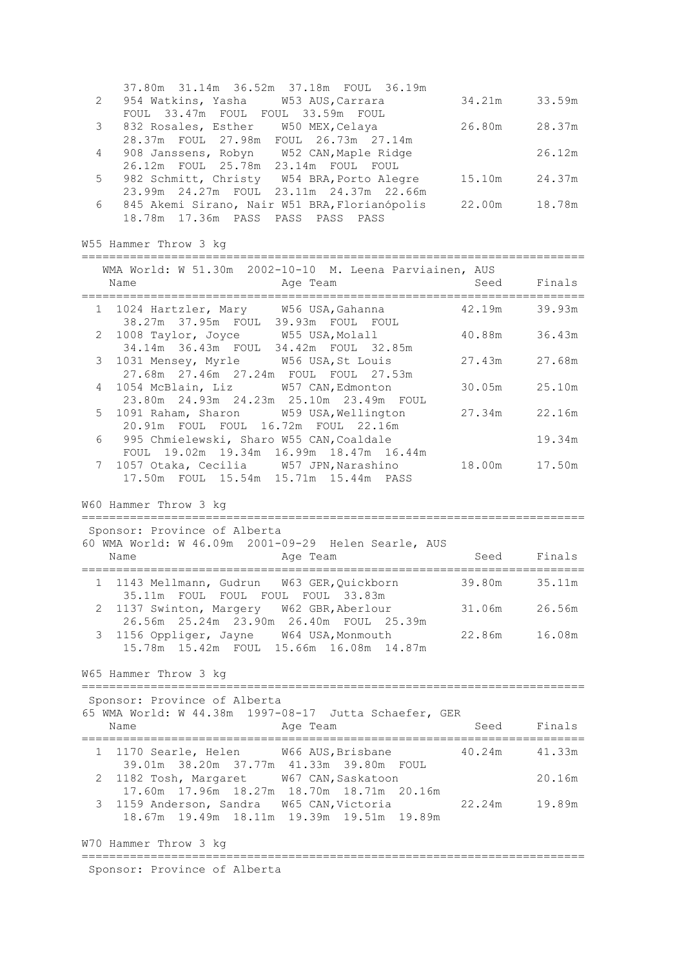|   | 37.80m 31.14m 36.52m 37.18m FOUL 36.19m       |        |        |
|---|-----------------------------------------------|--------|--------|
| 2 | 954 Watkins, Yasha M53 AUS, Carrara           | 34.21m | 33.59m |
|   | FOUL 33.47m FOUL FOUL 33.59m FOUL             |        |        |
| 3 | 832 Rosales, Esther<br>W50 MEX, Celaya        | 26.80m | 28.37m |
|   | 28.37m FOUL 27.98m FOUL 26.73m 27.14m         |        |        |
| 4 | 908 Janssens, Robyn W52 CAN, Maple Ridge      |        | 26.12m |
|   | 26.12m FOUL 25.78m 23.14m FOUL<br>FOUL.       |        |        |
| 5 | 982 Schmitt, Christy W54 BRA, Porto Alegre    | 15.10m | 24.37m |
|   | 23.11m 24.37m 22.66m<br>23.99m 24.27m FOUL    |        |        |
| 6 | 845 Akemi Sirano, Nair W51 BRA, Florianópolis | 22.00m | 18.78m |
|   | 18.78m  17.36m  PASS  PASS  PASS<br>PASS      |        |        |

W55 Hammer Throw 3 kg

| WMA World: W 51.30m 2002-10-10 M. Leena Parviainen, AUS<br>Age Team<br>Name                |               | Seed Finals |
|--------------------------------------------------------------------------------------------|---------------|-------------|
| 1 1024 Hartzler, Mary W56 USA, Gahanna $42.19$ m<br>38.27m 37.95m FOUL 39.93m FOUL FOUL    |               | 39.93m      |
| 2 1008 Taylor, Joyce W55 USA, Molall<br>34.14m 36.43m FOUL 34.42m FOUL 32.85m              | 40.88m        | 36.43m      |
| 3 1031 Mensey, Myrle W56 USA, St Louis<br>27.68m  27.46m  27.24m  FOUL  FOUL  27.53m       | 27.43m 27.68m |             |
| 4 1054 McBlain, Liz W57 CAN, Edmonton<br>23.80m  24.93m  24.23m  25.10m  23.49m  FOUL      | 30.05m 25.10m |             |
| 5 1091 Raham, Sharon W59 USA, Wellington<br>20.91m FOUL FOUL 16.72m FOUL 22.16m            | 27.34m        | 22.16m      |
| 6 —<br>995 Chmielewski, Sharo W55 CAN, Coaldale<br>FOUL 19.02m 19.34m 16.99m 18.47m 16.44m |               | 19.34m      |
| 7 1057 Otaka, Cecilia     W57 JPN, Narashino<br>17.50m FOUL 15.54m 15.71m 15.44m PASS      | 18.00m        | 17.50m      |
| $WCA$ Hommore Theory $2 \text{ kg}$                                                        |               |             |

W60 Hammer Throw 3 kg =========================================================================

| Sponsor: Province of Alberta                                                   |                                                                 |        |        |
|--------------------------------------------------------------------------------|-----------------------------------------------------------------|--------|--------|
| Name                                                                           | 60 WMA World: W 46.09m 2001-09-29 Helen Searle, AUS<br>Age Team | Seed   | Finals |
| 1 1143 Mellmann, Gudrun W63 GER, Ouickborn                                     |                                                                 | 39.80m | 35.11m |
| 35.11m FOUL FOUL FOUL FOUL 33.83m<br>2 1137 Swinton, Margery W62 GBR, Aberlour |                                                                 | 31.06m | 26.56m |
| 3 1156 Oppliger, Jayne W64 USA, Monmouth                                       | 26.56m  25.24m  23.90m  26.40m  FOUL  25.39m                    | 22.86m | 16.08m |
|                                                                                | 15.78m  15.42m  FOUL  15.66m  16.08m  14.87m                    |        |        |

W65 Hammer Throw 3 kg

========================================================================= Sponsor: Province of Alberta 65 WMA World: W 44.38m 1997-08-17 Jutta Schaefer, GER Name **Age Team** Age Team Seed Finals ========================================================================= 1 1170 Searle, Helen W66 AUS,Brisbane 40.24m 41.33m 39.01m 38.20m 37.77m 41.33m 39.80m FOUL 2 1182 Tosh, Margaret W67 CAN,Saskatoon 20.16m 17.60m 17.96m 18.27m 18.70m 18.71m 20.16m 3 1159 Anderson, Sandra W65 CAN,Victoria 22.24m 19.89m 18.67m 19.49m 18.11m 19.39m 19.51m 19.89m W70 Hammer Throw 3 kg

=========================================================================

Sponsor: Province of Alberta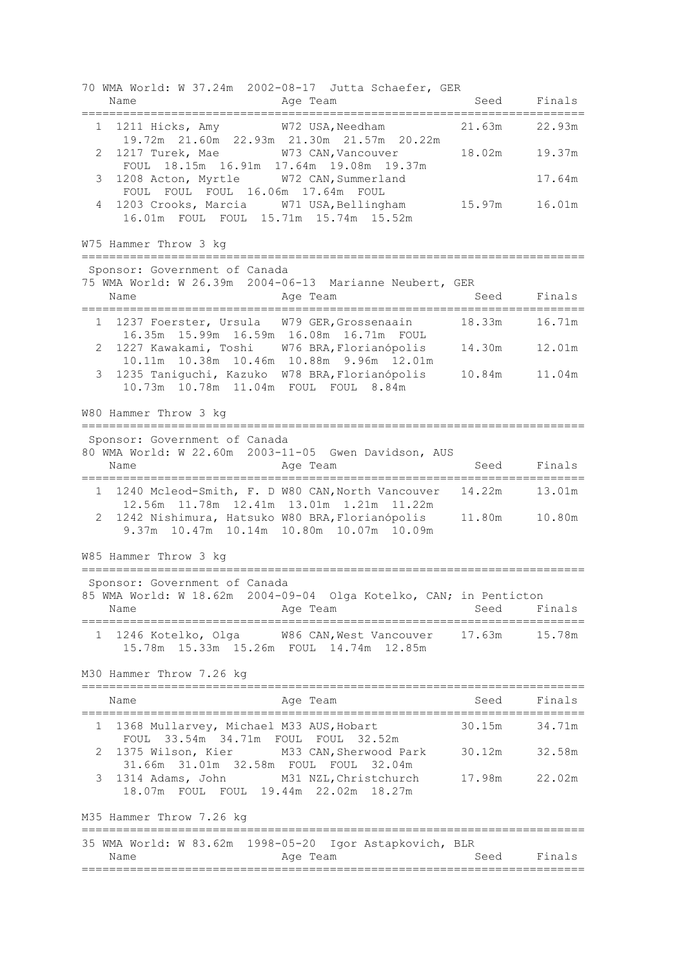70 WMA World: W 37.24m 2002-08-17 Jutta Schaefer, GER Name Age Team Seed Finals ========================================================================= 1 1211 Hicks, Amy W72 USA,Needham 21.63m 22.93m 19.72m 21.60m 22.93m 21.30m 21.57m 20.22m 2 1217 Turek, Mae W73 CAN,Vancouver 18.02m 19.37m FOUL 18.15m 16.91m 17.64m 19.08m 19.37m 3 1208 Acton, Myrtle W72 CAN,Summerland 17.64m FOUL FOUL FOUL 16.06m 17.64m FOUL 4 1203 Crooks, Marcia W71 USA,Bellingham 15.97m 16.01m 16.01m FOUL FOUL 15.71m 15.74m 15.52m W75 Hammer Throw 3 kg ========================================================================= Sponsor: Government of Canada 75 WMA World: W 26.39m 2004-06-13 Marianne Neubert, GER Name **Age Team** Age Team Seed Finals ========================================================================= 1 1237 Foerster, Ursula W79 GER,Grossenaain 18.33m 16.71m 16.35m 15.99m 16.59m 16.08m 16.71m FOUL 2 1227 Kawakami, Toshi W76 BRA,Florianópolis 14.30m 12.01m 10.11m 10.38m 10.46m 10.88m 9.96m 12.01m 3 1235 Taniguchi, Kazuko W78 BRA,Florianópolis 10.84m 11.04m 10.73m 10.78m 11.04m FOUL FOUL 8.84m W80 Hammer Throw 3 kg ========================================================================= Sponsor: Government of Canada 80 WMA World: W 22.60m 2003-11-05 Gwen Davidson, AUS Age Team Seed Finals ========================================================================= 1 1240 Mcleod-Smith, F. D W80 CAN,North Vancouver 14.22m 13.01m 12.56m 11.78m 12.41m 13.01m 1.21m 11.22m 2 1242 Nishimura, Hatsuko W80 BRA,Florianópolis 11.80m 10.80m 9.37m 10.47m 10.14m 10.80m 10.07m 10.09m W85 Hammer Throw 3 kg ========================================================================= Sponsor: Government of Canada 85 WMA World: W 18.62m 2004-09-04 Olga Kotelko, CAN; in Penticton Name **Age Team** Age Team Seed Finals ========================================================================= 1 1246 Kotelko, Olga W86 CAN,West Vancouver 17.63m 15.78m 15.78m 15.33m 15.26m FOUL 14.74m 12.85m M30 Hammer Throw 7.26 kg ========================================================================= Name **Age Team** Seed Finals ========================================================================= 1 1368 Mullarvey, Michael M33 AUS,Hobart 30.15m 34.71m FOUL 33.54m 34.71m FOUL FOUL 32.52m 2 1375 Wilson, Kier M33 CAN,Sherwood Park 30.12m 32.58m 31.66m 31.01m 32.58m FOUL FOUL 32.04m 3 1314 Adams, John M31 NZL,Christchurch 17.98m 22.02m 18.07m FOUL FOUL 19.44m 22.02m 18.27m M35 Hammer Throw 7.26 kg ========================================================================= 35 WMA World: W 83.62m 1998-05-20 Igor Astapkovich, BLR Name **Age Team** Age Team Seed Finals =========================================================================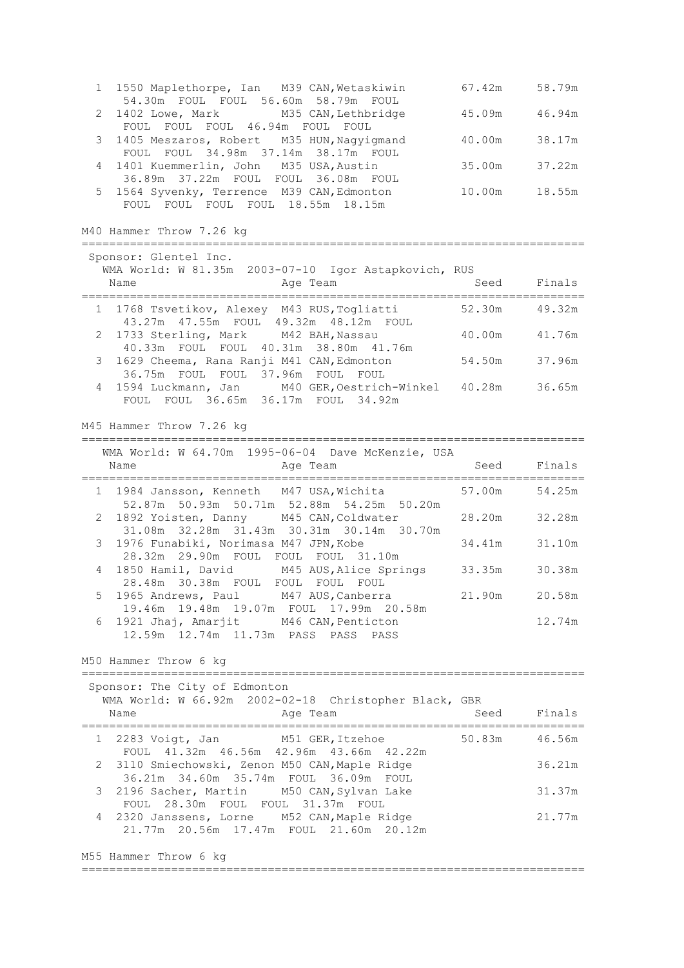|   | 1 1550 Maplethorpe, Ian M39 CAN, Wetaskiwin<br>54.30m FOUL FOUL 56.60m 58.79m FOUL                                             | $67.42m$ $58.79m$       |               |
|---|--------------------------------------------------------------------------------------------------------------------------------|-------------------------|---------------|
| 2 | 1402 Lowe, Mark M35 CAN, Lethbridge<br>FOUL FOUL FOUL 46.94m FOUL FOUL                                                         | 45.09m                  | 46.94m        |
| 3 | 1405 Meszaros, Robert M35 HUN, Nagyigmand<br>FOUL FOUL 34.98m 37.14m 38.17m FOUL                                               | 40.00m                  | 38.17m        |
| 4 | 1401 Kuemmerlin, John M35 USA, Austin<br>36.89m 37.22m FOUL FOUL 36.08m FOUL                                                   | 35.00m                  | 37.22m        |
| 5 | 1564 Syvenky, Terrence M39 CAN, Edmonton<br>FOUL FOUL FOUL FOUL 18.55m 18.15m                                                  | 10.00m                  | 18.55m        |
|   | M40 Hammer Throw 7.26 kg                                                                                                       |                         |               |
|   | Sponsor: Glentel Inc.                                                                                                          |                         |               |
|   | WMA World: W 81.35m 2003-07-10 Igor Astapkovich, RUS<br>Name<br>Age Team                                                       | Seed Finals<br>======== |               |
|   | 1 1768 Tsvetikov, Alexey M43 RUS, Togliatti<br>43.27m  47.55m  FOUL  49.32m  48.12m  FOUL                                      | 52.30m 49.32m           |               |
|   | 2 1733 Sterling, Mark M42 BAH, Nassau<br>40.33m FOUL FOUL 40.31m 38.80m 41.76m                                                 | 40.00m                  | 41.76m        |
| 3 | 1629 Cheema, Rana Ranji M41 CAN, Edmonton<br>36.75m FOUL FOUL 37.96m FOUL FOUL                                                 | 54.50m                  | 37.96m        |
|   | 4 1594 Luckmann, Jan M40 GER, Oestrich-Winkel 40.28m<br>FOUL FOUL 36.65m 36.17m FOUL 34.92m                                    |                         | 36.65m        |
|   | M45 Hammer Throw 7.26 kg                                                                                                       |                         |               |
|   | WMA World: W 64.70m 1995-06-04 Dave McKenzie, USA                                                                              |                         |               |
|   | Age Team Seed Finals<br>Name                                                                                                   |                         |               |
|   | 1 1984 Jansson, Kenneth M47 USA, Wichita 57.00m 54.25m<br>52.87m 50.93m 50.71m 52.88m 54.25m 50.20m                            |                         |               |
|   | 2 1892 Yoisten, Danny M45 CAN, Coldwater 28.20m<br>31.08m  32.28m  31.43m  30.31m  30.14m  30.70m                              |                         | 32.28m        |
| 3 | 1976 Funabiki, Norimasa M47 JPN, Kobe<br>28.32m 29.90m FOUL FOUL FOUL 31.10m                                                   | 34.41m                  | 31.10m        |
|   | 1850 Hamil, David M45 AUS, Alice Springs 33.35m<br>4<br>28.48m 30.38m FOUL FOUL FOUL FOUL                                      |                         | 30.38m        |
|   | 5 1965 Andrews, Paul M47 AUS, Canberra<br>19.46m 19.48m 19.07m FOUL 17.99m 20.58m                                              |                         | 21.90m 20.58m |
| 6 | 1921 Jhaj, Amarjit M46 CAN, Penticton<br>12.59m  12.74m  11.73m  PASS  PASS  PASS                                              |                         | 12.74m        |
|   | M50 Hammer Throw 6 kg<br>===================                                                                                   |                         |               |
|   | Sponsor: The City of Edmonton                                                                                                  |                         |               |
|   | WMA World: W 66.92m 2002-02-18 Christopher Black, GBR<br>Name<br>Age Team                                                      |                         | Seed Finals   |
|   | 1 2283 Voigt, Jan M51 GER, Itzehoe 50.83m<br>FOUL 41.32m 46.56m 42.96m 43.66m 42.22m                                           |                         | 46.56m        |
|   | 2 3110 Smiechowski, Zenon M50 CAN, Maple Ridge<br>36.21m  34.60m  35.74m  FOUL  36.09m  FOUL                                   |                         | 36.21m        |
| 3 | 2196 Sacher, Martin M50 CAN, Sylvan Lake                                                                                       |                         | 31.37m        |
| 4 | FOUL 28.30m FOUL FOUL 31.37m FOUL<br>2320 Janssens, Lorne M52 CAN, Maple Ridge<br>21.77m  20.56m  17.47m  FOUL  21.60m  20.12m |                         | 21.77m        |
|   | M55 Hammer Throw 6 kg                                                                                                          |                         |               |
|   |                                                                                                                                |                         |               |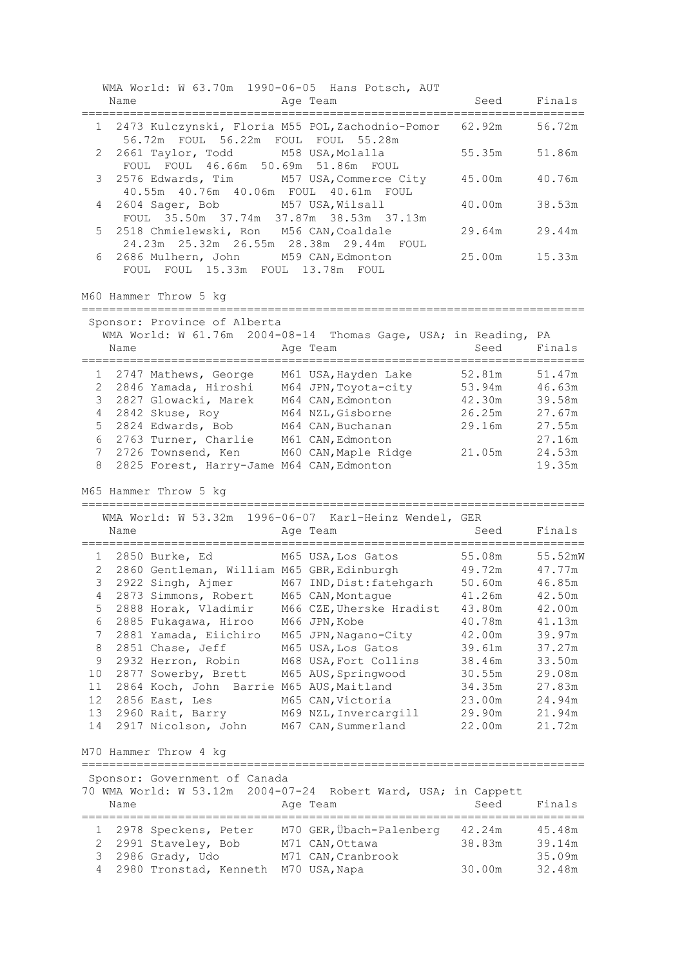|              |      |                                                                                         | WMA World: W 63.70m 1990-06-05 Hans Potsch, AUT                                                    |                  |                  |
|--------------|------|-----------------------------------------------------------------------------------------|----------------------------------------------------------------------------------------------------|------------------|------------------|
|              | Name |                                                                                         | Age Team                                                                                           | Seed Finals      |                  |
|              |      | 56.72m FOUL 56.22m FOUL FOUL 55.28m                                                     | 1 2473 Kulczynski, Floria M55 POL, Zachodnio-Pomor                                                 | 62.92m 56.72m    |                  |
| 2            |      | 2661 Taylor, Todd M58 USA, Molalla<br>FOUL FOUL 46.66m 50.69m 51.86m FOUL               |                                                                                                    | 55.35m           | 51.86m           |
| 3            |      | 40.55m  40.76m  40.06m  FOUL  40.61m  FOUL                                              | 2576 Edwards, Tim M57 USA, Commerce City                                                           | 45.00m           | 40.76m           |
| 4            |      | 2604 Sager, Bob M57 USA, Wilsall<br>FOUL 35.50m 37.74m 37.87m 38.53m 37.13m             |                                                                                                    | 40.00m           | 38.53m           |
| 5            |      | 2518 Chmielewski, Ron M56 CAN, Coaldale<br>24.23m  25.32m  26.55m  28.38m  29.44m  FOUL |                                                                                                    | 29.64m           | 29.44m           |
| 6            |      | 2686 Mulhern, John M59 CAN, Edmonton<br>FOUL FOUL 15.33m FOUL 13.78m FOUL               |                                                                                                    | 25.00m           | 15.33m           |
|              |      | M60 Hammer Throw 5 kg                                                                   |                                                                                                    |                  |                  |
|              |      | Sponsor: Province of Alberta                                                            |                                                                                                    |                  |                  |
|              |      |                                                                                         | WMA World: W 61.76m 2004-08-14 Thomas Gage, USA; in Reading, PA                                    |                  |                  |
|              | Name |                                                                                         | Age Team                                                                                           | Seed             | Finals           |
|              |      | ================================                                                        |                                                                                                    |                  |                  |
|              |      |                                                                                         | 1 2747 Mathews, George M61 USA, Hayden Lake                                                        | 52.81m 51.47m    |                  |
| $\mathbf{2}$ |      | 2846 Yamada, Hiroshi                                                                    | M64 JPN, Toyota-city                                                                               | 53.94m           | 46.63m           |
| 3            |      | 2827 Glowacki, Marek                                                                    | M64 CAN, Edmonton                                                                                  | 42.30m           | 39.58m           |
| 4            |      | 2842 Skuse, Roy                                                                         | M64 NZL, Gisborne                                                                                  | 26.25m 27.67m    |                  |
| 5            |      | 2824 Edwards, Bob                                                                       | M64 CAN, Buchanan                                                                                  | 29.16m           | 27.55m           |
| 6            |      | 2763 Turner, Charlie M61 CAN, Edmonton                                                  |                                                                                                    |                  | 27.16m<br>24.53m |
| 7<br>8       |      | 2825 Forest, Harry-Jame M64 CAN, Edmonton                                               | 2726 Townsend, Ken M60 CAN, Maple Ridge 21.05m                                                     |                  | 19.35m           |
|              |      |                                                                                         |                                                                                                    |                  |                  |
|              |      |                                                                                         |                                                                                                    |                  |                  |
|              |      | M65 Hammer Throw 5 kg                                                                   |                                                                                                    |                  |                  |
|              |      |                                                                                         |                                                                                                    |                  |                  |
|              |      |                                                                                         | WMA World: W 53.32m 1996-06-07 Karl-Heinz Wendel, GER                                              |                  |                  |
|              | Name |                                                                                         | Age Team                                                                                           | Seed             | Finals           |
|              |      | 1 2850 Burke, Ed                                                                        |                                                                                                    | 55.08m           | 55.52mW          |
|              |      |                                                                                         | M65 USA, Los Gatos                                                                                 | 49.72m           |                  |
| 3            |      | 2 2860 Gentleman, William M65 GBR, Edinburgh                                            |                                                                                                    |                  | 47.77m<br>46.85m |
| 4            |      |                                                                                         | 2922 Singh, Ajmer M67 IND, Dist: fatehgarh 50.60m<br>2873 Simmons, Robert M65 CAN, Montague 41.26m |                  | 42.50m           |
| 5            |      | 2888 Horak, Vladimir                                                                    | M66 CZE, Uherske Hradist                                                                           | 43.80m           | 42.00m           |
| 6            |      | 2885 Fukagawa, Hiroo                                                                    | M66 JPN, Kobe                                                                                      | 40.78m           | 41.13m           |
| 7            |      | 2881 Yamada, Eiichiro                                                                   | M65 JPN, Nagano-City                                                                               | 42.00m           | 39.97m           |
| 8            |      | 2851 Chase, Jeff                                                                        | M65 USA, Los Gatos                                                                                 | 39.61m           | 37.27m           |
| 9            |      | 2932 Herron, Robin                                                                      | M68 USA, Fort Collins                                                                              | 38.46m           | 33.50m           |
| 10           |      | 2877 Sowerby, Brett                                                                     | M65 AUS, Springwood                                                                                | 30.55m           | 29.08m           |
| 11           |      | 2864 Koch, John Barrie M65 AUS, Maitland                                                |                                                                                                    | 34.35m           | 27.83m           |
| 12           |      | 2856 East, Les                                                                          | M65 CAN, Victoria                                                                                  | 23.00m           | 24.94m           |
| 13           |      | 2960 Rait, Barry                                                                        | M69 NZL, Invercargill                                                                              | 29.90m           | 21.94m           |
| 14           |      | 2917 Nicolson, John                                                                     | M67 CAN, Summerland                                                                                | 22.00m           | 21.72m           |
|              |      | M70 Hammer Throw 4 kg                                                                   |                                                                                                    |                  |                  |
|              |      | -------------------------------                                                         |                                                                                                    |                  |                  |
|              |      | Sponsor: Government of Canada                                                           |                                                                                                    |                  |                  |
|              |      |                                                                                         | 70 WMA World: W 53.12m 2004-07-24 Robert Ward, USA; in Cappett                                     |                  |                  |
|              | Name |                                                                                         | Age Team                                                                                           | Seed             | Finals           |
| 1            |      |                                                                                         |                                                                                                    |                  | 45.48m           |
| 2            |      | 2978 Speckens, Peter                                                                    | M70 GER, Übach-Palenberg                                                                           | 42.24m<br>38.83m |                  |
| 3            |      | 2991 Staveley, Bob<br>2986 Grady, Udo                                                   | M71 CAN, Ottawa<br>M71 CAN, Cranbrook                                                              |                  | 39.14m<br>35.09m |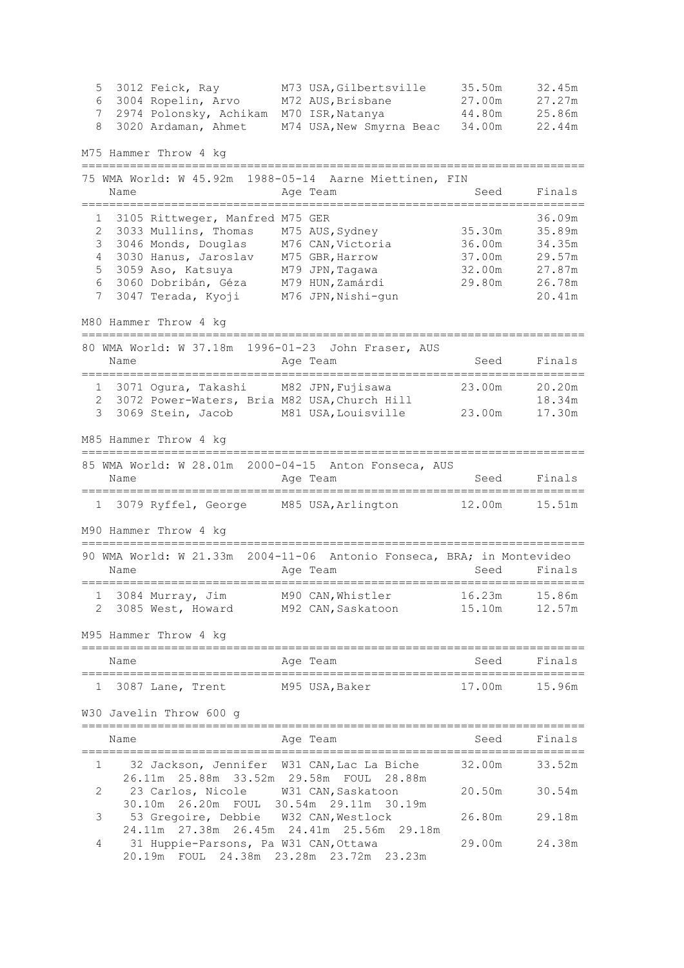5 3012 Feick, Ray M73 USA,Gilbertsville 35.50m 32.45m 6 3004 Ropelin, Arvo M72 AUS,Brisbane 27.00m 27.27m 7 2974 Polonsky, Achikam M70 ISR,Natanya 44.80m 25.86m 8 3020 Ardaman, Ahmet M74 USA,New Smyrna Beac 34.00m 22.44m M75 Hammer Throw 4 kg ========================================================================= 75 WMA World: W 45.92m 1988-05-14 Aarne Miettinen, FIN Name **Age Team** Age Team Seed Finals ========================================================================= 1 3105 Rittweger, Manfred M75 GER<br>2 3033 Mullins, Thomas M75 AUS, Sydney 35.30m 35.89m 2 3033 Mullins, Thomas M75 AUS,Sydney 35.30m 35.89m 3 3046 Monds, Douglas M76 CAN,Victoria 36.00m 34.35m 4 3030 Hanus, Jaroslav M75 GBR,Harrow 37.00m 29.57m 5 3059 Aso, Katsuya M79 JPN,Tagawa 32.00m 27.87m 6 3060 Dobribán, Géza M79 HUN,Zamárdi 29.80m 26.78m 7 3047 Terada, Kyoji M76 JPN,Nishi-gun 20.41m M80 Hammer Throw 4 kg ========================================================================= 80 WMA World: W 37.18m 1996-01-23 John Fraser, AUS Name **Age Team** Age Team Seed Finals ========================================================================= 1 3071 Ogura, Takashi M82 JPN,Fujisawa 23.00m 20.20m 2 3072 Power-Waters, Bria M82 USA, Church Hill 18.34m 3 3069 Stein, Jacob M81 USA,Louisville 23.00m 17.30m M85 Hammer Throw 4 kg ========================================================================= 85 WMA World: W 28.01m 2000-04-15 Anton Fonseca, AUS Name **Age Team** Age Team Seed Finals ========================================================================= 1 3079 Ryffel, George M85 USA,Arlington 12.00m 15.51m M90 Hammer Throw 4 kg ========================================================================= 90 WMA World: W 21.33m 2004-11-06 Antonio Fonseca, BRA; in Montevideo Name **Age Team** Age Team Seed Finals ========================================================================= 1 3084 Murray, Jim M90 CAN,Whistler 16.23m 15.86m 2 3085 West, Howard M92 CAN, Saskatoon 15.10m 12.57m M95 Hammer Throw 4 kg ========================================================================= Name **Age Team** Age Team Seed Finals ========================================================================= 1 3087 Lane, Trent M95 USA,Baker 17.00m 15.96m W30 Javelin Throw 600 g ========================================================================= Name **Age Team** Age Team Seed Finals ========================================================================= 1 32 Jackson, Jennifer W31 CAN,Lac La Biche 32.00m 33.52m 26.11m 25.88m 33.52m 29.58m FOUL 28.88m 2 23 Carlos, Nicole W31 CAN,Saskatoon 20.50m 30.54m 30.10m 26.20m FOUL 30.54m 29.11m 30.19m 3 53 Gregoire, Debbie W32 CAN,Westlock 26.80m 29.18m 24.11m 27.38m 26.45m 24.41m 25.56m 29.18m 4 31 Huppie-Parsons, Pa W31 CAN,Ottawa 29.00m 24.38m 20.19m FOUL 24.38m 23.28m 23.72m 23.23m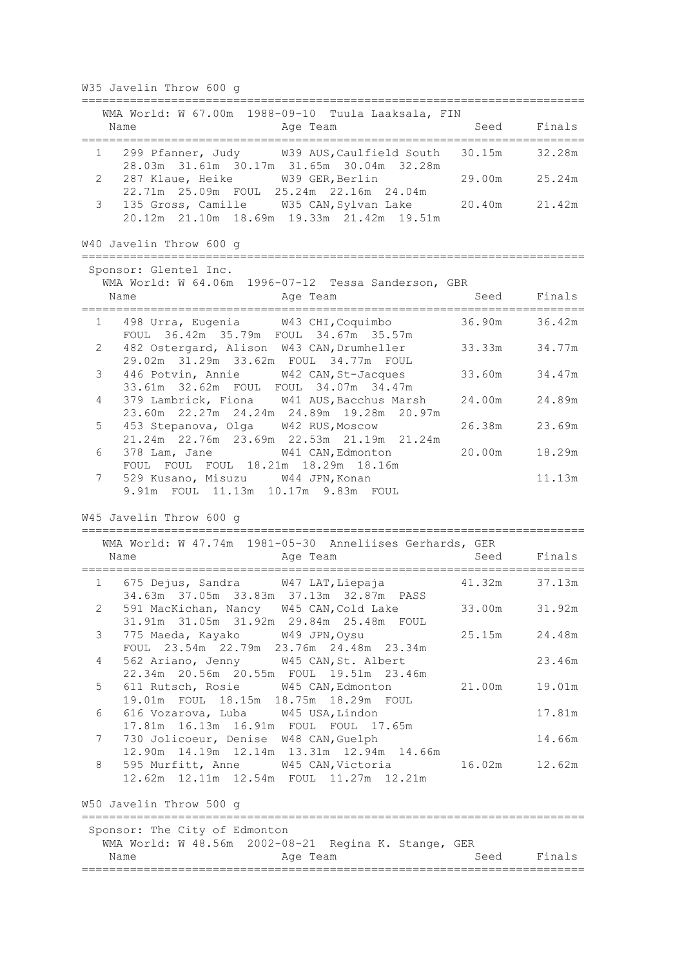W35 Javelin Throw 600 g ========================================================================= WMA World: W 67.00m 1988-09-10 Tuula Laaksala, FIN Name **Age Team** Age Team Seed Finals ========================================================================= 1 299 Pfanner, Judy W39 AUS,Caulfield South 30.15m 32.28m 28.03m 31.61m 30.17m 31.65m 30.04m 32.28m 2 287 Klaue, Heike W39 GER,Berlin 29.00m 25.24m 22.71m 25.09m FOUL 25.24m 22.16m 24.04m 3 135 Gross, Camille W35 CAN,Sylvan Lake 20.40m 21.42m 20.12m 21.10m 18.69m 19.33m 21.42m 19.51m W40 Javelin Throw 600 g ========================================================================= Sponsor: Glentel Inc. WMA World: W 64.06m 1996-07-12 Tessa Sanderson, GBR Name Age Team Seed Finals ========================================================================= 1 498 Urra, Eugenia W43 CHI,Coquimbo 36.90m 36.42m FOUL 36.42m 35.79m FOUL 34.67m 35.57m 2 482 Ostergard, Alison W43 CAN,Drumheller 33.33m 34.77m 29.02m 31.29m 33.62m FOUL 34.77m FOUL 3 446 Potvin, Annie W42 CAN,St-Jacques 33.60m 34.47m 33.61m 32.62m FOUL FOUL 34.07m 34.47m 4 379 Lambrick, Fiona W41 AUS,Bacchus Marsh 24.00m 24.89m 23.60m 22.27m 24.24m 24.89m 19.28m 20.97m 5 453 Stepanova, Olga W42 RUS,Moscow 26.38m 23.69m 21.24m 22.76m 23.69m 22.53m 21.19m 21.24m 6 378 Lam, Jane W41 CAN,Edmonton 20.00m 18.29m FOUL FOUL FOUL 18.21m 18.29m 18.16m 7 529 Kusano, Misuzu W44 JPN,Konan 11.13m 9.91m FOUL 11.13m 10.17m 9.83m FOUL W45 Javelin Throw 600 g ========================================================================= WMA World: W 47.74m 1981-05-30 Anneliises Gerhards, GER Name **Age Team** Age Team Seed Finals ========================================================================= 1 675 Dejus, Sandra W47 LAT,Liepaja 41.32m 37.13m 34.63m 37.05m 33.83m 37.13m 32.87m PASS 2 591 MacKichan, Nancy W45 CAN,Cold Lake 33.00m 31.92m 31.91m 31.05m 31.92m 29.84m 25.48m FOUL 3 775 Maeda, Kayako W49 JPN,Oysu 25.15m 24.48m FOUL 23.54m 22.79m 23.76m 24.48m 23.34m 4 562 Ariano, Jenny W45 CAN,St. Albert 23.46m 22.34m 20.56m 20.55m FOUL 19.51m 23.46m 5 611 Rutsch, Rosie W45 CAN,Edmonton 21.00m 19.01m 19.01m FOUL 18.15m 18.75m 18.29m FOUL 6 616 Vozarova, Luba W45 USA,Lindon 17.81m 17.81m 16.13m 16.91m FOUL FOUL 17.65m 7 730 Jolicoeur, Denise W48 CAN,Guelph 14.66m 12.90m 14.19m 12.14m 13.31m 12.94m 14.66m 8 595 Murfitt, Anne W45 CAN,Victoria 16.02m 12.62m 12.62m 12.11m 12.54m FOUL 11.27m 12.21m W50 Javelin Throw 500 g ========================================================================= Sponsor: The City of Edmonton WMA World: W 48.56m 2002-08-21 Regina K. Stange, GER Name **Age Team** Age Team Seed Finals =========================================================================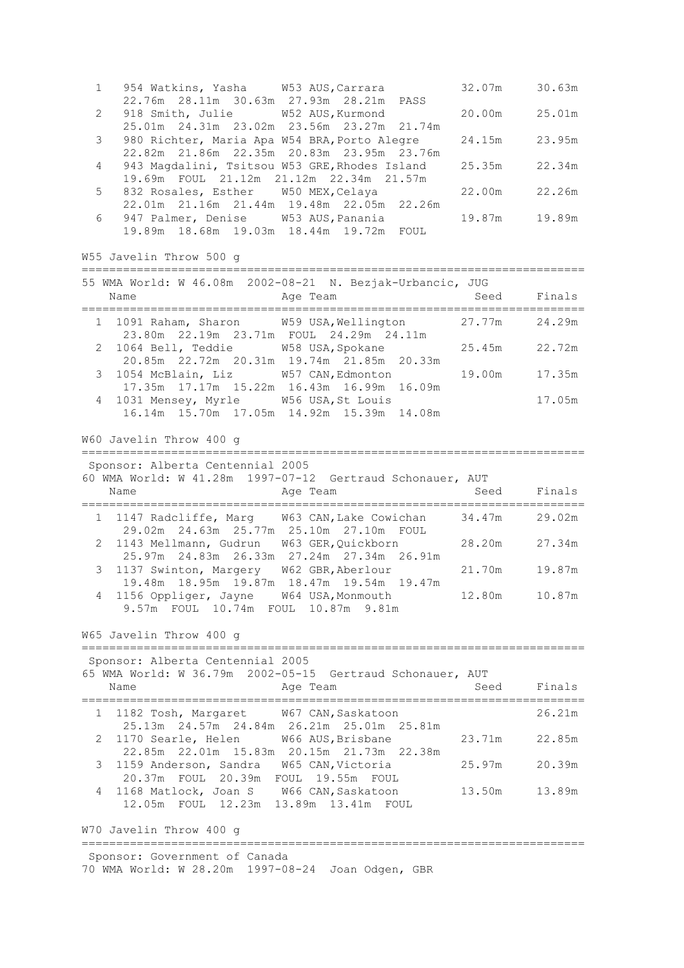| 954 Watkins, Yasha W53 AUS, Carrara<br>1                                                                                                | 32.07m        | 30.63m      |
|-----------------------------------------------------------------------------------------------------------------------------------------|---------------|-------------|
| 22.76m  28.11m  30.63m  27.93m  28.21m  PASS<br>918 Smith, Julie M52 AUS, Kurmond<br>2                                                  | 20.00m        | 25.01m      |
| 25.01m  24.31m  23.02m  23.56m  23.27m  21.74m<br>3<br>980 Richter, Maria Apa W54 BRA, Porto Alegre                                     | 24.15m        | 23.95m      |
| 22.82m 21.86m 22.35m 20.83m 23.95m 23.76m<br>943 Magdalini, Tsitsou W53 GRE, Rhodes Island<br>4                                         | 25.35m        | 22.34m      |
| 19.69m FOUL 21.12m 21.12m 22.34m 21.57m<br>5<br>832 Rosales, Esther W50 MEX, Celaya<br>22.01m 21.16m 21.44m 19.48m 22.05m 22.26m        | 22.00m        | 22.26m      |
| 947 Palmer, Denise W53 AUS, Panania<br>6<br>19.89m  18.68m  19.03m  18.44m  19.72m  FOUL                                                | 19.87m        | 19.89m      |
| W55 Javelin Throw 500 g                                                                                                                 |               |             |
| 55 WMA World: W 46.08m 2002-08-21 N. Bezjak-Urbancic, JUG<br>Name<br>Age Team                                                           | Seed          | Finals      |
| 1 1091 Raham, Sharon W59 USA, Wellington<br>23.80m  22.19m  23.71m  FOUL  24.29m  24.11m                                                | 27.77m 24.29m |             |
| 1064 Bell, Teddie M58 USA, Spokane<br>2<br>20.85m  22.72m  20.31m  19.74m  21.85m  20.33m                                               | 25.45m        | 22.72m      |
| 1054 McBlain, Liz W57 CAN, Edmonton<br>3<br>17.35m  17.17m  15.22m  16.43m  16.99m  16.09m                                              | 19.00m        | 17.35m      |
| 1031 Mensey, Myrle W56 USA, St Louis<br>4<br>16.14m 15.70m 17.05m 14.92m 15.39m 14.08m                                                  |               | 17.05m      |
| W60 Javelin Throw 400 g                                                                                                                 |               |             |
| Sponsor: Alberta Centennial 2005<br>60 WMA World: W 41.28m 1997-07-12 Gertraud Schonauer, AUT                                           |               |             |
| Name<br>Age Team                                                                                                                        |               | Seed Finals |
| 1 1147 Radcliffe, Marg W63 CAN, Lake Cowichan 34.47m<br>29.02m  24.63m  25.77m  25.10m  27.10m  FOUL                                    |               | 29.02m      |
| 2 1143 Mellmann, Gudrun W63 GER, Quickborn<br>25.97m  24.83m  26.33m  27.24m  27.34m  26.91m                                            | 28.20m        | 27.34m      |
| 1137 Swinton, Margery W62 GBR, Aberlour<br>3<br>19.48m 18.95m 19.87m 18.47m 19.54m 19.47m                                               | 21.70m        | 19.87m      |
|                                                                                                                                         |               |             |
| 4 1156 Oppliger, Jayne W64 USA, Monmouth 12.80m 10.87m<br>9.57m FOUL 10.74m FOUL 10.87m 9.81m                                           |               |             |
| W65 Javelin Throw 400 q                                                                                                                 |               |             |
| Sponsor: Alberta Centennial 2005                                                                                                        |               |             |
| 65 WMA World: W 36.79m 2002-05-15 Gertraud Schonauer, AUT<br>Age Team                                                                   |               | Seed Finals |
| Name    Age 1<br>----------------------------------<br>.___________________________________<br>1 1182 Tosh, Margaret W67 CAN, Saskatoon |               | 26.21m      |
| 25.13m  24.57m  24.84m  26.21m  25.01m  25.81m<br>1170 Searle, Helen W66 AUS, Brisbane<br>2                                             | 23.71m        | 22.85m      |
| 22.85m  22.01m  15.83m  20.15m  21.73m  22.38m<br>1159 Anderson, Sandra W65 CAN, Victoria<br>3                                          | 25.97m        | 20.39m      |
| 20.37m FOUL 20.39m FOUL 19.55m FOUL<br>1168 Matlock, Joan S W66 CAN, Saskatoon<br>4<br>12.05m FOUL 12.23m 13.89m 13.41m FOUL            | 13.50m        | 13.89m      |
| W70 Javelin Throw 400 g                                                                                                                 |               |             |

70 WMA World: W 28.20m 1997-08-24 Joan Odgen, GBR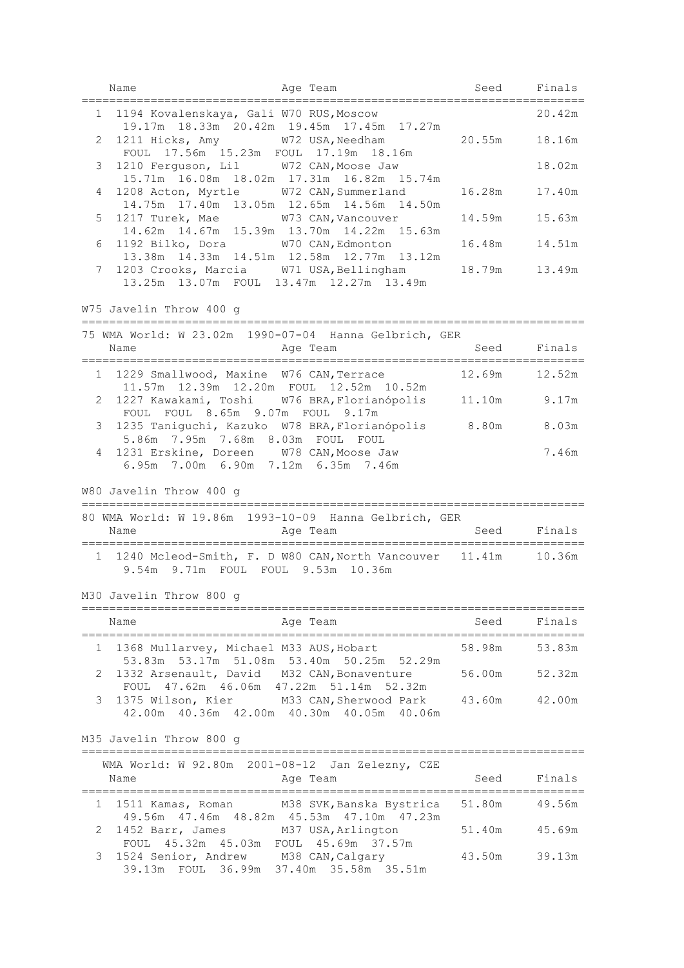|              | Name                                                                                                                | Age Team                                                                                                                                     | Seed Finals |        |
|--------------|---------------------------------------------------------------------------------------------------------------------|----------------------------------------------------------------------------------------------------------------------------------------------|-------------|--------|
|              | 1 1194 Kovalenskaya, Gali W70 RUS, Moscow                                                                           | 19.17m  18.33m  20.42m  19.45m  17.45m  17.27m                                                                                               |             | 20.42m |
| 2            | FOUL 17.56m 15.23m FOUL 17.19m 18.16m                                                                               | 1211 Hicks, Amy W72 USA, Needham 20.55m                                                                                                      |             | 18.16m |
| 3            | 1210 Ferguson, Lil W72 CAN, Moose Jaw                                                                               | 15.71m  16.08m  18.02m  17.31m  16.82m  15.74m                                                                                               |             | 18.02m |
| 4            |                                                                                                                     | 1208 Acton, Myrtle W72 CAN, Summerland 16.28m<br>14.75m  17.40m  13.05m  12.65m  14.56m  14.50m                                              |             | 17.40m |
| 5            |                                                                                                                     | 1217 Turek, Mae M73 CAN, Vancouver<br>14.62m  14.67m  15.39m  13.70m  14.22m  15.63m                                                         | 14.59m      | 15.63m |
| 6            |                                                                                                                     | 1192 Bilko, Dora W70 CAN, Edmonton<br>13.38m  14.33m  14.51m  12.58m  12.77m  13.12m                                                         | 16.48m      | 14.51m |
| 7            |                                                                                                                     | 1203 Crooks, Marcia W71 USA, Bellingham 18.79m 13.49m<br>13.25m 13.07m FOUL 13.47m 12.27m 13.49m                                             |             |        |
|              | W75 Javelin Throw 400 g                                                                                             |                                                                                                                                              |             |        |
|              | Name                                                                                                                | 75 WMA World: W 23.02m 1990-07-04 Hanna Gelbrich, GER<br>Age Team                                                                            | Seed Finals |        |
|              |                                                                                                                     | 1 1229 Smallwood, Maxine W76 CAN, Terrace 12.69m 12.52m                                                                                      |             |        |
| $\mathbf{2}$ |                                                                                                                     | 11.57m  12.39m  12.20m  FOUL  12.52m  10.52m<br>1227 Kawakami, Toshi W76 BRA, Florianópolis 11.10m 9.17m                                     |             |        |
| 3            | FOUL FOUL 8.65m 9.07m FOUL 9.17m                                                                                    | 1235 Taniguchi, Kazuko W78 BRA, Florianópolis 8.80m 8.03m                                                                                    |             |        |
| 4            | 5.86m 7.95m 7.68m 8.03m FOUL FOUL<br>1231 Erskine, Doreen W78 CAN, Moose Jaw<br>6.95m 7.00m 6.90m 7.12m 6.35m 7.46m |                                                                                                                                              |             | 7.46m  |
|              |                                                                                                                     |                                                                                                                                              |             |        |
|              | W80 Javelin Throw 400 g                                                                                             |                                                                                                                                              |             |        |
|              |                                                                                                                     | 80 WMA World: W 19.86m 1993-10-09 Hanna Gelbrich, GER                                                                                        |             |        |
|              | Name                                                                                                                | Age Team                                                                                                                                     | Seed        | Finals |
|              | 9.54m 9.71m FOUL FOUL 9.53m 10.36m                                                                                  | 1 1240 Mcleod-Smith, F. D W80 CAN, North Vancouver 11.41m 10.36m                                                                             |             |        |
|              | M30 Javelin Throw 800 g                                                                                             |                                                                                                                                              |             |        |
|              | Name                                                                                                                | Age Team                                                                                                                                     | Seed        | Finals |
| ı.           | 1368 Mullarvey, Michael M33 AUS, Hobart                                                                             |                                                                                                                                              | 58.98m      | 53.83m |
| 2            | 1332 Arsenault, David M32 CAN, Bonaventure                                                                          | 53.83m 53.17m 51.08m 53.40m 50.25m 52.29m                                                                                                    | 56.00m      | 52.32m |
| 3            |                                                                                                                     | FOUL 47.62m 46.06m 47.22m 51.14m 52.32m<br>1375 Wilson, Kier M33 CAN, Sherwood Park 43.60m<br>42.00m  40.36m  42.00m  40.30m  40.05m  40.06m |             | 42.00m |
|              | M35 Javelin Throw 800 g                                                                                             |                                                                                                                                              |             |        |
|              | Name                                                                                                                | WMA World: W 92.80m 2001-08-12 Jan Zelezny, CZE<br>Age Team                                                                                  | Seed        | Finals |
| 1            |                                                                                                                     | 1511 Kamas, Roman M38 SVK, Banska Bystrica                                                                                                   | 51.80m      | 49.56m |
| 2            | 1452 Barr, James M37 USA, Arlington<br>FOUL 45.32m 45.03m FOUL 45.69m 37.57m                                        | 49.56m 47.46m 48.82m 45.53m 47.10m 47.23m                                                                                                    | 51.40m      | 45.69m |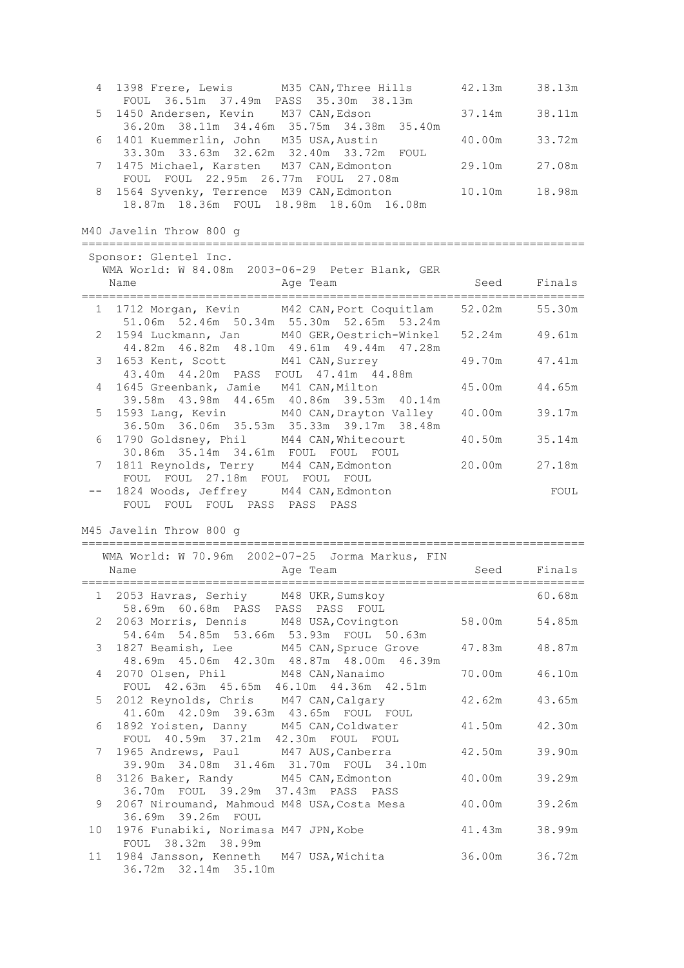| 4                     | 1398 Frere, Lewis M35 CAN, Three Hills<br>FOUL 36.51m 37.49m PASS 35.30m 38.13m                                                         | 42.13m | 38.13m |
|-----------------------|-----------------------------------------------------------------------------------------------------------------------------------------|--------|--------|
| 5                     | 1450 Andersen, Kevin M37 CAN, Edson<br>36.20m 38.11m 34.46m 35.75m 34.38m 35.40m                                                        | 37.14m | 38.11m |
| 6                     | 1401 Kuemmerlin, John M35 USA, Austin<br>33.30m 33.63m 32.62m 32.40m 33.72m FOUL                                                        | 40.00m | 33.72m |
| 7                     | 1475 Michael, Karsten M37 CAN, Edmonton<br>FOUL FOUL 22.95m 26.77m FOUL 27.08m                                                          | 29.10m | 27.08m |
| 8                     | 1564 Syvenky, Terrence M39 CAN, Edmonton<br>18.87m 18.36m FOUL 18.98m 18.60m 16.08m                                                     | 10.10m | 18.98m |
|                       | M40 Javelin Throw 800 g                                                                                                                 |        |        |
|                       | Sponsor: Glentel Inc.<br>WMA World: W 84.08m 2003-06-29 Peter Blank, GER                                                                |        |        |
|                       | Name<br>Age Team                                                                                                                        | Seed   | Finals |
|                       | 1 1712 Morgan, Kevin M42 CAN, Port Coquitlam<br>51.06m 52.46m 50.34m 55.30m 52.65m 53.24m                                               | 52.02m | 55.30m |
|                       | 2 1594 Luckmann, Jan M40 GER, Oestrich-Winkel<br>44.82m  46.82m  48.10m  49.61m  49.44m  47.28m                                         | 52.24m | 49.61m |
| 3 <sup>7</sup>        | 1653 Kent, Scott M41 CAN, Surrey<br>43.40m  44.20m  PASS  FOUL  47.41m  44.88m                                                          | 49.70m | 47.41m |
| 4                     | 1645 Greenbank, Jamie M41 CAN, Milton<br>39.58m  43.98m  44.65m  40.86m  39.53m  40.14m                                                 | 45.00m | 44.65m |
| 5                     | 1593 Lang, Kevin M40 CAN, Drayton Valley<br>36.50m 36.06m 35.53m 35.33m 39.17m 38.48m                                                   | 40.00m | 39.17m |
| 6                     | 1790 Goldsney, Phil M44 CAN, Whitecourt<br>30.86m 35.14m 34.61m FOUL FOUL FOUL                                                          | 40.50m | 35.14m |
| 7                     | 1811 Reynolds, Terry M44 CAN, Edmonton<br>FOUL FOUL 27.18m FOUL FOUL FOUL                                                               | 20.00m | 27.18m |
|                       | 1824 Woods, Jeffrey M44 CAN, Edmonton<br>FOUL FOUL FOUL PASS PASS PASS                                                                  |        | FOUL   |
|                       | M45 Javelin Throw 800 q                                                                                                                 |        |        |
|                       | WMA World: W 70.96m 2002-07-25 Jorma Markus, FIN<br>Name<br>Age Team                                                                    | Seed   | Finals |
| 1                     | 2053 Havras, Serhiy<br>M48 UKR, Sumskoy                                                                                                 |        | 60.68m |
| $\mathbf{2}^{\prime}$ | 58.69m 60.68m PASS PASS PASS FOUL<br>2063 Morris, Dennis<br>M48 USA, Covington                                                          | 58.00m | 54.85m |
| 3                     | 54.64m 54.85m 53.66m 53.93m FOUL 50.63m<br>M45 CAN, Spruce Grove<br>1827 Beamish, Lee<br>48.69m  45.06m  42.30m  48.87m  48.00m  46.39m | 47.83m | 48.87m |
| 4                     | 2070 Olsen, Phil<br>M48 CAN, Nanaimo<br>FOUL 42.63m 45.65m 46.10m 44.36m 42.51m                                                         | 70.00m | 46.10m |
| 5                     | 2012 Reynolds, Chris<br>M47 CAN, Calgary<br>41.60m  42.09m  39.63m  43.65m  FOUL  FOUL                                                  | 42.62m | 43.65m |
| 6                     | 1892 Yoisten, Danny<br>M45 CAN, Coldwater<br>FOUL 40.59m 37.21m 42.30m FOUL FOUL                                                        | 41.50m | 42.30m |

7 1965 Andrews, Paul M47 AUS,Canberra 42.50m 39.90m

8 3126 Baker, Randy M45 CAN,Edmonton 40.00m 39.29m

9 2067 Niroumand, Mahmoud M48 USA, Costa Mesa 40.00m 39.26m

10 1976 Funabiki, Norimasa M47 JPN,Kobe 41.43m 38.99m

11 1984 Jansson, Kenneth M47 USA,Wichita 36.00m 36.72m

39.90m 34.08m 31.46m 31.70m FOUL 34.10m

36.70m FOUL 39.29m 37.43m PASS PASS

36.69m 39.26m FOUL

FOUL 38.32m 38.99m

36.72m 32.14m 35.10m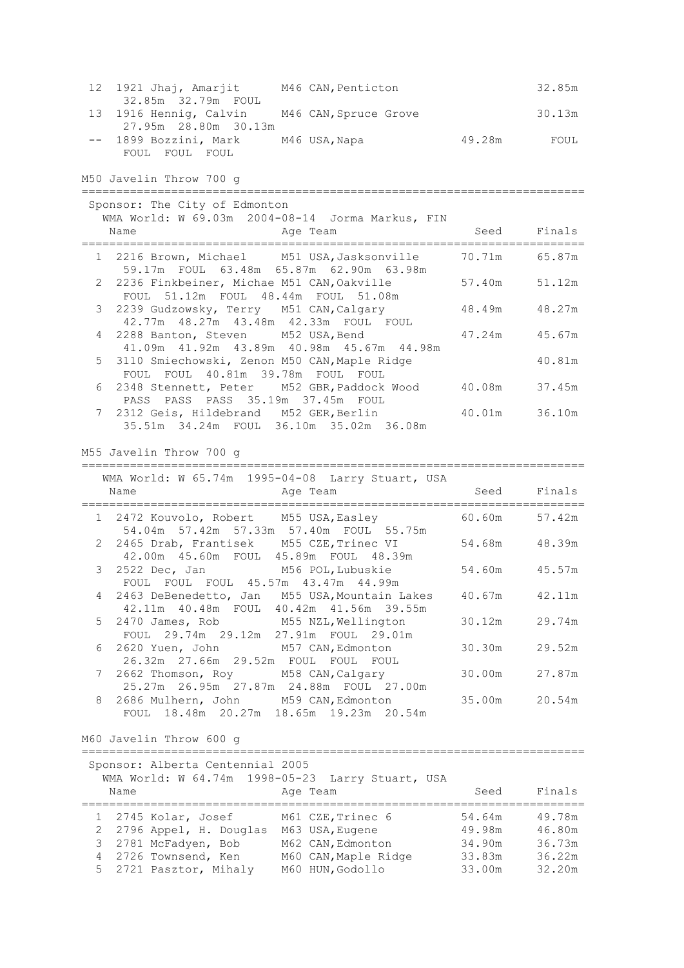| 12 1921 Jhaj, Amarjit                        | M46 CAN, Penticton |        | 32.85m |
|----------------------------------------------|--------------------|--------|--------|
| 32.85m 32.79m FOUL                           |                    |        |        |
| 13 1916 Hennig, Calvin M46 CAN, Spruce Grove |                    |        | 30.13m |
| 27.95m 28.80m 30.13m                         |                    |        |        |
| -- 1899 Bozzini, Mark M46 USA, Napa          |                    | 49.28m | FOUL   |
| FOUL FOUL FOUL                               |                    |        |        |

M50 Javelin Throw 700 g

| Sponsor: The City of Edmonton<br>WMA World: W 69.03m 2004-08-14 Jorma Markus, FIN<br>Age Team<br>Name |               | Seed Finals   |
|-------------------------------------------------------------------------------------------------------|---------------|---------------|
| 1 2216 Brown, Michael M51 USA, Jasksonville 30.71m 65.87m                                             |               |               |
| 59.17m FOUL 63.48m 65.87m 62.90m 63.98m                                                               |               |               |
| 2 2236 Finkbeiner, Michae M51 CAN, Oakville                                                           | 57.40m 51.12m |               |
| FOUL 51.12m FOUL 48.44m FOUL 51.08m                                                                   |               |               |
| 3 2239 Gudzowsky, Terry M51 CAN, Calgary                                                              |               | 48.49m 48.27m |
| 42.77m 48.27m 43.48m 42.33m FOUL FOUL                                                                 |               |               |
| 4 2288 Banton, Steven M52 USA, Bend                                                                   | 47.24m 45.67m |               |
| 41.09m 41.92m 43.89m 40.98m 45.67m 44.98m                                                             |               |               |
| 5 3110 Smiechowski, Zenon M50 CAN, Maple Ridge                                                        |               | 40.81m        |
| FOUL FOUL 40.81m 39.78m FOUL FOUL                                                                     |               |               |
| 6 2348 Stennett, Peter M52 GBR, Paddock Wood                                                          | 40.08m        | 37.45m        |
| PASS PASS PASS 35.19m 37.45m FOUL                                                                     |               |               |
| 7 2312 Geis, Hildebrand M52 GER, Berlin                                                               | 40.01m        | 36.10m        |
| 35.51m 34.24m FOUL 36.10m 35.02m 36.08m                                                               |               |               |

M55 Javelin Throw 700 g

=========================================================================

| WMA World: W 65.74m 1995-04-08 Larry Stuart, USA<br>Age Team<br>Name                                  | Seed Finals   |        |
|-------------------------------------------------------------------------------------------------------|---------------|--------|
| 1 2472 Kouvolo, Robert M55 USA, Easley 60.60m 57.42m<br>54.04m 57.42m 57.33m 57.40m FOUL 55.75m       |               |        |
| 2 2465 Drab, Frantisek M55 CZE, Trinec VI 54.68m 48.39m<br>42.00m  45.60m  FOUL  45.89m  FOUL  48.39m |               |        |
| 3 2522 Dec, Jan M56 POL, Lubuskie<br>FOUL FOUL FOUL 45.57m 43.47m 44.99m                              | 54.60m 45.57m |        |
| 4 2463 DeBenedetto, Jan M55 USA, Mountain Lakes<br>42.11m 40.48m FOUL 40.42m 41.56m 39.55m            | 40.67m 42.11m |        |
| 5 2470 James, Rob M55 NZL, Wellington<br>FOUL 29.74m 29.12m 27.91m FOUL 29.01m                        | 30.12m        | 29.74m |
| 6 2620 Yuen, John M57 CAN, Edmonton<br>26.32m 27.66m 29.52m FOUL FOUL FOUL                            | 30.30m 29.52m |        |
| 7 2662 Thomson, Roy M58 CAN, Calgary<br>25.27m  26.95m  27.87m  24.88m  FOUL  27.00m                  | 30.00m 27.87m |        |
| 8 2686 Mulhern, John M59 CAN, Edmonton<br>FOUL 18.48m 20.27m 18.65m 19.23m 20.54m                     | 35.00m 20.54m |        |

M60 Javelin Throw 600 g

| Name | Sponsor: Alberta Centennial 2005 | WMA World: W 64.74m 1998-05-23 Larry Stuart, USA<br>Age Team | Seed   | Finals |
|------|----------------------------------|--------------------------------------------------------------|--------|--------|
|      | 1 2745 Kolar, Josef              | M61 CZE, Trinec 6                                            | 54.64m | 49.78m |
|      | 2 2796 Appel, H. Douglas         | M63 USA, Eugene                                              | 49.98m | 46.80m |
|      | 3 2781 McFadyen, Bob             | M62 CAN, Edmonton                                            | 34.90m | 36.73m |
|      | 4 2726 Townsend, Ken             | M60 CAN, Maple Ridge                                         | 33.83m | 36.22m |
|      | 5 2721 Pasztor, Mihaly           | M60 HUN, Godollo                                             | 33.00m | 32.20m |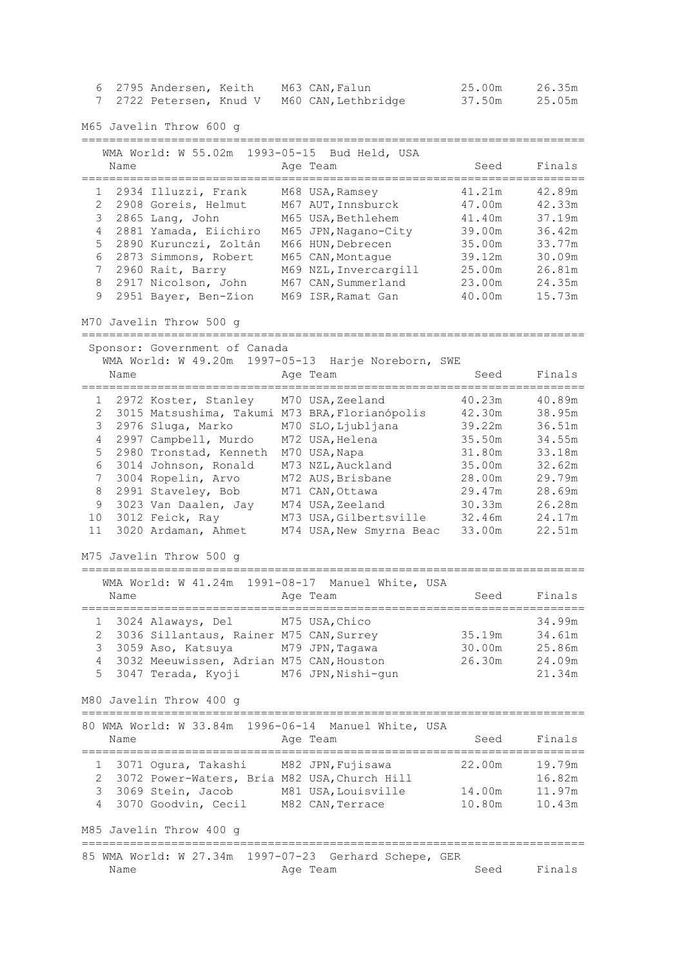| 6<br>7                                                                               |                         | 2795 Andersen, Keith<br>2722 Petersen, Knud V                                                                                                                                                                                                                                                                                                                                                    | M63 CAN, Falun<br>M60 CAN, Lethbridge                                                                                                                                                                                                                                                                                                                                                          | 25.00m<br>37.50m                                                                                                                                            | 26.35m<br>25.05m                                                                                                                                                       |
|--------------------------------------------------------------------------------------|-------------------------|--------------------------------------------------------------------------------------------------------------------------------------------------------------------------------------------------------------------------------------------------------------------------------------------------------------------------------------------------------------------------------------------------|------------------------------------------------------------------------------------------------------------------------------------------------------------------------------------------------------------------------------------------------------------------------------------------------------------------------------------------------------------------------------------------------|-------------------------------------------------------------------------------------------------------------------------------------------------------------|------------------------------------------------------------------------------------------------------------------------------------------------------------------------|
|                                                                                      |                         | M65 Javelin Throw 600 g                                                                                                                                                                                                                                                                                                                                                                          |                                                                                                                                                                                                                                                                                                                                                                                                |                                                                                                                                                             |                                                                                                                                                                        |
|                                                                                      | Name                    | WMA World: W 55.02m                                                                                                                                                                                                                                                                                                                                                                              | 1993-05-15 Bud Held, USA<br>Age Team                                                                                                                                                                                                                                                                                                                                                           | Seed                                                                                                                                                        | Finals                                                                                                                                                                 |
| 1<br>2<br>3<br>$\overline{4}$<br>5<br>6<br>7<br>8<br>9                               | 2865 Lang, John         | 2934 Illuzzi, Frank<br>2908 Goreis, Helmut<br>2881 Yamada, Eiichiro<br>2890 Kurunczi, Zoltán<br>2873 Simmons, Robert<br>2960 Rait, Barry<br>2917 Nicolson, John<br>2951 Bayer, Ben-Zion<br>M70 Javelin Throw 500 g                                                                                                                                                                               | M68 USA, Ramsey<br>M67 AUT, Innsburck<br>M65 USA, Bethlehem<br>M65 JPN, Nagano-City<br>M66 HUN, Debrecen<br>M65 CAN, Montague<br>M69 NZL, Invercargill<br>M67 CAN, Summerland<br>M69 ISR, Ramat Gan                                                                                                                                                                                            | 41.21m<br>47.00m<br>41.40m<br>39.00m<br>35.00m<br>39.12m<br>25.00m<br>23.00m<br>40.00m                                                                      | 42.89m<br>42.33m<br>37.19m<br>36.42m<br>33.77m<br>30.09m<br>26.81m<br>24.35m<br>15.73m                                                                                 |
|                                                                                      |                         | Sponsor: Government of Canada                                                                                                                                                                                                                                                                                                                                                                    | WMA World: W 49.20m 1997-05-13 Harje Noreborn, SWE                                                                                                                                                                                                                                                                                                                                             |                                                                                                                                                             |                                                                                                                                                                        |
|                                                                                      | Name                    |                                                                                                                                                                                                                                                                                                                                                                                                  | Age Team                                                                                                                                                                                                                                                                                                                                                                                       | Seed                                                                                                                                                        | Finals                                                                                                                                                                 |
| 1<br>2<br>3<br>4<br>5<br>6<br>7<br>$\,8\,$<br>9<br>10<br>11<br>1<br>2<br>3<br>4<br>5 | 3012 Feick, Ray<br>Name | 2972 Koster, Stanley<br>2976 Sluga, Marko<br>2997 Campbell, Murdo<br>2980 Tronstad, Kenneth<br>3014 Johnson, Ronald<br>3004 Ropelin, Arvo<br>2991 Staveley, Bob<br>3023 Van Daalen, Jay<br>3020 Ardaman, Ahmet<br>M75 Javelin Throw 500 g<br>3024 Alaways, Del<br>3036 Sillantaus, Rainer M75 CAN, Surrey<br>3059 Aso, Katsuya<br>3032 Meeuwissen, Adrian M75 CAN, Houston<br>3047 Terada, Kyoji | M70 USA, Zeeland<br>3015 Matsushima, Takumi M73 BRA, Florianópolis<br>M70 SLO, Ljubljana<br>M72 USA, Helena<br>M70 USA, Napa<br>M73 NZL, Auckland<br>M72 AUS, Brisbane<br>M71 CAN, Ottawa<br>M74 USA, Zeeland<br>M73 USA, Gilbertsville<br>M74 USA, New Smyrna Beac<br>WMA World: W 41.24m 1991-08-17 Manuel White, USA<br>Age Team<br>M75 USA, Chico<br>M79 JPN, Tagawa<br>M76 JPN, Nishi-gun | 40.23m<br>42.30m<br>39.22m<br>35.50m<br>31.80m<br>35.00m<br>28.00m<br>29.47m<br>30.33m<br>32.46m<br>33.00m<br>Seed<br>=======<br>35.19m<br>30.00m<br>26.30m | 40.89m<br>38.95m<br>36.51m<br>34.55m<br>33.18m<br>32.62m<br>29.79m<br>28.69m<br>26.28m<br>24.17m<br>22.51m<br>Finals<br>34.99m<br>34.61m<br>25.86m<br>24.09m<br>21.34m |
|                                                                                      |                         | M80 Javelin Throw 400 g                                                                                                                                                                                                                                                                                                                                                                          |                                                                                                                                                                                                                                                                                                                                                                                                |                                                                                                                                                             |                                                                                                                                                                        |
|                                                                                      | Name                    |                                                                                                                                                                                                                                                                                                                                                                                                  | 80 WMA World: W 33.84m 1996-06-14 Manuel White, USA<br>Age Team                                                                                                                                                                                                                                                                                                                                | Seed<br>================                                                                                                                                    | Finals                                                                                                                                                                 |
| 1<br>$\overline{4}$                                                                  |                         | 3071 Ogura, Takashi M82 JPN, Fujisawa<br>2 3072 Power-Waters, Bria M82 USA, Church Hill<br>M85 Javelin Throw 400 g                                                                                                                                                                                                                                                                               | 3 3069 Stein, Jacob M81 USA, Louisville 14.00m<br>3070 Goodvin, Cecil M82 CAN, Terrace                                                                                                                                                                                                                                                                                                         | 22.00m<br>10.80m                                                                                                                                            | 19.79m<br>16.82m<br>11.97m<br>10.43m                                                                                                                                   |
|                                                                                      | Name                    | --------------------------------                                                                                                                                                                                                                                                                                                                                                                 | ================================<br>85 WMA World: W 27.34m 1997-07-23 Gerhard Schepe, GER<br>Age Team                                                                                                                                                                                                                                                                                          | Seed                                                                                                                                                        | Finals                                                                                                                                                                 |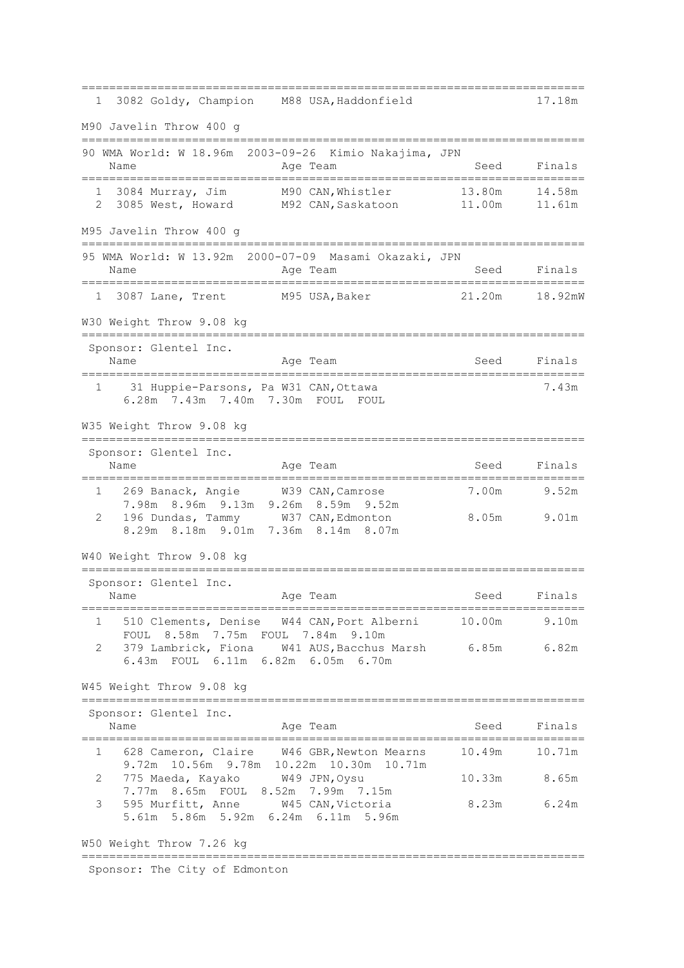========================================================================= 1 3082 Goldy, Champion M88 USA,Haddonfield 17.18m M90 Javelin Throw 400 g ========================================================================= 90 WMA World: W 18.96m 2003-09-26 Kimio Nakajima, JPN Name **Age Team** Age Team Seed Finals ========================================================================= 1 3084 Murray, Jim M90 CAN,Whistler 13.80m 14.58m 2 3085 West, Howard M92 CAN,Saskatoon 11.00m 11.61m M95 Javelin Throw 400 g ========================================================================= 95 WMA World: W 13.92m 2000-07-09 Masami Okazaki, JPN Name Register Age Team Name Seed Finals ========================================================================= 1 3087 Lane, Trent M95 USA,Baker 21.20m 18.92mW W30 Weight Throw 9.08 kg ========================================================================= Sponsor: Glentel Inc. Name **Age Team** Age Team Seed Finals ========================================================================= 1 31 Huppie-Parsons, Pa W31 CAN,Ottawa 7.43m 6.28m 7.43m 7.40m 7.30m FOUL FOUL W35 Weight Throw 9.08 kg ========================================================================= Sponsor: Glentel Inc. Name **Age Team** Age Team Seed Finals ========================================================================= 1 269 Banack, Angie W39 CAN,Camrose 7.00m 9.52m 7.98m 8.96m 9.13m 9.26m 8.59m 9.52m 2 196 Dundas, Tammy W37 CAN,Edmonton 8.05m 9.01m 8.29m 8.18m 9.01m 7.36m 8.14m 8.07m W40 Weight Throw 9.08 kg ========================================================================= Sponsor: Glentel Inc. Name Age Team Seed Finals ========================================================================= 1 510 Clements, Denise W44 CAN,Port Alberni 10.00m 9.10m FOUL 8.58m 7.75m FOUL 7.84m 9.10m 2 379 Lambrick, Fiona W41 AUS,Bacchus Marsh 6.85m 6.82m 6.43m FOUL 6.11m 6.82m 6.05m 6.70m W45 Weight Throw 9.08 kg ========================================================================= Sponsor: Glentel Inc. Name **Age Team** Age Team Seed Finals ========================================================================= 1 628 Cameron, Claire W46 GBR,Newton Mearns 10.49m 10.71m 9.72m 10.56m 9.78m 10.22m 10.30m 10.71m 2 775 Maeda, Kayako W49 JPN,Oysu 10.33m 8.65m 7.77m 8.65m FOUL 8.52m 7.99m 7.15m 3 595 Murfitt, Anne W45 CAN,Victoria 8.23m 6.24m 5.61m 5.86m 5.92m 6.24m 6.11m 5.96m W50 Weight Throw 7.26 kg ========================================================================= Sponsor: The City of Edmonton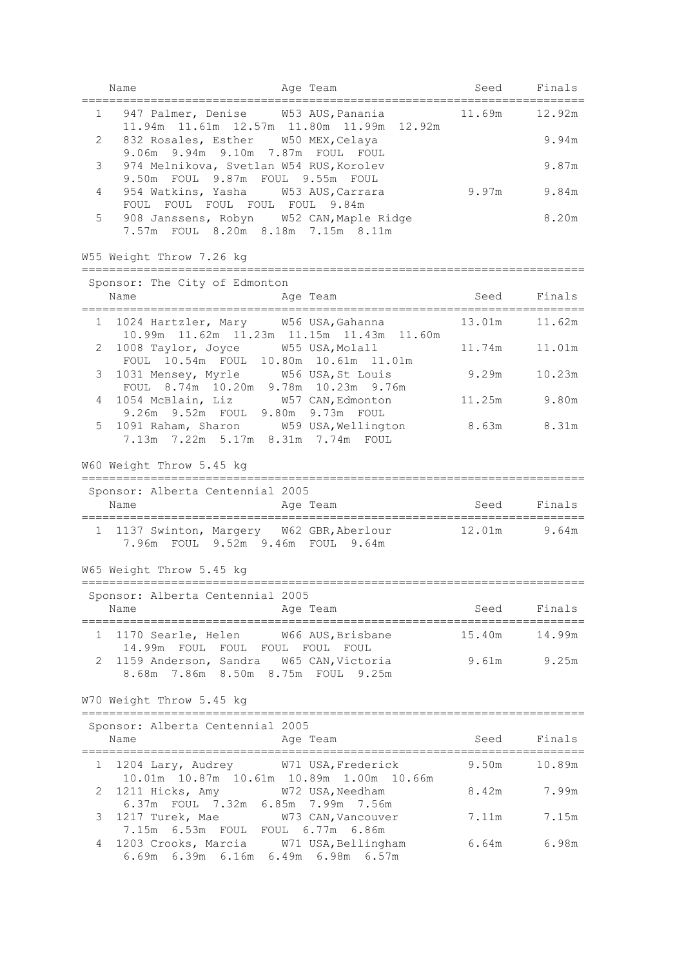|              | Name                                                                                                                | Age Team                                                                              | Seed           | Finals       |
|--------------|---------------------------------------------------------------------------------------------------------------------|---------------------------------------------------------------------------------------|----------------|--------------|
| $\mathbf{1}$ |                                                                                                                     | 947 Palmer, Denise W53 AUS, Panania<br>11.94m  11.61m  12.57m  11.80m  11.99m  12.92m | 11.69m         | 12.92m       |
| 2            | 832 Rosales, Esther W50 MEX, Celaya<br>9.06m 9.94m 9.10m 7.87m FOUL FOUL                                            |                                                                                       |                | 9.94m        |
| 3            | 974 Melnikova, Svetlan W54 RUS, Korolev<br>9.50m FOUL 9.87m FOUL 9.55m FOUL                                         |                                                                                       |                | 9.87m        |
| 4            | 954 Watkins, Yasha W53 AUS, Carrara<br>FOUL FOUL FOUL FOUL FOUL 9.84m                                               |                                                                                       | 9.97m          | 9.84m        |
| 5            | 908 Janssens, Robyn W52 CAN, Maple Ridge<br>7.57m FOUL 8.20m 8.18m 7.15m 8.11m                                      |                                                                                       |                | 8.20m        |
|              | W55 Weight Throw 7.26 kg                                                                                            |                                                                                       |                |              |
|              | Sponsor: The City of Edmonton                                                                                       |                                                                                       |                |              |
|              | Name                                                                                                                | Age Team                                                                              | Seed Finals    |              |
|              | 1 1024 Hartzler, Mary W56 USA, Gahanna                                                                              | 10.99m  11.62m  11.23m  11.15m  11.43m  11.60m                                        | 13.01m  11.62m |              |
| 2            | 1008 Taylor, Joyce W55 USA, Molall<br>FOUL 10.54m FOUL 10.80m 10.61m 11.01m                                         |                                                                                       | 11.74m         | 11.01m       |
| 3            | 1031 Mensey, Myrle W56 USA, St Louis<br>FOUL 8.74m 10.20m 9.78m 10.23m 9.76m                                        |                                                                                       | 9.29m          | 10.23m       |
| 4            | 1054 McBlain, Liz W57 CAN, Edmonton<br>9.26m 9.52m FOUL 9.80m 9.73m FOUL                                            |                                                                                       |                | 11.25m 9.80m |
| 5            | 1091 Raham, Sharon W59 USA, Wellington<br>7.13m 7.22m 5.17m 8.31m 7.74m FOUL                                        |                                                                                       | 8.63m 8.31m    |              |
|              | W60 Weight Throw 5.45 kg                                                                                            |                                                                                       |                |              |
|              | Sponsor: Alberta Centennial 2005                                                                                    |                                                                                       |                |              |
|              | Name<br>===================================                                                                         | Age Team<br>.==================================                                       | Seed           | Finals       |
|              | 1 1137 Swinton, Margery W62 GBR, Aberlour<br>7.96m FOUL 9.52m 9.46m FOUL 9.64m                                      |                                                                                       | $12.01m$ 9.64m |              |
|              | W65 Weight Throw 5.45 kg                                                                                            |                                                                                       |                |              |
|              | Sponsor: Alberta Centennial 2005                                                                                    |                                                                                       |                |              |
|              | Name<br>====================================                                                                        | Age Team<br>_______________________                                                   | Seed           | Finals       |
| 1            | 1170 Searle, Helen W66 AUS, Brisbane<br>14.99m FOUL FOUL FOUL FOUL FOUL                                             |                                                                                       | 15.40m         | 14.99m       |
| 2            | 1159 Anderson, Sandra W65 CAN, Victoria<br>8.68m 7.86m 8.50m 8.75m FOUL 9.25m                                       |                                                                                       | 9.61m          | 9.25m        |
|              | W70 Weight Throw 5.45 kg                                                                                            |                                                                                       |                |              |
|              | Sponsor: Alberta Centennial 2005                                                                                    |                                                                                       |                |              |
|              | Name                                                                                                                | Age Team                                                                              | Seed           | Finals       |
| 1            | 1204 Lary, Audrey                                                                                                   | W71 USA, Frederick<br>10.01m  10.87m  10.61m  10.89m  1.00m  10.66m                   | 9.50m          | 10.89m       |
| 2            | 1211 Hicks, Amy W72 USA, Needham                                                                                    |                                                                                       | 8.42m          | 7.99m        |
| 3            | 6.37m FOUL 7.32m 6.85m 7.99m 7.56m<br>1217 Turek, Mae W73 CAN, Vancouver                                            |                                                                                       | 7.11m          | 7.15m        |
| 4            | 7.15m 6.53m FOUL FOUL 6.77m 6.86m<br>1203 Crooks, Marcia W71 USA, Bellingham<br>6.69m 6.39m 6.16m 6.49m 6.98m 6.57m |                                                                                       | 6.64m          | 6.98m        |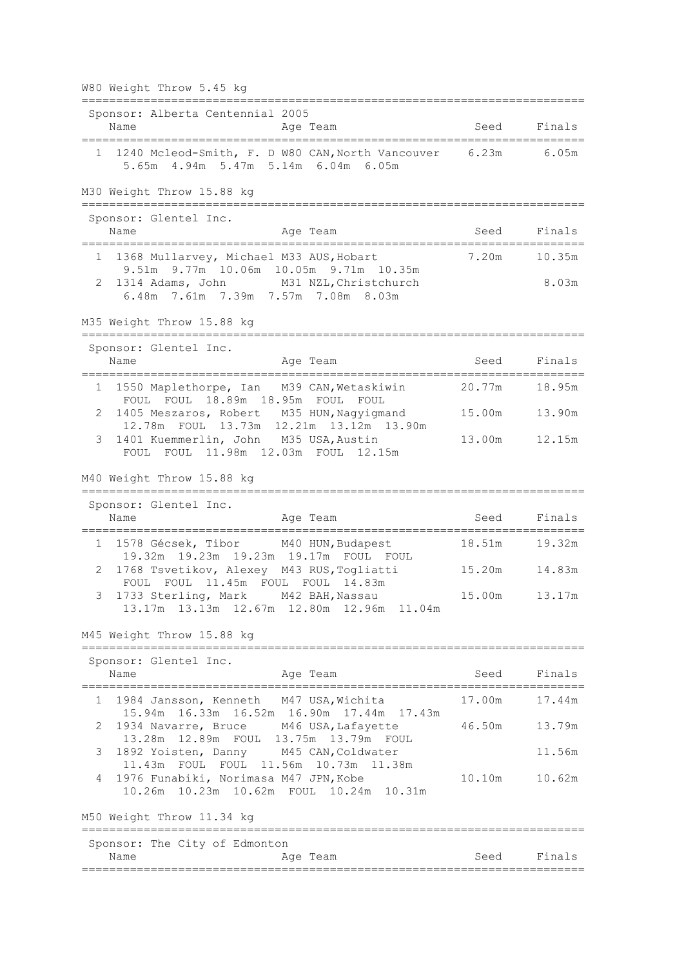|        | W80 Weight Throw 5.45 kg                                                                                                                                                  |                  |                  |
|--------|---------------------------------------------------------------------------------------------------------------------------------------------------------------------------|------------------|------------------|
|        | Sponsor: Alberta Centennial 2005<br>Name<br>Age Team                                                                                                                      | Seed             | Finals           |
|        | 1 1240 Mcleod-Smith, F. D W80 CAN, North Vancouver 6.23m<br>5.65m 4.94m 5.47m 5.14m 6.04m 6.05m                                                                           |                  | 6.05m            |
|        | M30 Weight Throw 15.88 kg<br>=================================                                                                                                            |                  |                  |
|        | Sponsor: Glentel Inc.<br>Name<br>Age Team                                                                                                                                 | Seed             | Finals           |
| 1<br>2 | 1368 Mullarvey, Michael M33 AUS, Hobart<br>9.51m 9.77m 10.06m 10.05m 9.71m 10.35m<br>M31 NZL, Christchurch<br>1314 Adams, John<br>6.48m 7.61m 7.39m 7.57m 7.08m 8.03m     | 7.20m            | 10.35m<br>8.03m  |
|        | M35 Weight Throw 15.88 kg                                                                                                                                                 |                  |                  |
|        | Sponsor: Glentel Inc.<br>Name<br>Age Team                                                                                                                                 | Seed             | Finals           |
| 1<br>2 | 1550 Maplethorpe, Ian M39 CAN, Wetaskiwin<br>18.89m 18.95m FOUL FOUL<br>FOUL FOUL<br>1405 Meszaros, Robert M35 HUN, Nagyigmand<br>12.78m FOUL 13.73m 12.21m 13.12m 13.90m | 20.77m<br>15.00m | 18.95m<br>13.90m |
| 3      | 1401 Kuemmerlin, John M35 USA, Austin<br>FOUL FOUL 11.98m 12.03m FOUL 12.15m                                                                                              | 13.00m           | 12.15m           |
|        | M40 Weight Throw 15.88 kg<br>======================================                                                                                                       |                  |                  |
|        | Sponsor: Glentel Inc.<br>Name<br>Age Team<br>:=========                                                                                                                   | Seed             | Finals           |
|        | 1 1578 Gécsek, Tibor M40 HUN, Budapest<br>19.32m 19.23m 19.23m 19.17m FOUL FOUL                                                                                           | 18.51m           | 19.32m           |
| 2      | 1768 Tsvetikov, Alexey M43 RUS, Togliatti<br>FOUL FOUL 11.45m FOUL FOUL 14.83m<br>3 1733 Sterling, Mark M42 BAH, Nassau<br>13.17m<br>13.13m 12.67m 12.80m 12.96m 11.04m   | 15.20m<br>15.00m | 14.83m<br>13.17m |
|        | M45 Weight Throw 15.88 kg<br>------------                                                                                                                                 |                  |                  |
|        | Sponsor: Glentel Inc.<br>Name<br>Age Team                                                                                                                                 | Seed             | Finals           |
| 1      | 1984 Jansson, Kenneth M47 USA, Wichita<br>15.94m  16.33m  16.52m  16.90m  17.44m  17.43m                                                                                  | 17.00m           | 17.44m           |
| 2      | 1934 Navarre, Bruce M46 USA, Lafayette<br>13.28m  12.89m  FOUL  13.75m  13.79m  FOUL                                                                                      | 46.50m           | 13.79m           |
| 3<br>4 | 1892 Yoisten, Danny M45 CAN, Coldwater<br>11.43m FOUL FOUL 11.56m 10.73m 11.38m<br>1976 Funabiki, Norimasa M47 JPN, Kobe<br>10.26m  10.23m  10.62m  FOUL  10.24m  10.31m  | 10.10m           | 11.56m<br>10.62m |
|        | M50 Weight Throw 11.34 kg                                                                                                                                                 |                  |                  |
|        | Sponsor: The City of Edmonton<br>Name<br>Age Team                                                                                                                         | Seed             | Finals           |
|        |                                                                                                                                                                           |                  |                  |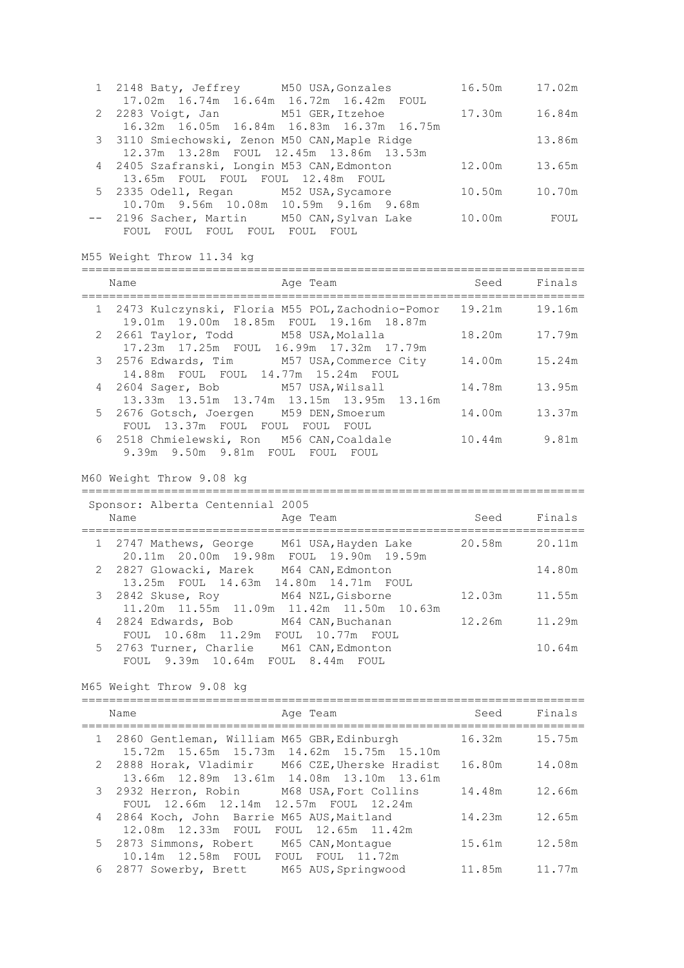| 1 2148 Baty, Jeffrey M50 USA, Gonzales         | 16.50m | 17.02m |
|------------------------------------------------|--------|--------|
| 17.02m  16.74m  16.64m  16.72m  16.42m  FOUL   |        |        |
| 2 2283 Voigt, Jan M51 GER, Itzehoe             | 17.30m | 16.84m |
| 16.32m 16.05m 16.84m 16.83m 16.37m 16.75m      |        |        |
| 3 3110 Smiechowski, Zenon M50 CAN, Maple Ridge |        | 13.86m |
| 12.37m 13.28m FOUL 12.45m 13.86m 13.53m        |        |        |
| 4 2405 Szafranski, Longin M53 CAN, Edmonton    | 12.00m | 13.65m |
| 13.65m FOUL FOUL FOUL 12.48m FOUL              |        |        |
| 5 2335 Odell, Regan M52 USA, Sycamore          | 10.50m | 10.70m |
| 10.70m 9.56m 10.08m 10.59m 9.16m 9.68m         |        |        |
| -- 2196 Sacher, Martin M50 CAN, Sylvan Lake    | 10.00m | FOUL   |
| FOUL<br>FOUL<br>FOUL<br>FOUL.<br>FOUL<br>FOUL  |        |        |

M55 Weight Throw 11.34 kg

| Name                                                                                            | Age Team                                  | Seed          | Finals |
|-------------------------------------------------------------------------------------------------|-------------------------------------------|---------------|--------|
| 1 2473 Kulczynski, Floria M55 POL,Zachodnio-Pomor<br>19.01m 19.00m 18.85m FOUL 19.16m 18.87m    |                                           | 19.21m        | 19.16m |
| 2 2661 Taylor, Todd M58 USA, Molalla<br>17.23m 17.25m FOUL 16.99m 17.32m 17.79m                 |                                           | 18.20m 17.79m |        |
| 3 2576 Edwards, Tim M57 USA, Commerce City 14.00m 15.24m<br>14.88m FOUL FOUL 14.77m 15.24m FOUL |                                           |               |        |
| 4 2604 Sager, Bob M57 USA, Wilsall                                                              | 13.33m 13.51m 13.74m 13.15m 13.95m 13.16m | 14.78m        | 13.95m |
| 5 2676 Gotsch, Joergen M59 DEN, Smoerum<br>FOUL 13.37m FOUL FOUL FOUL                           | FOUL                                      | 14.00m        | 13.37m |
| 6 2518 Chmielewski, Ron M56 CAN, Coaldale<br>9.39m 9.50m 9.81m FOUL FOUL FOUL                   |                                           | 10.44m 9.81m  |        |
| M60 Weight Throw 9.08 kg                                                                        |                                           |               |        |

| Sponsor: Alberta Centennial 2005<br>Name<br>Age Team                                     | Seed   | Finals |
|------------------------------------------------------------------------------------------|--------|--------|
| 1 2747 Mathews, George M61 USA, Hayden Lake<br>20.11m 20.00m 19.98m FOUL 19.90m 19.59m   | 20.58m | 20.11m |
| 2 2827 Glowacki, Marek M64 CAN, Edmonton<br>13.25m FOUL 14.63m 14.80m 14.71m FOUL        |        | 14.80m |
| 3 2842 Skuse, Roy<br>M64 NZL, Gisborne<br>11.20m  11.55m  11.09m  11.42m  11.50m  10.63m | 12.03m | 11.55m |
| 4 2824 Edwards, Bob M64 CAN, Buchanan<br>FOUL 10.68m 11.29m FOUL 10.77m FOUL             | 12.26m | 11.29m |
| 5 2763 Turner, Charlie M61 CAN, Edmonton<br>FOUL 9.39m 10.64m FOUL 8.44m FOUL            |        | 10.64m |

M65 Weight Throw 9.08 kg

| Age Team<br>Name                                                                               | Seed   | Finals |
|------------------------------------------------------------------------------------------------|--------|--------|
| 1 2860 Gentleman, William M65 GBR, Edinburgh<br>15.72m  15.65m  15.73m  14.62m  15.75m  15.10m | 16.32m | 15.75m |
| 2 2888 Horak, Vladimir M66 CZE, Uherske Hradist<br>13.66m 12.89m 13.61m 14.08m 13.10m 13.61m   | 16.80m | 14.08m |
| 3 2932 Herron, Robin M68 USA, Fort Collins<br>FOUL 12.66m 12.14m 12.57m FOUL 12.24m            | 14.48m | 12.66m |
| 4 2864 Koch, John Barrie M65 AUS, Maitland<br>12.08m 12.33m FOUL FOUL 12.65m 11.42m            | 14.23m | 12.65m |
| 5 2873 Simmons, Robert M65 CAN, Montaque<br>10.14m 12.58m FOUL FOUL FOUL 11.72m                | 15.61m | 12.58m |
| 6 2877 Sowerby, Brett M65 AUS, Springwood                                                      | 11.85m | 11.77m |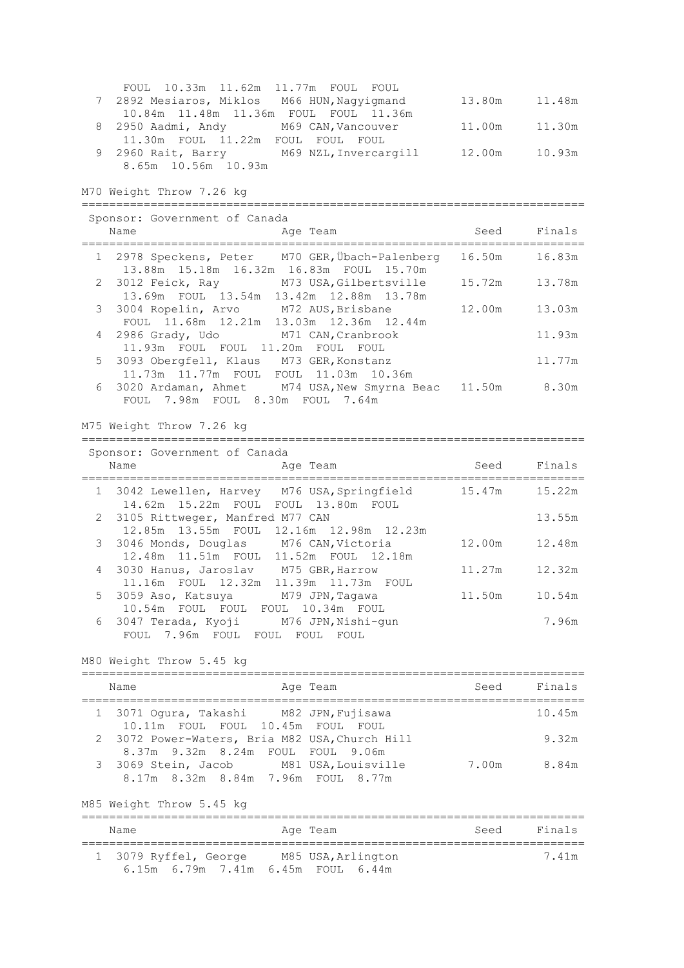| FOUL 10.33m 11.62m 11.77m FOUL FOUL         |               |               |
|---------------------------------------------|---------------|---------------|
| 7 2892 Mesiaros, Miklos M66 HUN, Nagyigmand |               | 13.80m 11.48m |
| 10.84m 11.48m 11.36m FOUL FOUL 11.36m       |               |               |
| 8 2950 Aadmi, Andy M69 CAN, Vancouver       | 11.00m 11.30m |               |
| 11.30m FOUL 11.22m FOUL FOUL FOUL           |               |               |
| 9 2960 Rait, Barry M69 NZL, Invercargill    | 12.00m        | 10.93m        |
| 8.65m 10.56m 10.93m                         |               |               |

M70 Weight Throw 7.26 kg

| Sponsor: Government of Canada<br>Name<br>Age Team                                               | Seed   | Finals |
|-------------------------------------------------------------------------------------------------|--------|--------|
| 1 2978 Speckens, Peter M70 GER, Übach-Palenberg<br>13.88m  15.18m  16.32m  16.83m  FOUL  15.70m | 16.50m | 16.83m |
| 2 3012 Feick, Ray M73 USA, Gilbertsville<br>13.69m FOUL 13.54m 13.42m 12.88m 13.78m             | 15.72m | 13.78m |
| 3 3004 Ropelin, Arvo M72 AUS, Brisbane<br>FOUL 11.68m 12.21m 13.03m 12.36m 12.44m               | 12.00m | 13.03m |
| 4 2986 Grady, Udo M71 CAN, Cranbrook<br>11.93m FOUL FOUL 11.20m FOUL FOUL                       |        | 11.93m |
| 5 3093 Obergfell, Klaus M73 GER, Konstanz<br>11.73m 11.77m FOUL FOUL 11.03m 10.36m              |        | 11.77m |
| 6 3020 Ardaman, Ahmet M74 USA, New Smyrna Beac 11.50m<br>FOUL 7.98m FOUL 8.30m FOUL 7.64m       |        | 8.30m  |

M75 Weight Throw 7.26 kg

| Sponsor: Government of Canada                                                         |        |        |
|---------------------------------------------------------------------------------------|--------|--------|
| Name<br>Age Team                                                                      | Seed   | Finals |
| 1 3042 Lewellen, Harvey M76 USA, Springfield<br>14.62m 15.22m FOUL FOUL 13.80m FOUL   | 15.47m | 15.22m |
| 2 3105 Rittweger, Manfred M77 CAN<br>12.85m 13.55m FOUL 12.16m 12.98m 12.23m          |        | 13.55m |
| 3 3046 Monds, Douglas M76 CAN, Victoria<br>12.48m  11.51m  FOUL  11.52m  FOUL  12.18m | 12.00m | 12.48m |
| 4 3030 Hanus, Jaroslav M75 GBR, Harrow<br>11.16m FOUL 12.32m 11.39m 11.73m FOUL       | 11.27m | 12.32m |
| 5 3059 Aso, Katsuya M79 JPN, Taqawa<br>10.54m FOUL FOUL FOUL 10.34m FOUL              | 11.50m | 10.54m |
| 6 3047 Terada, Kyoji M76 JPN, Nishi-qun<br>FOUL 7.96m FOUL FOUL FOUL FOUL             |        | 7.96m  |

=========================================================================

M80 Weight Throw 5.45 kg

| Name                                                                                | Age Team |       | Seed Finals |
|-------------------------------------------------------------------------------------|----------|-------|-------------|
| 1 3071 Oqura, Takashi M82 JPN, Fujisawa<br>10.11m FOUL FOUL 10.45m FOUL FOUL        |          |       | 10.45m      |
| 2 3072 Power-Waters, Bria M82 USA, Church Hill<br>8.37m 9.32m 8.24m FOUL FOUL 9.06m |          |       | 9.32m       |
| 3 3069 Stein, Jacob M81 USA, Louisville<br>8.17m 8.32m 8.84m 7.96m FOUL 8.77m       |          | 7.00m | 8.84m       |

M85 Weight Throw 5.45 kg

| Name                                                        | Age Team           | Finals<br>Seed |
|-------------------------------------------------------------|--------------------|----------------|
| 1 3079 Ryffel, George<br>6.15m 6.79m 7.41m 6.45m FOUL 6.44m | M85 USA, Arlington | 7.41m          |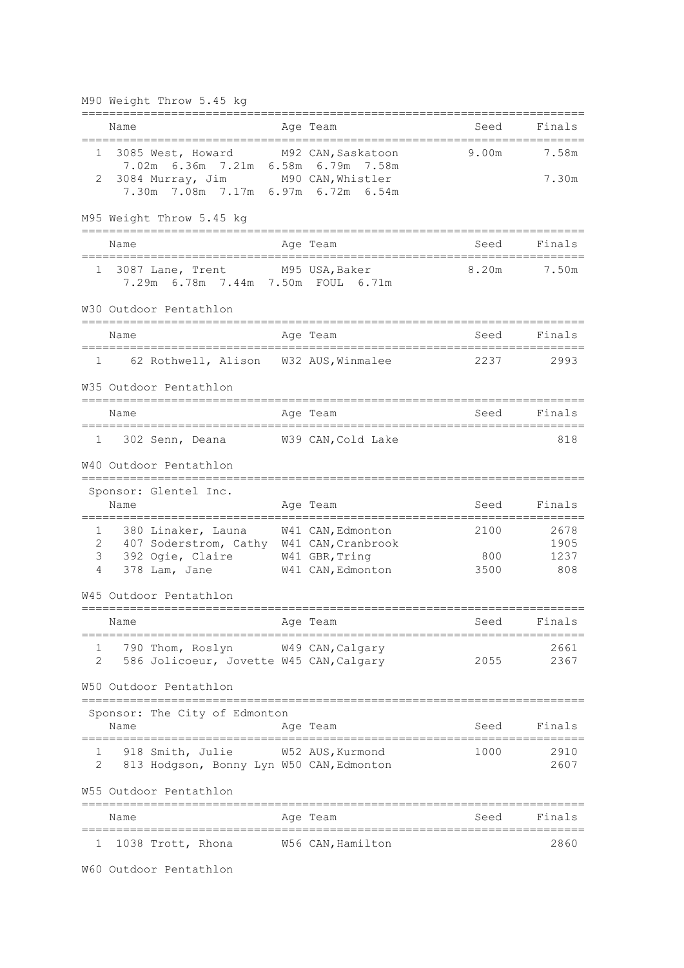M90 Weight Throw 5.45 kg

|        | Name                                                                        | Age Team                      | Seed  | Finals       |
|--------|-----------------------------------------------------------------------------|-------------------------------|-------|--------------|
| 1      | 3085 West, Howard M92 CAN, Saskatoon<br>7.02m 6.36m 7.21m 6.58m 6.79m 7.58m |                               | 9.00m | 7.58m        |
| 2      | 3084 Murray, Jim M90 CAN, Whistler<br>7.30m 7.08m 7.17m 6.97m 6.72m 6.54m   |                               |       | 7.30m        |
|        | M95 Weight Throw 5.45 kg<br>=============================                   |                               |       |              |
|        | Name                                                                        | Age Team                      | Seed  | Finals       |
| 1      | 3087 Lane, Trent<br>7.29m 6.78m 7.44m 7.50m FOUL 6.71m                      | M95 USA,Baker                 | 8.20m | 7.50m        |
|        | W30 Outdoor Pentathlon<br>======================================            |                               |       |              |
|        | Name<br>============================                                        | Age Team<br>;================ | Seed  | Finals       |
|        | 62 Rothwell, Alison W32 AUS, Winmalee<br>$1 -$                              |                               | 2237  | 2993         |
|        | W35 Outdoor Pentathlon                                                      |                               |       |              |
|        | Name                                                                        | Age Team                      | Seed  | Finals       |
| 1      | 302 Senn, Deana W39 CAN, Cold Lake                                          |                               |       | 818          |
|        | W40 Outdoor Pentathlon<br>============================                      |                               |       |              |
|        | Sponsor: Glentel Inc.                                                       |                               |       |              |
|        | Name<br>=================                                                   | Age Team                      | Seed  | Finals       |
| 1<br>2 | 380 Linaker, Launa                                                          | W41 CAN, Edmonton             | 2100  | 2678         |
| 3      | 407 Soderstrom, Cathy W41 CAN, Cranbrook<br>392 Ogie, Claire                | W41 GBR, Tring                | 800   | 1905<br>1237 |
| 4      | 378 Lam, Jane                                                               | W41 CAN, Edmonton             | 3500  | 808          |
|        | W45 Outdoor Pentathlon                                                      |                               |       |              |
|        | Name                                                                        | Age Team                      | Seed  | Finals       |
|        | ===============================<br>790 Thom, Roslyn W49 CAN, Calgary        |                               |       | 2661         |
| 2      | 586 Jolicoeur, Jovette W45 CAN, Calgary                                     |                               | 2055  | 2367         |
|        | W50 Outdoor Pentathlon<br>========                                          |                               |       |              |
|        | Sponsor: The City of Edmonton<br>Name                                       | Age Team                      | Seed  | Finals       |
| 1      | 918 Smith, Julie M52 AUS, Kurmond                                           |                               | 1000  | 2910         |
| 2      | 813 Hodgson, Bonny Lyn W50 CAN, Edmonton                                    |                               |       | 2607         |
|        | W55 Outdoor Pentathlon                                                      |                               |       |              |
|        | Name                                                                        | Age Team                      | Seed  | Finals       |
| ı      | 1038 Trott, Rhona                                                           | W56 CAN, Hamilton             |       | 2860         |

W60 Outdoor Pentathlon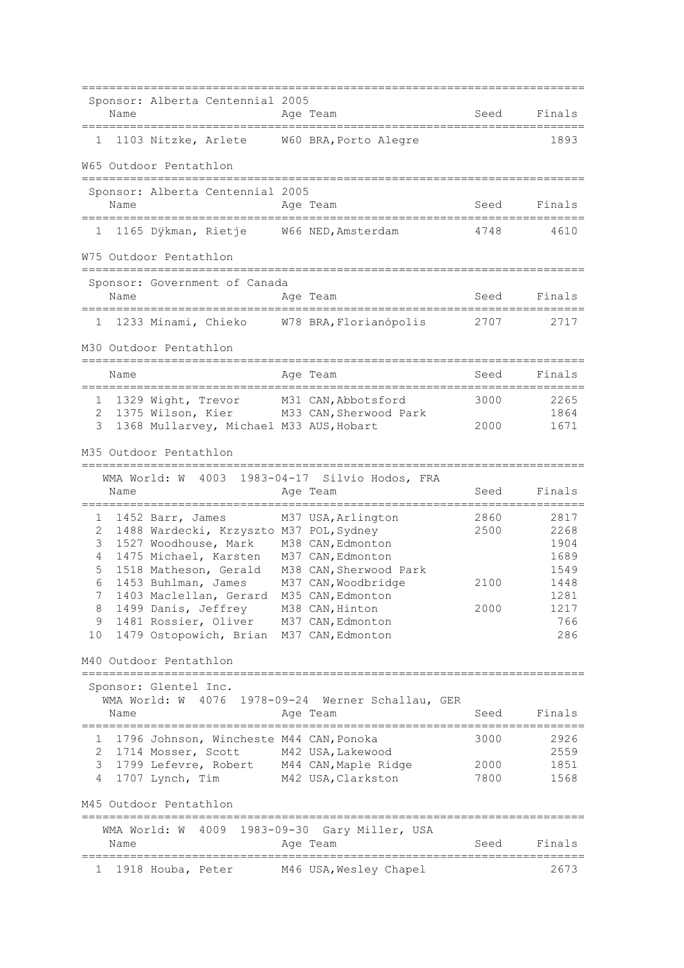|              | Name | Sponsor: Alberta Centennial 2005               | Age Team                                          | Seed | Finals       |
|--------------|------|------------------------------------------------|---------------------------------------------------|------|--------------|
| 1            |      | 1103 Nitzke, Arlete W60 BRA, Porto Alegre      |                                                   |      | 1893         |
|              |      | W65 Outdoor Pentathlon                         |                                                   |      |              |
|              |      | Sponsor: Alberta Centennial 2005               |                                                   |      |              |
|              | Name | ___________________________________            | Age Team                                          | Seed | Finals       |
| 1            |      | 1165 Dÿkman, Rietje W66 NED, Amsterdam         |                                                   | 4748 | 4610         |
|              |      | W75 Outdoor Pentathlon                         |                                                   |      |              |
|              |      | Sponsor: Government of Canada                  |                                                   |      |              |
|              | Name | ====================================           | Age Team                                          | Seed | Finals       |
| $\mathbf{1}$ |      | 1233 Minami, Chieko W78 BRA, Florianópolis     |                                                   | 2707 | 2717         |
|              |      | M30 Outdoor Pentathlon                         |                                                   |      |              |
|              | Name |                                                | Age Team                                          | Seed | Finals       |
| $1 \quad$    |      | 1329 Wight, Trevor M31 CAN, Abbotsford         |                                                   | 3000 | 2265         |
| 2            |      | 1375 Wilson, Kier                              | M33 CAN, Sherwood Park                            |      | 1864         |
| 3            |      | 1368 Mullarvey, Michael M33 AUS, Hobart        |                                                   | 2000 | 1671         |
|              |      | M35 Outdoor Pentathlon                         |                                                   |      |              |
|              |      |                                                | WMA World: W 4003 1983-04-17 Silvio Hodos, FRA    |      |              |
|              | Name |                                                | Age Team                                          | Seed | Finals       |
| 1            |      | 1452 Barr, James                               | M37 USA, Arlington                                | 2860 | 2817         |
| 2            |      | 1488 Wardecki, Krzyszto M37 POL, Sydney        |                                                   | 2500 | 2268         |
| 3            |      | 1527 Woodhouse, Mark                           | M38 CAN, Edmonton                                 |      | 1904         |
| 4            |      | 1475 Michael, Karsten M37 CAN, Edmonton        |                                                   |      | 1689         |
| 5<br>6       |      | 1518 Matheson, Gerald<br>1453 Buhlman, James   | M38 CAN, Sherwood Park<br>M37 CAN, Woodbridge     | 2100 | 1549<br>1448 |
| $7^{\circ}$  |      | 1403 Maclellan, Gerard M35 CAN, Edmonton       |                                                   |      | 1281         |
| 8            |      | 1499 Danis, Jeffrey M38 CAN, Hinton            |                                                   | 2000 | 1217         |
| 9            |      | 1481 Rossier, Oliver M37 CAN, Edmonton         |                                                   |      | 766          |
| 10           |      | 1479 Ostopowich, Brian M37 CAN, Edmonton       |                                                   |      | 286          |
|              |      | M40 Outdoor Pentathlon                         |                                                   |      |              |
|              |      | Sponsor: Glentel Inc.                          |                                                   |      |              |
|              |      |                                                | WMA World: W 4076 1978-09-24 Werner Schallau, GER |      |              |
|              | Name |                                                | Age Team                                          | Seed | Finals       |
|              |      | 1 1796 Johnson, Wincheste M44 CAN, Ponoka      |                                                   | 3000 | 2926         |
|              |      | 2 1714 Mosser, Scott M42 USA, Lakewood         |                                                   |      | 2559         |
|              |      | 3 1799 Lefevre, Robert M44 CAN, Maple Ridge    |                                                   | 2000 | 1851         |
|              |      | 4 1707 Lynch, Tim                              | M42 USA, Clarkston                                | 7800 | 1568         |
|              |      | M45 Outdoor Pentathlon<br>==================== | =====================================             |      |              |
|              |      | WMA World: W                                   | 4009 1983-09-30 Gary Miller, USA                  |      |              |
|              | Name |                                                | Age Team                                          | Seed | Finals       |
| 1            |      | 1918 Houba, Peter                              | M46 USA,Wesley Chapel                             |      | 2673         |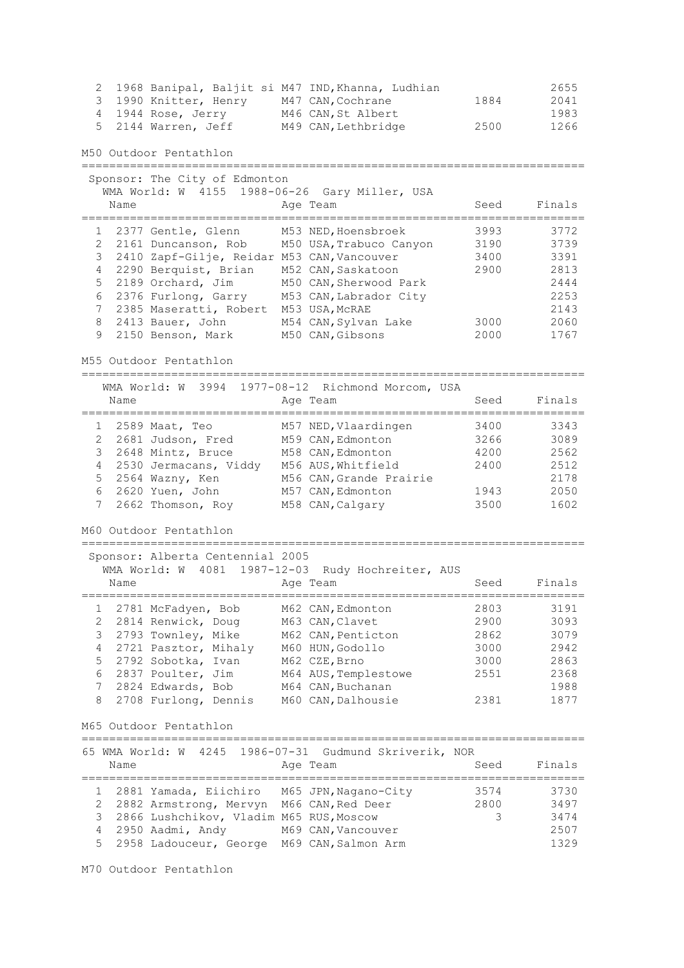2 1968 Banipal, Baljit si M47 IND,Khanna, Ludhian 2655 3 1990 Knitter, Henry M47 CAN,Cochrane 1884 2041 4 1944 Rose, Jerry M46 CAN,St Albert 1983 5 2144 Warren, Jeff M49 CAN, Lethbridge 2500 1266 M50 Outdoor Pentathlon ========================================================================= Sponsor: The City of Edmonton WMA World: W 4155 1988-06-26 Gary Miller, USA Name **Age Team** Age Team Seed Finals ========================================================================= 1 2377 Gentle, Glenn M53 NED,Hoensbroek 3993 3772 2 2161 Duncanson, Rob M50 USA,Trabuco Canyon 3190 3739 3 2410 Zapf-Gilje, Reidar M53 CAN,Vancouver 3400 3391 4 2290 Berquist, Brian M52 CAN,Saskatoon 2900 2813 5 2189 Orchard, Jim M50 CAN,Sherwood Park 2444 6 2376 Furlong, Garry M53 CAN,Labrador City 2253 7 2385 Maseratti, Robert M53 USA,McRAE 2143 8 2413 Bauer, John M54 CAN,Sylvan Lake 3000 2060 9 2150 Benson, Mark M50 CAN,Gibsons 2000 1767 M55 Outdoor Pentathlon ========================================================================= WMA World: W 3994 1977-08-12 Richmond Morcom, USA Name **Age Team** Age Team Seed Finals ========================================================================= 1 2589 Maat, Teo M57 NED,Vlaardingen 3400 3343 2 2681 Judson, Fred M59 CAN,Edmonton 3266 3089 3 2648 Mintz, Bruce M58 CAN,Edmonton 4200 2562 4 2530 Jermacans, Viddy M56 AUS,Whitfield 2400 2512 5 2564 Wazny, Ken M56 CAN,Grande Prairie 1986 2178 6 2620 Yuen, John M57 CAN,Edmonton 1943 2050 7 2662 Thomson, Roy M58 CAN,Calgary 3500 1602 M60 Outdoor Pentathlon ========================================================================= Sponsor: Alberta Centennial 2005 WMA World: W 4081 1987-12-03 Rudy Hochreiter, AUS Name **Age Team** Age Team Seed Finals ========================================================================= 1 2781 McFadyen, Bob M62 CAN,Edmonton 2803 3191 2 2814 Renwick, Doug M63 CAN,Clavet 2900 3093 3 2793 Townley, Mike M62 CAN,Penticton 2862 3079 4 2721 Pasztor, Mihaly M60 HUN,Godollo 3000 2942 5 2792 Sobotka, Ivan M62 CZE,Brno 3000 2863 6 2837 Poulter, Jim M64 AUS,Templestowe 2551 2368 7 2824 Edwards, Bob M64 CAN,Buchanan 1988 8 2708 Furlong, Dennis M60 CAN,Dalhousie 2381 1877 M65 Outdoor Pentathlon ========================================================================= 65 WMA World: W 4245 1986-07-31 Gudmund Skriverik, NOR Name **Age Team** Age Team Seed Finals ========================================================================= 1 2881 Yamada, Eiichiro M65 JPN,Nagano-City 3574 3730 2 2882 Armstrong, Mervyn M66 CAN,Red Deer 2800 3497 3 2866 Lushchikov, Vladim M65 RUS,Moscow 3 3474 a 2866 Lushchikov, Vladim M65 RUS, Moscow 3 2950 Aadmi, Andy M69 CAN, Vancouver 2507 5 2958 Ladouceur, George M69 CAN,Salmon Arm 1329

M70 Outdoor Pentathlon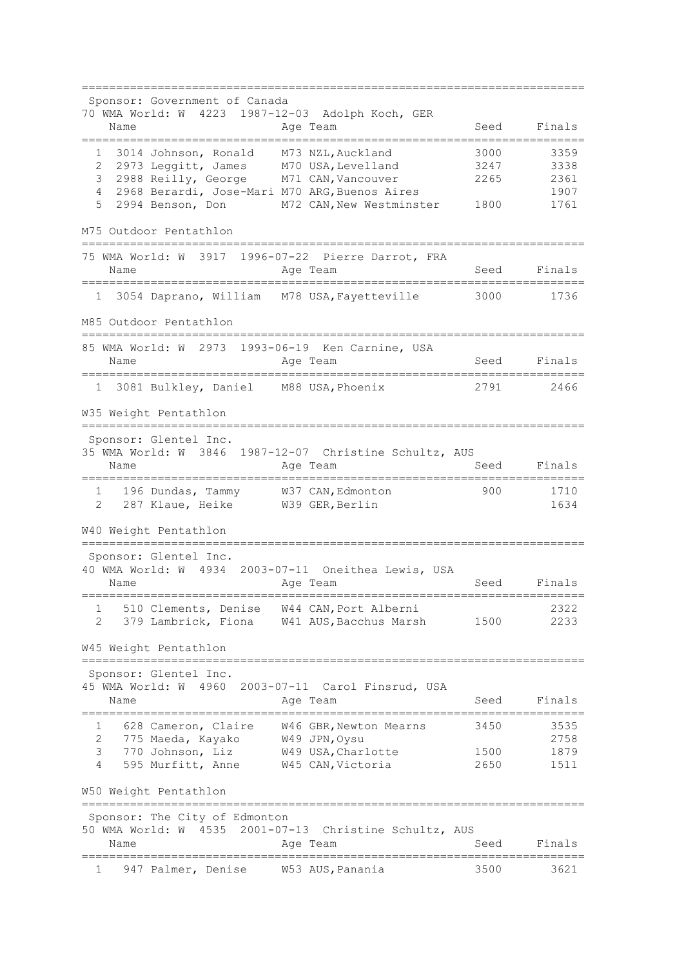========================================================================= Sponsor: Government of Canada 70 WMA World: W 4223 1987-12-03 Adolph Koch, GER Name **Age Team** Age Team Seed Finals ========================================================================= 1 3014 Johnson, Ronald M73 NZL,Auckland 3000 3359 2 2973 Leggitt, James M70 USA,Levelland 3247 3338 3 2988 Reilly, George M71 CAN,Vancouver 2265 2361 1 2968 Berardi, Jose-Mari M70 ARG, Buenos Aires (200 1907)<br>1907 - 2994 Benson, Don 1907 M72 CAN, New Westminster (1800 1761) M72 CAN, New Westminster 1800 1761 M75 Outdoor Pentathlon ========================================================================= 75 WMA World: W 3917 1996-07-22 Pierre Darrot, FRA Name **Age Team** Age Team Seed Finals ========================================================================= 1 3054 Daprano, William M78 USA,Fayetteville 3000 1736 M85 Outdoor Pentathlon ========================================================================= 85 WMA World: W 2973 1993-06-19 Ken Carnine, USA Name **Age Team** Age Team Seed Finals ========================================================================= 1 3081 Bulkley, Daniel M88 USA,Phoenix 2791 2466 W35 Weight Pentathlon ========================================================================= Sponsor: Glentel Inc. 35 WMA World: W 3846 1987-12-07 Christine Schultz, AUS Name **Age Team** Age Team Seed Finals ========================================================================= 1 196 Dundas, Tammy W37 CAN,Edmonton 900 1710 2 287 Klaue, Heike W39 GER,Berlin 1634 W40 Weight Pentathlon ========================================================================= Sponsor: Glentel Inc. 40 WMA World: W 4934 2003-07-11 Oneithea Lewis, USA Name **Age Team** Age Team Seed Finals ========================================================================= 1 510 Clements, Denise W44 CAN,Port Alberni 2322 2 379 Lambrick, Fiona W41 AUS,Bacchus Marsh 1500 2233 W45 Weight Pentathlon ========================================================================= Sponsor: Glentel Inc. 45 WMA World: W 4960 2003-07-11 Carol Finsrud, USA Name **Age Team** Seed Finals ========================================================================= 1 628 Cameron, Claire W46 GBR,Newton Mearns 3450 3535 2 775 Maeda, Kayako W49 JPN,Oysu 2758 3 770 Johnson, Liz W49 USA,Charlotte 1500 1879 4 595 Murfitt, Anne W45 CAN,Victoria 2650 1511 W50 Weight Pentathlon ========================================================================= Sponsor: The City of Edmonton 50 WMA World: W 4535 2001-07-13 Christine Schultz, AUS Name **Age Team** Age Team Seed Finals ========================================================================= 1 947 Palmer, Denise W53 AUS,Panania 3500 3621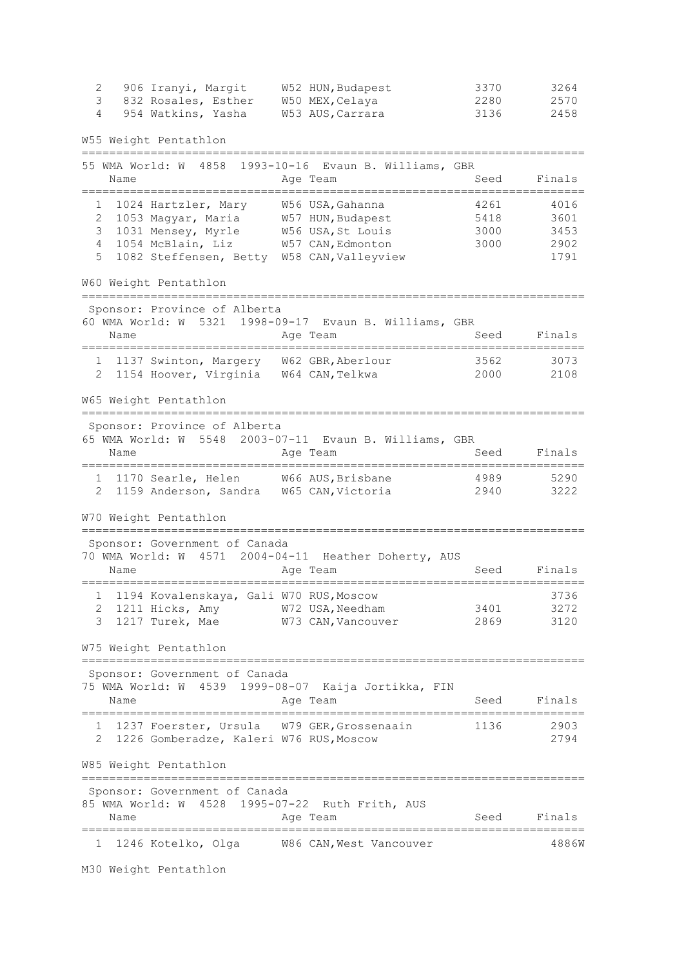2 906 Iranyi, Margit W52 HUN,Budapest 3370 3264 3 832 Rosales, Esther W50 MEX,Celaya 2280 2570 4 954 Watkins, Yasha W53 AUS,Carrara 3136 2458 W55 Weight Pentathlon ========================================================================= 55 WMA World: W 4858 1993-10-16 Evaun B. Williams, GBR Name **Age Team** Age Team Seed Finals ========================================================================= 1 1024 Hartzler, Mary W56 USA,Gahanna 4261 4016 2 1053 Magyar, Maria W57 HUN,Budapest 5418 3601 3 1031 Mensey, Myrle W56 USA,St Louis 3000 3453 4 1054 McBlain, Liz W57 CAN,Edmonton 3000 2902 5 1082 Steffensen, Betty W58 CAN,Valleyview 1791 W60 Weight Pentathlon ========================================================================= Sponsor: Province of Alberta 60 WMA World: W 5321 1998-09-17 Evaun B. Williams, GBR Name **Age Team** Age Team Seed Finals ========================================================================= 1 1137 Swinton, Margery W62 GBR,Aberlour 3562 3073 2 1154 Hoover, Virginia W64 CAN,Telkwa 2000 2108 W65 Weight Pentathlon ========================================================================= Sponsor: Province of Alberta 65 WMA World: W 5548 2003-07-11 Evaun B. Williams, GBR Name **Age Team** Age Team Seed Finals ========================================================================= 1 1170 Searle, Helen W66 AUS,Brisbane 4989 5290 2 1159 Anderson, Sandra W65 CAN,Victoria 2940 3222 W70 Weight Pentathlon ========================================================================= Sponsor: Government of Canada 70 WMA World: W 4571 2004-04-11 Heather Doherty, AUS Name and Age Team and Seed Finals ========================================================================= 1 1194 Kovalenskaya, Gali W70 RUS,Moscow 3736 2 1211 Hicks, Amy W72 USA,Needham 3401 3272 3 1217 Turek, Mae W73 CAN,Vancouver 2869 3120 W75 Weight Pentathlon ========================================================================= Sponsor: Government of Canada 75 WMA World: W 4539 1999-08-07 Kaija Jortikka, FIN Name **Age Team** Seed Finals ========================================================================= 1 1237 Foerster, Ursula W79 GER,Grossenaain 1136 2903 2 1226 Gomberadze, Kaleri W76 RUS,Moscow 2794 W85 Weight Pentathlon ========================================================================= Sponsor: Government of Canada 85 WMA World: W 4528 1995-07-22 Ruth Frith, AUS Name **Age Team** Age Team Seed Finals ========================================================================= 1 1246 Kotelko, Olga W86 CAN,West Vancouver 4886W

M30 Weight Pentathlon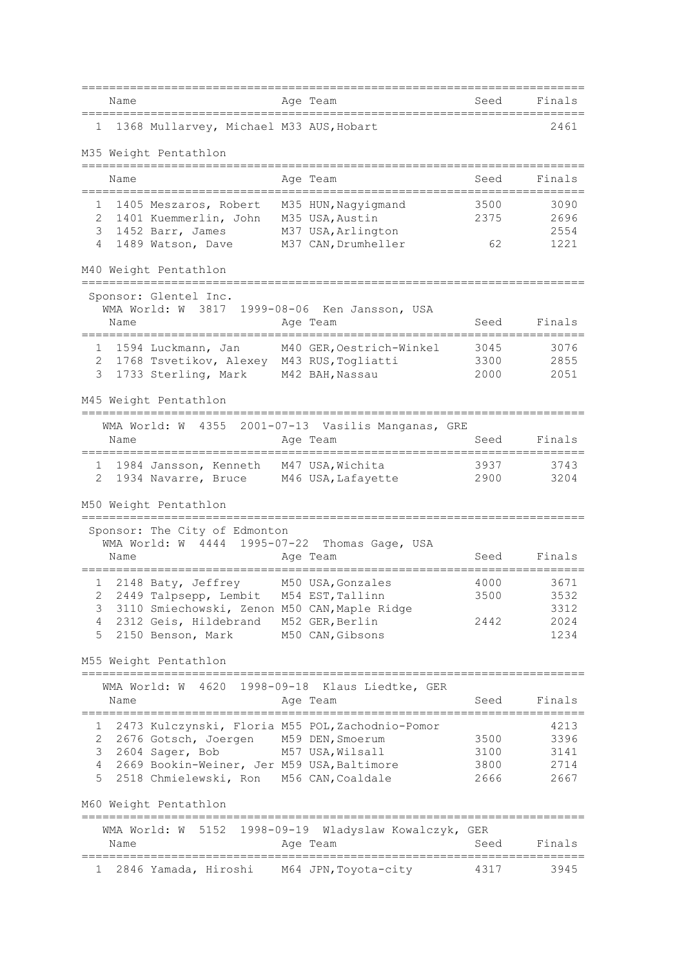|        | Name                                                           |              | Age Team                      | Seed | Finals       |
|--------|----------------------------------------------------------------|--------------|-------------------------------|------|--------------|
| ı.     | 1368 Mullarvey, Michael M33 AUS, Hobart                        |              |                               |      | 2461         |
|        | M35 Weight Pentathlon                                          |              |                               |      |              |
|        |                                                                |              |                               |      |              |
|        | Name<br>:=================                                     |              | Age Team                      | Seed | Finals       |
|        | 1405 Meszaros, Robert                                          |              | M35 HUN, Nagyigmand           | 3500 | 3090         |
| 2      | 1401 Kuemmerlin, John                                          |              | M35 USA, Austin               | 2375 | 2696         |
| 3      | 1452 Barr, James                                               |              | M37 USA, Arlington            |      | 2554         |
| 4      | 1489 Watson, Dave                                              |              | M37 CAN, Drumheller           | 62   | 1221         |
|        | M40 Weight Pentathlon<br>====================                  |              |                               |      |              |
|        | Sponsor: Glentel Inc.                                          |              |                               |      |              |
|        | WMA World: W 3817                                              |              | 1999-08-06 Ken Jansson, USA   |      |              |
|        | Name                                                           |              | Age Team                      | Seed | Finals       |
| 1      | 1594 Luckmann, Jan                                             |              | M40 GER, Oestrich-Winkel      | 3045 | 3076         |
| 2      | 1768 Tsvetikov, Alexey                                         |              | M43 RUS, Togliatti            | 3300 | 2855         |
| 3      | 1733 Sterling, Mark                                            |              | M42 BAH, Nassau               | 2000 | 2051         |
|        | M45 Weight Pentathlon                                          |              |                               |      |              |
|        | WMA World: W 4355 2001-07-13 Vasilis Manganas, GRE             |              |                               |      |              |
|        | Name                                                           |              | Age Team                      | Seed | Finals       |
| 1      | 1984 Jansson, Kenneth                                          |              | M47 USA, Wichita              | 3937 | 3743         |
| 2      | 1934 Navarre, Bruce                                            |              | M46 USA, Lafayette            | 2900 | 3204         |
|        | M50 Weight Pentathlon                                          |              |                               |      |              |
|        | =============================<br>Sponsor: The City of Edmonton |              |                               |      |              |
|        | WMA World: W 4444 1995-07-22 Thomas Gage, USA                  |              |                               |      |              |
|        | Name                                                           |              | Age Team                      | Seed | Finals       |
|        |                                                                |              |                               |      |              |
|        | 1 2148 Baty, Jeffrey                                           |              | M50 USA, Gonzales             | 4000 | 3671         |
| 2      | 2449 Talpsepp, Lembit M54 EST, Tallinn                         |              |                               | 3500 | 3532         |
| 3<br>4 | 3110 Smiechowski, Zenon M50 CAN, Maple Ridge                   |              |                               | 2442 | 3312         |
| 5      | 2312 Geis, Hildebrand M52 GER, Berlin<br>2150 Benson, Mark     |              | M50 CAN, Gibsons              |      | 2024<br>1234 |
|        |                                                                |              |                               |      |              |
|        | M55 Weight Pentathlon                                          |              |                               |      |              |
|        | WMA World: W 4620                                              |              | 1998-09-18 Klaus Liedtke, GER |      |              |
|        | Name                                                           |              | Age Team                      | Seed | Finals       |
| T      | 2473 Kulczynski, Floria M55 POL, Zachodnio-Pomor               |              |                               |      | 4213         |
| 2      | 2676 Gotsch, Joergen                                           |              | M59 DEN, Smoerum              | 3500 | 3396         |
| 3      | 2604 Sager, Bob                                                |              | M57 USA, Wilsall              | 3100 | 3141         |
| 4      | 2669 Bookin-Weiner, Jer M59 USA, Baltimore                     |              |                               | 3800 | 2714         |
| 5      | 2518 Chmielewski, Ron M56 CAN, Coaldale                        |              |                               | 2666 | 2667         |
|        | M60 Weight Pentathlon                                          |              |                               |      |              |
|        | 1998-09-19<br>5152<br>WMA World: W                             |              | Wladyslaw Kowalczyk, GER      |      |              |
|        | Name                                                           |              | Age Team                      | Seed | Finals       |
| 1      | 2846 Yamada, Hiroshi M64 JPN, Toyota-city                      | ============ |                               | 4317 | 3945         |
|        |                                                                |              |                               |      |              |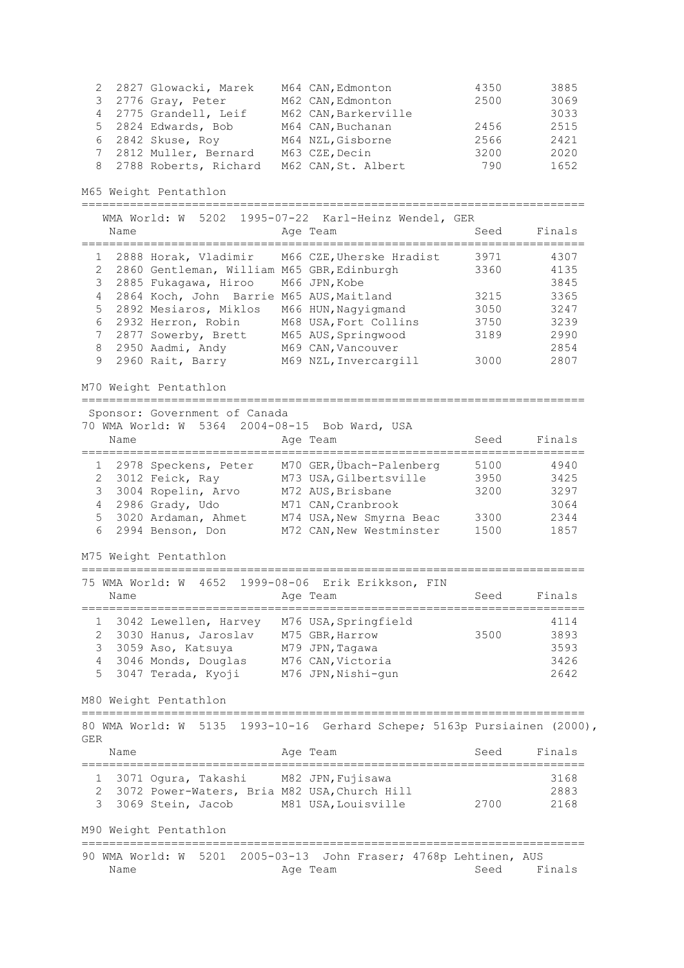| 2 2827 Glowacki, Marek  | M64 CAN, Edmonton    | 4350 | 3885 |
|-------------------------|----------------------|------|------|
| 3 2776 Gray, Peter      | M62 CAN, Edmonton    | 2500 | 3069 |
| 4 2775 Grandell, Leif   | M62 CAN, Barkerville |      | 3033 |
| 5 2824 Edwards, Bob     | M64 CAN, Buchanan    | 2456 | 2515 |
| 6 2842 Skuse, Roy       | M64 NZL, Gisborne    | 2566 | 2421 |
| 7 2812 Muller, Bernard  | M63 CZE, Decin       | 3200 | 2020 |
| 8 2788 Roberts, Richard | M62 CAN, St. Albert  | 790  | 1652 |

M65 Weight Pentathlon

=========================================================================

|   |                |                                              | WMA World: W 5202 1995-07-22 Karl-Heinz Wendel, GER |      |        |
|---|----------------|----------------------------------------------|-----------------------------------------------------|------|--------|
|   | Name           |                                              | Age Team                                            | Seed | Finals |
|   |                |                                              | 1 2888 Horak, Vladimir M66 CZE, Uherske Hradist     | 3971 | 4307   |
|   |                | 2 2860 Gentleman, William M65 GBR, Edinburgh |                                                     | 3360 | 4135   |
|   |                | 3 2885 Fukagawa, Hiroo                       | M66 JPN, Kobe                                       |      | 3845   |
|   |                | 4 2864 Koch, John Barrie M65 AUS, Maitland   |                                                     | 3215 | 3365   |
|   |                | 5 2892 Mesiaros, Miklos                      | M66 HUN, Nagyigmand                                 | 3050 | 3247   |
|   | 6              | 2932 Herron, Robin                           | M68 USA, Fort Collins                               | 3750 | 3239   |
|   | $7\phantom{0}$ | 2877 Sowerby, Brett                          | M65 AUS, Springwood                                 | 3189 | 2990   |
| 8 |                | 2950 Aadmi, Andy                             | M69 CAN, Vancouver                                  |      | 2854   |
| 9 |                | 2960 Rait, Barry                             | M69 NZL, Invercargill                               | 3000 | 2807   |

M70 Weight Pentathlon

=========================================================================

Sponsor: Government of Canada

70 WMA World: W 5364 2004-08-15 Bob Ward, USA

| Name |                        | Age Team                 | Seed | Finals |
|------|------------------------|--------------------------|------|--------|
|      | 1 2978 Speckens, Peter | M70 GER, Übach-Palenberg | 5100 | 4940   |
|      | 2 3012 Feick, Ray      | M73 USA, Gilbertsville   | 3950 | 3425   |
|      | 3 3004 Ropelin, Arvo   | M72 AUS, Brisbane        | 3200 | 3297   |
|      | 4 2986 Grady, Udo      | M71 CAN, Cranbrook       |      | 3064   |
|      | 5 3020 Ardaman, Ahmet  | M74 USA, New Smyrna Beac | 3300 | 2344   |
|      | 6 2994 Benson, Don     | M72 CAN, New Westminster | 1500 | 1857   |

M75 Weight Pentathlon

## =========================================================================

| Name |                                                                                                                         | 75 WMA World: W 4652 1999-08-06 Erik Erikkson, FIN<br>Age Team                                        | Seed | Finals                               |
|------|-------------------------------------------------------------------------------------------------------------------------|-------------------------------------------------------------------------------------------------------|------|--------------------------------------|
|      | 3042 Lewellen, Harvey<br>2 3030 Hanus, Jaroslav<br>3 3059 Aso, Katsuya<br>4 3046 Monds, Douglas<br>5 3047 Terada, Kyoji | M76 USA, Springfield<br>M75 GBR, Harrow<br>M79 JPN, Tagawa<br>M76 CAN, Victoria<br>M76 JPN, Nishi-qun | 3500 | 4114<br>3893<br>3593<br>3426<br>2642 |

M80 Weight Pentathlon

========================================================================= 80 WMA World: W 5135 1993-10-16 Gerhard Schepe; 5163p Pursiainen (2000), GER

| Name |                                                                                           | Age Team            | Seed | Finals       |
|------|-------------------------------------------------------------------------------------------|---------------------|------|--------------|
|      | 1 3071 Oqura, Takashi M82 JPN, Fujisawa<br>2 3072 Power-Waters, Bria M82 USA, Church Hill |                     |      | 3168<br>2883 |
|      | 3 3069 Stein, Jacob                                                                       | M81 USA, Louisville | 2700 | 2168         |
|      | M90 Weight Pentathlon                                                                     |                     |      |              |

90 WMA World: W 5201 2005-03-13 John Fraser; 4768p Lehtinen, AUS Name Age Team Age Team Seed Finals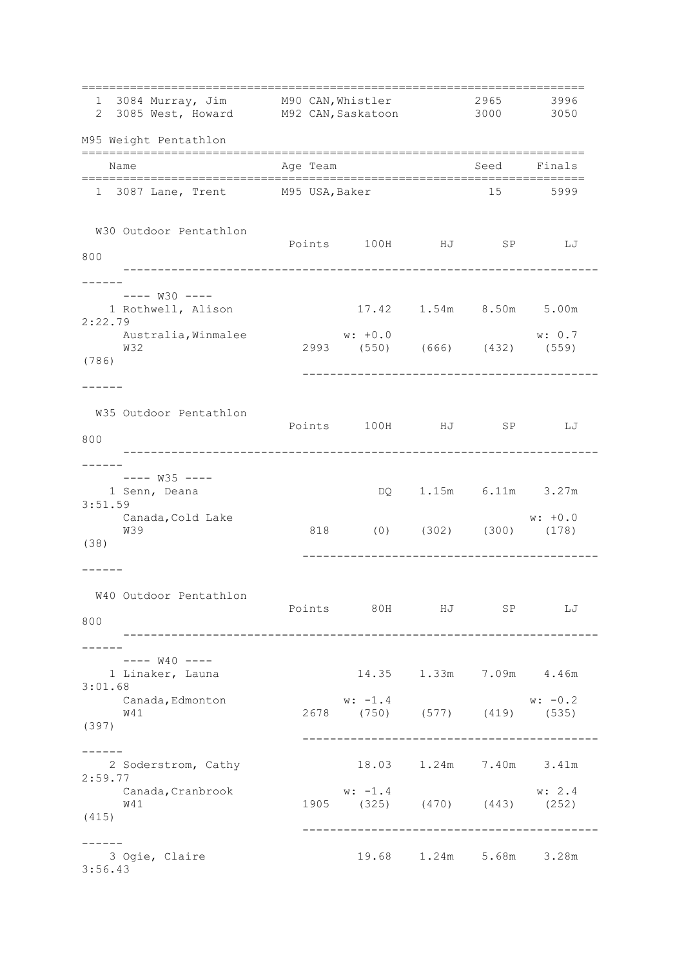| 1 3084 Murray, Jim M90 CAN, Whistler<br>2 3085 West, Howard M92 CAN, Saskatoon 3000 3050      |          |                                                                                                                       |                               | 2965 3996 |                                      |  |
|-----------------------------------------------------------------------------------------------|----------|-----------------------------------------------------------------------------------------------------------------------|-------------------------------|-----------|--------------------------------------|--|
| M95 Weight Pentathlon                                                                         |          |                                                                                                                       |                               |           |                                      |  |
| Name                                                                                          | Age Team |                                                                                                                       |                               |           | Seed Finals                          |  |
| 1 3087 Lane, Trent M95 USA, Baker                                                             |          |                                                                                                                       |                               |           | 15 5999                              |  |
| W30 Outdoor Pentathlon<br>800                                                                 |          | Points 100H HJ SP                                                                                                     |                               |           | LJ                                   |  |
| $-- W30$ $---$<br>1 Rothwell, Alison<br>2:22.79<br>Australia, Winmalee<br><b>W32</b><br>(786) |          | 17.42  1.54m  8.50m  5.00m<br>$w: +0.0$<br>2993 (550) (666) (432) (559)                                               | ----------------------------- |           | w: 0.7                               |  |
| W35 Outdoor Pentathlon<br>800                                                                 |          | Points 100H HJ SP LJ                                                                                                  |                               |           |                                      |  |
| ---- W35 ----<br>1 Senn, Deana<br>3:51.59<br>Canada, Cold Lake<br><b>W39</b><br>(38)          |          | 818 (0) (302) (300) (178)                                                                                             | DQ 1.15m 6.11m 3.27m          |           | $w: +0.0$                            |  |
| W40 Outdoor Pentathlon<br>800                                                                 |          | Points 80H HJ SP                                                                                                      |                               |           | LJ                                   |  |
| $--- W40 ---$<br>1 Linaker, Launa<br>3:01.68<br>Canada, Edmonton<br><b>W41</b><br>(397)       |          | $w: -1.4$<br>2678 (750) (577) (419) (535)                                                                             |                               |           | 14.35 1.33m 7.09m 4.46m<br>$w: -0.2$ |  |
| 2 Soderstrom, Cathy<br>2:59.77<br>Canada, Cranbrook<br>W41<br>(415)                           |          | w: $-1.4$<br>$\begin{array}{cccc} \text{w.} & \text{1.1} \\ \text{1.905} & (325) & (470) & (443) & (252) \end{array}$ |                               |           | 18.03 1.24m 7.40m 3.41m<br>w: 2.4    |  |
| 3 Ogie, Claire<br>3:56.43                                                                     |          |                                                                                                                       |                               |           | 19.68 1.24m 5.68m 3.28m              |  |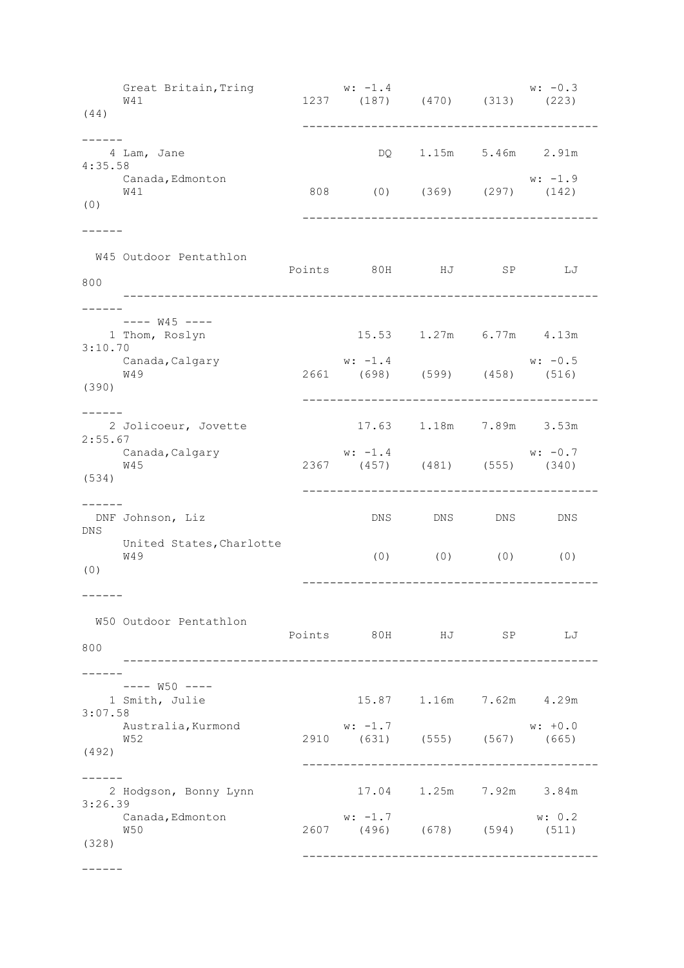Great Britain, Tring  $w: -1.4$  w:  $-0.3$  W41 1237 (187) (470) (313) (223) (44) ------------------------------------------- ------ 4 Lam, Jane DQ 1.15m 5.46m 2.91m 4:35.58 Canada,Edmonton w: -1.9 W41 808 (0) (369) (297) (142) (0) ------------------------------------------- ------ W45 Outdoor Pentathlon Points 80H HJ SP LJ 800 --------------------------------------------------------------------- ------  $-- W45$   $---$  1 Thom, Roslyn 15.53 1.27m 6.77m 4.13m 3:10.70 Canada,Calgary w: -1.4 w: -0.5 W49 2661 (698) (599) (458) (516)  $W49$ <br>(390) ------------------------------------------- ------ 2 Jolicoeur, Jovette 17.63 1.18m 7.89m 3.53m 2:55.67 Canada,Calgary  $w: -1.4$   $w: -0.7$  W45 2367 (457) (481) (555) (340) (534) ------------------------------------------- ------ DNF Johnson, Liz DNS DNS DNS DNS DNS United States,Charlotte W49 (0) (0) (0) (0) (0) ------------------------------------------- ------ W50 Outdoor Pentathlon Points 80H HJ SP LJ 800 --------------------------------------------------------------------- ------ ---- W50 ---- 1 Smith, Julie 15.87 1.16m 7.62m 4.29m 3:07.58 Australia,Kurmond w: -1.7 w: +0.0 W52 2910 (631) (555) (567) (665) (492) ------------------------------------------- ------ 2 Hodgson, Bonny Lynn 17.04 1.25m 7.92m 3.84m 3:26.39 Canada,Edmonton w: -1.7 w: 0.2 W50 2607 (496) (678) (594) (511) (328) -------------------------------------------

------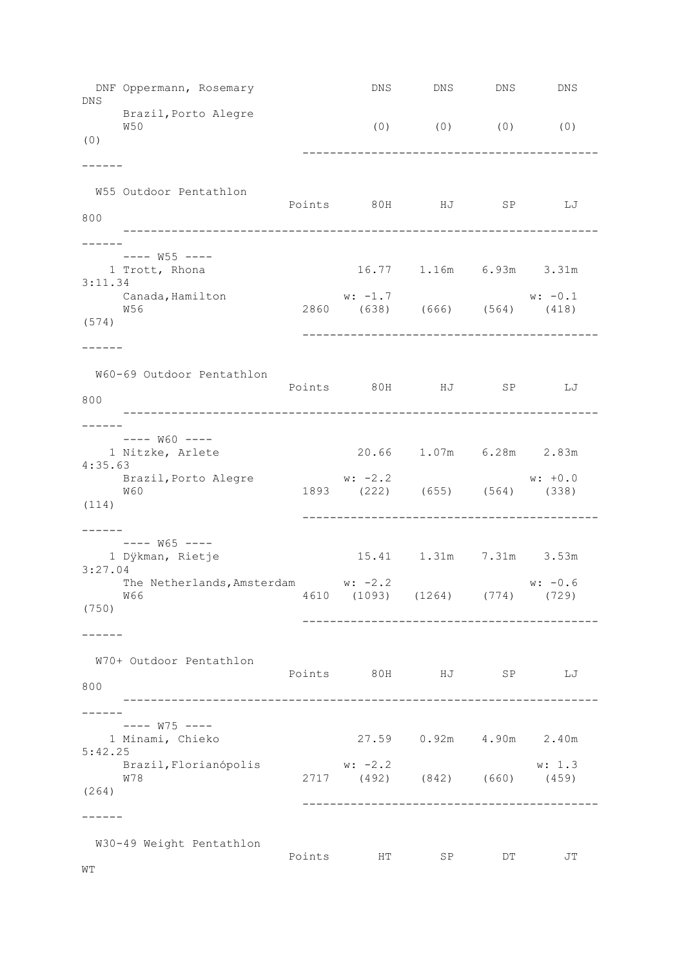DNF Oppermann, Rosemary **DNS** DNS DNS DNS DNS DNS Brazil,Porto Alegre W50 (0) (0) (0) (0) (0) ------------------------------------------- ------ W55 Outdoor Pentathlon Points 80H HJ SP LJ 800 --------------------------------------------------------------------- ------ ---- W55 ----<br>1 Trott, Rhona 16.77 1.16m 6.93m 3.31m 3:11.34 Canada,Hamilton w: -1.7 w: -0.1 W56 2860 (638) (666) (564) (418) (574) ------------------------------------------- ------ W60-69 Outdoor Pentathlon Points 80H HJ SP LJ 800 --------------------------------------------------------------------- ------  $---$  W60  $---$  1 Nitzke, Arlete 20.66 1.07m 6.28m 2.83m 4:35.63 Brazil,Porto Alegre w: -2.2 w: +0.0 W60 1893 (222) (655) (564) (338) (114) ------------------------------------------- ------ ---- W65 ---- 1 Dÿkman, Rietje 15.41 1.31m 7.31m 3.53m 3:27.04 The Netherlands, Amsterdam w: -2.2 w: -0.6 W66 4610 (1093) (1264) (774) (729) (750) ------------------------------------------- ------ W70+ Outdoor Pentathlon Points 80H HJ SP LJ 800 --------------------------------------------------------------------- ------ ---- W75 ---- 1 Minami, Chieko 27.59 0.92m 4.90m 2.40m 5:42.25 Brazil,Florianópolis w: -2.2 w: 1.3 W78 2717 (492) (842) (660) (459) (264) ------------------------------------------- ------ W30-49 Weight Pentathlon Points HT SP DT JT WT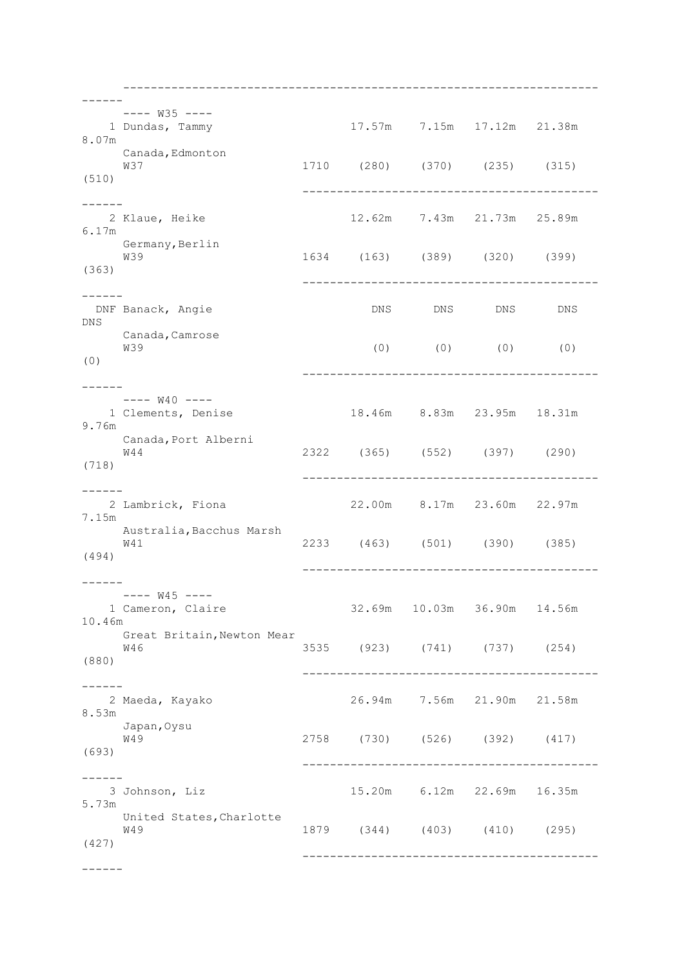--------------------------------------------------------------------- ------ ---- W35 ---- 1 Dundas, Tammy 17.57m 7.15m 17.12m 21.38m 8.07m Canada,Edmonton W37 1710 (280) (370) (235) (315) (510) ------------------------------------------- ------ 2 Klaue, Heike 12.62m 7.43m 21.73m 25.89m 6.17m Germany,Berlin<br>W39 W39 1634 (163) (389) (320) (399) (363) ------------------------------------------- ------<br>DNF Banack, Angie DNS DNS DNS DNS DNS Canada,Camrose<br>W39 W39 (0) (0) (0) (0) (0) ------------------------------------------- ------  $-- W40$   $---$  1 Clements, Denise 18.46m 8.83m 23.95m 18.31m 9.76m Canada, Port Alberni W44 2322 (365) (552) (397) (290) (718) ------------------------------------------- ------ 2 Lambrick, Fiona 22.00m 8.17m 23.60m 22.97m 7.15m Australia,Bacchus Marsh W41 2233 (463) (501) (390) (385) (494) ------------------------------------------- ------ ---- W45 ---- 1 Cameron, Claire 32.69m 10.03m 36.90m 14.56m 10.46m Great Britain, Newton Mear W46 3535 (923) (741) (737) (254) (880) ------------------------------------------- ------ 2 Maeda, Kayako 26.94m 7.56m 21.90m 21.58m 8.53m Japan,Oysu W49 2758 (730) (526) (392) (417) (693) ------------------------------------------- ------ 3 Johnson, Liz 15.20m 6.12m 22.69m 16.35m 5.73m United States,Charlotte W49 1879 (344) (403) (410) (295) (427) -------------------------------------------

------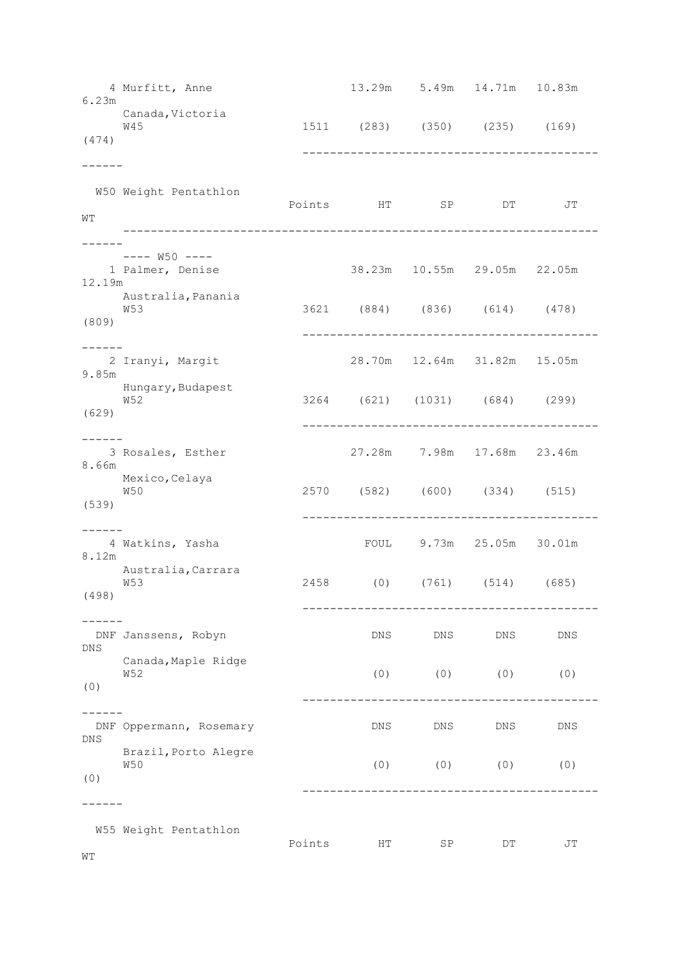| 6.23m                   | 4 Murfitt, Anne                   |        |     | 13.29m 5.49m 14.71m 10.83m             |     |            |  |
|-------------------------|-----------------------------------|--------|-----|----------------------------------------|-----|------------|--|
| (474)                   | Canada, Victoria<br><b>W45</b>    |        |     | 1511 (283) (350) (235) (169)           |     |            |  |
|                         |                                   |        |     | -------------------------------------- |     |            |  |
| WТ                      | W50 Weight Pentathlon             |        |     | Points HT SP DT                        |     | JT         |  |
|                         | ---- W50 ----                     |        |     |                                        |     |            |  |
| 12.19m                  | 1 Palmer, Denise                  |        |     | 38.23m 10.55m 29.05m 22.05m            |     |            |  |
| (809)                   | Australia, Panania<br><b>W53</b>  |        |     | 3621 (884) (836) (614) (478)           |     |            |  |
| $\cdot$ $   -$<br>9.85m | 2 Iranyi, Margit                  |        |     | 28.70m  12.64m  31.82m  15.05m         |     |            |  |
| (629)                   | Hungary, Budapest<br>W52          |        |     | 3264 (621) (1031) (684) (299)          |     |            |  |
| 8.66m                   | 3 Rosales, Esther                 |        |     | 27.28m 7.98m 17.68m 23.46m             |     |            |  |
| (539)                   | Mexico, Celaya<br>W50             |        |     | 2570 (582) (600) (334) (515)           |     |            |  |
|                         |                                   |        |     |                                        |     |            |  |
| 8.12m                   | 4 Watkins, Yasha                  |        |     | FOUL 9.73m 25.05m 30.01m               |     |            |  |
| (498)                   | Australia, Carrara<br>W53         |        |     | 2458 (0) (761) (514) (685)             |     |            |  |
| DNS                     | DNF Janssens, Robyn               |        | DNS | DNS                                    | DNS | DNS        |  |
| (0)                     | Canada, Maple Ridge<br><b>W52</b> |        | (0) | (0)                                    | (0) | (0)        |  |
| DNS                     | DNF Oppermann, Rosemary           |        | DNS | DNS                                    | DNS | <b>DNS</b> |  |
| (0)                     | Brazil, Porto Alegre<br>W50       |        | (0) | (0)                                    | (0) | (0)        |  |
|                         |                                   |        |     |                                        |     |            |  |
|                         | W55 Weight Pentathlon             | Points | HT  | SP                                     | DΤ  | JT         |  |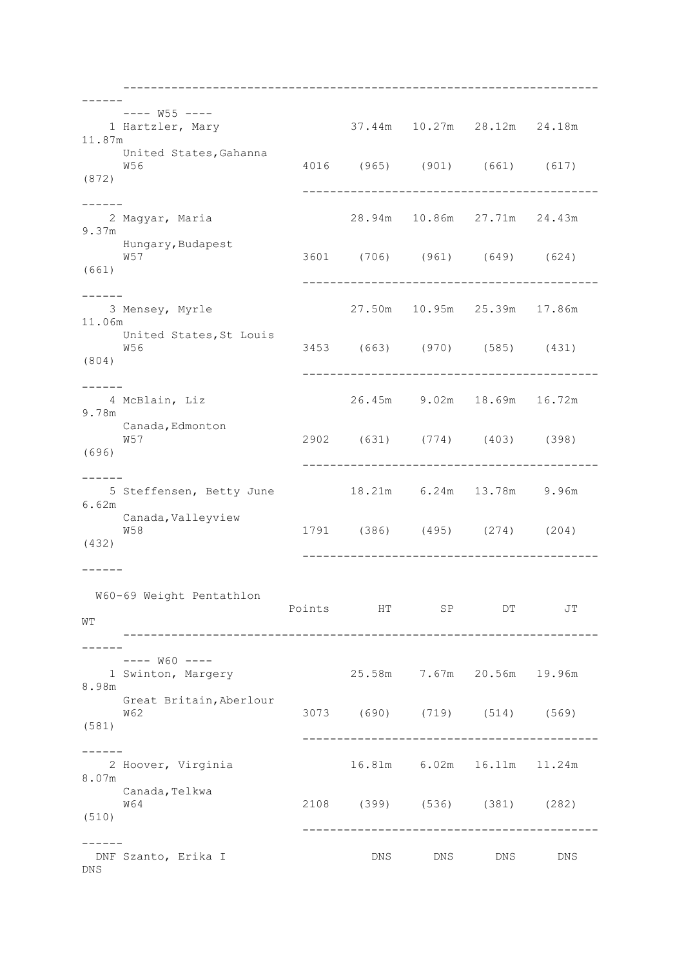--------------------------------------------------------------------- ------ ---- W55 ---- 1 Hartzler, Mary 37.44m 10.27m 28.12m 24.18m 11.87m United States,Gahanna W56 4016 (965) (901) (661) (617) (872) ------------------------------------------- ------ 2 Magyar, Maria 28.94m 10.86m 27.71m 24.43m 9.37m Hungary,Budapest<br>W57 W57 3601 (706) (961) (649) (624) (661) ------------------------------------------- ------ 3 Mensey, Myrle 27.50m 10.95m 25.39m 17.86m 11.06m United States,St Louis W56 3453 (663) (970) (585) (431) (804) ------------------------------------------- ------ 4 McBlain, Liz 26.45m 9.02m 18.69m 16.72m 9.78m Canada, Edmonton W57 2902 (631) (774) (403) (398) (696) ------------------------------------------- ------ 5 Steffensen, Betty June 18.21m 6.24m 13.78m 9.96m 6.62m Canada, Valleyview W58 1791 (386) (495) (274) (204) (432) ------------------------------------------- ------ W60-69 Weight Pentathlon Points HT SP DT JT WT --------------------------------------------------------------------- ------ ---- W60 ---- 1 Swinton, Margery 25.58m 7.67m 20.56m 19.96m 8.98m Great Britain,Aberlour W62 3073 (690) (719) (514) (569) (581) ------------------------------------------- ------ 2 Hoover, Virginia 16.81m 6.02m 16.11m 11.24m 8.07m Canada,Telkwa W64 2108 (399) (536) (381) (282) (510) ------------------------------------------- ------ DNF Szanto, Erika I DNS DNS DNS DNS DNS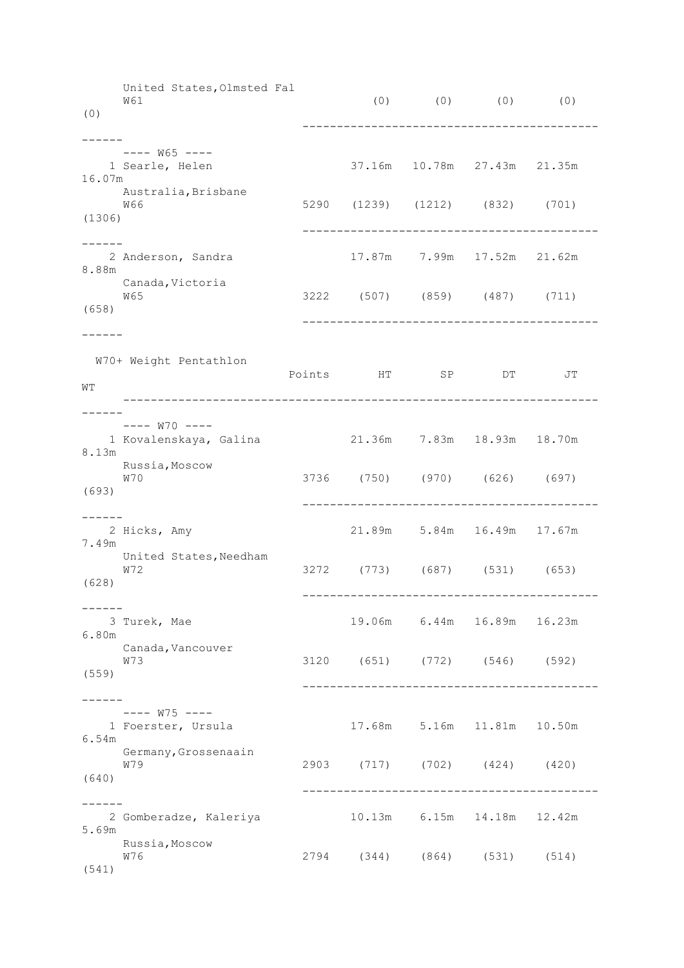United States,Olmsted Fal W61 (0) (0) (0) (0) (0) (0) ------------------------------------------- ------  $---$  W65  $---$  1 Searle, Helen 37.16m 10.78m 27.43m 21.35m 16.07m Australia,Brisbane<br>W66 W66 5290 (1239) (1212) (832) (701) (1306) ------------------------------------------- ------<br>2 Anderson, Sandra 17.87m 7.99m 17.52m 21.62m 8.88m Canada,Victoria<br>W65 W65 3222 (507) (859) (487) (711) (658) ------------------------------------------- ------ W70+ Weight Pentathlon Points HT SP DT JT WT --------------------------------------------------------------------- ------  $---$  W70  $---$  1 Kovalenskaya, Galina 21.36m 7.83m 18.93m 18.70m 8.13m Russia,Moscow W70 3736 (750) (970) (626) (697) (693) ------------------------------------------- ------ 2 Hicks, Amy 21.89m 5.84m 16.49m 17.67m 7.49m United States, Needham W72 3272 (773) (687) (531) (653) (628) ------------------------------------------- ------ 3 Turek, Mae 19.06m 6.44m 16.89m 16.23m 6.80m Canada, Vancouver W73 3120 (651) (772) (546) (592) (559) ------------------------------------------- ------ ---- W75 ---- 1 Foerster, Ursula 17.68m 5.16m 11.81m 10.50m 6.54m Germany,Grossenaain W79 2903 (717) (702) (424) (420) (640) ------------------------------------------- ------ 2 Gomberadze, Kaleriya 10.13m 6.15m 14.18m 12.42m 5.69m Russia, Moscow W76 2794 (344) (864) (531) (514) (541)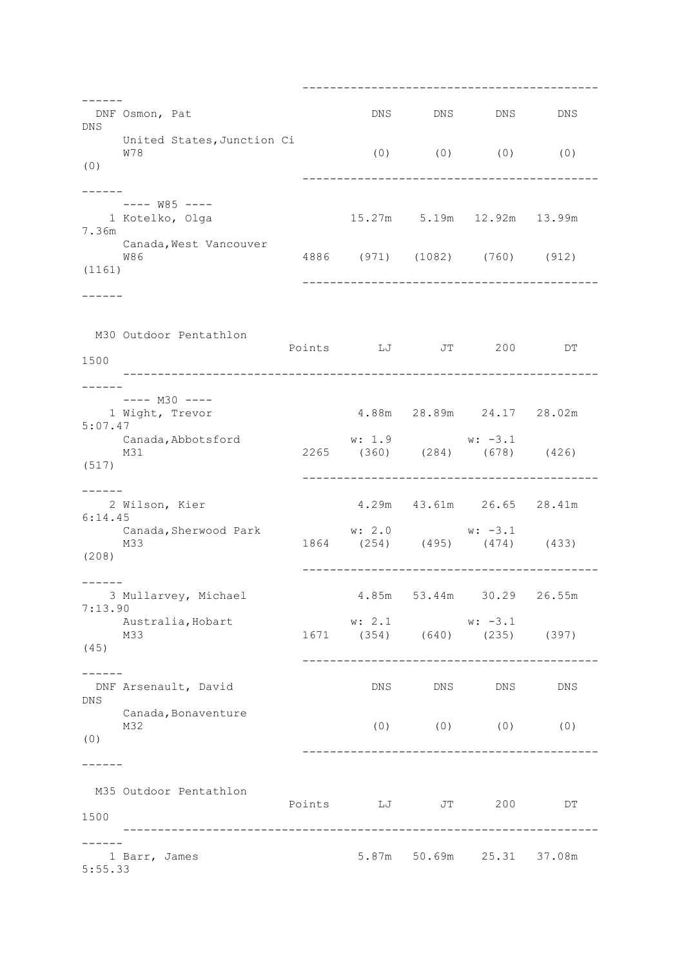------------------------------------------- ------ DNF Osmon, Pat DNS DNS DNS DNS DNS United States,Junction Ci W78 (0) (0) (0) (0) (0) ------------------------------------------- ------ ---- W85 ---- 15.27m 5.19m 12.92m 13.99m 7.36m Canada**,**West Vancouver<br><sup>W86</sup> W86 4886 (971) (1082) (760) (912) (1161) ------------------------------------------- ------ M30 Outdoor Pentathlon Points LJ JT 200 DT 1500 --------------------------------------------------------------------- ------  $---$  M30  $---$  1 Wight, Trevor 4.88m 28.89m 24.17 28.02m 5:07.47 Canada,Abbotsford w: 1.9 w: -3.1 M31 2265 (360) (284) (678) (426) (517) ------------------------------------------- ------ 2 Wilson, Kier 4.29m 43.61m 26.65 28.41m 6:14.45 Canada,Sherwood Park w: 2.0 w: -3.1 M33 1864 (254) (495) (474) (433) (208) ------------------------------------------- ------ 3 Mullarvey, Michael 4.85m 53.44m 30.29 26.55m 7:13.90 Australia, Hobart **w:** 2.1 **w:** -3.1 M33 1671 (354) (640) (235) (397) (45) ------------------------------------------- ------ DNF Arsenault, David DNS DNS DNS DNS DNS Canada,Bonaventure<br>M32 M32 (0) (0) (0) (0) (0) ------------------------------------------- ------ M35 Outdoor Pentathlon Points LJ JT 200 DT 1500 --------------------------------------------------------------------- ------ 1 Barr, James 5.87m 50.69m 25.31 37.08m 5:55.33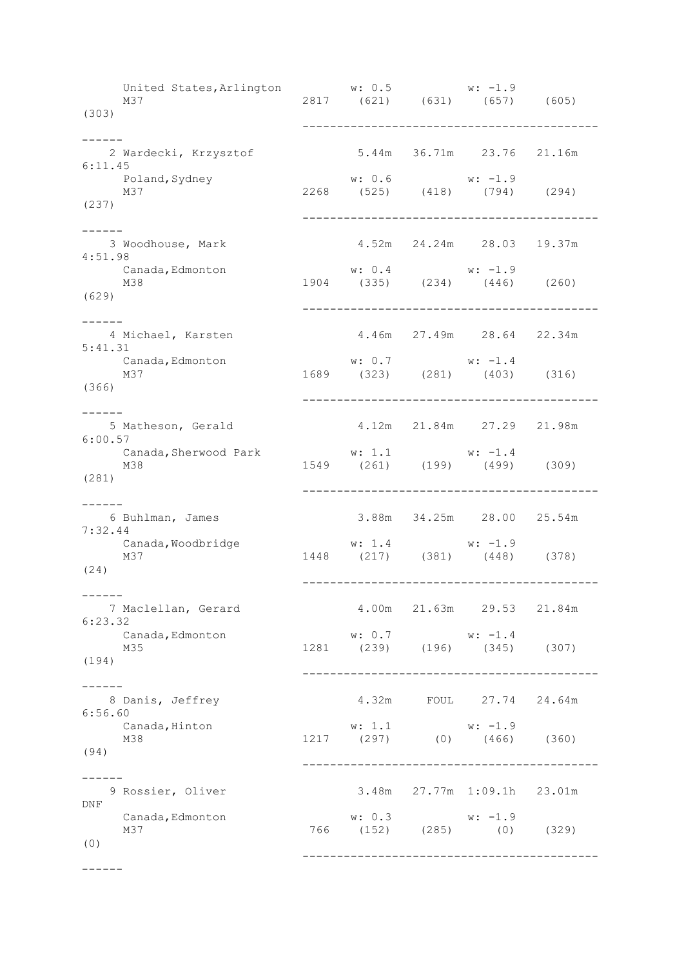United States,Arlington w: 0.5 w: -1.9 M37 2817 (621) (631) (657) (605) (303) ------------------------------------------- ------ 2 Wardecki, Krzysztof 5.44m 36.71m 23.76 21.16m 6:11.45 Poland,Sydney w: 0.6 w: -1.9 M37 2268 (525) (418) (794) (294)  $M37$ <br>(237) ------------------------------------------- ------ 3 Woodhouse, Mark 4.52m 24.24m 28.03 19.37m 4:51.98 Canada, Edmonton **w:** 0.4 w: -1.9 M38 1904 (335) (234) (446) (260)  $M38$ <br>(629) ------------------------------------------- ------<br>4 Michael, Karsten 4.46m 27.49m 28.64 22.34m 5:41.31 Canada,Edmonton w: 0.7 w: -1.4 M37 1689 (323) (281) (403) (316) (366) ------------------------------------------- ------ 5 Matheson, Gerald 4.12m 21.84m 27.29 21.98m 6:00.57<br>Canada, Sherwood Park Canada,Sherwood Park w: 1.1 w: -1.4 M38 1549 (261) (199) (499) (309) (281) ------------------------------------------- ------ 6 Buhlman, James 3.88m 34.25m 28.00 25.54m 7:32.44 Canada, Woodbridge W: 1.4 w: -1.9 M37 1448 (217) (381) (448) (378) (24) ------------------------------------------- ------ 7 Maclellan, Gerard 4.00m 21.63m 29.53 21.84m 6:23.32 Canada, Edmonton w: 0.7 w: -1.4 M35 1281 (239) (196) (345) (307) (194) ------------------------------------------- ------ 8 Danis, Jeffrey 4.32m FOUL 27.74 24.64m 6:56.60 Canada,Hinton w: 1.1 w: -1.9 M38 1217 (297) (0) (466) (360) (94) ------------------------------------------- ------ 9 Rossier, Oliver 3.48m 27.77m 1:09.1h 23.01m DNF Canada, Edmonton w: 0.3 w: -1.9<br>M37 766 (152) (285) (0) M37 766 (152) (285) (0) (329) (0) -------------------------------------------

------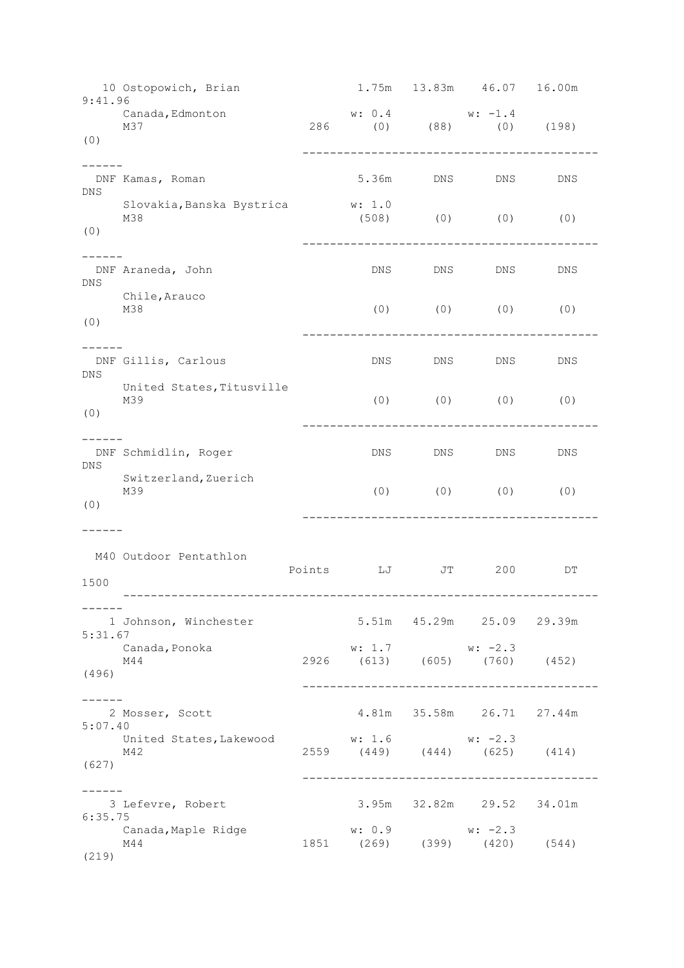10 Ostopowich, Brian 1.75m 13.83m 46.07 16.00m 9:41.96<br>Canada, Edmonton Canada, Edmonton **w:** 0.4 w: -1.4 M37 286 (0) (88) (0) (198) (0) ------------------------------------------- ------ DNF Kamas, Roman 5.36m DNS DNS DNS DNS Slovakia,Banska Bystrica w: 1.0  $(0)$   $(0)$   $(0)$ (0) ------------------------------------------- ------<br>DNF Araneda, John DNS DNS DNS DNS DNS Chile,Arauco<br>M38  $(0)$   $(0)$   $(0)$   $(0)$ (0) ------------------------------------------- ------<br>DNF Gillis, Carlous DNS DNS DNS DNS DNS United States,Titusville M39 (0) (0) (0) (0) (0) (0) ------------------------------------------- ------ DNF Schmidlin, Roger DNS DNS DNS DNS DNS Switzerland,Zuerich<br>M39 M39 (0) (0) (0) (0) (0) ------------------------------------------- ------ M40 Outdoor Pentathlon Points LJ JT 200 DT 1500 --------------------------------------------------------------------- ------ 1 Johnson, Winchester 5.51m 45.29m 25.09 29.39m 5:31.67 Canada, Ponoka w: 1.7 w: -2.3 M44 2926 (613) (605) (760) (452) (496) ------------------------------------------- ------ 2 Mosser, Scott 4.81m 35.58m 26.71 27.44m 5:07.40 United States, Lakewood w: 1.6 w: -2.3 M42 2559 (449) (444) (625) (414) (627) ------------------------------------------- ------ 3 Lefevre, Robert 3.95m 32.82m 29.52 34.01m 6:35.75 Canada, Maple Ridge w: 0.9 w: -2.3  $\frac{1851}{1851}$  (399) (420) (544) (219)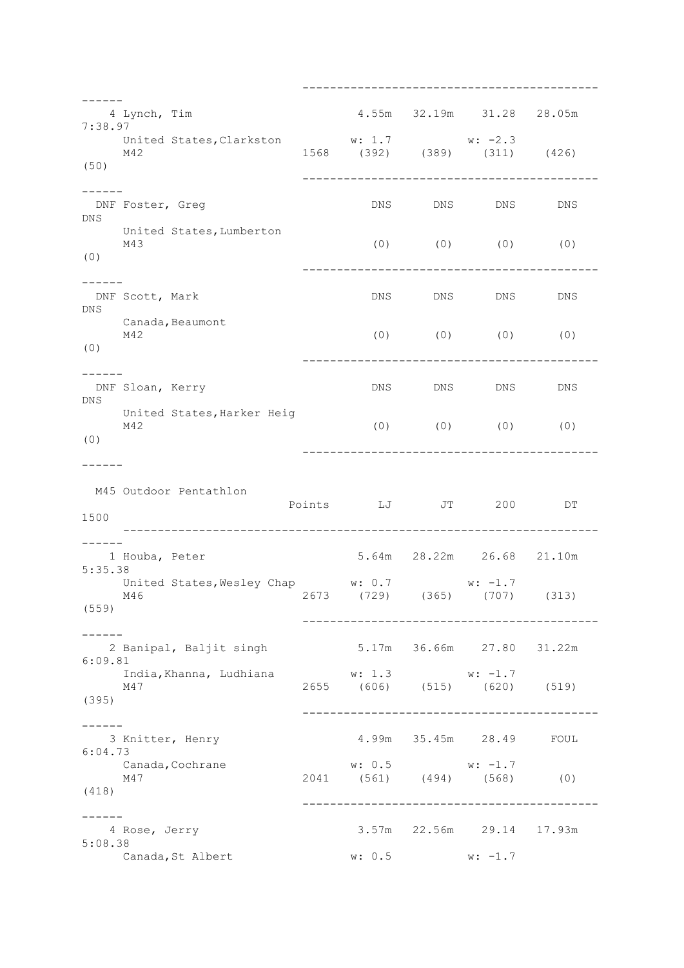------------------------------------------- ------ 4 Lynch, Tim 4.55m 32.19m 31.28 28.05m 7:38.97 United States, Clarkston w: 1.7 w: -2.3<br>M42 1568 (392) (389) (311) (426) United States, Clarkston **w: 1.7**<br>M42 1568 (392) (389) (50) ------------------------------------------- ------<br>DNF Foster, Greg DNS DNS DNS DNS DNS United States, Lumberton<br>M43  $(0)$   $(0)$   $(0)$   $(0)$ (0) ------------------------------------------- ------<br>DNF Scott, Mark DNS DNS DNS DNS DNS Canada, Beaumont  $M42$  (0) (0) (0) (0) (0) ------------------------------------------- ------ DNF Sloan, Kerry DNS DNS DNS DNS DNS United States,Harker Heig<br>M42 (0) (0) (0) (0) (0) ------------------------------------------- ------ M45 Outdoor Pentathlon Points LJ JT 200 DT 1500 --------------------------------------------------------------------- ------ 1 Houba, Peter 5.64m 28.22m 26.68 21.10m 5:35.38 United States, Wesley Chap w: 0.7 w: -1.7 0... United blates, webly only  $\frac{m}{2673}$  (729) (365) (707) (313) (559) ------------------------------------------- ------ 2 Banipal, Baljit singh 5.17m 36.66m 27.80 31.22m 6:09.81 India,Khanna, Ludhiana w: 1.3 w: -1.7 M47 2655 (606) (515) (620) (519) (395) ------------------------------------------- ------ 3 Knitter, Henry 4.99m 35.45m 28.49 FOUL 6:04.73 Canada, Cochrane w: 0.5 w: -1.7 M47 2041 (561) (494) (568) (0) (418) ------------------------------------------- ------ 4 Rose, Jerry 3.57m 22.56m 29.14 17.93m 5:08.38 Canada, St Albert w: 0.5 w: -1.7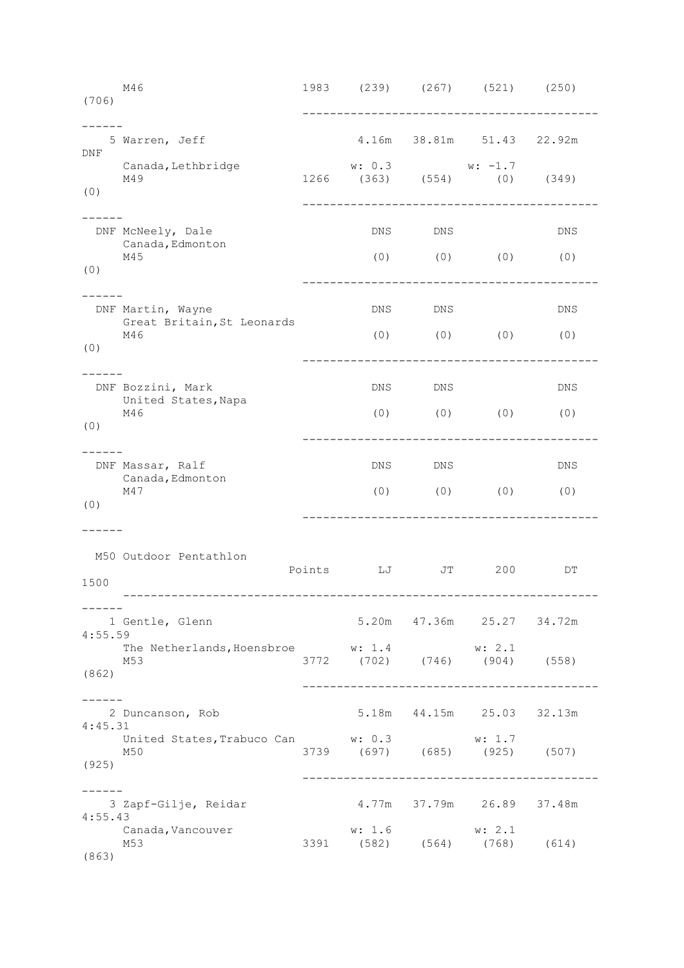M46 1983 (239) (267) (521) (250) (706) ------------------------------------------- ------ 5 Warren, Jeff 4.16m 38.81m 51.43 22.92m DNF Canada, Lethbridge  $w: 0.3$  w: -1.7 M49 1266 (363) (554) (0) (349) (0) ------------------------------------------- ------ DNF McNeely, Dale DNS DNS DNS DNS DNS Canada,Edmonton<br>M45  $(0)$   $(0)$   $(0)$   $(0)$ (0) ------------------------------------------- ------ DNF Martin, Wayne DNS DNS DNS Great Britain,St Leonards M46 (0) (0) (0) (0) (0) ------------------------------------------- ------ DNF Bozzini, Mark DNS DNS DNS United States, Napa M46 (0) (0) (0) (0) (0) ------------------------------------------- ------ DNF Massar, Ralf **DNS** DNS DNS DNS DNS Canada,Edmonton<br>M47 (0) (0) (0) (0) (0) ------------------------------------------- ------ M50 Outdoor Pentathlon Points LJ JT 200 DT 1500 --------------------------------------------------------------------- ------ 1 Gentle, Glenn 5.20m 47.36m 25.27 34.72m 4:55.59 The Netherlands, Hoensbroe w: 1.4 w: 2.1 M53 3772 (702) (746) (904) (558) (862) ------------------------------------------- ------ 2 Duncanson, Rob 5.18m 44.15m 25.03 32.13m 4:45.31 United States, Trabuco Can w: 0.3 w: 1.7 0.11 composed component component component component (697) (685) (925) (507) (925) ------------------------------------------- ------ 3 Zapf-Gilje, Reidar 4.77m 37.79m 26.89 37.48m 4:55.43 Canada,Vancouver w: 1.6 w: 2.1 vandad, vanddavdir (\* 1918)<br>M53 3391 (582) (564) (768) (614) (863)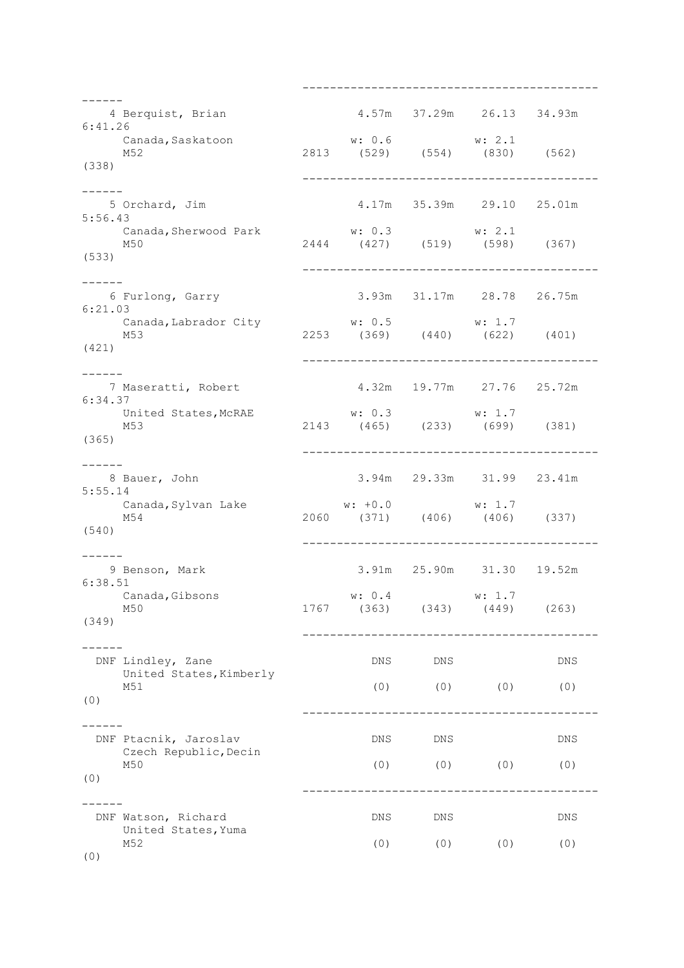------------------------------------------- ------ 4 Berquist, Brian 4.57m 37.29m 26.13 34.93m 6:41.26 Canada,Saskatoon w: 0.6 w: 2.1 M52 2813 (529) (554) (830) (562) (338) ------------------------------------------- ------ 5 Orchard, Jim 4.17m 35.39m 29.10 25.01m 5:56.43 Canada,Sherwood Park w: 0.3 w: 2.1<br>M50 (598) (427) (519) (598) (367) (533) ------------------------------------------- ------<br>6 Furlong, Garry 3.93m 31.17m 28.78 26.75m 6:21.03 Canada,Labrador City w: 0.5 w: 1.7 M53 2253 (369) (440) (622) (401) (421) ------------------------------------------- ------<br>7 Maseratti, Robert 4.32m 19.77m 27.76 25.72m 6:34.37 United States, McRAE w: 0.3 w: 1.7 M53 2143 (465) (233) (699) (381) (365) ------------------------------------------- ------ 8 Bauer, John 3.94m 29.33m 31.99 23.41m 5:55.14 Canada,Sylvan Lake w: +0.0 w: 1.7 M54 2060 (371) (406) (406) (337) (540) ------------------------------------------- ------ 9 Benson, Mark 3.91m 25.90m 31.30 19.52m 6:38.51 Canada,Gibsons w: 0.4 w: 1.7 M50 1767 (363) (343) (449) (263) (349) ------------------------------------------- ------ DNF Lindley, Zane DNS DNS DNS DNS DNS United States, Kimberly M51 (0) (0) (0) (0) (0) ------------------------------------------- ------ DNF Ptacnik, Jaroslav DNS DNS DNS DNS DNS Czech Republic,Decin M50 (0) (0) (0) (0) (0) (0) ------------------------------------------- ------ DNF Watson, Richard DNS DNS DNS United States,Yuma M52 (0) (0) (0) (0) (0) (0)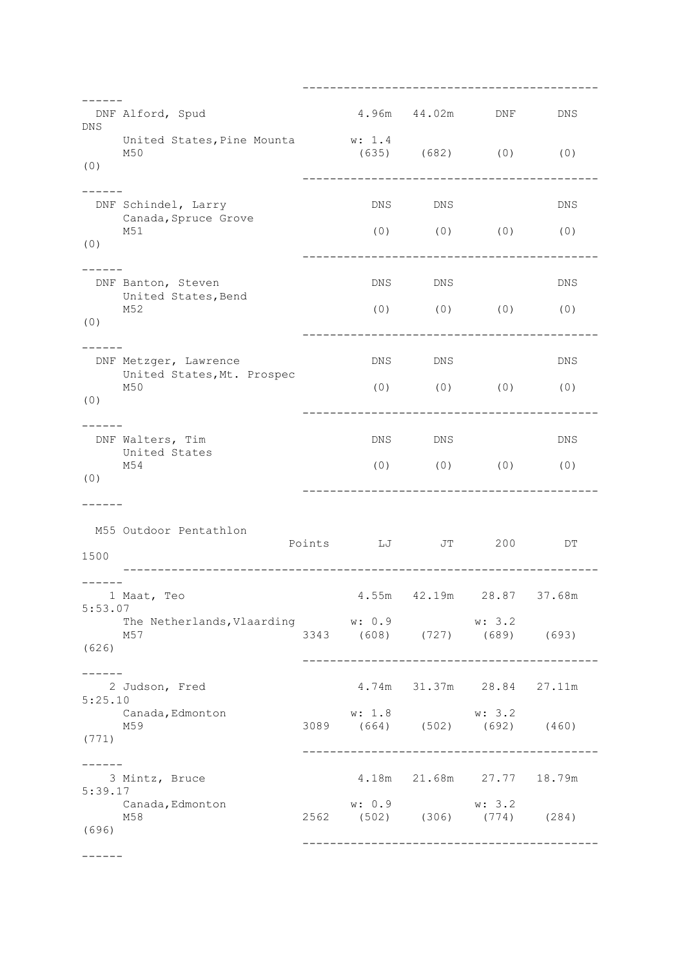------------------------------------------- ------ DNF Alford, Spud 1.96m 44.02m DNF DNS DNS United States, Pine Mounta w: 1.4 M50 (635) (682) (0) (0) (0) ------------------------------------------- ------ DNF Schindel, Larry DNS DNS DNS DNS DNS Canada,Spruce Grove<br>M51  $(0)$   $(0)$   $(0)$   $(0)$ (0) ------------------------------------------- ------ DNF Banton, Steven DNS DNS DNS DNS DNS United States,Bend<br>M52  $(0)$   $(0)$   $(0)$   $(0)$ (0) ------------------------------------------- ------ DNF Metzger, Lawrence DNS DNS DNS DNS DNS United States,Mt. Prospec<br>M50  $(0)$   $(0)$   $(0)$   $(0)$ (0) ------------------------------------------- ------ DNF Walters, Tim DNS DNS DNS United States<br>M54 (0) (0) (0) (0) ------------------------------------------- ------ M55 Outdoor Pentathlon Points LJ JT 200 DT 1500 --------------------------------------------------------------------- ------ 1 Maat, Teo 4.55m 42.19m 28.87 37.68m 5:53.07 The Netherlands, Vlaarding w: 0.9 w: 3.2 M57 3343 (608) (727) (689) (693) (626) ------------------------------------------- ------ 2 Judson, Fred 4.74m 31.37m 28.84 27.11m 5:25.10 Canada,Edmonton w: 1.8 w: 3.2 M59 3089 (664) (502) (692) (460) (771) ------------------------------------------- ------ 3 Mintz, Bruce 4.18m 21.68m 27.77 18.79m 5:39.17 Canada,Edmonton w: 0.9 w: 3.2 M58 2562 (502) (306) (774) (284) (696) ------------------------------------------- ------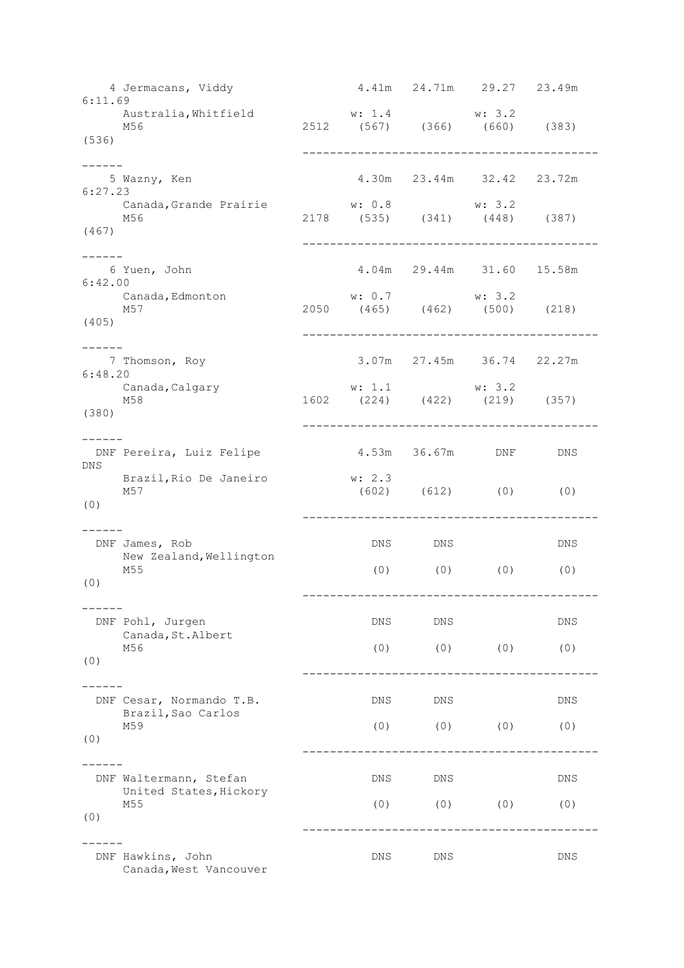4 Jermacans, Viddy 4.41m 24.71m 29.27 23.49m 6:11.69 Australia,Whitfield w: 1.4 w: 3.2 M56 2512 (567) (366) (660) (383) (536) ------------------------------------------- ------ 5 Wazny, Ken 4.30m 23.44m 32.42 23.72m 6:27.23 Canada,Grande Prairie w: 0.8 w: 3.2<br>M56 2178 (535) (341) (448)  $(535)$   $(341)$   $(448)$   $(387)$ (467) ------------------------------------------- ------<br>6 Yuen, John 4.04m 29.44m 31.60 15.58m 6:42.00 Canada,Edmonton w: 0.7 w: 3.2 M57 2050 (465) (462) (500) (218) (405) ------------------------------------------- ------ 7 Thomson, Roy 3.07m 27.45m 36.74 22.27m 6:48.20 Canada,Calgary w: 1.1 w: 3.2 M58 1602 (224) (422) (219) (357) (380) ------------------------------------------- ------ DNF Pereira, Luiz Felipe 4.53m 36.67m DNF DNS DNS Brazil,Rio De Janeiro w: 2.3<br>M57 (602)  $(602)$   $(612)$   $(0)$   $(0)$ (0) ------------------------------------------- ------ DNF James, Rob DNS DNS DNS New Zealand, Wellington M55 (0) (0) (0) (0) (0) ------------------------------------------- ------ DNF Pohl, Jurgen DNS DNS DNS DNS DNS Canada,St.Albert M56 (0) (0) (0) (0) (0) (0) ------------------------------------------- ------ DNF Cesar, Normando T.B. DNS DNS DNS DNS Brazil,Sao Carlos M59 (0) (0) (0) (0) (0) ------------------------------------------- ------ DNF Waltermann, Stefan and DNS DNS DNS DNS DNS United States,Hickory<br>M55 M55 (0) (0) (0) (0) (0) ------------------------------------------- ------ DNF Hawkins, John DNS DNS DNS Canada, West Vancouver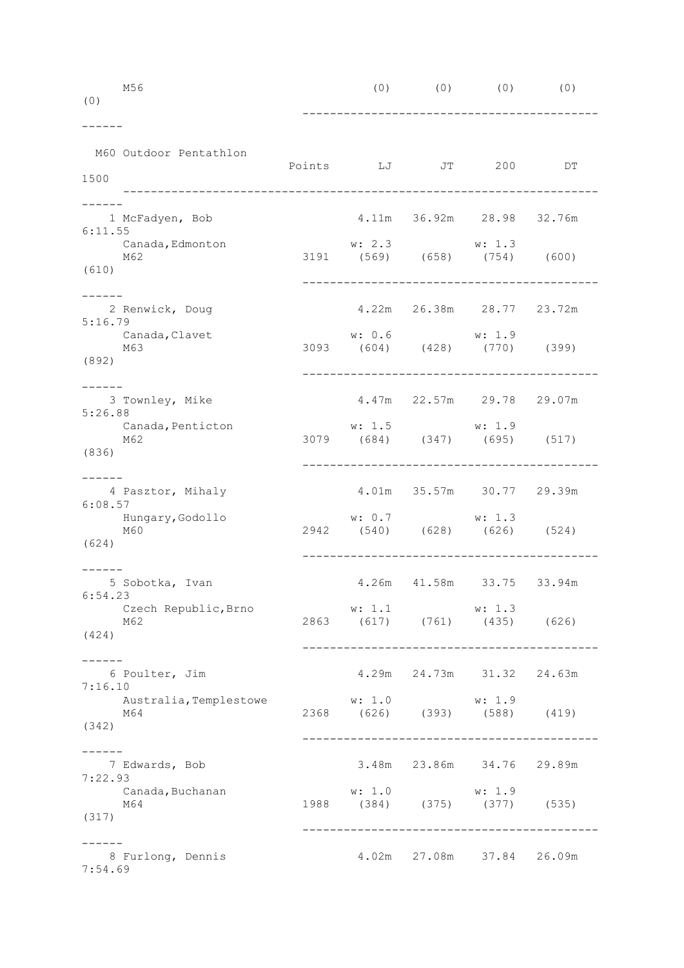| (0)              | M56                                                       |                                                                               | $(0)$ $(0)$ $(0)$ $(0)$ $(0)$          |    |  |
|------------------|-----------------------------------------------------------|-------------------------------------------------------------------------------|----------------------------------------|----|--|
| 1500             | M60 Outdoor Pentathlon                                    | Points LJ JT 200                                                              |                                        | DΤ |  |
| 6:11.55<br>(610) | 1 McFadyen, Bob<br>Canada, Edmonton<br>M62                | w: 2.3<br>3191 (569) (658) (754) (600)                                        | 4.11m 36.92m 28.98 32.76m<br>w: 1.3    |    |  |
| 5:16.79<br>(892) | 2 Renwick, Doug<br>Canada, Clavet<br>M63                  | -----------------------------------<br>w: 0.6<br>3093 (604) (428) (770) (399) | 4.22m  26.38m  28.77  23.72m<br>w: 1.9 |    |  |
| 5:26.88<br>(836) | 3 Townley, Mike<br>Canada, Penticton<br>M62               | w: 1.5<br>3079 (684) (347) (695) (517)                                        | 4.47m 22.57m 29.78 29.07m<br>w: 1.9    |    |  |
| 6:08.57<br>(624) | 4 Pasztor, Mihaly<br>Hungary, Godollo<br>M60              | w: 0.7<br>2942 (540) (628) (626) (524)                                        | 4.01m 35.57m 30.77 29.39m<br>w: 1.3    |    |  |
| (424)            | 5 Sobotka, Ivan<br>6:54.23<br>Czech Republic, Brno<br>M62 | w: 1.1<br>2863 (617) (761) (435) (626)                                        | 4.26m  41.58m  33.75  33.94m<br>w: 1.3 |    |  |
| 7:16.10<br>(342) | 6 Poulter, Jim<br>Australia, Templestowe<br>M64           | w: 1.0<br>2368 (626) (393) (588) (419)                                        | 4.29m 24.73m 31.32 24.63m<br>w: 1.9    |    |  |
| 7:22.93<br>(317) | 7 Edwards, Bob<br>Canada, Buchanan<br>M64                 | w: 1.0<br>$w: 1.0$ $w: 1.9$<br>1988 (384) (375) (377) (535)                   | 3.48m 23.86m 34.76 29.89m              |    |  |
| 7:54.69          | 8 Furlong, Dennis                                         |                                                                               | 4.02m 27.08m 37.84 26.09m              |    |  |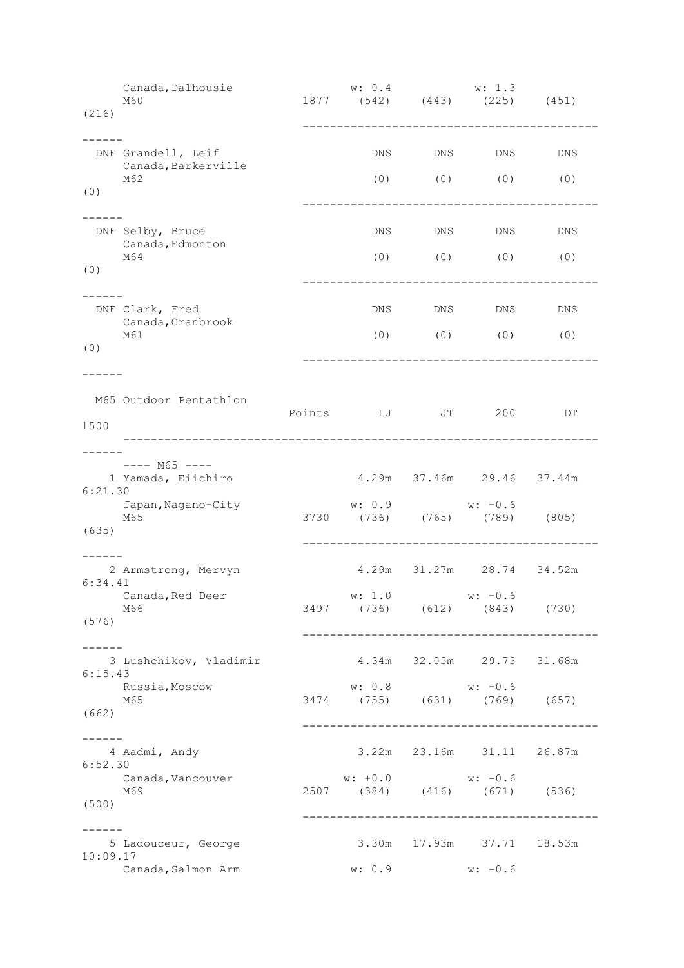Canada,Dalhousie w: 0.4 w: 1.3 M60 1877 (542) (443) (225) (451) (216) ------------------------------------------- ------ DNF Grandell, Leif Christian DNS DNS DNS DNS DNS DNS Canada, Barkerville M62 (0) (0) (0) (0) (0) ------------------------------------------- ------ DNF Selby, Bruce DNS DNS DNS DNS Canada,Edmonton<br>M64 M64 (0) (0) (0) (0) (0) ------------------------------------------- ------ DNF Clark, Fred DNS DNS DNS DNS Canada,Cranbrook M61 (0) (0) (0) (0) (0) ------------------------------------------- ------ M65 Outdoor Pentathlon Points LJ JT 200 DT 1500 --------------------------------------------------------------------- ------ ---- M65 ---- 1 Yamada, Eiichiro 4.29m 37.46m 29.46 37.44m  $6.21.30$  Japan,Nagano-City w: 0.9 w: -0.6 M65 3730 (736) (765) (789) (805) (635) ------------------------------------------- ------ 2 Armstrong, Mervyn 4.29m 31.27m 28.74 34.52m 6:34.41 Canada, Red Deer w: 1.0 w: -0.6 M66 3497 (736) (612) (843) (730) (576) ------------------------------------------- ------<br>3 Lushchikov, Vladimir 4.34m 32.05m 29.73 31.68m 6:15.43 Russia,Moscow w: 0.8 w: -0.6 1.120022, 1.12002.<br>M65 (1.12002.12002.12002.12003.12003.12003.12004.12003.12004.12004.12004.12004.12004.12004.12004.12004.12004.1 (662) ------------------------------------------- ------ 4 Aadmi, Andy 3.22m 23.16m 31.11 26.87m 6:52.30 Canada,Vancouver w: +0.0 w: -0.6<br>M69 (671) (384) (416) (671) M69 2507 (384) (416) (671) (536) (500) ------------------------------------------- ------ 5 Ladouceur, George 3.30m 17.93m 37.71 18.53m 10:09.17 Canada, Salmon Arm w: 0.9 w: -0.6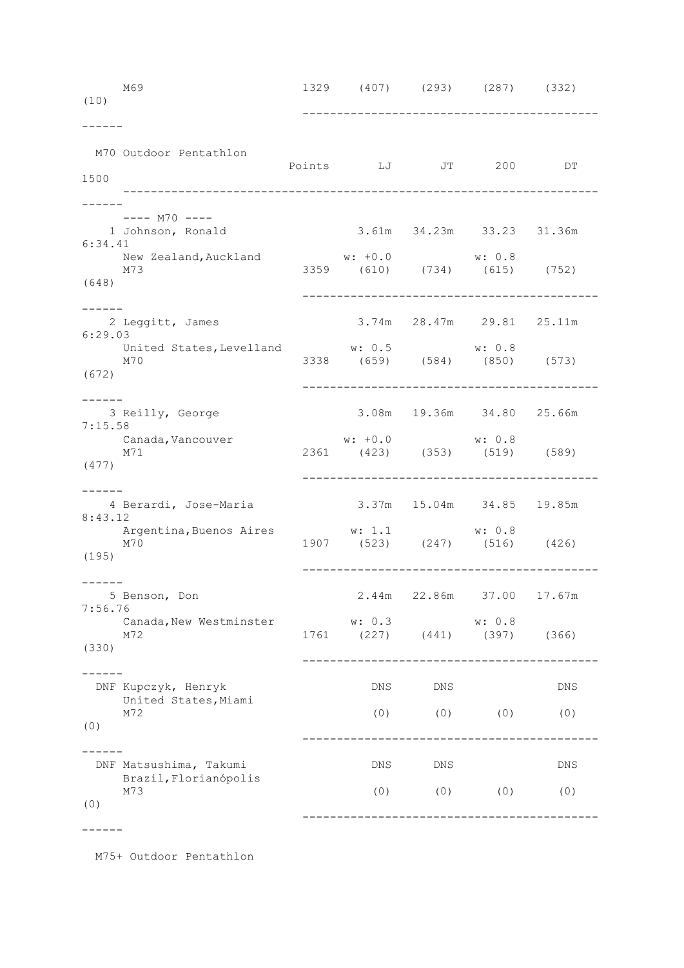| (10)             | M69                                                                | 1329 (407) (293) (287) (332)                                        |                           |           |                           |  |
|------------------|--------------------------------------------------------------------|---------------------------------------------------------------------|---------------------------|-----------|---------------------------|--|
| 1500             | M70 Outdoor Pentathlon                                             | Points LJ JT 200                                                    |                           |           | DT                        |  |
| 6:34.41<br>(648) | ---- M70 ----<br>1 Johnson, Ronald<br>New Zealand, Auckland<br>M73 | $w: +0.0$<br>3359 (610) (734) (615) (752)                           | 3.61m 34.23m 33.23 31.36m | w: 0.8    |                           |  |
| 6:29.03<br>(672) | 2 Leggitt, James<br>United States, Levelland<br>M70                | w: 0.5 w: 0.8<br>3338 (659) (584) (850) (573)                       | 3.74m 28.47m 29.81 25.11m |           |                           |  |
| 7:15.58<br>(477) | 3 Reilly, George<br>Canada <b>,</b> Vancouver<br>M71               | $w: +0.0$<br>2361 (423) (353) (519) (589)                           | 3.08m 19.36m 34.80 25.66m |           |                           |  |
| 8:43.12<br>(195) | 4 Berardi, Jose-Maria<br>Argentina, Buenos Aires<br>M70            | 3.37m 15.04m 34.85 19.85m<br>w: 1.1<br>1907 (523) (247) (516) (426) |                           | w: 0.8    |                           |  |
| 7:56.76<br>(330) | 5 Benson, Don<br>Canada, New Westminster<br>M72                    | w: 0.3<br>1761 (227) (441) (397) (366)                              |                           | w: 0.8    | 2.44m 22.86m 37.00 17.67m |  |
| (0)              | DNF Kupczyk, Henryk<br>United States, Miami<br>M72                 | DNS<br>(0)                                                          | DNS                       | $(0)$ (0) | DNS<br>(0)                |  |
| (0)              | DNF Matsushima, Takumi<br>Brazil, Florianópolis<br>M73             | DNS<br>(0)                                                          | DNS                       | $(0)$ (0) | DNS<br>(0)                |  |
|                  |                                                                    |                                                                     |                           |           |                           |  |

M75+ Outdoor Pentathlon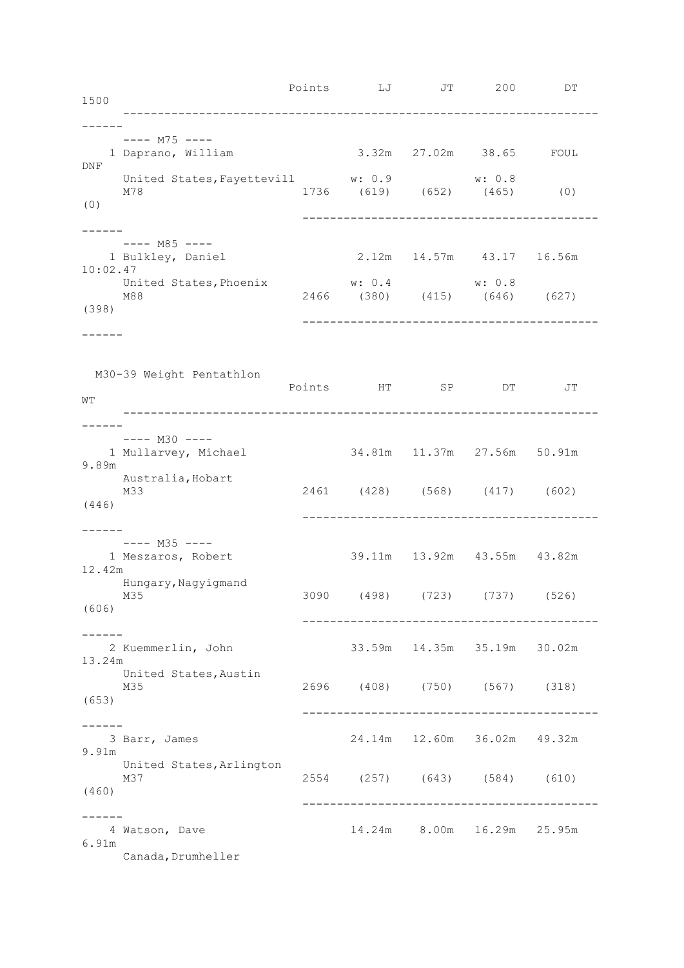| 1500               |                                                                                   |        | Points LJ JT 200 DT            |        |    |  |
|--------------------|-----------------------------------------------------------------------------------|--------|--------------------------------|--------|----|--|
| DNF                | ---- M75 ----<br>1 Daprano, William                                               |        | 3.32m 27.02m 38.65 FOUL        |        |    |  |
| (0)                | United States, Fayettevill $w: 0.9$ $w: 0.8$<br>M78 $(619)$ $(652)$ $(465)$ $(0)$ |        |                                |        |    |  |
| ------<br>10:02.47 | ---- M85 ----<br>1 Bulkley, Daniel                                                |        | 2.12m 14.57m 43.17 16.56m      |        |    |  |
| (398)              | United States, Phoenix<br>M88                                                     | w: 0.4 | 2466 (380) (415) (646) (627)   | w: 0.8 |    |  |
|                    |                                                                                   |        |                                |        |    |  |
| WΤ                 | M30-39 Weight Pentathlon                                                          |        | Points HT SP DT                |        | JT |  |
| ------<br>9.89m    | ---- M30 ----<br>1 Mullarvey, Michael                                             |        | 34.81m  11.37m  27.56m  50.91m |        |    |  |
| (446)              | Australia, Hobart<br>M33                                                          |        | 2461 (428) (568) (417) (602)   |        |    |  |
| 12.42m             | ---- M35 ----<br>1 Meszaros, Robert                                               |        | 39.11m  13.92m  43.55m  43.82m |        |    |  |
| (606)              | Hungary, Nagyigmand<br>M35                                                        |        | 3090 (498) (723) (737) (526)   |        |    |  |
| 13.24m             | 2 Kuemmerlin, John                                                                |        | 33.59m  14.35m  35.19m  30.02m |        |    |  |
| (653)              | United States, Austin<br>M35                                                      |        | 2696 (408) (750) (567) (318)   |        |    |  |
| 9.91m              | 3 Barr, James                                                                     |        | 24.14m  12.60m  36.02m  49.32m |        |    |  |
| (460)              | United States, Arlington<br>M37                                                   |        | 2554 (257) (643) (584) (610)   |        |    |  |
| 6.91m              | 4 Watson, Dave<br>Canada, Drumheller                                              |        | 14.24m 8.00m 16.29m 25.95m     |        |    |  |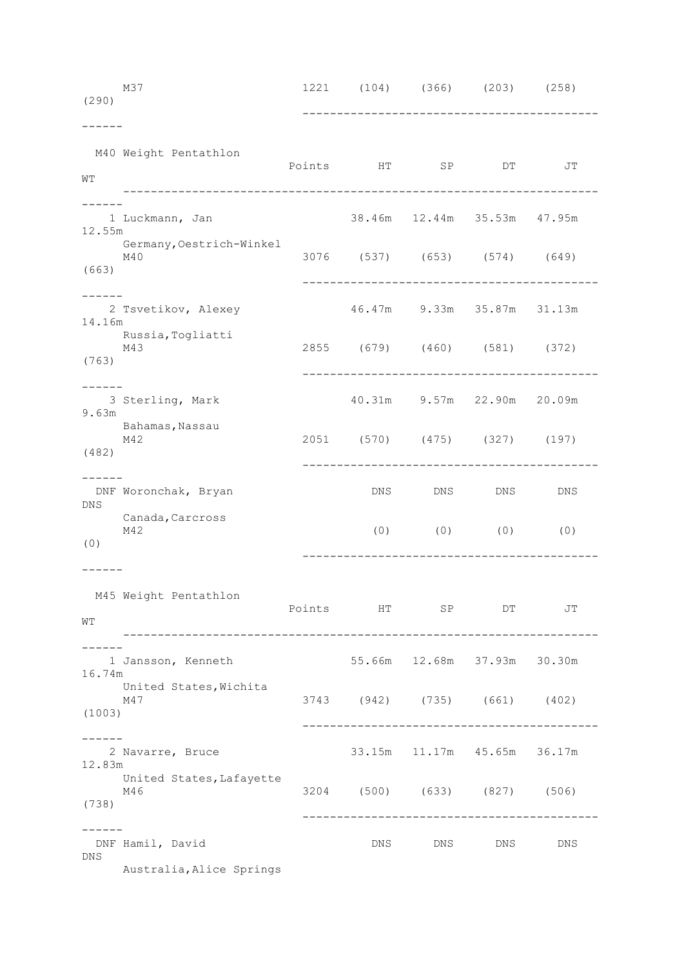| (290)      | M37                             |           |         | 1221 (104) (366) (203) (258)                                          |     |  |
|------------|---------------------------------|-----------|---------|-----------------------------------------------------------------------|-----|--|
| WΤ         | M40 Weight Pentathlon           |           |         | Points HT SP DT                                                       | JΤ  |  |
| 12.55m     | 1 Luckmann, Jan                 |           |         | 38.46m  12.44m  35.53m  47.95m                                        |     |  |
| (663)      | Germany, Oestrich-Winkel<br>M40 |           |         | 3076 (537) (653) (574) (649)                                          |     |  |
| 14.16m     | 2 Tsvetikov, Alexey             |           |         | 46.47m 9.33m 35.87m 31.13m                                            |     |  |
| (763)      | Russia, Togliatti<br>M43        |           |         | 2855 (679) (460) (581) (372)<br>------------------------------------- |     |  |
| 9.63m      | 3 Sterling, Mark                |           |         | 40.31m 9.57m 22.90m 20.09m                                            |     |  |
| (482)      | Bahamas, Nassau<br>M42          |           |         | 2051 (570) (475) (327) (197)                                          |     |  |
| DNS        | DNF Woronchak, Bryan            |           |         | DNS DNS DNS                                                           | DNS |  |
| (0)        | Canada, Carcross<br>M42         |           |         | $(0)$ $(0)$ $(0)$ $(0)$                                               |     |  |
|            |                                 |           |         |                                                                       |     |  |
| WΤ         | M45 Weight Pentathlon           | Points HT |         | SP DT                                                                 | JТ  |  |
| 16.74m     | 1 Jansson, Kenneth              |           |         | 55.66m 12.68m 37.93m 30.30m                                           |     |  |
| (1003)     | United States, Wichita<br>M47   |           |         | 3743 (942) (735) (661) (402)                                          |     |  |
| 12.83m     | 2 Navarre, Bruce                |           |         | 33.15m 11.17m 45.65m 36.17m                                           |     |  |
| (738)      | United States, Lafayette<br>M46 |           |         | 3204 (500) (633) (827) (506)                                          |     |  |
| <b>DNS</b> | DNF Hamil, David                |           | DNS DNS | DNS                                                                   | DNS |  |
|            | Australia, Alice Springs        |           |         |                                                                       |     |  |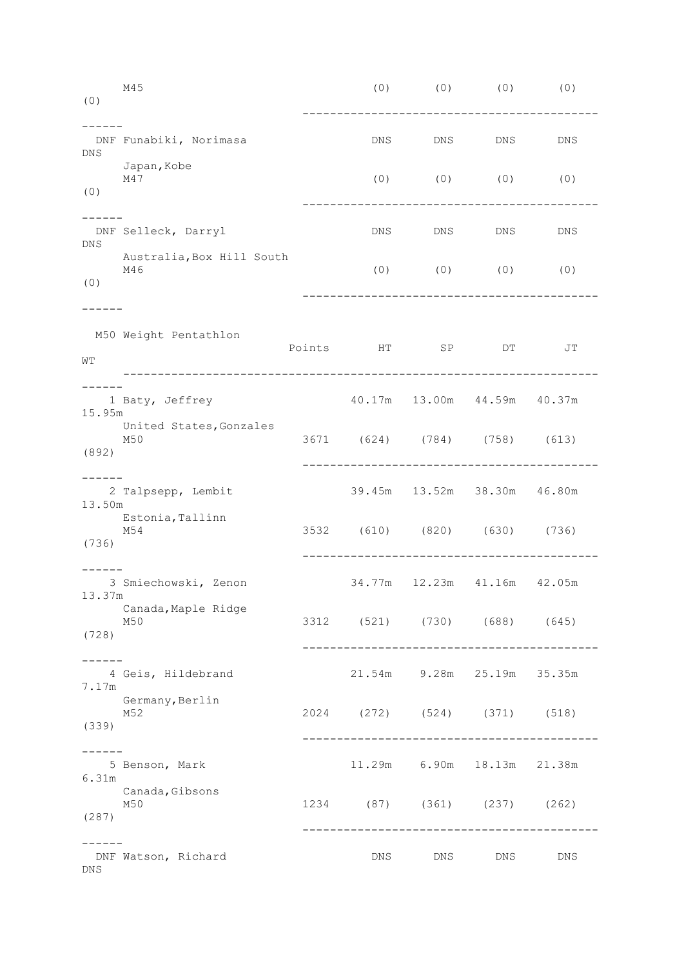| (0)             | M45                              |     |            | $(0)$ $(0)$ $(0)$                     | (0) |
|-----------------|----------------------------------|-----|------------|---------------------------------------|-----|
| <b>DNS</b>      | DNF Funabiki, Norimasa           | DNS | <b>DNS</b> | DNS                                   | DNS |
| (0)             | Japan, Kobe<br>M47               |     |            | $(0)$ $(0)$ $(0)$ $(0)$               |     |
|                 | DNF Selleck, Darryl              | DNS | DNS        | DNS                                   | DNS |
| DNS.<br>(0)     | Australia, Box Hill South<br>M46 |     |            | $(0)$ $(0)$ $(0)$ $(0)$               |     |
| WΤ              | M50 Weight Pentathlon            |     |            | Points HT SP DT                       | JТ  |
|                 | 1 Baty, Jeffrey                  |     |            | 40.17m  13.00m  44.59m  40.37m        |     |
| 15.95m<br>(892) | United States, Gonzales<br>M50   |     |            | 3671 (624) (784) (758) (613)          |     |
| 13.50m          | 2 Talpsepp, Lembit               |     |            | 39.45m  13.52m  38.30m  46.80m        |     |
| (736)           | Estonia, Tallinn<br>M54          |     |            | 3532 (610) (820) (630) (736)          |     |
|                 | 3 Smiechowski, Zenon<br>13.37m   |     |            | 34.77m  12.23m  41.16m  42.05m        |     |
| (728)           | Canada, Maple Ridge<br>M50       |     |            | 3312 (521) (730) (688) (645)          |     |
| -----<br>7.17m  | 4 Geis, Hildebrand               |     |            | 21.54m 9.28m 25.19m 35.35m            |     |
| (339)           | Germany, Berlin<br>M52           |     |            | 2024 (272) (524) (371) (518)          |     |
| 6.31m           | 5 Benson, Mark                   |     |            | 11.29m 6.90m 18.13m 21.38m            |     |
| (287)           | Canada, Gibsons<br>M50           |     |            | 1234 (87) (361) (237) (262)           |     |
| DNS             | DNF Watson, Richard              |     | DNS DNS    | ------------------------------<br>DNS | DNS |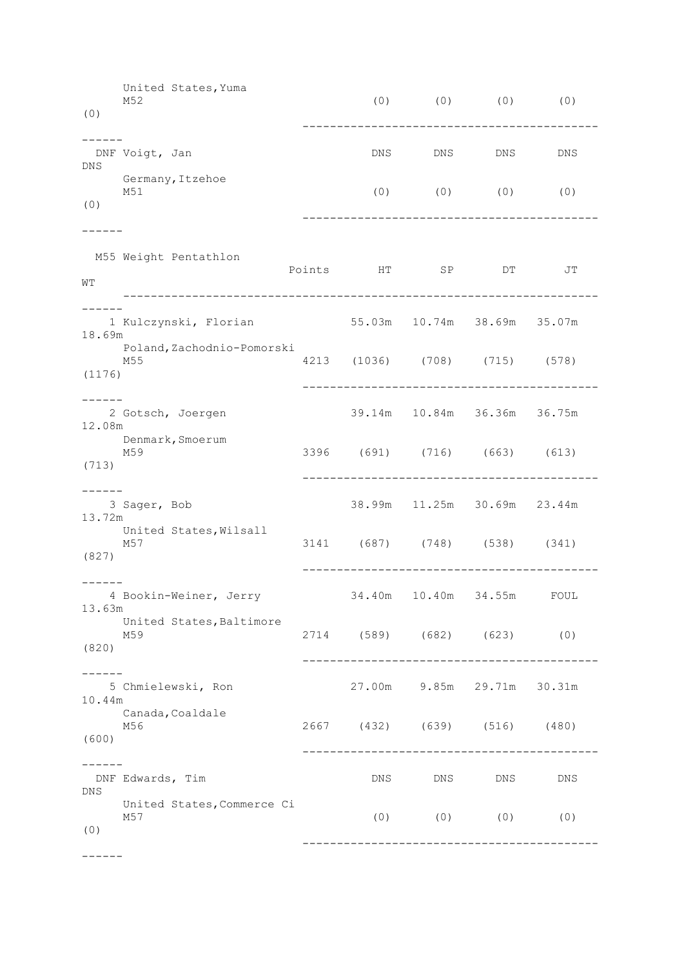United States,Yuma M52 (0) (0) (0) (0) (0) ------------------------------------------- ------ DNF Voigt, Jan DNS DNS DNS DNS DNS DNS DNS DNS Germany,Itzehoe<br>M51  $(0)$   $(0)$   $(0)$   $(0)$ (0) ------------------------------------------- ------ M55 Weight Pentathlon Points HT SP DT JT  $WT$  --------------------------------------------------------------------- ------ 1 Kulczynski, Florian 55.03m 10.74m 38.69m 35.07m 18.69m Poland,Zachodnio-Pomorski M55 4213 (1036) (708) (715) (578) (1176) ------------------------------------------- ------ 2 Gotsch, Joergen 39.14m 10.84m 36.36m 36.75m 12.08m Denmark,Smoerum M59 3396 (691) (716) (663) (613) (713) ------------------------------------------- ------ 3 Sager, Bob 38.99m 11.25m 30.69m 23.44m 13.72m United States, Wilsall M57 3141 (687) (748) (538) (341) (827) ------------------------------------------- ------ 4 Bookin-Weiner, Jerry 34.40m 10.40m 34.55m FOUL 13.63m United States,Baltimore M59 2714 (589) (682) (623) (0) (820) ------------------------------------------- ------ 5 Chmielewski, Ron 27.00m 9.85m 29.71m 30.31m 10.44m Canada,Coaldale M56 2667 (432) (639) (516) (480) (600) ------------------------------------------- ------ DNF Edwards, Tim DNS DNS DNS DNS DNS United States, Commerce Ci<br>M57 M57 (0) (0) (0) (0) (0) -------------------------------------------

------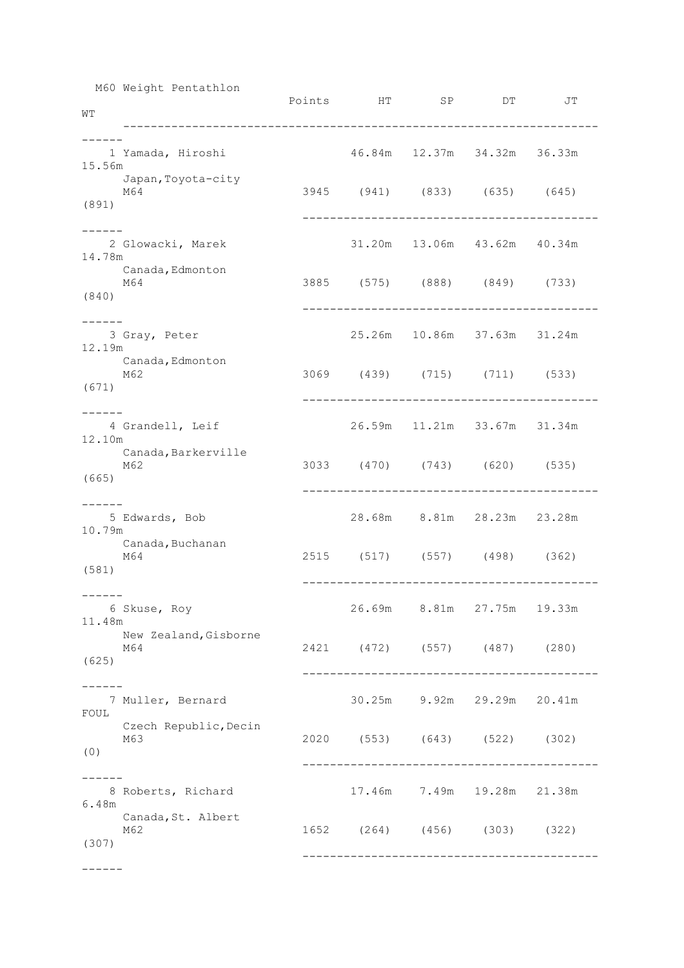M60 Weight Pentathlon

| WТ                    | $\frac{1}{2}$                |  | Points HT SP DT                | JT |
|-----------------------|------------------------------|--|--------------------------------|----|
| 15.56m                | 1 Yamada, Hiroshi            |  | 46.84m  12.37m  34.32m  36.33m |    |
| (891)                 | Japan, Toyota-city<br>M64    |  | 3945 (941) (833) (635) (645)   |    |
| $- - - - -$<br>14.78m | 2 Glowacki, Marek            |  | 31.20m  13.06m  43.62m  40.34m |    |
| (840)                 | Canada, Edmonton<br>M64      |  | 3885 (575) (888) (849) (733)   |    |
| 12.19m                | 3 Gray, Peter                |  | 25.26m  10.86m  37.63m  31.24m |    |
| (671)                 | Canada, Edmonton<br>M62      |  | 3069 (439) (715) (711) (533)   |    |
| 12.10m                | 4 Grandell, Leif             |  | 26.59m  11.21m  33.67m  31.34m |    |
| (665)                 | Canada, Barkerville<br>M62   |  | 3033 (470) (743) (620) (535)   |    |
| 10.79m                | 5 Edwards, Bob               |  | 28.68m 8.81m 28.23m 23.28m     |    |
| (581)                 | Canada, Buchanan<br>M64      |  | 2515 (517) (557) (498) (362)   |    |
| 11.48m                | 6 Skuse, Roy                 |  | 26.69m 8.81m 27.75m 19.33m     |    |
| (625)                 | New Zealand, Gisborne<br>M64 |  | 2421 (472) (557) (487) (280)   |    |
| FOUL                  | 7 Muller, Bernard            |  | 30.25m 9.92m 29.29m 20.41m     |    |
| (0)                   | Czech Republic, Decin<br>M63 |  | 2020 (553) (643) (522) (302)   |    |
|                       |                              |  |                                |    |
| 6.48m                 | 8 Roberts, Richard           |  | 17.46m 7.49m 19.28m 21.38m     |    |
| (307)                 | Canada, St. Albert<br>M62    |  | 1652 (264) (456) (303) (322)   |    |
|                       |                              |  |                                |    |

------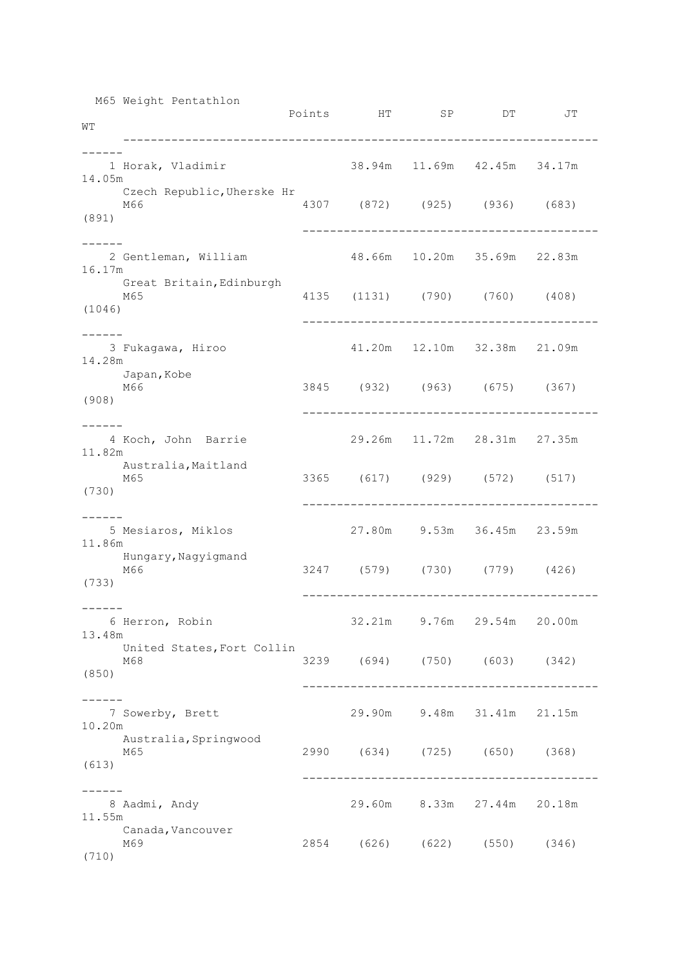| WΤ                | M65 Weight Pentathlon             | Points HT SP DT                |                                | JΤ |
|-------------------|-----------------------------------|--------------------------------|--------------------------------|----|
| 14.05m            | 1 Horak, Vladimir                 | 38.94m 11.69m 42.45m 34.17m    |                                |    |
| (891)             | Czech Republic, Uherske Hr<br>M66 | 4307 (872) (925) (936) (683)   |                                |    |
| 16.17m            | 2 Gentleman, William              | 48.66m  10.20m  35.69m  22.83m |                                |    |
| (1046)            | Great Britain, Edinburgh<br>M65   | 4135 (1131) (790) (760) (408)  |                                |    |
| 14.28m            | 3 Fukagawa, Hiroo                 |                                | 41.20m  12.10m  32.38m  21.09m |    |
| (908)             | Japan, Kobe<br>M66                | 3845 (932) (963) (675) (367)   |                                |    |
| 11.82m            | 4 Koch, John Barrie               |                                | 29.26m 11.72m 28.31m 27.35m    |    |
| (730)             | Australia, Maitland<br>M65        | 3365 (617) (929) (572) (517)   |                                |    |
| 11.86m            | 5 Mesiaros, Miklos                | 27.80m 9.53m 36.45m 23.59m     |                                |    |
| (733)             | Hungary, Nagyigmand<br>M66        | 3247 (579) (730) (779) (426)   |                                |    |
| -------<br>13.48m | 6 Herron, Robin                   |                                | 32.21m 9.76m 29.54m 20.00m     |    |
| (850)             | United States, Fort Collin<br>M68 | 3239 (694) (750) (603) (342)   |                                |    |
| 10.20m            | 7 Sowerby, Brett                  |                                | 29.90m 9.48m 31.41m 21.15m     |    |
| (613)             | Australia, Springwood<br>M65      | 2990 (634) (725) (650) (368)   |                                |    |
| 11.55m            | 8 Aadmi, Andy                     |                                | 29.60m 8.33m 27.44m 20.18m     |    |
| (710)             | Canada, Vancouver<br>M69          | 2854 (626) (622) (550) (346)   |                                |    |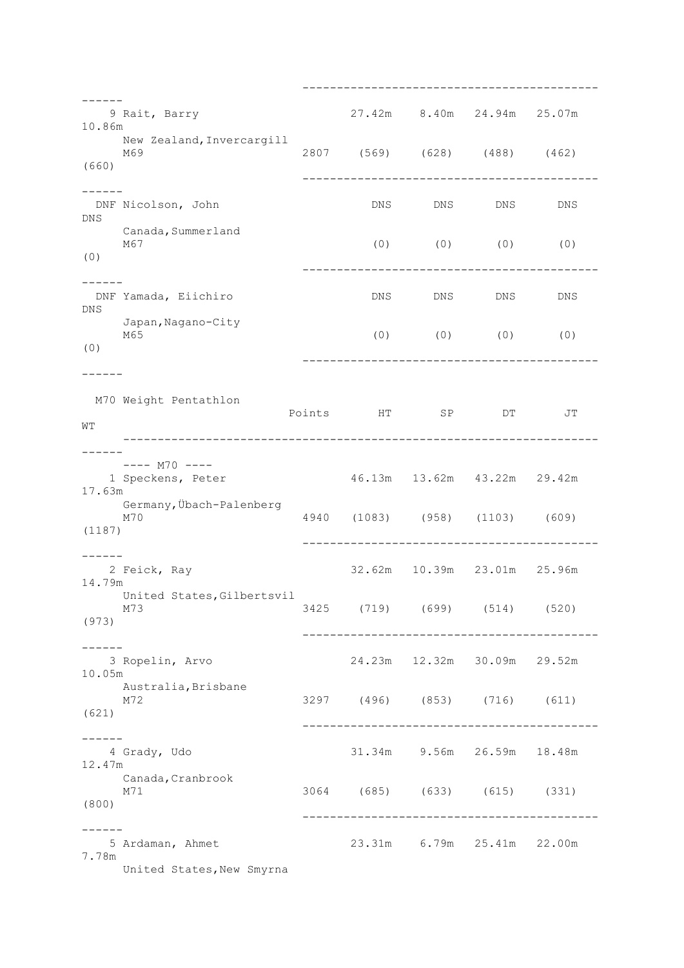------------------------------------------- ------ 9 Rait, Barry 27.42m 8.40m 24.94m 25.07m 10.86m New Zealand,Invercargill<br>M69 M69 2807 (569) (628) (488) (462) (660) ------------------------------------------- ------ DNF Nicolson, John DNS DNS DNS DNS DNS DNS Canada,Summerland<br>M67  $(0)$   $(0)$   $(0)$   $(0)$ (0) ------------------------------------------- ------<br>DNF Yamada, Eiichiro DNS DNS DNS DNS DNS Japan,Nagano-City<br>M65  $(0)$   $(0)$   $(0)$   $(0)$ (0) ------------------------------------------- ------ M70 Weight Pentathlon Points HT SP DT JT WT --------------------------------------------------------------------- ------  $--- M70 ---$  1 Speckens, Peter 46.13m 13.62m 43.22m 29.42m 17.63m Germany,Übach-Palenberg M70 4940 (1083) (958) (1103) (609) (1187) ------------------------------------------- ------ 2 Feick, Ray 32.62m 10.39m 23.01m 25.96m 14.79m United States, Gilbertsvil M73 3425 (719) (699) (514) (520) (973) ------------------------------------------- ------ 3 Ropelin, Arvo 24.23m 12.32m 30.09m 29.52m 10.05m Australia,Brisbane M72 3297 (496) (853) (716) (611) (621) ------------------------------------------- ------ 4 Grady, Udo 31.34m 9.56m 26.59m 18.48m 12.47m Canada, Cranbrook M71 3064 (685) (633) (615) (331) (800) ------------------------------------------- ------ 5 Ardaman, Ahmet 23.31m 6.79m 25.41m 22.00m 7.78m United States, New Smyrna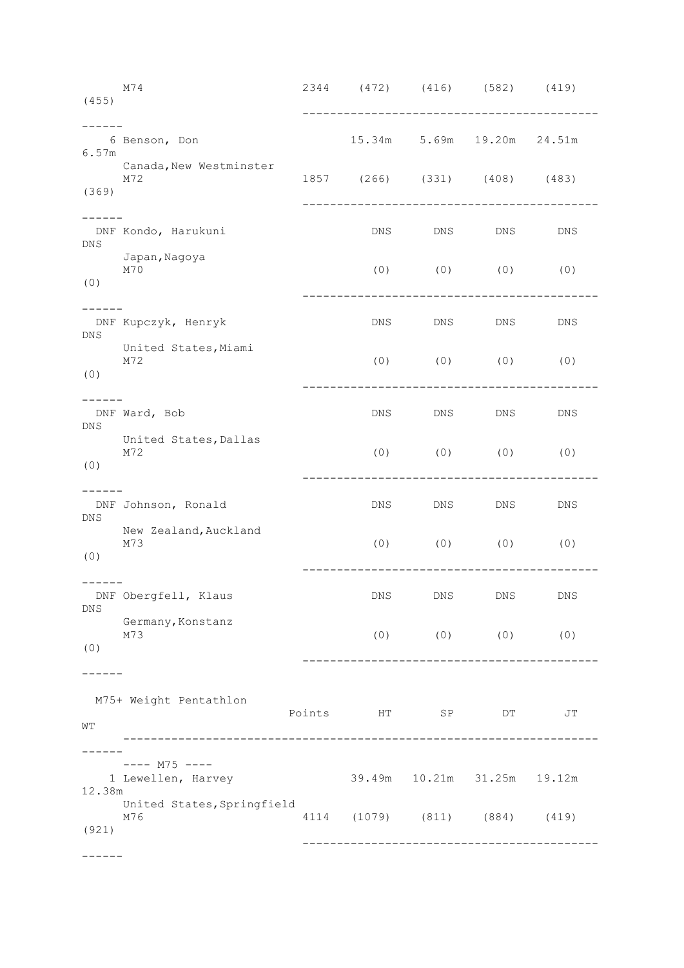M74 2344 (472) (416) (582) (419) (455) ------------------------------------------- ------ 6 Benson, Don 15.34m 5.69m 19.20m 24.51m 6.57m Canada,New Westminster<br>M72 M72 1857 (266) (331) (408) (483) (369) ------------------------------------------- ------ DNF Kondo, Harukuni DNS DNS DNS DNS DNS Japan**,** Nagoya<br>M70  $(0)$   $(0)$   $(0)$   $(0)$ (0) ------------------------------------------- ------<br>DNF Kupczyk, Henryk DNS DNS DNS DNS DNS United States, Miami<br>M72  $(0)$   $(0)$   $(0)$   $(0)$ (0) ------------------------------------------- ------ DNF Ward, Bob DNS DNS DNS DNS DNS United States,Dallas<br>M72 (0) (0) (0) (0) (0) ------------------------------------------- ------ DNF Johnson, Ronald DNS DNS DNS DNS DNS New Zealand,Auckland M73 (0) (0) (0) (0) (0) ------------------------------------------- ------ DNF Obergfell, Klaus DNS DNS DNS DNS DNS Germany,Konstanz M73 (0) (0) (0) (0) (0) ------------------------------------------- ------ M75+ Weight Pentathlon Points HT SP DT JT WT --------------------------------------------------------------------- ------ ---- M75 ----<br>1 Lewellen, Harvey 39.49m 10.21m 31.25m 19.12m 12.38m United States, Springfield M76 4114 (1079) (811) (884) (419) (921) ------------------------------------------- ------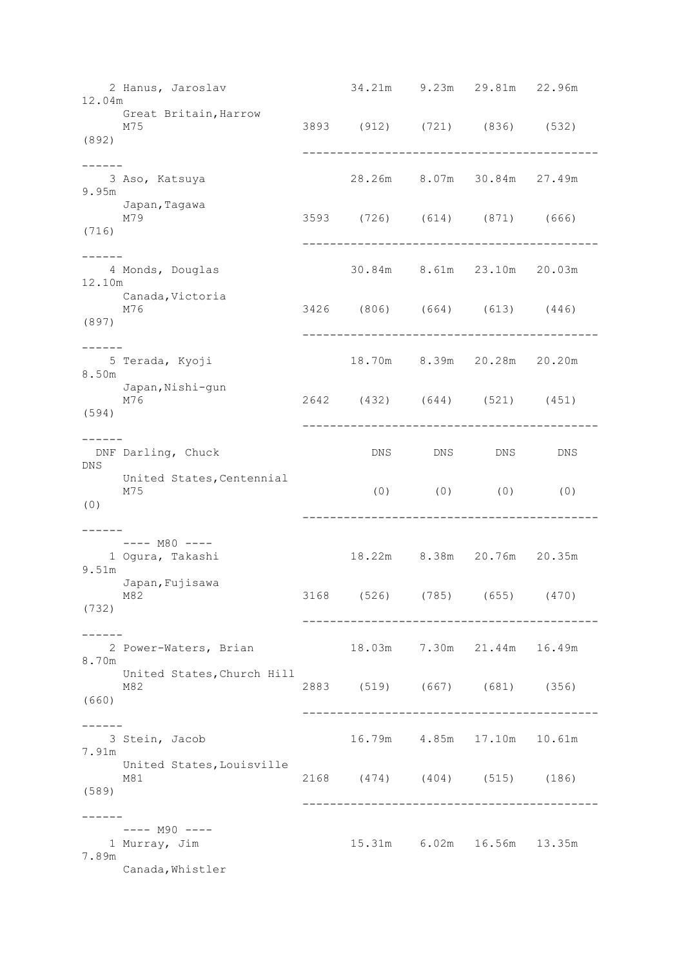2 Hanus, Jaroslav 34.21m 9.23m 29.81m 22.96m 12.04m Great Britain, Harrow<br>M75 M75 3893 (912) (721) (836) (532) (892) ------------------------------------------- ------ 3 Aso, Katsuya 28.26m 8.07m 30.84m 27.49m 9.95m Japan**,**Tagawa<br>M79 M79 3593 (726) (614) (871) (666) (716) ------------------------------------------- ------<br>4 Monds, Douglas 30.84m 8.61m 23.10m 20.03m 12.10m Canada,Victoria<br>M76 M76 3426 (806) (664) (613) (446) (897) ------------------------------------------- ------ 5 Terada, Kyoji 18.70m 8.39m 20.28m 20.20m 8.50m Japan, Nishi-qun M76 2642 (432) (644) (521) (451) (594) ------------------------------------------- ------ DNF Darling, Chuck DNS DNS DNS DNS DNS United States, Centennial<br>M75 M75 (0) (0) (0) (0) (0) ------------------------------------------- ------ ---- M80 ---- 1 Ogura, Takashi 18.22m 8.38m 20.76m 20.35m 9.51m Japan,Fujisawa M82 3168 (526) (785) (655) (470) (732) ------------------------------------------- ------ 2 Power-Waters, Brian 18.03m 7.30m 21.44m 16.49m 8.70m United States,Church Hill M82 2883 (519) (667) (681) (356) (660) ------------------------------------------- ------ 3 Stein, Jacob 16.79m 4.85m 17.10m 10.61m 7.91m United States,Louisville M81 2168 (474) (404) (515) (186) (589) ------------------------------------------- ------ ---- M90 ----<br>1 Murray, Jim 15.31m 6.02m 16.56m 13.35m 7.89m Canada,Whistler